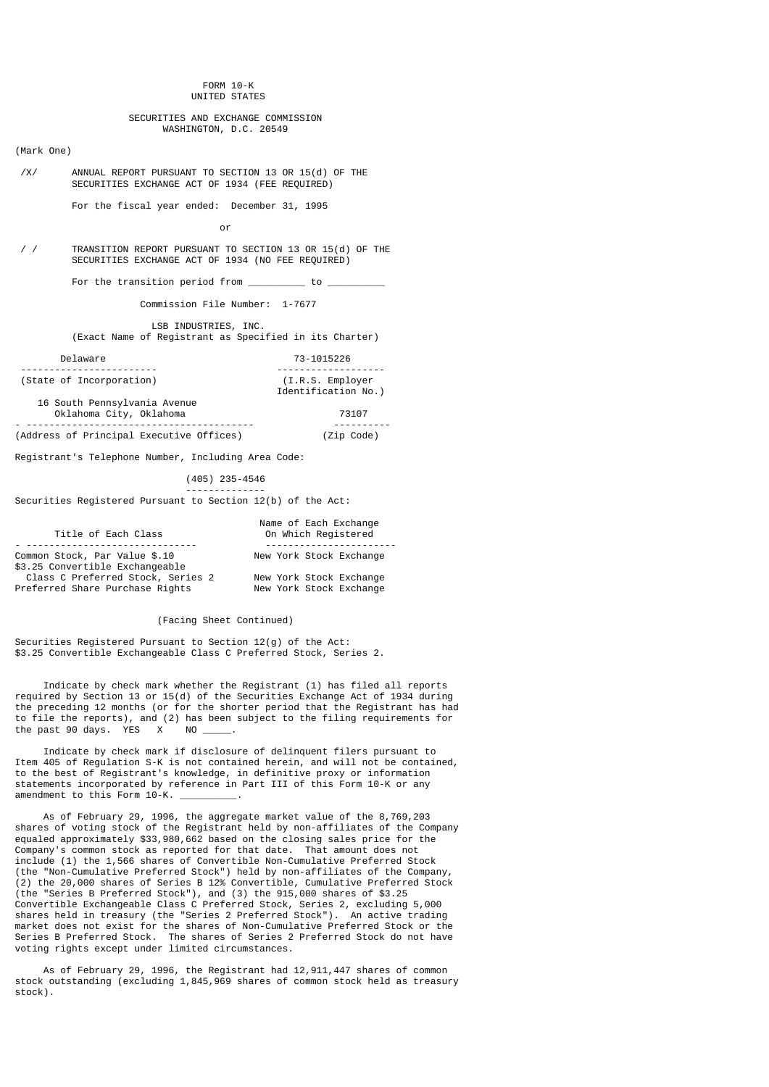### FORM 10-K UNITED STATES

# SECURITIES AND EXCHANGE COMMISSION WASHINGTON, D.C. 20549

### (Mark One)

 /X/ ANNUAL REPORT PURSUANT TO SECTION 13 OR 15(d) OF THE SECURITIES EXCHANGE ACT OF 1934 (FEE REQUIRED)

For the fiscal year ended: December 31, 1995

or and the state of the state of the state of the state of the state of the state of the state of the state of the state of the state of the state of the state of the state of the state of the state of the state of the sta

 $\frac{7}{4}$  TRANSITION REPORT PURSUANT TO SECTION 13 OR 15(d) OF THE SECURITIES EXCHANGE ACT OF 1934 (NO FEE REQUIRED)

For the transition period from  $\frac{1}{\sqrt{1-\frac{1}{n}}}$  to  $\frac{1}{\sqrt{1-\frac{1}{n}}}$ 

Commission File Number: 1-7677

 LSB INDUSTRIES, INC. (Exact Name of Registrant as Specified in its Charter)

| Delaware                                                | 73-1015226                                |
|---------------------------------------------------------|-------------------------------------------|
| (State of Incorporation)                                | $(I.R.S.$ Employer<br>Identification No.) |
| 16 South Pennsylvania Avenue<br>Oklahoma City, Oklahoma | 73107                                     |
| (Address of Principal Executive Offices)                | (Zip Code)                                |

Registrant's Telephone Number, Including Area Code:

--------------

# (405) 235-4546

Securities Registered Pursuant to Section 12(b) of the Act:

| Title of Each Class               | Name of Each Exchange<br>On Which Registered |
|-----------------------------------|----------------------------------------------|
|                                   |                                              |
| Common Stock, Par Value \$.10     | New York Stock Exchange                      |
| \$3.25 Convertible Exchangeable   |                                              |
| Class C Preferred Stock, Series 2 | New York Stock Exchange                      |
| Preferred Share Purchase Rights   | New York Stock Exchange                      |

(Facing Sheet Continued)

Securities Registered Pursuant to Section 12(g) of the Act: \$3.25 Convertible Exchangeable Class C Preferred Stock, Series 2.

 Indicate by check mark whether the Registrant (1) has filed all reports required by Section 13 or 15(d) of the Securities Exchange Act of 1934 during the preceding 12 months (or for the shorter period that the Registrant has had to file the reports), and (2) has been subject to the filing requirements for the past 90 days. YES  $\times$  NO  $\_\_\_\_\_\$ .

 Indicate by check mark if disclosure of delinquent filers pursuant to Item 405 of Regulation S-K is not contained herein, and will not be contained, to the best of Registrant's knowledge, in definitive proxy or information statements incorporated by reference in Part III of this Form 10-K or any amendment to this Form 10-K.

 As of February 29, 1996, the aggregate market value of the 8,769,203 shares of voting stock of the Registrant held by non-affiliates of the Company equaled approximately \$33,980,662 based on the closing sales price for the Company's common stock as reported for that date. That amount does not include (1) the 1,566 shares of Convertible Non-Cumulative Preferred Stock (the "Non-Cumulative Preferred Stock") held by non-affiliates of the Company, (2) the 20,000 shares of Series B 12% Convertible, Cumulative Preferred Stock (the "Series B Preferred Stock"), and (3) the 915,000 shares of \$3.25 Convertible Exchangeable Class C Preferred Stock, Series 2, excluding 5,000 shares held in treasury (the "Series 2 Preferred Stock"). An active trading market does not exist for the shares of Non-Cumulative Preferred Stock or the Series B Preferred Stock. The shares of Series 2 Preferred Stock do not have voting rights except under limited circumstances.

 As of February 29, 1996, the Registrant had 12,911,447 shares of common stock outstanding (excluding 1,845,969 shares of common stock held as treasury stock).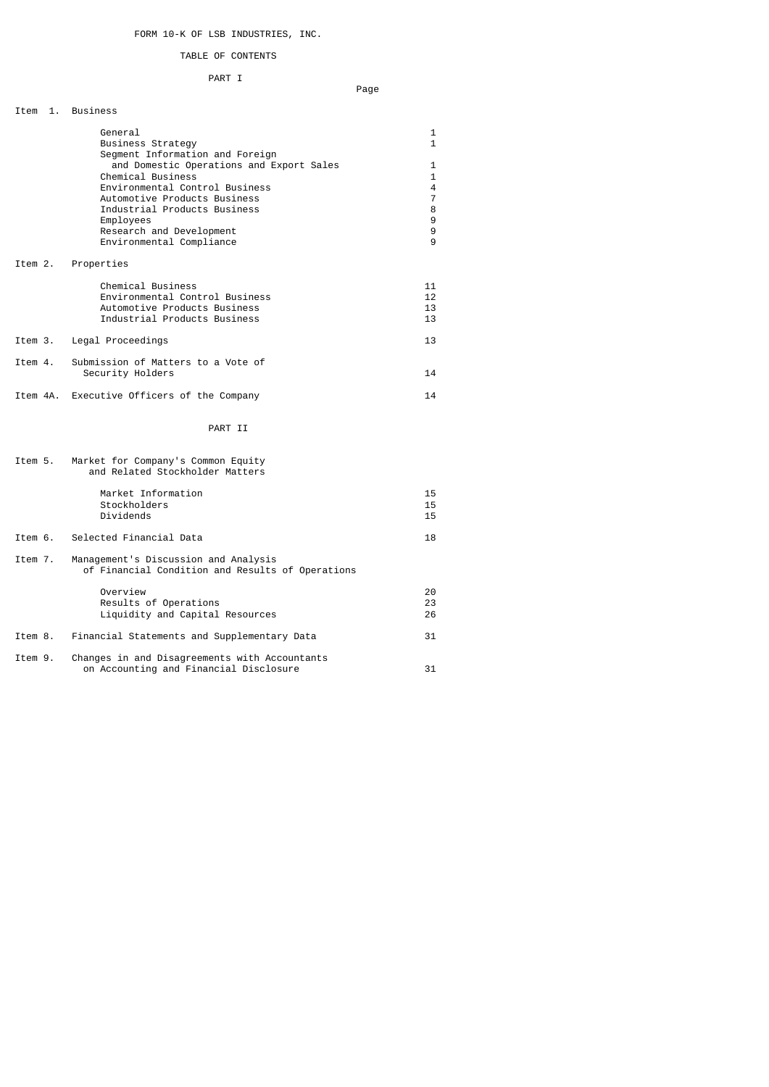# FORM 10-K OF LSB INDUSTRIES, INC.

# TABLE OF CONTENTS

# PART I

#### na dia 1992 mponina amin'ny fivondronan-kaominin'i Nouvelle-Aquitaine, ao amin'ny faritr'i Nouvelle-Aquitaine,

| 1.<br>Item | <b>Business</b>                                                                                                                                                                                                                                                                                         |                                                                      |
|------------|---------------------------------------------------------------------------------------------------------------------------------------------------------------------------------------------------------------------------------------------------------------------------------------------------------|----------------------------------------------------------------------|
|            | General<br>Business Strategy<br>Segment Information and Foreign<br>and Domestic Operations and Export Sales<br>Chemical Business<br>Environmental Control Business<br>Automotive Products Business<br>Industrial Products Business<br>Employees<br>Research and Development<br>Environmental Compliance | 1<br>$\mathbf{1}$<br>1<br>$\mathbf{1}$<br>4<br>7<br>8<br>9<br>9<br>9 |
| Item 2.    | Properties                                                                                                                                                                                                                                                                                              |                                                                      |
|            | Chemical Business<br>Environmental Control Business<br>Automotive Products Business<br>Industrial Products Business                                                                                                                                                                                     | 11<br>12<br>13<br>13                                                 |
| Item 3.    | Legal Proceedings                                                                                                                                                                                                                                                                                       | 13                                                                   |
| Item 4.    | Submission of Matters to a Vote of<br>Security Holders                                                                                                                                                                                                                                                  | 14                                                                   |
|            | Item 4A. Executive Officers of the Company                                                                                                                                                                                                                                                              | 14                                                                   |
|            | PART II                                                                                                                                                                                                                                                                                                 |                                                                      |
| Item 5.    | Market for Company's Common Equity<br>and Related Stockholder Matters                                                                                                                                                                                                                                   |                                                                      |
|            | Market Information<br>Stockholders<br>Dividends                                                                                                                                                                                                                                                         | 15<br>15<br>15                                                       |
| Item 6.    | Selected Financial Data                                                                                                                                                                                                                                                                                 | 18                                                                   |
| Item 7.    | Management's Discussion and Analysis<br>of Financial Condition and Results of Operations                                                                                                                                                                                                                |                                                                      |
|            | Overview<br>Results of Operations<br>Liquidity and Capital Resources                                                                                                                                                                                                                                    | 20<br>23<br>26                                                       |
| Item 8.    | Financial Statements and Supplementary Data                                                                                                                                                                                                                                                             | 31                                                                   |
| Item 9.    | Changes in and Disagreements with Accountants<br>on Accounting and Financial Disclosure                                                                                                                                                                                                                 | 31                                                                   |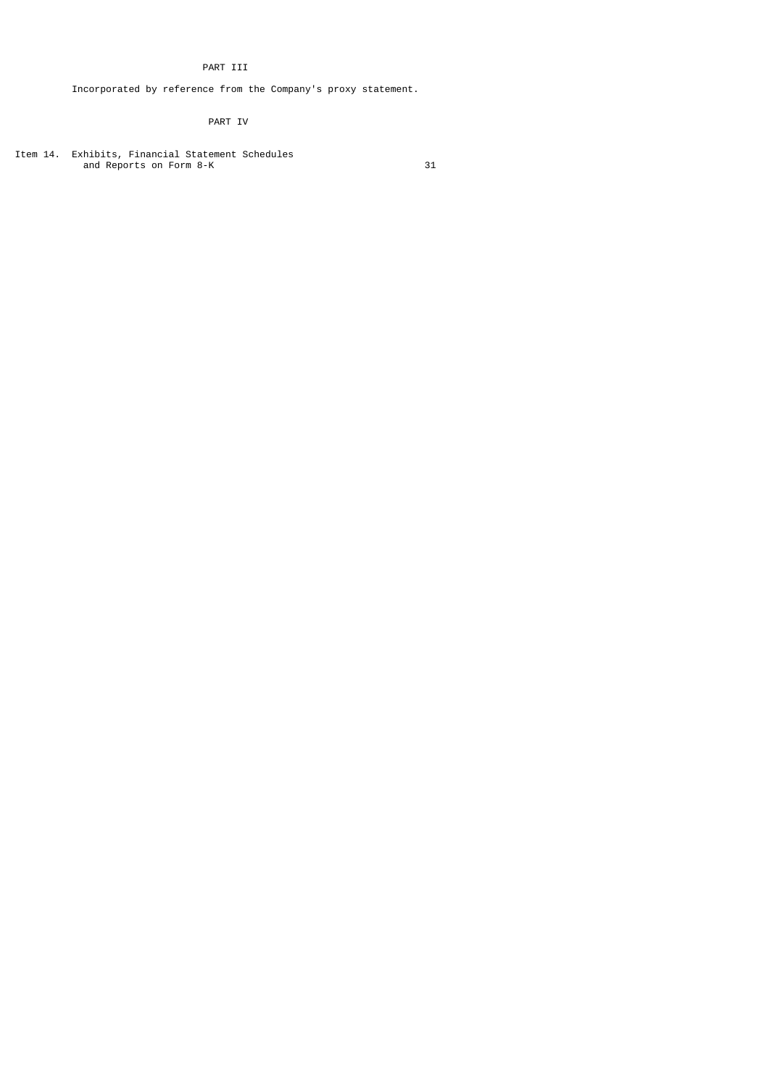# PART III

Incorporated by reference from the Company's proxy statement.

# PART IV

Item 14. Exhibits, Financial Statement Schedules and Reports on Form 8-K 31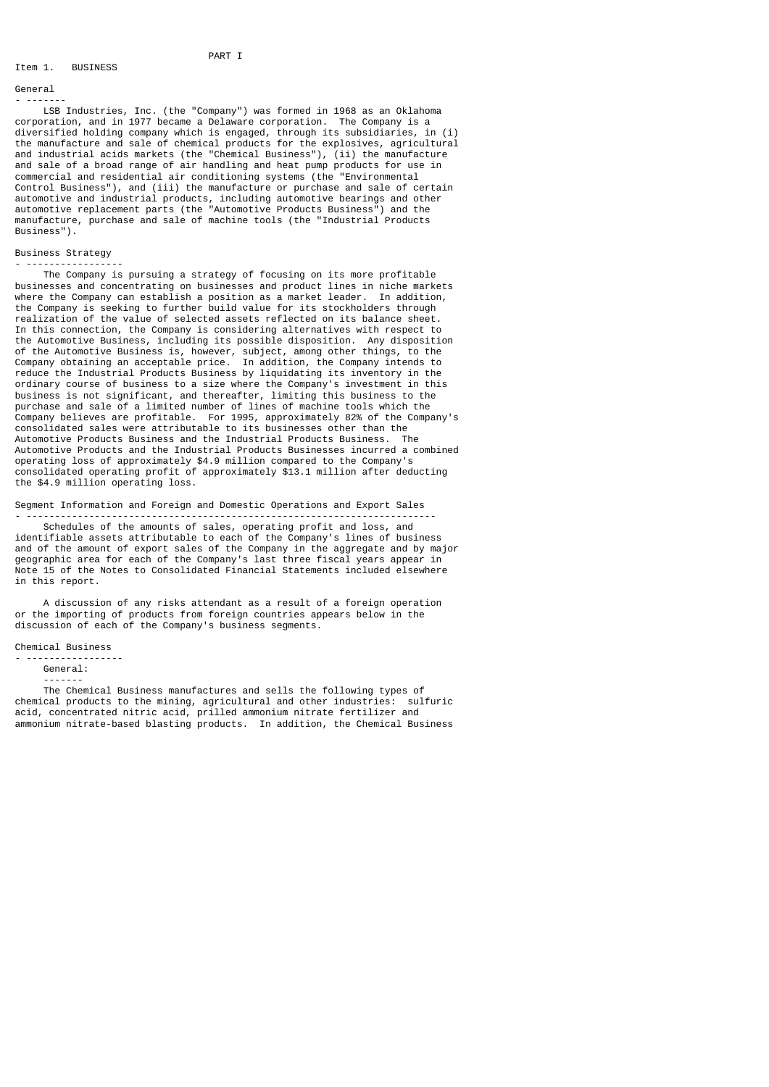# The Magnus of the Magnus PART I **BUSINESS**

# General

- ------- LSB Industries, Inc. (the "Company") was formed in 1968 as an Oklahoma corporation, and in 1977 became a Delaware corporation. The Company is a diversified holding company which is engaged, through its subsidiaries, in (i) the manufacture and sale of chemical products for the explosives, agricultural and industrial acids markets (the "Chemical Business"), (ii) the manufacture and sale of a broad range of air handling and heat pump products for use in commercial and residential air conditioning systems (the "Environmental Control Business"), and (iii) the manufacture or purchase and sale of certain automotive and industrial products, including automotive bearings and other automotive replacement parts (the "Automotive Products Business") and the manufacture, purchase and sale of machine tools (the "Industrial Products Business").

# Business Strategy

- ----------------- The Company is pursuing a strategy of focusing on its more profitable businesses and concentrating on businesses and product lines in niche markets<br>where the Company can establish a position as a market leader. In addition, where the Company can establish a position as a market leader. the Company is seeking to further build value for its stockholders through realization of the value of selected assets reflected on its balance sheet. In this connection, the Company is considering alternatives with respect to the Automotive Business, including its possible disposition. Any disposition of the Automotive Business is, however, subject, among other things, to the Company obtaining an acceptable price. In addition, the Company intends to reduce the Industrial Products Business by liquidating its inventory in the ordinary course of business to a size where the Company's investment in this business is not significant, and thereafter, limiting this business to the purchase and sale of a limited number of lines of machine tools which the Company believes are profitable. For 1995, approximately 82% of the Company's consolidated sales were attributable to its businesses other than the Automotive Products Business and the Industrial Products Business. The Automotive Products and the Industrial Products Businesses incurred a combined operating loss of approximately \$4.9 million compared to the Company's consolidated operating profit of approximately \$13.1 million after deducting the \$4.9 million operating loss.

# Segment Information and Foreign and Domestic Operations and Export Sales

- ------------------------------------------------------------------------ Schedules of the amounts of sales, operating profit and loss, and identifiable assets attributable to each of the Company's lines of business and of the amount of export sales of the Company in the aggregate and by major geographic area for each of the Company's last three fiscal years appear in Note 15 of the Notes to Consolidated Financial Statements included elsewhere in this report.

 A discussion of any risks attendant as a result of a foreign operation or the importing of products from foreign countries appears below in the discussion of each of the Company's business segments.

## Chemical Business

```
- -----------------
General:
```
-------

 The Chemical Business manufactures and sells the following types of chemical products to the mining, agricultural and other industries: sulfuric acid, concentrated nitric acid, prilled ammonium nitrate fertilizer and ammonium nitrate-based blasting products. In addition, the Chemical Business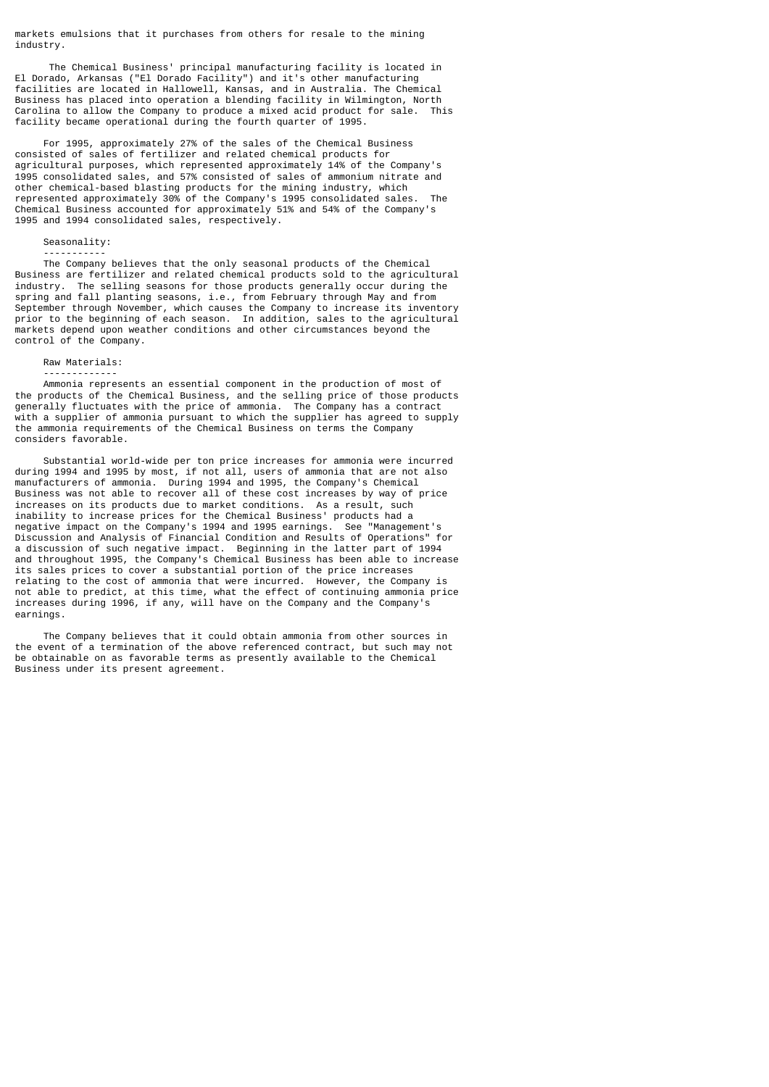markets emulsions that it purchases from others for resale to the mining industry.

 The Chemical Business' principal manufacturing facility is located in El Dorado, Arkansas ("El Dorado Facility") and it's other manufacturing facilities are located in Hallowell, Kansas, and in Australia. The Chemical Business has placed into operation a blending facility in Wilmington, North Carolina to allow the Company to produce a mixed acid product for sale. This facility became operational during the fourth quarter of 1995.

 For 1995, approximately 27% of the sales of the Chemical Business consisted of sales of fertilizer and related chemical products for agricultural purposes, which represented approximately 14% of the Company's 1995 consolidated sales, and 57% consisted of sales of ammonium nitrate and other chemical-based blasting products for the mining industry, which represented approximately 30% of the Company's 1995 consolidated sales. The Chemical Business accounted for approximately 51% and 54% of the Company's 1995 and 1994 consolidated sales, respectively.

## Seasonality:

 ----------- The Company believes that the only seasonal products of the Chemical Business are fertilizer and related chemical products sold to the agricultural industry. The selling seasons for those products generally occur during the spring and fall planting seasons, i.e., from February through May and from September through November, which causes the Company to increase its inventory prior to the beginning of each season. In addition, sales to the agricultural markets depend upon weather conditions and other circumstances beyond the control of the Company.

# Raw Materials:

 ------------- Ammonia represents an essential component in the production of most of the products of the Chemical Business, and the selling price of those products generally fluctuates with the price of ammonia. The Company has a contract with a supplier of ammonia pursuant to which the supplier has agreed to supply the ammonia requirements of the Chemical Business on terms the Company considers favorable.

 Substantial world-wide per ton price increases for ammonia were incurred during 1994 and 1995 by most, if not all, users of ammonia that are not also manufacturers of ammonia. During 1994 and 1995, the Company's Chemical Business was not able to recover all of these cost increases by way of price increases on its products due to market conditions. As a result, such inability to increase prices for the Chemical Business' products had a negative impact on the Company's 1994 and 1995 earnings. See "Management's Discussion and Analysis of Financial Condition and Results of Operations" for a discussion of such negative impact. Beginning in the latter part of 1994 and throughout 1995, the Company's Chemical Business has been able to increase its sales prices to cover a substantial portion of the price increases relating to the cost of ammonia that were incurred. However, the Company is not able to predict, at this time, what the effect of continuing ammonia price increases during 1996, if any, will have on the Company and the Company's earnings.

 The Company believes that it could obtain ammonia from other sources in the event of a termination of the above referenced contract, but such may not be obtainable on as favorable terms as presently available to the Chemical Business under its present agreement.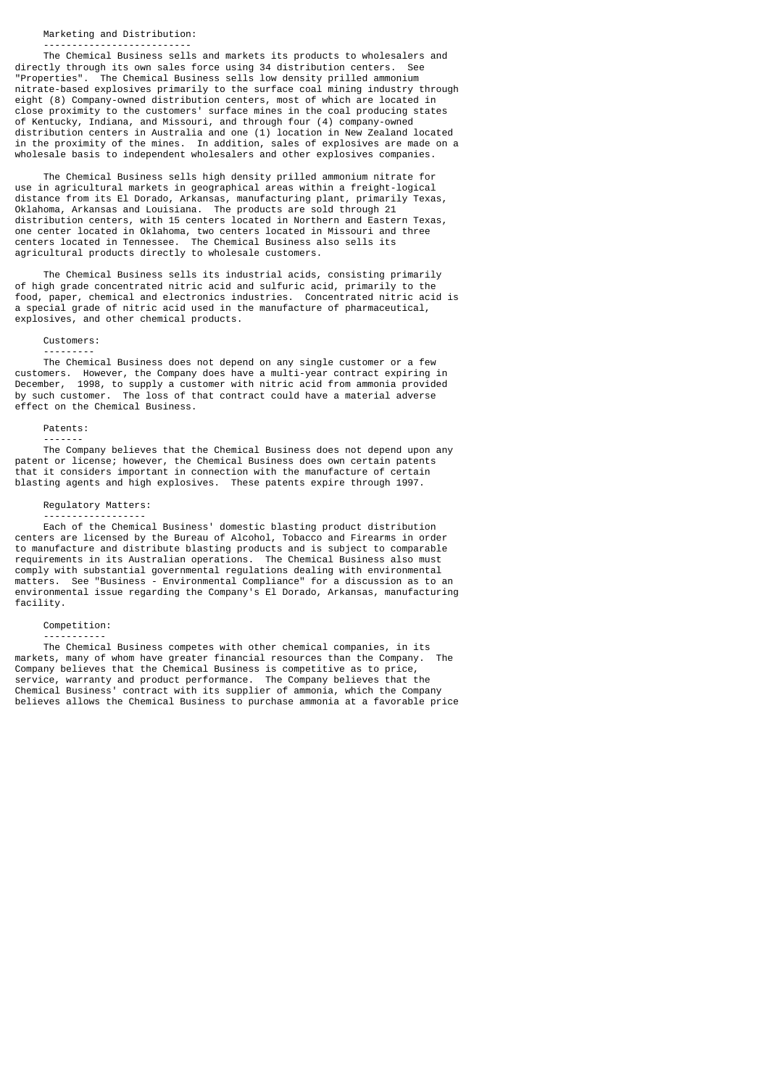### Marketing and Distribution:

--------------------------

 The Chemical Business sells and markets its products to wholesalers and directly through its own sales force using 34 distribution centers. See "Properties". The Chemical Business sells low density prilled ammonium nitrate-based explosives primarily to the surface coal mining industry through eight (8) Company-owned distribution centers, most of which are located in close proximity to the customers' surface mines in the coal producing states of Kentucky, Indiana, and Missouri, and through four (4) company-owned distribution centers in Australia and one (1) location in New Zealand located in the proximity of the mines. In addition, sales of explosives are made on a wholesale basis to independent wholesalers and other explosives companies.

 The Chemical Business sells high density prilled ammonium nitrate for use in agricultural markets in geographical areas within a freight-logical distance from its El Dorado, Arkansas, manufacturing plant, primarily Texas, Oklahoma, Arkansas and Louisiana. The products are sold through 21 distribution centers, with 15 centers located in Northern and Eastern Texas, one center located in Oklahoma, two centers located in Missouri and three centers located in Tennessee. The Chemical Business also sells its agricultural products directly to wholesale customers.

 The Chemical Business sells its industrial acids, consisting primarily of high grade concentrated nitric acid and sulfuric acid, primarily to the food, paper, chemical and electronics industries. Concentrated nitric acid is a special grade of nitric acid used in the manufacture of pharmaceutical, explosives, and other chemical products.

# Customers:

 --------- The Chemical Business does not depend on any single customer or a few customers. However, the Company does have a multi-year contract expiring in December, 1998, to supply a customer with nitric acid from ammonia provided by such customer. The loss of that contract could have a material adverse effect on the Chemical Business.

# Patents:

-------

 The Company believes that the Chemical Business does not depend upon any patent or license; however, the Chemical Business does own certain patents that it considers important in connection with the manufacture of certain blasting agents and high explosives. These patents expire through 1997.

# Regulatory Matters:

 ------------------ Each of the Chemical Business' domestic blasting product distribution centers are licensed by the Bureau of Alcohol, Tobacco and Firearms in order to manufacture and distribute blasting products and is subject to comparable requirements in its Australian operations. The Chemical Business also must comply with substantial governmental regulations dealing with environmental matters. See "Business - Environmental Compliance" for a discussion as to an environmental issue regarding the Company's El Dorado, Arkansas, manufacturing facility.

#### Competition:

-----------

 The Chemical Business competes with other chemical companies, in its markets, many of whom have greater financial resources than the Company. The Company believes that the Chemical Business is competitive as to price, service, warranty and product performance. The Company believes that the Chemical Business' contract with its supplier of ammonia, which the Company believes allows the Chemical Business to purchase ammonia at a favorable price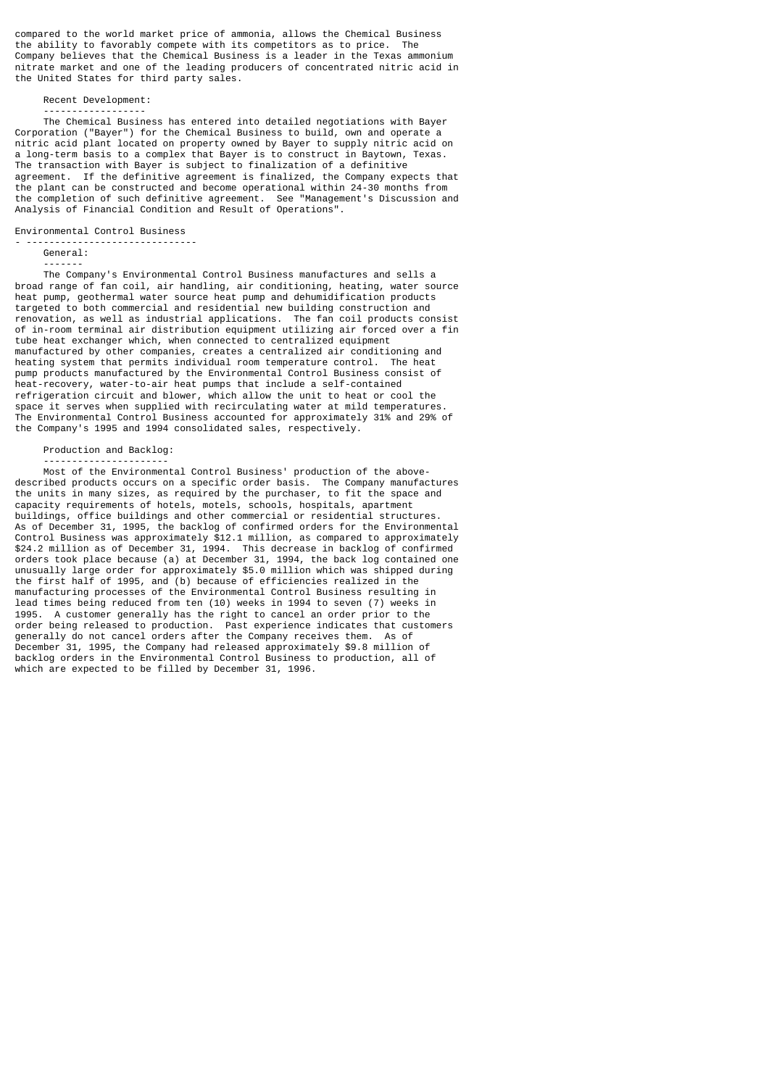compared to the world market price of ammonia, allows the Chemical Business the ability to favorably compete with its competitors as to price. The Company believes that the Chemical Business is a leader in the Texas ammonium nitrate market and one of the leading producers of concentrated nitric acid in the United States for third party sales.

Recent Development:

 ------------------ The Chemical Business has entered into detailed negotiations with Bayer Corporation ("Bayer") for the Chemical Business to build, own and operate a nitric acid plant located on property owned by Bayer to supply nitric acid on a long-term basis to a complex that Bayer is to construct in Baytown, Texas. The transaction with Bayer is subject to finalization of a definitive agreement. If the definitive agreement is finalized, the Company expects that the plant can be constructed and become operational within 24-30 months from the completion of such definitive agreement. See "Management's Discussion and Analysis of Financial Condition and Result of Operations".

Environmental Control Business

- ------------------------------

 General: -------

 The Company's Environmental Control Business manufactures and sells a broad range of fan coil, air handling, air conditioning, heating, water source heat pump, geothermal water source heat pump and dehumidification products targeted to both commercial and residential new building construction and renovation, as well as industrial applications. The fan coil products consist of in-room terminal air distribution equipment utilizing air forced over a fin tube heat exchanger which, when connected to centralized equipment manufactured by other companies, creates a centralized air conditioning and heating system that permits individual room temperature control. The heat pump products manufactured by the Environmental Control Business consist of heat-recovery, water-to-air heat pumps that include a self-contained refrigeration circuit and blower, which allow the unit to heat or cool the space it serves when supplied with recirculating water at mild temperatures. The Environmental Control Business accounted for approximately 31% and 29% of the Company's 1995 and 1994 consolidated sales, respectively.

## Production and Backlog:

----------------------

 Most of the Environmental Control Business' production of the abovedescribed products occurs on a specific order basis. The Company manufactures the units in many sizes, as required by the purchaser, to fit the space and capacity requirements of hotels, motels, schools, hospitals, apartment buildings, office buildings and other commercial or residential structures. As of December 31, 1995, the backlog of confirmed orders for the Environmental Control Business was approximately \$12.1 million, as compared to approximately \$24.2 million as of December 31, 1994. This decrease in backlog of confirmed orders took place because (a) at December 31, 1994, the back log contained one unusually large order for approximately \$5.0 million which was shipped during the first half of 1995, and (b) because of efficiencies realized in the manufacturing processes of the Environmental Control Business resulting in lead times being reduced from ten (10) weeks in 1994 to seven (7) weeks in 1995. A customer generally has the right to cancel an order prior to the order being released to production. Past experience indicates that customers generally do not cancel orders after the Company receives them. As of December 31, 1995, the Company had released approximately \$9.8 million of backlog orders in the Environmental Control Business to production, all of which are expected to be filled by December 31, 1996.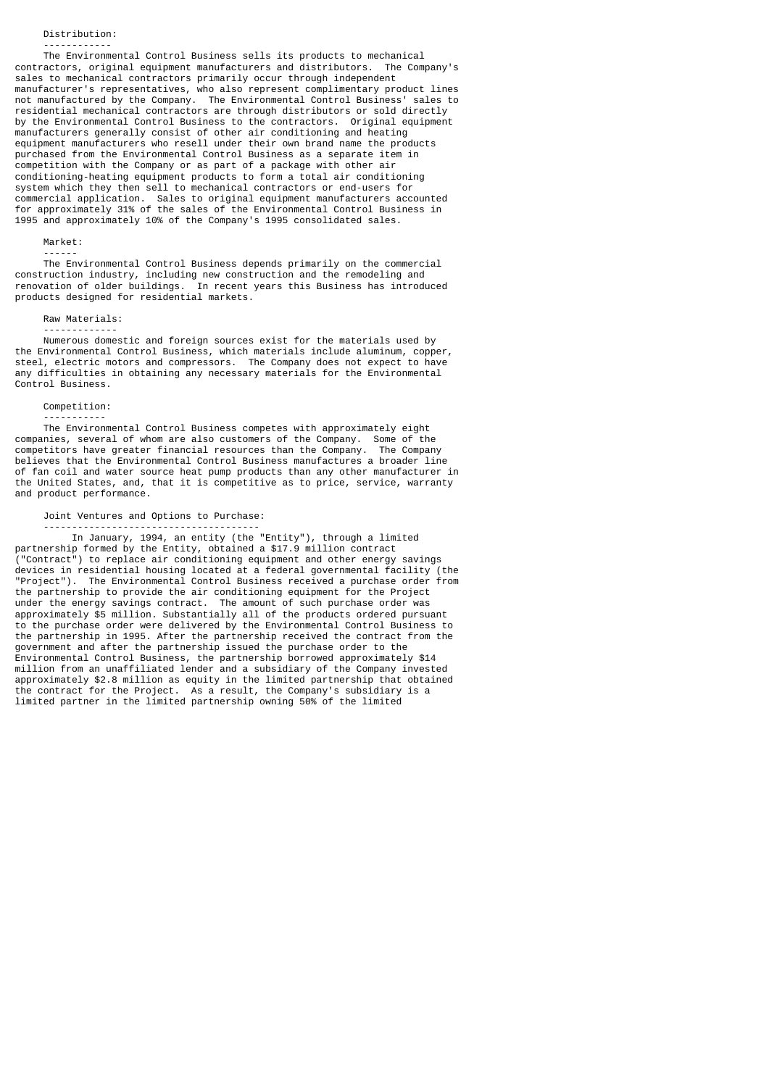## Distribution:

------------

 The Environmental Control Business sells its products to mechanical contractors, original equipment manufacturers and distributors. The Company's sales to mechanical contractors primarily occur through independent manufacturer's representatives, who also represent complimentary product lines not manufactured by the Company. The Environmental Control Business' sales to residential mechanical contractors are through distributors or sold directly by the Environmental Control Business to the contractors. Original equipment manufacturers generally consist of other air conditioning and heating equipment manufacturers who resell under their own brand name the products purchased from the Environmental Control Business as a separate item in competition with the Company or as part of a package with other air conditioning-heating equipment products to form a total air conditioning system which they then sell to mechanical contractors or end-users for commercial application. Sales to original equipment manufacturers accounted for approximately 31% of the sales of the Environmental Control Business in 1995 and approximately 10% of the Company's 1995 consolidated sales.

# Market:

------

 The Environmental Control Business depends primarily on the commercial construction industry, including new construction and the remodeling and renovation of older buildings. In recent years this Business has introduced products designed for residential markets.

### Raw Materials: -------------

 Numerous domestic and foreign sources exist for the materials used by the Environmental Control Business, which materials include aluminum, copper, steel, electric motors and compressors. The Company does not expect to have any difficulties in obtaining any necessary materials for the Environmental Control Business.

# Competition:

-----------

 The Environmental Control Business competes with approximately eight companies, several of whom are also customers of the Company. Some of the competitors have greater financial resources than the Company. The Company believes that the Environmental Control Business manufactures a broader line of fan coil and water source heat pump products than any other manufacturer in the United States, and, that it is competitive as to price, service, warranty and product performance.

# Joint Ventures and Options to Purchase:

 -------------------------------------- In January, 1994, an entity (the "Entity"), through a limited

partnership formed by the Entity, obtained a \$17.9 million contract ("Contract") to replace air conditioning equipment and other energy savings devices in residential housing located at a federal governmental facility (the "Project"). The Environmental Control Business received a purchase order from the partnership to provide the air conditioning equipment for the Project under the energy savings contract. The amount of such purchase order was approximately \$5 million. Substantially all of the products ordered pursuant to the purchase order were delivered by the Environmental Control Business to the partnership in 1995. After the partnership received the contract from the government and after the partnership issued the purchase order to the Environmental Control Business, the partnership borrowed approximately \$14 million from an unaffiliated lender and a subsidiary of the Company invested approximately \$2.8 million as equity in the limited partnership that obtained the contract for the Project. As a result, the Company's subsidiary is a limited partner in the limited partnership owning 50% of the limited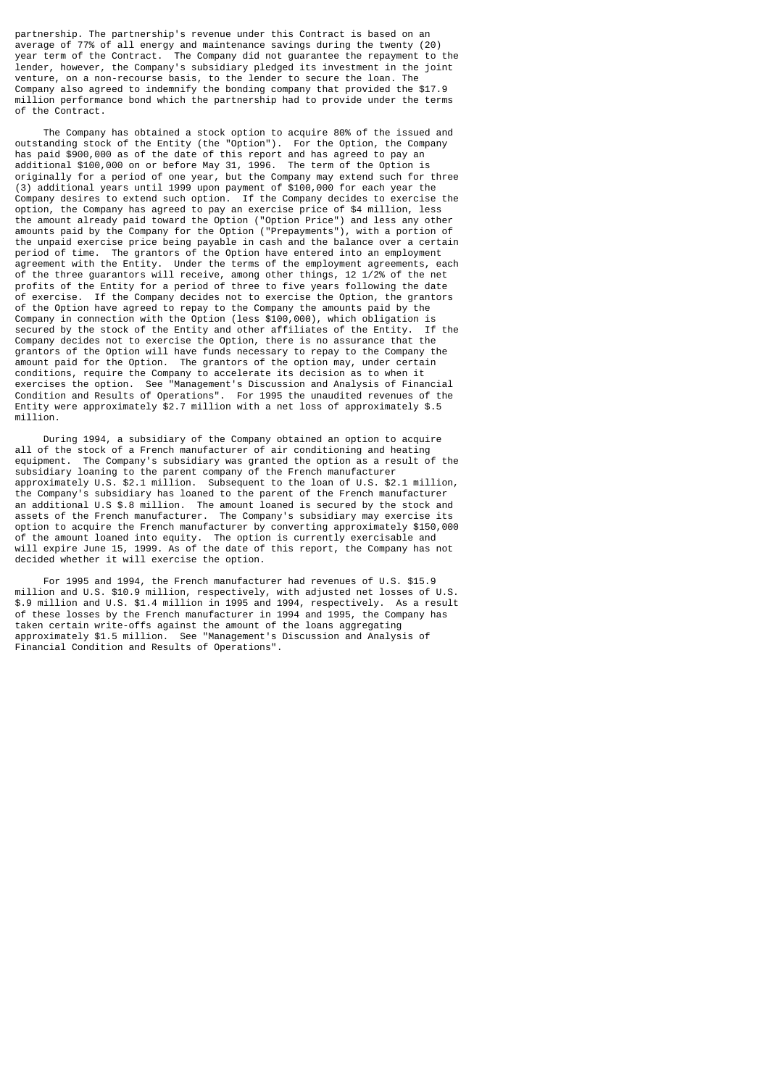partnership. The partnership's revenue under this Contract is based on an average of 77% of all energy and maintenance savings during the twenty (20) year term of the Contract. The Company did not guarantee the repayment to the lender, however, the Company's subsidiary pledged its investment in the joint venture, on a non-recourse basis, to the lender to secure the loan. The Company also agreed to indemnify the bonding company that provided the \$17.9 million performance bond which the partnership had to provide under the terms of the Contract.

 The Company has obtained a stock option to acquire 80% of the issued and outstanding stock of the Entity (the "Option"). For the Option, the Company has paid \$900,000 as of the date of this report and has agreed to pay an additional \$100,000 on or before May 31, 1996. The term of the Option is originally for a period of one year, but the Company may extend such for three (3) additional years until 1999 upon payment of \$100,000 for each year the Company desires to extend such option. If the Company decides to exercise the option, the Company has agreed to pay an exercise price of \$4 million, less the amount already paid toward the Option ("Option Price") and less any other amounts paid by the Company for the Option ("Prepayments"), with a portion of the unpaid exercise price being payable in cash and the balance over a certain period of time. The grantors of the Option have entered into an employment agreement with the Entity. Under the terms of the employment agreements, each of the three guarantors will receive, among other things, 12 1/2% of the net profits of the Entity for a period of three to five years following the date of exercise. If the Company decides not to exercise the Option, the grantors of the Option have agreed to repay to the Company the amounts paid by the Company in connection with the Option (less \$100,000), which obligation is<br>secured by the stock of the Entity and other affiliates of the Entity. If the secured by the stock of the Entity and other affiliates of the Entity. Company decides not to exercise the Option, there is no assurance that the grantors of the Option will have funds necessary to repay to the Company the amount paid for the Option. The grantors of the option may, under certain The grantors of the option may, under certain conditions, require the Company to accelerate its decision as to when it exercises the option. See "Management's Discussion and Analysis of Financial Condition and Results of Operations". For 1995 the unaudited revenues of the Entity were approximately \$2.7 million with a net loss of approximately \$.5 million.

 During 1994, a subsidiary of the Company obtained an option to acquire all of the stock of a French manufacturer of air conditioning and heating equipment. The Company's subsidiary was granted the option as a result of the subsidiary loaning to the parent company of the French manufacturer approximately U.S. \$2.1 million. Subsequent to the loan of U.S. \$2.1 million, the Company's subsidiary has loaned to the parent of the French manufacturer an additional U.S \$.8 million. The amount loaned is secured by the stock and assets of the French manufacturer. The Company's subsidiary may exercise its option to acquire the French manufacturer by converting approximately \$150,000 of the amount loaned into equity. The option is currently exercisable and will expire June 15, 1999. As of the date of this report, the Company has not decided whether it will exercise the option.

 For 1995 and 1994, the French manufacturer had revenues of U.S. \$15.9 million and U.S. \$10.9 million, respectively, with adjusted net losses of U.S. \$.9 million and U.S. \$1.4 million in 1995 and 1994, respectively. As a result of these losses by the French manufacturer in 1994 and 1995, the Company has taken certain write-offs against the amount of the loans aggregating approximately \$1.5 million. See "Management's Discussion and Analysis of Financial Condition and Results of Operations".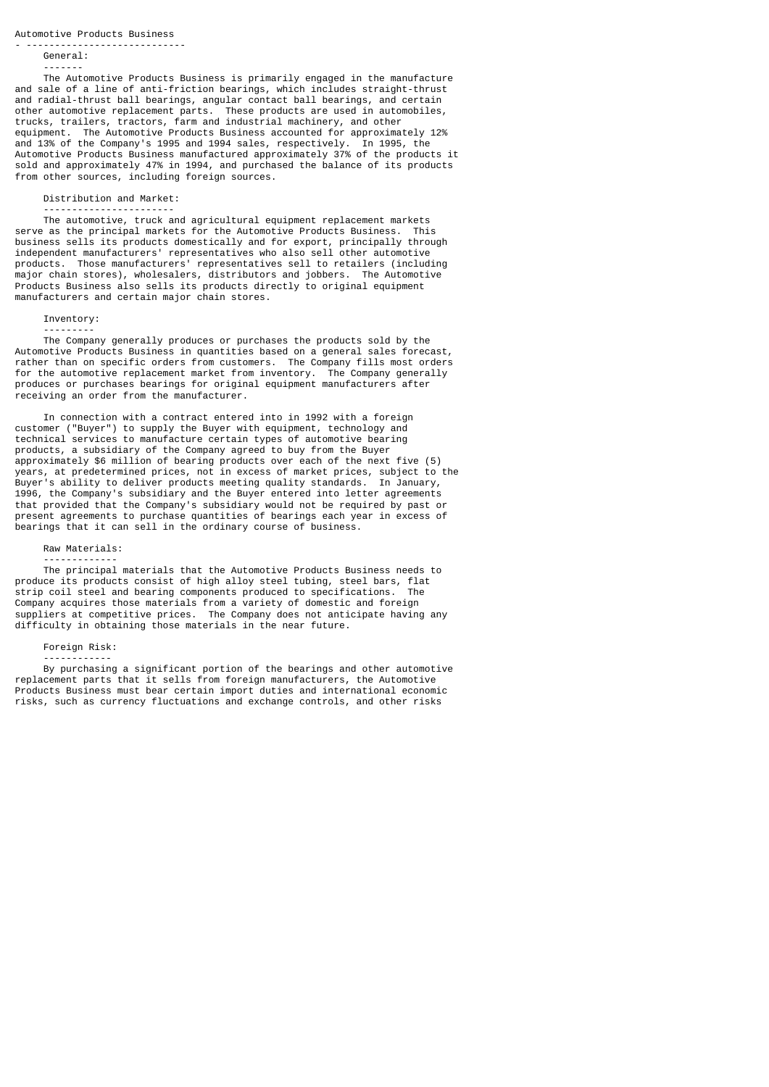#### - ---------------------------- General:

#### -------

 The Automotive Products Business is primarily engaged in the manufacture and sale of a line of anti-friction bearings, which includes straight-thrust and radial-thrust ball bearings, angular contact ball bearings, and certain other automotive replacement parts. These products are used in automobiles, trucks, trailers, tractors, farm and industrial machinery, and other equipment. The Automotive Products Business accounted for approximately 12% and 13% of the Company's 1995 and 1994 sales, respectively. In 1995, the Automotive Products Business manufactured approximately 37% of the products it sold and approximately 47% in 1994, and purchased the balance of its products from other sources, including foreign sources.

#### Distribution and Market:

#### -----------------------

 The automotive, truck and agricultural equipment replacement markets serve as the principal markets for the Automotive Products Business. This business sells its products domestically and for export, principally through independent manufacturers' representatives who also sell other automotive products. Those manufacturers' representatives sell to retailers (including major chain stores), wholesalers, distributors and jobbers. The Automotive Products Business also sells its products directly to original equipment manufacturers and certain major chain stores.

# Inventory: ---------

 The Company generally produces or purchases the products sold by the Automotive Products Business in quantities based on a general sales forecast, rather than on specific orders from customers. The Company fills most orders for the automotive replacement market from inventory. The Company generally produces or purchases bearings for original equipment manufacturers after receiving an order from the manufacturer.

 In connection with a contract entered into in 1992 with a foreign customer ("Buyer") to supply the Buyer with equipment, technology and technical services to manufacture certain types of automotive bearing products, a subsidiary of the Company agreed to buy from the Buyer approximately \$6 million of bearing products over each of the next five (5) years, at predetermined prices, not in excess of market prices, subject to the Buyer's ability to deliver products meeting quality standards. In January, 1996, the Company's subsidiary and the Buyer entered into letter agreements that provided that the Company's subsidiary would not be required by past or present agreements to purchase quantities of bearings each year in excess of bearings that it can sell in the ordinary course of business.

# Raw Materials:

 ------------- The principal materials that the Automotive Products Business needs to produce its products consist of high alloy steel tubing, steel bars, flat strip coil steel and bearing components produced to specifications. The Company acquires those materials from a variety of domestic and foreign suppliers at competitive prices. The Company does not anticipate having any difficulty in obtaining those materials in the near future.

# Foreign Risk:

 ------------ By purchasing a significant portion of the bearings and other automotive replacement parts that it sells from foreign manufacturers, the Automotive Products Business must bear certain import duties and international economic risks, such as currency fluctuations and exchange controls, and other risks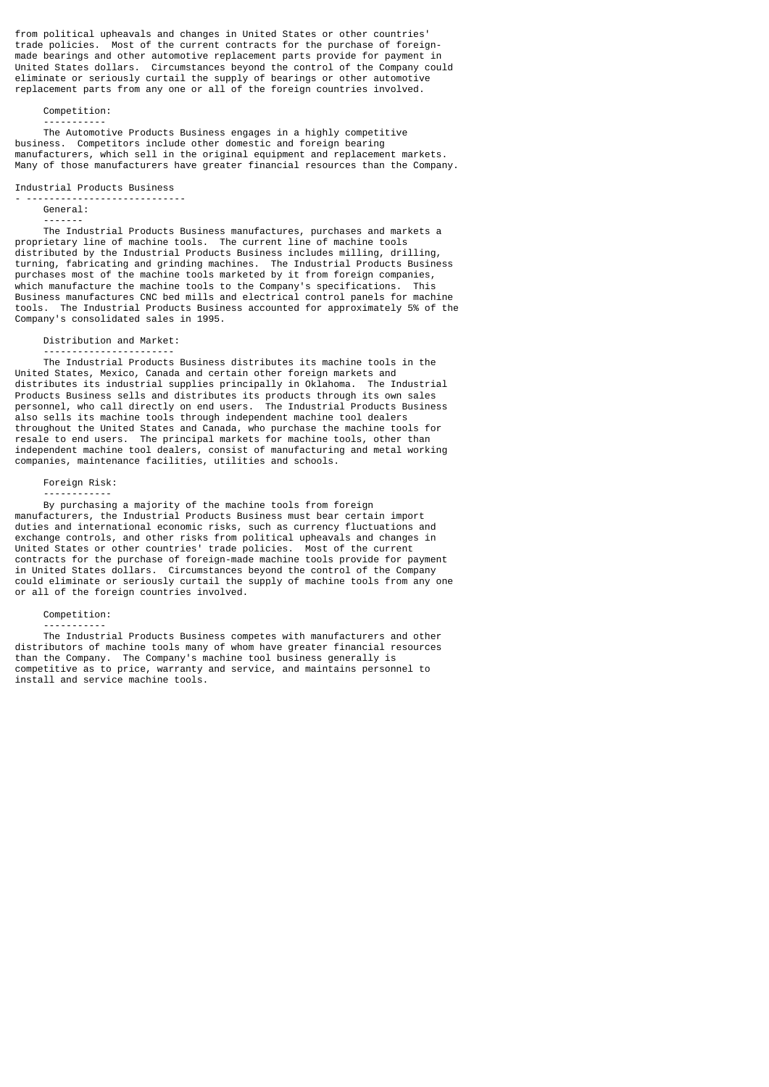from political upheavals and changes in United States or other countries' trade policies. Most of the current contracts for the purchase of foreignmade bearings and other automotive replacement parts provide for payment in United States dollars. Circumstances beyond the control of the Company could eliminate or seriously curtail the supply of bearings or other automotive replacement parts from any one or all of the foreign countries involved.

Competition:

-----------

 The Automotive Products Business engages in a highly competitive business. Competitors include other domestic and foreign bearing manufacturers, which sell in the original equipment and replacement markets. Many of those manufacturers have greater financial resources than the Company.

Industrial Products Business

#### - ---------------------------- General:

-------

 The Industrial Products Business manufactures, purchases and markets a proprietary line of machine tools. The current line of machine tools distributed by the Industrial Products Business includes milling, drilling, turning, fabricating and grinding machines. The Industrial Products Business purchases most of the machine tools marketed by it from foreign companies, which manufacture the machine tools to the Company's specifications. This Business manufactures CNC bed mills and electrical control panels for machine tools. The Industrial Products Business accounted for approximately 5% of the Company's consolidated sales in 1995.

Distribution and Market:

 ----------------------- The Industrial Products Business distributes its machine tools in the United States, Mexico, Canada and certain other foreign markets and distributes its industrial supplies principally in Oklahoma. The Industrial Products Business sells and distributes its products through its own sales personnel, who call directly on end users. The Industrial Products Business also sells its machine tools through independent machine tool dealers throughout the United States and Canada, who purchase the machine tools for resale to end users. The principal markets for machine tools, other than independent machine tool dealers, consist of manufacturing and metal working companies, maintenance facilities, utilities and schools.

Foreign Risk:

------------

 By purchasing a majority of the machine tools from foreign manufacturers, the Industrial Products Business must bear certain import duties and international economic risks, such as currency fluctuations and exchange controls, and other risks from political upheavals and changes in United States or other countries' trade policies. Most of the current contracts for the purchase of foreign-made machine tools provide for payment in United States dollars. Circumstances beyond the control of the Company could eliminate or seriously curtail the supply of machine tools from any one or all of the foreign countries involved.

Competition:

 ----------- The Industrial Products Business competes with manufacturers and other distributors of machine tools many of whom have greater financial resources than the Company. The Company's machine tool business generally is competitive as to price, warranty and service, and maintains personnel to install and service machine tools.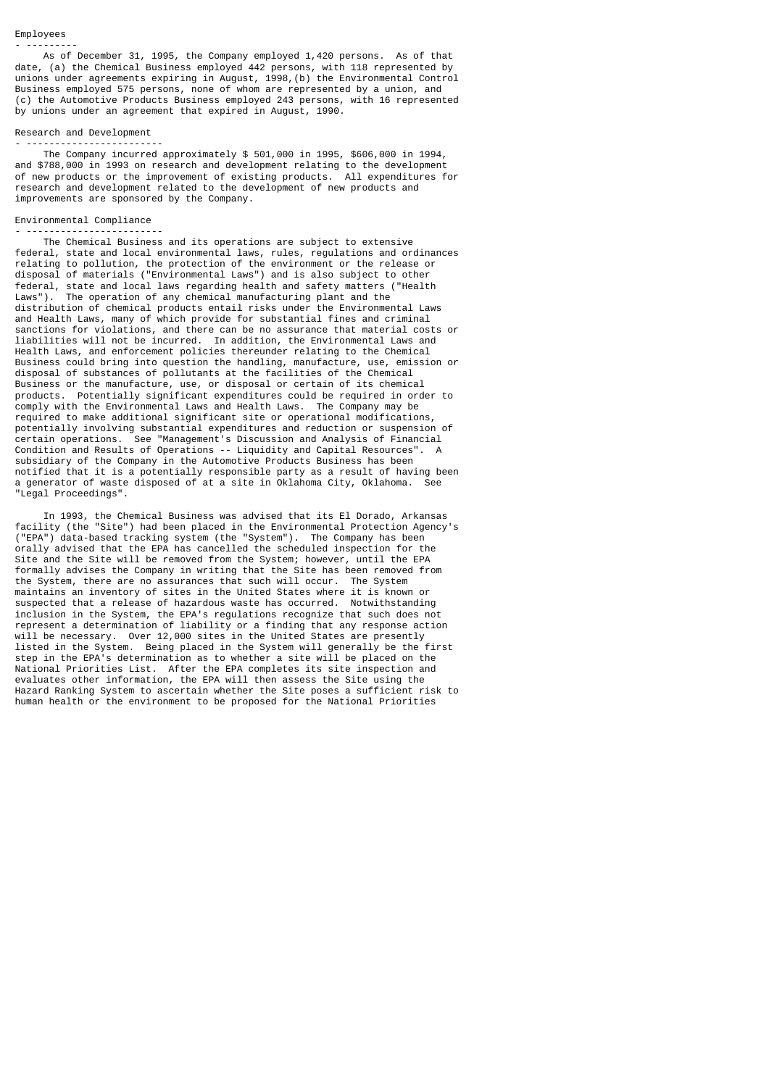#### Employees - ---------

 As of December 31, 1995, the Company employed 1,420 persons. As of that date, (a) the Chemical Business employed 442 persons, with 118 represented by unions under agreements expiring in August, 1998,(b) the Environmental Control Business employed 575 persons, none of whom are represented by a union, and (c) the Automotive Products Business employed 243 persons, with 16 represented by unions under an agreement that expired in August, 1990.

#### Research and Development

- ------------------------ The Company incurred approximately \$ 501,000 in 1995, \$606,000 in 1994, and \$788,000 in 1993 on research and development relating to the development of new products or the improvement of existing products. All expenditures for research and development related to the development of new products and improvements are sponsored by the Company.

# Environmental Compliance

- ------------------------ The Chemical Business and its operations are subject to extensive federal, state and local environmental laws, rules, regulations and ordinances relating to pollution, the protection of the environment or the release or disposal of materials ("Environmental Laws") and is also subject to other federal, state and local laws regarding health and safety matters ("Health The operation of any chemical manufacturing plant and the distribution of chemical products entail risks under the Environmental Laws and Health Laws, many of which provide for substantial fines and criminal sanctions for violations, and there can be no assurance that material costs or liabilities will not be incurred. In addition, the Environmental Laws and Health Laws, and enforcement policies thereunder relating to the Chemical Business could bring into question the handling, manufacture, use, emission or disposal of substances of pollutants at the facilities of the Chemical Business or the manufacture, use, or disposal or certain of its chemical products. Potentially significant expenditures could be required in order to comply with the Environmental Laws and Health Laws. The Company may be required to make additional significant site or operational modifications, potentially involving substantial expenditures and reduction or suspension of certain operations. See "Management's Discussion and Analysis of Financial Condition and Results of Operations -- Liquidity and Capital Resources". A subsidiary of the Company in the Automotive Products Business has been notified that it is a potentially responsible party as a result of having been a generator of waste disposed of at a site in Oklahoma City, Oklahoma. See "Legal Proceedings".

 In 1993, the Chemical Business was advised that its El Dorado, Arkansas facility (the "Site") had been placed in the Environmental Protection Agency's ("EPA") data-based tracking system (the "System"). The Company has been orally advised that the EPA has cancelled the scheduled inspection for the Site and the Site will be removed from the System; however, until the EPA formally advises the Company in writing that the Site has been removed from the System, there are no assurances that such will occur. The System maintains an inventory of sites in the United States where it is known or suspected that a release of hazardous waste has occurred. Notwithstanding inclusion in the System, the EPA's regulations recognize that such does not represent a determination of liability or a finding that any response action will be necessary. Over 12,000 sites in the United States are presently listed in the System. Being placed in the System will generally be the first step in the EPA's determination as to whether a site will be placed on the National Priorities List. After the EPA completes its site inspection and evaluates other information, the EPA will then assess the Site using the Hazard Ranking System to ascertain whether the Site poses a sufficient risk to human health or the environment to be proposed for the National Priorities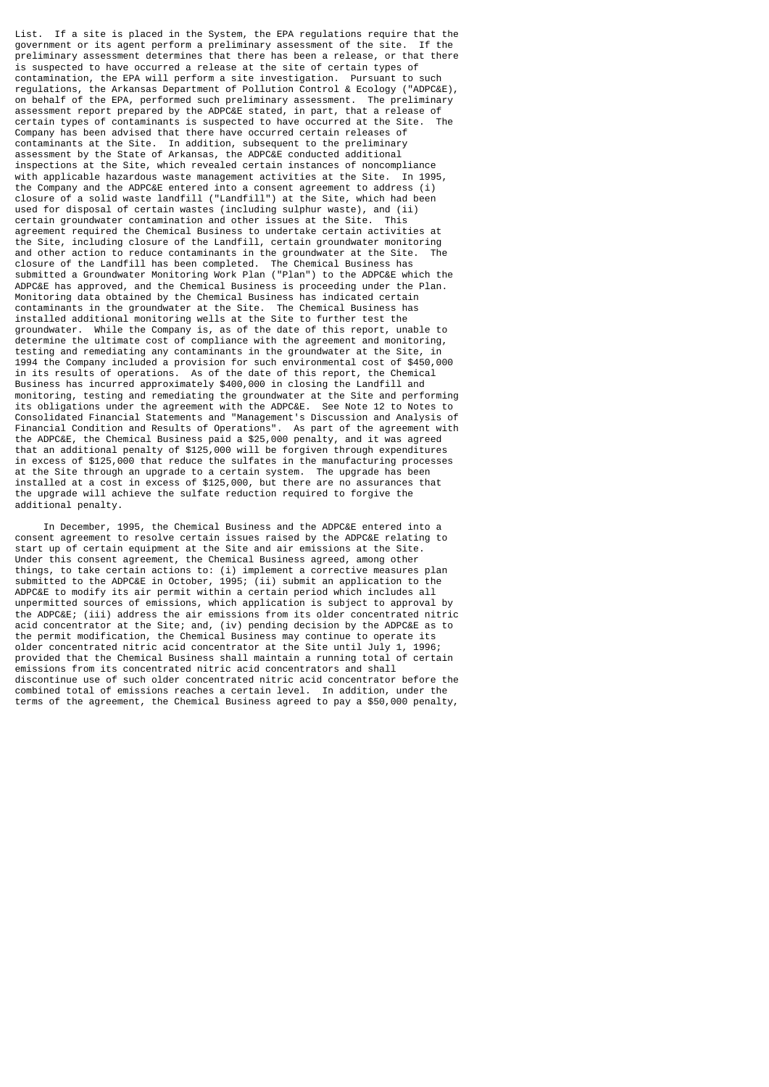List. If a site is placed in the System, the EPA regulations require that the government or its agent perform a preliminary assessment of the site. If the preliminary assessment determines that there has been a release, or that there is suspected to have occurred a release at the site of certain types of contamination, the EPA will perform a site investigation. Pursuant to such regulations, the Arkansas Department of Pollution Control & Ecology ("ADPC&E), on behalf of the EPA, performed such preliminary assessment. The preliminary assessment report prepared by the ADPC&E stated, in part, that a release of certain types of contaminants is suspected to have occurred at the Site. The certain types of contaminants is suspected to have occurred at the Site. Company has been advised that there have occurred certain releases of contaminants at the Site. In addition, subsequent to the preliminary assessment by the State of Arkansas, the ADPC&E conducted additional inspections at the Site, which revealed certain instances of noncompliance with applicable hazardous waste management activities at the Site. In 1995, the Company and the ADPC&E entered into a consent agreement to address (i) closure of a solid waste landfill ("Landfill") at the Site, which had been used for disposal of certain wastes (including sulphur waste), and (ii) certain groundwater contamination and other issues at the Site. This certain groundwater contamination and other issues at the Site. agreement required the Chemical Business to undertake certain activities at the Site, including closure of the Landfill, certain groundwater monitoring and other action to reduce contaminants in the groundwater at the Site. closure of the Landfill has been completed. The Chemical Business has submitted a Groundwater Monitoring Work Plan ("Plan") to the ADPC&E which the ADPC&E has approved, and the Chemical Business is proceeding under the Plan. Monitoring data obtained by the Chemical Business has indicated certain contaminants in the groundwater at the Site. The Chemical Business has installed additional monitoring wells at the Site to further test the groundwater. While the Company is, as of the date of this report, unable to determine the ultimate cost of compliance with the agreement and monitoring, testing and remediating any contaminants in the groundwater at the Site, in 1994 the Company included a provision for such environmental cost of \$450,000 in its results of operations. As of the date of this report, the Chemical Business has incurred approximately \$400,000 in closing the Landfill and monitoring, testing and remediating the groundwater at the Site and performing<br>its obligations under the agreement with the ADPC&E. See Note 12 to Notes to its obligations under the agreement with the ADPC&E. Consolidated Financial Statements and "Management's Discussion and Analysis of Financial Condition and Results of Operations". As part of the agreement with the ADPC&E, the Chemical Business paid a \$25,000 penalty, and it was agreed that an additional penalty of \$125,000 will be forgiven through expenditures in excess of \$125,000 that reduce the sulfates in the manufacturing processes at the Site through an upgrade to a certain system. The upgrade has been installed at a cost in excess of \$125,000, but there are no assurances that the upgrade will achieve the sulfate reduction required to forgive the additional penalty.

 In December, 1995, the Chemical Business and the ADPC&E entered into a consent agreement to resolve certain issues raised by the ADPC&E relating to start up of certain equipment at the Site and air emissions at the Site. Under this consent agreement, the Chemical Business agreed, among other things, to take certain actions to: (i) implement a corrective measures plan submitted to the ADPC&E in October, 1995; (ii) submit an application to the ADPC&E to modify its air permit within a certain period which includes all unpermitted sources of emissions, which application is subject to approval by the ADPC&E; (iii) address the air emissions from its older concentrated nitric acid concentrator at the Site; and, (iv) pending decision by the ADPC&E as to the permit modification, the Chemical Business may continue to operate its older concentrated nitric acid concentrator at the Site until July 1, 1996; provided that the Chemical Business shall maintain a running total of certain emissions from its concentrated nitric acid concentrators and shall discontinue use of such older concentrated nitric acid concentrator before the combined total of emissions reaches a certain level. In addition, under the terms of the agreement, the Chemical Business agreed to pay a \$50,000 penalty,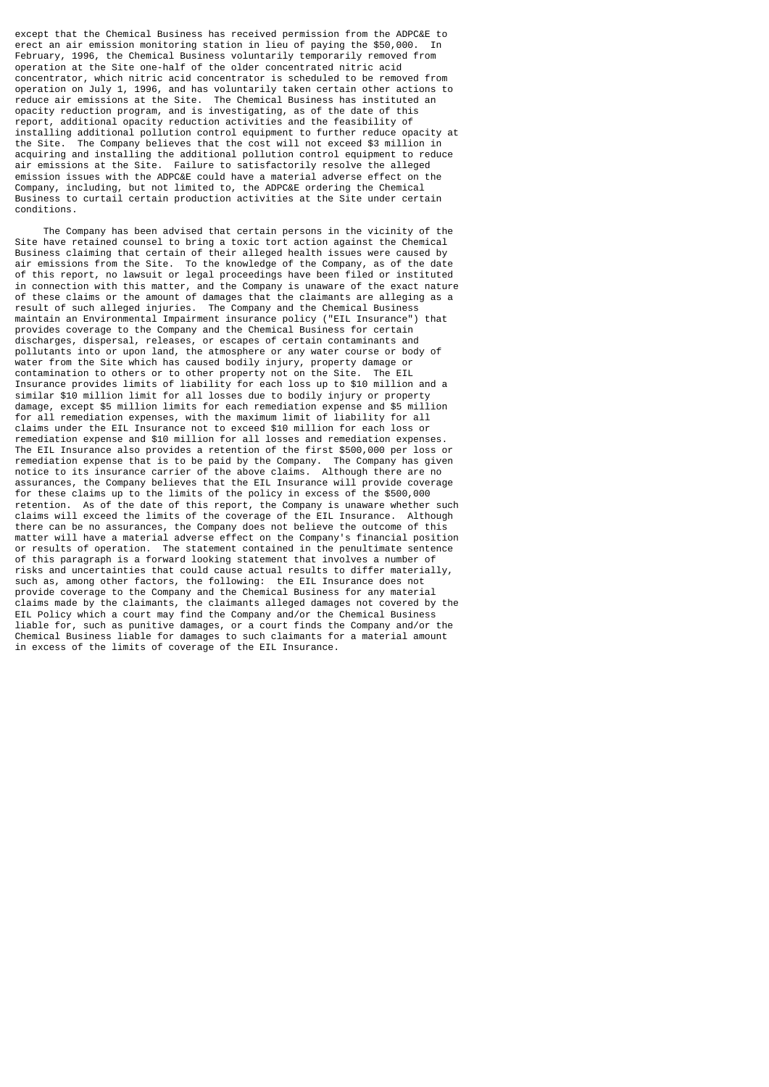except that the Chemical Business has received permission from the ADPC&E to erect an air emission monitoring station in lieu of paying the \$50,000. In February, 1996, the Chemical Business voluntarily temporarily removed from operation at the Site one-half of the older concentrated nitric acid concentrator, which nitric acid concentrator is scheduled to be removed from operation on July 1, 1996, and has voluntarily taken certain other actions to reduce air emissions at the Site. The Chemical Business has instituted an opacity reduction program, and is investigating, as of the date of this report, additional opacity reduction activities and the feasibility of installing additional pollution control equipment to further reduce opacity at the Site. The Company believes that the cost will not exceed \$3 million in acquiring and installing the additional pollution control equipment to reduce air emissions at the Site. Failure to satisfactorily resolve the alleged emission issues with the ADPC&E could have a material adverse effect on the Company, including, but not limited to, the ADPC&E ordering the Chemical Business to curtail certain production activities at the Site under certain conditions.

 The Company has been advised that certain persons in the vicinity of the Site have retained counsel to bring a toxic tort action against the Chemical Business claiming that certain of their alleged health issues were caused by air emissions from the Site. To the knowledge of the Company, as of the date of this report, no lawsuit or legal proceedings have been filed or instituted in connection with this matter, and the Company is unaware of the exact nature of these claims or the amount of damages that the claimants are alleging as a result of such alleged injuries. The Company and the Chemical Business maintain an Environmental Impairment insurance policy ("EIL Insurance") that provides coverage to the Company and the Chemical Business for certain discharges, dispersal, releases, or escapes of certain contaminants and pollutants into or upon land, the atmosphere or any water course or body of water from the Site which has caused bodily injury, property damage or contamination to others or to other property not on the Site. The EIL Insurance provides limits of liability for each loss up to \$10 million and a similar \$10 million limit for all losses due to bodily injury or property damage, except \$5 million limits for each remediation expense and \$5 million for all remediation expenses, with the maximum limit of liability for all claims under the EIL Insurance not to exceed \$10 million for each loss or remediation expense and \$10 million for all losses and remediation expenses. The EIL Insurance also provides a retention of the first \$500,000 per loss or<br>remediation expense that is to be paid by the Company. The Company has given remediation expense that is to be paid by the Company. The Company has given notice to its insurance carrier of the above claims. Although there are no assurances, the Company believes that the EIL Insurance will provide coverage for these claims up to the limits of the policy in excess of the \$500,000 retention. As of the date of this report, the Company is unaware whether such claims will exceed the limits of the coverage of the EIL Insurance. Although there can be no assurances, the Company does not believe the outcome of this matter will have a material adverse effect on the Company's financial position or results of operation. The statement contained in the penultimate sentence of this paragraph is a forward looking statement that involves a number of risks and uncertainties that could cause actual results to differ materially, such as, among other factors, the following: the EIL Insurance does not provide coverage to the Company and the Chemical Business for any material claims made by the claimants, the claimants alleged damages not covered by the EIL Policy which a court may find the Company and/or the Chemical Business liable for, such as punitive damages, or a court finds the Company and/or the Chemical Business liable for damages to such claimants for a material amount in excess of the limits of coverage of the EIL Insurance.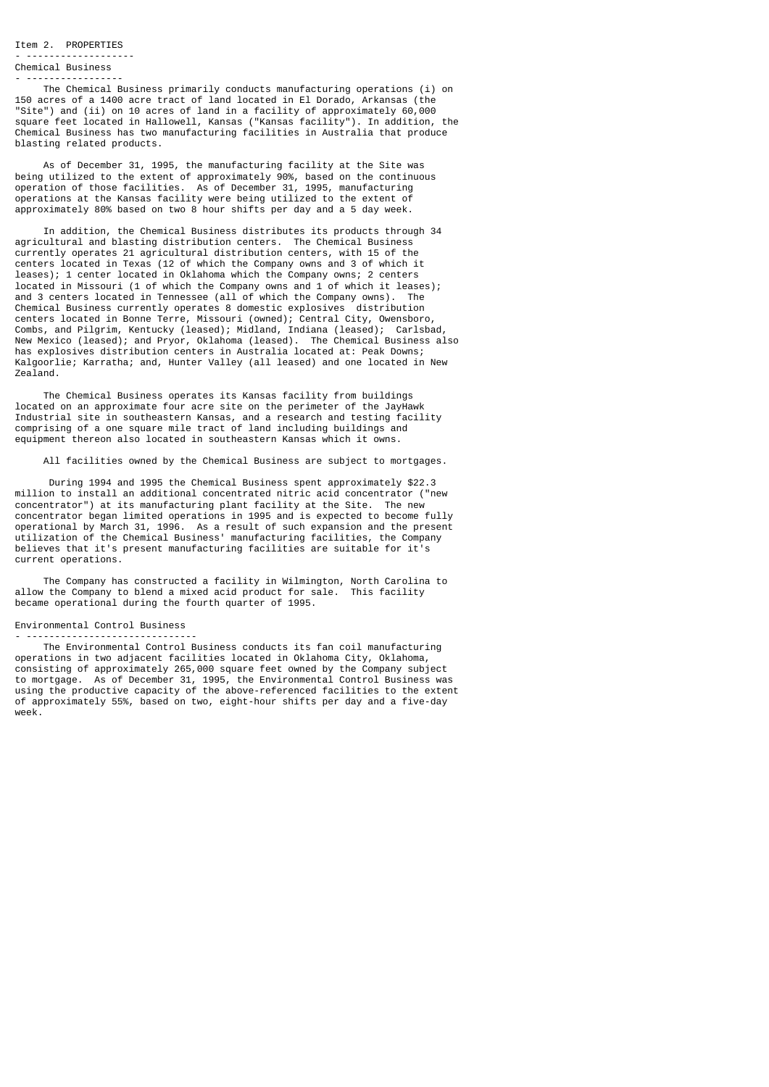Item 2. PROPERTIES

#### - ------------------- Chemical Business

- -----------------

 The Chemical Business primarily conducts manufacturing operations (i) on 150 acres of a 1400 acre tract of land located in El Dorado, Arkansas (the "Site") and (ii) on 10 acres of land in a facility of approximately 60,000 square feet located in Hallowell, Kansas ("Kansas facility"). In addition, the Chemical Business has two manufacturing facilities in Australia that produce blasting related products.

 As of December 31, 1995, the manufacturing facility at the Site was being utilized to the extent of approximately 90%, based on the continuous operation of those facilities. As of December 31, 1995, manufacturing operations at the Kansas facility were being utilized to the extent of approximately 80% based on two 8 hour shifts per day and a 5 day week.

 In addition, the Chemical Business distributes its products through 34 agricultural and blasting distribution centers. The Chemical Business currently operates 21 agricultural distribution centers, with 15 of the centers located in Texas (12 of which the Company owns and 3 of which it leases); 1 center located in Oklahoma which the Company owns; 2 centers located in Missouri (1 of which the Company owns and 1 of which it leases); and 3 centers located in Tennessee (all of which the Company owns). Chemical Business currently operates 8 domestic explosives distribution centers located in Bonne Terre, Missouri (owned); Central City, Owensboro, Combs, and Pilgrim, Kentucky (leased); Midland, Indiana (leased); Carlsbad, New Mexico (leased); and Pryor, Oklahoma (leased). The Chemical Business also has explosives distribution centers in Australia located at: Peak Downs; Kalgoorlie; Karratha; and, Hunter Valley (all leased) and one located in New Zealand.

 The Chemical Business operates its Kansas facility from buildings located on an approximate four acre site on the perimeter of the JayHawk Industrial site in southeastern Kansas, and a research and testing facility comprising of a one square mile tract of land including buildings and equipment thereon also located in southeastern Kansas which it owns.

All facilities owned by the Chemical Business are subject to mortgages.

 During 1994 and 1995 the Chemical Business spent approximately \$22.3 million to install an additional concentrated nitric acid concentrator ("new concentrator") at its manufacturing plant facility at the Site. The new concentrator began limited operations in 1995 and is expected to become fully operational by March 31, 1996. As a result of such expansion and the present utilization of the Chemical Business' manufacturing facilities, the Company believes that it's present manufacturing facilities are suitable for it's current operations.

 The Company has constructed a facility in Wilmington, North Carolina to allow the Company to blend a mixed acid product for sale. This facility became operational during the fourth quarter of 1995.

## Environmental Control Business - ------------------------------

 The Environmental Control Business conducts its fan coil manufacturing operations in two adjacent facilities located in Oklahoma City, Oklahoma, consisting of approximately 265,000 square feet owned by the Company subject to mortgage. As of December 31, 1995, the Environmental Control Business was using the productive capacity of the above-referenced facilities to the extent of approximately 55%, based on two, eight-hour shifts per day and a five-day week.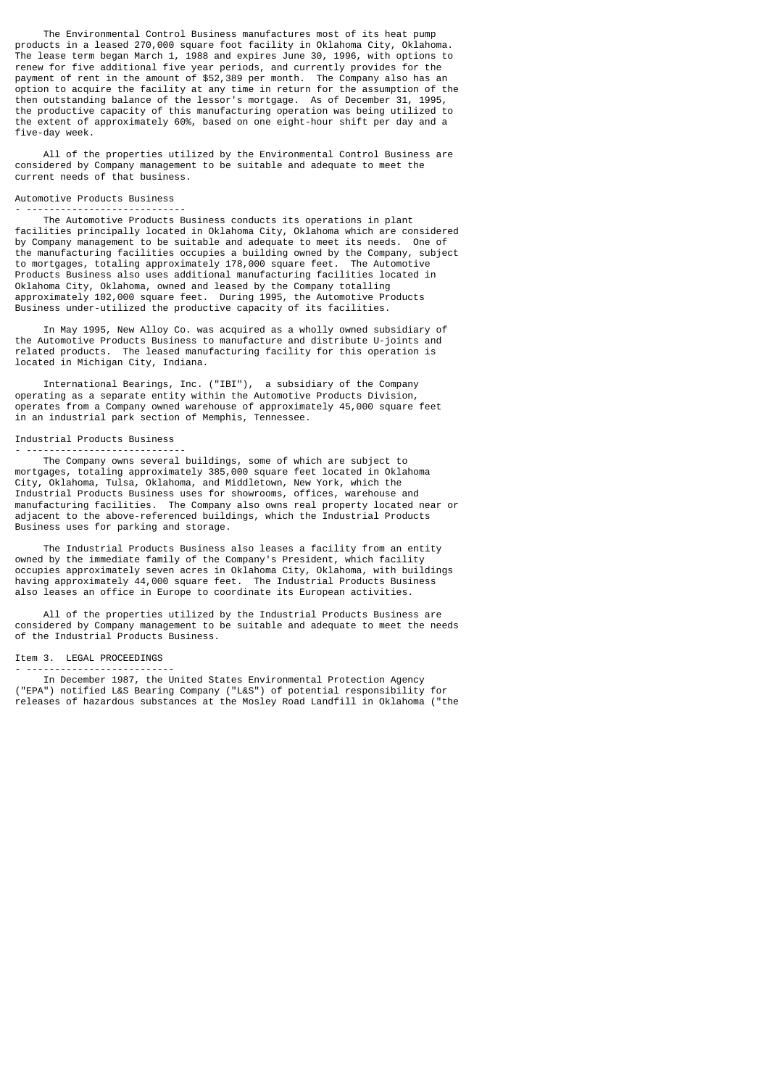The Environmental Control Business manufactures most of its heat pump products in a leased 270,000 square foot facility in Oklahoma City, Oklahoma. The lease term began March 1, 1988 and expires June 30, 1996, with options to renew for five additional five year periods, and currently provides for the payment of rent in the amount of \$52,389 per month. The Company also has an option to acquire the facility at any time in return for the assumption of the then outstanding balance of the lessor's mortgage. As of December 31, 1995, the productive capacity of this manufacturing operation was being utilized to the extent of approximately 60%, based on one eight-hour shift per day and a five-day week.

 All of the properties utilized by the Environmental Control Business are considered by Company management to be suitable and adequate to meet the current needs of that business.

### Automotive Products Business

#### - ----------------------------

 The Automotive Products Business conducts its operations in plant facilities principally located in Oklahoma City, Oklahoma which are considered by Company management to be suitable and adequate to meet its needs. One of the manufacturing facilities occupies a building owned by the Company, subject to mortgages, totaling approximately 178,000 square feet. The Automotive Products Business also uses additional manufacturing facilities located in Oklahoma City, Oklahoma, owned and leased by the Company totalling approximately 102,000 square feet. During 1995, the Automotive Products Business under-utilized the productive capacity of its facilities.

 In May 1995, New Alloy Co. was acquired as a wholly owned subsidiary of the Automotive Products Business to manufacture and distribute U-joints and related products. The leased manufacturing facility for this operation is located in Michigan City, Indiana.

 International Bearings, Inc. ("IBI"), a subsidiary of the Company operating as a separate entity within the Automotive Products Division, operates from a Company owned warehouse of approximately 45,000 square feet in an industrial park section of Memphis, Tennessee.

# Industrial Products Business

- ----------------------------

 The Company owns several buildings, some of which are subject to mortgages, totaling approximately 385,000 square feet located in Oklahoma City, Oklahoma, Tulsa, Oklahoma, and Middletown, New York, which the Industrial Products Business uses for showrooms, offices, warehouse and manufacturing facilities. The Company also owns real property located near or adjacent to the above-referenced buildings, which the Industrial Products Business uses for parking and storage.

 The Industrial Products Business also leases a facility from an entity owned by the immediate family of the Company's President, which facility occupies approximately seven acres in Oklahoma City, Oklahoma, with buildings having approximately 44,000 square feet. The Industrial Products Business also leases an office in Europe to coordinate its European activities.

 All of the properties utilized by the Industrial Products Business are considered by Company management to be suitable and adequate to meet the needs of the Industrial Products Business.

## Item 3. LEGAL PROCEEDINGS - --------------------------

 In December 1987, the United States Environmental Protection Agency ("EPA") notified L&S Bearing Company ("L&S") of potential responsibility for releases of hazardous substances at the Mosley Road Landfill in Oklahoma ("the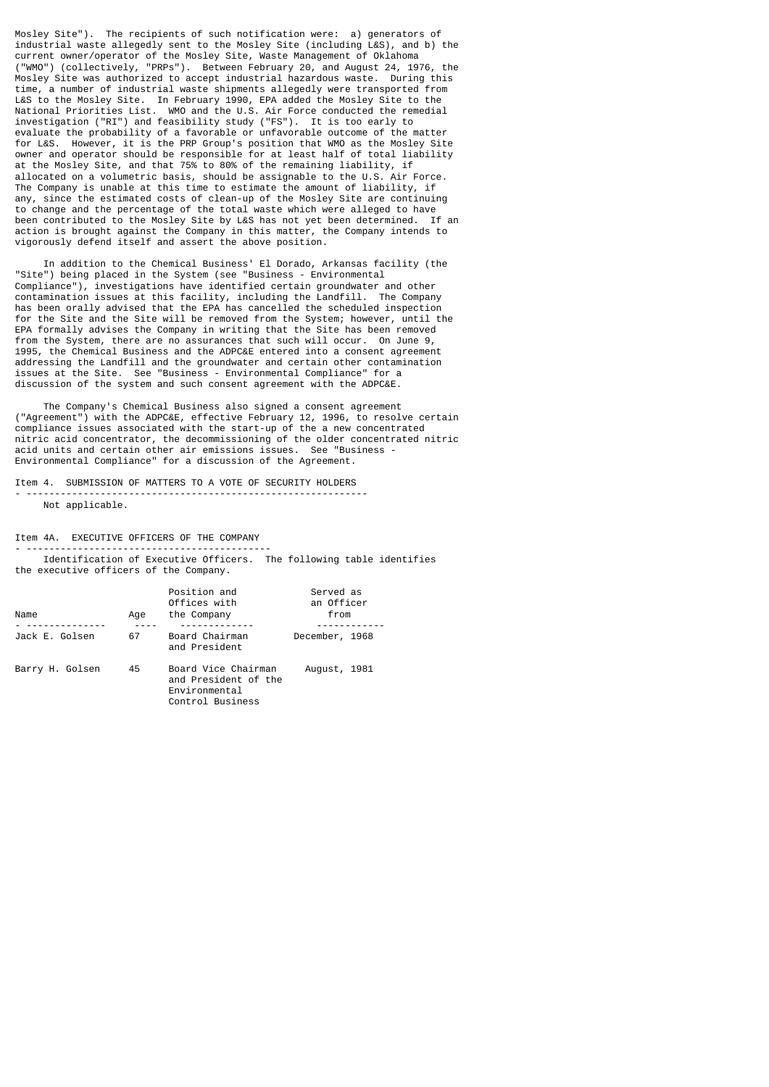Mosley Site"). The recipients of such notification were: a) generators of industrial waste allegedly sent to the Mosley Site (including L&S), and b) the current owner/operator of the Mosley Site, Waste Management of Oklahoma ("WMO") (collectively, "PRPs"). Between February 20, and August 24, 1976, the Mosley Site was authorized to accept industrial hazardous waste. During this time, a number of industrial waste shipments allegedly were transported from L&S to the Mosley Site. In February 1990, EPA added the Mosley Site to the National Priorities List. WMO and the U.S. Air Force conducted the remedial investigation ("RI") and feasibility study ("FS"). It is too early to evaluate the probability of a favorable or unfavorable outcome of the matter for L&S. However, it is the PRP Group's position that WMO as the Mosley Site owner and operator should be responsible for at least half of total liability at the Mosley Site, and that 75% to 80% of the remaining liability, if allocated on a volumetric basis, should be assignable to the U.S. Air Force. The Company is unable at this time to estimate the amount of liability, if any, since the estimated costs of clean-up of the Mosley Site are continuing to change and the percentage of the total waste which were alleged to have been contributed to the Mosley Site by L&S has not yet been determined. If an action is brought against the Company in this matter, the Company intends to vigorously defend itself and assert the above position.

 In addition to the Chemical Business' El Dorado, Arkansas facility (the "Site") being placed in the System (see "Business - Environmental Compliance"), investigations have identified certain groundwater and other contamination issues at this facility, including the Landfill. The Company has been orally advised that the EPA has cancelled the scheduled inspection for the Site and the Site will be removed from the System; however, until the EPA formally advises the Company in writing that the Site has been removed from the System, there are no assurances that such will occur. On June 9, 1995, the Chemical Business and the ADPC&E entered into a consent agreement addressing the Landfill and the groundwater and certain other contamination issues at the Site. See "Business - Environmental Compliance" for a discussion of the system and such consent agreement with the ADPC&E.

 The Company's Chemical Business also signed a consent agreement ("Agreement") with the ADPC&E, effective February 12, 1996, to resolve certain compliance issues associated with the start-up of the a new concentrated nitric acid concentrator, the decommissioning of the older concentrated nitric acid units and certain other air emissions issues. See "Business - Environmental Compliance" for a discussion of the Agreement.

Item 4. SUBMISSION OF MATTERS TO A VOTE OF SECURITY HOLDERS - ------------------------------------------------------------

Not applicable.

Item 4A. EXECUTIVE OFFICERS OF THE COMPANY

- ------------------------------------------- Identification of Executive Officers. The following table identifies the executive officers of the Company.

| Name            | Age | Position and<br>Offices with<br>the Company                                      | Served as<br>an Officer<br>from |
|-----------------|-----|----------------------------------------------------------------------------------|---------------------------------|
|                 |     |                                                                                  |                                 |
| Jack E. Golsen  | 67  | Board Chairman<br>and President                                                  | December, 1968                  |
| Barry H. Golsen | 45  | Board Vice Chairman<br>and President of the<br>Environmental<br>Control Business | August, 1981                    |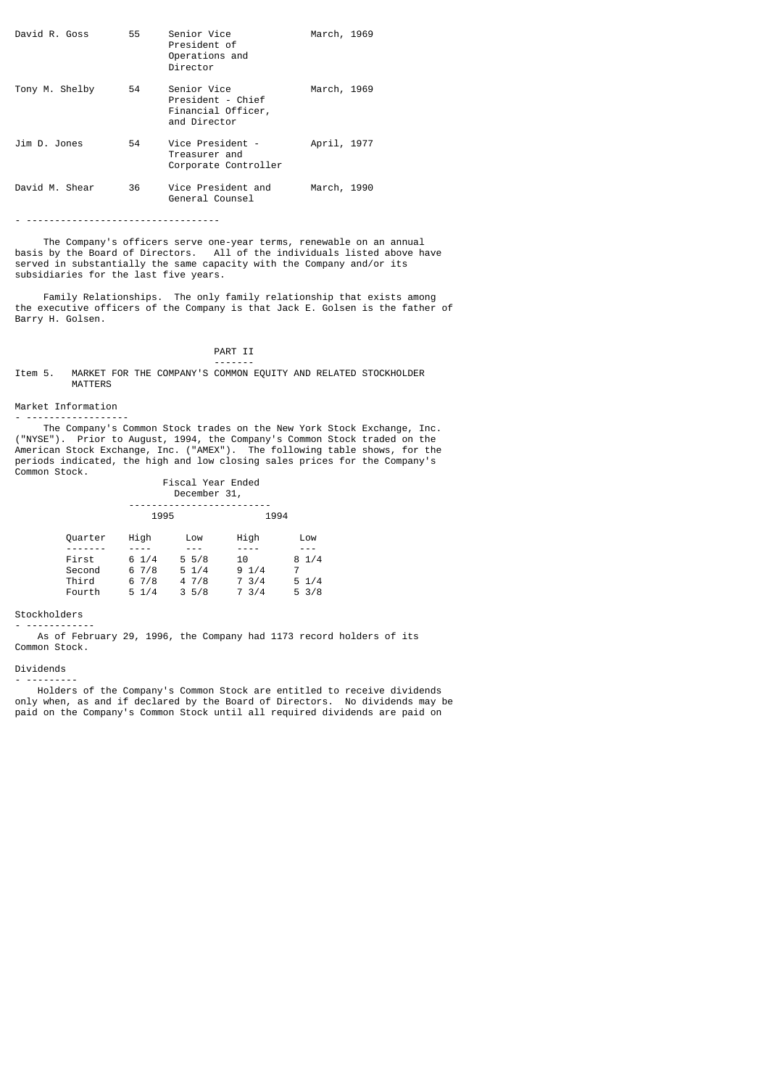| David R. Goss  | 55 | Senior Vice<br>President of<br>Operations and<br>Director              | March, 1969 |  |
|----------------|----|------------------------------------------------------------------------|-------------|--|
| Tony M. Shelby | 54 | Senior Vice<br>President - Chief<br>Financial Officer,<br>and Director | March, 1969 |  |
| Jim D. Jones   | 54 | Vice President -<br>Treasurer and<br>Corporate Controller              | April, 1977 |  |
| David M. Shear | 36 | Vice President and<br>General Counsel                                  | March, 1990 |  |

- ----------------------------------

The Company's officers serve one-year terms, renewable on an annual<br>by the Board of Directors. All of the individuals listed above have basis by the Board of Directors. All of the individuals listed above have served in substantially the same capacity with the Company and/or its subsidiaries for the last five years.

 Family Relationships. The only family relationship that exists among the executive officers of the Company is that Jack E. Golsen is the father of Barry H. Golsen.

# PART II

 ------- Item 5. MARKET FOR THE COMPANY'S COMMON EQUITY AND RELATED STOCKHOLDER MATTERS

#### Market Information

- ------------------ The Company's Common Stock trades on the New York Stock Exchange, Inc. ("NYSE"). Prior to August, 1994, the Company's Common Stock traded on the American Stock Exchange, Inc. ("AMEX"). The following table shows, for the periods indicated, the high and low closing sales prices for the Company's Common Stock.

|                 | FISUAL ITAI ENUTU<br>December 31, |                                   |               |                                    |
|-----------------|-----------------------------------|-----------------------------------|---------------|------------------------------------|
|                 | 1995                              |                                   | 1994          |                                    |
| Quarter         | High                              | Low                               | High          | Low                                |
| First<br>Second | $6 \frac{1}{4}$<br>67/8           | $5\frac{5}{8}$<br>$5 \frac{1}{4}$ | 10<br>91/4    | 81/4<br>7                          |
| Third<br>Fourth | 67/8<br>$5 \frac{1}{4}$           | 4 7/8<br>35/8                     | 7.3/4<br>73/4 | $5 \frac{1}{4}$<br>$5 \frac{3}{8}$ |

Fiscal Year Ended

# Stockholders

- ------------ As of February 29, 1996, the Company had 1173 record holders of its Common Stock.

# Dividends

- ---------

 Holders of the Company's Common Stock are entitled to receive dividends only when, as and if declared by the Board of Directors. No dividends may be paid on the Company's Common Stock until all required dividends are paid on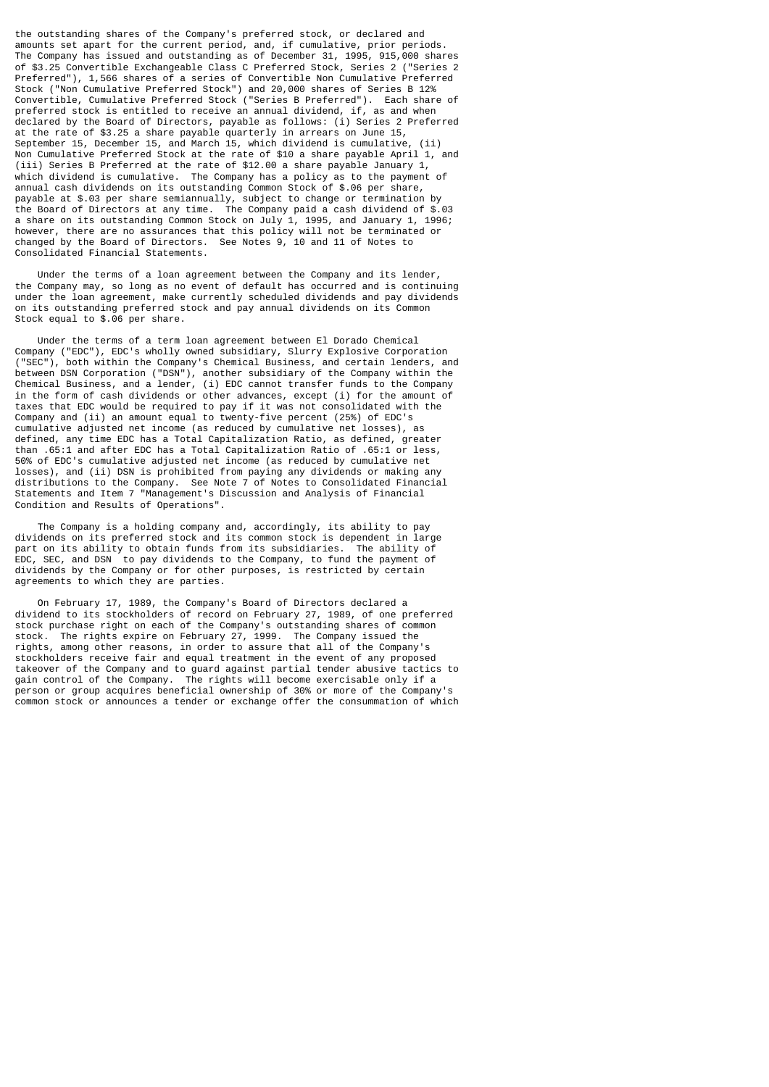the outstanding shares of the Company's preferred stock, or declared and amounts set apart for the current period, and, if cumulative, prior periods. The Company has issued and outstanding as of December 31, 1995, 915,000 shares of \$3.25 Convertible Exchangeable Class C Preferred Stock, Series 2 ("Series 2 Preferred"), 1,566 shares of a series of Convertible Non Cumulative Preferred Stock ("Non Cumulative Preferred Stock") and 20,000 shares of Series B 12% Convertible, Cumulative Preferred Stock ("Series B Preferred"). Each share of preferred stock is entitled to receive an annual dividend, if, as and when declared by the Board of Directors, payable as follows: (i) Series 2 Preferred at the rate of \$3.25 a share payable quarterly in arrears on June 15, September 15, December 15, and March 15, which dividend is cumulative, (ii) Non Cumulative Preferred Stock at the rate of \$10 a share payable April 1, and (iii) Series B Preferred at the rate of \$12.00 a share payable January 1, which dividend is cumulative. The Company has a policy as to the payment of annual cash dividends on its outstanding Common Stock of \$.06 per share, payable at \$.03 per share semiannually, subject to change or termination by the Board of Directors at any time. The Company paid a cash dividend of \$.03 a share on its outstanding Common Stock on July 1, 1995, and January 1, 1996; however, there are no assurances that this policy will not be terminated or changed by the Board of Directors. See Notes 9, 10 and 11 of Notes to Consolidated Financial Statements.

 Under the terms of a loan agreement between the Company and its lender, the Company may, so long as no event of default has occurred and is continuing under the loan agreement, make currently scheduled dividends and pay dividends on its outstanding preferred stock and pay annual dividends on its Common Stock equal to \$.06 per share.

 Under the terms of a term loan agreement between El Dorado Chemical Company ("EDC"), EDC's wholly owned subsidiary, Slurry Explosive Corporation ("SEC"), both within the Company's Chemical Business, and certain lenders, and both within the Company's Chemical Business, and certain lenders, and between DSN Corporation ("DSN"), another subsidiary of the Company within the Chemical Business, and a lender, (i) EDC cannot transfer funds to the Company in the form of cash dividends or other advances, except (i) for the amount of taxes that EDC would be required to pay if it was not consolidated with the Company and (ii) an amount equal to twenty-five percent (25%) of EDC's cumulative adjusted net income (as reduced by cumulative net losses), as defined, any time EDC has a Total Capitalization Ratio, as defined, greater than .65:1 and after EDC has a Total Capitalization Ratio of .65:1 or less, 50% of EDC's cumulative adjusted net income (as reduced by cumulative net losses), and (ii) DSN is prohibited from paying any dividends or making any distributions to the Company. See Note 7 of Notes to Consolidated Financial Statements and Item 7 "Management's Discussion and Analysis of Financial Condition and Results of Operations".

 The Company is a holding company and, accordingly, its ability to pay dividends on its preferred stock and its common stock is dependent in large part on its ability to obtain funds from its subsidiaries. The ability of EDC, SEC, and DSN to pay dividends to the Company, to fund the payment of dividends by the Company or for other purposes, is restricted by certain agreements to which they are parties.

 On February 17, 1989, the Company's Board of Directors declared a dividend to its stockholders of record on February 27, 1989, of one preferred stock purchase right on each of the Company's outstanding shares of common stock. The rights expire on February 27, 1999. The Company issued the rights, among other reasons, in order to assure that all of the Company's stockholders receive fair and equal treatment in the event of any proposed takeover of the Company and to guard against partial tender abusive tactics to gain control of the Company. The rights will become exercisable only if a person or group acquires beneficial ownership of 30% or more of the Company's common stock or announces a tender or exchange offer the consummation of which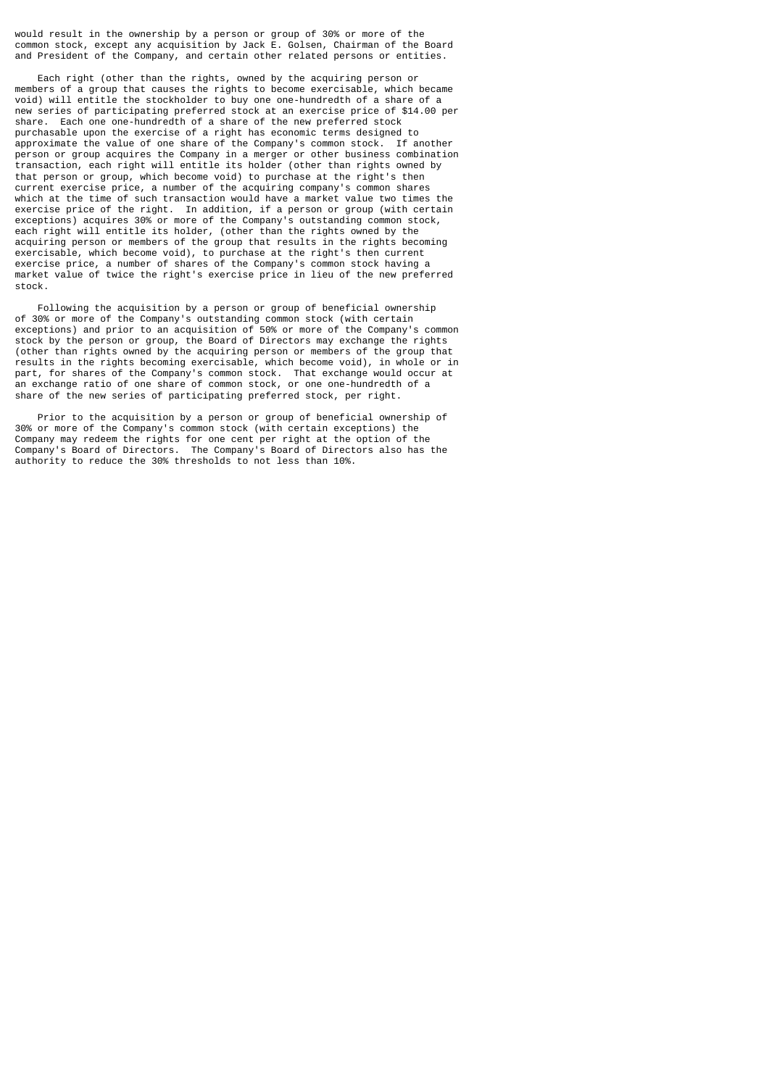would result in the ownership by a person or group of 30% or more of the common stock, except any acquisition by Jack E. Golsen, Chairman of the Board and President of the Company, and certain other related persons or entities.

 Each right (other than the rights, owned by the acquiring person or members of a group that causes the rights to become exercisable, which became void) will entitle the stockholder to buy one one-hundredth of a share of a new series of participating preferred stock at an exercise price of \$14.00 per share. Each one one-hundredth of a share of the new preferred stock purchasable upon the exercise of a right has economic terms designed to approximate the value of one share of the Company's common stock. If another person or group acquires the Company in a merger or other business combination transaction, each right will entitle its holder (other than rights owned by that person or group, which become void) to purchase at the right's then current exercise price, a number of the acquiring company's common shares which at the time of such transaction would have a market value two times the exercise price of the right. In addition, if a person or group (with certain exceptions) acquires 30% or more of the Company's outstanding common stock, each right will entitle its holder, (other than the rights owned by the acquiring person or members of the group that results in the rights becoming exercisable, which become void), to purchase at the right's then current exercise price, a number of shares of the Company's common stock having a market value of twice the right's exercise price in lieu of the new preferred stock.

 Following the acquisition by a person or group of beneficial ownership of 30% or more of the Company's outstanding common stock (with certain exceptions) and prior to an acquisition of 50% or more of the Company's common stock by the person or group, the Board of Directors may exchange the rights (other than rights owned by the acquiring person or members of the group that results in the rights becoming exercisable, which become void), in whole or in part, for shares of the Company's common stock. That exchange would occur at an exchange ratio of one share of common stock, or one one-hundredth of a share of the new series of participating preferred stock, per right.

 Prior to the acquisition by a person or group of beneficial ownership of 30% or more of the Company's common stock (with certain exceptions) the Company may redeem the rights for one cent per right at the option of the Company's Board of Directors. The Company's Board of Directors also has the authority to reduce the 30% thresholds to not less than 10%.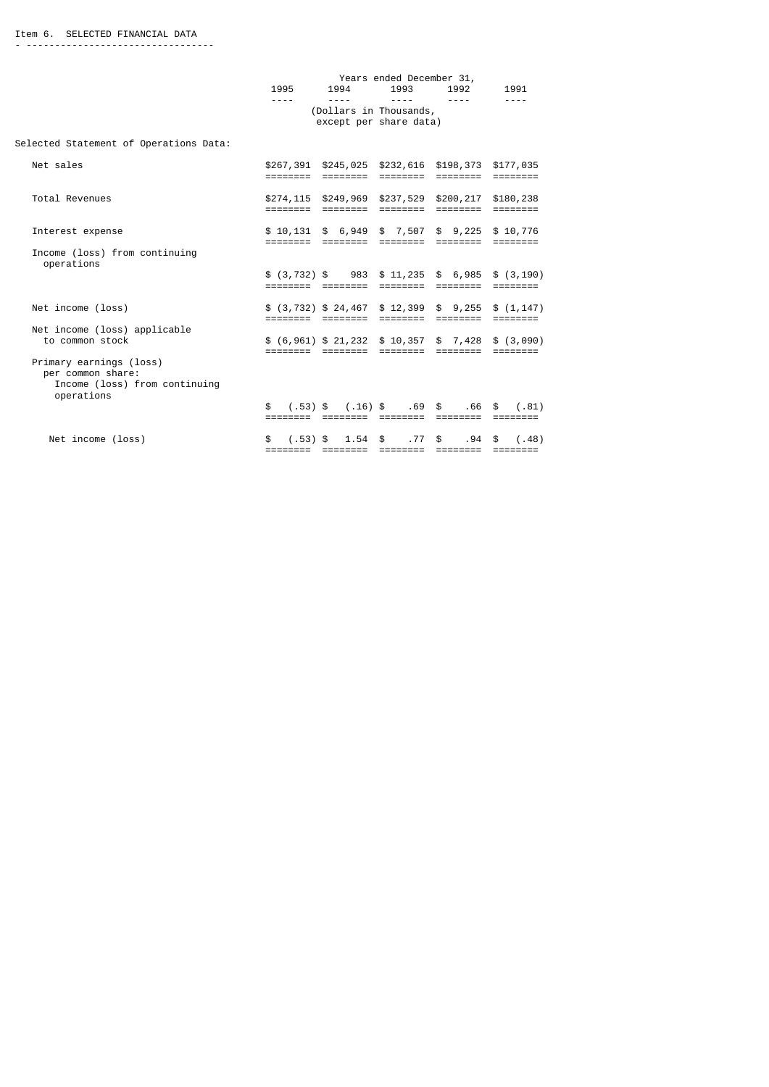|                                                                                             | 1995             | 1994                                                                                    | Years ended December 31,<br>1993 | 1992                   | 1991                        |
|---------------------------------------------------------------------------------------------|------------------|-----------------------------------------------------------------------------------------|----------------------------------|------------------------|-----------------------------|
|                                                                                             | ----             | $- - - -$<br>(Dollars in Thousands,<br>except per share data)                           | $- - - -$                        | $- - - -$              |                             |
| Selected Statement of Operations Data:                                                      |                  |                                                                                         |                                  |                        |                             |
| Net sales                                                                                   | ========         | \$267,391 \$245,025 \$232,616 \$198,373 \$177,035<br>========                           | ========                         | ========               |                             |
| Total Revenues                                                                              |                  | \$274,115 \$249,969 \$237,529 \$200,217 \$180,238<br>======== ======== ======== ======= |                                  |                        | $=$ = = = = = = =           |
| Interest expense                                                                            | ========         | $$10,131$ \$ 6,949 \$ 7,507 \$ 9,225 \$ 10,776<br>========                              | ========                         | ========               |                             |
| Income (loss) from continuing<br>operations                                                 |                  | $$(3, 732)$ \$ 983 \$ 11, 235 \$ 6, 985 \$ (3, 190)<br>=================                | ========                         | ========               | $=$ $=$ $=$ $=$ $=$ $=$ $=$ |
| Net income (loss)                                                                           |                  | $$$ (3,732) $$$ 24,467 $$$ 12,399 $$$ 9,255 $$$ (1,147)                                 |                                  | ========               |                             |
| Net income (loss) applicable<br>to common stock                                             | ========         | $$ (6,961) $21,232 $10,357 $7,428 $ (3,090)$<br>========                                | ========                         | ========               | <b>EEEEEEEE</b>             |
| Primary earnings (loss)<br>per common share:<br>Income (loss) from continuing<br>operations | \$<br>========   | $(.53)$ \$ $(.16)$ \$ $.69$ \$<br>========                                              | ========                         | .66 \$<br>========     | (.81)                       |
| Net income (loss)                                                                           | \$<br>$(.53)$ \$ | $1.54$ \$                                                                               | .77                              | .94 <sup>5</sup><br>\$ | (.48)                       |

======== ======== ======== ======== ========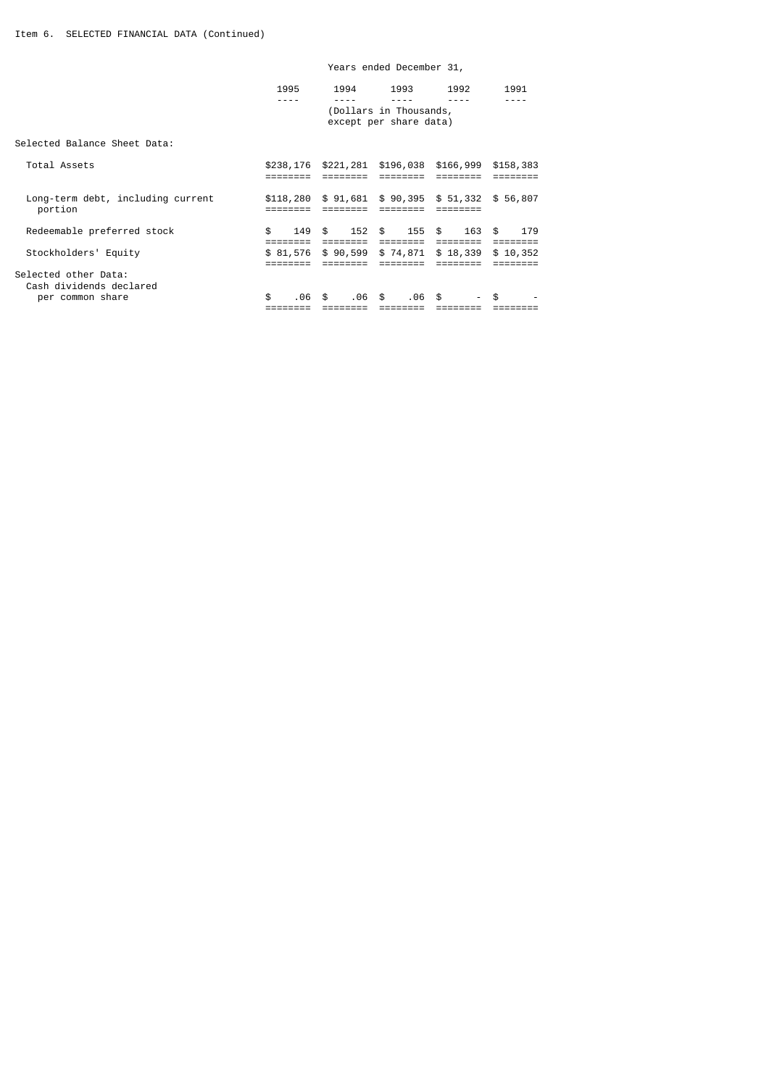| per common share                                | \$. | . 06      | \$.          | .06      | \$<br>.06 \$                                             |        | \$. |           |
|-------------------------------------------------|-----|-----------|--------------|----------|----------------------------------------------------------|--------|-----|-----------|
| Selected other Data:<br>Cash dividends declared |     |           |              |          |                                                          |        |     |           |
|                                                 |     |           |              |          |                                                          |        |     |           |
| Stockholders' Equity                            |     | \$81,576  |              | \$90,599 | \$74,871 \$18,339                                        |        |     | \$10,352  |
|                                                 |     |           |              |          |                                                          |        |     |           |
| Redeemable preferred stock                      | \$  | 149       | $\mathbb{S}$ |          | 152 \$ 155 \$                                            | 163 \$ |     | 179       |
| Long-term debt, including current<br>portion    |     | \$118,280 |              |          | $$91,681$ $$90,395$ $$51,332$ $$56,807$                  |        |     |           |
| Total Assets                                    |     |           |              |          | \$238,176 \$221,281 \$196,038 \$166,999                  |        |     | \$158,383 |
| Selected Balance Sheet Data:                    |     |           |              |          |                                                          |        |     |           |
|                                                 |     | 1995      |              | 1994     | 1993<br>(Dollars in Thousands,<br>except per share data) | 1992   |     | 1991      |
|                                                 |     |           |              |          |                                                          |        |     |           |

# Years ended December 31,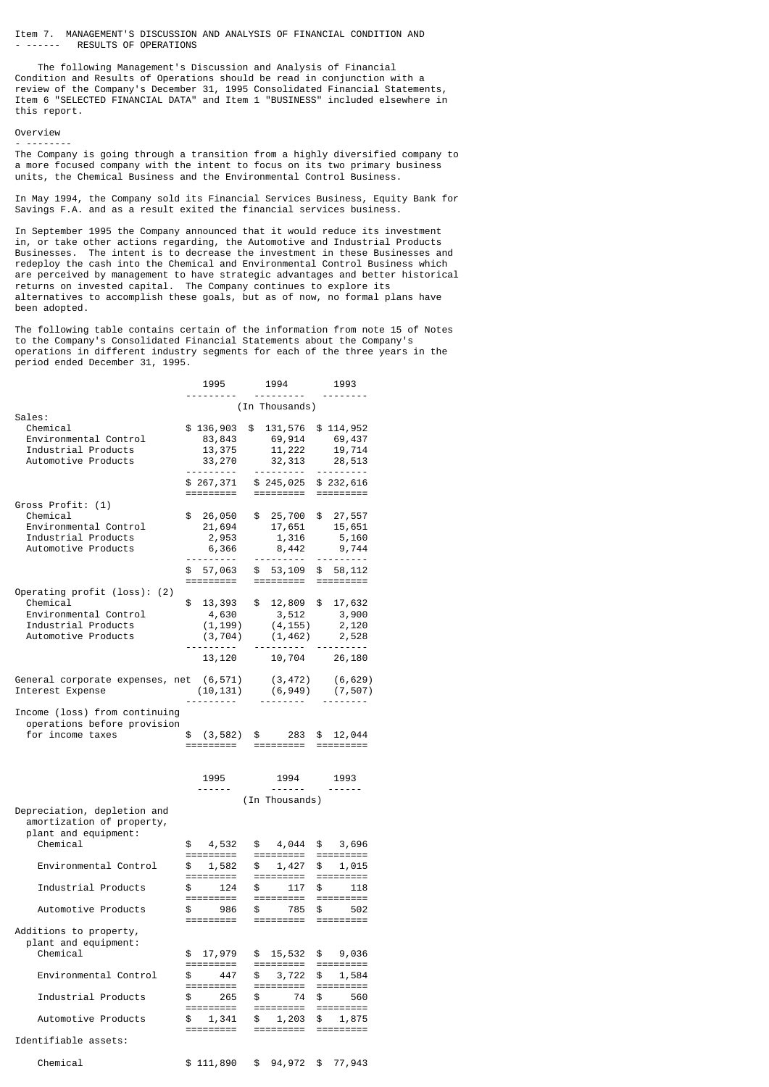Item 7. MANAGEMENT'S DISCUSSION AND ANALYSIS OF FINANCIAL CONDITION AND RESULTS OF OPERATIONS

 The following Management's Discussion and Analysis of Financial Condition and Results of Operations should be read in conjunction with a review of the Company's December 31, 1995 Consolidated Financial Statements, Item 6 "SELECTED FINANCIAL DATA" and Item 1 "BUSINESS" included elsewhere in this report.

# Overview - --------

The Company is going through a transition from a highly diversified company to a more focused company with the intent to focus on its two primary business units, the Chemical Business and the Environmental Control Business.

In May 1994, the Company sold its Financial Services Business, Equity Bank for Savings F.A. and as a result exited the financial services business.

In September 1995 the Company announced that it would reduce its investment in, or take other actions regarding, the Automotive and Industrial Products Businesses. The intent is to decrease the investment in these Businesses and redeploy the cash into the Chemical and Environmental Control Business which are perceived by management to have strategic advantages and better historical returns on invested capital. The Company continues to explore its alternatives to accomplish these goals, but as of now, no formal plans have been adopted.

The following table contains certain of the information from note 15 of Notes to the Company's Consolidated Financial Statements about the Company's operations in different industry segments for each of the three years in the period ended December 31, 1995.

|                                                                                  | 1995                       | 1994                                           |               | 1993                             |
|----------------------------------------------------------------------------------|----------------------------|------------------------------------------------|---------------|----------------------------------|
|                                                                                  |                            | (In Thousands)                                 |               | - - - - - - - -                  |
| Sales:<br>Chemical                                                               | \$136,903                  | \$<br>131,576                                  |               | \$114,952                        |
| Environmental Control                                                            | 83,843                     | 69,914                                         |               | 69,437                           |
| Industrial Products                                                              | 13,375                     | 11,222                                         |               | 19,714                           |
| Automotive Products                                                              | 33,270                     | 32,313<br><u> - - - - - - - - -</u>            |               | 28,513                           |
|                                                                                  | \$ 267,371<br>=========    | \$245,025<br>=========                         |               | \$232,616                        |
| Gross Profit: (1)                                                                |                            |                                                |               |                                  |
| Chemical                                                                         | \$<br>26,050               | \$ 25,700                                      | \$            | 27,557                           |
| Environmental Control                                                            | 21,694                     | 17,651                                         |               | 15,651                           |
| Industrial Products<br>Automotive Products                                       | 2,953                      | 1,316                                          |               | 5,160                            |
|                                                                                  | 6,366<br>.                 | 8,442<br>----------                            |               | 9,744<br><u> - - - - - - - -</u> |
|                                                                                  | \$ 57,063                  | \$53,109                                       |               | \$58,112                         |
|                                                                                  | =========                  | =========                                      |               |                                  |
| Operating profit (loss): (2)                                                     |                            |                                                |               |                                  |
| Chemical<br>Environmental Control                                                | \$<br>13,393               | \$ 12,809 \$ 17,632                            |               |                                  |
| Industrial Products                                                              | 4,630<br>(1, 199)          | 3, 512<br>(4, 155)                             |               | 3,900<br>2,120                   |
| Automotive Products                                                              | (3, 704)                   | $(1, 462)$ 2,528                               |               |                                  |
|                                                                                  | . <sub>.</sub>             |                                                |               | <u> - - - - - - - - -</u>        |
|                                                                                  | 13,120                     | 10,704                                         |               | 26,180                           |
| General corporate expenses, net (6,571)<br>Interest Expense                      | (10, 131)                  | $(3, 472)$ $(6, 629)$<br>$(6, 949)$ $(7, 507)$ |               |                                  |
|                                                                                  | $\cdots$ $\cdots$ $\cdots$ |                                                |               |                                  |
| Income (loss) from continuing<br>operations before provision                     |                            |                                                |               |                                  |
| for income taxes                                                                 | \$(3, 582)                 | \$ 283<br>===================================  | $\mathfrak s$ | 12,044                           |
|                                                                                  |                            |                                                |               |                                  |
|                                                                                  | 1995<br>------             | 1994<br>-------                                |               | 1993<br>------                   |
|                                                                                  |                            | (In Thousands)                                 |               |                                  |
| Depreciation, depletion and<br>amortization of property,<br>plant and equipment: |                            |                                                |               |                                  |
| Chemical                                                                         | \$4,532<br>=========       | \$4,044<br>=========                           |               | 3,696<br>\$<br>=========         |
| Environmental Control                                                            | \$ 1,582<br>=========      | \$1,427<br>=========                           |               | \$1,015                          |
| Industrial Products                                                              | \$ 124<br>=========        | \$ 117<br>=========                            |               | $\frac{1}{2}$<br>118             |
| Automotive Products                                                              | \$986<br>=========         | \$785<br>=========                             |               | \$502                            |
| Additions to property,<br>plant and equipment:<br>Chemical                       | \$<br>17,979               | \$<br>15,532                                   | \$            | 9,036                            |
|                                                                                  | =========                  | =========                                      |               | =========                        |
| Environmental Control                                                            | \$<br>447<br>=========     | \$<br>3,722<br>=========                       | \$            | 1,584                            |
| Industrial Products                                                              | \$<br>265<br>=========     | \$<br>74<br>=========                          | \$            | 560<br>=========                 |
| Automotive Products                                                              | \$<br>1,341<br>=========   | \$<br>1,203<br>=========                       | \$            | 1,875                            |
| Identifiable assets:                                                             |                            |                                                |               |                                  |
| Chemical                                                                         | \$111,890                  | \$<br>94,972                                   | \$            | 77,943                           |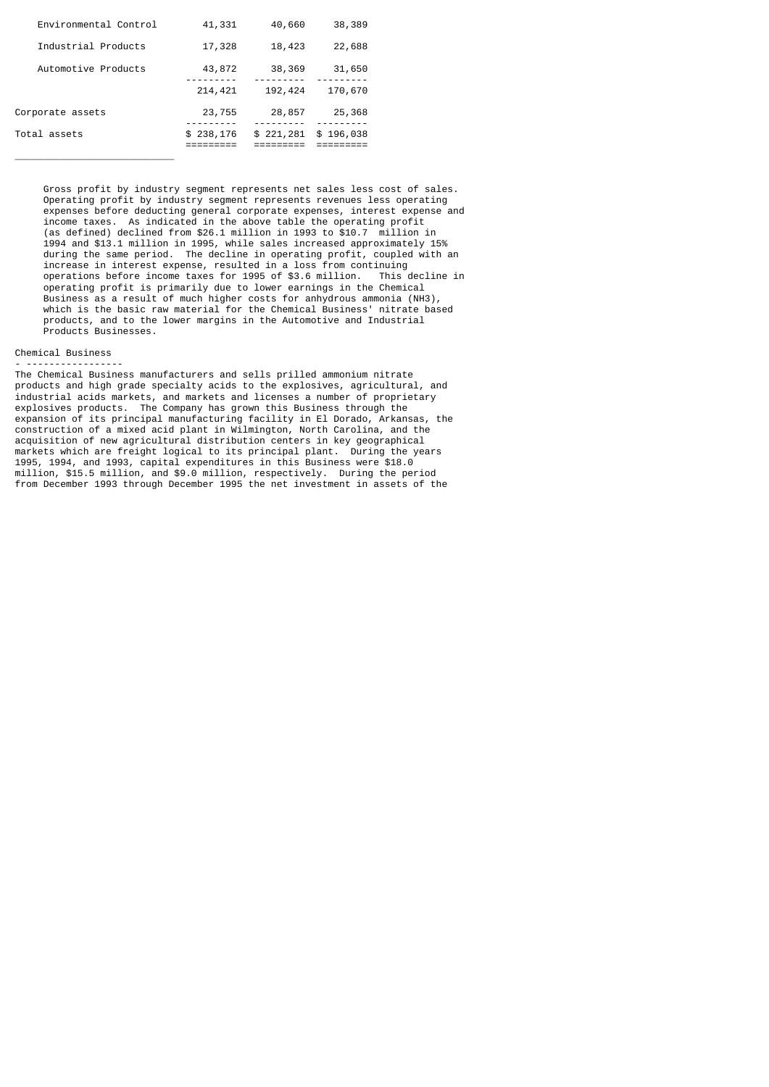| Environmental Control | 41,331     | 40,660    | 38,389    |  |
|-----------------------|------------|-----------|-----------|--|
| Industrial Products   | 17,328     | 18,423    | 22,688    |  |
| Automotive Products   | 43,872     | 38,369    | 31,650    |  |
|                       | 214,421    | 192,424   | 170,670   |  |
| Corporate assets      | 23,755     | 28,857    | 25,368    |  |
| Total assets          | \$ 238,176 | \$221,281 | \$196,038 |  |

 Gross profit by industry segment represents net sales less cost of sales. Operating profit by industry segment represents revenues less operating expenses before deducting general corporate expenses, interest expense and income taxes. As indicated in the above table the operating profit (as defined) declined from \$26.1 million in 1993 to \$10.7 million in 1994 and \$13.1 million in 1995, while sales increased approximately 15% during the same period. The decline in operating profit, coupled with an increase in interest expense, resulted in a loss from continuing operations before income taxes for 1995 of \$3.6 million. This decline in operating profit is primarily due to lower earnings in the Chemical Business as a result of much higher costs for anhydrous ammonia (NH3), which is the basic raw material for the Chemical Business' nitrate based products, and to the lower margins in the Automotive and Industrial Products Businesses.

### Chemical Business

\_\_\_\_\_\_\_\_\_\_\_\_\_\_\_\_\_\_\_\_\_\_\_\_\_\_\_\_

- ----------------- The Chemical Business manufacturers and sells prilled ammonium nitrate products and high grade specialty acids to the explosives, agricultural, and industrial acids markets, and markets and licenses a number of proprietary explosives products. The Company has grown this Business through the expansion of its principal manufacturing facility in El Dorado, Arkansas, the construction of a mixed acid plant in Wilmington, North Carolina, and the acquisition of new agricultural distribution centers in key geographical markets which are freight logical to its principal plant. During the years 1995, 1994, and 1993, capital expenditures in this Business were \$18.0 million, \$15.5 million, and \$9.0 million, respectively. During the period from December 1993 through December 1995 the net investment in assets of the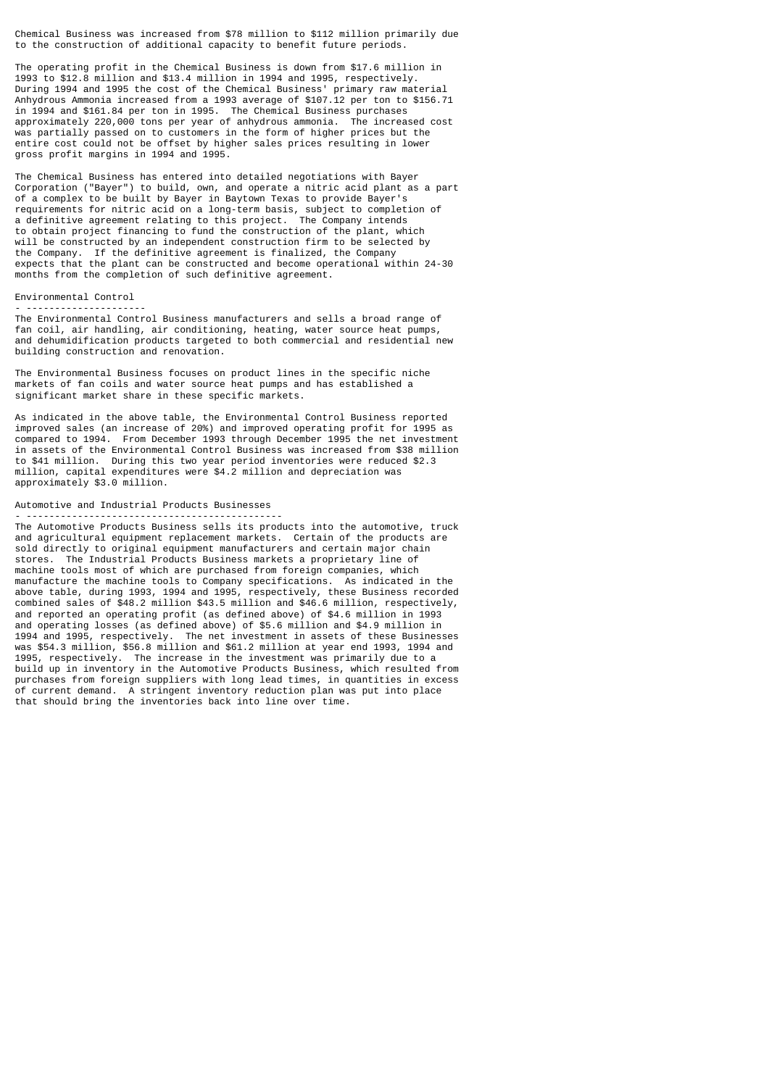Chemical Business was increased from \$78 million to \$112 million primarily due to the construction of additional capacity to benefit future periods.

The operating profit in the Chemical Business is down from \$17.6 million in 1993 to \$12.8 million and \$13.4 million in 1994 and 1995, respectively. During 1994 and 1995 the cost of the Chemical Business' primary raw material Anhydrous Ammonia increased from a 1993 average of \$107.12 per ton to \$156.71 in 1994 and \$161.84 per ton in 1995. The Chemical Business purchases approximately 220,000 tons per year of anhydrous ammonia. The increased cost was partially passed on to customers in the form of higher prices but the entire cost could not be offset by higher sales prices resulting in lower gross profit margins in 1994 and 1995.

The Chemical Business has entered into detailed negotiations with Bayer Corporation ("Bayer") to build, own, and operate a nitric acid plant as a part of a complex to be built by Bayer in Baytown Texas to provide Bayer's requirements for nitric acid on a long-term basis, subject to completion of a definitive agreement relating to this project. The Company intends to obtain project financing to fund the construction of the plant, which will be constructed by an independent construction firm to be selected by the Company. If the definitive agreement is finalized, the Company expects that the plant can be constructed and become operational within 24-30 months from the completion of such definitive agreement.

## Environmental Control - ---------------------

The Environmental Control Business manufacturers and sells a broad range of fan coil, air handling, air conditioning, heating, water source heat pumps, and dehumidification products targeted to both commercial and residential new building construction and renovation.

The Environmental Business focuses on product lines in the specific niche markets of fan coils and water source heat pumps and has established a significant market share in these specific markets.

As indicated in the above table, the Environmental Control Business reported improved sales (an increase of 20%) and improved operating profit for 1995 as compared to 1994. From December 1993 through December 1995 the net investment in assets of the Environmental Control Business was increased from \$38 million to \$41 million. During this two year period inventories were reduced \$2.3 million, capital expenditures were \$4.2 million and depreciation was approximately \$3.0 million.

# Automotive and Industrial Products Businesses

- --------------------------------------------- The Automotive Products Business sells its products into the automotive, truck and agricultural equipment replacement markets. Certain of the products are sold directly to original equipment manufacturers and certain major chain stores. The Industrial Products Business markets a proprietary line of machine tools most of which are purchased from foreign companies, which manufacture the machine tools to Company specifications. As indicated in the above table, during 1993, 1994 and 1995, respectively, these Business recorded combined sales of \$48.2 million \$43.5 million and \$46.6 million, respectively, and reported an operating profit (as defined above) of \$4.6 million in 1993 and operating losses (as defined above) of \$5.6 million and \$4.9 million in 1994 and 1995, respectively. The net investment in assets of these Businesses was \$54.3 million, \$56.8 million and \$61.2 million at year end 1993, 1994 and 1995, respectively. The increase in the investment was primarily due to a build up in inventory in the Automotive Products Business, which resulted from purchases from foreign suppliers with long lead times, in quantities in excess of current demand. A stringent inventory reduction plan was put into place that should bring the inventories back into line over time.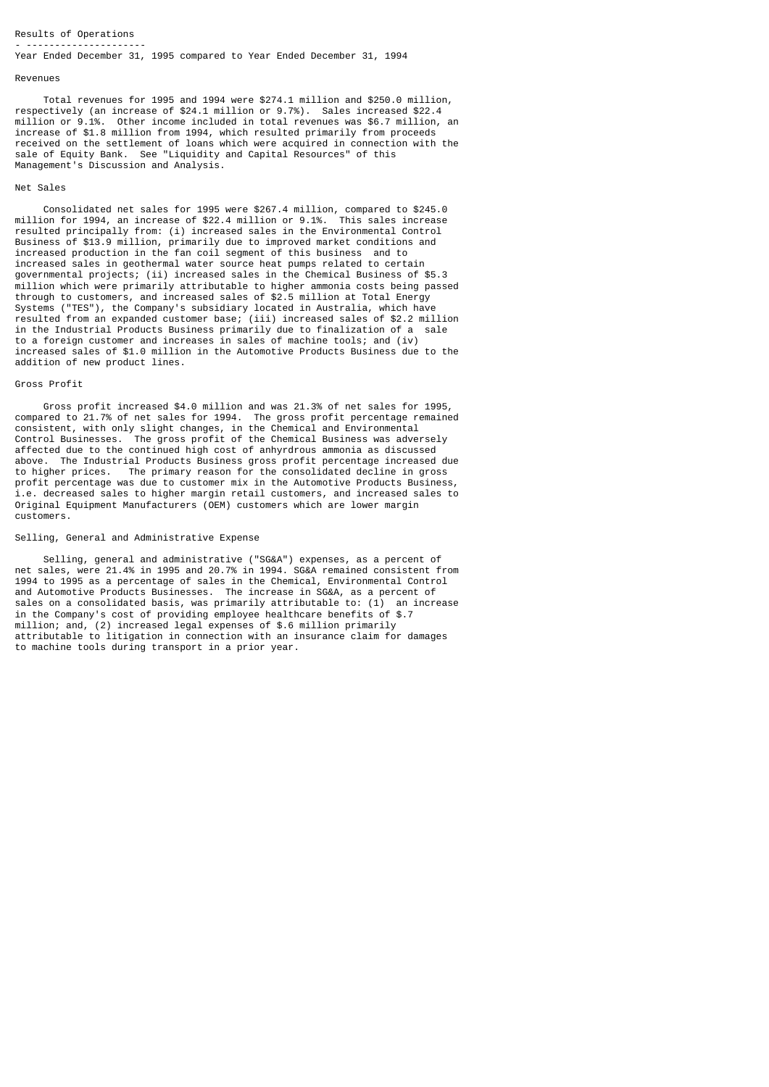### Results of Operations - ---------------------

Year Ended December 31, 1995 compared to Year Ended December 31, 1994

#### Revenues

 Total revenues for 1995 and 1994 were \$274.1 million and \$250.0 million, respectively (an increase of \$24.1 million or 9.7%). Sales increased \$22.4 million or 9.1%. Other income included in total revenues was \$6.7 million, an increase of \$1.8 million from 1994, which resulted primarily from proceeds received on the settlement of loans which were acquired in connection with the sale of Equity Bank. See "Liquidity and Capital Resources" of this Management's Discussion and Analysis.

### Net Sales

 Consolidated net sales for 1995 were \$267.4 million, compared to \$245.0 million for 1994, an increase of \$22.4 million or 9.1%. resulted principally from: (i) increased sales in the Environmental Control Business of \$13.9 million, primarily due to improved market conditions and increased production in the fan coil segment of this business and to increased sales in geothermal water source heat pumps related to certain governmental projects; (ii) increased sales in the Chemical Business of \$5.3 million which were primarily attributable to higher ammonia costs being passed through to customers, and increased sales of \$2.5 million at Total Energy Systems ("TES"), the Company's subsidiary located in Australia, which have resulted from an expanded customer base; (iii) increased sales of \$2.2 million in the Industrial Products Business primarily due to finalization of a sale to a foreign customer and increases in sales of machine tools; and (iv) increased sales of \$1.0 million in the Automotive Products Business due to the addition of new product lines.

## Gross Profit

 Gross profit increased \$4.0 million and was 21.3% of net sales for 1995, compared to 21.7% of net sales for 1994. The gross profit percentage remained consistent, with only slight changes, in the Chemical and Environmental Control Businesses. The gross profit of the Chemical Business was adversely affected due to the continued high cost of anhyrdrous ammonia as discussed above. The Industrial Products Business gross profit percentage increased due to higher prices. The primary reason for the consolidated decline in gross profit percentage was due to customer mix in the Automotive Products Business, i.e. decreased sales to higher margin retail customers, and increased sales to Original Equipment Manufacturers (OEM) customers which are lower margin customers.

#### Selling, General and Administrative Expense

 Selling, general and administrative ("SG&A") expenses, as a percent of net sales, were 21.4% in 1995 and 20.7% in 1994. SG&A remained consistent from 1994 to 1995 as a percentage of sales in the Chemical, Environmental Control and Automotive Products Businesses. The increase in SG&A, as a percent of sales on a consolidated basis, was primarily attributable to: (1) an increase in the Company's cost of providing employee healthcare benefits of \$.7 million; and, (2) increased legal expenses of \$.6 million primarily attributable to litigation in connection with an insurance claim for damages to machine tools during transport in a prior year.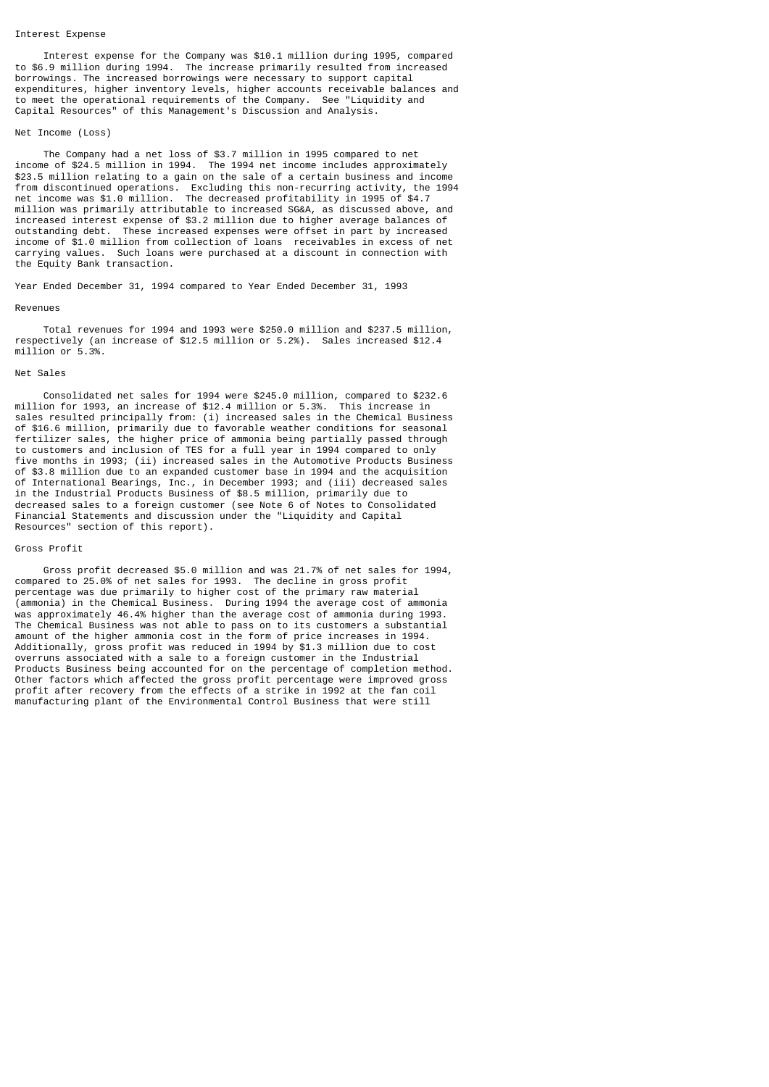# Interest Expense

 Interest expense for the Company was \$10.1 million during 1995, compared to \$6.9 million during 1994. The increase primarily resulted from increased borrowings. The increased borrowings were necessary to support capital expenditures, higher inventory levels, higher accounts receivable balances and to meet the operational requirements of the Company. See "Liquidity and Capital Resources" of this Management's Discussion and Analysis.

### Net Income (Loss)

 The Company had a net loss of \$3.7 million in 1995 compared to net income of \$24.5 million in 1994. The 1994 net income includes approximately \$23.5 million relating to a gain on the sale of a certain business and income from discontinued operations. Excluding this non-recurring activity, the 1994 net income was \$1.0 million. The decreased profitability in 1995 of \$4.7 million was primarily attributable to increased SG&A, as discussed above, and increased interest expense of \$3.2 million due to higher average balances of outstanding debt. These increased expenses were offset in part by increased income of \$1.0 million from collection of loans receivables in excess of net carrying values. Such loans were purchased at a discount in connection with the Equity Bank transaction.

Year Ended December 31, 1994 compared to Year Ended December 31, 1993

#### Revenues

 Total revenues for 1994 and 1993 were \$250.0 million and \$237.5 million, respectively (an increase of \$12.5 million or 5.2%). Sales increased \$12.4 million or 5.3%.

#### Net Sales

 Consolidated net sales for 1994 were \$245.0 million, compared to \$232.6 million for 1993, an increase of \$12.4 million or 5.3%. This increase in sales resulted principally from: (i) increased sales in the Chemical Business of \$16.6 million, primarily due to favorable weather conditions for seasonal fertilizer sales, the higher price of ammonia being partially passed through to customers and inclusion of TES for a full year in 1994 compared to only five months in 1993; (ii) increased sales in the Automotive Products Business of \$3.8 million due to an expanded customer base in 1994 and the acquisition of International Bearings, Inc., in December 1993; and (iii) decreased sales in the Industrial Products Business of \$8.5 million, primarily due to decreased sales to a foreign customer (see Note 6 of Notes to Consolidated Financial Statements and discussion under the "Liquidity and Capital Resources" section of this report).

### Gross Profit

 Gross profit decreased \$5.0 million and was 21.7% of net sales for 1994, compared to 25.0% of net sales for 1993. The decline in gross profit percentage was due primarily to higher cost of the primary raw material (ammonia) in the Chemical Business. During 1994 the average cost of ammonia was approximately 46.4% higher than the average cost of ammonia during 1993. The Chemical Business was not able to pass on to its customers a substantial amount of the higher ammonia cost in the form of price increases in 1994. Additionally, gross profit was reduced in 1994 by \$1.3 million due to cost overruns associated with a sale to a foreign customer in the Industrial Products Business being accounted for on the percentage of completion method. Other factors which affected the gross profit percentage were improved gross profit after recovery from the effects of a strike in 1992 at the fan coil manufacturing plant of the Environmental Control Business that were still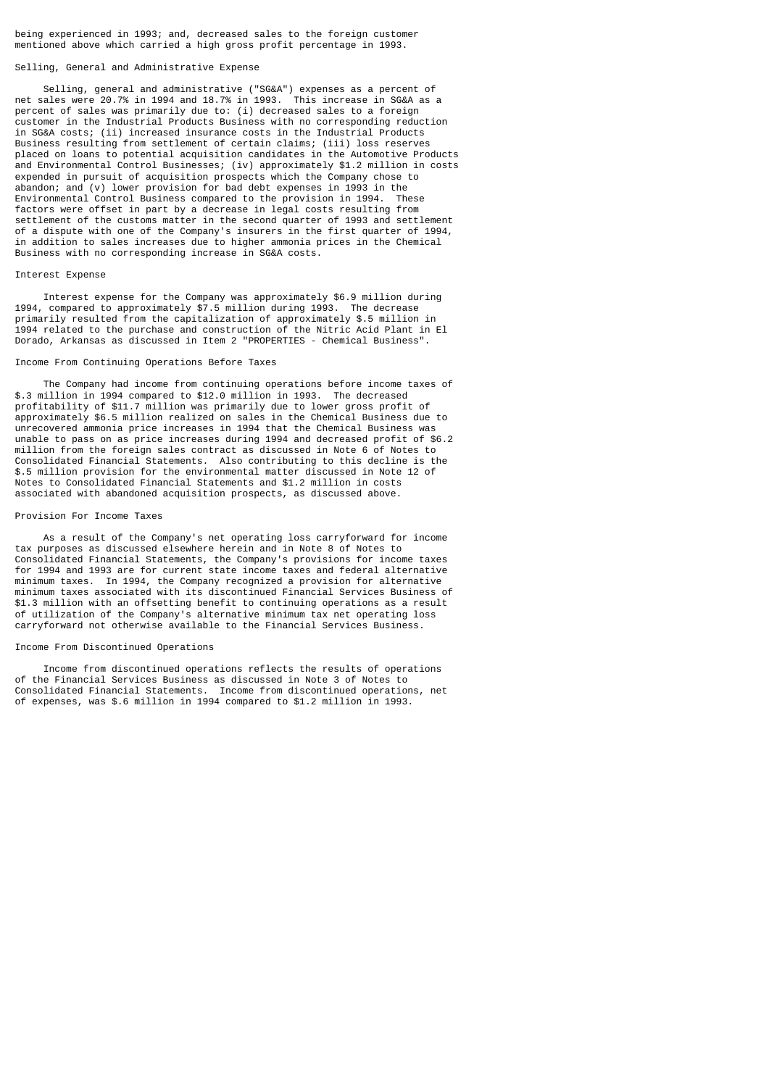being experienced in 1993; and, decreased sales to the foreign customer mentioned above which carried a high gross profit percentage in 1993.

### Selling, General and Administrative Expense

 Selling, general and administrative ("SG&A") expenses as a percent of net sales were 20.7% in 1994 and 18.7% in 1993. This increase in SG&A as a percent of sales was primarily due to: (i) decreased sales to a foreign customer in the Industrial Products Business with no corresponding reduction in SG&A costs; (ii) increased insurance costs in the Industrial Products Business resulting from settlement of certain claims; (iii) loss reserves placed on loans to potential acquisition candidates in the Automotive Products and Environmental Control Businesses; (iv) approximately \$1.2 million in costs expended in pursuit of acquisition prospects which the Company chose to abandon; and (v) lower provision for bad debt expenses in 1993 in the Environmental Control Business compared to the provision in 1994. These factors were offset in part by a decrease in legal costs resulting from settlement of the customs matter in the second quarter of 1993 and settlement of a dispute with one of the Company's insurers in the first quarter of 1994, in addition to sales increases due to higher ammonia prices in the Chemical Business with no corresponding increase in SG&A costs.

# Interest Expense

 Interest expense for the Company was approximately \$6.9 million during 1994, compared to approximately \$7.5 million during 1993. The decrease primarily resulted from the capitalization of approximately \$.5 million in 1994 related to the purchase and construction of the Nitric Acid Plant in El Dorado, Arkansas as discussed in Item 2 "PROPERTIES - Chemical Business".

# Income From Continuing Operations Before Taxes

 The Company had income from continuing operations before income taxes of \$.3 million in 1994 compared to \$12.0 million in 1993. The decreased profitability of \$11.7 million was primarily due to lower gross profit of approximately \$6.5 million realized on sales in the Chemical Business due to unrecovered ammonia price increases in 1994 that the Chemical Business was unable to pass on as price increases during 1994 and decreased profit of \$6.2 million from the foreign sales contract as discussed in Note 6 of Notes to Consolidated Financial Statements. Also contributing to this decline is the \$.5 million provision for the environmental matter discussed in Note 12 of Notes to Consolidated Financial Statements and \$1.2 million in costs associated with abandoned acquisition prospects, as discussed above.

## Provision For Income Taxes

 As a result of the Company's net operating loss carryforward for income tax purposes as discussed elsewhere herein and in Note 8 of Notes to Consolidated Financial Statements, the Company's provisions for income taxes for 1994 and 1993 are for current state income taxes and federal alternative minimum taxes. In 1994, the Company recognized a provision for alternative minimum taxes associated with its discontinued Financial Services Business of \$1.3 million with an offsetting benefit to continuing operations as a result of utilization of the Company's alternative minimum tax net operating loss carryforward not otherwise available to the Financial Services Business.

### Income From Discontinued Operations

 Income from discontinued operations reflects the results of operations of the Financial Services Business as discussed in Note 3 of Notes to Consolidated Financial Statements. Income from discontinued operations, net of expenses, was \$.6 million in 1994 compared to \$1.2 million in 1993.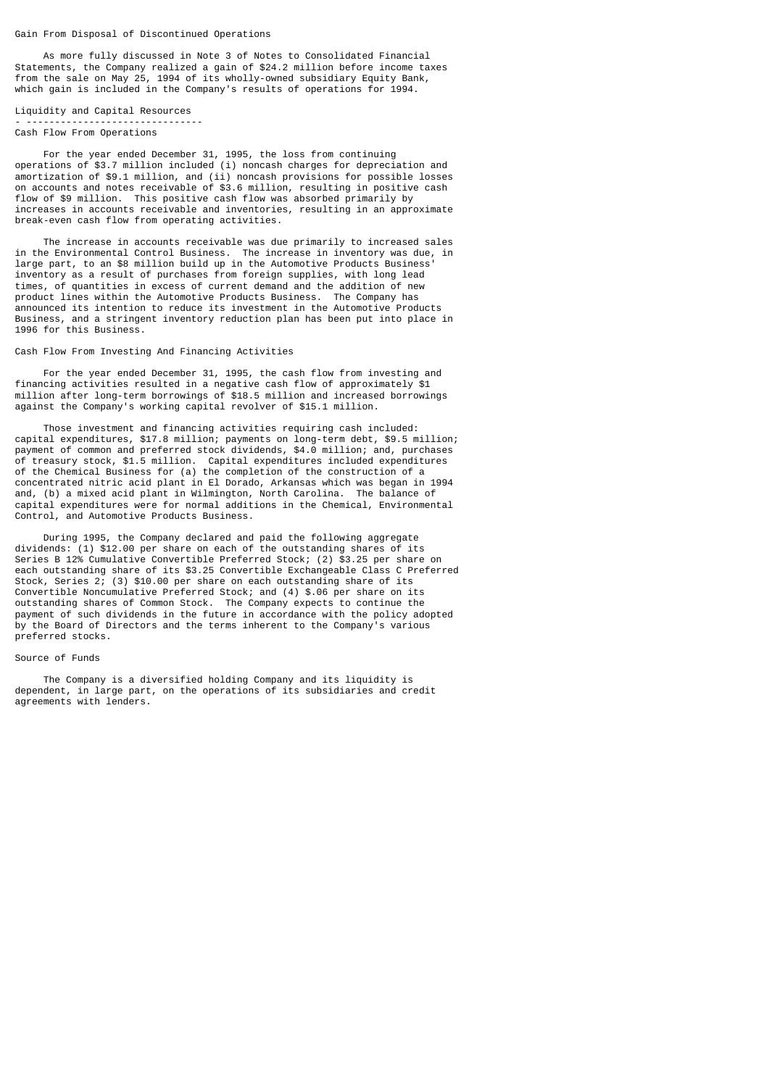Gain From Disposal of Discontinued Operations

 As more fully discussed in Note 3 of Notes to Consolidated Financial Statements, the Company realized a gain of \$24.2 million before income taxes from the sale on May 25, 1994 of its wholly-owned subsidiary Equity Bank, which gain is included in the Company's results of operations for 1994.

Liquidity and Capital Resources - ------------------------------- Cash Flow From Operations

 For the year ended December 31, 1995, the loss from continuing operations of \$3.7 million included (i) noncash charges for depreciation and amortization of \$9.1 million, and (ii) noncash provisions for possible losses on accounts and notes receivable of \$3.6 million, resulting in positive cash flow of \$9 million. This positive cash flow was absorbed primarily by increases in accounts receivable and inventories, resulting in an approximate break-even cash flow from operating activities.

 The increase in accounts receivable was due primarily to increased sales in the Environmental Control Business. The increase in inventory was due, in large part, to an \$8 million build up in the Automotive Products Business' inventory as a result of purchases from foreign supplies, with long lead times, of quantities in excess of current demand and the addition of new product lines within the Automotive Products Business. The Company has announced its intention to reduce its investment in the Automotive Products Business, and a stringent inventory reduction plan has been put into place in 1996 for this Business.

# Cash Flow From Investing And Financing Activities

 For the year ended December 31, 1995, the cash flow from investing and financing activities resulted in a negative cash flow of approximately \$1 million after long-term borrowings of \$18.5 million and increased borrowings against the Company's working capital revolver of \$15.1 million.

 Those investment and financing activities requiring cash included: capital expenditures, \$17.8 million; payments on long-term debt, \$9.5 million; payment of common and preferred stock dividends, \$4.0 million; and, purchases of treasury stock, \$1.5 million. Capital expenditures included expenditures of the Chemical Business for (a) the completion of the construction of a concentrated nitric acid plant in El Dorado, Arkansas which was began in 1994 and, (b) a mixed acid plant in Wilmington, North Carolina. The balance of capital expenditures were for normal additions in the Chemical, Environmental Control, and Automotive Products Business.

 During 1995, the Company declared and paid the following aggregate dividends: (1) \$12.00 per share on each of the outstanding shares of its Series B 12% Cumulative Convertible Preferred Stock; (2) \$3.25 per share on each outstanding share of its \$3.25 Convertible Exchangeable Class C Preferred Stock, Series 2; (3) \$10.00 per share on each outstanding share of its Convertible Noncumulative Preferred Stock; and (4) \$.06 per share on its outstanding shares of Common Stock. The Company expects to continue the payment of such dividends in the future in accordance with the policy adopted by the Board of Directors and the terms inherent to the Company's various preferred stocks.

### Source of Funds

 The Company is a diversified holding Company and its liquidity is dependent, in large part, on the operations of its subsidiaries and credit agreements with lenders.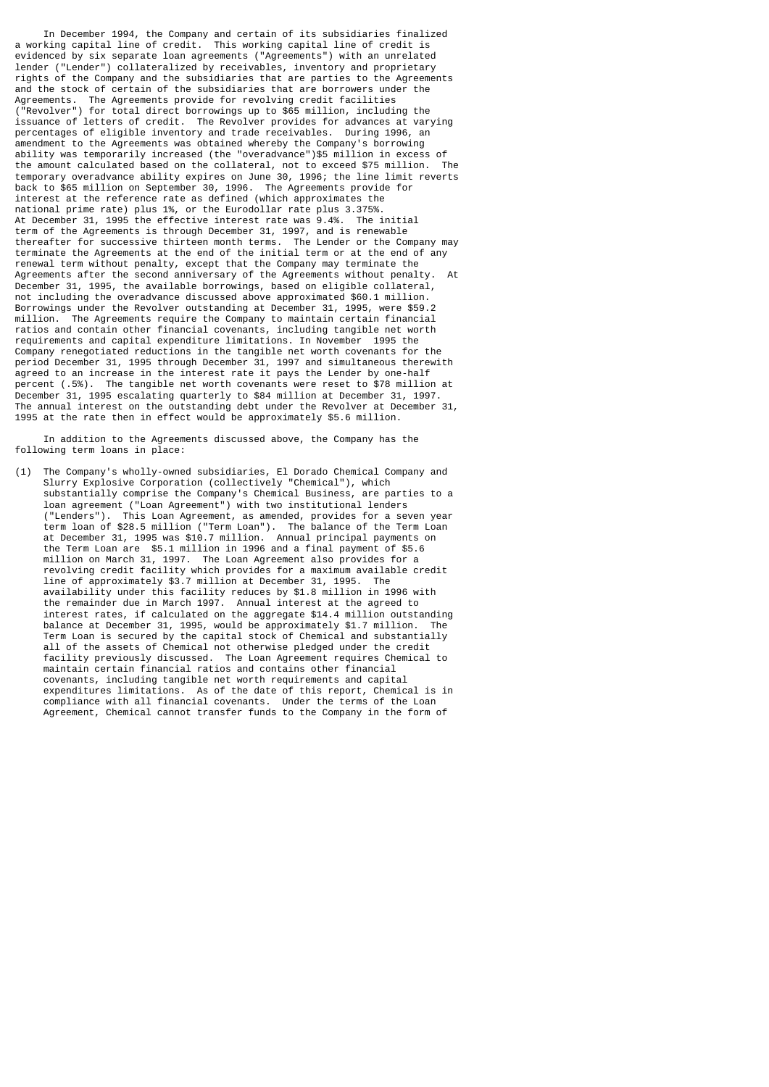In December 1994, the Company and certain of its subsidiaries finalized a working capital line of credit. This working capital line of credit is evidenced by six separate loan agreements ("Agreements") with an unrelated lender ("Lender") collateralized by receivables, inventory and proprietary rights of the Company and the subsidiaries that are parties to the Agreements and the stock of certain of the subsidiaries that are borrowers under the Agreements. The Agreements provide for revolving credit facilities ("Revolver") for total direct borrowings up to \$65 million, including the issuance of letters of credit. The Revolver provides for advances at varying percentages of eligible inventory and trade receivables. During 1996, an amendment to the Agreements was obtained whereby the Company's borrowing ability was temporarily increased (the "overadvance")\$5 million in excess of the amount calculated based on the collateral, not to exceed \$75 million. The temporary overadvance ability expires on June 30, 1996; the line limit reverts back to \$65 million on September 30, 1996. The Agreements provide for interest at the reference rate as defined (which approximates the national prime rate) plus 1%, or the Eurodollar rate plus 3.375%. At December 31, 1995 the effective interest rate was 9.4%. The initial term of the Agreements is through December 31, 1997, and is renewable thereafter for successive thirteen month terms. The Lender or the Company may terminate the Agreements at the end of the initial term or at the end of any renewal term without penalty, except that the Company may terminate the Agreements after the second anniversary of the Agreements without penalty. December 31, 1995, the available borrowings, based on eligible collateral, not including the overadvance discussed above approximated \$60.1 million. Borrowings under the Revolver outstanding at December 31, 1995, were \$59.2 million. The Agreements require the Company to maintain certain financial ratios and contain other financial covenants, including tangible net worth requirements and capital expenditure limitations. In November 1995 the Company renegotiated reductions in the tangible net worth covenants for the period December 31, 1995 through December 31, 1997 and simultaneous therewith agreed to an increase in the interest rate it pays the Lender by one-half percent (.5%). The tangible net worth covenants were reset to \$78 million at December 31, 1995 escalating quarterly to \$84 million at December 31, 1997. The annual interest on the outstanding debt under the Revolver at December 31, 1995 at the rate then in effect would be approximately \$5.6 million.

 In addition to the Agreements discussed above, the Company has the following term loans in place:

(1) The Company's wholly-owned subsidiaries, El Dorado Chemical Company and Slurry Explosive Corporation (collectively "Chemical"), which substantially comprise the Company's Chemical Business, are parties to a loan agreement ("Loan Agreement") with two institutional lenders ("Lenders"). This Loan Agreement, as amended, provides for a seven year term loan of \$28.5 million ("Term Loan"). The balance of the Term Loan at December 31, 1995 was \$10.7 million. Annual principal payments on the Term Loan are \$5.1 million in 1996 and a final payment of \$5.6 million on March 31, 1997. The Loan Agreement also provides for a revolving credit facility which provides for a maximum available credit line of approximately \$3.7 million at December 31, 1995. The availability under this facility reduces by \$1.8 million in 1996 with the remainder due in March 1997. Annual interest at the agreed to interest rates, if calculated on the aggregate \$14.4 million outstanding balance at December 31, 1995, would be approximately \$1.7 million. The Term Loan is secured by the capital stock of Chemical and substantially all of the assets of Chemical not otherwise pledged under the credit facility previously discussed. The Loan Agreement requires Chemical to maintain certain financial ratios and contains other financial covenants, including tangible net worth requirements and capital expenditures limitations. As of the date of this report, Chemical is in compliance with all financial covenants. Under the terms of the Loan Agreement, Chemical cannot transfer funds to the Company in the form of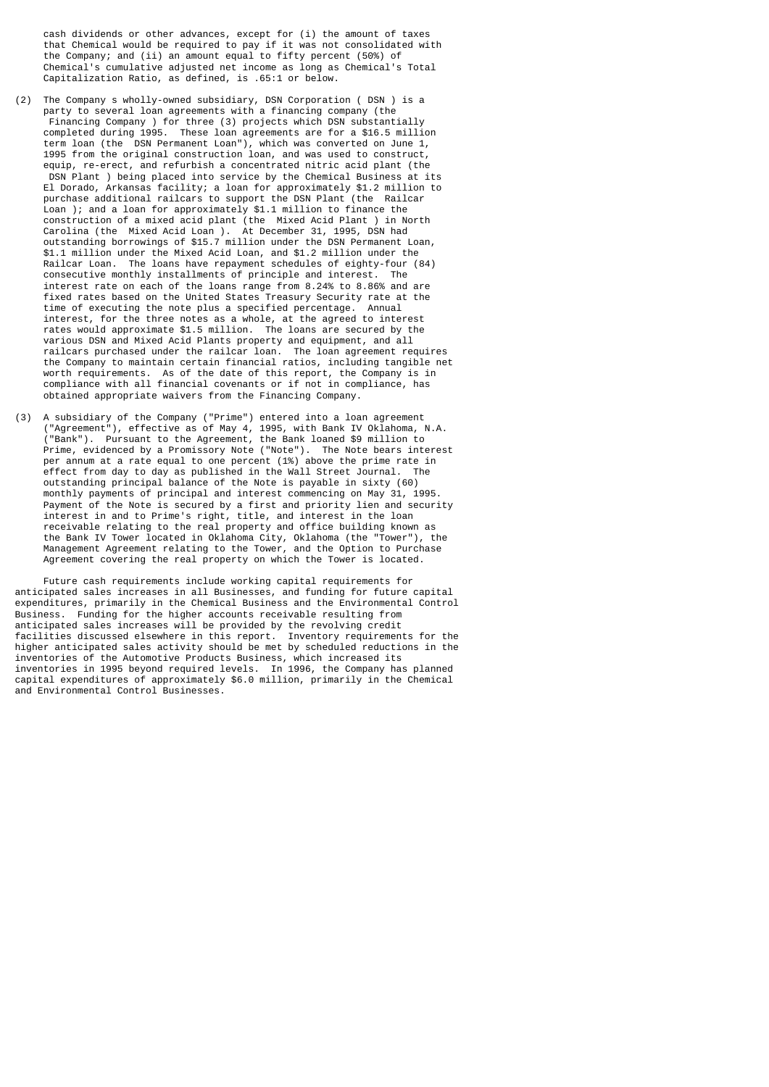cash dividends or other advances, except for (i) the amount of taxes that Chemical would be required to pay if it was not consolidated with the Company; and (ii) an amount equal to fifty percent (50%) of Chemical's cumulative adjusted net income as long as Chemical's Total Capitalization Ratio, as defined, is .65:1 or below.

- (2) The Company s wholly-owned subsidiary, DSN Corporation ( DSN ) is a party to several loan agreements with a financing company (the Financing Company ) for three (3) projects which DSN substantially completed during 1995. These loan agreements are for a \$16.5 million term loan (the DSN Permanent Loan"), which was converted on June 1, 1995 from the original construction loan, and was used to construct, equip, re-erect, and refurbish a concentrated nitric acid plant (the DSN Plant ) being placed into service by the Chemical Business at its El Dorado, Arkansas facility; a loan for approximately \$1.2 million to purchase additional railcars to support the DSN Plant (the Railcar Loan ); and a loan for approximately \$1.1 million to finance the construction of a mixed acid plant (the Mixed Acid Plant ) in North Carolina (the Mixed Acid Loan ). At December 31, 1995, DSN had outstanding borrowings of \$15.7 million under the DSN Permanent Loan, \$1.1 million under the Mixed Acid Loan, and \$1.2 million under the Railcar Loan. The loans have repayment schedules of eighty-four (84) consecutive monthly installments of principle and interest. The interest rate on each of the loans range from 8.24% to 8.86% and are fixed rates based on the United States Treasury Security rate at the time of executing the note plus a specified percentage. Annual interest, for the three notes as a whole, at the agreed to interest rates would approximate \$1.5 million. The loans are secured by the various DSN and Mixed Acid Plants property and equipment, and all railcars purchased under the railcar loan. The loan agreement requires the Company to maintain certain financial ratios, including tangible net worth requirements. As of the date of this report, the Company is in compliance with all financial covenants or if not in compliance, has obtained appropriate waivers from the Financing Company.
- (3) A subsidiary of the Company ("Prime") entered into a loan agreement ("Agreement"), effective as of May 4, 1995, with Bank IV Oklahoma, N.A. ("Bank"). Pursuant to the Agreement, the Bank loaned \$9 million to Prime, evidenced by a Promissory Note ("Note"). The Note bears interest per annum at a rate equal to one percent (1%) above the prime rate in effect from day to day as published in the Wall Street Journal. The outstanding principal balance of the Note is payable in sixty (60) monthly payments of principal and interest commencing on May 31, 1995. Payment of the Note is secured by a first and priority lien and security interest in and to Prime's right, title, and interest in the loan receivable relating to the real property and office building known as the Bank IV Tower located in Oklahoma City, Oklahoma (the "Tower"), the Management Agreement relating to the Tower, and the Option to Purchase Agreement covering the real property on which the Tower is located.

 Future cash requirements include working capital requirements for anticipated sales increases in all Businesses, and funding for future capital expenditures, primarily in the Chemical Business and the Environmental Control Business. Funding for the higher accounts receivable resulting from anticipated sales increases will be provided by the revolving credit facilities discussed elsewhere in this report. Inventory requirements for the higher anticipated sales activity should be met by scheduled reductions in the inventories of the Automotive Products Business, which increased its inventories in 1995 beyond required levels. In 1996, the Company has planned capital expenditures of approximately \$6.0 million, primarily in the Chemical and Environmental Control Businesses.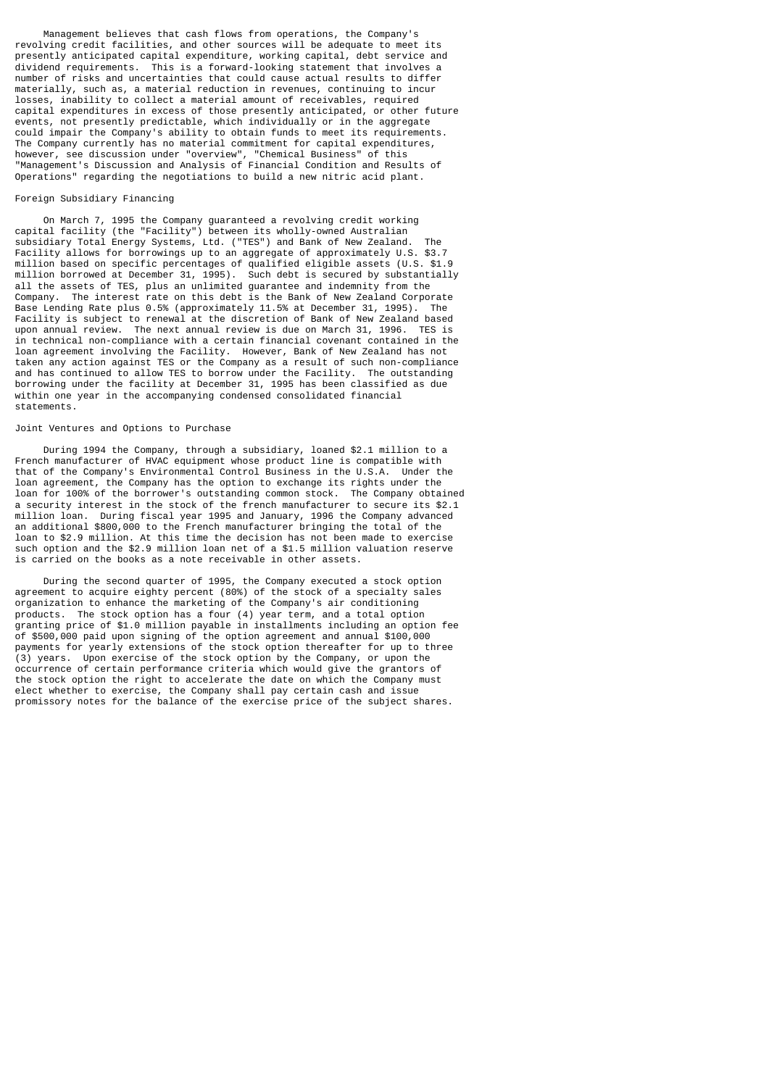Management believes that cash flows from operations, the Company's revolving credit facilities, and other sources will be adequate to meet its presently anticipated capital expenditure, working capital, debt service and dividend requirements. This is a forward-looking statement that involves a number of risks and uncertainties that could cause actual results to differ materially, such as, a material reduction in revenues, continuing to incur losses, inability to collect a material amount of receivables, required capital expenditures in excess of those presently anticipated, or other future events, not presently predictable, which individually or in the aggregate could impair the Company's ability to obtain funds to meet its requirements. The Company currently has no material commitment for capital expenditures, however, see discussion under "overview", "Chemical Business" of this "Management's Discussion and Analysis of Financial Condition and Results of Operations" regarding the negotiations to build a new nitric acid plant.

#### Foreign Subsidiary Financing

 On March 7, 1995 the Company guaranteed a revolving credit working capital facility (the "Facility") between its wholly-owned Australian subsidiary Total Energy Systems, Ltd. ("TES") and Bank of New Zealand. The Facility allows for borrowings up to an aggregate of approximately U.S. \$3.7 million based on specific percentages of qualified eligible assets (U.S. \$1.9 million borrowed at December 31, 1995). Such debt is secured by substantially all the assets of TES, plus an unlimited guarantee and indemnity from the<br>Company. The interest rate on this debt is the Bank of New Zealand Corpo The interest rate on this debt is the Bank of New Zealand Corporate Base Lending Rate plus 0.5% (approximately 11.5% at December 31, 1995). Facility is subject to renewal at the discretion of Bank of New Zealand based upon annual review. The next annual review is due on March 31, 1996. TES is in technical non-compliance with a certain financial covenant contained in the loan agreement involving the Facility. However, Bank of New Zealand has not taken any action against TES or the Company as a result of such non-compliance and has continued to allow TES to borrow under the Facility. The outstanding borrowing under the facility at December 31, 1995 has been classified as due within one year in the accompanying condensed consolidated financial statements.

### Joint Ventures and Options to Purchase

 During 1994 the Company, through a subsidiary, loaned \$2.1 million to a French manufacturer of HVAC equipment whose product line is compatible with that of the Company's Environmental Control Business in the U.S.A. Under the loan agreement, the Company has the option to exchange its rights under the loan for 100% of the borrower's outstanding common stock. The Company obtained a security interest in the stock of the french manufacturer to secure its \$2.1 million loan. During fiscal year 1995 and January, 1996 the Company advanced an additional \$800,000 to the French manufacturer bringing the total of the loan to \$2.9 million. At this time the decision has not been made to exercise such option and the \$2.9 million loan net of a \$1.5 million valuation reserve is carried on the books as a note receivable in other assets.

 During the second quarter of 1995, the Company executed a stock option agreement to acquire eighty percent (80%) of the stock of a specialty sales organization to enhance the marketing of the Company's air conditioning products. The stock option has a four (4) year term, and a total option granting price of \$1.0 million payable in installments including an option fee of \$500,000 paid upon signing of the option agreement and annual \$100,000 payments for yearly extensions of the stock option thereafter for up to three (3) years. Upon exercise of the stock option by the Company, or upon the occurrence of certain performance criteria which would give the grantors of the stock option the right to accelerate the date on which the Company must elect whether to exercise, the Company shall pay certain cash and issue promissory notes for the balance of the exercise price of the subject shares.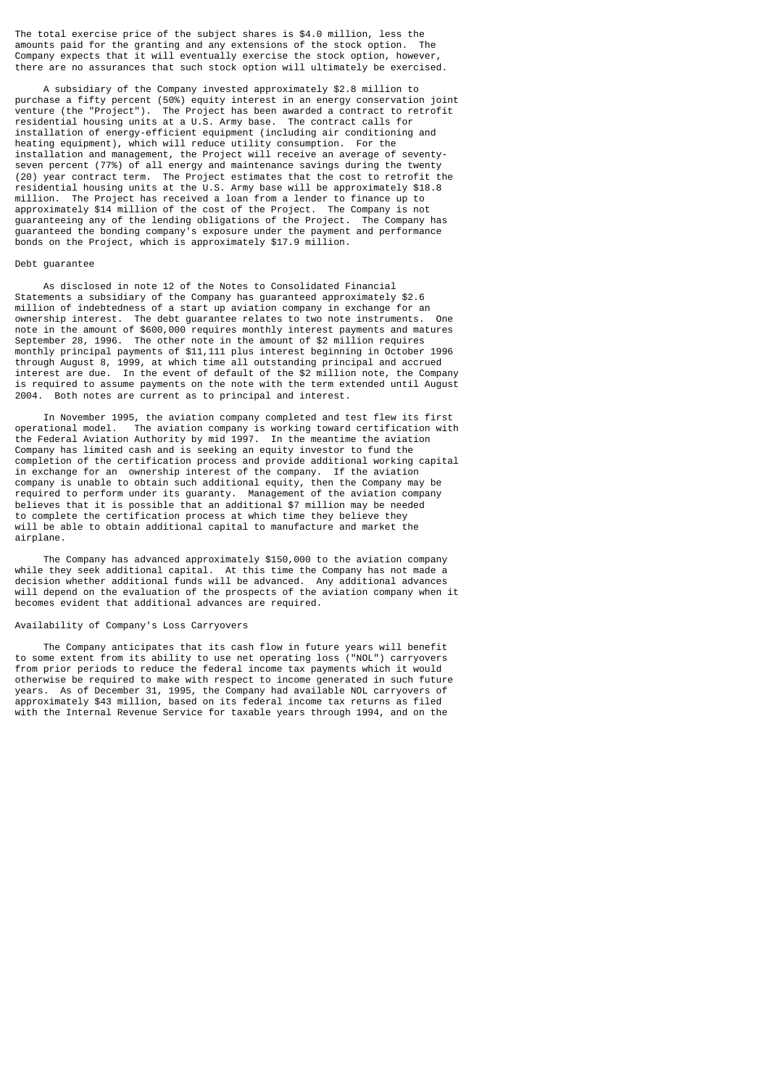The total exercise price of the subject shares is \$4.0 million, less the amounts paid for the granting and any extensions of the stock option. The Company expects that it will eventually exercise the stock option, however, there are no assurances that such stock option will ultimately be exercised.

 A subsidiary of the Company invested approximately \$2.8 million to purchase a fifty percent (50%) equity interest in an energy conservation joint venture (the "Project"). The Project has been awarded a contract to retrofit residential housing units at a U.S. Army base. The contract calls for installation of energy-efficient equipment (including air conditioning and heating equipment), which will reduce utility consumption. For the installation and management, the Project will receive an average of seventyseven percent (77%) of all energy and maintenance savings during the twenty (20) year contract term. The Project estimates that the cost to retrofit the residential housing units at the U.S. Army base will be approximately \$18.8 million. The Project has received a loan from a lender to finance up to approximately \$14 million of the cost of the Project. The Company is not guaranteeing any of the lending obligations of the Project. The Company has guaranteed the bonding company's exposure under the payment and performance bonds on the Project, which is approximately \$17.9 million.

# Debt guarantee

 As disclosed in note 12 of the Notes to Consolidated Financial Statements a subsidiary of the Company has guaranteed approximately \$2.6 million of indebtedness of a start up aviation company in exchange for an ownership interest. The debt guarantee relates to two note instruments. note in the amount of \$600,000 requires monthly interest payments and matures September 28, 1996. The other note in the amount of \$2 million requires monthly principal payments of \$11,111 plus interest beginning in October 1996 through August 8, 1999, at which time all outstanding principal and accrued interest are due. In the event of default of the \$2 million note, the Company is required to assume payments on the note with the term extended until August 2004. Both notes are current as to principal and interest.

 In November 1995, the aviation company completed and test flew its first operational model. The aviation company is working toward certification with the Federal Aviation Authority by mid 1997. In the meantime the aviation Company has limited cash and is seeking an equity investor to fund the completion of the certification process and provide additional working capital in exchange for an ownership interest of the company. If the aviation company is unable to obtain such additional equity, then the Company may be required to perform under its guaranty. Management of the aviation company believes that it is possible that an additional \$7 million may be needed to complete the certification process at which time they believe they will be able to obtain additional capital to manufacture and market the airplane.

 The Company has advanced approximately \$150,000 to the aviation company while they seek additional capital. At this time the Company has not made a decision whether additional funds will be advanced. Any additional advances will depend on the evaluation of the prospects of the aviation company when it becomes evident that additional advances are required.

#### Availability of Company's Loss Carryovers

 The Company anticipates that its cash flow in future years will benefit to some extent from its ability to use net operating loss ("NOL") carryovers from prior periods to reduce the federal income tax payments which it would otherwise be required to make with respect to income generated in such future years. As of December 31, 1995, the Company had available NOL carryovers of approximately \$43 million, based on its federal income tax returns as filed with the Internal Revenue Service for taxable years through 1994, and on the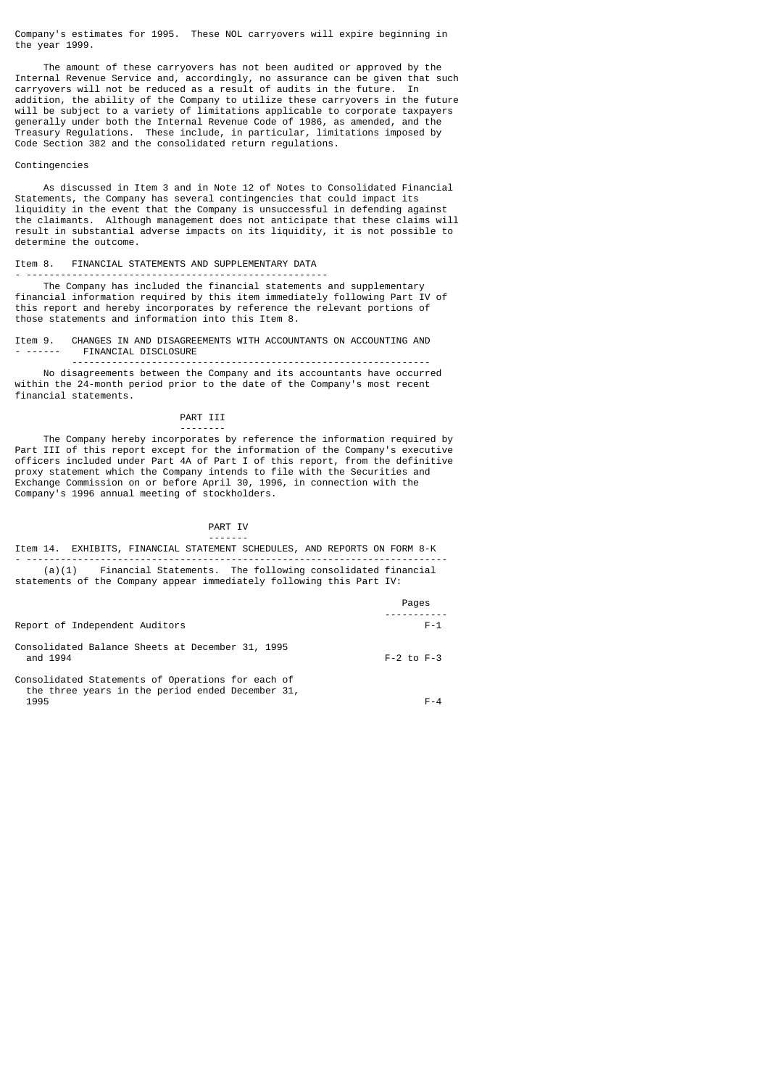Company's estimates for 1995. These NOL carryovers will expire beginning in the year 1999.

 The amount of these carryovers has not been audited or approved by the Internal Revenue Service and, accordingly, no assurance can be given that such carryovers will not be reduced as a result of audits in the future. In addition, the ability of the Company to utilize these carryovers in the future will be subject to a variety of limitations applicable to corporate taxpayers generally under both the Internal Revenue Code of 1986, as amended, and the Treasury Regulations. These include, in particular, limitations imposed by Code Section 382 and the consolidated return regulations.

#### Contingencies

 As discussed in Item 3 and in Note 12 of Notes to Consolidated Financial Statements, the Company has several contingencies that could impact its liquidity in the event that the Company is unsuccessful in defending against the claimants. Although management does not anticipate that these claims will result in substantial adverse impacts on its liquidity, it is not possible to determine the outcome.

# Item 8. FINANCIAL STATEMENTS AND SUPPLEMENTARY DATA

--------

- ----------------------------------------------------- The Company has included the financial statements and supplementary financial information required by this item immediately following Part IV of this report and hereby incorporates by reference the relevant portions of those statements and information into this Item 8.

Item 9. CHANGES IN AND DISAGREEMENTS WITH ACCOUNTANTS ON ACCOUNTING AND - ------ FINANCIAL DISCLOSURE

 --------------------------------------------------------------- No disagreements between the Company and its accountants have occurred within the 24-month period prior to the date of the Company's most recent financial statements.

# PART III

 The Company hereby incorporates by reference the information required by Part III of this report except for the information of the Company's executive officers included under Part 4A of Part I of this report, from the definitive proxy statement which the Company intends to file with the Securities and Exchange Commission on or before April 30, 1996, in connection with the Company's 1996 annual meeting of stockholders.

# PART IV

### ------- Item 14. EXHIBITS, FINANCIAL STATEMENT SCHEDULES, AND REPORTS ON FORM 8-K - -------------------------------------------------------------------------- (a)(1) Financial Statements. The following consolidated financial statements of the Company appear immediately following this Part IV:

|                                                                                                       | Pages          |
|-------------------------------------------------------------------------------------------------------|----------------|
|                                                                                                       |                |
| Report of Independent Auditors                                                                        | $F - 1$        |
| Consolidated Balance Sheets at December 31, 1995<br>and 1994                                          | $F-2$ to $F-3$ |
| Consolidated Statements of Operations for each of<br>the three years in the period ended December 31, |                |
| 1995                                                                                                  | F-4            |

 $1995$  F-4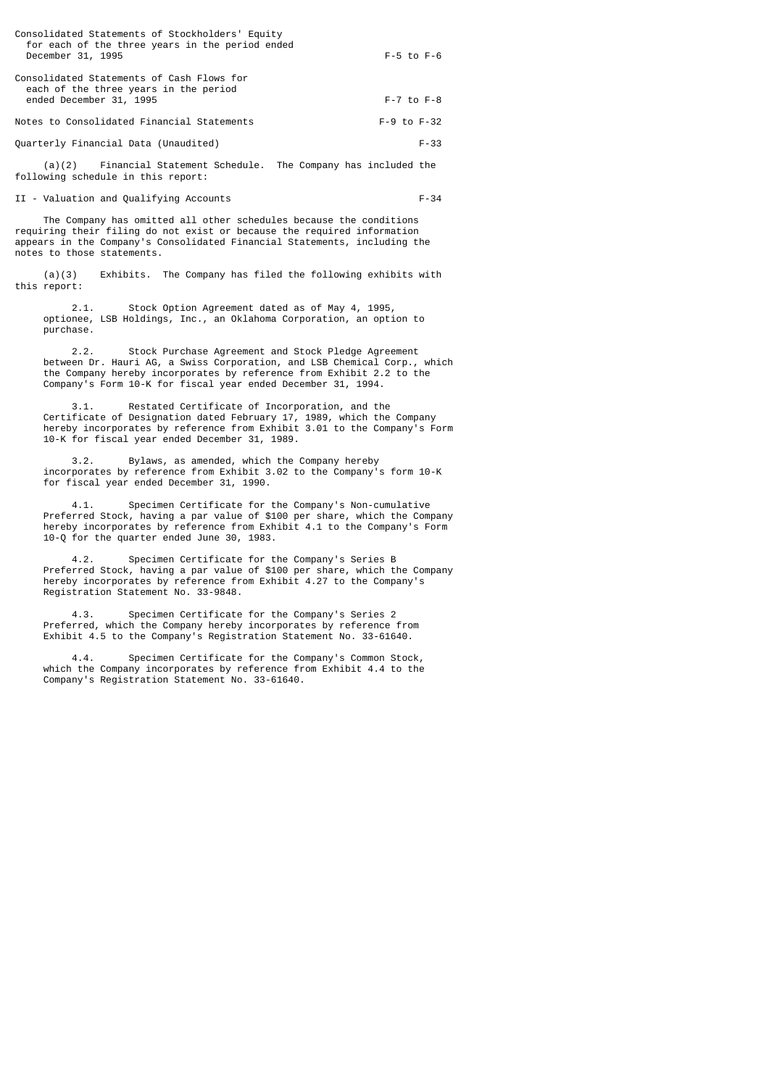| Consolidated Statements of Stockholders' Equity<br>for each of the three years in the period ended<br>December 31, 1995 | $F-5$ to $F-6$     |
|-------------------------------------------------------------------------------------------------------------------------|--------------------|
| Consolidated Statements of Cash Flows for<br>each of the three years in the period<br>ended December 31, 1995           | $F - 7$ to $F - 8$ |
| Notes to Consolidated Financial Statements                                                                              | $F-9$ to $F-32$    |
| Quarterly Financial Data (Unaudited)                                                                                    | $F - 33$           |

 (a)(2) Financial Statement Schedule. The Company has included the following schedule in this report:

II - Valuation and Qualifying Accounts F-34

 The Company has omitted all other schedules because the conditions requiring their filing do not exist or because the required information appears in the Company's Consolidated Financial Statements, including the notes to those statements.

 (a)(3) Exhibits. The Company has filed the following exhibits with this report:

 2.1. Stock Option Agreement dated as of May 4, 1995, optionee, LSB Holdings, Inc., an Oklahoma Corporation, an option to purchase.

 2.2. Stock Purchase Agreement and Stock Pledge Agreement between Dr. Hauri AG, a Swiss Corporation, and LSB Chemical Corp., which the Company hereby incorporates by reference from Exhibit 2.2 to the Company's Form 10-K for fiscal year ended December 31, 1994.

 3.1. Restated Certificate of Incorporation, and the Certificate of Designation dated February 17, 1989, which the Company hereby incorporates by reference from Exhibit 3.01 to the Company's Form 10-K for fiscal year ended December 31, 1989.

 3.2. Bylaws, as amended, which the Company hereby incorporates by reference from Exhibit 3.02 to the Company's form 10-K for fiscal year ended December 31, 1990.

 4.1. Specimen Certificate for the Company's Non-cumulative Preferred Stock, having a par value of \$100 per share, which the Company hereby incorporates by reference from Exhibit 4.1 to the Company's Form 10-Q for the quarter ended June 30, 1983.

 4.2. Specimen Certificate for the Company's Series B Preferred Stock, having a par value of \$100 per share, which the Company hereby incorporates by reference from Exhibit 4.27 to the Company's Registration Statement No. 33-9848.

 4.3. Specimen Certificate for the Company's Series 2 Preferred, which the Company hereby incorporates by reference from Exhibit 4.5 to the Company's Registration Statement No. 33-61640.

 4.4. Specimen Certificate for the Company's Common Stock, which the Company incorporates by reference from Exhibit 4.4 to the Company's Registration Statement No. 33-61640.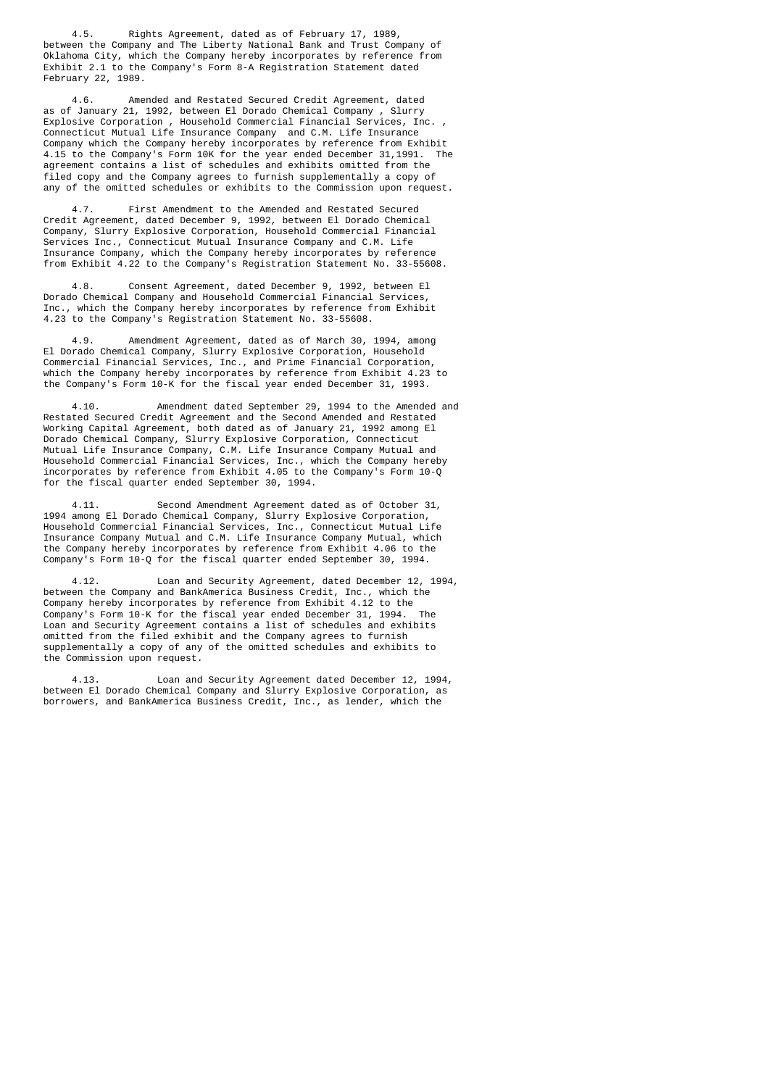4.5. Rights Agreement, dated as of February 17, 1989, between the Company and The Liberty National Bank and Trust Company of Oklahoma City, which the Company hereby incorporates by reference from Exhibit 2.1 to the Company's Form 8-A Registration Statement dated February 22, 1989.

 4.6. Amended and Restated Secured Credit Agreement, dated as of January 21, 1992, between El Dorado Chemical Company , Slurry Explosive Corporation , Household Commercial Financial Services, Inc. , Connecticut Mutual Life Insurance Company and C.M. Life Insurance Company which the Company hereby incorporates by reference from Exhibit 4.15 to the Company's Form 10K for the year ended December 31,1991. The agreement contains a list of schedules and exhibits omitted from the filed copy and the Company agrees to furnish supplementally a copy of any of the omitted schedules or exhibits to the Commission upon request.

First Amendment to the Amended and Restated Secured Credit Agreement, dated December 9, 1992, between El Dorado Chemical Company, Slurry Explosive Corporation, Household Commercial Financial Services Inc., Connecticut Mutual Insurance Company and C.M. Life Insurance Company, which the Company hereby incorporates by reference from Exhibit 4.22 to the Company's Registration Statement No. 33-55608.

Consent Agreement, dated December 9, 1992, between El Dorado Chemical Company and Household Commercial Financial Services, Inc., which the Company hereby incorporates by reference from Exhibit 4.23 to the Company's Registration Statement No. 33-55608.

Amendment Agreement, dated as of March 30, 1994, among El Dorado Chemical Company, Slurry Explosive Corporation, Household Commercial Financial Services, Inc., and Prime Financial Corporation, which the Company hereby incorporates by reference from Exhibit 4.23 to the Company's Form 10-K for the fiscal year ended December 31, 1993.

 4.10. Amendment dated September 29, 1994 to the Amended and Restated Secured Credit Agreement and the Second Amended and Restated Working Capital Agreement, both dated as of January 21, 1992 among El Dorado Chemical Company, Slurry Explosive Corporation, Connecticut Mutual Life Insurance Company, C.M. Life Insurance Company Mutual and Household Commercial Financial Services, Inc., which the Company hereby incorporates by reference from Exhibit 4.05 to the Company's Form 10-Q for the fiscal quarter ended September 30, 1994.

 4.11. Second Amendment Agreement dated as of October 31, 1994 among El Dorado Chemical Company, Slurry Explosive Corporation, Household Commercial Financial Services, Inc., Connecticut Mutual Life Insurance Company Mutual and C.M. Life Insurance Company Mutual, which the Company hereby incorporates by reference from Exhibit 4.06 to the Company's Form 10-Q for the fiscal quarter ended September 30, 1994.

 4.12. Loan and Security Agreement, dated December 12, 1994, between the Company and BankAmerica Business Credit, Inc., which the Company hereby incorporates by reference from Exhibit 4.12 to the<br>Company's Form 10-K for the fiscal vear ended December 31, 1994. The Company's Form 10-K for the fiscal year ended December 31, 1994. Loan and Security Agreement contains a list of schedules and exhibits omitted from the filed exhibit and the Company agrees to furnish supplementally a copy of any of the omitted schedules and exhibits to the Commission upon request.

 4.13. Loan and Security Agreement dated December 12, 1994, between El Dorado Chemical Company and Slurry Explosive Corporation, as borrowers, and BankAmerica Business Credit, Inc., as lender, which the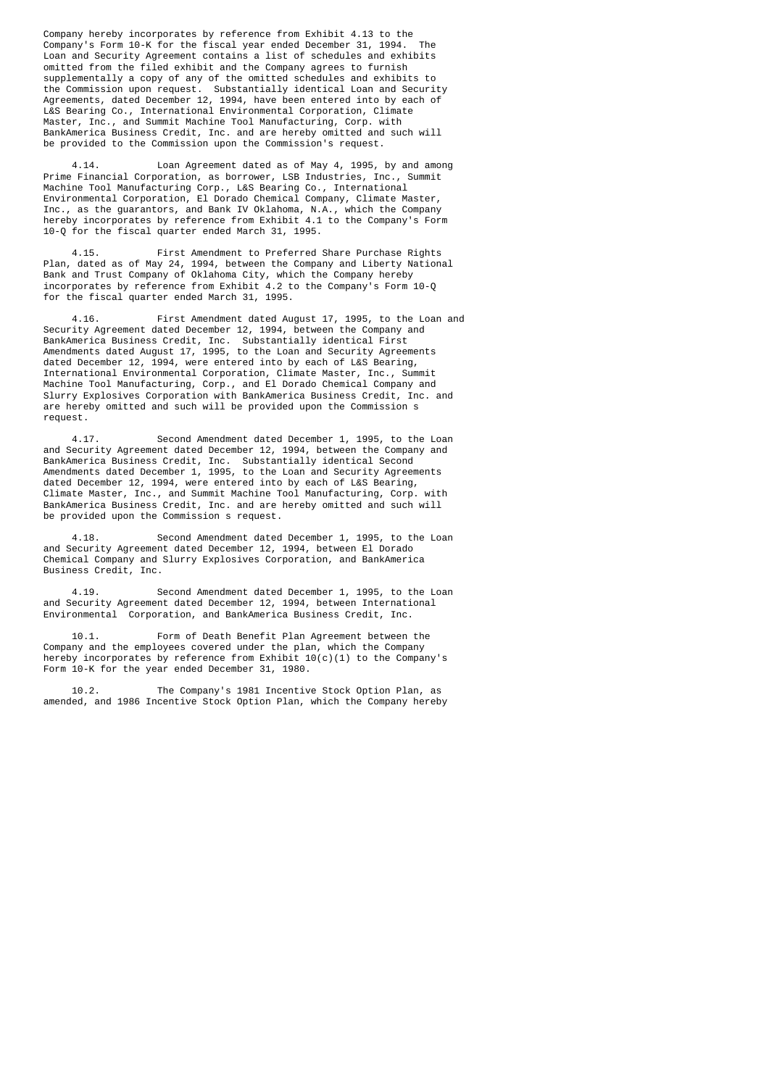Company hereby incorporates by reference from Exhibit 4.13 to the<br>Company's Form 10-K for the fiscal year ended December 31, 1994. The Company's Form 10-K for the fiscal year ended December 31, 1994. Loan and Security Agreement contains a list of schedules and exhibits omitted from the filed exhibit and the Company agrees to furnish supplementally a copy of any of the omitted schedules and exhibits to the Commission upon request. Substantially identical Loan and Security Agreements, dated December 12, 1994, have been entered into by each of L&S Bearing Co., International Environmental Corporation, Climate Master, Inc., and Summit Machine Tool Manufacturing, Corp. with BankAmerica Business Credit, Inc. and are hereby omitted and such will be provided to the Commission upon the Commission's request.

 4.14. Loan Agreement dated as of May 4, 1995, by and among Prime Financial Corporation, as borrower, LSB Industries, Inc., Summit Machine Tool Manufacturing Corp., L&S Bearing Co., International Environmental Corporation, El Dorado Chemical Company, Climate Master, Inc., as the guarantors, and Bank IV Oklahoma, N.A., which the Company hereby incorporates by reference from Exhibit 4.1 to the Company's Form 10-Q for the fiscal quarter ended March 31, 1995.

 4.15. First Amendment to Preferred Share Purchase Rights Plan, dated as of May 24, 1994, between the Company and Liberty National Bank and Trust Company of Oklahoma City, which the Company hereby incorporates by reference from Exhibit 4.2 to the Company's Form 10-Q for the fiscal quarter ended March 31, 1995.

 4.16. First Amendment dated August 17, 1995, to the Loan and Security Agreement dated December 12, 1994, between the Company and BankAmerica Business Credit, Inc. Substantially identical First Amendments dated August 17, 1995, to the Loan and Security Agreements dated December 12, 1994, were entered into by each of L&S Bearing, International Environmental Corporation, Climate Master, Inc., Summit Machine Tool Manufacturing, Corp., and El Dorado Chemical Company and Slurry Explosives Corporation with BankAmerica Business Credit, Inc. and are hereby omitted and such will be provided upon the Commission s request.

 4.17. Second Amendment dated December 1, 1995, to the Loan and Security Agreement dated December 12, 1994, between the Company and BankAmerica Business Credit, Inc. Substantially identical Second Amendments dated December 1, 1995, to the Loan and Security Agreements dated December 12, 1994, were entered into by each of L&S Bearing, Climate Master, Inc., and Summit Machine Tool Manufacturing, Corp. with BankAmerica Business Credit, Inc. and are hereby omitted and such will be provided upon the Commission s request.

 4.18. Second Amendment dated December 1, 1995, to the Loan and Security Agreement dated December 12, 1994, between El Dorado Chemical Company and Slurry Explosives Corporation, and BankAmerica Business Credit, Inc.

 4.19. Second Amendment dated December 1, 1995, to the Loan and Security Agreement dated December 12, 1994, between International Environmental Corporation, and BankAmerica Business Credit, Inc.

 10.1. Form of Death Benefit Plan Agreement between the Company and the employees covered under the plan, which the Company hereby incorporates by reference from Exhibit 10(c)(1) to the Company's Form 10-K for the year ended December 31, 1980.

 10.2. The Company's 1981 Incentive Stock Option Plan, as amended, and 1986 Incentive Stock Option Plan, which the Company hereby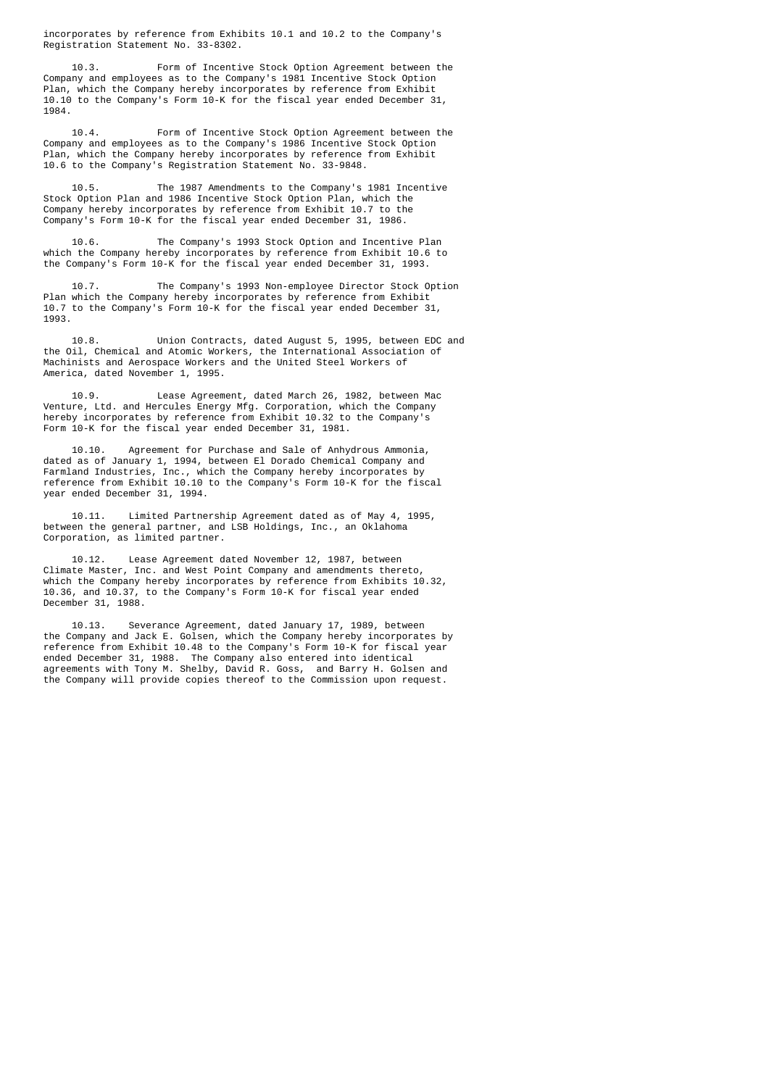incorporates by reference from Exhibits 10.1 and 10.2 to the Company's Registration Statement No. 33-8302.

 10.3. Form of Incentive Stock Option Agreement between the Company and employees as to the Company's 1981 Incentive Stock Option Plan, which the Company hereby incorporates by reference from Exhibit 10.10 to the Company's Form 10-K for the fiscal year ended December 31, 1984.

 10.4. Form of Incentive Stock Option Agreement between the Company and employees as to the Company's 1986 Incentive Stock Option Plan, which the Company hereby incorporates by reference from Exhibit 10.6 to the Company's Registration Statement No. 33-9848.

 10.5. The 1987 Amendments to the Company's 1981 Incentive Stock Option Plan and 1986 Incentive Stock Option Plan, which the Company hereby incorporates by reference from Exhibit 10.7 to the Company's Form 10-K for the fiscal year ended December 31, 1986.

 10.6. The Company's 1993 Stock Option and Incentive Plan which the Company hereby incorporates by reference from Exhibit 10.6 to the Company's Form 10-K for the fiscal year ended December 31, 1993.

The Company's 1993 Non-employee Director Stock Option Plan which the Company hereby incorporates by reference from Exhibit 10.7 to the Company's Form 10-K for the fiscal year ended December 31, 1993.

 10.8. Union Contracts, dated August 5, 1995, between EDC and the Oil, Chemical and Atomic Workers, the International Association of Machinists and Aerospace Workers and the United Steel Workers of America, dated November 1, 1995.

 10.9. Lease Agreement, dated March 26, 1982, between Mac Venture, Ltd. and Hercules Energy Mfg. Corporation, which the Company hereby incorporates by reference from Exhibit 10.32 to the Company's Form 10-K for the fiscal year ended December 31, 1981.

 10.10. Agreement for Purchase and Sale of Anhydrous Ammonia, dated as of January 1, 1994, between El Dorado Chemical Company and Farmland Industries, Inc., which the Company hereby incorporates by reference from Exhibit 10.10 to the Company's Form 10-K for the fiscal year ended December 31, 1994.

 10.11. Limited Partnership Agreement dated as of May 4, 1995, between the general partner, and LSB Holdings, Inc., an Oklahoma Corporation, as limited partner.

 10.12. Lease Agreement dated November 12, 1987, between Climate Master, Inc. and West Point Company and amendments thereto, which the Company hereby incorporates by reference from Exhibits 10.32, 10.36, and 10.37, to the Company's Form 10-K for fiscal year ended December 31, 1988.

 10.13. Severance Agreement, dated January 17, 1989, between the Company and Jack E. Golsen, which the Company hereby incorporates by reference from Exhibit 10.48 to the Company's Form 10-K for fiscal year ended December 31, 1988. The Company also entered into identical agreements with Tony M. Shelby, David R. Goss, and Barry H. Golsen and the Company will provide copies thereof to the Commission upon request.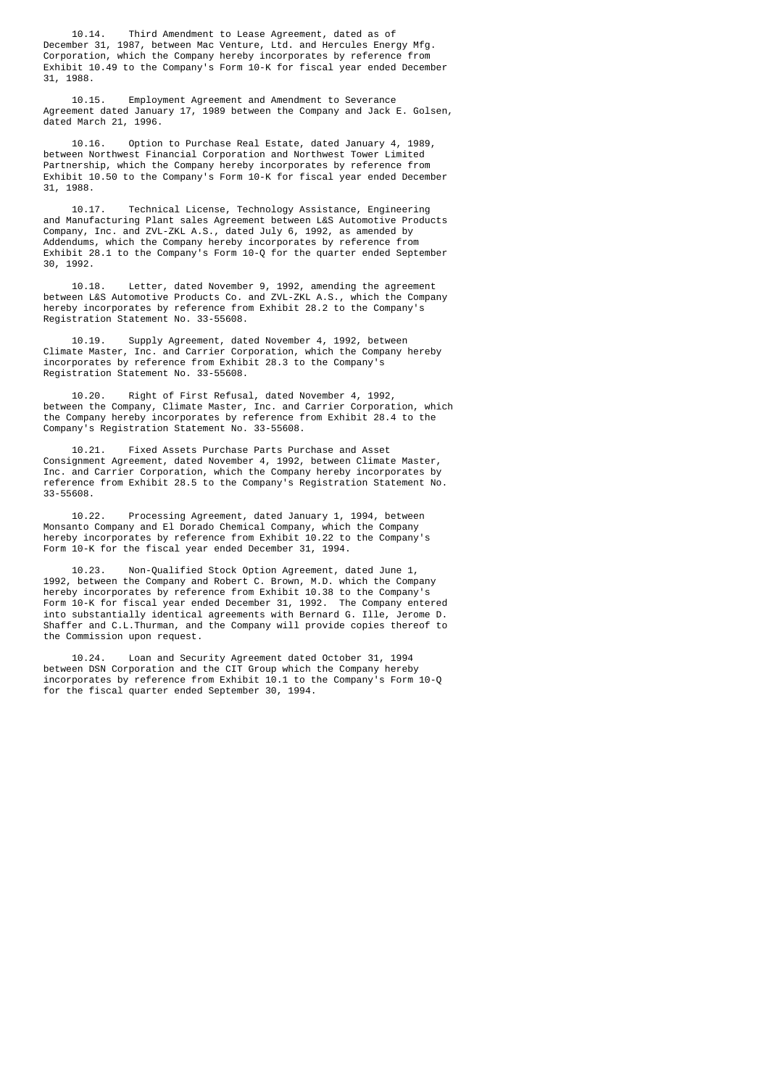10.14. Third Amendment to Lease Agreement, dated as of December 31, 1987, between Mac Venture, Ltd. and Hercules Energy Mfg. Corporation, which the Company hereby incorporates by reference from Exhibit 10.49 to the Company's Form 10-K for fiscal year ended December 31, 1988.

 10.15. Employment Agreement and Amendment to Severance Agreement dated January 17, 1989 between the Company and Jack E. Golsen, dated March 21, 1996.

 10.16. Option to Purchase Real Estate, dated January 4, 1989, between Northwest Financial Corporation and Northwest Tower Limited Partnership, which the Company hereby incorporates by reference from Exhibit 10.50 to the Company's Form 10-K for fiscal year ended December 31, 1988.

 10.17. Technical License, Technology Assistance, Engineering and Manufacturing Plant sales Agreement between L&S Automotive Products Company, Inc. and ZVL-ZKL A.S., dated July 6, 1992, as amended by Addendums, which the Company hereby incorporates by reference from Exhibit 28.1 to the Company's Form 10-Q for the quarter ended September 30, 1992.

 10.18. Letter, dated November 9, 1992, amending the agreement between L&S Automotive Products Co. and ZVL-ZKL A.S., which the Company hereby incorporates by reference from Exhibit 28.2 to the Company's Registration Statement No. 33-55608.

 10.19. Supply Agreement, dated November 4, 1992, between Climate Master, Inc. and Carrier Corporation, which the Company hereby incorporates by reference from Exhibit 28.3 to the Company's Registration Statement No. 33-55608.

 10.20. Right of First Refusal, dated November 4, 1992, between the Company, Climate Master, Inc. and Carrier Corporation, which the Company hereby incorporates by reference from Exhibit 28.4 to the Company's Registration Statement No. 33-55608.

 10.21. Fixed Assets Purchase Parts Purchase and Asset Consignment Agreement, dated November 4, 1992, between Climate Master, Inc. and Carrier Corporation, which the Company hereby incorporates by reference from Exhibit 28.5 to the Company's Registration Statement No. 33-55608.

 10.22. Processing Agreement, dated January 1, 1994, between Monsanto Company and El Dorado Chemical Company, which the Company hereby incorporates by reference from Exhibit 10.22 to the Company's Form 10-K for the fiscal year ended December 31, 1994.

 10.23. Non-Qualified Stock Option Agreement, dated June 1, 1992, between the Company and Robert C. Brown, M.D. which the Company hereby incorporates by reference from Exhibit 10.38 to the Company's Form 10-K for fiscal year ended December 31, 1992. The Company entered into substantially identical agreements with Bernard G. Ille, Jerome D. Shaffer and C.L.Thurman, and the Company will provide copies thereof to the Commission upon request.

 10.24. Loan and Security Agreement dated October 31, 1994 between DSN Corporation and the CIT Group which the Company hereby incorporates by reference from Exhibit 10.1 to the Company's Form 10-Q for the fiscal quarter ended September 30, 1994.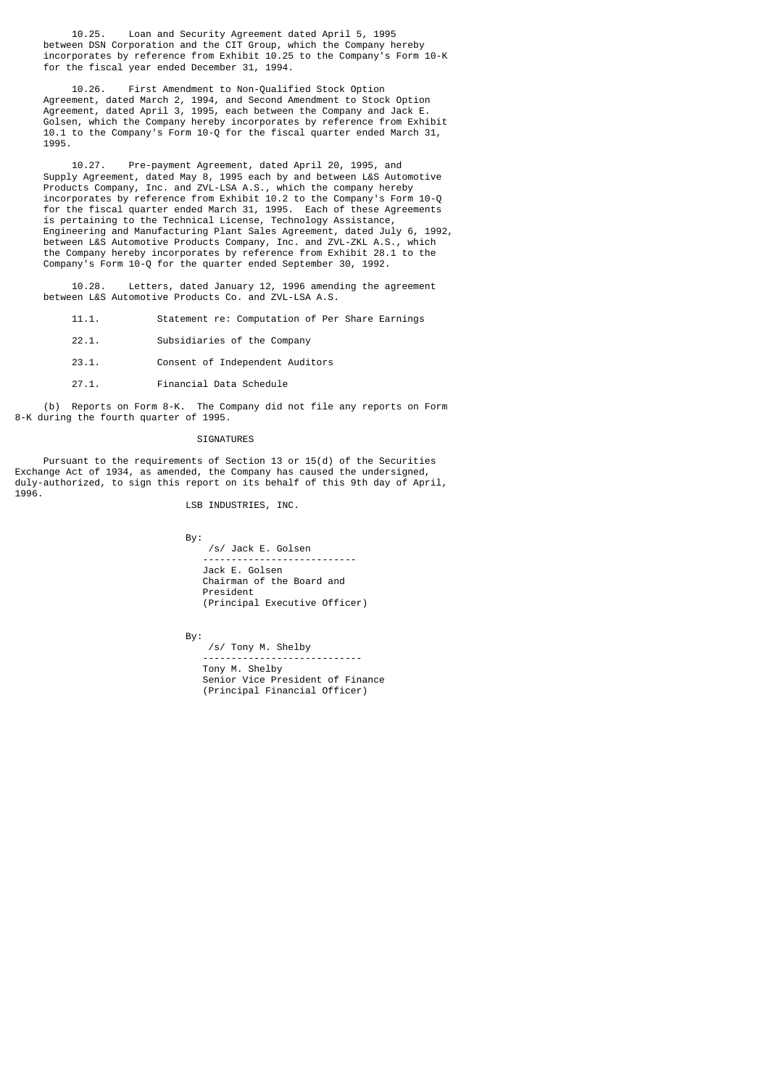10.25. Loan and Security Agreement dated April 5, 1995 between DSN Corporation and the CIT Group, which the Company hereby incorporates by reference from Exhibit 10.25 to the Company's Form 10-K for the fiscal year ended December 31, 1994.

 10.26. First Amendment to Non-Qualified Stock Option Agreement, dated March 2, 1994, and Second Amendment to Stock Option Agreement, dated April 3, 1995, each between the Company and Jack E. Golsen, which the Company hereby incorporates by reference from Exhibit 10.1 to the Company's Form 10-Q for the fiscal quarter ended March 31, 1995.

 10.27. Pre-payment Agreement, dated April 20, 1995, and Supply Agreement, dated May 8, 1995 each by and between L&S Automotive Products Company, Inc. and ZVL-LSA A.S., which the company hereby incorporates by reference from Exhibit 10.2 to the Company's Form 10-Q for the fiscal quarter ended March 31, 1995. Each of these Agreements is pertaining to the Technical License, Technology Assistance, Engineering and Manufacturing Plant Sales Agreement, dated July 6, 1992, between L&S Automotive Products Company, Inc. and ZVL-ZKL A.S., which the Company hereby incorporates by reference from Exhibit 28.1 to the Company's Form 10-Q for the quarter ended September 30, 1992.

 10.28. Letters, dated January 12, 1996 amending the agreement between L&S Automotive Products Co. and ZVL-LSA A.S.

- 11.1. Statement re: Computation of Per Share Earnings
- 22.1. Subsidiaries of the Company
- 23.1. Consent of Independent Auditors
- 27.1. Financial Data Schedule

 (b) Reports on Form 8-K. The Company did not file any reports on Form 8-K during the fourth quarter of 1995.

#### SIGNATURES

 Pursuant to the requirements of Section 13 or 15(d) of the Securities Exchange Act of 1934, as amended, the Company has caused the undersigned, duly-authorized, to sign this report on its behalf of this 9th day of April, 1996.

LSB INDUSTRIES, INC.

By:

 /s/ Jack E. Golsen --------------------------- Jack E. Golsen Chairman of the Board and President (Principal Executive Officer)

By:

 /s/ Tony M. Shelby ---------------------------- Tony M. Shelby Senior Vice President of Finance (Principal Financial Officer)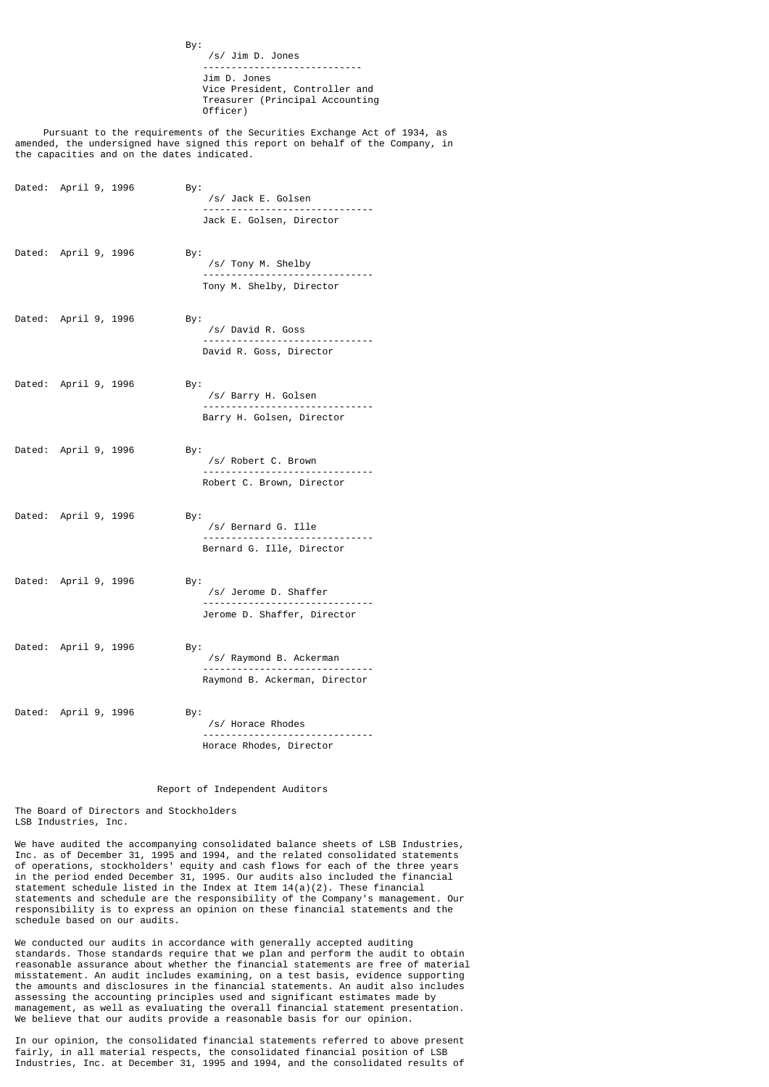By: /s/ Jim D. Jones ---------------------------- Jim D. Jones Vice President, Controller and Treasurer (Principal Accounting Officer)

 Pursuant to the requirements of the Securities Exchange Act of 1934, as amended, the undersigned have signed this report on behalf of the Company, in the capacities and on the dates indicated.

| Dated: April 9, 1996 | By:<br>/s/ Jack E. Golsen<br>-----------                        |
|----------------------|-----------------------------------------------------------------|
|                      | Jack E. Golsen, Director                                        |
| Dated: April 9, 1996 | By:<br>/s/ Tony M. Shelby                                       |
|                      | Tony M. Shelby, Director                                        |
| Dated: April 9, 1996 | By:<br>/s/ David R. Goss                                        |
|                      | David R. Goss, Director                                         |
| Dated: April 9, 1996 | By:<br>/s/ Barry H. Golsen<br>Barry H. Golsen, Director         |
| Dated: April 9, 1996 | By:<br>/s/ Robert C. Brown                                      |
|                      | Robert C. Brown, Director                                       |
| Dated: April 9, 1996 | By:<br>/s/ Bernard G. Ille<br>Bernard G. Ille, Director         |
| Dated: April 9, 1996 | By:<br>/s/ Jerome D. Shaffer<br>Jerome D. Shaffer, Director     |
| Dated: April 9, 1996 | By:<br>/s/ Raymond B. Ackerman<br>Raymond B. Ackerman, Director |
| Dated: April 9, 1996 | By:<br>/s/ Horace Rhodes                                        |
|                      | Horace Rhodes, Director                                         |

## Report of Independent Auditors

The Board of Directors and Stockholders LSB Industries, Inc.

We have audited the accompanying consolidated balance sheets of LSB Industries, Inc. as of December 31, 1995 and 1994, and the related consolidated statements of operations, stockholders' equity and cash flows for each of the three years in the period ended December 31, 1995. Our audits also included the financial statement schedule listed in the Index at Item 14(a)(2). These financial statements and schedule are the responsibility of the Company's management. Our responsibility is to express an opinion on these financial statements and the schedule based on our audits.

We conducted our audits in accordance with generally accepted auditing standards. Those standards require that we plan and perform the audit to obtain reasonable assurance about whether the financial statements are free of material misstatement. An audit includes examining, on a test basis, evidence supporting the amounts and disclosures in the financial statements. An audit also includes assessing the accounting principles used and significant estimates made by management, as well as evaluating the overall financial statement presentation. We believe that our audits provide a reasonable basis for our opinion.

In our opinion, the consolidated financial statements referred to above present fairly, in all material respects, the consolidated financial position of LSB Industries, Inc. at December 31, 1995 and 1994, and the consolidated results of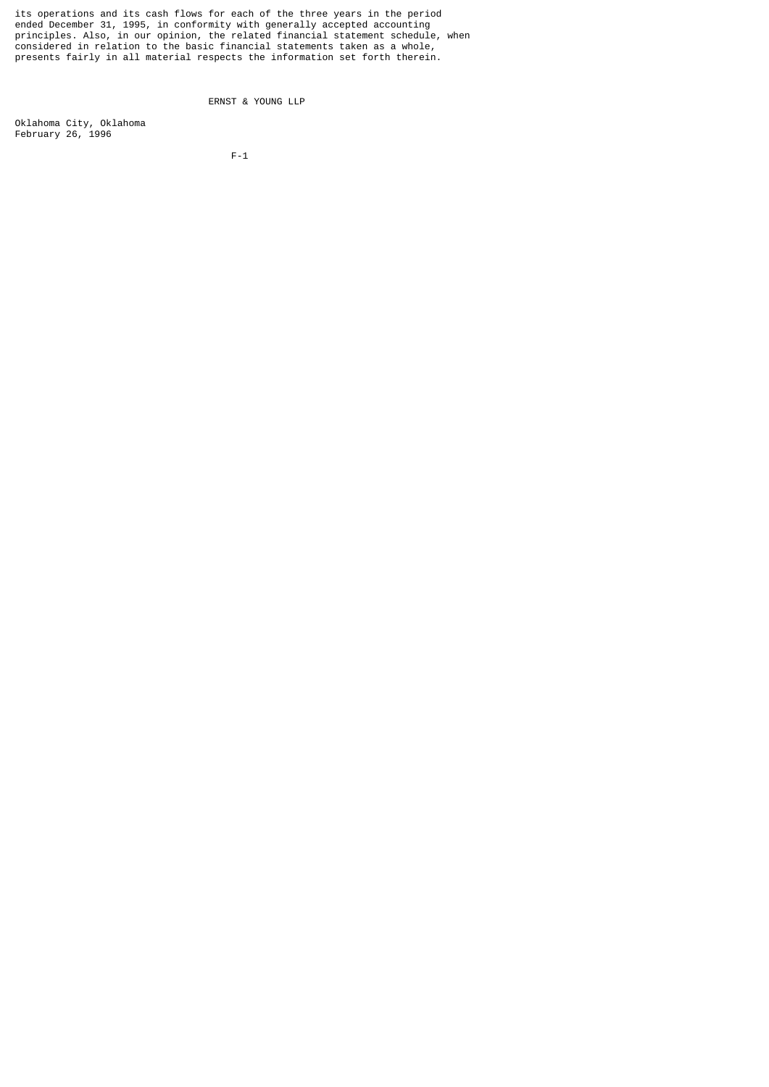its operations and its cash flows for each of the three years in the period ended December 31, 1995, in conformity with generally accepted accounting principles. Also, in our opinion, the related financial statement schedule, when considered in relation to the basic financial statements taken as a whole, presents fairly in all material respects the information set forth therein.

ERNST & YOUNG LLP

Oklahoma City, Oklahoma February 26, 1996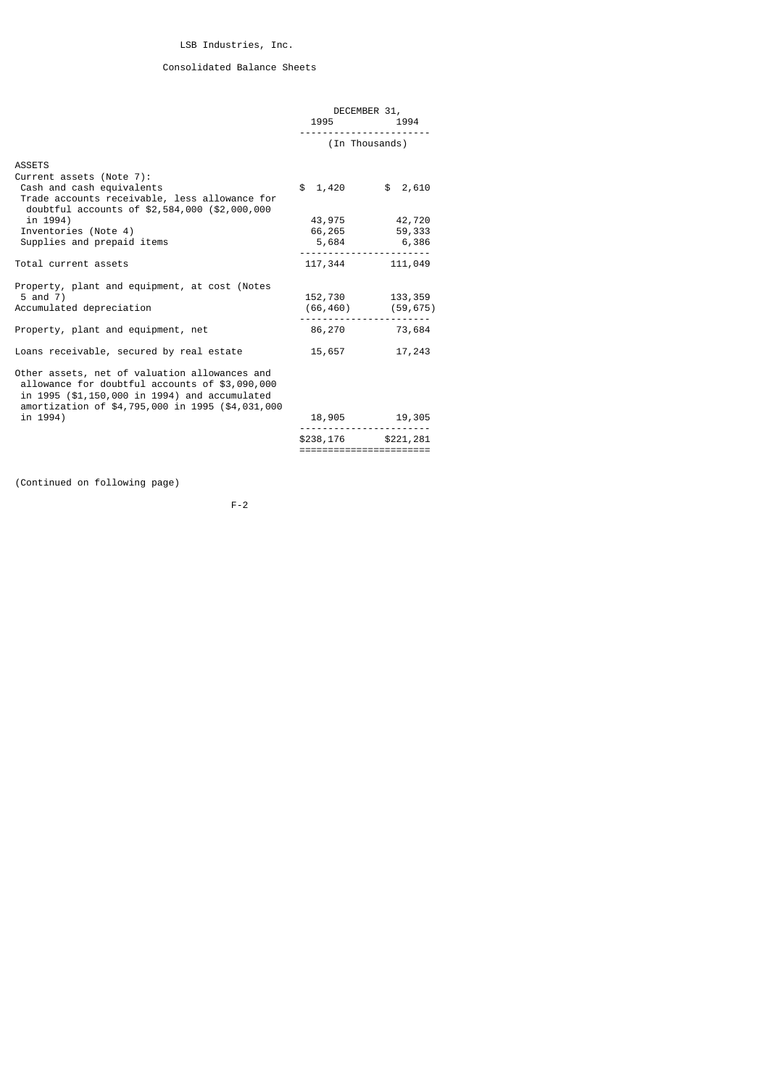# Consolidated Balance Sheets

|                                                                                                                                                                                                      | DECEMBER 31,                                   |                                         |  |
|------------------------------------------------------------------------------------------------------------------------------------------------------------------------------------------------------|------------------------------------------------|-----------------------------------------|--|
|                                                                                                                                                                                                      | 1995 72                                        | 1994                                    |  |
|                                                                                                                                                                                                      |                                                | (In Thousands)                          |  |
| <b>ASSETS</b>                                                                                                                                                                                        |                                                |                                         |  |
| Current assets (Note 7):<br>Cash and cash equivalents<br>Trade accounts receivable, less allowance for<br>doubtful accounts of \$2,584,000 (\$2,000,000                                              | \$1,420                                        | \$2,610                                 |  |
| in 1994)                                                                                                                                                                                             |                                                | 43,975 42,720                           |  |
| Inventories (Note 4)                                                                                                                                                                                 |                                                | 66,265 59,333                           |  |
| Supplies and prepaid items                                                                                                                                                                           |                                                | 5,684 6,386                             |  |
| Total current assets                                                                                                                                                                                 |                                                | 117,344 111,049                         |  |
| Property, plant and equipment, at cost (Notes<br>5 and 7)<br>Accumulated depreciation                                                                                                                |                                                | 152,730 133,359<br>$(66, 460)$ (59,675) |  |
| Property, plant and equipment, net                                                                                                                                                                   |                                                | 86,270 73,684                           |  |
| Loans receivable, secured by real estate                                                                                                                                                             | 15,657                                         | 17,243                                  |  |
| Other assets, net of valuation allowances and<br>allowance for doubtful accounts of \$3,090,000<br>in 1995 (\$1,150,000 in 1994) and accumulated<br>amortization of \$4,795,000 in 1995 (\$4,031,000 |                                                |                                         |  |
| in 1994)                                                                                                                                                                                             |                                                | 18,905 19,305                           |  |
|                                                                                                                                                                                                      | \$238,176 \$221,281<br>======================= |                                         |  |

(Continued on following page)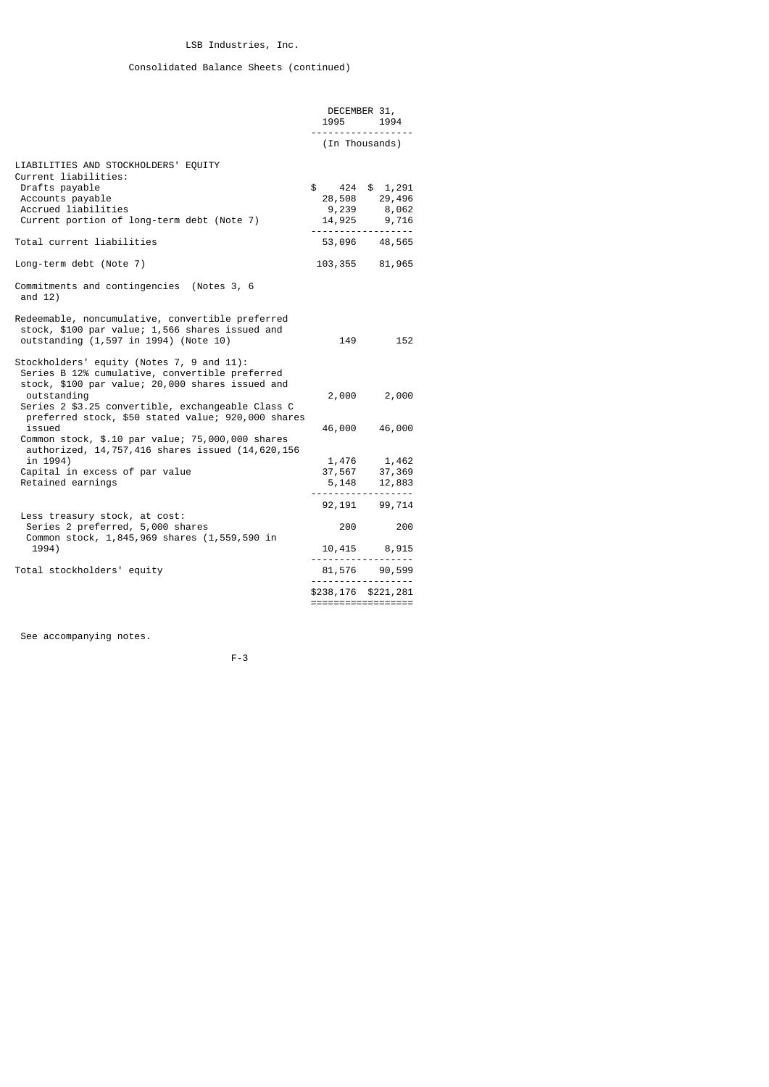# Consolidated Balance Sheets (continued)

|                                                                                                                                                                | 1995 — 1995<br>. | DECEMBER 31,<br>1994                                                                   |
|----------------------------------------------------------------------------------------------------------------------------------------------------------------|------------------|----------------------------------------------------------------------------------------|
|                                                                                                                                                                |                  | (In Thousands)                                                                         |
| LIABILITIES AND STOCKHOLDERS' EQUITY<br>Current liabilities:                                                                                                   |                  |                                                                                        |
| Drafts payable<br>Accounts payable<br>Accrued liabilities<br>Current portion of long-term debt (Note 7)                                                        | $\frac{1}{2}$    | 424 \$ 1,291<br>28,508 29,496<br>$9,239$ $8,062$<br>14,925 9,716<br>------------------ |
| Total current liabilities                                                                                                                                      |                  | 53,096 48,565                                                                          |
| Long-term debt (Note 7)                                                                                                                                        |                  | 103, 355 81, 965                                                                       |
| Commitments and contingencies (Notes 3, 6<br>and $12)$                                                                                                         |                  |                                                                                        |
| Redeemable, noncumulative, convertible preferred<br>stock, \$100 par value; 1,566 shares issued and<br>outstanding (1,597 in 1994) (Note 10)                   | 149              | 152                                                                                    |
| Stockholders' equity (Notes 7, 9 and 11):<br>Series B 12% cumulative, convertible preferred<br>stock, \$100 par value; 20,000 shares issued and<br>outstanding |                  | 2,000 2,000                                                                            |
| Series 2 \$3.25 convertible, exchangeable Class C<br>preferred stock, \$50 stated value; 920,000 shares<br>issued                                              | 46,000           | 46,000                                                                                 |
| Common stock, \$.10 par value; 75,000,000 shares<br>authorized, 14,757,416 shares issued (14,620,156                                                           |                  |                                                                                        |
| in 1994)<br>Capital in excess of par value<br>Retained earnings                                                                                                |                  | 1,476 1,462<br>37,567 37,369<br>5,148 12,883<br>------------------                     |
| Less treasury stock, at cost:                                                                                                                                  |                  | 92, 191 99, 714                                                                        |
| Series 2 preferred, 5,000 shares<br>Common stock, 1,845,969 shares (1,559,590 in                                                                               | 200              | 200                                                                                    |
| 1994)                                                                                                                                                          |                  | 10,415 8,915<br>------------------                                                     |
| Total stockholders' equity                                                                                                                                     |                  | 81,576 90,599                                                                          |
|                                                                                                                                                                |                  | \$238,176 \$221,281<br>==================                                              |
|                                                                                                                                                                |                  |                                                                                        |

See accompanying notes.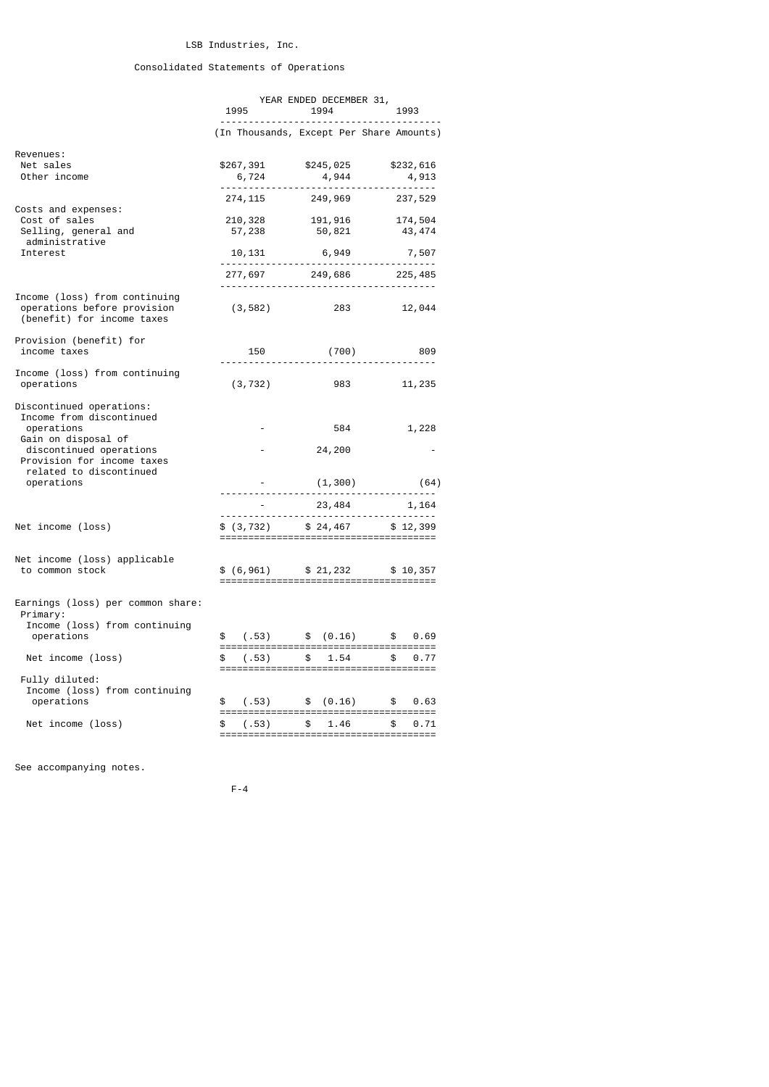# Consolidated Statements of Operations

|                                                                                            | YEAR ENDED DECEMBER 31, |                |                                                      |  |  |
|--------------------------------------------------------------------------------------------|-------------------------|----------------|------------------------------------------------------|--|--|
|                                                                                            | 1995                    | 1994 1995      | 1993                                                 |  |  |
|                                                                                            |                         |                | (In Thousands, Except Per Share Amounts)             |  |  |
| Revenues:<br>Net sales<br>Other income                                                     | \$267, 391<br>6,724     |                | \$245,025 \$232,616<br>4,944 4,913                   |  |  |
|                                                                                            | 274, 115                | 249,969        | 237,529                                              |  |  |
| Costs and expenses:<br>Cost of sales<br>Selling, general and<br>administrative             | 57,238                  | 50,821         | 210, 328 191, 916 174, 504<br>43,474                 |  |  |
| Interest                                                                                   |                         | 10, 131 6, 949 | 7,507                                                |  |  |
|                                                                                            |                         |                | 277,697 249,686 225,485                              |  |  |
| Income (loss) from continuing<br>operations before provision<br>(benefit) for income taxes | (3, 582)                | 283 — 10       | 12,044                                               |  |  |
| Provision (benefit) for<br>income taxes                                                    | 150                     | (700)          | - 809                                                |  |  |
| Income (loss) from continuing<br>operations                                                | (3, 732)                |                | 983 — 100<br>11,235                                  |  |  |
| Discontinued operations:<br>Income from discontinued<br>operations<br>Gain on disposal of  |                         | 584            | 1,228                                                |  |  |
| discontinued operations<br>Provision for income taxes<br>related to discontinued           |                         | 24,200         |                                                      |  |  |
| operations                                                                                 |                         |                | $(1, 300)$ (64)                                      |  |  |
|                                                                                            |                         |                | ------------------------------------ <sup>-</sup> -- |  |  |
| Net income (loss)                                                                          |                         |                | $$(3, 732)$ $$24, 467$ $$12, 399$                    |  |  |
| Net income (loss) applicable<br>to common stock                                            |                         |                | $$ (6, 961)$ $$ 21, 232$ $$ 10, 357$                 |  |  |
| Earnings (loss) per common share:<br>Primary:<br>Income (loss) from continuing             |                         |                |                                                      |  |  |
| operations                                                                                 |                         |                | $$(.53)$ $$(0.16)$ $$0.69$                           |  |  |
| Net income (loss)                                                                          | \$                      |                | $(.53)$ \$ 1.54 \$ 0.77                              |  |  |
| Fully diluted:<br>Income (loss) from continuing<br>operations                              |                         |                | $$(.53)$ $$(.0.16)$ $$0.63$                          |  |  |
|                                                                                            |                         |                |                                                      |  |  |
| Net income (loss)                                                                          | (.53)<br>\$             | \$1.46         | \$ 0.71                                              |  |  |

See accompanying notes.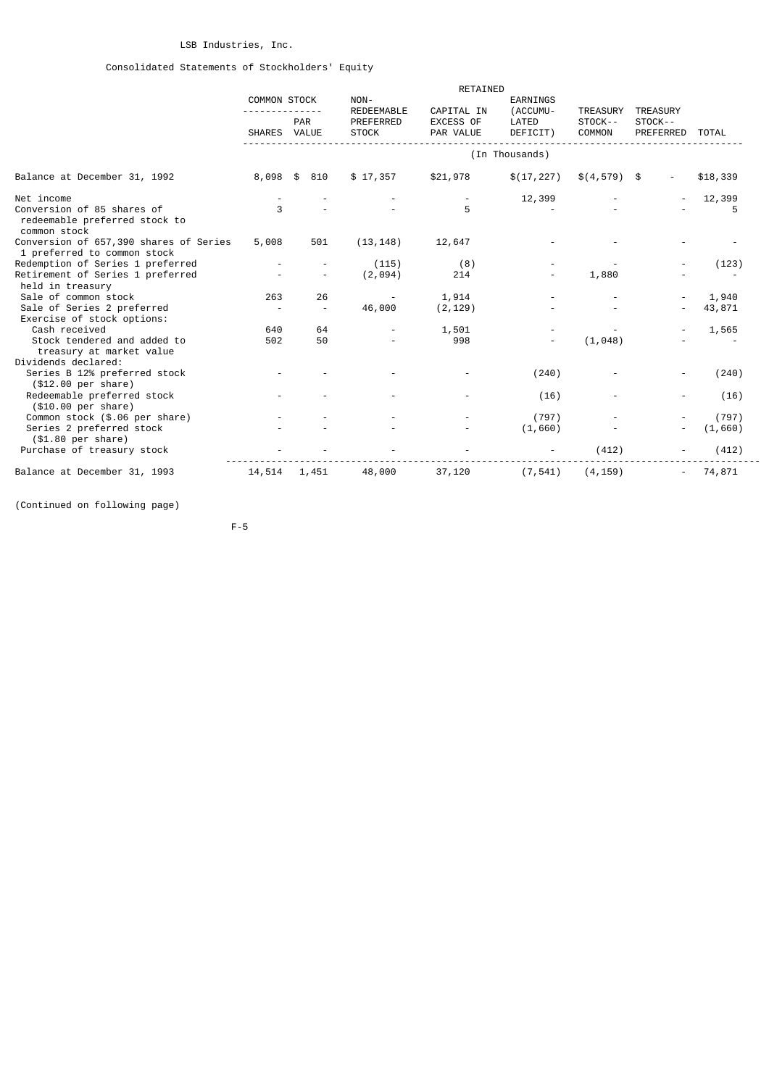# Consolidated Statements of Stockholders' Equity

|                                                                             |                          |                          | RETAINED                                |                        |                                         |                   |                            |          |
|-----------------------------------------------------------------------------|--------------------------|--------------------------|-----------------------------------------|------------------------|-----------------------------------------|-------------------|----------------------------|----------|
|                                                                             | <b>COMMON STOCK</b>      |                          | NON-<br>CAPITAL IN<br><b>REDEEMABLE</b> |                        | EARNINGS<br>(ACCUMU-<br><b>TREASURY</b> |                   | <b>TREASURY</b>            |          |
|                                                                             | SHARES VALUE             | PAR                      | PREFERRED<br><b>STOCK</b>               | EXCESS OF<br>PAR VALUE | LATED<br>DEFICIT)                       | STOCK--<br>COMMON | STOCK--<br>PREFERRED TOTAL |          |
|                                                                             |                          |                          |                                         |                        | (In Thousands)                          |                   |                            |          |
| Balance at December 31, 1992                                                | 8,098                    | 810<br>\$                | \$17,357                                | \$21,978               | \$(17, 227)                             | $$(4, 579)$ \$    |                            | \$18,339 |
| Net income                                                                  |                          |                          |                                         |                        | 12,399                                  |                   |                            | 12,399   |
| Conversion of 85 shares of<br>redeemable preferred stock to<br>common stock | 3                        |                          |                                         | 5                      |                                         |                   |                            | 5        |
| Conversion of 657,390 shares of Series<br>1 preferred to common stock       | 5,008                    | 501                      | (13, 148)                               | 12,647                 |                                         |                   |                            |          |
| Redemption of Series 1 preferred                                            |                          |                          | (115)                                   | (8)                    |                                         |                   |                            | (123)    |
| Retirement of Series 1 preferred                                            |                          |                          | (2,094)                                 | 214                    |                                         | 1,880             |                            |          |
| held in treasury                                                            |                          |                          |                                         |                        |                                         |                   |                            |          |
| Sale of common stock                                                        | 263                      | 26                       |                                         | 1,914                  |                                         |                   |                            | 1,940    |
| Sale of Series 2 preferred                                                  | $\overline{\phantom{a}}$ | $\overline{\phantom{a}}$ | 46,000                                  | (2, 129)               |                                         |                   |                            | 43,871   |
| Exercise of stock options:                                                  |                          |                          |                                         |                        |                                         |                   |                            |          |
| Cash received                                                               | 640                      | 64                       |                                         | 1,501                  |                                         |                   |                            | 1,565    |
| Stock tendered and added to                                                 | 502                      | 50                       |                                         | 998                    |                                         | (1,048)           |                            |          |
| treasury at market value<br>Dividends declared:                             |                          |                          |                                         |                        |                                         |                   |                            |          |
| Series B 12% preferred stock                                                |                          |                          |                                         |                        | (240)                                   |                   |                            | (240)    |
| (\$12.00 per share)                                                         |                          |                          |                                         |                        |                                         |                   |                            |          |
| Redeemable preferred stock                                                  |                          |                          |                                         |                        | (16)                                    |                   |                            | (16)     |
| (\$10.00 per share)                                                         |                          |                          |                                         |                        |                                         |                   |                            |          |
| Common stock (\$.06 per share)                                              |                          |                          |                                         |                        | (797)                                   |                   |                            | (797)    |
| Series 2 preferred stock                                                    |                          |                          |                                         |                        | (1,660)                                 |                   |                            | (1,660)  |
| (\$1.80 per share)                                                          |                          |                          |                                         |                        |                                         |                   |                            |          |
| Purchase of treasury stock                                                  |                          |                          |                                         |                        |                                         | (412)             |                            | (412)    |
| Balance at December 31, 1993                                                | 14,514                   | 1,451                    | 48,000                                  | 37,120                 | (7, 541)                                | (4, 159)          |                            | 74,871   |

(Continued on following page)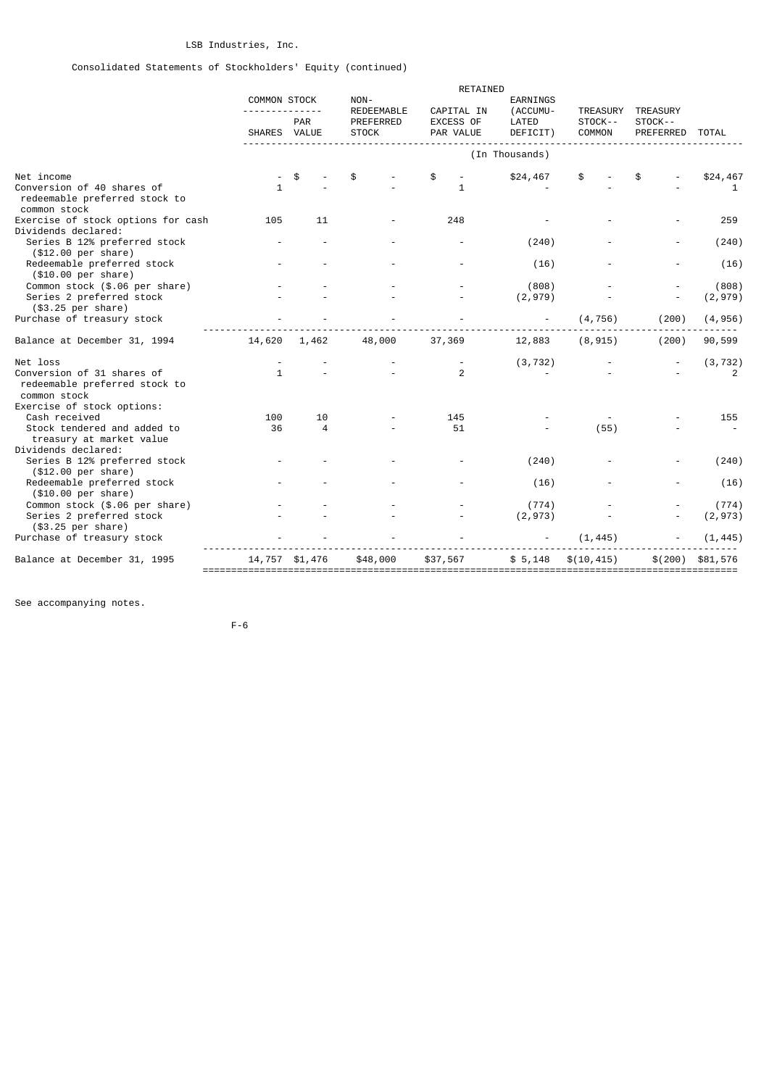# Consolidated Statements of Stockholders' Equity (continued)

|                                                                                   |                     |                | RETAINED                       |                         |                          |                     |                            |                   |
|-----------------------------------------------------------------------------------|---------------------|----------------|--------------------------------|-------------------------|--------------------------|---------------------|----------------------------|-------------------|
|                                                                                   | <b>COMMON STOCK</b> |                | NON-                           |                         | EARNINGS                 |                     |                            |                   |
|                                                                                   |                     | <b>PAR</b>     | <b>REDEEMABLE</b><br>PREFERRED | CAPITAL IN<br>EXCESS OF | (ACCUMU-<br>LATED        | TREASURY<br>STOCK-- | <b>TREASURY</b><br>STOCK-- |                   |
|                                                                                   | SHARES VALUE        |                | <b>STOCK</b>                   | PAR VALUE               | DEFICIT)                 | COMMON              | PREFERRED                  | <b>TOTAL</b>      |
|                                                                                   |                     |                |                                |                         | (In Thousands)           |                     |                            |                   |
| Net income                                                                        |                     | \$             |                                | \$                      | \$24,467                 | \$                  |                            | \$24,467          |
| Conversion of 40 shares of<br>redeemable preferred stock to<br>common stock       | 1                   |                |                                | 1                       |                          |                     |                            | 1                 |
| Exercise of stock options for cash<br>Dividends declared:                         | 105                 | 11             |                                | 248                     |                          |                     |                            | 259               |
| Series B 12% preferred stock<br>(\$12.00 per share)                               |                     |                |                                |                         | (240)                    |                     |                            | (240)             |
| Redeemable preferred stock<br>(\$10.00 per share)                                 |                     |                |                                |                         | (16)                     |                     |                            | (16)              |
| Common stock (\$.06 per share)                                                    |                     |                |                                |                         | (808)                    |                     |                            | (808)             |
| Series 2 preferred stock<br>(\$3.25 per share)                                    |                     |                |                                |                         | (2, 979)                 |                     |                            | (2,979)           |
| Purchase of treasury stock                                                        |                     |                |                                |                         | $\overline{\phantom{a}}$ | (4, 756)            | (200)                      | (4, 956)          |
| Balance at December 31, 1994                                                      | 14,620              | 1,462          | 48,000                         | 37,369                  | 12,883                   | (8, 915)            | (200)                      | 90,599            |
| Net loss                                                                          |                     |                |                                |                         | (3, 732)                 |                     |                            | (3, 732)          |
| Conversion of 31 shares of<br>redeemable preferred stock to<br>common stock       | $\mathbf{1}$        |                |                                | 2                       |                          |                     |                            | 2                 |
| Exercise of stock options:                                                        |                     |                |                                |                         |                          |                     |                            |                   |
| Cash received<br>Stock tendered and added to<br>treasury at market value          | 100<br>36           | 10<br>4        |                                | 145<br>51               |                          | (55)                |                            | 155               |
| Dividends declared:<br>Series B 12% preferred stock                               |                     |                |                                |                         | (240)                    |                     |                            | (240)             |
| (\$12.00 per share)<br>Redeemable preferred stock                                 |                     |                |                                |                         | (16)                     |                     |                            | (16)              |
| (\$10.00 per share)<br>Common stock (\$.06 per share)<br>Series 2 preferred stock |                     |                |                                |                         | (774)<br>(2, 973)        |                     |                            | (774)<br>(2, 973) |
| (\$3.25 per share)<br>Purchase of treasury stock                                  |                     |                |                                |                         |                          | (1, 445)            |                            | (1, 445)          |
| Balance at December 31, 1995                                                      |                     | 14,757 \$1,476 | \$48,000                       | \$37,567                | \$5,148                  | \$(10, 415)         | \$(200)                    | \$81,576          |

See accompanying notes.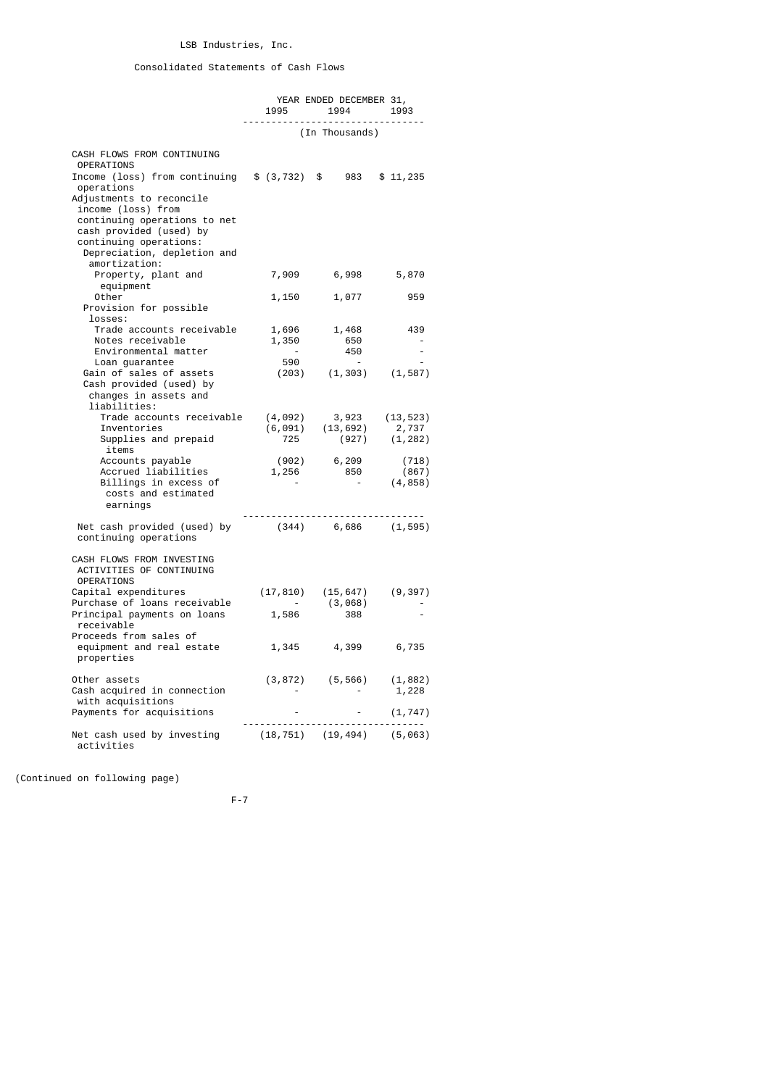# Consolidated Statements of Cash Flows

|                                                                                                                                                                                                                                                                                                     | 1995 — 1995                                                 | YEAR ENDED DECEMBER 31,<br>1994 1993<br>----------------------------------                                                 |                            |
|-----------------------------------------------------------------------------------------------------------------------------------------------------------------------------------------------------------------------------------------------------------------------------------------------------|-------------------------------------------------------------|----------------------------------------------------------------------------------------------------------------------------|----------------------------|
|                                                                                                                                                                                                                                                                                                     |                                                             | (In Thousands)                                                                                                             |                            |
| CASH FLOWS FROM CONTINUING<br><b>OPERATIONS</b><br>Income (loss) from continuing $$ (3,732) $ $ 983 $ $ 11,235$<br>operations<br>Adjustments to reconcile<br>income (loss) from<br>continuing operations to net<br>cash provided (used) by<br>continuing operations:<br>Depreciation, depletion and |                                                             |                                                                                                                            |                            |
| amortization:<br>Property, plant and                                                                                                                                                                                                                                                                | 7,909                                                       | 6,998                                                                                                                      | 5,870                      |
| equipment<br>Other<br>Provision for possible<br>losses:                                                                                                                                                                                                                                             | 1,150                                                       | 1,077                                                                                                                      | 959                        |
| Trade accounts receivable<br>Notes receivable<br>Environmental matter<br>Loan guarantee                                                                                                                                                                                                             | 1,696<br>1,350<br>$\sim$ $ \sim$<br>590                     | 1,468<br>650<br>450<br>$\sim$ $-$                                                                                          | 439<br>$\sim$              |
| Gain of sales of assets<br>Cash provided (used) by<br>changes in assets and<br>liabilities:                                                                                                                                                                                                         |                                                             | $(203)$ $(1, 303)$ $(1, 587)$                                                                                              |                            |
| Trade accounts receivable<br>Inventories<br>Supplies and prepaid<br>items                                                                                                                                                                                                                           |                                                             | $\begin{array}{cccc} (4, 092) & 3, 923 & (13, 523) \\ (6, 091) & (13, 692) & 2, 737 \\ 725 & (927) & (1, 282) \end{array}$ |                            |
| Accounts payable<br>Accrued liabilities<br>Billings in excess of<br>costs and estimated<br>earnings                                                                                                                                                                                                 | $\mathcal{L}_{\rm{max}}$ and $\mathcal{L}_{\rm{max}}$       | $(902)$ 6, 209<br>1, 256 850<br>850<br>$\sim 100$ km s $^{-1}$                                                             | (718)<br>(867)<br>(4, 858) |
| Net cash provided (used) by (344) 6,686 (1,595)<br>continuing operations                                                                                                                                                                                                                            |                                                             |                                                                                                                            |                            |
| CASH FLOWS FROM INVESTING<br>ACTIVITIES OF CONTINUING<br><b>OPERATIONS</b>                                                                                                                                                                                                                          |                                                             |                                                                                                                            |                            |
| Capital expenditures<br>Purchase of loans receivable<br>Principal payments on loans<br>receivable<br>Proceeds from sales of                                                                                                                                                                         | $\begin{array}{c} \texttt{-} \\ \texttt{1,586} \end{array}$ | $(17, 810)$ $(15, 647)$ $(9, 397)$<br>(3,068)<br>388                                                                       |                            |
| equipment and real estate<br>properties                                                                                                                                                                                                                                                             | 1,345                                                       | 4,399                                                                                                                      | 6,735                      |
| Other assets<br>Cash acquired in connection<br>with acquisitions<br>Payments for acquisitions                                                                                                                                                                                                       |                                                             | $(3,872)$ $(5,566)$ $(1,882)$<br><b>Contractor</b>                                                                         | 1,228<br>(1, 747)          |
|                                                                                                                                                                                                                                                                                                     |                                                             | ----------------------------------                                                                                         |                            |
| Net cash used by investing (18,751) (19,494) (5,063)<br>activities                                                                                                                                                                                                                                  |                                                             |                                                                                                                            |                            |

(Continued on following page)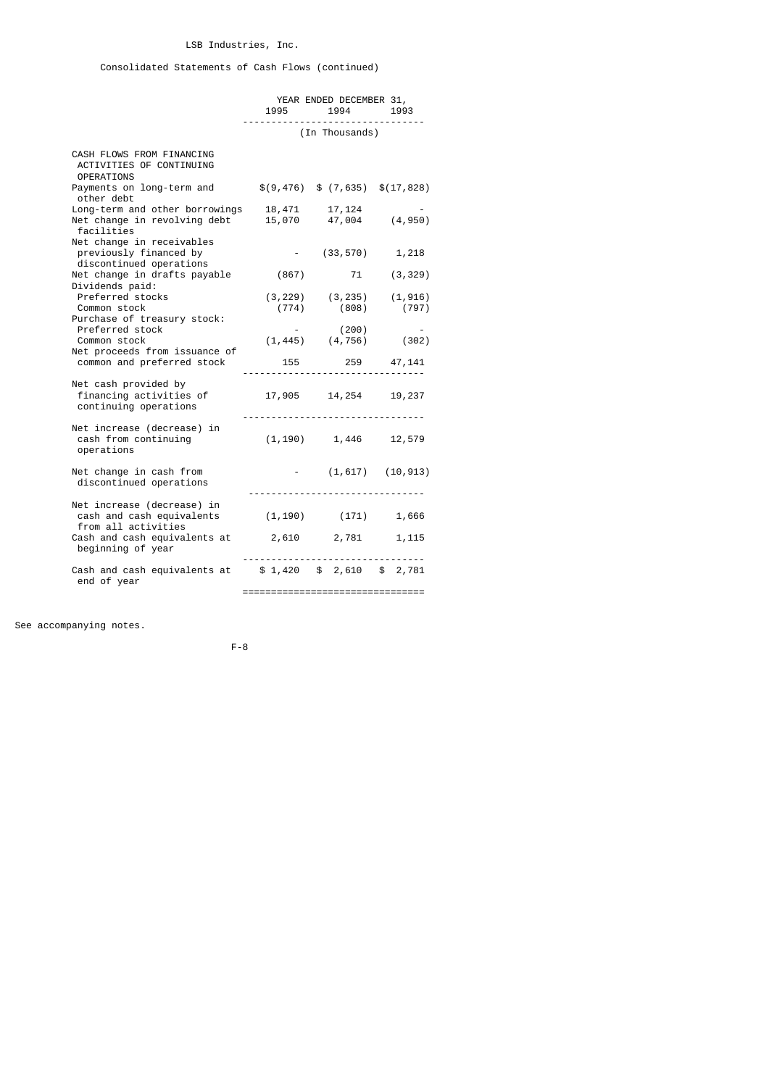# Consolidated Statements of Cash Flows (continued)

|                                                                                                           | YEAR ENDED DECEMBER 31,<br>1995 1994 1993                   |            |
|-----------------------------------------------------------------------------------------------------------|-------------------------------------------------------------|------------|
|                                                                                                           | (In Thousands)                                              |            |
| CASH FLOWS FROM FINANCING<br>ACTIVITIES OF CONTINUING<br><b>OPERATIONS</b>                                |                                                             |            |
| Payments on long-term and $\$(9,476) \$ (7,635) \$ (17,828)$<br>other debt                                |                                                             |            |
| Long-term and other borrowings 18,471<br>Net change in revolving debt 15,070 47,004 (4,950)<br>facilities | 17,124                                                      |            |
| Net change in receivables<br>previously financed by<br>discontinued operations                            | $-$ (33,570) 1,218                                          |            |
| Net change in drafts payable (867) 71 (3,329)<br>Dividends paid:                                          |                                                             |            |
| Preferred stocks<br>Common stock<br>Purchase of treasury stock:                                           | $(3, 229)$ $(3, 235)$ $(1, 916)$<br>$(774)$ $(808)$ $(797)$ |            |
| Preferred stock<br>Common stock<br>Net proceeds from issuance of                                          | (200)<br>$(1, 445)$ $(4, 756)$ $(302)$                      | $\sim$ $-$ |
| common and preferred stock                                                                                | 155 259 47,141                                              |            |
| Net cash provided by<br>financing activities of<br>continuing operations<br>continuing operations         | 17,905 14,254 19,237                                        |            |
| Net increase (decrease) in<br>cash from continuing<br>operations                                          | $(1, 190)$ 1, 446 12, 579                                   |            |
| Net change in cash from<br>discontinued operations                                                        | $(1,617)$ $(10,913)$                                        |            |
| Net increase (decrease) in<br>cash and cash equivalents $(1, 190)$ $(171)$ $1,666$<br>from all activities |                                                             |            |
| Cash and cash equivalents at 2,610 2,781 1,115<br>beginning of year                                       |                                                             |            |
| Cash and cash equivalents at $$1,420$ $$2,610$ $$2,781$<br>end of year                                    |                                                             |            |

================================

See accompanying notes.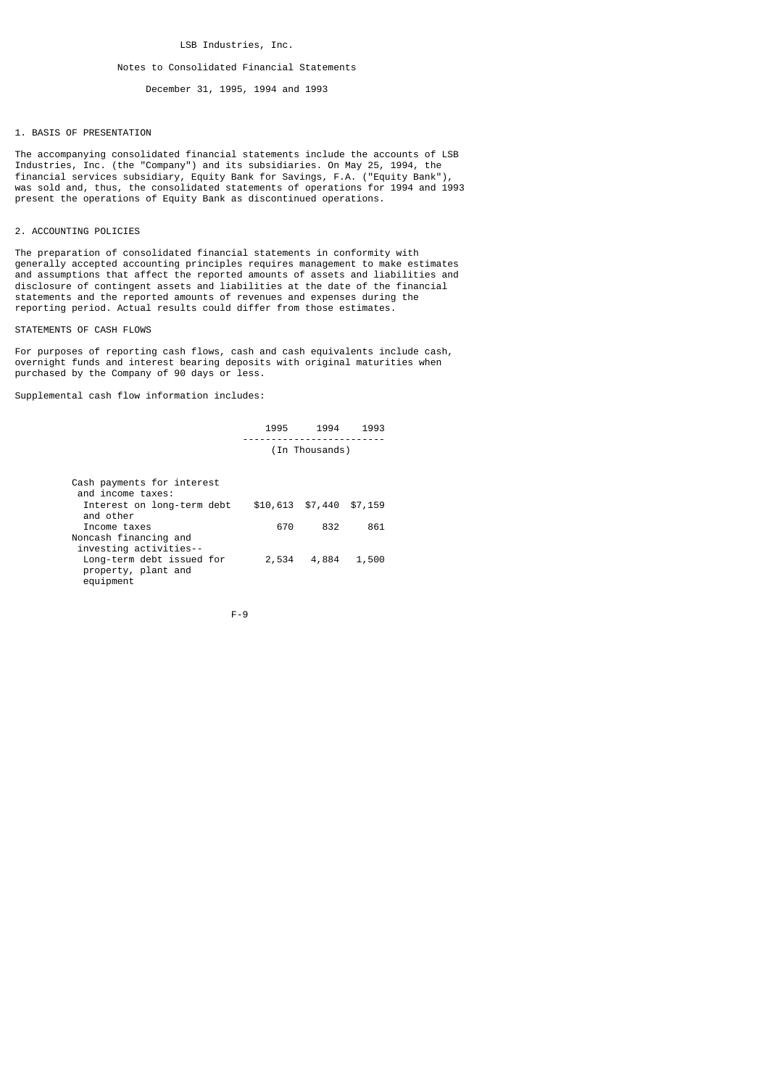#### Notes to Consolidated Financial Statements

December 31, 1995, 1994 and 1993

### 1. BASIS OF PRESENTATION

The accompanying consolidated financial statements include the accounts of LSB Industries, Inc. (the "Company") and its subsidiaries. On May 25, 1994, the financial services subsidiary, Equity Bank for Savings, F.A. ("Equity Bank"), was sold and, thus, the consolidated statements of operations for 1994 and 1993 present the operations of Equity Bank as discontinued operations.

## 2. ACCOUNTING POLICIES

The preparation of consolidated financial statements in conformity with generally accepted accounting principles requires management to make estimates and assumptions that affect the reported amounts of assets and liabilities and disclosure of contingent assets and liabilities at the date of the financial statements and the reported amounts of revenues and expenses during the reporting period. Actual results could differ from those estimates.

## STATEMENTS OF CASH FLOWS

For purposes of reporting cash flows, cash and cash equivalents include cash, overnight funds and interest bearing deposits with original maturities when purchased by the Company of 90 days or less.

Supplemental cash flow information includes:

| 1995 | 1994              | 1993 |
|------|-------------------|------|
|      | ----------------- |      |
|      | (In Thousands)    |      |

| Cash payments for interest<br>and income taxes:               |       |                             |       |
|---------------------------------------------------------------|-------|-----------------------------|-------|
| Interest on long-term debt<br>and other                       |       | $$10,613$ $$7,440$ $$7,159$ |       |
| Income taxes                                                  | 670   | 832                         | 861   |
| Noncash financing and<br>investing activities--               |       |                             |       |
| Long-term debt issued for<br>property, plant and<br>equipment | 2,534 | 4,884                       | 1,500 |

$$
\mathsf{F-9}
$$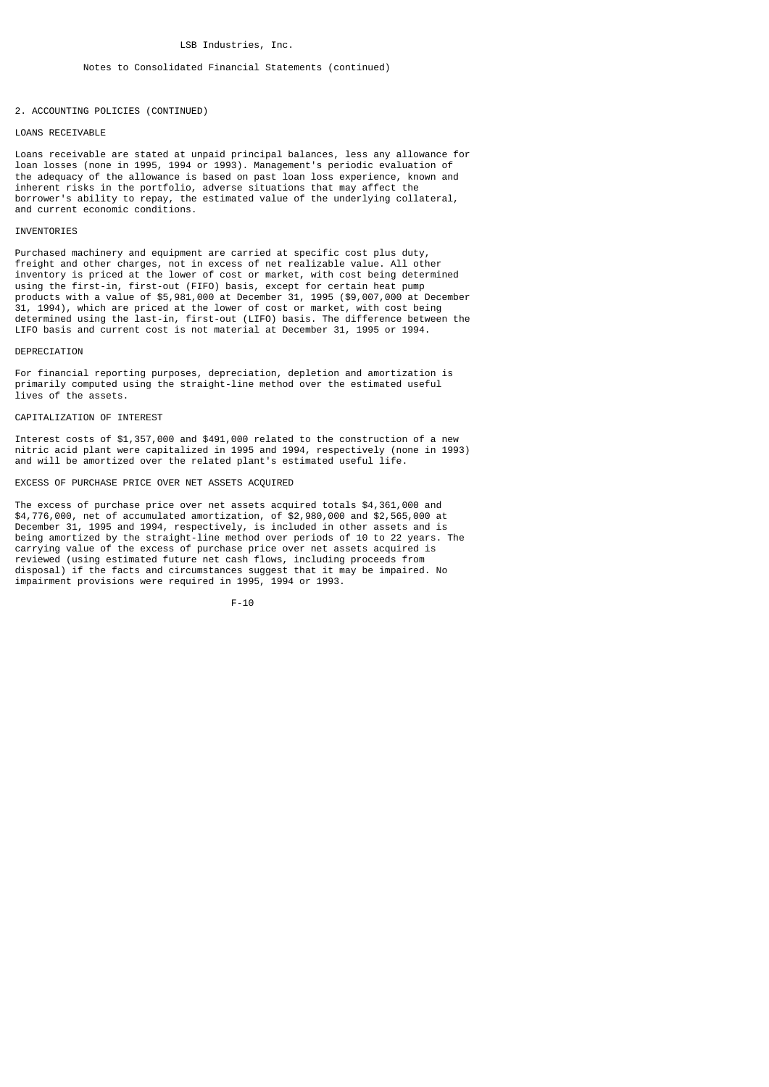## 2. ACCOUNTING POLICIES (CONTINUED)

### LOANS RECETVABLE

Loans receivable are stated at unpaid principal balances, less any allowance for loan losses (none in 1995, 1994 or 1993). Management's periodic evaluation of the adequacy of the allowance is based on past loan loss experience, known and inherent risks in the portfolio, adverse situations that may affect the borrower's ability to repay, the estimated value of the underlying collateral, and current economic conditions.

### INVENTORIES

Purchased machinery and equipment are carried at specific cost plus duty, freight and other charges, not in excess of net realizable value. All other inventory is priced at the lower of cost or market, with cost being determined using the first-in, first-out (FIFO) basis, except for certain heat pump products with a value of \$5,981,000 at December 31, 1995 (\$9,007,000 at December 31, 1994), which are priced at the lower of cost or market, with cost being determined using the last-in, first-out (LIFO) basis. The difference between the LIFO basis and current cost is not material at December 31, 1995 or 1994.

#### **DEPRECTATION**

For financial reporting purposes, depreciation, depletion and amortization is primarily computed using the straight-line method over the estimated useful lives of the assets.

## CAPITALIZATION OF INTEREST

Interest costs of \$1,357,000 and \$491,000 related to the construction of a new nitric acid plant were capitalized in 1995 and 1994, respectively (none in 1993) and will be amortized over the related plant's estimated useful life.

### EXCESS OF PURCHASE PRICE OVER NET ASSETS ACQUIRED

The excess of purchase price over net assets acquired totals \$4,361,000 and \$4,776,000, net of accumulated amortization, of \$2,980,000 and \$2,565,000 at December 31, 1995 and 1994, respectively, is included in other assets and is being amortized by the straight-line method over periods of 10 to 22 years. The carrying value of the excess of purchase price over net assets acquired is reviewed (using estimated future net cash flows, including proceeds from disposal) if the facts and circumstances suggest that it may be impaired. No impairment provisions were required in 1995, 1994 or 1993.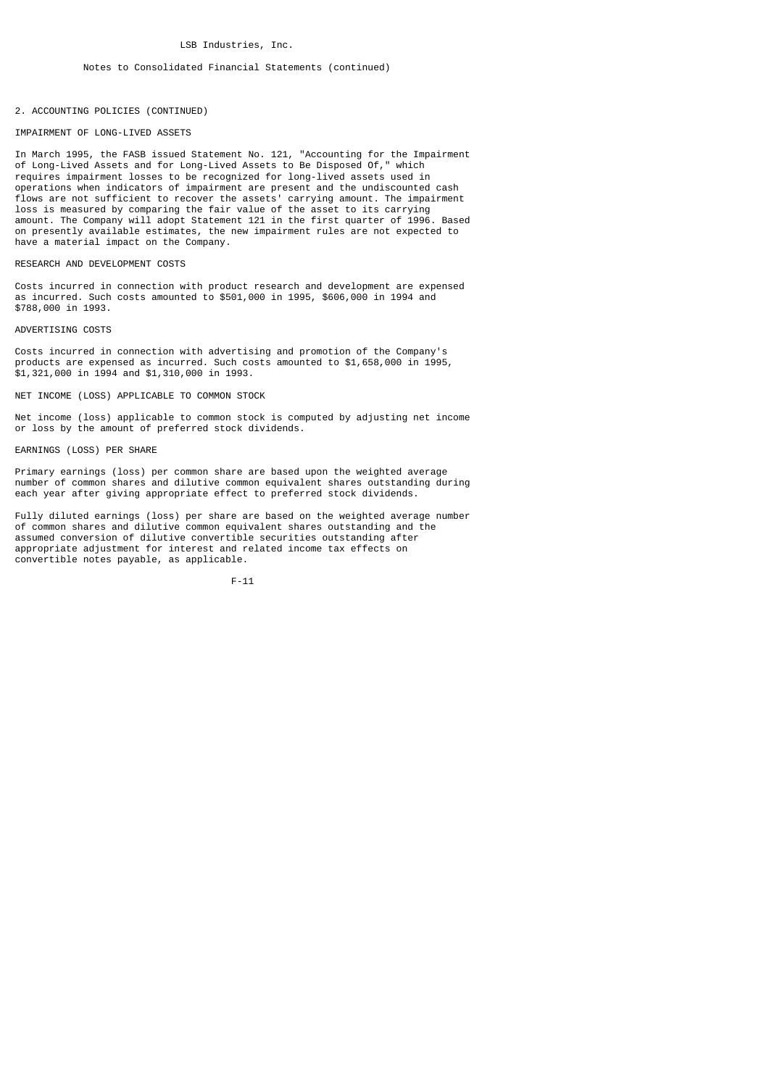## 2. ACCOUNTING POLICIES (CONTINUED)

### IMPAIRMENT OF LONG-LIVED ASSETS

In March 1995, the FASB issued Statement No. 121, "Accounting for the Impairment of Long-Lived Assets and for Long-Lived Assets to Be Disposed Of," which requires impairment losses to be recognized for long-lived assets used in operations when indicators of impairment are present and the undiscounted cash flows are not sufficient to recover the assets' carrying amount. The impairment loss is measured by comparing the fair value of the asset to its carrying amount. The Company will adopt Statement 121 in the first quarter of 1996. Based on presently available estimates, the new impairment rules are not expected to have a material impact on the Company.

### RESEARCH AND DEVELOPMENT COSTS

Costs incurred in connection with product research and development are expensed as incurred. Such costs amounted to \$501,000 in 1995, \$606,000 in 1994 and \$788,000 in 1993.

#### ADVERTISING COSTS

Costs incurred in connection with advertising and promotion of the Company's products are expensed as incurred. Such costs amounted to \$1,658,000 in 1995, \$1,321,000 in 1994 and \$1,310,000 in 1993.

#### NET INCOME (LOSS) APPLICABLE TO COMMON STOCK

Net income (loss) applicable to common stock is computed by adjusting net income or loss by the amount of preferred stock dividends.

#### EARNINGS (LOSS) PER SHARE

Primary earnings (loss) per common share are based upon the weighted average number of common shares and dilutive common equivalent shares outstanding during each year after giving appropriate effect to preferred stock dividends.

Fully diluted earnings (loss) per share are based on the weighted average number of common shares and dilutive common equivalent shares outstanding and the assumed conversion of dilutive convertible securities outstanding after appropriate adjustment for interest and related income tax effects on convertible notes payable, as applicable.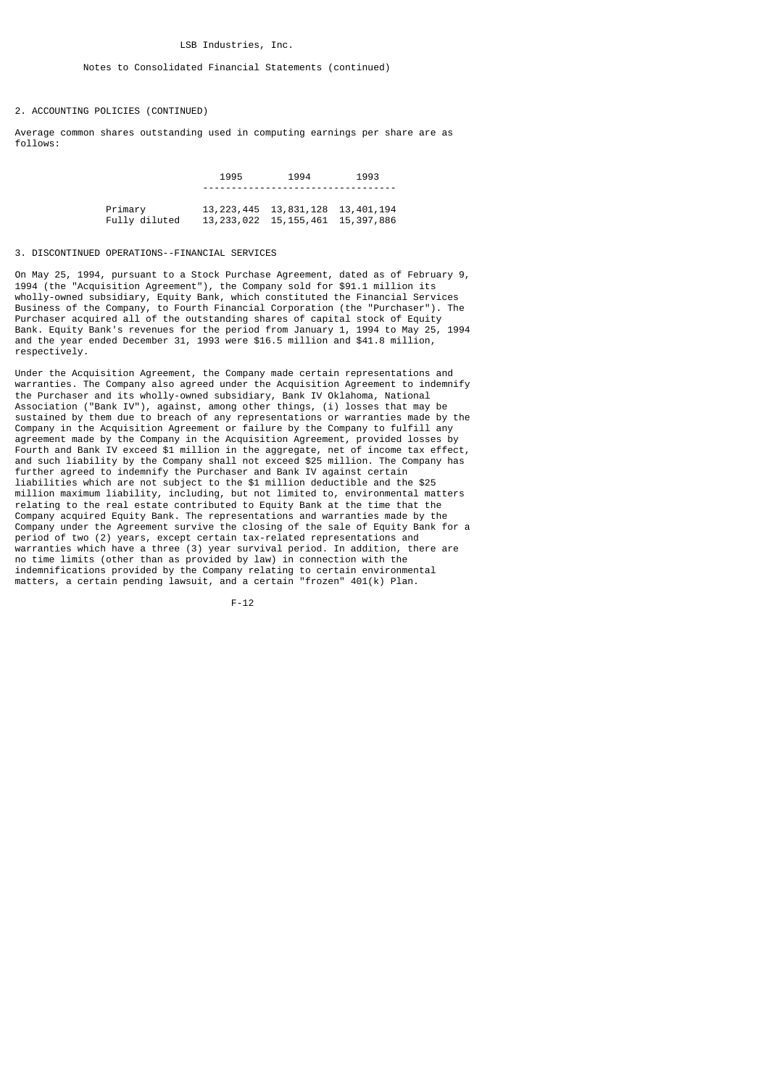#### Notes to Consolidated Financial Statements (continued)

#### 2. ACCOUNTING POLICIES (CONTINUED)

Average common shares outstanding used in computing earnings per share are as follows:

|               | 1995 | 1994                                   | 1993 |
|---------------|------|----------------------------------------|------|
|               |      |                                        |      |
| Primary       |      | 13, 223, 445 13, 831, 128 13, 401, 194 |      |
| Fully diluted |      | 13, 233, 022 15, 155, 461 15, 397, 886 |      |

#### 3. DISCONTINUED OPERATIONS--FINANCIAL SERVICES

On May 25, 1994, pursuant to a Stock Purchase Agreement, dated as of February 9, 1994 (the "Acquisition Agreement"), the Company sold for \$91.1 million its wholly-owned subsidiary, Equity Bank, which constituted the Financial Services Business of the Company, to Fourth Financial Corporation (the "Purchaser"). The Purchaser acquired all of the outstanding shares of capital stock of Equity Bank. Equity Bank's revenues for the period from January 1, 1994 to May 25, 1994 and the year ended December 31, 1993 were \$16.5 million and \$41.8 million, respectively.

Under the Acquisition Agreement, the Company made certain representations and warranties. The Company also agreed under the Acquisition Agreement to indemnify the Purchaser and its wholly-owned subsidiary, Bank IV Oklahoma, National Association ("Bank IV"), against, among other things, (i) losses that may be sustained by them due to breach of any representations or warranties made by the Company in the Acquisition Agreement or failure by the Company to fulfill any agreement made by the Company in the Acquisition Agreement, provided losses by Fourth and Bank IV exceed \$1 million in the aggregate, net of income tax effect, and such liability by the Company shall not exceed \$25 million. The Company has further agreed to indemnify the Purchaser and Bank IV against certain liabilities which are not subject to the \$1 million deductible and the \$25 million maximum liability, including, but not limited to, environmental matters relating to the real estate contributed to Equity Bank at the time that the Company acquired Equity Bank. The representations and warranties made by the Company under the Agreement survive the closing of the sale of Equity Bank for a period of two (2) years, except certain tax-related representations and warranties which have a three (3) year survival period. In addition, there are no time limits (other than as provided by law) in connection with the indemnifications provided by the Company relating to certain environmental matters, a certain pending lawsuit, and a certain "frozen" 401(k) Plan.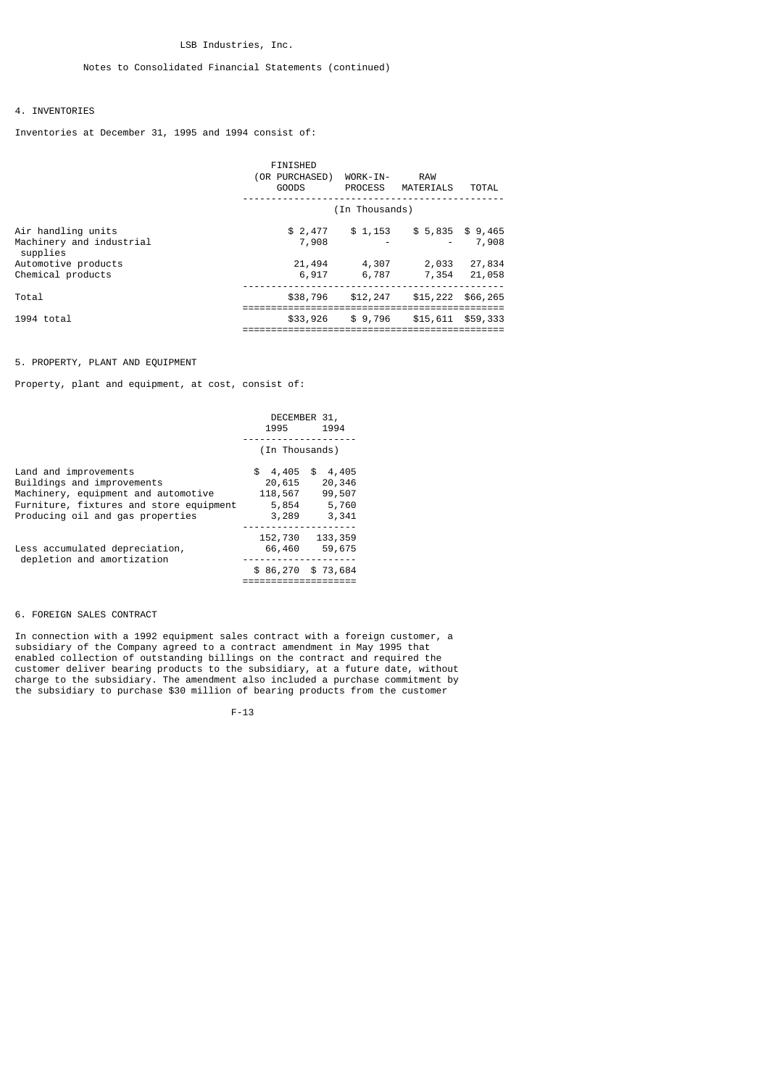## 4. INVENTORIES

Inventories at December 31, 1995 and 1994 consist of:

|                                                            | FINISHED<br>(OR PURCHASED)<br>GOODS | WORK-IN-       | <b>RAW</b><br>PROCESS MATERIALS | TOTAL             |
|------------------------------------------------------------|-------------------------------------|----------------|---------------------------------|-------------------|
|                                                            |                                     | (In Thousands) |                                 |                   |
| Air handling units<br>Machinery and industrial<br>supplies | \$2,477<br>7,908                    | \$1,153        | \$5,835                         | \$ 9,465<br>7,908 |
| Automotive products<br>Chemical products                   | 21,494<br>6,917                     | 4,307<br>6,787 | 2,033<br>7,354                  | 27,834<br>21,058  |
| Total                                                      | \$38,796                            | \$12,247       | \$15,222                        | \$66,265          |
| $1994$ total                                               | \$33,926                            | \$9,796        | \$15,611                        | \$59,333          |

## 5. PROPERTY, PLANT AND EQUIPMENT

Property, plant and equipment, at cost, consist of:

|                                                                                                                                                                           | DECEMBER 31,<br>1995                                 | 1994                                        |
|---------------------------------------------------------------------------------------------------------------------------------------------------------------------------|------------------------------------------------------|---------------------------------------------|
|                                                                                                                                                                           | (In Thousands)                                       |                                             |
| Land and improvements<br>Buildings and improvements<br>Machinery, equipment and automotive<br>Furniture, fixtures and store equipment<br>Producing oil and gas properties | \$<br>4,405\$<br>20,615<br>118,567<br>5,854<br>3,289 | 4,405<br>20,346<br>99,507<br>5,760<br>3,341 |
| Less accumulated depreciation,<br>depletion and amortization                                                                                                              | 152,730<br>66,460<br>\$86,270                        | 133, 359<br>59,675<br>\$73,684              |

## 6. FOREIGN SALES CONTRACT

In connection with a 1992 equipment sales contract with a foreign customer, a subsidiary of the Company agreed to a contract amendment in May 1995 that enabled collection of outstanding billings on the contract and required the customer deliver bearing products to the subsidiary, at a future date, without charge to the subsidiary. The amendment also included a purchase commitment by the subsidiary to purchase \$30 million of bearing products from the customer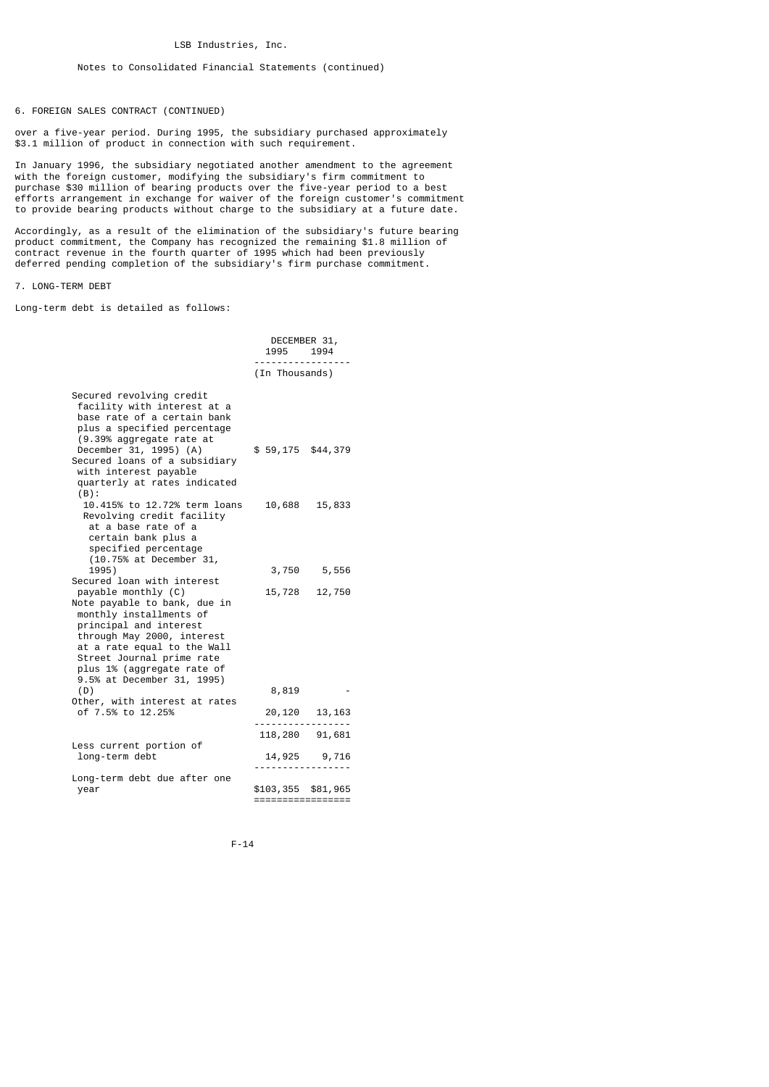6. FOREIGN SALES CONTRACT (CONTINUED)

over a five-year period. During 1995, the subsidiary purchased approximately \$3.1 million of product in connection with such requirement.

In January 1996, the subsidiary negotiated another amendment to the agreement with the foreign customer, modifying the subsidiary's firm commitment to purchase \$30 million of bearing products over the five-year period to a best efforts arrangement in exchange for waiver of the foreign customer's commitment to provide bearing products without charge to the subsidiary at a future date.

Accordingly, as a result of the elimination of the subsidiary's future bearing product commitment, the Company has recognized the remaining \$1.8 million of contract revenue in the fourth quarter of 1995 which had been previously deferred pending completion of the subsidiary's firm purchase commitment.

7. LONG-TERM DEBT

Long-term debt is detailed as follows:

|                                                                                                                                                                                                                                                                                              | DECEMBER 31,<br>1995<br>1994            |                       |  |
|----------------------------------------------------------------------------------------------------------------------------------------------------------------------------------------------------------------------------------------------------------------------------------------------|-----------------------------------------|-----------------------|--|
|                                                                                                                                                                                                                                                                                              | (In Thousands)                          |                       |  |
| Secured revolving credit<br>facility with interest at a<br>base rate of a certain bank<br>plus a specified percentage<br>(9.39% aggregate rate at<br>December 31, 1995) (A)<br>Secured loans of a subsidiary<br>with interest payable<br>quarterly at rates indicated<br>$(B)$ :             | $$59,175$ \$44,379                      |                       |  |
| 10.415% to 12.72% term loans<br>Revolving credit facility<br>at a base rate of a<br>certain bank plus a<br>specified percentage<br>(10.75% at December 31,                                                                                                                                   | 10,688                                  | 15,833                |  |
| 1995)                                                                                                                                                                                                                                                                                        |                                         | 3,750 5,556           |  |
| Secured loan with interest<br>payable monthly (C)<br>Note payable to bank, due in<br>monthly installments of<br>principal and interest<br>through May 2000, interest<br>at a rate equal to the Wall<br>Street Journal prime rate<br>plus 1% (aggregate rate of<br>9.5% at December 31, 1995) | 15,728                                  | 12,750                |  |
| (D)<br>Other, with interest at rates<br>of 7.5% to 12.25%                                                                                                                                                                                                                                    | 8,819                                   |                       |  |
|                                                                                                                                                                                                                                                                                              | 20,120                                  | 13, 163<br>. <u>.</u> |  |
| Less current portion of                                                                                                                                                                                                                                                                      |                                         | 118,280 91,681        |  |
| long-term debt                                                                                                                                                                                                                                                                               |                                         | 14,925 9,716          |  |
| Long-term debt due after one<br>year                                                                                                                                                                                                                                                         | \$103,355 \$81,965<br>================= |                       |  |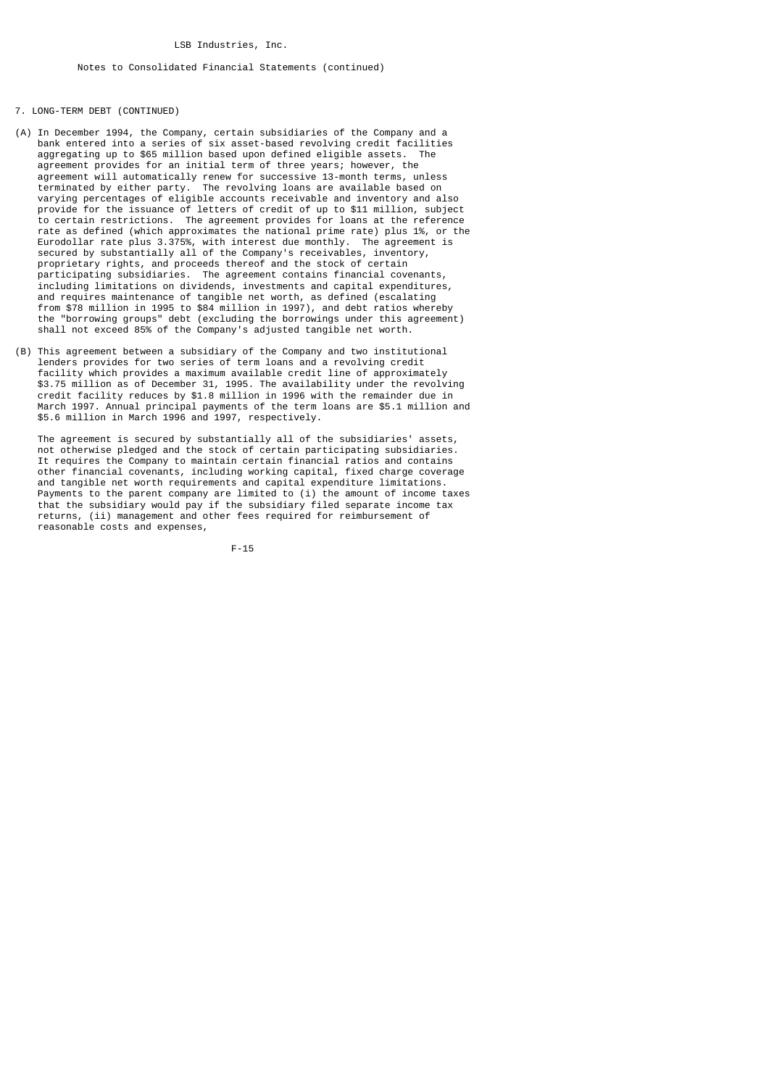## 7. LONG-TERM DEBT (CONTINUED)

- (A) In December 1994, the Company, certain subsidiaries of the Company and a bank entered into a series of six asset-based revolving credit facilities aggregating up to \$65 million based upon defined eligible assets. The agreement provides for an initial term of three years; however, the agreement will automatically renew for successive 13-month terms, unless<br>terminated by either party. The revolving loans are available based on terminated by either party. The revolving loans are available based on varying percentages of eligible accounts receivable and inventory and also provide for the issuance of letters of credit of up to \$11 million, subject to certain restrictions. The agreement provides for loans at the reference rate as defined (which approximates the national prime rate) plus 1%, or the Eurodollar rate plus 3.375%, with interest due monthly. The agreement is secured by substantially all of the Company's receivables, inventory, proprietary rights, and proceeds thereof and the stock of certain participating subsidiaries. The agreement contains financial covenants, including limitations on dividends, investments and capital expenditures, and requires maintenance of tangible net worth, as defined (escalating from \$78 million in 1995 to \$84 million in 1997), and debt ratios whereby the "borrowing groups" debt (excluding the borrowings under this agreement) shall not exceed 85% of the Company's adjusted tangible net worth.
- (B) This agreement between a subsidiary of the Company and two institutional lenders provides for two series of term loans and a revolving credit facility which provides a maximum available credit line of approximately \$3.75 million as of December 31, 1995. The availability under the revolving credit facility reduces by \$1.8 million in 1996 with the remainder due in March 1997. Annual principal payments of the term loans are \$5.1 million and \$5.6 million in March 1996 and 1997, respectively.

 The agreement is secured by substantially all of the subsidiaries' assets, not otherwise pledged and the stock of certain participating subsidiaries. It requires the Company to maintain certain financial ratios and contains other financial covenants, including working capital, fixed charge coverage and tangible net worth requirements and capital expenditure limitations. Payments to the parent company are limited to (i) the amount of income taxes that the subsidiary would pay if the subsidiary filed separate income tax returns, (ii) management and other fees required for reimbursement of reasonable costs and expenses,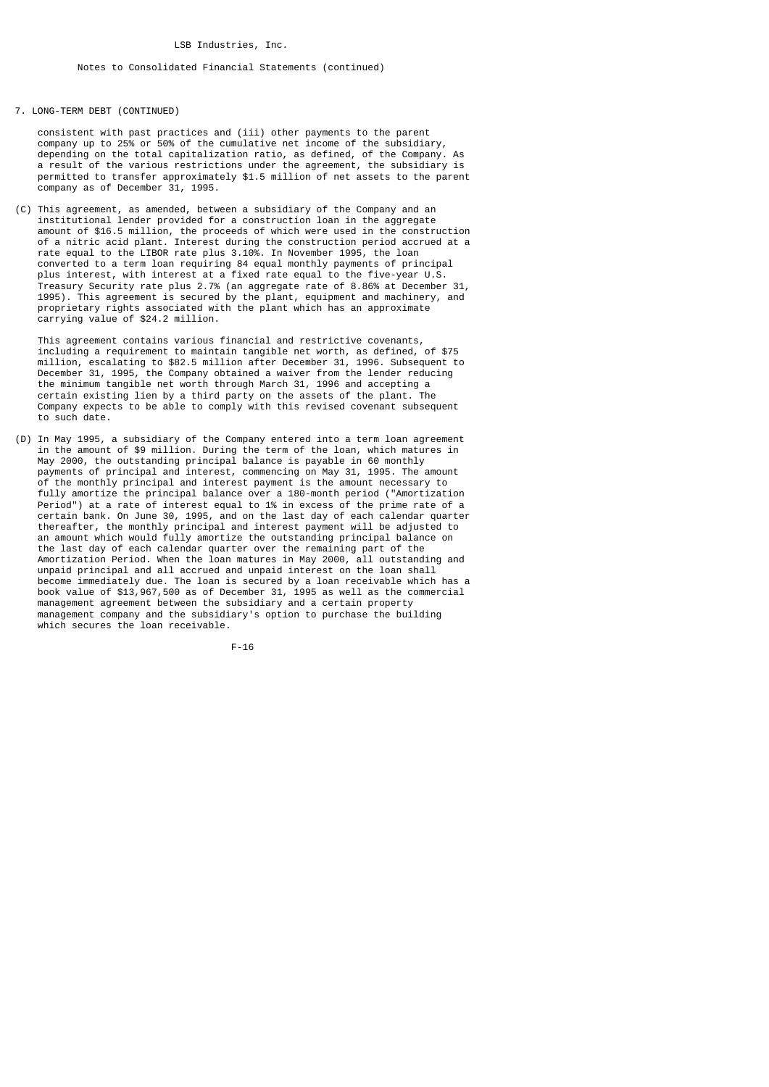## 7. LONG-TERM DEBT (CONTINUED)

 consistent with past practices and (iii) other payments to the parent company up to 25% or 50% of the cumulative net income of the subsidiary, depending on the total capitalization ratio, as defined, of the Company. As a result of the various restrictions under the agreement, the subsidiary is permitted to transfer approximately \$1.5 million of net assets to the parent company as of December 31, 1995.

(C) This agreement, as amended, between a subsidiary of the Company and an institutional lender provided for a construction loan in the aggregate amount of \$16.5 million, the proceeds of which were used in the construction of a nitric acid plant. Interest during the construction period accrued at a rate equal to the LIBOR rate plus 3.10%. In November 1995, the loan converted to a term loan requiring 84 equal monthly payments of principal plus interest, with interest at a fixed rate equal to the five-year U.S. Treasury Security rate plus 2.7% (an aggregate rate of 8.86% at December 31, 1995). This agreement is secured by the plant, equipment and machinery, and proprietary rights associated with the plant which has an approximate carrying value of \$24.2 million.

 This agreement contains various financial and restrictive covenants, including a requirement to maintain tangible net worth, as defined, of \$75 million, escalating to \$82.5 million after December 31, 1996. Subsequent to December 31, 1995, the Company obtained a waiver from the lender reducing the minimum tangible net worth through March 31, 1996 and accepting a certain existing lien by a third party on the assets of the plant. The Company expects to be able to comply with this revised covenant subsequent to such date.

(D) In May 1995, a subsidiary of the Company entered into a term loan agreement in the amount of \$9 million. During the term of the loan, which matures in May 2000, the outstanding principal balance is payable in 60 monthly payments of principal and interest, commencing on May 31, 1995. The amount of the monthly principal and interest payment is the amount necessary to fully amortize the principal balance over a 180-month period ("Amortization Period") at a rate of interest equal to 1% in excess of the prime rate of a certain bank. On June 30, 1995, and on the last day of each calendar quarter thereafter, the monthly principal and interest payment will be adjusted to an amount which would fully amortize the outstanding principal balance on the last day of each calendar quarter over the remaining part of the Amortization Period. When the loan matures in May 2000, all outstanding and unpaid principal and all accrued and unpaid interest on the loan shall become immediately due. The loan is secured by a loan receivable which has a book value of \$13,967,500 as of December 31, 1995 as well as the commercial management agreement between the subsidiary and a certain property management company and the subsidiary's option to purchase the building which secures the loan receivable.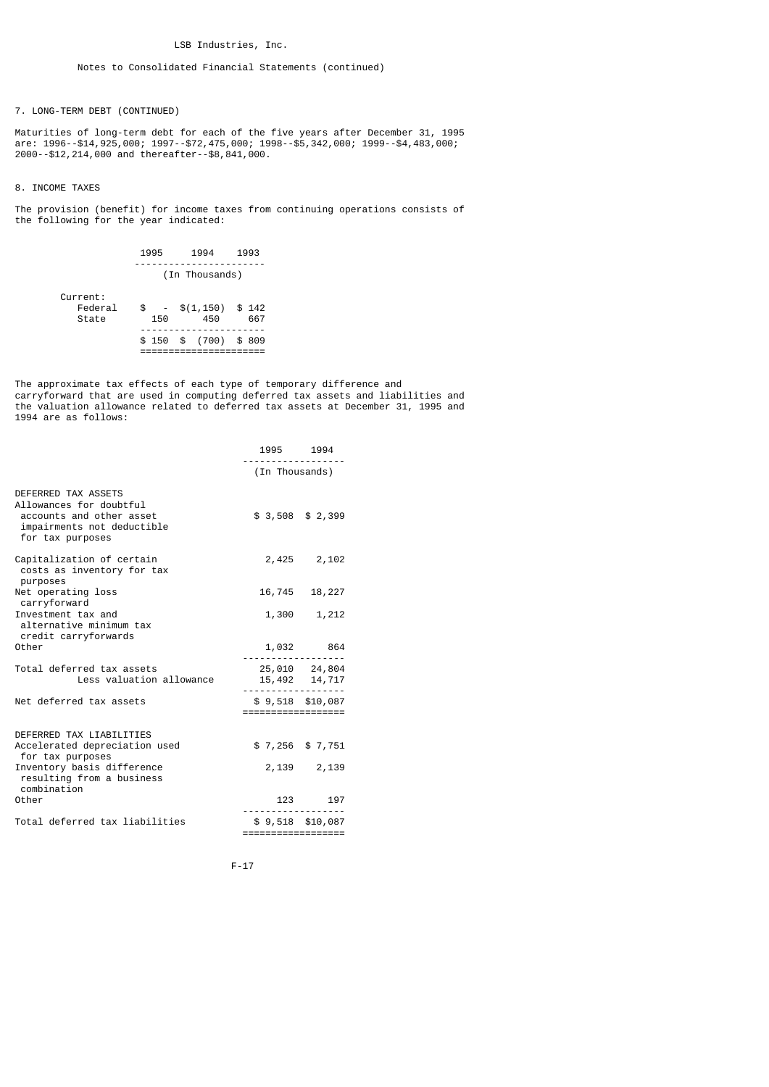7. LONG-TERM DEBT (CONTINUED)

Maturities of long-term debt for each of the five years after December 31, 1995 are: 1996--\$14,925,000; 1997--\$72,475,000; 1998--\$5,342,000; 1999--\$4,483,000; 2000--\$12,214,000 and thereafter--\$8,841,000.

## 8. INCOME TAXES

The provision (benefit) for income taxes from continuing operations consists of the following for the year indicated:

|                              | 1995           | 1994                       | 1993  |  |  |  |  |
|------------------------------|----------------|----------------------------|-------|--|--|--|--|
|                              | (In Thousands) |                            |       |  |  |  |  |
| Current:<br>Federal<br>State | \$<br>150      | $-$ \$(1,150) \$142<br>450 | 667   |  |  |  |  |
|                              |                | $$150$ \$ (700)            | \$809 |  |  |  |  |

The approximate tax effects of each type of temporary difference and carryforward that are used in computing deferred tax assets and liabilities and the valuation allowance related to deferred tax assets at December 31, 1995 and 1994 are as follows:

|                                                                                                                              | 1995 1994          |                                |
|------------------------------------------------------------------------------------------------------------------------------|--------------------|--------------------------------|
|                                                                                                                              | (In Thousands)     |                                |
| DEFERRED TAX ASSETS<br>Allowances for doubtful<br>accounts and other asset<br>impairments not deductible<br>for tax purposes |                    | $$3,508$ $$2,399$              |
| Capitalization of certain<br>costs as inventory for tax<br>purposes                                                          |                    | 2,425 2,102                    |
| Net operating loss                                                                                                           |                    | 16,745 18,227                  |
| carryforward<br>Investment tax and<br>alternative minimum tax<br>credit carryforwards                                        | 1,300              | 1,212                          |
| Other                                                                                                                        |                    | 1,032 864                      |
| Total deferred tax assets<br>Less valuation allowance                                                                        |                    | 25,010 24,804<br>15,492 14,717 |
| Net deferred tax assets                                                                                                      | ================== | $$9,518$ \$10,087              |
|                                                                                                                              |                    |                                |
| DEFERRED TAX LIABILITIES<br>Accelerated depreciation used<br>for tax purposes                                                |                    | $$7,256$ $$7,751$              |
| Inventory basis difference<br>resulting from a business<br>combination                                                       |                    | 2,139 2,139                    |
| Other                                                                                                                        |                    | 123 197                        |
| Total deferred tax liabilities                                                                                               | ================== | $$9,518$ $$10,087$             |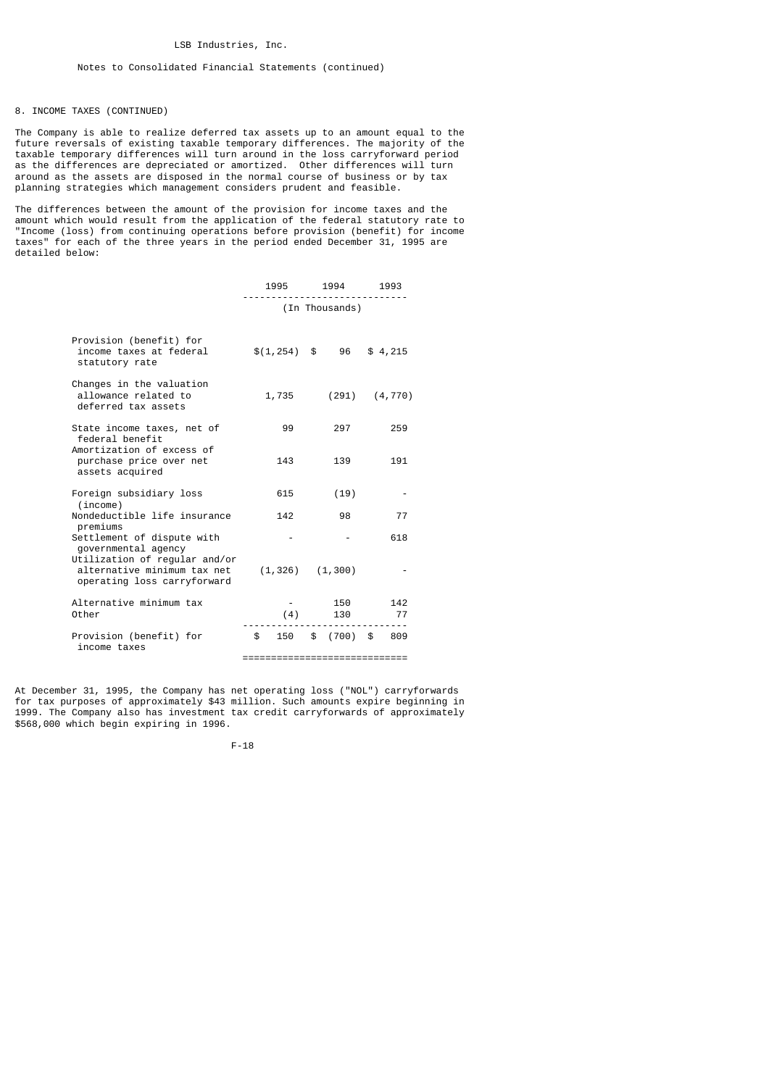## 8. INCOME TAXES (CONTINUED)

The Company is able to realize deferred tax assets up to an amount equal to the future reversals of existing taxable temporary differences. The majority of the taxable temporary differences will turn around in the loss carryforward period as the differences are depreciated or amortized. Other differences will turn around as the assets are disposed in the normal course of business or by tax planning strategies which management considers prudent and feasible.

The differences between the amount of the provision for income taxes and the amount which would result from the application of the federal statutory rate to "Income (loss) from continuing operations before provision (benefit) for income taxes" for each of the three years in the period ended December 31, 1995 are detailed below:

|                                                                                             | 1995           | 1994           | 1993      |
|---------------------------------------------------------------------------------------------|----------------|----------------|-----------|
|                                                                                             |                | (In Thousands) |           |
| Provision (benefit) for<br>income taxes at federal<br>statutory rate                        | $$(1, 254)$ \, | 96             | \$4,215   |
| Changes in the valuation<br>allowance related to<br>deferred tax assets                     | 1,735          | (291)          | (4, 770)  |
| State income taxes, net of<br>federal benefit                                               | 99             | 297            | 259       |
| Amortization of excess of<br>purchase price over net<br>assets acquired                     | 143            | 139            | 191       |
| Foreign subsidiary loss<br>(income)                                                         | 615            | (19)           |           |
| Nondeductible life insurance<br>premiums                                                    | 142            | 98             | 77        |
| Settlement of dispute with<br>governmental agency                                           |                |                | 618       |
| Utilization of regular and/or<br>alternative minimum tax net<br>operating loss carryforward | (1, 326)       | (1, 300)       |           |
| Alternative minimum tax<br>Other                                                            | (4)            | 150<br>130     | 142<br>77 |
| Provision (benefit) for<br>income taxes                                                     | \$<br>150      | (700)<br>\$    | \$<br>809 |

=============================

At December 31, 1995, the Company has net operating loss ("NOL") carryforwards for tax purposes of approximately \$43 million. Such amounts expire beginning in 1999. The Company also has investment tax credit carryforwards of approximately \$568,000 which begin expiring in 1996.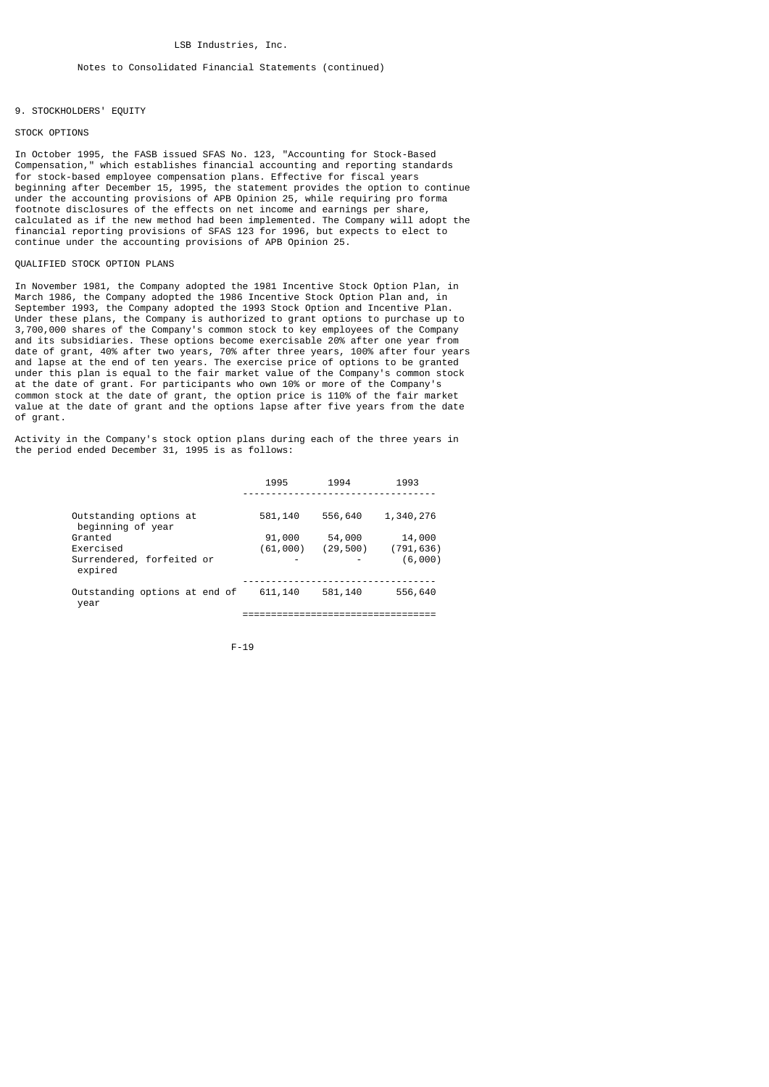## 9. STOCKHOLDERS' EQUITY

#### STOCK OPTIONS

In October 1995, the FASB issued SFAS No. 123, "Accounting for Stock-Based Compensation," which establishes financial accounting and reporting standards for stock-based employee compensation plans. Effective for fiscal years beginning after December 15, 1995, the statement provides the option to continue under the accounting provisions of APB Opinion 25, while requiring pro forma footnote disclosures of the effects on net income and earnings per share, calculated as if the new method had been implemented. The Company will adopt the financial reporting provisions of SFAS 123 for 1996, but expects to elect to continue under the accounting provisions of APB Opinion 25.

## QUALIFIED STOCK OPTION PLANS

In November 1981, the Company adopted the 1981 Incentive Stock Option Plan, in March 1986, the Company adopted the 1986 Incentive Stock Option Plan and, September 1993, the Company adopted the 1993 Stock Option and Incentive Plan. Under these plans, the Company is authorized to grant options to purchase up to 3,700,000 shares of the Company's common stock to key employees of the Company and its subsidiaries. These options become exercisable 20% after one year from date of grant, 40% after two years, 70% after three years, 100% after four years and lapse at the end of ten years. The exercise price of options to be granted under this plan is equal to the fair market value of the Company's common stock at the date of grant. For participants who own 10% or more of the Company's common stock at the date of grant, the option price is 110% of the fair market value at the date of grant and the options lapse after five years from the date of grant.

Activity in the Company's stock option plans during each of the three years in the period ended December 31, 1995 is as follows:

|                                                              | 1995                    | 1994                | 1993                            |
|--------------------------------------------------------------|-------------------------|---------------------|---------------------------------|
| Outstanding options at<br>beginning of year                  | 581,140                 | 556,640             | 1,340,276                       |
| Granted<br>Exercised<br>Surrendered, forfeited or<br>expired | 91,000<br>(61,000)<br>- | 54,000<br>(29, 500) | 14,000<br>(791, 636)<br>(6,000) |
| Outstanding options at end of<br>year                        | 611, 140                | 581,140             | 556,640                         |
|                                                              |                         |                     |                                 |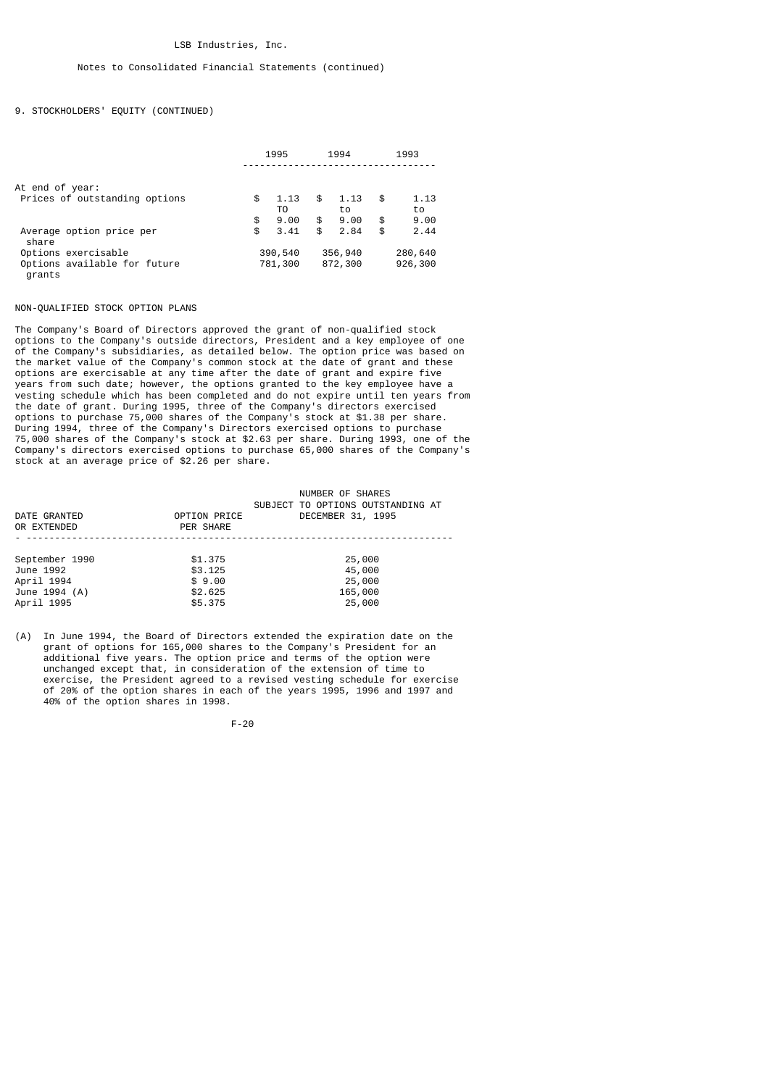## 9. STOCKHOLDERS' EQUITY (CONTINUED)

|                                        | 1995 |            | 1994 |            | 1993 |            |
|----------------------------------------|------|------------|------|------------|------|------------|
| At end of year:                        |      |            |      |            |      |            |
| Prices of outstanding options          | \$   | 1.13<br>T0 | \$   | 1.13<br>to | \$   | 1.13<br>to |
|                                        | \$   | 9.00       | \$   | 9.00       | \$   | 9.00       |
| Average option price per<br>share      | \$   | 3.41       | \$   | 2.84       | \$   | 2.44       |
| Options exercisable                    |      | 390,540    |      | 356,940    |      | 280,640    |
| Options available for future<br>grants |      | 781,300    |      | 872,300    |      | 926,300    |

#### NON-QUALIFIED STOCK OPTION PLANS

The Company's Board of Directors approved the grant of non-qualified stock options to the Company's outside directors, President and a key employee of one of the Company's subsidiaries, as detailed below. The option price was based on the market value of the Company's common stock at the date of grant and these options are exercisable at any time after the date of grant and expire five years from such date; however, the options granted to the key employee have a vesting schedule which has been completed and do not expire until ten years from the date of grant. During 1995, three of the Company's directors exercised options to purchase 75,000 shares of the Company's stock at \$1.38 per share. During 1994, three of the Company's Directors exercised options to purchase 75,000 shares of the Company's stock at \$2.63 per share. During 1993, one of the Company's directors exercised options to purchase 65,000 shares of the Company's stock at an average price of \$2.26 per share.

|                |              | NUMBER OF SHARES                  |
|----------------|--------------|-----------------------------------|
|                |              | SUBJECT TO OPTIONS OUTSTANDING AT |
| DATE GRANTED   | OPTION PRICE | DECEMBER 31, 1995                 |
| OR EXTENDED    | PER SHARE    |                                   |
|                |              |                                   |
|                |              |                                   |
| September 1990 | \$1,375      | 25,000                            |
| June 1992      | \$3.125      | 45,000                            |
| April 1994     | \$9.00       | 25,000                            |
| June 1994 (A)  | \$2.625      | 165,000                           |
| April 1995     | \$5,375      | 25,000                            |

(A) In June 1994, the Board of Directors extended the expiration date on the grant of options for 165,000 shares to the Company's President for an additional five years. The option price and terms of the option were unchanged except that, in consideration of the extension of time to exercise, the President agreed to a revised vesting schedule for exercise of 20% of the option shares in each of the years 1995, 1996 and 1997 and 40% of the option shares in 1998.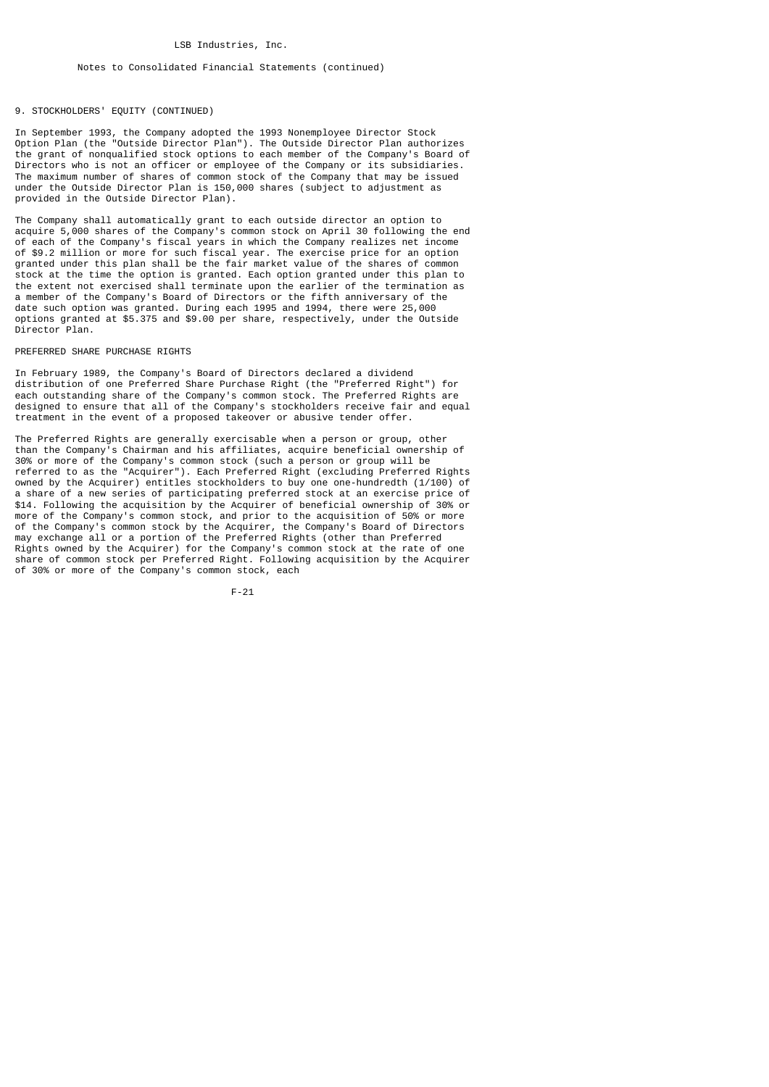## 9. STOCKHOLDERS' EQUITY (CONTINUED)

In September 1993, the Company adopted the 1993 Nonemployee Director Stock Option Plan (the "Outside Director Plan"). The Outside Director Plan authorizes the grant of nonqualified stock options to each member of the Company's Board of Directors who is not an officer or employee of the Company or its subsidiaries. The maximum number of shares of common stock of the Company that may be issued under the Outside Director Plan is 150,000 shares (subject to adjustment as provided in the Outside Director Plan).

The Company shall automatically grant to each outside director an option to acquire 5,000 shares of the Company's common stock on April 30 following the end of each of the Company's fiscal years in which the Company realizes net income of \$9.2 million or more for such fiscal year. The exercise price for an option granted under this plan shall be the fair market value of the shares of common stock at the time the option is granted. Each option granted under this plan to the extent not exercised shall terminate upon the earlier of the termination as a member of the Company's Board of Directors or the fifth anniversary of the date such option was granted. During each 1995 and 1994, there were 25,000 options granted at \$5.375 and \$9.00 per share, respectively, under the Outside Director Plan.

#### PREFERRED SHARE PURCHASE RIGHTS

In February 1989, the Company's Board of Directors declared a dividend distribution of one Preferred Share Purchase Right (the "Preferred Right") for each outstanding share of the Company's common stock. The Preferred Rights are designed to ensure that all of the Company's stockholders receive fair and equal treatment in the event of a proposed takeover or abusive tender offer.

The Preferred Rights are generally exercisable when a person or group, other than the Company's Chairman and his affiliates, acquire beneficial ownership of 30% or more of the Company's common stock (such a person or group will be referred to as the "Acquirer"). Each Preferred Right (excluding Preferred Rights owned by the Acquirer) entitles stockholders to buy one one-hundredth (1/100) of a share of a new series of participating preferred stock at an exercise price of \$14. Following the acquisition by the Acquirer of beneficial ownership of 30% or more of the Company's common stock, and prior to the acquisition of 50% or more of the Company's common stock by the Acquirer, the Company's Board of Directors may exchange all or a portion of the Preferred Rights (other than Preferred Rights owned by the Acquirer) for the Company's common stock at the rate of one share of common stock per Preferred Right. Following acquisition by the Acquirer of 30% or more of the Company's common stock, each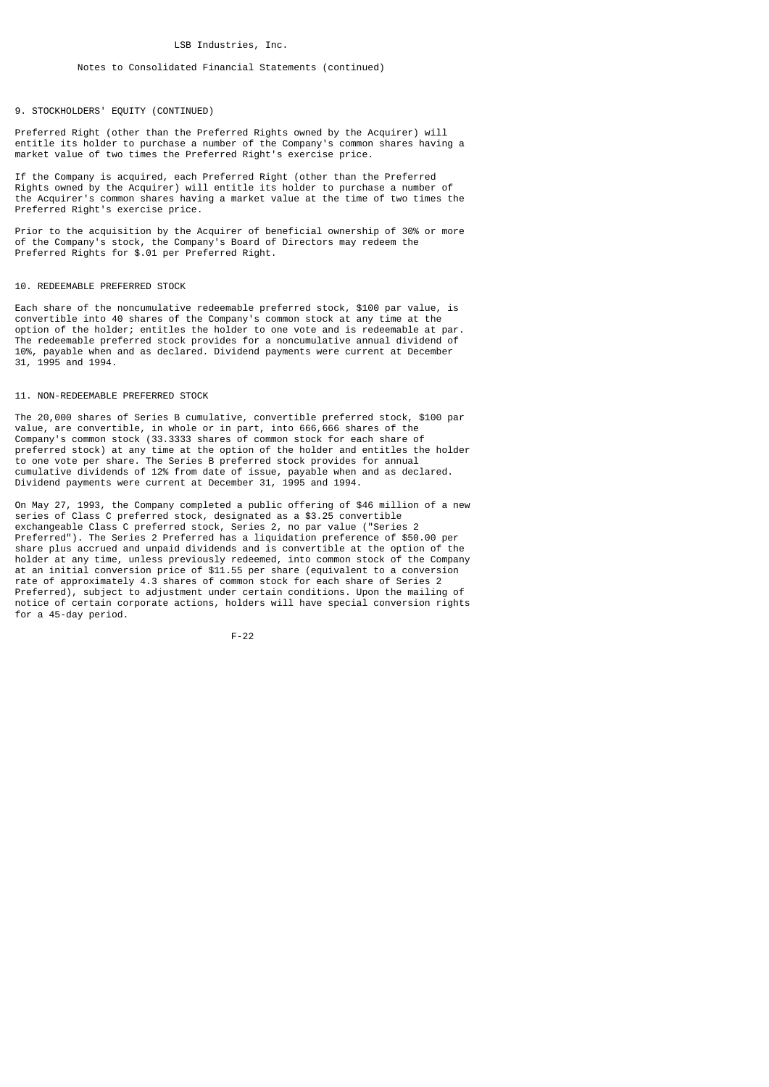#### Notes to Consolidated Financial Statements (continued)

## 9. STOCKHOLDERS' EQUITY (CONTINUED)

Preferred Right (other than the Preferred Rights owned by the Acquirer) will entitle its holder to purchase a number of the Company's common shares having a market value of two times the Preferred Right's exercise price.

If the Company is acquired, each Preferred Right (other than the Preferred Rights owned by the Acquirer) will entitle its holder to purchase a number of the Acquirer's common shares having a market value at the time of two times the Preferred Right's exercise price.

Prior to the acquisition by the Acquirer of beneficial ownership of 30% or more of the Company's stock, the Company's Board of Directors may redeem the Preferred Rights for \$.01 per Preferred Right.

#### 10. REDEEMABLE PREFERRED STOCK

Each share of the noncumulative redeemable preferred stock, \$100 par value, is convertible into 40 shares of the Company's common stock at any time at the option of the holder; entitles the holder to one vote and is redeemable at par. The redeemable preferred stock provides for a noncumulative annual dividend of 10%, payable when and as declared. Dividend payments were current at December 31, 1995 and 1994.

#### 11. NON-REDEEMABLE PREFERRED STOCK

The 20,000 shares of Series B cumulative, convertible preferred stock, \$100 par value, are convertible, in whole or in part, into 666,666 shares of the Company's common stock (33.3333 shares of common stock for each share of preferred stock) at any time at the option of the holder and entitles the holder to one vote per share. The Series B preferred stock provides for annual cumulative dividends of 12% from date of issue, payable when and as declared. Dividend payments were current at December 31, 1995 and 1994.

On May 27, 1993, the Company completed a public offering of \$46 million of a new series of Class C preferred stock, designated as a \$3.25 convertible exchangeable Class C preferred stock, Series 2, no par value ("Series 2 Preferred"). The Series 2 Preferred has a liquidation preference of \$50.00 per share plus accrued and unpaid dividends and is convertible at the option of the holder at any time, unless previously redeemed, into common stock of the Company at an initial conversion price of \$11.55 per share (equivalent to a conversion rate of approximately 4.3 shares of common stock for each share of Series 2 Preferred), subject to adjustment under certain conditions. Upon the mailing of notice of certain corporate actions, holders will have special conversion rights for a 45-day period.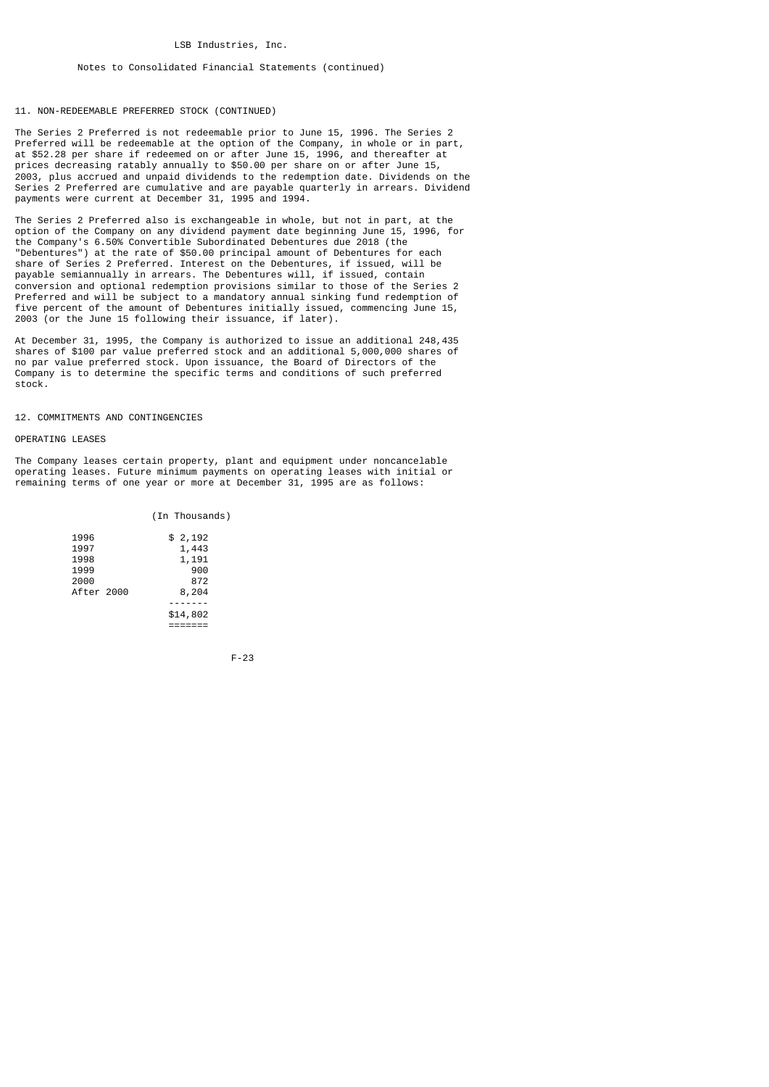#### Notes to Consolidated Financial Statements (continued)

#### 11. NON-REDEEMABLE PREFERRED STOCK (CONTINUED)

The Series 2 Preferred is not redeemable prior to June 15, 1996. The Series 2 Preferred will be redeemable at the option of the Company, in whole or in part, at \$52.28 per share if redeemed on or after June 15, 1996, and thereafter at prices decreasing ratably annually to \$50.00 per share on or after June 15, 2003, plus accrued and unpaid dividends to the redemption date. Dividends on the Series 2 Preferred are cumulative and are payable quarterly in arrears. Dividend payments were current at December 31, 1995 and 1994.

The Series 2 Preferred also is exchangeable in whole, but not in part, at the option of the Company on any dividend payment date beginning June 15, 1996, for the Company's 6.50% Convertible Subordinated Debentures due 2018 (the "Debentures") at the rate of \$50.00 principal amount of Debentures for each share of Series 2 Preferred. Interest on the Debentures, if issued, will be payable semiannually in arrears. The Debentures will, if issued, contain conversion and optional redemption provisions similar to those of the Series 2 Preferred and will be subject to a mandatory annual sinking fund redemption of five percent of the amount of Debentures initially issued, commencing June 15, 2003 (or the June 15 following their issuance, if later).

At December 31, 1995, the Company is authorized to issue an additional 248,435 shares of \$100 par value preferred stock and an additional 5,000,000 shares of no par value preferred stock. Upon issuance, the Board of Directors of the Company is to determine the specific terms and conditions of such preferred stock.

## 12. COMMITMENTS AND CONTINGENCIES

#### OPERATING LEASES

The Company leases certain property, plant and equipment under noncancelable operating leases. Future minimum payments on operating leases with initial or remaining terms of one year or more at December 31, 1995 are as follows:

#### (In Thousands)

| 1996       |  | \$2,192  |
|------------|--|----------|
| 1997       |  | 1,443    |
| 1998       |  | 1,191    |
| 1999       |  | 900      |
| 2000       |  | 872      |
| After 2000 |  | 8,204    |
|            |  |          |
|            |  | \$14,802 |
|            |  |          |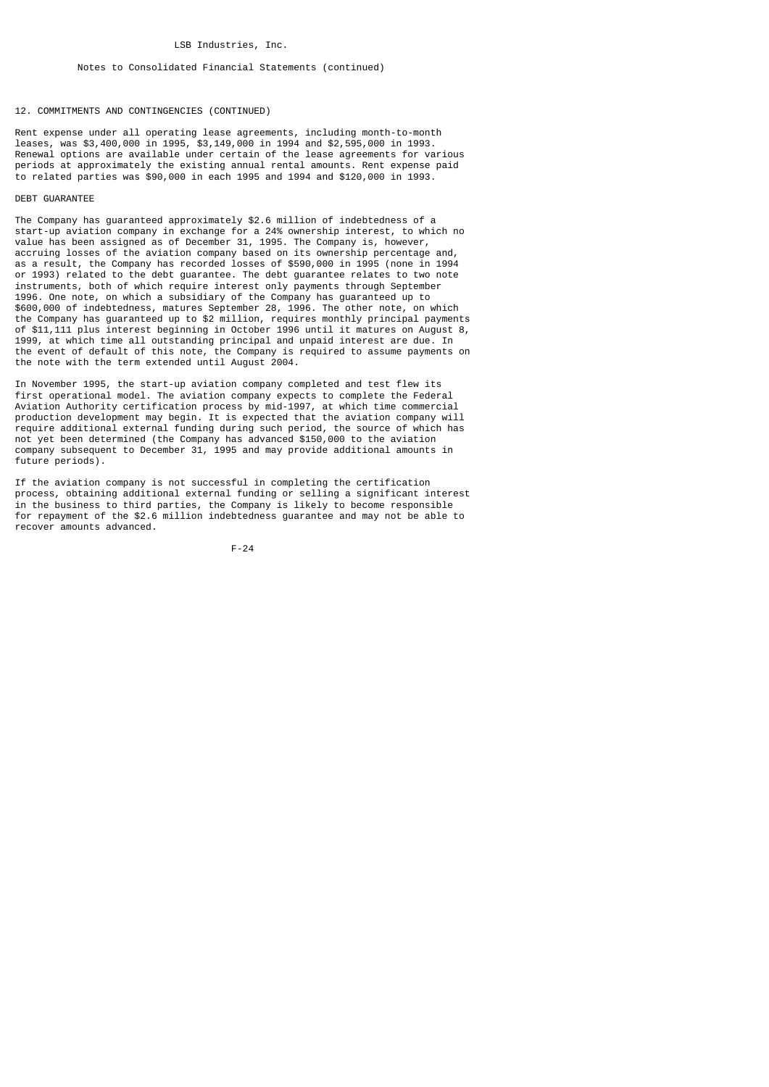#### Notes to Consolidated Financial Statements (continued)

#### 12. COMMITMENTS AND CONTINGENCIES (CONTINUED)

Rent expense under all operating lease agreements, including month-to-month leases, was \$3,400,000 in 1995, \$3,149,000 in 1994 and \$2,595,000 in 1993. Renewal options are available under certain of the lease agreements for various periods at approximately the existing annual rental amounts. Rent expense paid to related parties was \$90,000 in each 1995 and 1994 and \$120,000 in 1993.

#### DEBT GUARANTEE

The Company has guaranteed approximately \$2.6 million of indebtedness of a start-up aviation company in exchange for a 24% ownership interest, to which no value has been assigned as of December 31, 1995. The Company is, however, accruing losses of the aviation company based on its ownership percentage and, as a result, the Company has recorded losses of \$590,000 in 1995 (none in 1994 or 1993) related to the debt guarantee. The debt guarantee relates to two note instruments, both of which require interest only payments through September 1996. One note, on which a subsidiary of the Company has guaranteed up to \$600,000 of indebtedness, matures September 28, 1996. The other note, on which the Company has guaranteed up to \$2 million, requires monthly principal payments of \$11,111 plus interest beginning in October 1996 until it matures on August 8, 1999, at which time all outstanding principal and unpaid interest are due. In the event of default of this note, the Company is required to assume payments on the note with the term extended until August 2004.

In November 1995, the start-up aviation company completed and test flew its first operational model. The aviation company expects to complete the Federal Aviation Authority certification process by mid-1997, at which time commercial production development may begin. It is expected that the aviation company will require additional external funding during such period, the source of which has not yet been determined (the Company has advanced \$150,000 to the aviation company subsequent to December 31, 1995 and may provide additional amounts in future periods).

If the aviation company is not successful in completing the certification process, obtaining additional external funding or selling a significant interest in the business to third parties, the Company is likely to become responsible for repayment of the \$2.6 million indebtedness guarantee and may not be able to recover amounts advanced.

$$
F - 24
$$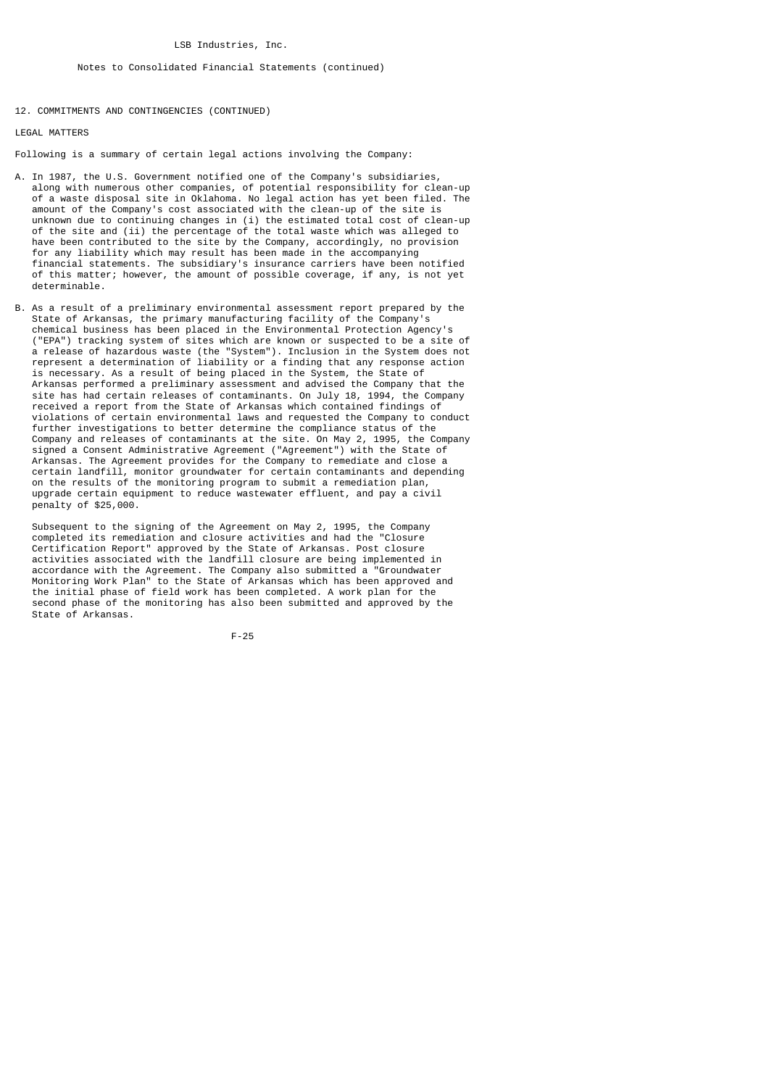## Notes to Consolidated Financial Statements (continued)

12. COMMITMENTS AND CONTINGENCIES (CONTINUED)

LEGAL MATTERS

Following is a summary of certain legal actions involving the Company:

- A. In 1987, the U.S. Government notified one of the Company's subsidiaries, along with numerous other companies, of potential responsibility for clean-up of a waste disposal site in Oklahoma. No legal action has yet been filed. The amount of the Company's cost associated with the clean-up of the site is unknown due to continuing changes in (i) the estimated total cost of clean-up of the site and (ii) the percentage of the total waste which was alleged to have been contributed to the site by the Company, accordingly, no provision for any liability which may result has been made in the accompanying financial statements. The subsidiary's insurance carriers have been notified of this matter; however, the amount of possible coverage, if any, is not yet determinable.
- B. As a result of a preliminary environmental assessment report prepared by the State of Arkansas, the primary manufacturing facility of the Company's chemical business has been placed in the Environmental Protection Agency's ("EPA") tracking system of sites which are known or suspected to be a site of a release of hazardous waste (the "System"). Inclusion in the System does not represent a determination of liability or a finding that any response action is necessary. As a result of being placed in the System, the State of Arkansas performed a preliminary assessment and advised the Company that the site has had certain releases of contaminants. On July 18, 1994, the Company received a report from the State of Arkansas which contained findings of violations of certain environmental laws and requested the Company to conduct further investigations to better determine the compliance status of the Company and releases of contaminants at the site. On May 2, 1995, the Company signed a Consent Administrative Agreement ("Agreement") with the State of Arkansas. The Agreement provides for the Company to remediate and close a certain landfill, monitor groundwater for certain contaminants and depending on the results of the monitoring program to submit a remediation plan, upgrade certain equipment to reduce wastewater effluent, and pay a civil penalty of \$25,000.

 Subsequent to the signing of the Agreement on May 2, 1995, the Company completed its remediation and closure activities and had the "Closure Certification Report" approved by the State of Arkansas. Post closure activities associated with the landfill closure are being implemented in accordance with the Agreement. The Company also submitted a "Groundwater Monitoring Work Plan" to the State of Arkansas which has been approved and the initial phase of field work has been completed. A work plan for the second phase of the monitoring has also been submitted and approved by the State of Arkansas.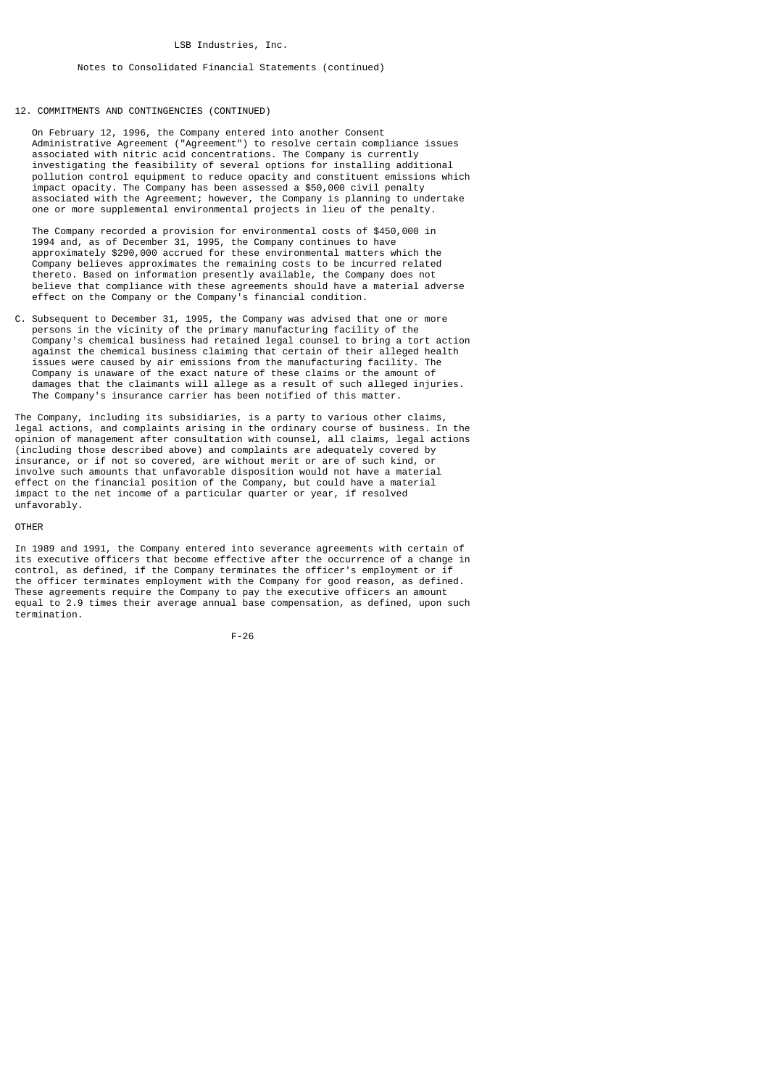## 12. COMMITMENTS AND CONTINGENCIES (CONTINUED)

 On February 12, 1996, the Company entered into another Consent Administrative Agreement ("Agreement") to resolve certain compliance issues associated with nitric acid concentrations. The Company is currently investigating the feasibility of several options for installing additional pollution control equipment to reduce opacity and constituent emissions which impact opacity. The Company has been assessed a \$50,000 civil penalty associated with the Agreement; however, the Company is planning to undertake one or more supplemental environmental projects in lieu of the penalty.

 The Company recorded a provision for environmental costs of \$450,000 in 1994 and, as of December 31, 1995, the Company continues to have approximately \$290,000 accrued for these environmental matters which the Company believes approximates the remaining costs to be incurred related thereto. Based on information presently available, the Company does not believe that compliance with these agreements should have a material adverse effect on the Company or the Company's financial condition.

C. Subsequent to December 31, 1995, the Company was advised that one or more persons in the vicinity of the primary manufacturing facility of the Company's chemical business had retained legal counsel to bring a tort action against the chemical business claiming that certain of their alleged health issues were caused by air emissions from the manufacturing facility. The Company is unaware of the exact nature of these claims or the amount of damages that the claimants will allege as a result of such alleged injuries. The Company's insurance carrier has been notified of this matter.

The Company, including its subsidiaries, is a party to various other claims, legal actions, and complaints arising in the ordinary course of business. In the opinion of management after consultation with counsel, all claims, legal actions (including those described above) and complaints are adequately covered by insurance, or if not so covered, are without merit or are of such kind, or involve such amounts that unfavorable disposition would not have a material effect on the financial position of the Company, but could have a material impact to the net income of a particular quarter or year, if resolved unfavorably.

#### OTHER

In 1989 and 1991, the Company entered into severance agreements with certain of its executive officers that become effective after the occurrence of a change in control, as defined, if the Company terminates the officer's employment or if the officer terminates employment with the Company for good reason, as defined. These agreements require the Company to pay the executive officers an amount equal to 2.9 times their average annual base compensation, as defined, upon such termination.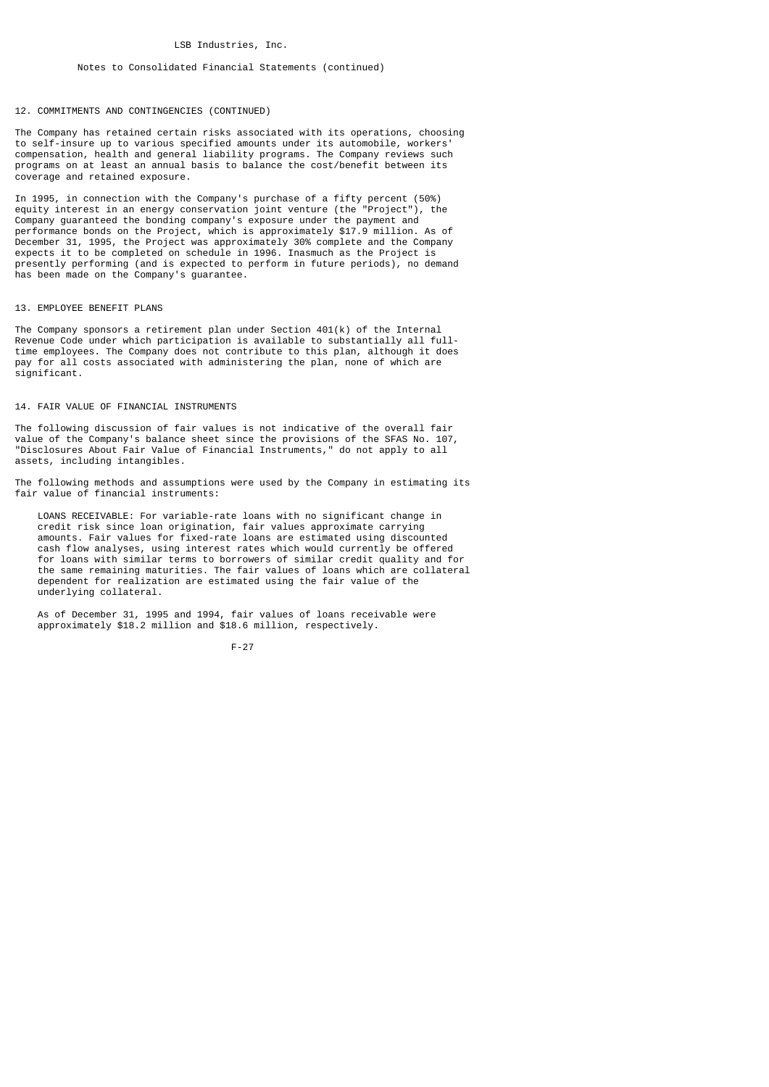## Notes to Consolidated Financial Statements (continued)

## 12. COMMITMENTS AND CONTINGENCIES (CONTINUED)

The Company has retained certain risks associated with its operations, choosing to self-insure up to various specified amounts under its automobile, workers' compensation, health and general liability programs. The Company reviews such programs on at least an annual basis to balance the cost/benefit between its coverage and retained exposure.

In 1995, in connection with the Company's purchase of a fifty percent (50%) equity interest in an energy conservation joint venture (the "Project"), the Company guaranteed the bonding company's exposure under the payment and performance bonds on the Project, which is approximately \$17.9 million. As of December 31, 1995, the Project was approximately 30% complete and the Company expects it to be completed on schedule in 1996. Inasmuch as the Project is presently performing (and is expected to perform in future periods), no demand has been made on the Company's guarantee.

#### 13. EMPLOYEE BENEFIT PLANS

The Company sponsors a retirement plan under Section 401(k) of the Internal Revenue Code under which participation is available to substantially all fulltime employees. The Company does not contribute to this plan, although it does pay for all costs associated with administering the plan, none of which are significant.

## 14. FAIR VALUE OF FINANCIAL INSTRUMENTS

The following discussion of fair values is not indicative of the overall fair value of the Company's balance sheet since the provisions of the SFAS No. 107, "Disclosures About Fair Value of Financial Instruments," do not apply to all assets, including intangibles.

The following methods and assumptions were used by the Company in estimating its fair value of financial instruments:

 LOANS RECEIVABLE: For variable-rate loans with no significant change in credit risk since loan origination, fair values approximate carrying amounts. Fair values for fixed-rate loans are estimated using discounted cash flow analyses, using interest rates which would currently be offered for loans with similar terms to borrowers of similar credit quality and for the same remaining maturities. The fair values of loans which are collateral dependent for realization are estimated using the fair value of the underlying collateral.

 As of December 31, 1995 and 1994, fair values of loans receivable were approximately \$18.2 million and \$18.6 million, respectively.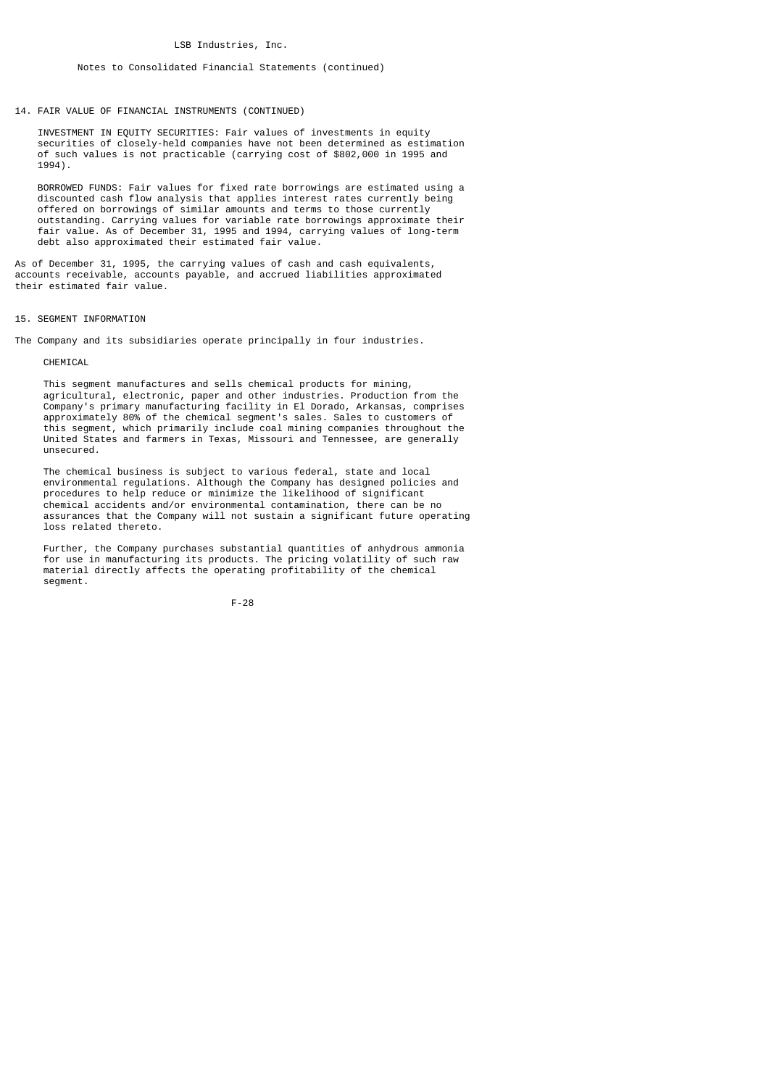## Notes to Consolidated Financial Statements (continued)

14. FAIR VALUE OF FINANCIAL INSTRUMENTS (CONTINUED)

 INVESTMENT IN EQUITY SECURITIES: Fair values of investments in equity securities of closely-held companies have not been determined as estimation of such values is not practicable (carrying cost of \$802,000 in 1995 and 1994).

 BORROWED FUNDS: Fair values for fixed rate borrowings are estimated using a discounted cash flow analysis that applies interest rates currently being offered on borrowings of similar amounts and terms to those currently outstanding. Carrying values for variable rate borrowings approximate their fair value. As of December 31, 1995 and 1994, carrying values of long-term debt also approximated their estimated fair value.

As of December 31, 1995, the carrying values of cash and cash equivalents, accounts receivable, accounts payable, and accrued liabilities approximated their estimated fair value.

## 15. SEGMENT INFORMATION

The Company and its subsidiaries operate principally in four industries.

#### CHEMICAL

 This segment manufactures and sells chemical products for mining, agricultural, electronic, paper and other industries. Production from the Company's primary manufacturing facility in El Dorado, Arkansas, comprises approximately 80% of the chemical segment's sales. Sales to customers of this segment, which primarily include coal mining companies throughout the United States and farmers in Texas, Missouri and Tennessee, are generally unsecured.

 The chemical business is subject to various federal, state and local environmental regulations. Although the Company has designed policies and procedures to help reduce or minimize the likelihood of significant chemical accidents and/or environmental contamination, there can be no assurances that the Company will not sustain a significant future operating loss related thereto.

 Further, the Company purchases substantial quantities of anhydrous ammonia for use in manufacturing its products. The pricing volatility of such raw material directly affects the operating profitability of the chemical segment.

$$
\mathsf{F-28}
$$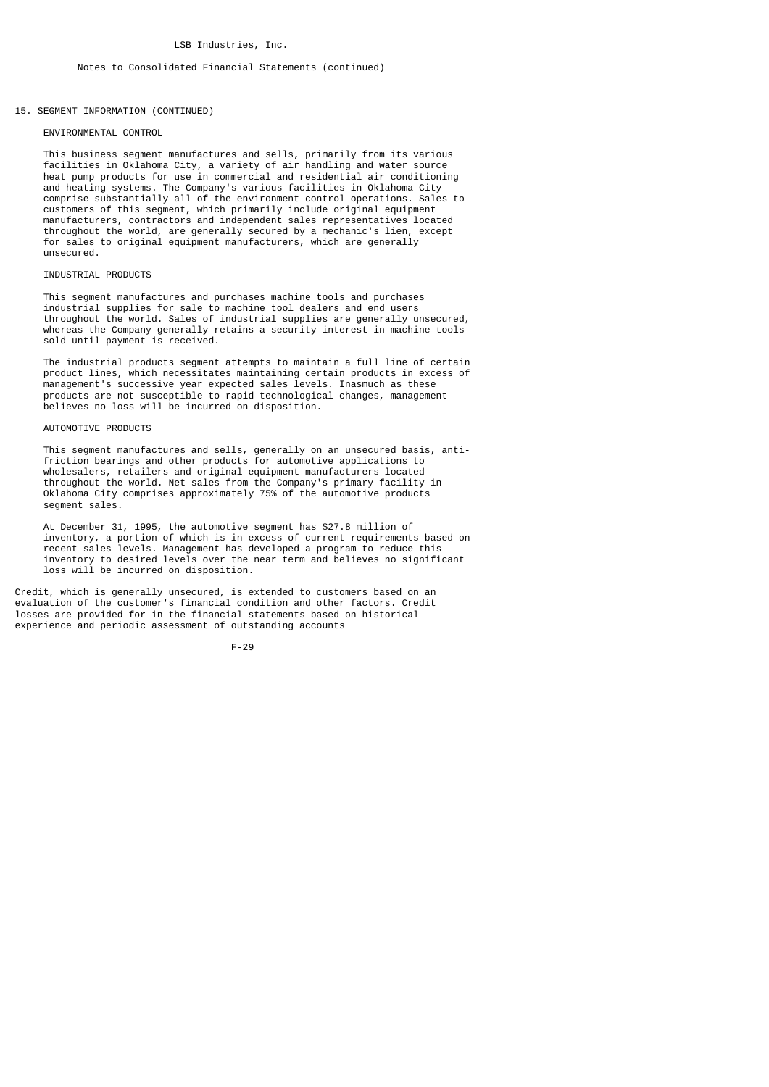## 15. SEGMENT INFORMATION (CONTINUED)

### ENVIRONMENTAL CONTROL

 This business segment manufactures and sells, primarily from its various facilities in Oklahoma City, a variety of air handling and water source heat pump products for use in commercial and residential air conditioning and heating systems. The Company's various facilities in Oklahoma City comprise substantially all of the environment control operations. Sales to customers of this segment, which primarily include original equipment manufacturers, contractors and independent sales representatives located throughout the world, are generally secured by a mechanic's lien, except for sales to original equipment manufacturers, which are generally unsecured.

## INDUSTRIAL PRODUCTS

 This segment manufactures and purchases machine tools and purchases industrial supplies for sale to machine tool dealers and end users throughout the world. Sales of industrial supplies are generally unsecured, whereas the Company generally retains a security interest in machine tools sold until payment is received.

 The industrial products segment attempts to maintain a full line of certain product lines, which necessitates maintaining certain products in excess of management's successive year expected sales levels. Inasmuch as these products are not susceptible to rapid technological changes, management believes no loss will be incurred on disposition.

#### AUTOMOTIVE PRODUCTS

 This segment manufactures and sells, generally on an unsecured basis, anti friction bearings and other products for automotive applications to wholesalers, retailers and original equipment manufacturers located throughout the world. Net sales from the Company's primary facility in Oklahoma City comprises approximately 75% of the automotive products segment sales.

 At December 31, 1995, the automotive segment has \$27.8 million of inventory, a portion of which is in excess of current requirements based on recent sales levels. Management has developed a program to reduce this inventory to desired levels over the near term and believes no significant loss will be incurred on disposition.

Credit, which is generally unsecured, is extended to customers based on an evaluation of the customer's financial condition and other factors. Credit losses are provided for in the financial statements based on historical experience and periodic assessment of outstanding accounts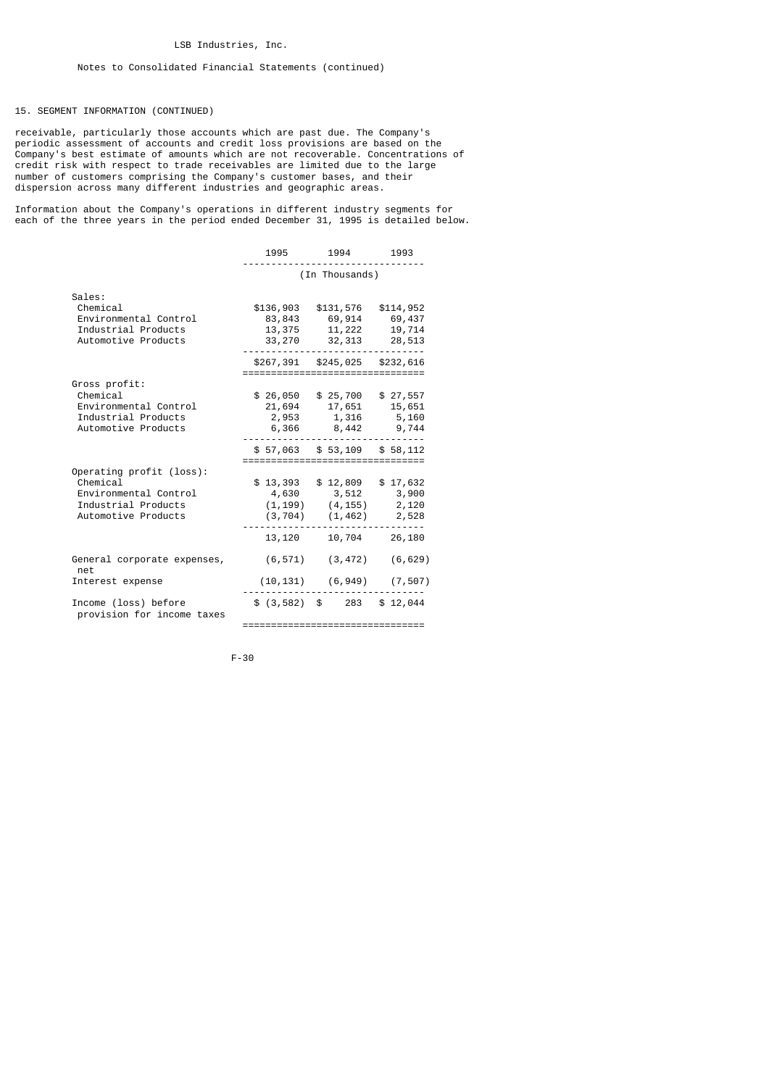## 15. SEGMENT INFORMATION (CONTINUED)

receivable, particularly those accounts which are past due. The Company's periodic assessment of accounts and credit loss provisions are based on the Company's best estimate of amounts which are not recoverable. Concentrations of credit risk with respect to trade receivables are limited due to the large number of customers comprising the Company's customer bases, and their dispersion across many different industries and geographic areas.

Information about the Company's operations in different industry segments for each of the three years in the period ended December 31, 1995 is detailed below.

|                                                                                                             | 1995                                                              | 1994                                                                                   | 1993                                    |  |
|-------------------------------------------------------------------------------------------------------------|-------------------------------------------------------------------|----------------------------------------------------------------------------------------|-----------------------------------------|--|
|                                                                                                             | (In Thousands)                                                    |                                                                                        |                                         |  |
| Sales:<br>Chemical<br>Environmental Control<br>Industrial Products<br>Automotive Products                   | \$136,903<br>13,375<br>33,270                                     | \$131,576<br>83,843 69,914<br>11,222<br>32,313                                         | \$114,952<br>69,437<br>19,714<br>28,513 |  |
|                                                                                                             |                                                                   | \$267,391 \$245,025 \$232,616                                                          |                                         |  |
| Gross profit:<br>Chemical<br>Environmental Control<br>Industrial Products<br>Automotive Products            | ==================================<br>\$26,050<br>21,694<br>2,953 | \$25,700<br>17,651<br>1,316<br>6,366 8,442 9,744                                       | \$27,557<br>15,651<br>5,160             |  |
|                                                                                                             | \$57,063                                                          | \$53,109                                                                               | \$58,112                                |  |
| Operating profit (loss):<br>Chemical<br>Environmental Control<br>Industrial Products<br>Automotive Products | :=================================<br>\$13,393                    | \$12,809<br>4,630 3,512<br>$(1, 199)$ $(4, 155)$ 2, 120<br>$(3, 704)$ $(1, 462)$ 2,528 | \$17,632<br>3,900                       |  |
|                                                                                                             | 13,120                                                            |                                                                                        | 10,704 26,180                           |  |
| General corporate expenses,<br>net                                                                          | (6, 571)                                                          | (3, 472)                                                                               | (6, 629)                                |  |
| Interest expense                                                                                            | (10,131)                                                          | (6, 949)                                                                               | (7, 507)                                |  |
| Income (loss) before<br>provision for income taxes                                                          | \$(3, 582)                                                        | \$ 283                                                                                 | \$12,044                                |  |
|                                                                                                             | =================================                                 |                                                                                        |                                         |  |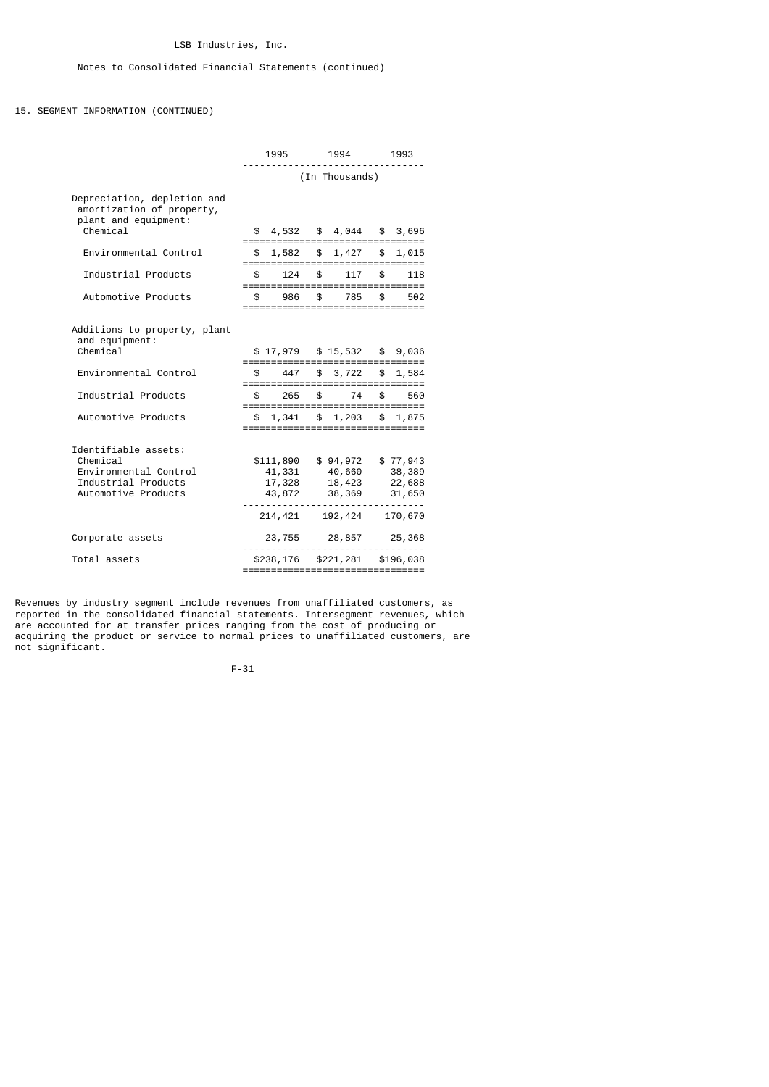## 15. SEGMENT INFORMATION (CONTINUED)

|                                                                                                         | 1995<br>1994   |                                                    | 1993          |                                                                                   |               |                                                                  |
|---------------------------------------------------------------------------------------------------------|----------------|----------------------------------------------------|---------------|-----------------------------------------------------------------------------------|---------------|------------------------------------------------------------------|
|                                                                                                         | (In Thousands) |                                                    |               |                                                                                   |               |                                                                  |
| Depreciation, depletion and<br>amortization of property,<br>plant and equipment:<br>Chemical            |                | \$4,532                                            |               | $$4,044$ $$3,696$                                                                 |               |                                                                  |
| Environmental Control                                                                                   | \$             | 1,582                                              |               | \$1,427<br>================================                                       |               | \$1,015                                                          |
| Industrial Products                                                                                     | \$             | 124                                                | $\frac{1}{2}$ | 117<br>;===============================                                           | \$            | 118                                                              |
| Automotive Products                                                                                     | \$             | 986                                                | \$            | 785<br>,_________________________________                                         | \$            | 502                                                              |
| Additions to property, plant<br>and equipment:<br>Chemical                                              |                | \$17,979                                           |               | \$15,532                                                                          |               | \$9,036                                                          |
| Environmental Control                                                                                   |                | 447                                                | \$            | ==================================<br>3,722<br>================================== | \$            | 1,584                                                            |
| Industrial Products                                                                                     |                | 265                                                | \$            | 74<br>==================================                                          |               | 560                                                              |
| Automotive Products                                                                                     |                | 1,341                                              |               | \$1,203                                                                           | $\mathfrak s$ | 1,875                                                            |
| Identifiable assets:<br>Chemical<br>Environmental Control<br>Industrial Products<br>Automotive Products |                | \$111,890<br>41,331<br>17,328<br>43,872<br>214,421 |               | \$94,972<br>40,660<br>18,423<br>38,369<br>192,424                                 |               | \$77,943<br>38,389<br>22,688<br>31,650<br>$- - - - -$<br>170,670 |
| Corporate assets                                                                                        |                | 23,755                                             |               | 28,857                                                                            |               | 25,368                                                           |
| Total assets                                                                                            |                | \$238,176                                          |               | \$221,281<br>=================================                                    |               | \$196,038                                                        |

Revenues by industry segment include revenues from unaffiliated customers, as reported in the consolidated financial statements. Intersegment revenues, which are accounted for at transfer prices ranging from the cost of producing or acquiring the product or service to normal prices to unaffiliated customers, are not significant.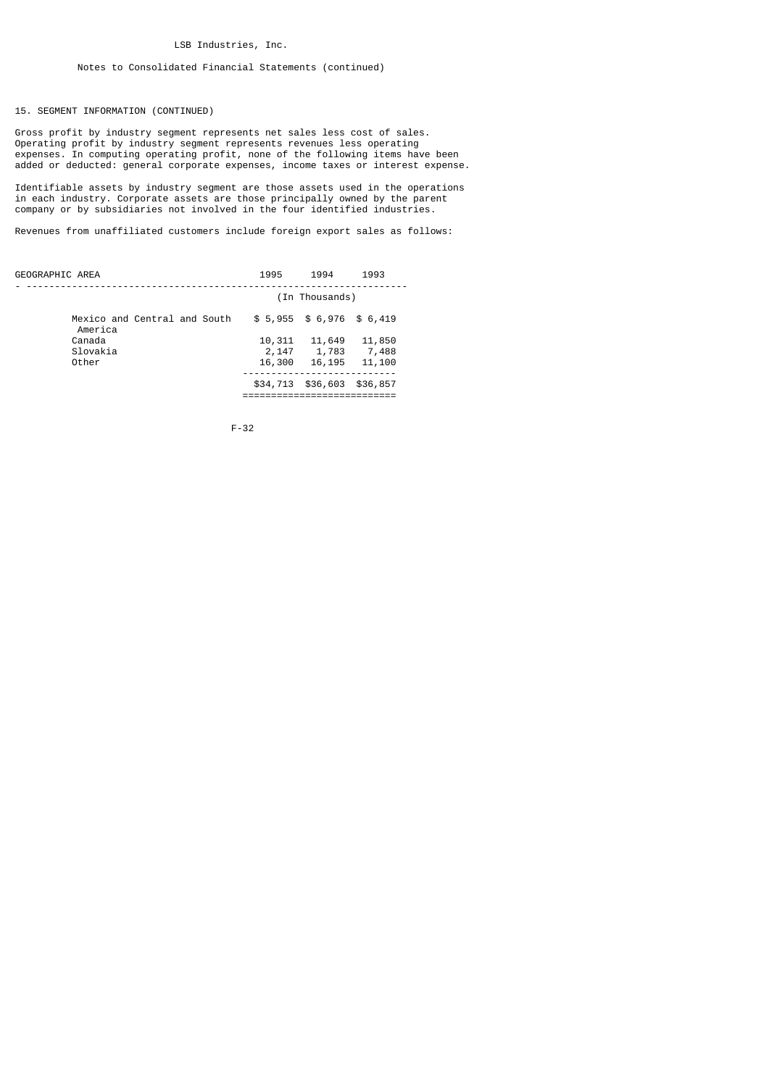# Notes to Consolidated Financial Statements (continued)

15. SEGMENT INFORMATION (CONTINUED)

Gross profit by industry segment represents net sales less cost of sales. Operating profit by industry segment represents revenues less operating expenses. In computing operating profit, none of the following items have been added or deducted: general corporate expenses, income taxes or interest expense.

Identifiable assets by industry segment are those assets used in the operations in each industry. Corporate assets are those principally owned by the parent company or by subsidiaries not involved in the four identified industries.

Revenues from unaffiliated customers include foreign export sales as follows:

| GEOGRAPHIC AREA                         | 1995           | 1994                       | 1993     |  |
|-----------------------------------------|----------------|----------------------------|----------|--|
|                                         | (In Thousands) |                            |          |  |
| Mexico and Central and South<br>America |                | $$5,955$ $$6,976$ $$6,419$ |          |  |
| Canada                                  | 10,311         | 11,649                     | 11,850   |  |
| Slovakia                                | 2,147          | 1,783                      | 7,488    |  |
| Other                                   | 16,300         | 16,195                     | 11,100   |  |
|                                         | \$34,713       | \$36,603                   | \$36,857 |  |
|                                         |                |                            |          |  |

$$
F - 32
$$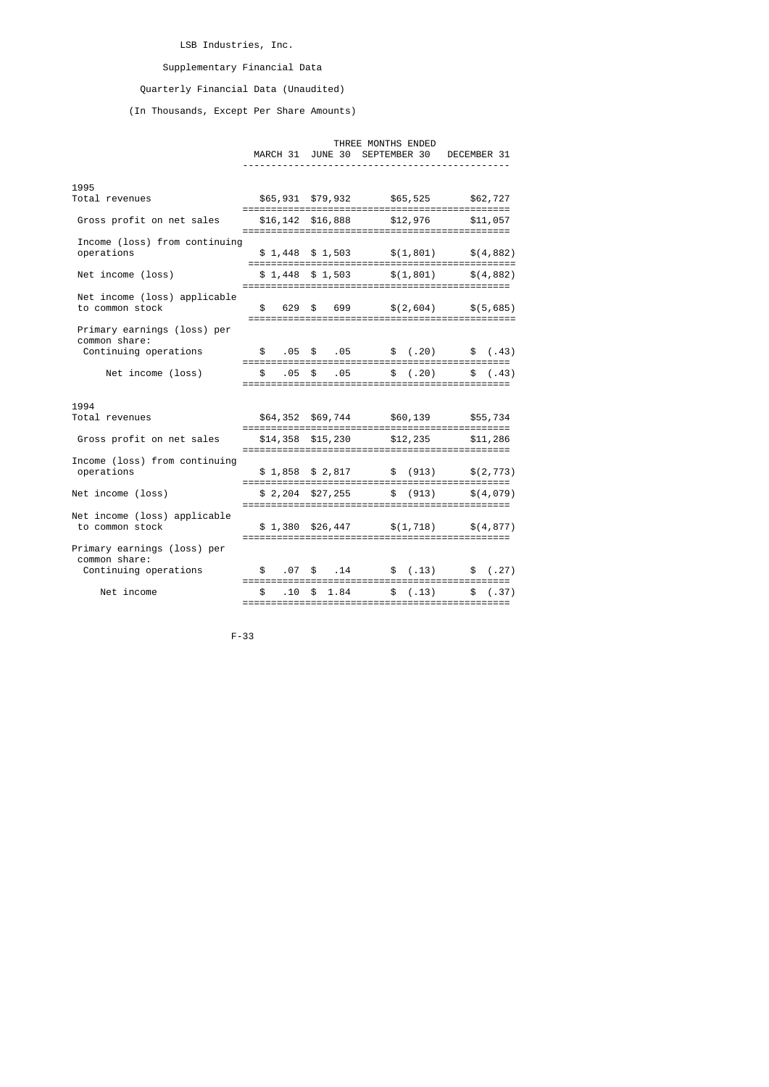# LSB Industries, Inc.

# Supplementary Financial Data

# Quarterly Financial Data (Unaudited)

(In Thousands, Except Per Share Amounts)

#### THREE MONTHS ENDED

 MARCH 31 JUNE 30 SEPTEMBER 30 DECEMBER 31 -----------------------------------------------

| 1995                                                                  |                        |                  |                                                             |                                                |           |
|-----------------------------------------------------------------------|------------------------|------------------|-------------------------------------------------------------|------------------------------------------------|-----------|
| Total revenues                                                        |                        |                  |                                                             | \$65,931 \$79,932 \$65,525 \$62,727            |           |
| Gross profit on net sales                                             |                        |                  | \$16,142 \$16,888 \$12,976                                  |                                                | \$11,057  |
| Income (loss) from continuing<br>operations                           |                        |                  |                                                             | $$1,448$ $$1,503$ $$(1,801)$                   | \$(4,882) |
| Net income (loss)                                                     |                        |                  | $$1,448$ $$1,503$                                           | \$(1, 801)                                     | \$(4,882) |
| Net income (loss) applicable<br>to common stock                       | \$                     |                  |                                                             | $629 \quad $699 \quad $(2,604) \quad $(5,685)$ |           |
| Primary earnings (loss) per<br>common share:<br>Continuing operations | $\mathbf{s}$           |                  |                                                             |                                                |           |
| Net income (loss)                                                     | ================<br>\$ | .05 <sup>5</sup> | .05                                                         | \$(.20)                                        | \$(.43)   |
|                                                                       |                        |                  |                                                             |                                                |           |
| 1994<br>Total revenues                                                |                        |                  |                                                             | \$64,352 \$69,744 \$60,139 \$55,734            |           |
| Gross profit on net sales                                             |                        |                  | \$14,358 \$15,230<br>====================================== | \$12,235                                       | \$11,286  |
| Income (loss) from continuing<br>operations                           |                        |                  |                                                             | $$1,858$ $$2,817$ $$ (913)$ $$(2,773)$         |           |
| Net income (loss)                                                     |                        |                  |                                                             | $$2,204$ $$27,255$ $$6913$                     | \$(4.079) |
| Net income (loss) applicable<br>to common stock                       |                        |                  |                                                             | $$1,380$ $$26,447$ $$(1,718)$ $$(4,877)$       |           |
| Primary earnings (loss) per<br>common share:<br>Continuing operations | \$                     |                  |                                                             | $.07 \t$$ .14 \$ (.13) \$ (.27)                |           |
| Net income                                                            | $\mathbb{S}$           | .10              | \$1.84                                                      | \$(.13)                                        | \$(.37)   |
|                                                                       | ============           |                  |                                                             | ;=========================                     |           |

F-33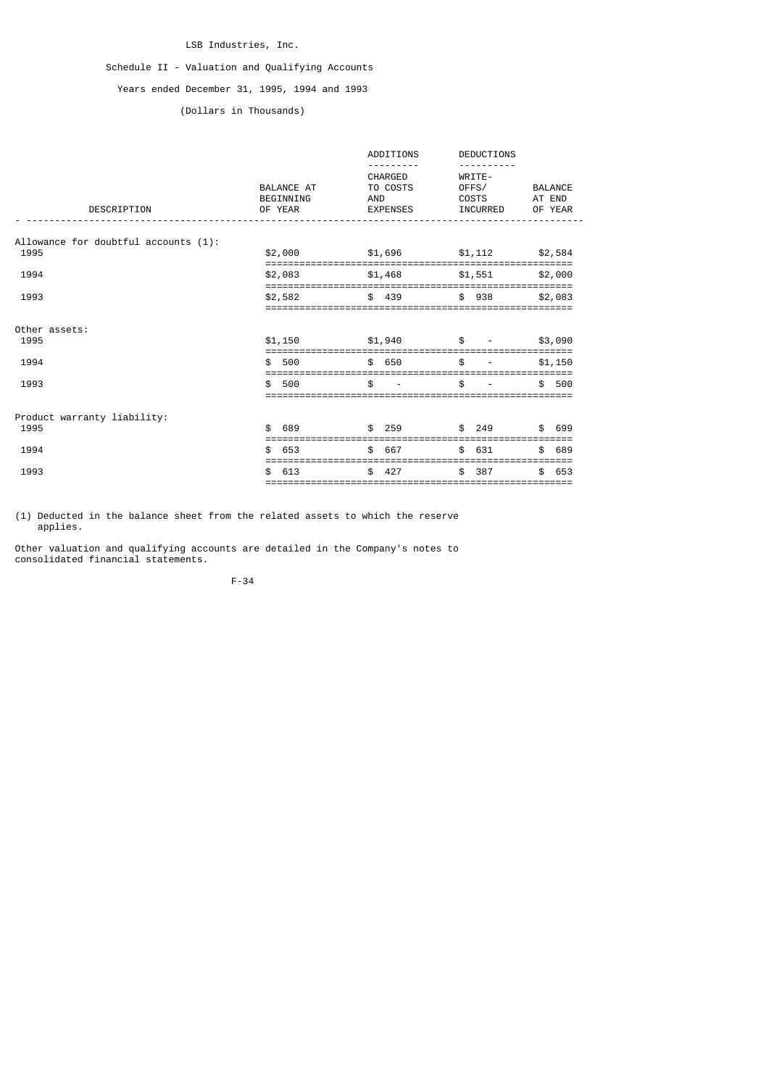# LSB Industries, Inc.

# Schedule II - Valuation and Qualifying Accounts

# Years ended December 31, 1995, 1994 and 1993

# (Dollars in Thousands)

| DESCRIPTION                          | BALANCE AT<br>BEGINNING<br>OF YEAR | ADDITIONS<br>CHARGED<br>TO COSTS<br>AND<br><b>EXPENSES</b> | <b>DEDUCTIONS</b><br>WRITE-<br>0FFS/<br>COSTS<br>INCURRED | BALANCE<br>AT END<br>OF YEAR |
|--------------------------------------|------------------------------------|------------------------------------------------------------|-----------------------------------------------------------|------------------------------|
| Allowance for doubtful accounts (1): |                                    |                                                            |                                                           |                              |
| 1995                                 | \$2,000<br>======================= |                                                            | $$1,696$ $$1,112$<br>================================     | \$2,584                      |
| 1994                                 | \$2,083                            | $$1,468$ $$1,551$                                          |                                                           | \$2,000                      |
| 1993                                 | \$2,582                            | \$ 439                                                     | \$938                                                     | \$2,083                      |
| Other assets:                        |                                    |                                                            |                                                           |                              |
| 1995                                 | \$1,150                            | \$1,940                                                    | \$                                                        | \$3,090                      |
| 1994                                 | \$<br>500                          | \$ 650                                                     | \$                                                        | \$1,150<br>=====             |
| 1993                                 | \$<br>500                          | \$                                                         | \$                                                        | \$.<br>500                   |
| Product warranty liability:          |                                    |                                                            |                                                           |                              |
| 1995                                 | 689<br>\$                          | \$ 259                                                     | \$ 249                                                    | \$ 699                       |
| 1994                                 | \$.<br>653                         | \$667                                                      | \$631                                                     | 689<br>\$                    |
| 1993                                 | 613<br>\$                          | \$<br>427                                                  | 387<br>\$                                                 | \$.<br>653                   |
|                                      |                                    |                                                            |                                                           |                              |

(1) Deducted in the balance sheet from the related assets to which the reserve applies.

Other valuation and qualifying accounts are detailed in the Company's notes to consolidated financial statements.

F-34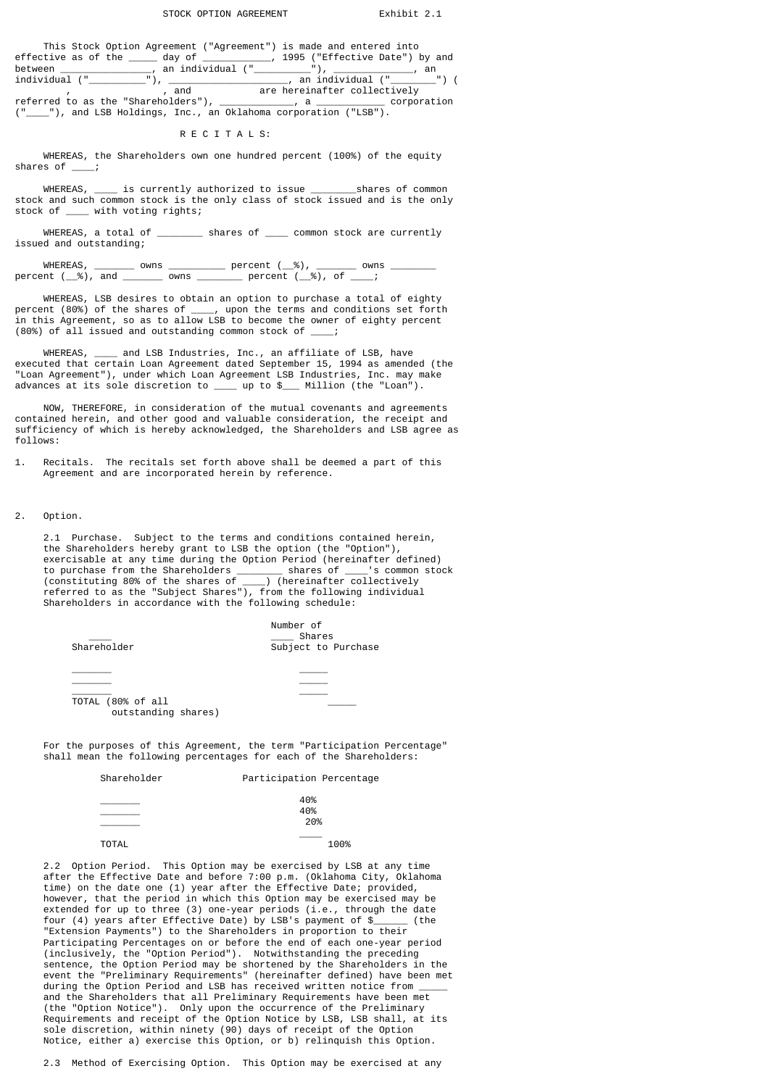## STOCK OPTION AGREEMENT Exhibit 2.1

|  | This Stock Option Agreement ("Agreement") is made and entered into                                                                                                                                                            |  |
|--|-------------------------------------------------------------------------------------------------------------------------------------------------------------------------------------------------------------------------------|--|
|  | effective as of the day of the day the state of the control of the state of the state of the control of the state of the control of the control of the control of the control of the control of the control of the control of |  |
|  | between ________________, an individual ("___________"), ______________, an                                                                                                                                                   |  |
|  | individual (" "), " ), an individual (" ") (                                                                                                                                                                                  |  |
|  | , and The are hereinafter collectively                                                                                                                                                                                        |  |
|  | referred to as the "Shareholders"), ___________, a ___________ corporation                                                                                                                                                    |  |
|  | ("____"), and LSB Holdings, Inc., an Oklahoma corporation ("LSB").                                                                                                                                                            |  |

# R E C I T A L S:

 WHEREAS, the Shareholders own one hundred percent (100%) of the equity shares of \_\_\_\_;

WHEREAS, \_\_\_\_\_ is currently authorized to issue \_\_\_\_\_\_\_\_\_\_\_\_\_\_\_\_\_\_\_\_\_\_\_\_\_\_\_\_\_\_\_\_\_ stock and such common stock is the only class of stock issued and is the only stock of \_\_\_\_ with voting rights;

 WHEREAS, a total of \_\_\_\_\_\_\_\_ shares of \_\_\_\_ common stock are currently issued and outstanding;

 WHEREAS, \_\_\_\_\_\_\_ owns \_\_\_\_\_\_\_\_\_\_ percent (\_\_%), \_\_\_\_\_\_\_ owns \_\_\_\_\_\_\_\_ percent (\_\_%), and \_\_\_\_\_\_\_ owns \_\_\_\_\_\_\_\_ percent (\_\_%), of \_\_\_\_;

 WHEREAS, LSB desires to obtain an option to purchase a total of eighty percent (80%) of the shares of \_\_\_\_, upon the terms and conditions set forth in this Agreement, so as to allow LSB to become the owner of eighty percent (80%) of all issued and outstanding common stock of \_\_\_\_;

 WHEREAS, \_\_\_\_ and LSB Industries, Inc., an affiliate of LSB, have executed that certain Loan Agreement dated September 15, 1994 as amended (the "Loan Agreement"), under which Loan Agreement LSB Industries, Inc. may make advances at its sole discretion to \_\_\_\_ up to \$\_\_\_ Million (the "Loan").

 NOW, THEREFORE, in consideration of the mutual covenants and agreements contained herein, and other good and valuable consideration, the receipt and sufficiency of which is hereby acknowledged, the Shareholders and LSB agree as follows:

1. Recitals. The recitals set forth above shall be deemed a part of this Agreement and are incorporated herein by reference.

# 2. Option.

 2.1 Purchase. Subject to the terms and conditions contained herein, the Shareholders hereby grant to LSB the option (the "Option"), exercisable at any time during the Option Period (hereinafter defined) to purchase from the Shareholders \_\_\_\_\_\_\_\_ shares of \_\_\_\_'s common stock (constituting 80% of the shares of \_\_\_\_) (hereinafter collectively referred to as the "Subject Shares"), from the following individual Shareholders in accordance with the following schedule:

| Shareholder                              | Number of<br>Shares<br>Subject to Purchase |
|------------------------------------------|--------------------------------------------|
|                                          |                                            |
| TOTAL (80% of all<br>outstanding shares) |                                            |

 For the purposes of this Agreement, the term "Participation Percentage" shall mean the following percentages for each of the Shareholders:

# Participation Percentage

| __________   | 40%<br>40%<br>20% |  |  |
|--------------|-------------------|--|--|
| <b>TOTAL</b> | ______<br>100%    |  |  |

 2.2 Option Period. This Option may be exercised by LSB at any time after the Effective Date and before 7:00 p.m. (Oklahoma City, Oklahoma time) on the date one (1) year after the Effective Date; provided, however, that the period in which this Option may be exercised may be extended for up to three (3) one-year periods (i.e., through the date<br>four (4) vears after Effective Date) by LSB's payment of \$ (the four (4) years after Effective Date) by LSB's payment of  $\frac{1}{2}$  "Extension Payments") to the Shareholders in proportion to their Participating Percentages on or before the end of each one-year period (inclusively, the "Option Period"). Notwithstanding the preceding sentence, the Option Period may be shortened by the Shareholders in the event the "Preliminary Requirements" (hereinafter defined) have been met during the Option Period and LSB has received written notice from \_\_\_\_\_ and the Shareholders that all Preliminary Requirements have been met (the "Option Notice"). Only upon the occurrence of the Preliminary Requirements and receipt of the Option Notice by LSB, LSB shall, at its sole discretion, within ninety (90) days of receipt of the Option Notice, either a) exercise this Option, or b) relinquish this Option.

2.3 Method of Exercising Option. This Option may be exercised at any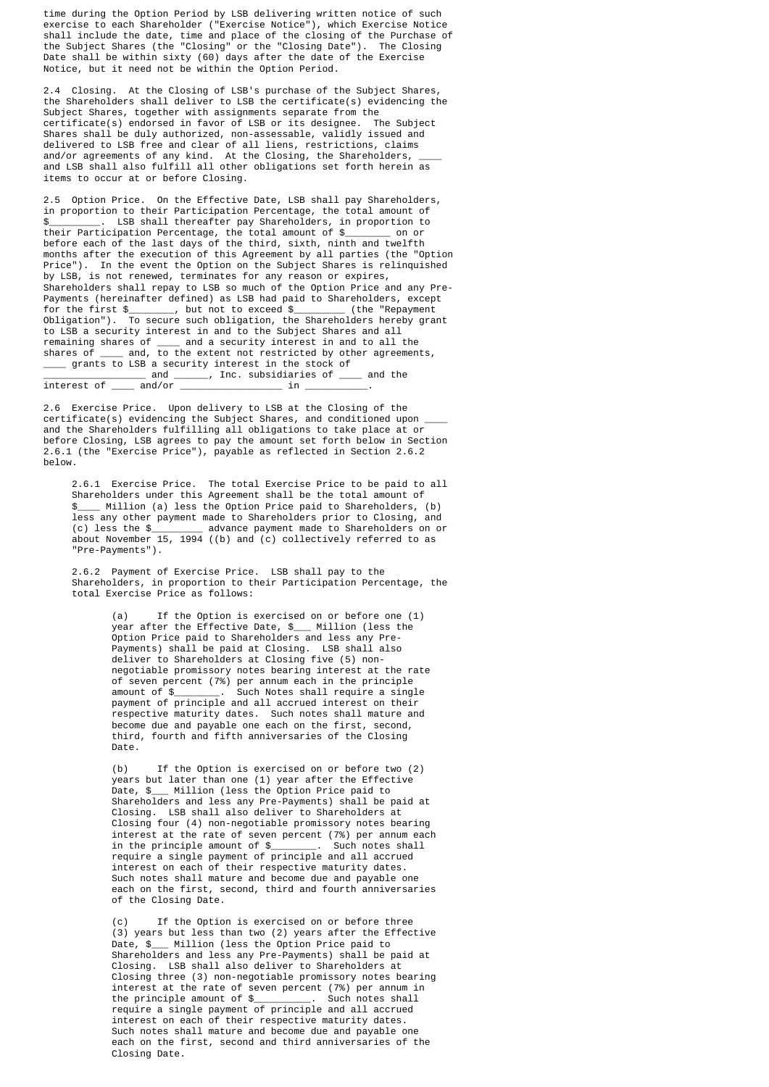time during the Option Period by LSB delivering written notice of such exercise to each Shareholder ("Exercise Notice"), which Exercise Notice shall include the date, time and place of the closing of the Purchase of the Subject Shares (the "Closing" or the "Closing Date"). The Closing Date shall be within sixty (60) days after the date of the Exercise Notice, but it need not be within the Option Period.

 2.4 Closing. At the Closing of LSB's purchase of the Subject Shares, the Shareholders shall deliver to LSB the certificate(s) evidencing the Subject Shares, together with assignments separate from the certificate(s) endorsed in favor of LSB or its designee. The Subject Shares shall be duly authorized, non-assessable, validly issued and delivered to LSB free and clear of all liens, restrictions, claims and/or agreements of any kind. At the Closing, the Shareholders,  $\rule{1em}{0.15mm}$  and LSB shall also fulfill all other obligations set forth herein as items to occur at or before Closing.

 2.5 Option Price. On the Effective Date, LSB shall pay Shareholders, in proportion to their Participation Percentage, the total amount of<br>\$ . ISB shall thereafter nay Shareholders, in proportion to **EXECUTE:** In External of the state of the state of the state of the state of the state of the state of the state of the state of the state of the state of the state of the state of the state of the state of the state of t their Participation Percentage, the total amount of \$\_\_\_\_\_\_\_\_ on or before each of the last days of the third, sixth, ninth and twelfth months after the execution of this Agreement by all parties (the "Option" Price"). In the event the Option on the Subject Shares is relinquished by LSB, is not renewed, terminates for any reason or expires, Shareholders shall repay to LSB so much of the Option Price and any Pre- Payments (hereinafter defined) as LSB had paid to Shareholders, except<br>for the first \$ . but not to exceed \$ (the "Repayment for the first \$\_\_\_\_\_\_\_\_, but not to exceed \$\_\_\_\_\_\_\_\_\_ (the "Repayment Obligation"). To secure such obligation, the Shareholders hereby grant to LSB a security interest in and to the Subject Shares and all remaining shares of \_\_\_\_ and a security interest in and to all the shares of \_\_\_\_ and, to the extent not restricted by other agreements, \_\_\_\_ grants to LSB a security interest in the stock of \_\_\_\_\_\_\_\_\_\_\_\_\_\_\_\_\_\_ and \_\_\_\_\_\_, Inc. subsidiaries of \_\_\_\_ and the  $\overline{\text{interest of}}$   $\_\_\_\$  and/or  $\_\_\$ 

 2.6 Exercise Price. Upon delivery to LSB at the Closing of the certificate(s) evidencing the Subject Shares, and conditioned upon \_\_\_\_ and the Shareholders fulfilling all obligations to take place at or before Closing, LSB agrees to pay the amount set forth below in Section 2.6.1 (the "Exercise Price"), payable as reflected in Section 2.6.2 below.

 2.6.1 Exercise Price. The total Exercise Price to be paid to all Shareholders under this Agreement shall be the total amount of \$\_\_\_\_ Million (a) less the Option Price paid to Shareholders, (b) less any other payment made to Shareholders prior to Closing, and (c) less the \$\_\_\_\_\_\_\_\_\_ advance payment made to Shareholders on or about November 15, 1994 ((b) and (c) collectively referred to as "Pre-Payments").

> 2.6.2 Payment of Exercise Price. LSB shall pay to the Shareholders, in proportion to their Participation Percentage, the total Exercise Price as follows:

 (a) If the Option is exercised on or before one (1) year after the Effective Date, \$\_\_\_ Million (less the Option Price paid to Shareholders and less any Pre- Payments) shall be paid at Closing. LSB shall also deliver to Shareholders at Closing five (5) non negotiable promissory notes bearing interest at the rate of seven percent (7%) per annum each in the principle amount of \$\_\_\_\_\_\_\_\_. Such Notes shall require a single payment of principle and all accrued interest on their respective maturity dates. Such notes shall mature and become due and payable one each on the first, second, third, fourth and fifth anniversaries of the Closing Date.

 (b) If the Option is exercised on or before two (2) years but later than one (1) year after the Effective Date, \$\_\_\_ Million (less the Option Price paid to Shareholders and less any Pre-Payments) shall be paid at Closing. LSB shall also deliver to Shareholders at Closing four (4) non-negotiable promissory notes bearing interest at the rate of seven percent (7%) per annum each in the principle amount of \$\_\_\_\_\_\_\_\_. Such notes shall require a single payment of principle and all accrued interest on each of their respective maturity dates. Such notes shall mature and become due and payable one each on the first, second, third and fourth anniversaries of the Closing Date.

If the Option is exercised on or before three (3) years but less than two (2) years after the Effective Date, \$\_\_\_ Million (less the Option Price paid to Shareholders and less any Pre-Payments) shall be paid at Closing. LSB shall also deliver to Shareholders at Closing three (3) non-negotiable promissory notes bearing interest at the rate of seven percent (7%) per annum in the principle amount of \$\_\_\_\_\_\_\_\_\_\_. Such notes shall require a single payment of principle and all accrued interest on each of their respective maturity dates. Such notes shall mature and become due and payable one each on the first, second and third anniversaries of the Closing Date.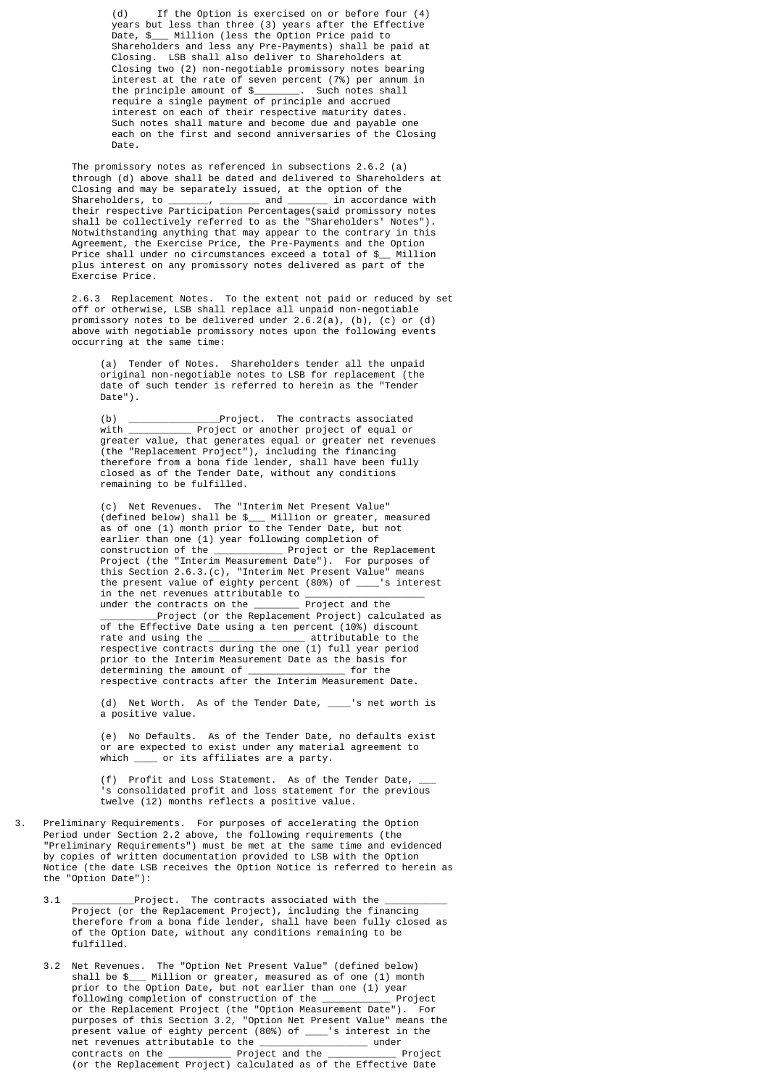(d) If the Option is exercised on or before four (4) years but less than three (3) years after the Effective Date, \$\_\_\_ Million (less the Option Price paid to Shareholders and less any Pre-Payments) shall be paid at Closing. LSB shall also deliver to Shareholders at Closing two (2) non-negotiable promissory notes bearing interest at the rate of seven percent (7%) per annum in the principle amount of \$\_\_\_\_\_\_\_\_. Such notes shall require a single payment of principle and accrued interest on each of their respective maturity dates. Such notes shall mature and become due and payable one each on the first and second anniversaries of the Closing Date.

> The promissory notes as referenced in subsections 2.6.2 (a) through (d) above shall be dated and delivered to Shareholders at Closing and may be separately issued, at the option of the<br>Shareholders, to end and in accordance  $and$   $\frac{1}{2}$  in accordance with their respective Participation Percentages(said promissory notes shall be collectively referred to as the "Shareholders' Notes"). Notwithstanding anything that may appear to the contrary in this Agreement, the Exercise Price, the Pre-Payments and the Option Price shall under no circumstances exceed a total of \$\_\_ Million plus interest on any promissory notes delivered as part of the Exercise Price.

 2.6.3 Replacement Notes. To the extent not paid or reduced by set off or otherwise, LSB shall replace all unpaid non-negotiable promissory notes to be delivered under 2.6.2(a), (b), (c) or (d) above with negotiable promissory notes upon the following events occurring at the same time:

> (a) Tender of Notes. Shareholders tender all the unpaid original non-negotiable notes to LSB for replacement (the date of such tender is referred to herein as the "Tender Date").

 (b) \_\_\_\_\_\_\_\_\_\_\_\_\_\_\_\_Project. The contracts associated  $\overline{\text{Project}}$  or another project of equal or greater value, that generates equal or greater net revenues (the "Replacement Project"), including the financing therefore from a bona fide lender, shall have been fully closed as of the Tender Date, without any conditions remaining to be fulfilled.

 (c) Net Revenues. The "Interim Net Present Value" (defined below) shall be \$\_\_\_ Million or greater, measured as of one (1) month prior to the Tender Date, but not earlier than one (1) year following completion of<br>construction of the \_\_\_\_\_\_\_\_\_\_\_\_\_\_\_ Project or the Re comportant of the Replacement Project (the "Interim Measurement Date"). For purposes of this Section 2.6.3.(c), "Interim Net Present Value" means the present value of eighty percent (80%) of \_\_\_\_'s interest in the net revenues attributable to \_\_\_\_\_\_\_\_\_\_\_\_\_\_\_\_\_\_\_\_\_\_\_ under the contracts on the \_\_\_\_\_\_\_\_ Project and the Project (or the Replacement Project) calculated as of the Effective Date using a ten percent (10%) discount  $\frac{1}{\sqrt{2}}$  attributable to the respective contracts during the one (1) full year period prior to the Interim Measurement Date as the basis for<br>determining the amount of for the  $determining$  the amount of  $\overline{\phantom{a}}$ respective contracts after the Interim Measurement Date.

> (d) Net Worth. As of the Tender Date, 's net worth is a positive value.

> (e) No Defaults. As of the Tender Date, no defaults exist or are expected to exist under any material agreement to which  $\qquad$  or its affiliates are a party.

> (f) Profit and Loss Statement. As of the Tender Date, s consolidated profit and loss statement for the previous twelve (12) months reflects a positive value.

- 3. Preliminary Requirements. For purposes of accelerating the Option Period under Section 2.2 above, the following requirements (the "Preliminary Requirements") must be met at the same time and evidenced by copies of written documentation provided to LSB with the Option Notice (the date LSB receives the Option Notice is referred to herein as the "Option Date"):
	- 3.1 **Example 2.1** Project. The contracts associated with the Project (or the Replacement Project), including the financing therefore from a bona fide lender, shall have been fully closed as of the Option Date, without any conditions remaining to be fulfilled.
	- 3.2 Net Revenues. The "Option Net Present Value" (defined below) shall be \$\_\_\_ Million or greater, measured as of one (1) month prior to the Option Date, but not earlier than one (1) year<br>following completion of construction of the state of Project following completion of construction of the \_ or the Replacement Project (the "Option Measurement Date"). For purposes of this Section 3.2, "Option Net Present Value" means the present value of eighty percent (80%) of \_\_\_\_'s interest in the net revenues attributable to the \_\_\_\_\_\_\_\_\_\_\_\_\_\_\_\_\_\_\_ under  $\_$  Project and the  $\_$ (or the Replacement Project) calculated as of the Effective Date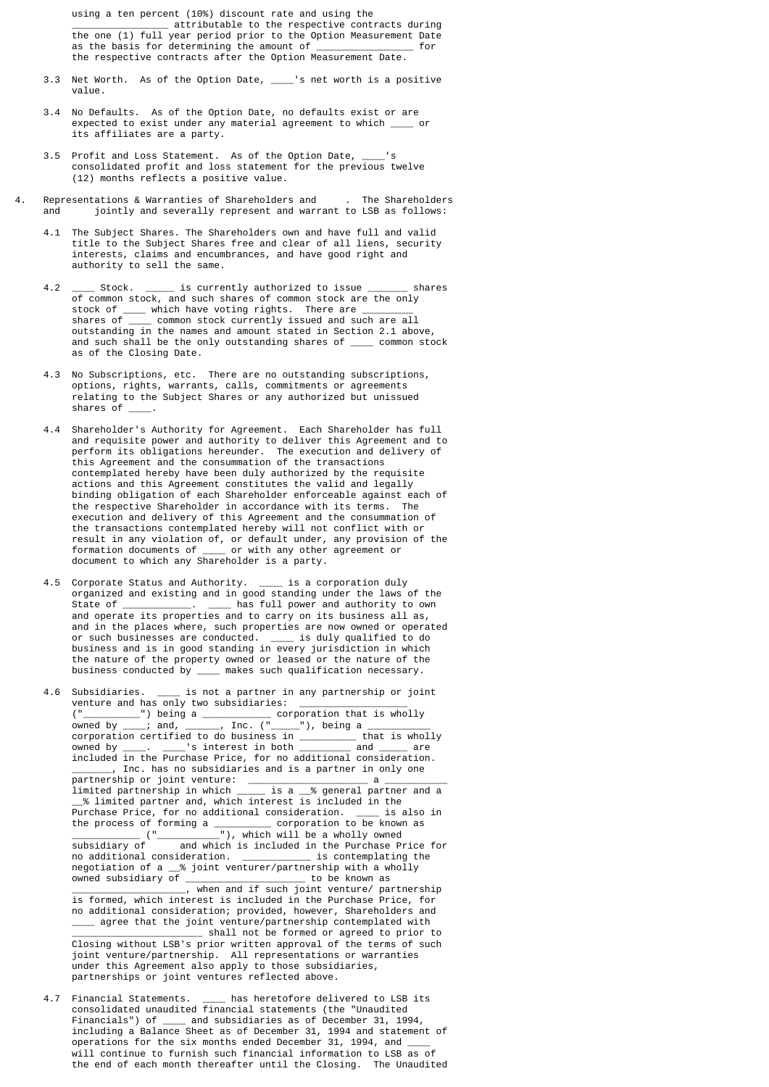using a ten percent (10%) discount rate and using the \_\_\_\_\_\_\_\_\_\_\_\_\_\_\_\_\_ attributable to the respective contracts during the one (1) full year period prior to the Option Measurement Date as the basis for determining the amount of \_\_\_\_\_\_\_\_\_\_\_\_ the respective contracts after the Option Measurement Date.

- 3.3 Net Worth. As of the Option Date, \_\_\_\_'s net worth is a positive value.
- 3.4 No Defaults. As of the Option Date, no defaults exist or are expected to exist under any material agreement to which \_\_\_\_ or its affiliates are a party.
- 3.5 Profit and Loss Statement. As of the Option Date, \_\_\_\_'s consolidated profit and loss statement for the previous twelve (12) months reflects a positive value.
- 4. Representations & Warranties of Shareholders and . The Shareholders and jointly and severally represent and warrant to LSB as follows:
	- 4.1 The Subject Shares. The Shareholders own and have full and valid title to the Subject Shares free and clear of all liens, security interests, claims and encumbrances, and have good right and authority to sell the same.
- 4.2 \_\_\_\_\_ Stock. \_\_\_\_\_ is currently authorized to issue \_\_\_\_\_\_\_ shares of common stock, and such shares of common stock are the only stock of  $\frac{1}{\sqrt{2}}$  which have voting rights. There are  $\frac{1}{\sqrt{2}}$  shares of  $\frac{1}{\sqrt{2}}$  common stock currently issued and su shares of \_\_\_\_ common stock currently issued and such are all outstanding in the names and amount stated in Section 2.1 above, and such shall be the only outstanding shares of \_\_\_\_ common stock as of the Closing Date.
- 4.3 No Subscriptions, etc. There are no outstanding subscriptions, options, rights, warrants, calls, commitments or agreements relating to the Subject Shares or any authorized but unissued shares of \_\_\_\_.
	- 4.4 Shareholder's Authority for Agreement. Each Shareholder has full and requisite power and authority to deliver this Agreement and to perform its obligations hereunder. The execution and delivery of this Agreement and the consummation of the transactions contemplated hereby have been duly authorized by the requisite actions and this Agreement constitutes the valid and legally binding obligation of each Shareholder enforceable against each of the respective Shareholder in accordance with its terms. The execution and delivery of this Agreement and the consummation of the transactions contemplated hereby will not conflict with or result in any violation of, or default under, any provision of the formation documents of \_\_\_\_ or with any other agreement or document to which any Shareholder is a party.
- 4.5 Corporate Status and Authority. \_\_\_\_ is a corporation duly organized and existing and in good standing under the laws of the  $\_$  has full power and authority to own and operate its properties and to carry on its business all as, and in the places where, such properties are now owned or operated or such businesses are conducted. \_\_\_\_ is duly qualified to do business and is in good standing in every jurisdiction in which the nature of the property owned or leased or the nature of the business conducted by \_\_\_\_ makes such qualification necessary.

 4.6 Subsidiaries. \_\_\_\_ is not a partner in any partnership or joint venture and has only two subsidiaries: \_\_\_\_\_\_\_\_\_\_\_\_\_\_\_\_\_\_\_\_ ("\_\_\_\_\_\_\_\_\_\_") being a \_\_\_\_\_\_\_\_\_\_\_\_ corporation that is wholly owned by \_\_\_\_; and, \_\_\_\_\_\_, Inc. ("\_\_\_\_\_"), being a \_\_\_\_\_\_\_\_\_\_\_ corporation certified to do business in \_\_\_\_\_\_\_\_\_\_ that is wholly owned by \_\_\_\_.  $\;$  \_\_\_\_'s interest in both \_\_\_\_\_\_\_\_\_\_ and \_\_\_\_\_ are included in the Purchase Price, for no additional consideration. \_\_\_\_\_\_\_, Inc. has no subsidiaries and is a partner in only one partnership or joint venture: \_\_\_\_\_\_\_\_\_\_\_\_\_\_\_\_\_\_\_\_\_ a \_\_\_\_\_\_\_\_\_\_\_ limited partnership in which \_\_\_\_\_ is a \_\_% general partner and a \_\_% limited partner and, which interest is included in the Purchase Price, for no additional consideration. \_\_\_\_ is also in the process of forming a \_\_\_\_\_\_\_\_\_\_ corporation to be known as \_\_\_\_\_\_\_\_\_\_\_\_ ("\_\_\_\_\_\_\_\_\_\_\_"), which will be a wholly owned subsidiary of and which is included in the Purchase Price for no additional consideration. \_\_\_\_\_\_\_\_\_\_\_\_ is contemplating the negotiation of a \_\_% joint venturer/partnership with a wholly owned subsidiary of \_\_\_\_\_\_\_\_\_\_\_\_\_\_\_\_\_\_\_\_\_ to be known as \_\_\_\_\_\_\_\_\_\_\_\_\_\_\_\_\_\_\_\_\_\_, when and if such joint venture/ partnership is formed, which interest is included in the Purchase Price, for no additional consideration; provided, however, Shareholders and \_\_\_\_ agree that the joint venture/partnership contemplated with  $\overline{\phantom{a}}$  shall not be formed or agreed to prior to Closing without LSB's prior written approval of the terms of such joint venture/partnership. All representations or warranties under this Agreement also apply to those subsidiaries, partnerships or joint ventures reflected above.

4.7 Financial Statements. \_\_\_\_ has heretofore delivered to LSB its consolidated unaudited financial statements (the "Unaudited Financials") of \_\_\_\_ and subsidiaries as of December 31, 1994, including a Balance Sheet as of December 31, 1994 and statement of operations for the six months ended December 31, 1994, and  $\_\_$  will continue to furnish such financial information to LSB as of the end of each month thereafter until the Closing. The Unaudited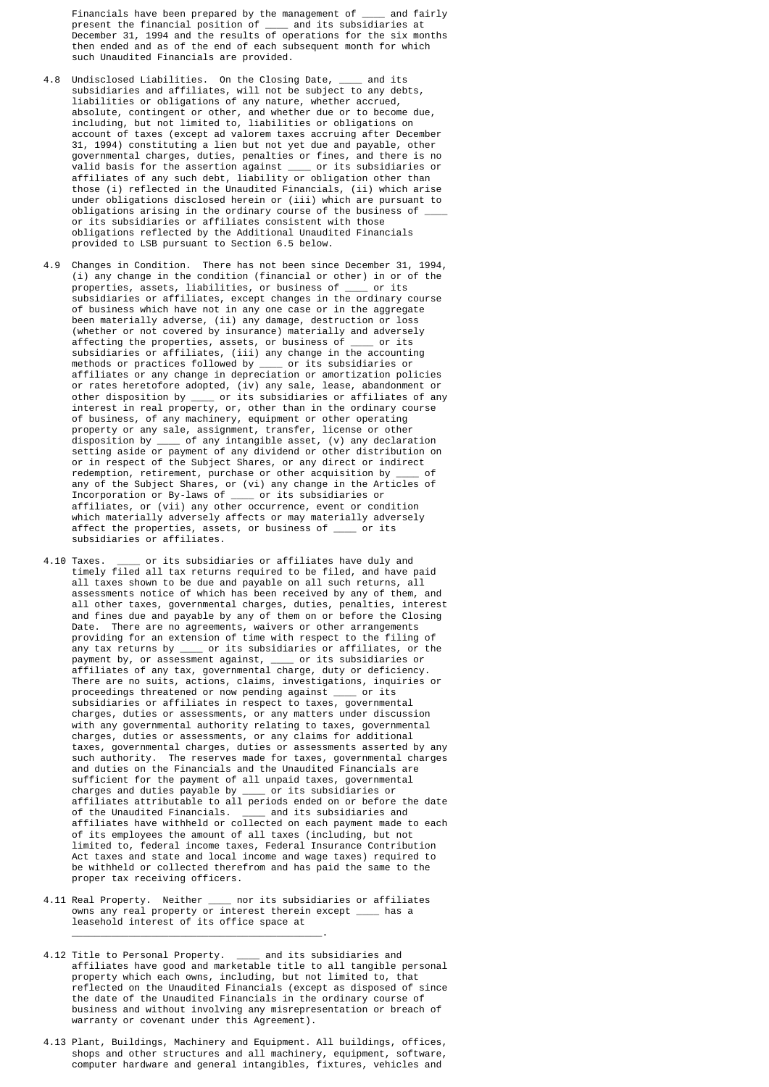Financials have been prepared by the management of \_\_\_\_ and fairly present the financial position of \_\_\_\_ and its subsidiaries at December 31, 1994 and the results of operations for the six months then ended and as of the end of each subsequent month for which such Unaudited Financials are provided.

- 4.8 Undisclosed Liabilities. On the Closing Date, \_\_\_\_ and its subsidiaries and affiliates, will not be subject to any debts, liabilities or obligations of any nature, whether accrued, absolute, contingent or other, and whether due or to become due, including, but not limited to, liabilities or obligations on account of taxes (except ad valorem taxes accruing after December 31, 1994) constituting a lien but not yet due and payable, other governmental charges, duties, penalties or fines, and there is no valid basis for the assertion against \_\_\_\_ or its subsidiaries or affiliates of any such debt, liability or obligation other than those (i) reflected in the Unaudited Financials, (ii) which arise under obligations disclosed herein or (iii) which are pursuant to obligations arising in the ordinary course of the business of or its subsidiaries or affiliates consistent with those obligations reflected by the Additional Unaudited Financials provided to LSB pursuant to Section 6.5 below.
- 4.9 Changes in Condition. There has not been since December 31, 1994, (i) any change in the condition (financial or other) in or of the properties, assets, liabilities, or business of the or its subsidiaries or affiliates, except changes in the ordinary course of business which have not in any one case or in the aggregate been materially adverse, (ii) any damage, destruction or loss (whether or not covered by insurance) materially and adversely affecting the properties, assets, or business of \_\_\_\_ or its subsidiaries or affiliates, (iii) any change in the accounting methods or practices followed by \_\_\_\_ or its subsidiaries or affiliates or any change in depreciation or amortization policies or rates heretofore adopted, (iv) any sale, lease, abandonment or other disposition by \_\_\_\_ or its subsidiaries or affiliates of any interest in real property, or, other than in the ordinary course of business, of any machinery, equipment or other operating property or any sale, assignment, transfer, license or other disposition by \_\_\_\_ of any intangible asset, (v) any declaration setting aside or payment of any dividend or other distribution on or in respect of the Subject Shares, or any direct or indirect redemption, retirement, purchase or other acquisition by \_\_\_\_ of any of the Subject Shares, or (vi) any change in the Articles of Incorporation or By-laws of \_\_\_\_ or its subsidiaries or affiliates, or (vii) any other occurrence, event or condition which materially adversely affects or may materially adversely affect the properties, assets, or business of \_\_\_\_ or its subsidiaries or affiliates.
- 4.10 Taxes. or its subsidiaries or affiliates have duly and timely filed all tax returns required to be filed, and have paid all taxes shown to be due and payable on all such returns, all assessments notice of which has been received by any of them, and all other taxes, governmental charges, duties, penalties, interest and fines due and payable by any of them on or before the Closing Date. There are no agreements, waivers or other arrangements providing for an extension of time with respect to the filing of any tax returns by \_\_\_\_ or its subsidiaries or affiliates, or the payment by, or assessment against, \_\_\_\_ or its subsidiaries or affiliates of any tax, governmental charge, duty or deficiency. There are no suits, actions, claims, investigations, inquiries or proceedings threatened or now pending against \_\_\_\_ or its subsidiaries or affiliates in respect to taxes, governmental charges, duties or assessments, or any matters under discussion with any governmental authority relating to taxes, governmental charges, duties or assessments, or any claims for additional taxes, governmental charges, duties or assessments asserted by any such authority. The reserves made for taxes, governmental charges and duties on the Financials and the Unaudited Financials are sufficient for the payment of all unpaid taxes, governmental charges and duties payable by \_\_\_\_ or its subsidiaries or affiliates attributable to all periods ended on or before the date<br>of the Unaudited Financials. and its subsidiaries and of the Unaudited Financials. \_\_\_\_ and its subsidiaries and affiliates have withheld or collected on each payment made to each of its employees the amount of all taxes (including, but not limited to, federal income taxes, Federal Insurance Contribution Act taxes and state and local income and wage taxes) required to be withheld or collected therefrom and has paid the same to the proper tax receiving officers.
- 4.11 Real Property. Neither \_\_\_\_ nor its subsidiaries or affiliates owns any real property or interest therein except \_\_\_\_ has a leasehold interest of its office space at

 $\mathcal{L}_\text{max}$  , and the contract of the contract of the contract of the contract of the contract of the contract of the contract of the contract of the contract of the contract of the contract of the contract of the contr

- 4.12 Title to Personal Property. \_\_\_\_ and its subsidiaries and affiliates have good and marketable title to all tangible personal property which each owns, including, but not limited to, that reflected on the Unaudited Financials (except as disposed of since the date of the Unaudited Financials in the ordinary course of business and without involving any misrepresentation or breach of warranty or covenant under this Agreement).
- 4.13 Plant, Buildings, Machinery and Equipment. All buildings, offices, shops and other structures and all machinery, equipment, software, computer hardware and general intangibles, fixtures, vehicles and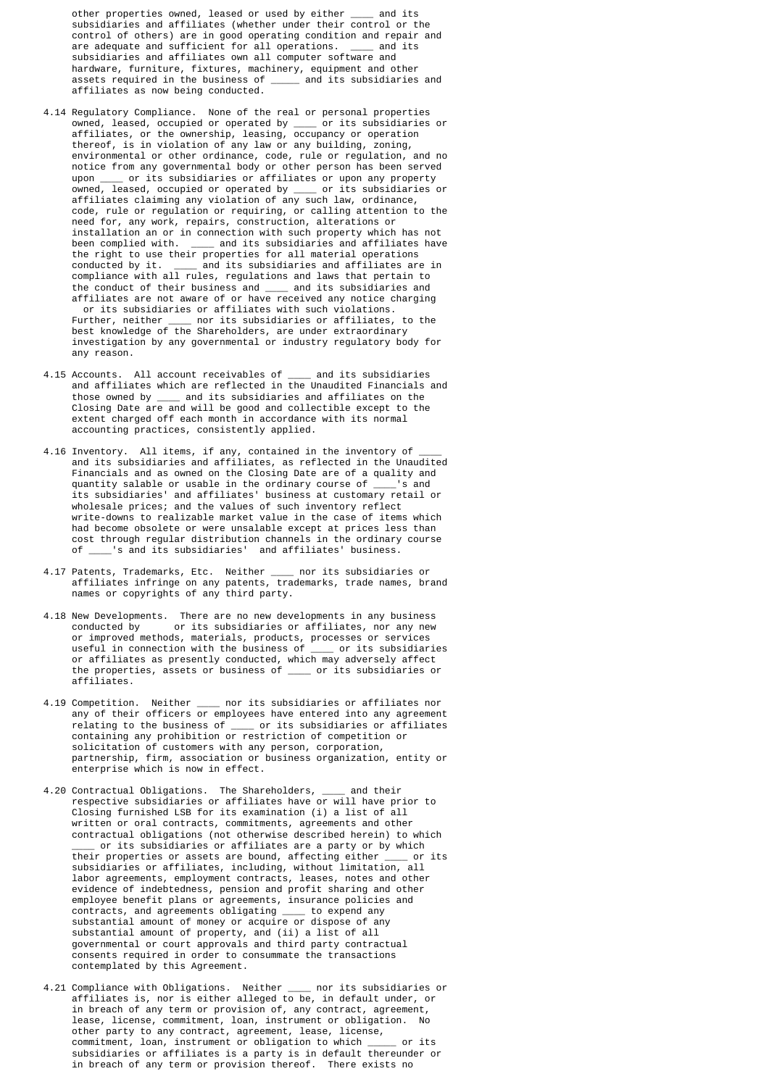other properties owned, leased or used by either \_\_\_\_ and its subsidiaries and affiliates (whether under their control or the control of others) are in good operating condition and repair and are adequate and sufficient for all operations. \_\_\_\_ and its subsidiaries and affiliates own all computer software and hardware, furniture, fixtures, machinery, equipment and other assets required in the business of \_\_\_\_\_ and its subsidiaries and affiliates as now being conducted.

- 4.14 Regulatory Compliance. None of the real or personal properties owned, leased, occupied or operated by \_\_\_\_ or its subsidiaries or affiliates, or the ownership, leasing, occupancy or operation thereof, is in violation of any law or any building, zoning, environmental or other ordinance, code, rule or regulation, and no notice from any governmental body or other person has been served upon \_\_\_\_ or its subsidiaries or affiliates or upon any property owned, leased, occupied or operated by \_\_\_\_ or its subsidiaries or affiliates claiming any violation of any such law, ordinance, code, rule or regulation or requiring, or calling attention to the need for, any work, repairs, construction, alterations or installation an or in connection with such property which has not been complied with. \_\_\_\_\_ and its subsidiaries and affiliates have the right to use their properties for all material operations  $\equiv$  and its subsidiaries and affiliates are in compliance with all rules, regulations and laws that pertain to the conduct of their business and \_\_\_\_ and its subsidiaries and affiliates are not aware of or have received any notice charging or its subsidiaries or affiliates with such violations. Further, neither \_\_\_\_ nor its subsidiaries or affiliates, to the best knowledge of the Shareholders, are under extraordinary investigation by any governmental or industry regulatory body for any reason.
- 4.15 Accounts. All account receivables of \_\_\_\_ and its subsidiaries and affiliates which are reflected in the Unaudited Financials and those owned by \_\_\_\_ and its subsidiaries and affiliates on the Closing Date are and will be good and collectible except to the extent charged off each month in accordance with its normal accounting practices, consistently applied.
- 4.16 Inventory. All items, if any, contained in the inventory of  $\rule{1em}{0.15mm}$  and its subsidiaries and affiliates, as reflected in the Unaudited Financials and as owned on the Closing Date are of a quality and quantity salable or usable in the ordinary course of \_\_\_\_'s and its subsidiaries' and affiliates' business at customary retail or wholesale prices; and the values of such inventory reflect write-downs to realizable market value in the case of items which had become obsolete or were unsalable except at prices less than cost through regular distribution channels in the ordinary course of \_\_\_\_'s and its subsidiaries' and affiliates' business.
- 4.17 Patents, Trademarks, Etc. Neither \_\_\_\_ nor its subsidiaries or affiliates infringe on any patents, trademarks, trade names, brand names or copyrights of any third party.
- 4.18 New Developments. There are no new developments in any business<br>conducted by or its subsidiaries or affiliates, nor any new or its subsidiaries or affiliates, nor any new or improved methods, materials, products, processes or services useful in connection with the business of \_\_\_\_ or its subsidiaries or affiliates as presently conducted, which may adversely affect the properties, assets or business of \_\_\_\_ or its subsidiaries or affiliates.
	- 4.19 Competition. Neither \_\_\_\_ nor its subsidiaries or affiliates nor any of their officers or employees have entered into any agreement relating to the business of \_\_\_\_ or its subsidiaries or affiliates containing any prohibition or restriction of competition or solicitation of customers with any person, corporation, partnership, firm, association or business organization, entity or enterprise which is now in effect.
- 4.20 Contractual Obligations. The Shareholders, \_\_\_\_ and their respective subsidiaries or affiliates have or will have prior to Closing furnished LSB for its examination (i) a list of all written or oral contracts, commitments, agreements and other contractual obligations (not otherwise described herein) to which or its subsidiaries or affiliates are a party or by which<br>r properties or assets are bound, affecting either or its their properties or assets are bound, affecting either \_\_\_\_ or its subsidiaries or affiliates, including, without limitation, all labor agreements, employment contracts, leases, notes and other evidence of indebtedness, pension and profit sharing and other employee benefit plans or agreements, insurance policies and contracts, and agreements obligating \_\_\_\_ to expend any substantial amount of money or acquire or dispose of any substantial amount of property, and (ii) a list of all governmental or court approvals and third party contractual consents required in order to consummate the transactions contemplated by this Agreement.
- 4.21 Compliance with Obligations. Neither \_\_\_\_ nor its subsidiaries or affiliates is, nor is either alleged to be, in default under, or in breach of any term or provision of, any contract, agreement, lease, license, commitment, loan, instrument or obligation. No other party to any contract, agreement, lease, license, commitment, loan, instrument or obligation to which \_\_\_\_\_ or its subsidiaries or affiliates is a party is in default thereunder or in breach of any term or provision thereof. There exists no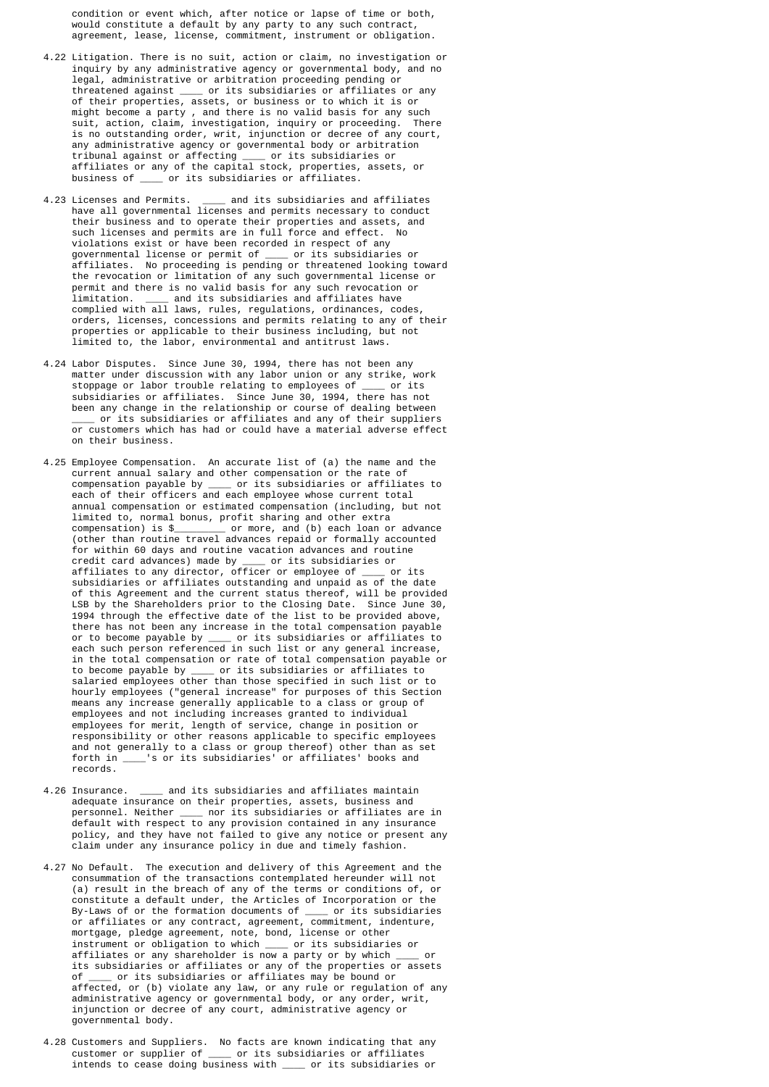condition or event which, after notice or lapse of time or both, would constitute a default by any party to any such contract, agreement, lease, license, commitment, instrument or obligation.

- 4.22 Litigation. There is no suit, action or claim, no investigation or inquiry by any administrative agency or governmental body, and no legal, administrative or arbitration proceeding pending or threatened against \_\_\_\_ or its subsidiaries or affiliates or any of their properties, assets, or business or to which it is or might become a party , and there is no valid basis for any such suit, action, claim, investigation, inquiry or proceeding. There is no outstanding order, writ, injunction or decree of any court, any administrative agency or governmental body or arbitration tribunal against or affecting \_\_\_\_ or its subsidiaries or affiliates or any of the capital stock, properties, assets, or business of \_\_\_\_ or its subsidiaries or affiliates.
- 4.23 Licenses and Permits. \_\_\_\_\_ and its subsidiaries and affiliates have all governmental licenses and permits necessary to conduct their business and to operate their properties and assets, and such licenses and permits are in full force and effect. No violations exist or have been recorded in respect of any governmental license or permit of \_\_\_\_ or its subsidiaries or affiliates. No proceeding is pending or threatened looking toward the revocation or limitation of any such governmental license or permit and there is no valid basis for any such revocation or limitation. \_\_\_\_ and its subsidiaries and affiliates have complied with all laws, rules, regulations, ordinances, codes, orders, licenses, concessions and permits relating to any of their properties or applicable to their business including, but not limited to, the labor, environmental and antitrust laws.
- 4.24 Labor Disputes. Since June 30, 1994, there has not been any matter under discussion with any labor union or any strike, work stoppage or labor trouble relating to employees of \_\_\_\_ or its subsidiaries or affiliates. Since June 30, 1994, there has not been any change in the relationship or course of dealing between \_\_\_\_ or its subsidiaries or affiliates and any of their suppliers or customers which has had or could have a material adverse effect on their business.
- 4.25 Employee Compensation. An accurate list of (a) the name and the current annual salary and other compensation or the rate of compensation payable by \_\_\_\_ or its subsidiaries or affiliates to each of their officers and each employee whose current total annual compensation or estimated compensation (including, but not limited to, normal bonus, profit sharing and other extra compensation) is \$\_\_\_\_\_\_\_\_\_ or more, and (b) each loan or advance (other than routine travel advances repaid or formally accounted for within 60 days and routine vacation advances and routine credit card advances) made by \_\_\_\_ or its subsidiaries or affiliates to any director, officer or employee of \_\_\_\_ or its subsidiaries or affiliates outstanding and unpaid as of the date of this Agreement and the current status thereof, will be provided LSB by the Shareholders prior to the Closing Date. Since June 30, 1994 through the effective date of the list to be provided above, there has not been any increase in the total compensation payable or to become payable by \_\_\_\_ or its subsidiaries or affiliates to each such person referenced in such list or any general increase, in the total compensation or rate of total compensation payable or to become payable by \_\_\_\_ or its subsidiaries or affiliates to salaried employees other than those specified in such list or to hourly employees ("general increase" for purposes of this Section means any increase generally applicable to a class or group of employees and not including increases granted to individual employees for merit, length of service, change in position or responsibility or other reasons applicable to specific employees and not generally to a class or group thereof) other than as set forth in \_\_\_\_'s or its subsidiaries' or affiliates' books and records.
- 4.26 Insurance. <br>  $\qquad \qquad$  and its subsidiaries and affiliates maintain adequate insurance on their properties, assets, business and personnel. Neither \_\_\_\_ nor its subsidiaries or affiliates are in default with respect to any provision contained in any insurance policy, and they have not failed to give any notice or present any claim under any insurance policy in due and timely fashion.
- 4.27 No Default. The execution and delivery of this Agreement and the consummation of the transactions contemplated hereunder will not (a) result in the breach of any of the terms or conditions of, or constitute a default under, the Articles of Incorporation or the By-Laws of or the formation documents of \_\_\_\_ or its subsidiaries or affiliates or any contract, agreement, commitment, indenture, mortgage, pledge agreement, note, bond, license or other instrument or obligation to which \_\_\_\_\_ or its subsidiaries or<br>affiliates or any shareholder is now a party or by which or affiliates or any shareholder is now a party or by which its subsidiaries or affiliates or any of the properties or assets of \_\_\_\_ or its subsidiaries or affiliates may be bound or affected, or (b) violate any law, or any rule or regulation of any administrative agency or governmental body, or any order, writ, injunction or decree of any court, administrative agency or governmental body.
	- 4.28 Customers and Suppliers. No facts are known indicating that any customer or supplier of \_\_\_\_ or its subsidiaries or affiliates intends to cease doing business with \_\_\_\_ or its subsidiaries or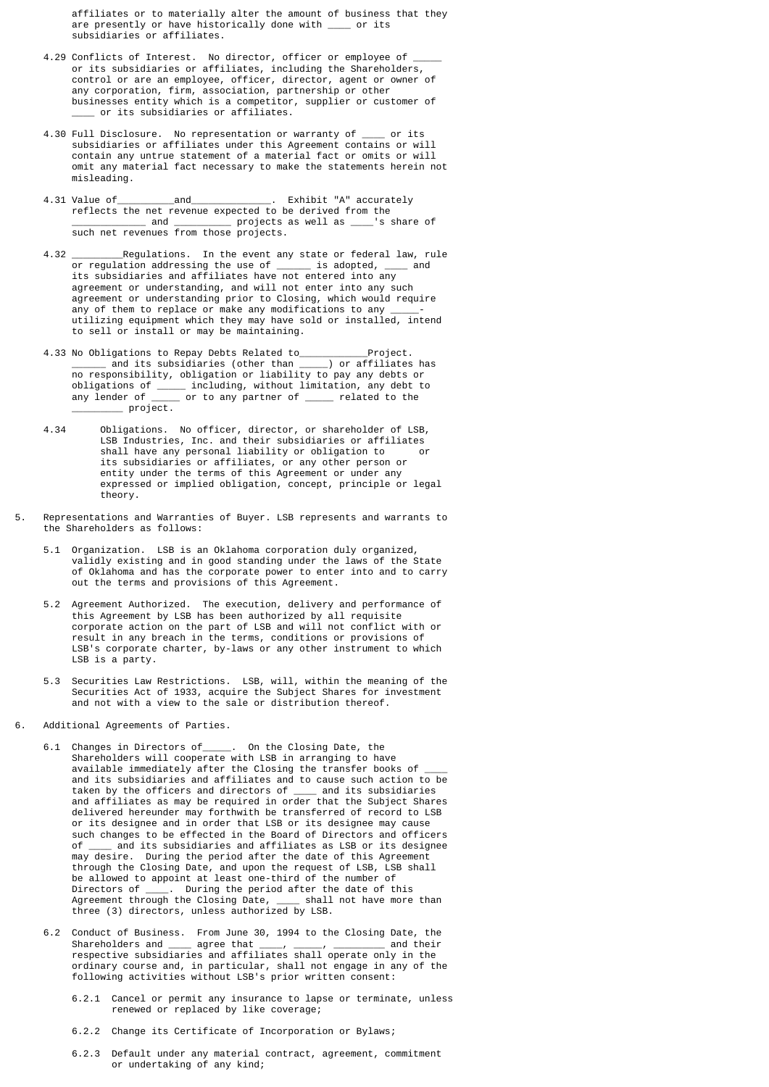affiliates or to materially alter the amount of business that they are presently or have historically done with \_\_\_\_ or its subsidiaries or affiliates.

- 4.29 Conflicts of Interest. No director, officer or employee of or its subsidiaries or affiliates, including the Shareholders, control or are an employee, officer, director, agent or owner of any corporation, firm, association, partnership or other businesses entity which is a competitor, supplier or customer of  $\_$  or its subsidiaries or affiliates.
- 4.30 Full Disclosure. No representation or warranty of \_\_\_\_ or its subsidiaries or affiliates under this Agreement contains or will contain any untrue statement of a material fact or omits or will omit any material fact necessary to make the statements herein not misleading.
- 4.31 Value of\_\_\_\_\_\_\_\_\_\_and\_\_\_\_\_\_\_\_\_\_\_\_\_\_. Exhibit "A" accurately reflects the net revenue expected to be derived from the  $\Box$  and  $\Box$  projects as well as  $\Box$  's share of such net revenues from those projects.
- 4.32 \_\_\_\_\_\_\_\_\_Regulations. In the event any state or federal law, rule or regulation addressing the use of \_\_\_\_\_\_ is adopted, \_\_\_\_ and its subsidiaries and affiliates have not entered into any agreement or understanding, and will not enter into any such agreement or understanding prior to Closing, which would require any of them to replace or make any modifications to any \_\_\_\_\_ utilizing equipment which they may have sold or installed, intend to sell or install or may be maintaining.
- 4.33 No Obligations to Repay Debts Related to\_\_\_\_\_\_\_\_\_\_\_\_Project. \_\_\_\_\_\_ and its subsidiaries (other than \_\_\_\_\_) or affiliates has no responsibility, obligation or liability to pay any debts or obligations of \_\_\_\_\_ including, without limitation, any debt to any lender of \_\_\_\_\_ or to any partner of \_\_\_\_\_ related to the \_\_\_\_\_\_\_\_\_ project.
- 4.34 Obligations. No officer, director, or shareholder of LSB, LSB Industries, Inc. and their subsidiaries or affiliates shall have any personal liability or obligation to its subsidiaries or affiliates, or any other person or entity under the terms of this Agreement or under any expressed or implied obligation, concept, principle or legal theory.
- 5. Representations and Warranties of Buyer. LSB represents and warrants to the Shareholders as follows:
- Organization. LSB is an Oklahoma corporation duly organized, validly existing and in good standing under the laws of the State of Oklahoma and has the corporate power to enter into and to carry out the terms and provisions of this Agreement.
	- 5.2 Agreement Authorized. The execution, delivery and performance of this Agreement by LSB has been authorized by all requisite corporate action on the part of LSB and will not conflict with or result in any breach in the terms, conditions or provisions of LSB's corporate charter, by-laws or any other instrument to which LSB is a party.
- 5.3 Securities Law Restrictions. LSB, will, within the meaning of the Securities Act of 1933, acquire the Subject Shares for investment and not with a view to the sale or distribution thereof.
- 6. Additional Agreements of Parties.
- 6.1 Changes in Directors of\_\_\_\_\_. On the Closing Date, the Shareholders will cooperate with LSB in arranging to have available immediately after the Closing the transfer books of \_\_\_\_ and its subsidiaries and affiliates and to cause such action to be taken by the officers and directors of \_\_\_\_ and its subsidiaries and affiliates as may be required in order that the Subject Shares delivered hereunder may forthwith be transferred of record to LSB or its designee and in order that LSB or its designee may cause such changes to be effected in the Board of Directors and officers<br>of and its subsidiaries and affiliates as LSB or its designee  $\equiv$  and its subsidiaries and affiliates as LSB or its designee may desire. During the period after the date of this Agreement through the Closing Date, and upon the request of LSB, LSB shall be allowed to appoint at least one-third of the number of Directors of \_\_\_\_. During the period after the date of this Directors of \_\_\_\_\_. During the period after the date of this<br>Agreement through the Closing Date, \_\_\_\_\_ shall not have more than three (3) directors, unless authorized by LSB.
- 6.2 Conduct of Business. From June 30, 1994 to the Closing Date, the Shareholders and \_\_\_\_ agree that \_\_\_\_, \_\_\_\_\_, \_\_\_\_\_\_\_\_\_ and their respective subsidiaries and affiliates shall operate only in the ordinary course and, in particular, shall not engage in any of the following activities without LSB's prior written consent:
	- 6.2.1 Cancel or permit any insurance to lapse or terminate, unless renewed or replaced by like coverage;
	- 6.2.2 Change its Certificate of Incorporation or Bylaws;
	- 6.2.3 Default under any material contract, agreement, commitment or undertaking of any kind;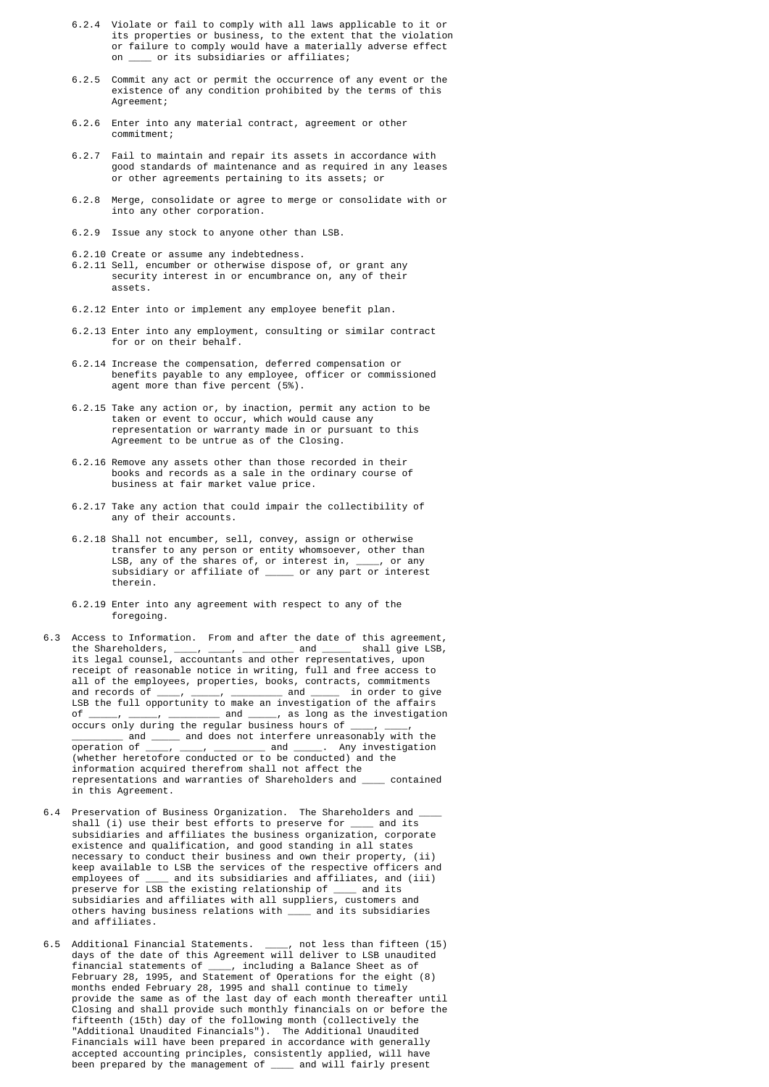- 6.2.4 Violate or fail to comply with all laws applicable to it or its properties or business, to the extent that the violation or failure to comply would have a materially adverse effect  $\_$  or its subsidiaries or affiliates;
- 6.2.5 Commit any act or permit the occurrence of any event or the existence of any condition prohibited by the terms of this Agreement;
- 6.2.6 Enter into any material contract, agreement or other commitment;
- 6.2.7 Fail to maintain and repair its assets in accordance with good standards of maintenance and as required in any leases or other agreements pertaining to its assets; or
- 6.2.8 Merge, consolidate or agree to merge or consolidate with or into any other corporation.
- 6.2.9 Issue any stock to anyone other than LSB.
- 6.2.10 Create or assume any indebtedness.
- 6.2.11 Sell, encumber or otherwise dispose of, or grant any security interest in or encumbrance on, any of their assets.
	- 6.2.12 Enter into or implement any employee benefit plan.
	- 6.2.13 Enter into any employment, consulting or similar contract for or on their behalf.
	- 6.2.14 Increase the compensation, deferred compensation or benefits payable to any employee, officer or commissioned agent more than five percent (5%).
- 6.2.15 Take any action or, by inaction, permit any action to be taken or event to occur, which would cause any representation or warranty made in or pursuant to this Agreement to be untrue as of the Closing.
	- 6.2.16 Remove any assets other than those recorded in their books and records as a sale in the ordinary course of business at fair market value price.
	- 6.2.17 Take any action that could impair the collectibility of any of their accounts.
- 6.2.18 Shall not encumber, sell, convey, assign or otherwise transfer to any person or entity whomsoever, other than LSB, any of the shares of, or interest in, \_\_\_\_, or any subsidiary or affiliate of \_\_\_\_\_ or any part or interest therein.
	- 6.2.19 Enter into any agreement with respect to any of the foregoing.
- 6.3 Access to Information. From and after the date of this agreement, the Shareholders, \_\_\_\_, \_\_\_\_, \_\_\_\_\_\_\_\_\_ and \_\_\_\_\_ shall give LSB, its legal counsel, accountants and other representatives, upon receipt of reasonable notice in writing, full and free access to all of the employees, properties, books, contracts, commitments and records of  $\frac{1}{\cdot}$ ,  $\frac{1}{\cdot}$ ,  $\frac{1}{\cdot}$  and  $\frac{1}{\cdot}$  in order to give LSB the full opportunity to make an investigation of the affairs<br>of  $\qquad$  and  $\qquad$  as long as the investigation  $\frac{1}{\alpha}$   $\frac{1}{\alpha}$  and  $\frac{1}{\alpha}$  as long as the investigation occurs only during the regular business hours of \_\_\_\_\_\_\_\_\_\_\_ and \_\_\_\_\_\_ and does not interfere unreasonably with the operation of  $\_\_\,,\_\_\_\,,\_\_\_\_\$  and  $\_\_\_\$ . Any investigation (whether heretofore conducted or to be conducted) and the information acquired therefrom shall not affect the representations and warranties of Shareholders and \_\_\_\_ contained in this Agreement.
- 6.4 Preservation of Business Organization. The Shareholders and shall (i) use their best efforts to preserve for \_\_\_\_ and its subsidiaries and affiliates the business organization, corporate existence and qualification, and good standing in all states necessary to conduct their business and own their property, (ii) keep available to LSB the services of the respective officers and employees of \_\_\_\_ and its subsidiaries and affiliates, and (iii) preserve for LSB the existing relationship of \_\_\_\_ and its subsidiaries and affiliates with all suppliers, customers and others having business relations with \_\_\_\_ and its subsidiaries and affiliates.
- 6.5 Additional Financial Statements. \_\_\_\_, not less than fifteen (15) days of the date of this Agreement will deliver to LSB unaudited financial statements of \_\_\_\_, including a Balance Sheet as of February 28, 1995, and Statement of Operations for the eight (8) months ended February 28, 1995 and shall continue to timely provide the same as of the last day of each month thereafter until Closing and shall provide such monthly financials on or before the fifteenth (15th) day of the following month (collectively the "Additional Unaudited Financials"). The Additional Unaudited Financials will have been prepared in accordance with generally accepted accounting principles, consistently applied, will have been prepared by the management of \_\_\_\_ and will fairly present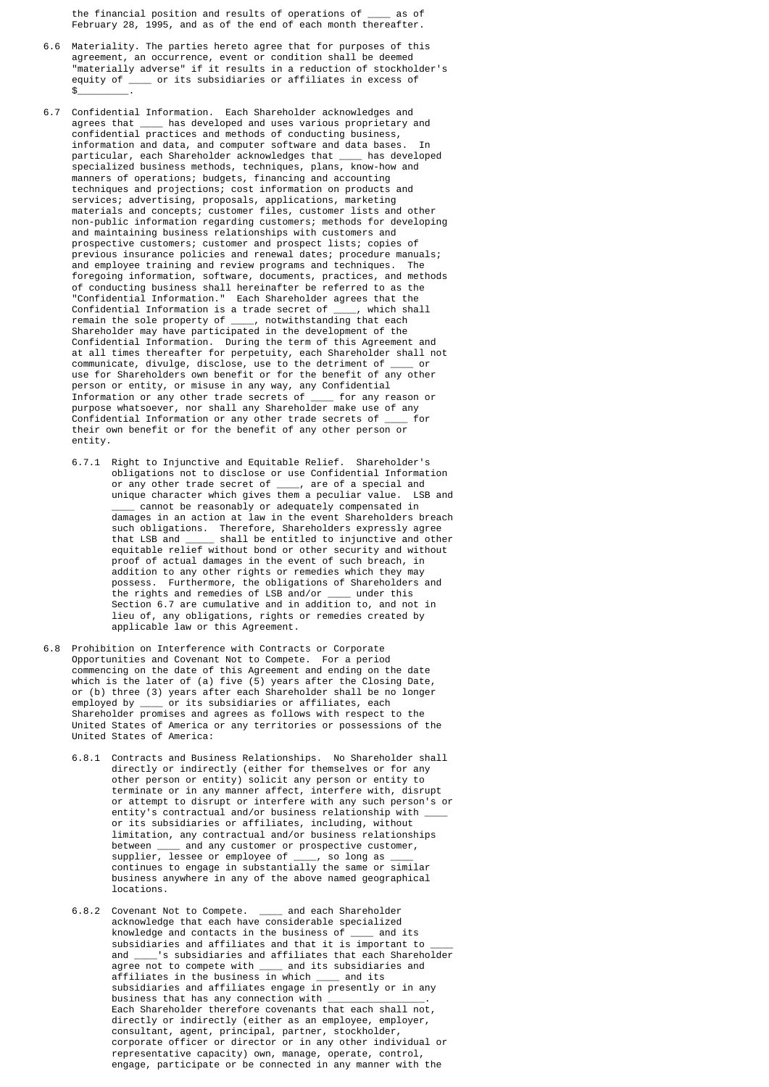the financial position and results of operations of \_\_\_\_ as of February 28, 1995, and as of the end of each month thereafter.

- 6.6 Materiality. The parties hereto agree that for purposes of this agreement, an occurrence, event or condition shall be deemed "materially adverse" if it results in a reduction of stockholder's equity of \_\_\_\_ or its subsidiaries or affiliates in excess of  $\mathsf{\$}$  .
- 6.7 Confidential Information. Each Shareholder acknowledges and agrees that \_\_\_\_ has developed and uses various proprietary and confidential practices and methods of conducting business, information and data, and computer software and data bases. particular, each Shareholder acknowledges that \_\_\_\_ has developed specialized business methods, techniques, plans, know-how and manners of operations; budgets, financing and accounting techniques and projections; cost information on products and services; advertising, proposals, applications, marketing materials and concepts; customer files, customer lists and other non-public information regarding customers; methods for developing and maintaining business relationships with customers and prospective customers; customer and prospect lists; copies of previous insurance policies and renewal dates; procedure manuals; and employee training and review programs and techniques. The foregoing information, software, documents, practices, and methods of conducting business shall hereinafter be referred to as the "Confidential Information." Each Shareholder agrees that the Confidential Information is a trade secret of \_\_\_\_, which sha Confidential Information is a trade secret of \_\_\_\_, which shall remain the sole property of \_\_\_\_, notwithstanding that each Shareholder may have participated in the development of the Confidential Information. During the term of this Agreement and at all times thereafter for perpetuity, each Shareholder shall not communicate, divulge, disclose, use to the detriment of \_\_\_\_ or use for Shareholders own benefit or for the benefit of any other person or entity, or misuse in any way, any Confidential Information or any other trade secrets of \_\_\_\_ for any reason or purpose whatsoever, nor shall any Shareholder make use of any Confidential Information or any other trade secrets of \_\_\_\_ for their own benefit or for the benefit of any other person or entity.
- 6.7.1 Right to Injunctive and Equitable Relief. Shareholder's obligations not to disclose or use Confidential Information or any other trade secret of \_\_\_\_, are of a special and unique character which gives them a peculiar value. LSB and \_\_\_\_ cannot be reasonably or adequately compensated in damages in an action at law in the event Shareholders breach such obligations. Therefore, Shareholders expressly agree that LSB and \_\_\_\_\_ shall be entitled to injunctive and other equitable relief without bond or other security and without proof of actual damages in the event of such breach, in addition to any other rights or remedies which they may possess. Furthermore, the obligations of Shareholders and the rights and remedies of LSB and/or \_\_\_\_ under this Section 6.7 are cumulative and in addition to, and not in lieu of, any obligations, rights or remedies created by applicable law or this Agreement.
- 6.8 Prohibition on Interference with Contracts or Corporate Opportunities and Covenant Not to Compete. For a period commencing on the date of this Agreement and ending on the date which is the later of (a) five (5) years after the Closing Date, or (b) three (3) years after each Shareholder shall be no longer employed by \_\_\_\_ or its subsidiaries or affiliates, each Shareholder promises and agrees as follows with respect to the United States of America or any territories or possessions of the United States of America:
- 6.8.1 Contracts and Business Relationships. No Shareholder shall directly or indirectly (either for themselves or for any other person or entity) solicit any person or entity to terminate or in any manner affect, interfere with, disrupt or attempt to disrupt or interfere with any such person's or entity's contractual and/or business relationship with or its subsidiaries or affiliates, including, without limitation, any contractual and/or business relationships between \_\_\_\_ and any customer or prospective customer, supplier, lessee or employee of \_\_\_\_, so long as \_\_\_\_ continues to engage in substantially the same or similar business anywhere in any of the above named geographical locations.
- 6.8.2 Covenant Not to Compete. \_\_\_ and each Shareholder acknowledge that each have considerable specialized knowledge and contacts in the business of \_\_\_\_ and its subsidiaries and affiliates and that it is important to and  $\overline{\phantom{a}}$  's subsidiaries and affiliates that each Shareh \_'s subsidiaries and affiliates that each Shareholder agree not to compete with \_\_\_\_ and its subsidiaries and affiliates in the business in which \_\_\_\_ and its subsidiaries and affiliates engage in presently or in any business that has any connection with Each Shareholder therefore covenants that each shall not, directly or indirectly (either as an employee, employer, consultant, agent, principal, partner, stockholder, corporate officer or director or in any other individual or representative capacity) own, manage, operate, control, engage, participate or be connected in any manner with the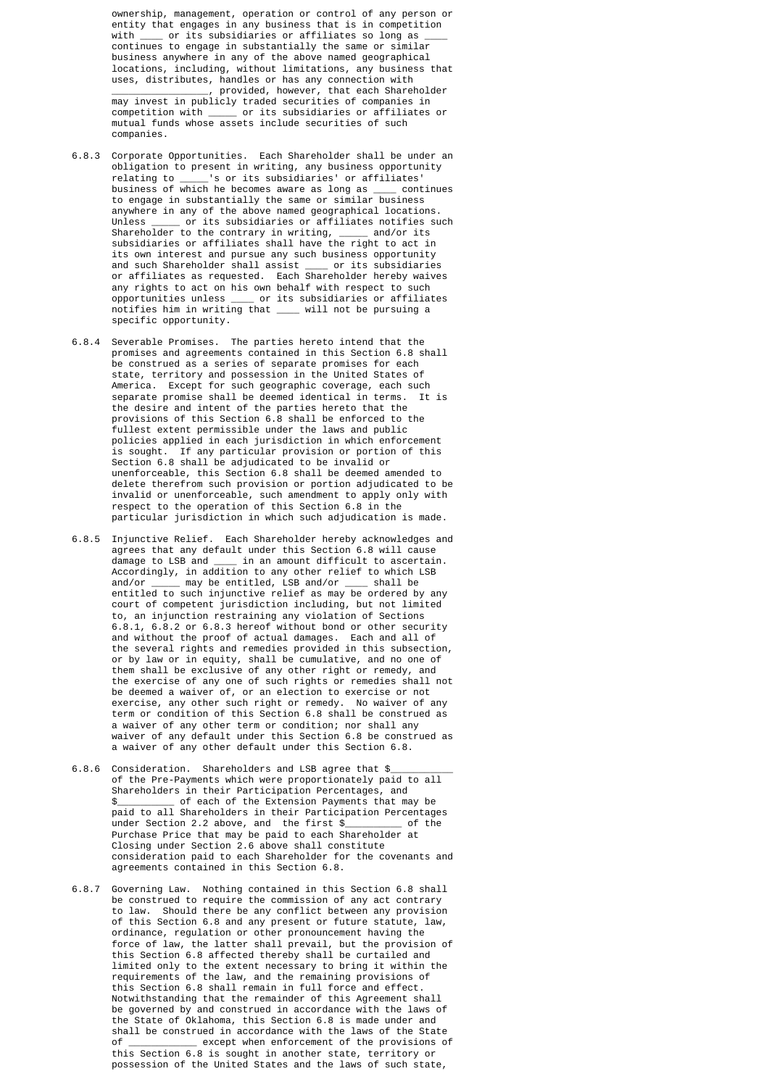ownership, management, operation or control of any person or entity that engages in any business that is in competition with \_\_\_\_ or its subsidiaries or affiliates so long as continues to engage in substantially the same or similar business anywhere in any of the above named geographical locations, including, without limitations, any business that uses, distributes, handles or has any connection with  $\_$ , provided, however, that each Shareholder may invest in publicly traded securities of companies in competition with \_\_\_\_\_ or its subsidiaries or affiliates or mutual funds whose assets include securities of such companies.

- 6.8.3 Corporate Opportunities. Each Shareholder shall be under an obligation to present in writing, any business opportunity relating to \_\_\_\_\_'s or its subsidiaries' or affiliates' business of which he becomes aware as long as \_\_\_\_ continues to engage in substantially the same or similar business anywhere in any of the above named geographical locations. Unless or its subsidiaries or affiliates notifies such Shareholder to the contrary in writing, \_\_\_\_\_ and/or its subsidiaries or affiliates shall have the right to act in its own interest and pursue any such business opportunity and such Shareholder shall assist \_\_\_\_ or its subsidiaries or affiliates as requested. Each Shareholder hereby waives any rights to act on his own behalf with respect to such opportunities unless \_\_\_\_ or its subsidiaries or affiliates notifies him in writing that \_\_\_\_ will not be pursuing a specific opportunity.
- 6.8.4 Severable Promises. The parties hereto intend that the promises and agreements contained in this Section 6.8 shall be construed as a series of separate promises for each state, territory and possession in the United States of America. Except for such geographic coverage, each such separate promise shall be deemed identical in terms. It is the desire and intent of the parties hereto that the provisions of this Section 6.8 shall be enforced to the fullest extent permissible under the laws and public policies applied in each jurisdiction in which enforcement is sought. If any particular provision or portion of this Section 6.8 shall be adjudicated to be invalid or unenforceable, this Section 6.8 shall be deemed amended to delete therefrom such provision or portion adjudicated to be invalid or unenforceable, such amendment to apply only with respect to the operation of this Section 6.8 in the particular jurisdiction in which such adjudication is made.
- 6.8.5 Injunctive Relief. Each Shareholder hereby acknowledges and agrees that any default under this Section 6.8 will cause damage to LSB and \_\_\_\_ in an amount difficult to ascertain. Accordingly, in addition to any other relief to which LSB and/or \_\_\_\_\_ may be entitled, LSB and/or \_\_\_\_ shall be entitled to such injunctive relief as may be ordered by any court of competent jurisdiction including, but not limited to, an injunction restraining any violation of Sections 6.8.1, 6.8.2 or 6.8.3 hereof without bond or other security and without the proof of actual damages. Each and all of the several rights and remedies provided in this subsection, or by law or in equity, shall be cumulative, and no one of them shall be exclusive of any other right or remedy, and the exercise of any one of such rights or remedies shall not be deemed a waiver of, or an election to exercise or not exercise, any other such right or remedy. No waiver of any term or condition of this Section 6.8 shall be construed as a waiver of any other term or condition; nor shall any waiver of any default under this Section 6.8 be construed as a waiver of any other default under this Section 6.8.
- 6.8.6 Consideration. Shareholders and LSB agree that \$ of the Pre-Payments which were proportionately paid to all Shareholders in their Participation Percentages, and \$ 6 of each of the Extension Payments that may be paid to all Shareholders in their Participation Percentages<br>under Section 2.2 above, and the first \$ of the under Section 2.2 above, and the first \$\_\_\_\_\_\_\_\_\_\_ of the Purchase Price that may be paid to each Shareholder at Closing under Section 2.6 above shall constitute consideration paid to each Shareholder for the covenants and agreements contained in this Section 6.8.
- 6.8.7 Governing Law. Nothing contained in this Section 6.8 shall be construed to require the commission of any act contrary to law. Should there be any conflict between any provision of this Section 6.8 and any present or future statute, law, ordinance, regulation or other pronouncement having the force of law, the latter shall prevail, but the provision of this Section 6.8 affected thereby shall be curtailed and limited only to the extent necessary to bring it within the requirements of the law, and the remaining provisions of this Section 6.8 shall remain in full force and effect. Notwithstanding that the remainder of this Agreement shall be governed by and construed in accordance with the laws of the State of Oklahoma, this Section 6.8 is made under and shall be construed in accordance with the laws of the State<br>of except when enforcement of the provisions of  $\overline{\phantom{x}}$  except when enforcement of the provisions of this Section 6.8 is sought in another state, territory or possession of the United States and the laws of such state,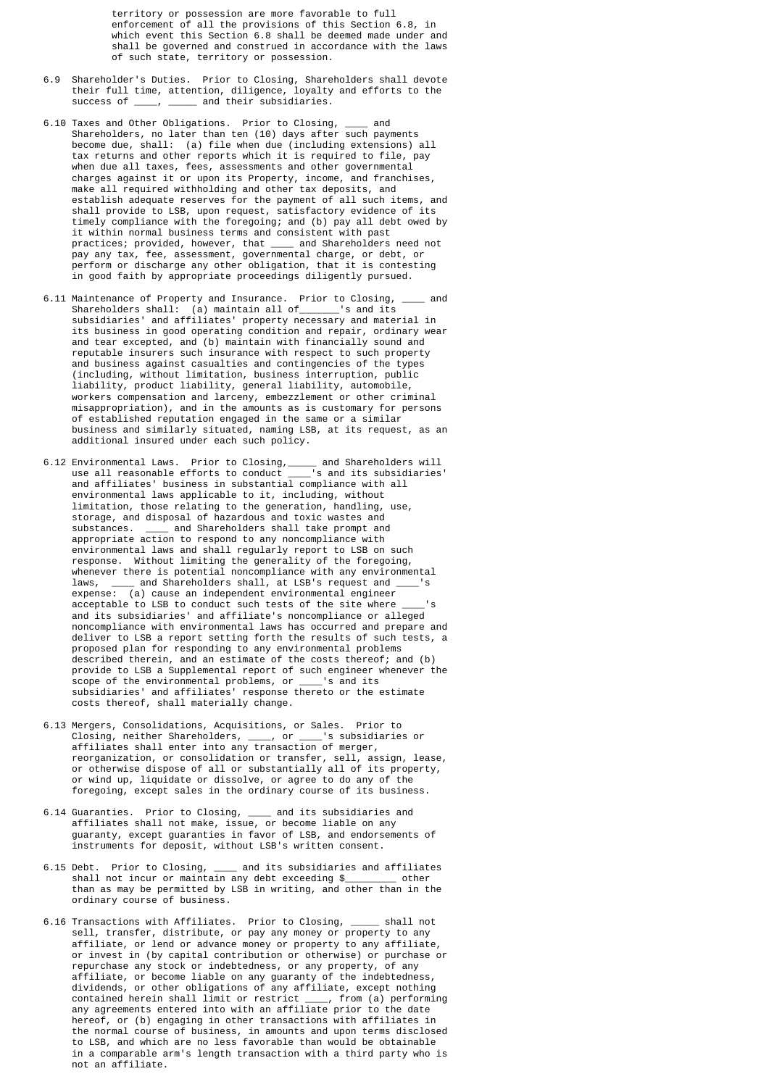territory or possession are more favorable to full enforcement of all the provisions of this Section 6.8, in which event this Section 6.8 shall be deemed made under and shall be governed and construed in accordance with the laws of such state, territory or possession.

- 6.9 Shareholder's Duties. Prior to Closing, Shareholders shall devote their full time, attention, diligence, loyalty and efforts to the success of  $\cdot$  and their subsidiaries.  $\mu$ ,  $\mu$  and their subsidiaries.
- 6.10 Taxes and Other Obligations. Prior to Closing, \_\_\_\_ and Shareholders, no later than ten (10) days after such payments become due, shall: (a) file when due (including extensions) all tax returns and other reports which it is required to file, pay when due all taxes, fees, assessments and other governmental charges against it or upon its Property, income, and franchises, make all required withholding and other tax deposits, and establish adequate reserves for the payment of all such items, and shall provide to LSB, upon request, satisfactory evidence of its timely compliance with the foregoing; and (b) pay all debt owed by it within normal business terms and consistent with past practices; provided, however, that \_\_\_\_ and Shareholders need not pay any tax, fee, assessment, governmental charge, or debt, or perform or discharge any other obligation, that it is contesting in good faith by appropriate proceedings diligently pursued.
- 6.11 Maintenance of Property and Insurance. Prior to Closing, \_\_\_\_ and Shareholders shall: (a) maintain all of\_\_\_\_\_\_\_'s and its subsidiaries' and affiliates' property necessary and material in its business in good operating condition and repair, ordinary wear and tear excepted, and (b) maintain with financially sound and reputable insurers such insurance with respect to such property and business against casualties and contingencies of the types (including, without limitation, business interruption, public liability, product liability, general liability, automobile, workers compensation and larceny, embezzlement or other criminal misappropriation), and in the amounts as is customary for persons of established reputation engaged in the same or a similar business and similarly situated, naming LSB, at its request, as an additional insured under each such policy.
- 6.12 Environmental Laws. Prior to Closing,\_\_\_\_\_ and Shareholders will use all reasonable efforts to conduct \_\_\_\_'s and its subsidiaries' and affiliates' business in substantial compliance with all environmental laws applicable to it, including, without limitation, those relating to the generation, handling, use, storage, and disposal of hazardous and toxic wastes and substances. \_\_\_\_ and Shareholders shall take prompt and appropriate action to respond to any noncompliance with environmental laws and shall regularly report to LSB on such response. Without limiting the generality of the foregoing, whenever there is potential noncompliance with any environmental laws, \_\_\_\_\_ and Shareholders shall, at LSB's request and \_ expense: (a) cause an independent environmental engineer acceptable to LSB to conduct such tests of the site where \_\_\_\_'s and its subsidiaries' and affiliate's noncompliance or alleged noncompliance with environmental laws has occurred and prepare and deliver to LSB a report setting forth the results of such tests, a proposed plan for responding to any environmental problems described therein, and an estimate of the costs thereof; and (b) provide to LSB a Supplemental report of such engineer whenever the scope of the environmental problems, or \_\_\_\_'s and its subsidiaries' and affiliates' response thereto or the estimate costs thereof, shall materially change.
- 6.13 Mergers, Consolidations, Acquisitions, or Sales. Prior to Closing, neither Shareholders, \_\_\_\_, or \_\_\_\_'s subsidiaries or affiliates shall enter into any transaction of merger, reorganization, or consolidation or transfer, sell, assign, lease, or otherwise dispose of all or substantially all of its property, or wind up, liquidate or dissolve, or agree to do any of the foregoing, except sales in the ordinary course of its business.
- 6.14 Guaranties. Prior to Closing, \_\_\_\_ and its subsidiaries and affiliates shall not make, issue, or become liable on any guaranty, except guaranties in favor of LSB, and endorsements of instruments for deposit, without LSB's written consent.
- 6.15 Debt. Prior to Closing, \_\_\_\_ and its subsidiaries and affiliates shall not incur or maintain any debt exceeding \$\_\_\_\_\_\_\_\_\_ other than as may be permitted by LSB in writing, and other than in the ordinary course of business.
- 6.16 Transactions with Affiliates. Prior to Closing, \_\_\_\_\_ shall not sell, transfer, distribute, or pay any money or property to any affiliate, or lend or advance money or property to any affiliate, or invest in (by capital contribution or otherwise) or purchase or repurchase any stock or indebtedness, or any property, of any affiliate, or become liable on any guaranty of the indebtedness, dividends, or other obligations of any affiliate, except nothing contained herein shall limit or restrict \_\_\_\_, from (a) performing any agreements entered into with an affiliate prior to the date hereof, or (b) engaging in other transactions with affiliates in the normal course of business, in amounts and upon terms disclosed to LSB, and which are no less favorable than would be obtainable in a comparable arm's length transaction with a third party who is not an affiliate.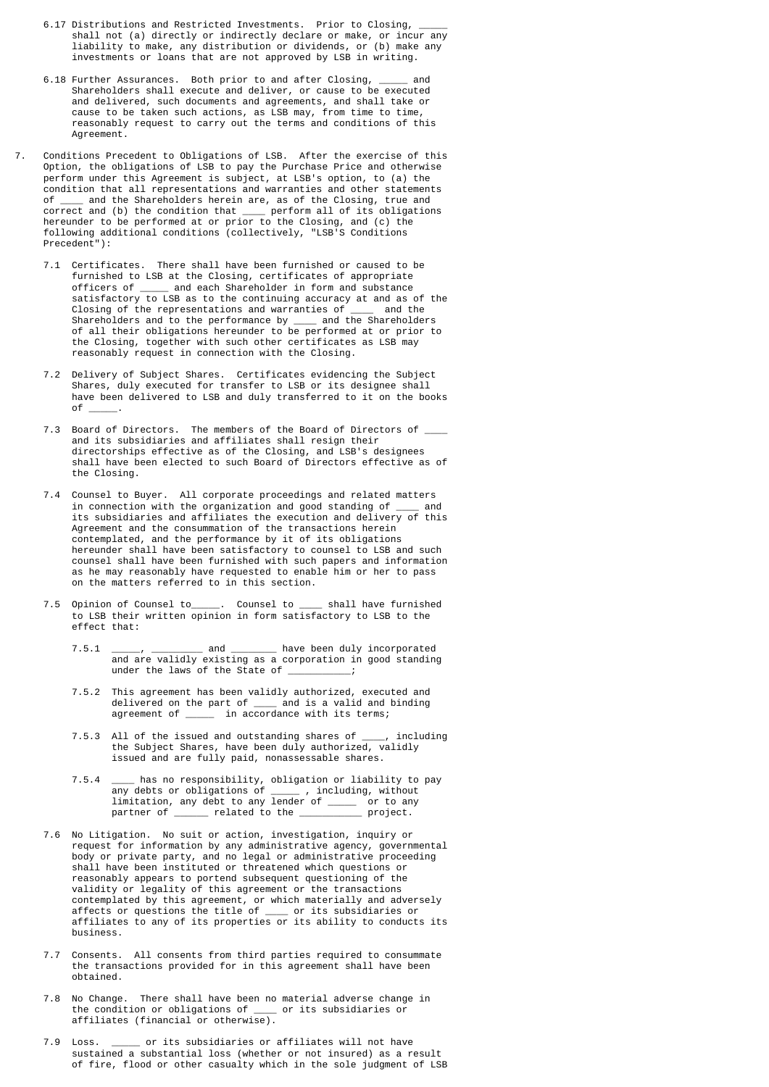- 6.17 Distributions and Restricted Investments. Prior to Closing, shall not (a) directly or indirectly declare or make, or incur any liability to make, any distribution or dividends, or (b) make any investments or loans that are not approved by LSB in writing.
- 6.18 Further Assurances. Both prior to and after Closing, \_\_\_\_\_ and Shareholders shall execute and deliver, or cause to be executed and delivered, such documents and agreements, and shall take or cause to be taken such actions, as LSB may, from time to time, reasonably request to carry out the terms and conditions of this Agreement.
- 7. Conditions Precedent to Obligations of LSB. After the exercise of this Option, the obligations of LSB to pay the Purchase Price and otherwise perform under this Agreement is subject, at LSB's option, to (a) the condition that all representations and warranties and other statements of \_\_\_\_ and the Shareholders herein are, as of the Closing, true and correct and (b) the condition that \_\_\_\_ perform all of its obligations hereunder to be performed at or prior to the Closing, and (c) the following additional conditions (collectively, "LSB'S Conditions Precedent"):
- 7.1 Certificates. There shall have been furnished or caused to be furnished to LSB at the Closing, certificates of appropriate officers of \_\_\_\_\_ and each Shareholder in form and substance satisfactory to LSB as to the continuing accuracy at and as of the Closing of the representations and warranties of \_\_\_\_ and the Shareholders and to the performance by \_\_\_\_ and the Shareholders of all their obligations hereunder to be performed at or prior to the Closing, together with such other certificates as LSB may reasonably request in connection with the Closing.
- 7.2 Delivery of Subject Shares. Certificates evidencing the Subject Shares, duly executed for transfer to LSB or its designee shall have been delivered to LSB and duly transferred to it on the books of \_\_\_\_\_.
	- 7.3 Board of Directors. The members of the Board of Directors of \_ and its subsidiaries and affiliates shall resign their directorships effective as of the Closing, and LSB's designees shall have been elected to such Board of Directors effective as of the Closing.
	- 7.4 Counsel to Buyer. All corporate proceedings and related matters in connection with the organization and good standing of  $\_\_$  its subsidiaries and affiliates the execution and delivery of this Agreement and the consummation of the transactions herein contemplated, and the performance by it of its obligations hereunder shall have been satisfactory to counsel to LSB and such counsel shall have been furnished with such papers and information as he may reasonably have requested to enable him or her to pass on the matters referred to in this section.
	- 7.5 Opinion of Counsel to\_\_\_\_\_. Counsel to \_\_\_\_ shall have furnished to LSB their written opinion in form satisfactory to LSB to the effect that:
		- 7.5.1 \_\_\_\_\_, \_\_\_\_\_\_\_\_\_\_\_ and \_\_\_\_\_\_\_\_\_\_ have been duly incorporated and are validly existing as a corporation in good standing under the laws of the State of  $\_\_$
- 7.5.2 This agreement has been validly authorized, executed and delivered on the part of \_\_\_\_ and is a valid and binding agreement of \_\_\_\_\_ in accordance with its terms;
- 7.5.3 All of the issued and outstanding shares of \_\_\_\_, including the Subject Shares, have been duly authorized, validly issued and are fully paid, nonassessable shares.
- 7.5.4 \_\_\_\_ has no responsibility, obligation or liability to pay any debts or obligations of \_\_\_\_\_ , including, without limitation, any debt to any lender of \_\_\_\_\_ or to any partner of \_\_\_\_\_\_ related to the \_\_\_\_\_\_\_\_\_\_\_ project.
- 7.6 No Litigation. No suit or action, investigation, inquiry or request for information by any administrative agency, governmental body or private party, and no legal or administrative proceeding shall have been instituted or threatened which questions or reasonably appears to portend subsequent questioning of the validity or legality of this agreement or the transactions contemplated by this agreement, or which materially and adversely affects or questions the title of \_\_\_\_ or its subsidiaries or affiliates to any of its properties or its ability to conducts its business.
	- 7.7 Consents. All consents from third parties required to consummate the transactions provided for in this agreement shall have been obtained.
	- 7.8 No Change. There shall have been no material adverse change in the condition or obligations of \_\_\_\_ or its subsidiaries or affiliates (financial or otherwise).
	- 7.9 Loss. \_\_\_\_\_ or its subsidiaries or affiliates will not have sustained a substantial loss (whether or not insured) as a result of fire, flood or other casualty which in the sole judgment of LSB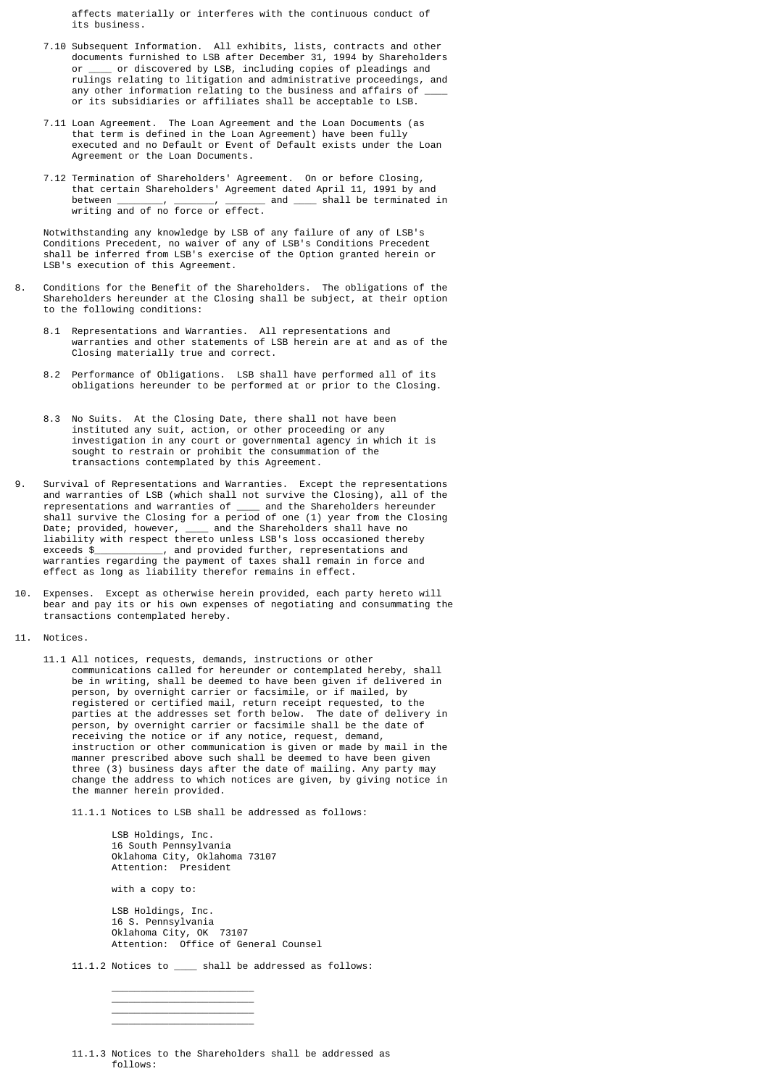affects materially or interferes with the continuous conduct of its business.

- 7.10 Subsequent Information. All exhibits, lists, contracts and other documents furnished to LSB after December 31, 1994 by Shareholders or \_\_\_\_ or discovered by LSB, including copies of pleadings and rulings relating to litigation and administrative proceedings, and any other information relating to the business and affairs of or its subsidiaries or affiliates shall be acceptable to LSB.
- 7.11 Loan Agreement. The Loan Agreement and the Loan Documents (as that term is defined in the Loan Agreement) have been fully executed and no Default or Event of Default exists under the Loan Agreement or the Loan Documents.
- 7.12 Termination of Shareholders' Agreement. On or before Closing, that certain Shareholders' Agreement dated April 11, 1991 by and between \_\_\_\_\_\_\_\_, \_\_\_\_\_\_\_, \_\_\_\_\_\_\_ and \_\_\_\_ shall be terminated in writing and of no force or effect.

 Notwithstanding any knowledge by LSB of any failure of any of LSB's Conditions Precedent, no waiver of any of LSB's Conditions Precedent shall be inferred from LSB's exercise of the Option granted herein or LSB's execution of this Agreement.

- 8. Conditions for the Benefit of the Shareholders. The obligations of the Shareholders hereunder at the Closing shall be subject, at their option to the following conditions:
	- 8.1 Representations and Warranties. All representations and warranties and other statements of LSB herein are at and as of the Closing materially true and correct.
	- 8.2 Performance of Obligations. LSB shall have performed all of its obligations hereunder to be performed at or prior to the Closing.
	- 8.3 No Suits. At the Closing Date, there shall not have been instituted any suit, action, or other proceeding or any investigation in any court or governmental agency in which it is sought to restrain or prohibit the consummation of the transactions contemplated by this Agreement.
- 9. Survival of Representations and Warranties. Except the representations and warranties of LSB (which shall not survive the Closing), all of the representations and warranties of \_\_\_\_\_ and the Shareholders hereunder representations and warranties of  $\_$  shall survive the Closing for a period of one (1) year from the Closing Date; provided, however, \_\_\_\_ and the Shareholders shall have no liability with respect thereto unless LSB's loss occasioned thereby exceeds \$\_\_\_\_\_\_\_\_\_\_\_, and provided further, representations and warranties regarding the payment of taxes shall remain in force and effect as long as liability therefor remains in effect.
- 10. Expenses. Except as otherwise herein provided, each party hereto will bear and pay its or his own expenses of negotiating and consummating the transactions contemplated hereby.
- 11. Notices.
- 11.1 All notices, requests, demands, instructions or other communications called for hereunder or contemplated hereby, shall be in writing, shall be deemed to have been given if delivered in person, by overnight carrier or facsimile, or if mailed, by registered or certified mail, return receipt requested, to the parties at the addresses set forth below. The date of delivery in person, by overnight carrier or facsimile shall be the date of receiving the notice or if any notice, request, demand, instruction or other communication is given or made by mail in the manner prescribed above such shall be deemed to have been given three (3) business days after the date of mailing. Any party may change the address to which notices are given, by giving notice in the manner herein provided.

11.1.1 Notices to LSB shall be addressed as follows:

 LSB Holdings, Inc. 16 South Pennsylvania Oklahoma City, Oklahoma 73107 Attention: President

with a copy to:

 $\overline{\phantom{a}}$  , and the contract of the contract of the contract of the contract of the contract of the contract of the contract of the contract of the contract of the contract of the contract of the contract of the contrac  $\overline{\phantom{a}}$  , and the contract of the contract of the contract of the contract of the contract of the contract of the contract of the contract of the contract of the contract of the contract of the contract of the contrac  $\frac{1}{\sqrt{2}}$  ,  $\frac{1}{\sqrt{2}}$  ,  $\frac{1}{\sqrt{2}}$  ,  $\frac{1}{\sqrt{2}}$  ,  $\frac{1}{\sqrt{2}}$  ,  $\frac{1}{\sqrt{2}}$  ,  $\frac{1}{\sqrt{2}}$  ,  $\frac{1}{\sqrt{2}}$  ,  $\frac{1}{\sqrt{2}}$  ,  $\frac{1}{\sqrt{2}}$  ,  $\frac{1}{\sqrt{2}}$  ,  $\frac{1}{\sqrt{2}}$  ,  $\frac{1}{\sqrt{2}}$  ,  $\frac{1}{\sqrt{2}}$  ,  $\frac{1}{\sqrt{2}}$  $\overline{\phantom{a}}$  , and the contract of the contract of the contract of the contract of the contract of the contract of the contract of the contract of the contract of the contract of the contract of the contract of the contrac

 LSB Holdings, Inc. 16 S. Pennsylvania Oklahoma City, OK 73107 Attention: Office of General Counsel

11.1.2 Notices to \_\_\_\_ shall be addressed as follows:

 <sup>11.1.3</sup> Notices to the Shareholders shall be addressed as follows: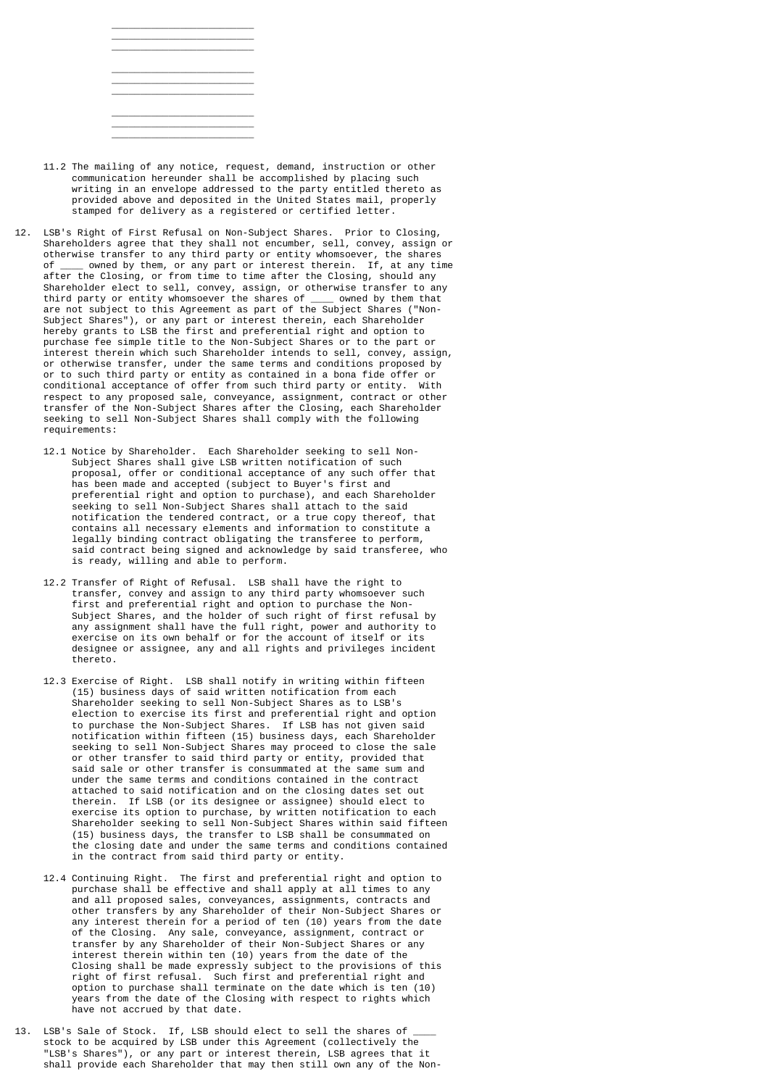- 11.2 The mailing of any notice, request, demand, instruction or other communication hereunder shall be accomplished by placing such writing in an envelope addressed to the party entitled thereto as provided above and deposited in the United States mail, properly stamped for delivery as a registered or certified letter.
- 12. LSB's Right of First Refusal on Non-Subject Shares. Prior to Closing, Shareholders agree that they shall not encumber, sell, convey, assign or otherwise transfer to any third party or entity whomsoever, the shares of \_\_\_\_ owned by them, or any part or interest therein. If, at any time after the Closing, or from time to time after the Closing, should any Shareholder elect to sell, convey, assign, or otherwise transfer to any third party or entity whomsoever the shares of \_\_\_\_ owned by them that are not subject to this Agreement as part of the Subject Shares ("Non- Subject Shares"), or any part or interest therein, each Shareholder hereby grants to LSB the first and preferential right and option to purchase fee simple title to the Non-Subject Shares or to the part or interest therein which such Shareholder intends to sell, convey, assign, or otherwise transfer, under the same terms and conditions proposed by or to such third party or entity as contained in a bona fide offer or conditional acceptance of offer from such third party or entity. With respect to any proposed sale, conveyance, assignment, contract or other transfer of the Non-Subject Shares after the Closing, each Shareholder seeking to sell Non-Subject Shares shall comply with the following requirements:
	- 12.1 Notice by Shareholder. Each Shareholder seeking to sell Non- Subject Shares shall give LSB written notification of such proposal, offer or conditional acceptance of any such offer that has been made and accepted (subject to Buyer's first and preferential right and option to purchase), and each Shareholder seeking to sell Non-Subject Shares shall attach to the said notification the tendered contract, or a true copy thereof, that contains all necessary elements and information to constitute a legally binding contract obligating the transferee to perform, said contract being signed and acknowledge by said transferee, who is ready, willing and able to perform.
	- 12.2 Transfer of Right of Refusal. LSB shall have the right to transfer, convey and assign to any third party whomsoever such first and preferential right and option to purchase the Non- Subject Shares, and the holder of such right of first refusal by any assignment shall have the full right, power and authority to exercise on its own behalf or for the account of itself or its designee or assignee, any and all rights and privileges incident thereto.
- 12.3 Exercise of Right. LSB shall notify in writing within fifteen (15) business days of said written notification from each Shareholder seeking to sell Non-Subject Shares as to LSB's election to exercise its first and preferential right and option to purchase the Non-Subject Shares. If LSB has not given said notification within fifteen (15) business days, each Shareholder seeking to sell Non-Subject Shares may proceed to close the sale or other transfer to said third party or entity, provided that said sale or other transfer is consummated at the same sum and under the same terms and conditions contained in the contract attached to said notification and on the closing dates set out therein. If LSB (or its designee or assignee) should elect to exercise its option to purchase, by written notification to each Shareholder seeking to sell Non-Subject Shares within said fifteen (15) business days, the transfer to LSB shall be consummated on the closing date and under the same terms and conditions contained in the contract from said third party or entity.
- 12.4 Continuing Right. The first and preferential right and option to purchase shall be effective and shall apply at all times to any and all proposed sales, conveyances, assignments, contracts and other transfers by any Shareholder of their Non-Subject Shares or any interest therein for a period of ten (10) years from the date of the Closing. Any sale, conveyance, assignment, contract or transfer by any Shareholder of their Non-Subject Shares or any interest therein within ten (10) years from the date of the Closing shall be made expressly subject to the provisions of this right of first refusal. Such first and preferential right and option to purchase shall terminate on the date which is ten (10) years from the date of the Closing with respect to rights which have not accrued by that date.
- 13. LSB's Sale of Stock. If, LSB should elect to sell the shares of stock to be acquired by LSB under this Agreement (collectively the "LSB's Shares"), or any part or interest therein, LSB agrees that it shall provide each Shareholder that may then still own any of the Non-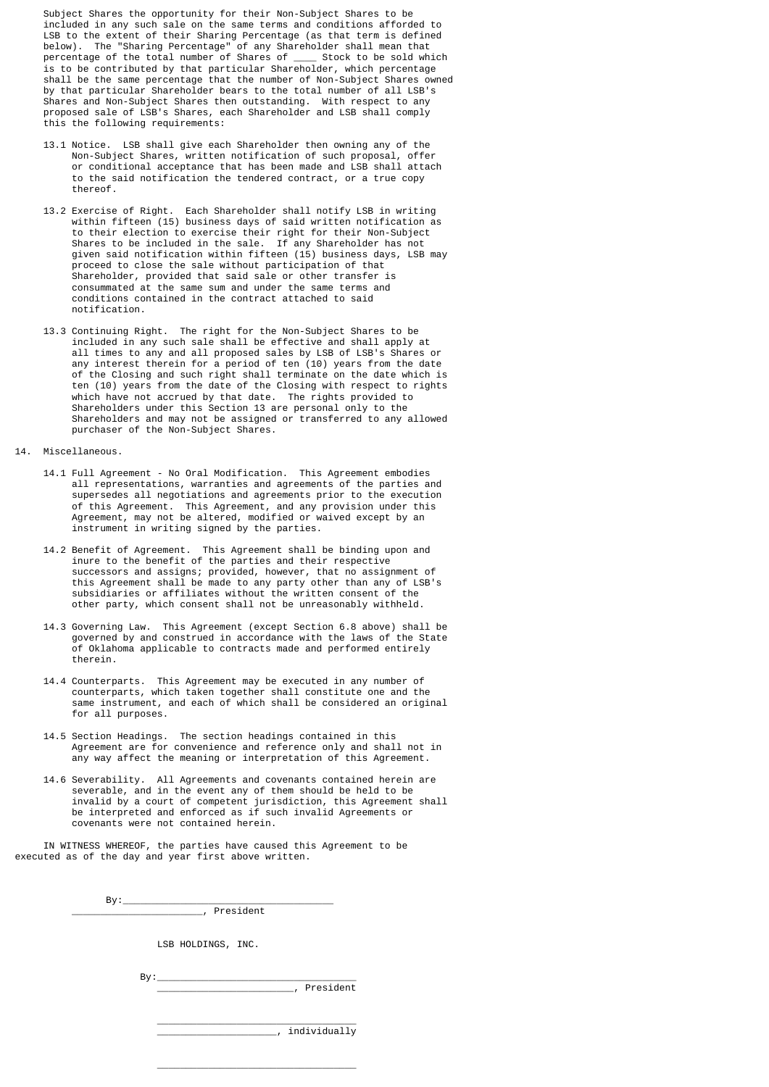Subject Shares the opportunity for their Non-Subject Shares to be included in any such sale on the same terms and conditions afforded to LSB to the extent of their Sharing Percentage (as that term is defined below). The "Sharing Percentage" of any Shareholder shall mean that percentage of the total number of Shares of \_\_\_\_ Stock to be sold which is to be contributed by that particular Shareholder, which percentage shall be the same percentage that the number of Non-Subject Shares owned by that particular Shareholder bears to the total number of all LSB's Shares and Non-Subject Shares then outstanding. With respect to any proposed sale of LSB's Shares, each Shareholder and LSB shall comply this the following requirements:

- 13.1 Notice. LSB shall give each Shareholder then owning any of the Non-Subject Shares, written notification of such proposal, offer or conditional acceptance that has been made and LSB shall attach to the said notification the tendered contract, or a true copy thereof.
- 13.2 Exercise of Right. Each Shareholder shall notify LSB in writing within fifteen (15) business days of said written notification as to their election to exercise their right for their Non-Subject Shares to be included in the sale. If any Shareholder has not given said notification within fifteen (15) business days, LSB may proceed to close the sale without participation of that Shareholder, provided that said sale or other transfer is consummated at the same sum and under the same terms and conditions contained in the contract attached to said notification.
- 13.3 Continuing Right. The right for the Non-Subject Shares to be included in any such sale shall be effective and shall apply at all times to any and all proposed sales by LSB of LSB's Shares or any interest therein for a period of ten (10) years from the date of the Closing and such right shall terminate on the date which is ten (10) years from the date of the Closing with respect to rights which have not accrued by that date. The rights provided to Shareholders under this Section 13 are personal only to the Shareholders and may not be assigned or transferred to any allowed purchaser of the Non-Subject Shares.
- 14. Miscellaneous.
	- 14.1 Full Agreement No Oral Modification. This Agreement embodies all representations, warranties and agreements of the parties and supersedes all negotiations and agreements prior to the execution of this Agreement. This Agreement, and any provision under this Agreement, may not be altered, modified or waived except by an instrument in writing signed by the parties.
- 14.2 Benefit of Agreement. This Agreement shall be binding upon and inure to the benefit of the parties and their respective successors and assigns; provided, however, that no assignment of this Agreement shall be made to any party other than any of LSB's subsidiaries or affiliates without the written consent of the other party, which consent shall not be unreasonably withheld.
	- 14.3 Governing Law. This Agreement (except Section 6.8 above) shall be governed by and construed in accordance with the laws of the State of Oklahoma applicable to contracts made and performed entirely therein.
	- 14.4 Counterparts. This Agreement may be executed in any number of counterparts, which taken together shall constitute one and the same instrument, and each of which shall be considered an original for all purposes.
	- 14.5 Section Headings. The section headings contained in this Agreement are for convenience and reference only and shall not in any way affect the meaning or interpretation of this Agreement.
- 14.6 Severability. All Agreements and covenants contained herein are severable, and in the event any of them should be held to be invalid by a court of competent jurisdiction, this Agreement shall be interpreted and enforced as if such invalid Agreements or covenants were not contained herein.

 IN WITNESS WHEREOF, the parties have caused this Agreement to be executed as of the day and year first above written.

> $\mathsf{By:}\underline{\hspace{1em}}$  $\overline{\phantom{a}}$ , President

> > LSB HOLDINGS, INC.

By:\_\_\_\_\_\_\_\_\_\_\_\_\_\_\_\_\_\_\_\_\_\_\_\_\_\_\_\_\_\_\_\_\_\_\_

 $\_$ 

 $\overline{\phantom{a}}$ , President

 $\mathcal{L}_\text{max}$  , and the contract of the contract of the contract of the contract of the contract of the contract of the contract of the contract of the contract of the contract of the contract of the contract of the contr  $\overline{\phantom{a}}$ , individually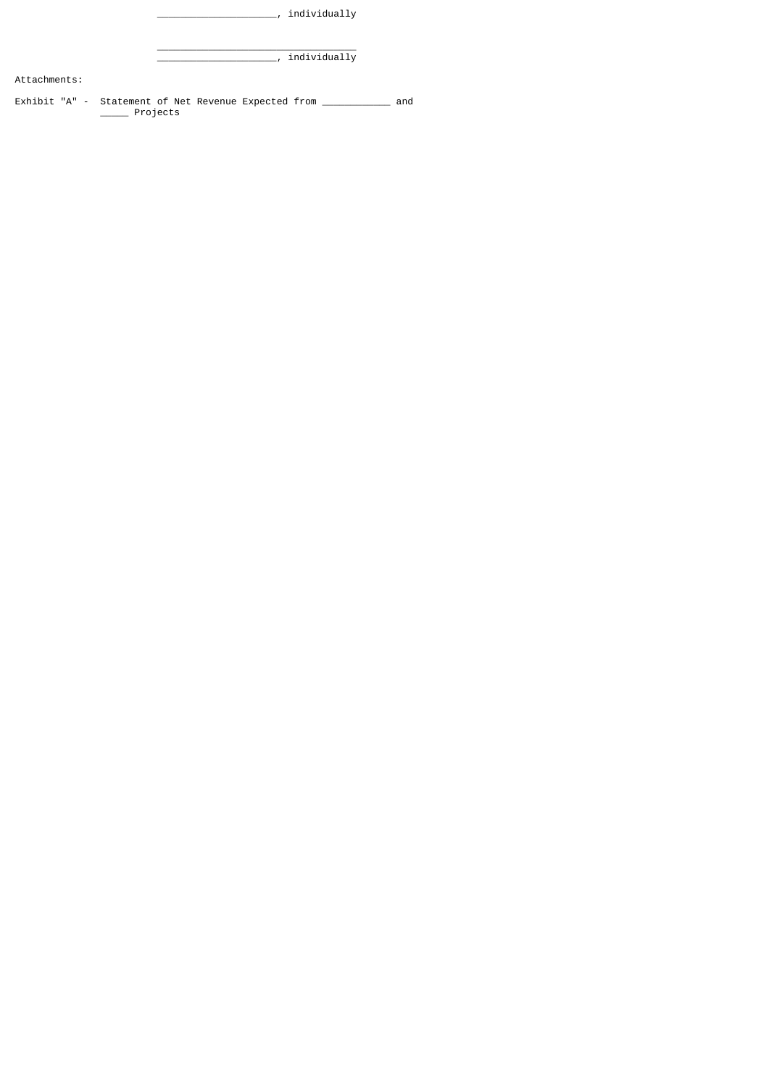|              | individually                                                                    |
|--------------|---------------------------------------------------------------------------------|
|              | individually                                                                    |
| Attachments: |                                                                                 |
|              | Exhibit "A" - Statement of Net Revenue Expected from _______<br>and<br>Projects |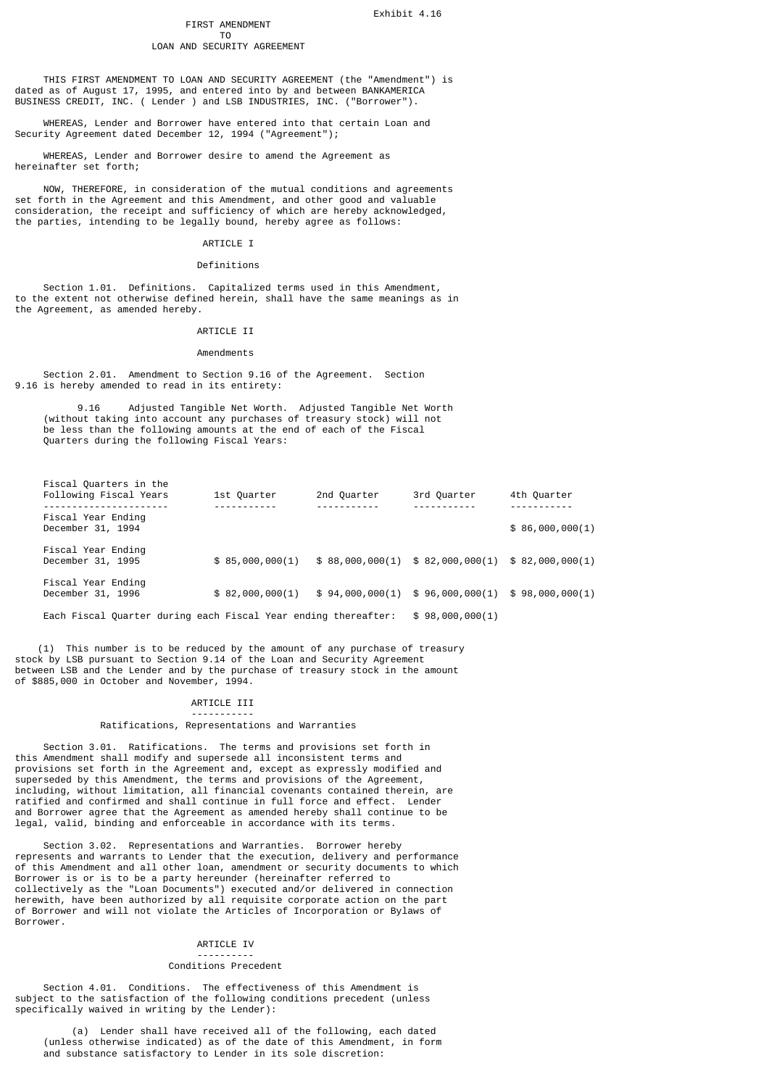Exhibit 4.16

# FIRST AMENDMENT<br>TO

#### T<sub>o</sub> and the state of the state of the state of the state of the state of the state of the state of the state of the state of the state of the state of the state of the state of the state of the state of the state of the s LOAN AND SECURITY AGREEMENT

 THIS FIRST AMENDMENT TO LOAN AND SECURITY AGREEMENT (the "Amendment") is dated as of August 17, 1995, and entered into by and between BANKAMERICA BUSINESS CREDIT, INC. ( Lender ) and LSB INDUSTRIES, INC. ("Borrower").

 WHEREAS, Lender and Borrower have entered into that certain Loan and Security Agreement dated December 12, 1994 ("Agreement");

 WHEREAS, Lender and Borrower desire to amend the Agreement as hereinafter set forth;

 NOW, THEREFORE, in consideration of the mutual conditions and agreements set forth in the Agreement and this Amendment, and other good and valuable consideration, the receipt and sufficiency of which are hereby acknowledged, the parties, intending to be legally bound, hereby agree as follows:

## ARTICLE I

## Definitions

 Section 1.01. Definitions. Capitalized terms used in this Amendment, to the extent not otherwise defined herein, shall have the same meanings as in the Agreement, as amended hereby.

## ARTICLE IT

## Amendments

 Section 2.01. Amendment to Section 9.16 of the Agreement. Section 9.16 is hereby amended to read in its entirety:

 9.16 Adjusted Tangible Net Worth. Adjusted Tangible Net Worth (without taking into account any purchases of treasury stock) will not be less than the following amounts at the end of each of the Fiscal Quarters during the following Fiscal Years:

| Fiscal Quarters in the<br>Following Fiscal Years               | 1st Quarter     | 2nd Quarter | 3rd Quarter                                    | 4th Quarter     |
|----------------------------------------------------------------|-----------------|-------------|------------------------------------------------|-----------------|
| ------------------<br>Fiscal Year Ending<br>December 31, 1994  |                 |             |                                                | \$86,000,000(1) |
| Fiscal Year Ending<br>December 31, 1995                        | \$85,000,000(1) |             | $$88,000,000(1) $82,000,000(1) $82,000,000(1)$ |                 |
| Fiscal Year Ending<br>December 31, 1996                        | \$82,000,000(1) |             | \$94,000,000(1) \$96,000,000(1)                | \$98,000,000(1) |
| Each Fiscal Quarter during each Fiscal Year ending thereafter: |                 |             | \$98,000,000(1)                                |                 |

 (1) This number is to be reduced by the amount of any purchase of treasury stock by LSB pursuant to Section 9.14 of the Loan and Security Agreement between LSB and the Lender and by the purchase of treasury stock in the amount of \$885,000 in October and November, 1994.

# ARTICLE III

### ----------- Ratifications, Representations and Warranties

 Section 3.01. Ratifications. The terms and provisions set forth in this Amendment shall modify and supersede all inconsistent terms and provisions set forth in the Agreement and, except as expressly modified and superseded by this Amendment, the terms and provisions of the Agreement, including, without limitation, all financial covenants contained therein, are ratified and confirmed and shall continue in full force and effect. Lender and Borrower agree that the Agreement as amended hereby shall continue to be legal, valid, binding and enforceable in accordance with its terms.

 Section 3.02. Representations and Warranties. Borrower hereby represents and warrants to Lender that the execution, delivery and performance of this Amendment and all other loan, amendment or security documents to which Borrower is or is to be a party hereunder (hereinafter referred to collectively as the "Loan Documents") executed and/or delivered in connection herewith, have been authorized by all requisite corporate action on the part of Borrower and will not violate the Articles of Incorporation or Bylaws of Borrower.

# ARTICLE IV

#### ---------- Conditions Precedent

 Section 4.01. Conditions. The effectiveness of this Amendment is subject to the satisfaction of the following conditions precedent (unless specifically waived in writing by the Lender):

 (a) Lender shall have received all of the following, each dated (unless otherwise indicated) as of the date of this Amendment, in form and substance satisfactory to Lender in its sole discretion: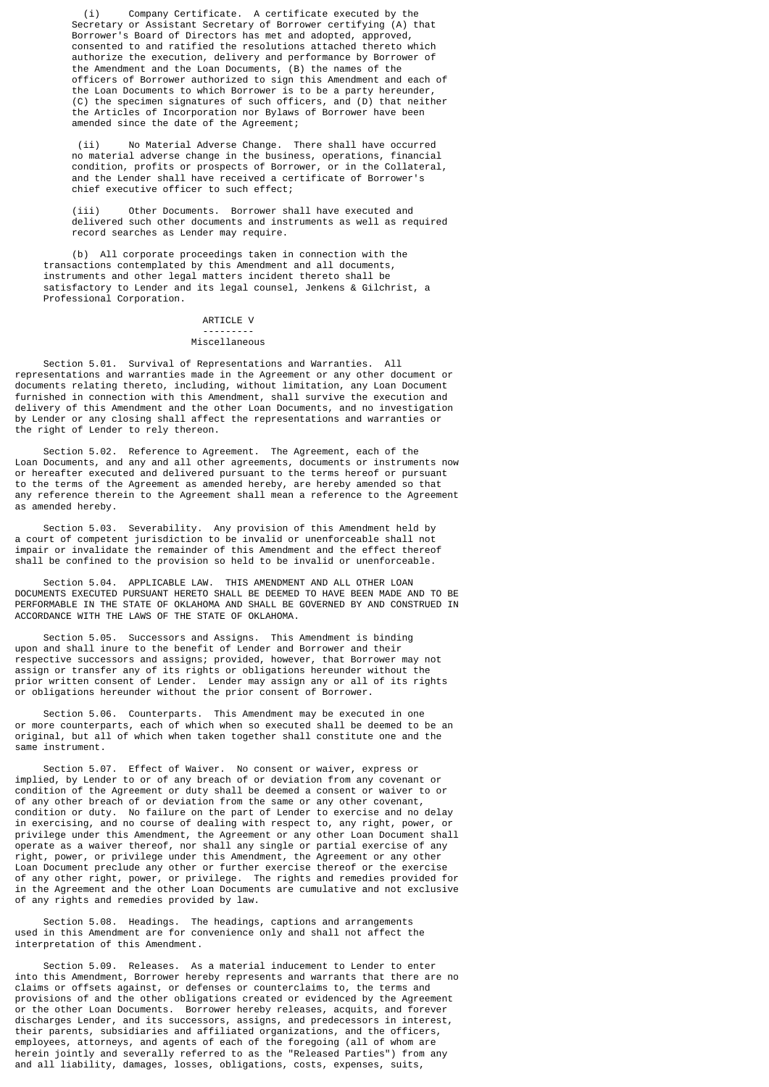(i) Company Certificate. A certificate executed by the Secretary or Assistant Secretary of Borrower certifying (A) that Borrower's Board of Directors has met and adopted, approved, consented to and ratified the resolutions attached thereto which authorize the execution, delivery and performance by Borrower of the Amendment and the Loan Documents, (B) the names of the officers of Borrower authorized to sign this Amendment and each of the Loan Documents to which Borrower is to be a party hereunder, (C) the specimen signatures of such officers, and (D) that neither the Articles of Incorporation nor Bylaws of Borrower have been amended since the date of the Agreement;

 (ii) No Material Adverse Change. There shall have occurred no material adverse change in the business, operations, financial condition, profits or prospects of Borrower, or in the Collateral, and the Lender shall have received a certificate of Borrower's chief executive officer to such effect;

 (iii) Other Documents. Borrower shall have executed and delivered such other documents and instruments as well as required record searches as Lender may require.

 (b) All corporate proceedings taken in connection with the transactions contemplated by this Amendment and all documents, instruments and other legal matters incident thereto shall be satisfactory to Lender and its legal counsel, Jenkens & Gilchrist, a Professional Corporation.

#### ARTICLE V ---------

#### Miscellaneous

 Section 5.01. Survival of Representations and Warranties. All representations and warranties made in the Agreement or any other document or documents relating thereto, including, without limitation, any Loan Document furnished in connection with this Amendment, shall survive the execution and delivery of this Amendment and the other Loan Documents, and no investigation by Lender or any closing shall affect the representations and warranties or the right of Lender to rely thereon.

 Section 5.02. Reference to Agreement. The Agreement, each of the Loan Documents, and any and all other agreements, documents or instruments now or hereafter executed and delivered pursuant to the terms hereof or pursuant to the terms of the Agreement as amended hereby, are hereby amended so that any reference therein to the Agreement shall mean a reference to the Agreement as amended hereby.

 Section 5.03. Severability. Any provision of this Amendment held by a court of competent jurisdiction to be invalid or unenforceable shall not impair or invalidate the remainder of this Amendment and the effect thereof shall be confined to the provision so held to be invalid or unenforceable.

 Section 5.04. APPLICABLE LAW. THIS AMENDMENT AND ALL OTHER LOAN DOCUMENTS EXECUTED PURSUANT HERETO SHALL BE DEEMED TO HAVE BEEN MADE AND TO BE PERFORMABLE IN THE STATE OF OKLAHOMA AND SHALL BE GOVERNED BY AND CONSTRUED IN ACCORDANCE WITH THE LAWS OF THE STATE OF OKLAHOMA.

 Section 5.05. Successors and Assigns. This Amendment is binding upon and shall inure to the benefit of Lender and Borrower and their respective successors and assigns; provided, however, that Borrower may not assign or transfer any of its rights or obligations hereunder without the prior written consent of Lender. Lender may assign any or all of its rights or obligations hereunder without the prior consent of Borrower.

 Section 5.06. Counterparts. This Amendment may be executed in one or more counterparts, each of which when so executed shall be deemed to be an original, but all of which when taken together shall constitute one and the same instrument.

 Section 5.07. Effect of Waiver. No consent or waiver, express or implied, by Lender to or of any breach of or deviation from any covenant or condition of the Agreement or duty shall be deemed a consent or waiver to or of any other breach of or deviation from the same or any other covenant, condition or duty. No failure on the part of Lender to exercise and no delay in exercising, and no course of dealing with respect to, any right, power, or privilege under this Amendment, the Agreement or any other Loan Document shall operate as a waiver thereof, nor shall any single or partial exercise of any right, power, or privilege under this Amendment, the Agreement or any other Loan Document preclude any other or further exercise thereof or the exercise of any other right, power, or privilege. The rights and remedies provided for in the Agreement and the other Loan Documents are cumulative and not exclusive of any rights and remedies provided by law.

 Section 5.08. Headings. The headings, captions and arrangements used in this Amendment are for convenience only and shall not affect the interpretation of this Amendment.

 Section 5.09. Releases. As a material inducement to Lender to enter into this Amendment, Borrower hereby represents and warrants that there are no claims or offsets against, or defenses or counterclaims to, the terms and provisions of and the other obligations created or evidenced by the Agreement or the other Loan Documents. Borrower hereby releases, acquits, and forever discharges Lender, and its successors, assigns, and predecessors in interest, their parents, subsidiaries and affiliated organizations, and the officers, employees, attorneys, and agents of each of the foregoing (all of whom are herein jointly and severally referred to as the "Released Parties") from any and all liability, damages, losses, obligations, costs, expenses, suits,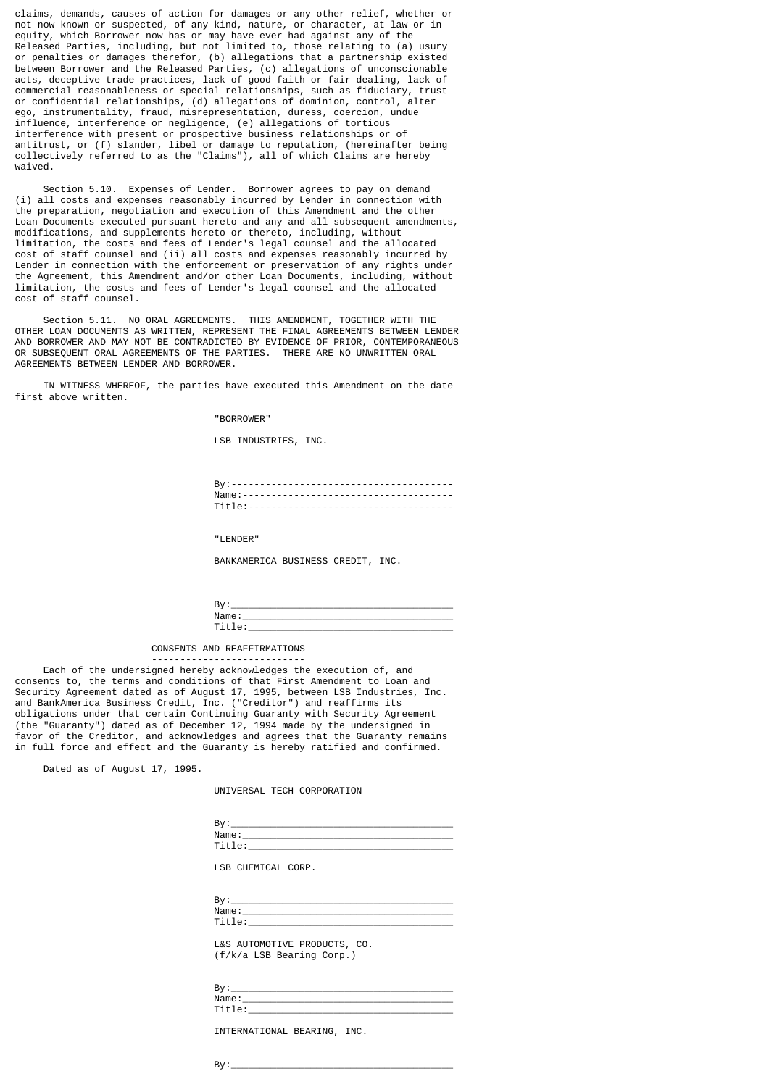claims, demands, causes of action for damages or any other relief, whether or not now known or suspected, of any kind, nature, or character, at law or in equity, which Borrower now has or may have ever had against any of the Released Parties, including, but not limited to, those relating to (a) usury or penalties or damages therefor, (b) allegations that a partnership existed between Borrower and the Released Parties, (c) allegations of unconscionable acts, deceptive trade practices, lack of good faith or fair dealing, lack of commercial reasonableness or special relationships, such as fiduciary, trust or confidential relationships, (d) allegations of dominion, control, alter ego, instrumentality, fraud, misrepresentation, duress, coercion, undue influence, interference or negligence, (e) allegations of tortious interference with present or prospective business relationships or of antitrust, or (f) slander, libel or damage to reputation, (hereinafter being collectively referred to as the "Claims"), all of which Claims are hereby waived.

 Section 5.10. Expenses of Lender. Borrower agrees to pay on demand (i) all costs and expenses reasonably incurred by Lender in connection with the preparation, negotiation and execution of this Amendment and the other Loan Documents executed pursuant hereto and any and all subsequent amendments, modifications, and supplements hereto or thereto, including, without limitation, the costs and fees of Lender's legal counsel and the allocated cost of staff counsel and (ii) all costs and expenses reasonably incurred by Lender in connection with the enforcement or preservation of any rights under the Agreement, this Amendment and/or other Loan Documents, including, without limitation, the costs and fees of Lender's legal counsel and the allocated cost of staff counsel.

 Section 5.11. NO ORAL AGREEMENTS. THIS AMENDMENT, TOGETHER WITH THE OTHER LOAN DOCUMENTS AS WRITTEN, REPRESENT THE FINAL AGREEMENTS BETWEEN LENDER AND BORROWER AND MAY NOT BE CONTRADICTED BY EVIDENCE OF PRIOR, CONTEMPORANEOUS OR SUBSEQUENT ORAL AGREEMENTS OF THE PARTIES. THERE ARE NO UNWRITTEN ORAL AGREEMENTS BETWEEN LENDER AND BORROWER.

 IN WITNESS WHEREOF, the parties have executed this Amendment on the date first above written.

"BORROWER"

LSB INDUSTRIES, INC.

 By:--------------------------------------- Name:------------------------------------- Title:------------------------------------

"LENDER"

BANKAMERICA BUSINESS CREDIT, INC.

| . III <del>.</del> |  |
|--------------------|--|
| $\sim$             |  |

CONSENTS AND REAFFIRMATIONS

 --------------------------- Each of the undersigned hereby acknowledges the execution of, and consents to, the terms and conditions of that First Amendment to Loan and Security Agreement dated as of August 17, 1995, between LSB Industries, Inc. and BankAmerica Business Credit, Inc. ("Creditor") and reaffirms its obligations under that certain Continuing Guaranty with Security Agreement (the "Guaranty") dated as of December 12, 1994 made by the undersigned in favor of the Creditor, and acknowledges and agrees that the Guaranty remains in full force and effect and the Guaranty is hereby ratified and confirmed.

Dated as of August 17, 1995.

UNIVERSAL TECH CORPORATION

| В٧   |  |
|------|--|
| Name |  |
| --   |  |

LSB CHEMICAL CORP.

| $\cdot$<br>ים |  |
|---------------|--|
| ∵m ⊆ا∧<br>аше |  |
|               |  |

 L&S AUTOMOTIVE PRODUCTS, CO. (f/k/a LSB Bearing Corp.)

| o.<br>۰. ص<br>- |  |
|-----------------|--|
| Name.           |  |
| . .             |  |

INTERNATIONAL BEARING, INC.

By:\_\_\_\_\_\_\_\_\_\_\_\_\_\_\_\_\_\_\_\_\_\_\_\_\_\_\_\_\_\_\_\_\_\_\_\_\_\_\_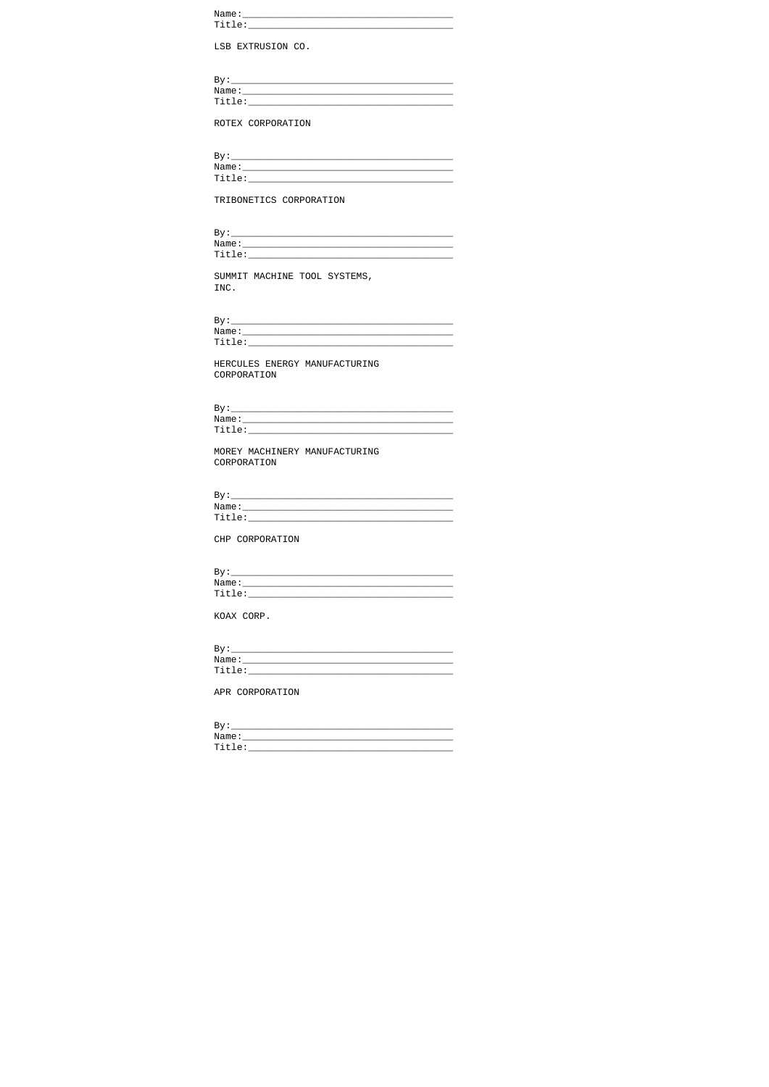| Name: |  |  |  |
|-------|--|--|--|
|       |  |  |  |
|       |  |  |  |

LSB EXTRUSION CO.

| By:    |  |  |
|--------|--|--|
| Name:  |  |  |
| Title: |  |  |
|        |  |  |

ROTEX CORPORATION

| Bv:    |  |  |
|--------|--|--|
| Name:  |  |  |
| Title: |  |  |
|        |  |  |

TRIBONETICS CORPORATION

| Bv.   |  |  |
|-------|--|--|
| Name: |  |  |
| ۱۵۰-ن |  |  |

SUMMIT MACHINE TOOL SYSTEMS, INC.

By:\_\_\_\_<br>Name:\_\_  $Title:$ 

HERCULES ENERGY MANUFACTURING CORPORATION

By:\_\_\_\_<br>Name:\_\_<br>Title:\_

MOREY MACHINERY MANUFACTURING<br>CORPORATION

By:\_\_\_<br>Name:\_  $Title:$ 

CHP CORPORATION

| By:    |  |  |
|--------|--|--|
| Name:  |  |  |
| Title: |  |  |

KOAX CORP.

| By '     |  |  |  |
|----------|--|--|--|
| Name:    |  |  |  |
| $Ti+10.$ |  |  |  |

APR CORPORATION

| Name:  |  |
|--------|--|
| Title: |  |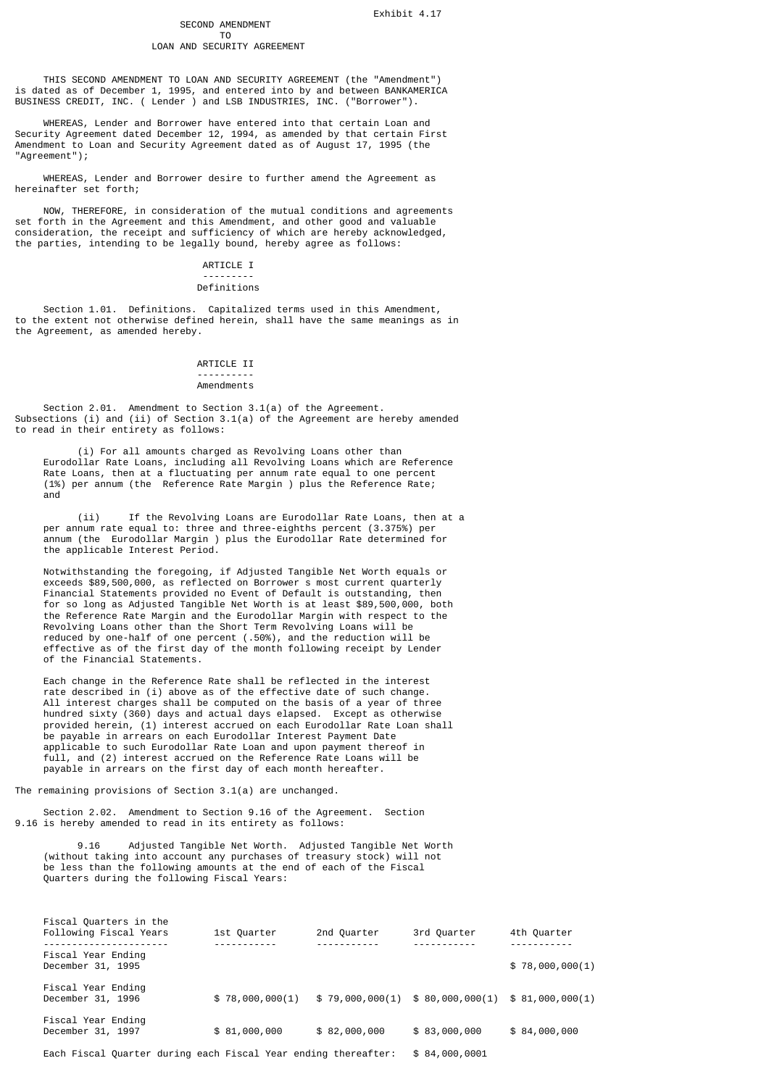# SECOND AMENDMENT<br>TO

#### T<sub>o</sub> and the state of the state of the state of the state of the state of the state of the state of the state of the state of the state of the state of the state of the state of the state of the state of the state of the s LOAN AND SECURITY AGREEMENT

 THIS SECOND AMENDMENT TO LOAN AND SECURITY AGREEMENT (the "Amendment") is dated as of December 1, 1995, and entered into by and between BANKAMERICA BUSINESS CREDIT, INC. ( Lender ) and LSB INDUSTRIES, INC. ("Borrower").

 WHEREAS, Lender and Borrower have entered into that certain Loan and Security Agreement dated December 12, 1994, as amended by that certain First Amendment to Loan and Security Agreement dated as of August 17, 1995 (the "Agreement");

 WHEREAS, Lender and Borrower desire to further amend the Agreement as hereinafter set forth;

 NOW, THEREFORE, in consideration of the mutual conditions and agreements set forth in the Agreement and this Amendment, and other good and valuable consideration, the receipt and sufficiency of which are hereby acknowledged, the parties, intending to be legally bound, hereby agree as follows:

## ARTICLE T

#### --------- Definitions

 Section 1.01. Definitions. Capitalized terms used in this Amendment, to the extent not otherwise defined herein, shall have the same meanings as in the Agreement, as amended hereby.

## ARTICLE II ---------- Amendments

 Section 2.01. Amendment to Section 3.1(a) of the Agreement. Subsections (i) and (ii) of Section 3.1(a) of the Agreement are hereby amended to read in their entirety as follows:

 (i) For all amounts charged as Revolving Loans other than Eurodollar Rate Loans, including all Revolving Loans which are Reference Rate Loans, then at a fluctuating per annum rate equal to one percent (1%) per annum (the Reference Rate Margin ) plus the Reference Rate; and

 (ii) If the Revolving Loans are Eurodollar Rate Loans, then at a per annum rate equal to: three and three-eighths percent (3.375%) per annum (the Eurodollar Margin ) plus the Eurodollar Rate determined for the applicable Interest Period.

 Notwithstanding the foregoing, if Adjusted Tangible Net Worth equals or exceeds \$89,500,000, as reflected on Borrower s most current quarterly Financial Statements provided no Event of Default is outstanding, then for so long as Adjusted Tangible Net Worth is at least \$89,500,000, both the Reference Rate Margin and the Eurodollar Margin with respect to the Revolving Loans other than the Short Term Revolving Loans will be reduced by one-half of one percent (.50%), and the reduction will be effective as of the first day of the month following receipt by Lender of the Financial Statements.

 Each change in the Reference Rate shall be reflected in the interest rate described in (i) above as of the effective date of such change. All interest charges shall be computed on the basis of a year of three hundred sixty (360) days and actual days elapsed. Except as otherwise provided herein, (1) interest accrued on each Eurodollar Rate Loan shall be payable in arrears on each Eurodollar Interest Payment Date applicable to such Eurodollar Rate Loan and upon payment thereof in full, and (2) interest accrued on the Reference Rate Loans will be payable in arrears on the first day of each month hereafter.

The remaining provisions of Section 3.1(a) are unchanged.

Fiscal Quarters in the

 Section 2.02. Amendment to Section 9.16 of the Agreement. Section 9.16 is hereby amended to read in its entirety as follows:

 9.16 Adjusted Tangible Net Worth. Adjusted Tangible Net Worth (without taking into account any purchases of treasury stock) will not be less than the following amounts at the end of each of the Fiscal Quarters during the following Fiscal Years:

| Following Fiscal Years                                         | 1st Ouarter     | 2nd Quarter                     | 3rd Quarter   | 4th Quarter     |
|----------------------------------------------------------------|-----------------|---------------------------------|---------------|-----------------|
| Fiscal Year Ending<br>December 31, 1995                        |                 |                                 |               | \$78,000,000(1) |
| Fiscal Year Ending<br>December 31, 1996                        | \$78,000,000(1) | \$79,000,000(1) \$80,000,000(1) |               | \$81,000,000(1) |
| Fiscal Year Ending<br>December 31, 1997                        | \$81,000,000    | \$82,000,000                    | \$83,000,000  | \$84,000,000    |
| Each Fiscal Quarter during each Fiscal Year ending thereafter: |                 |                                 | \$84,000,0001 |                 |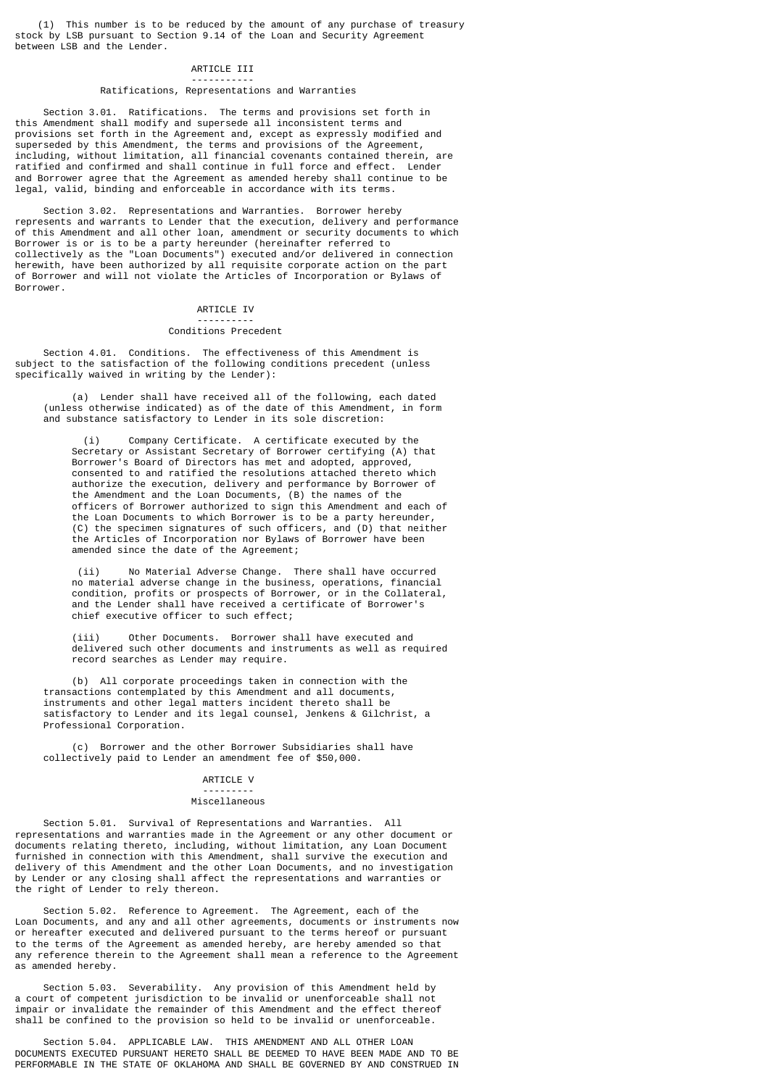(1) This number is to be reduced by the amount of any purchase of treasury stock by LSB pursuant to Section 9.14 of the Loan and Security Agreement between LSB and the Lender.

# ARTICLE III -----------

#### Ratifications, Representations and Warranties

 Section 3.01. Ratifications. The terms and provisions set forth in this Amendment shall modify and supersede all inconsistent terms and provisions set forth in the Agreement and, except as expressly modified and superseded by this Amendment, the terms and provisions of the Agreement, including, without limitation, all financial covenants contained therein, are ratified and confirmed and shall continue in full force and effect. Lender and Borrower agree that the Agreement as amended hereby shall continue to be legal, valid, binding and enforceable in accordance with its terms.

 Section 3.02. Representations and Warranties. Borrower hereby represents and warrants to Lender that the execution, delivery and performance of this Amendment and all other loan, amendment or security documents to which Borrower is or is to be a party hereunder (hereinafter referred to collectively as the "Loan Documents") executed and/or delivered in connection herewith, have been authorized by all requisite corporate action on the part of Borrower and will not violate the Articles of Incorporation or Bylaws of Borrower.

# ARTICLE IV

### ---------- Conditions Precedent

 Section 4.01. Conditions. The effectiveness of this Amendment is subject to the satisfaction of the following conditions precedent (unless specifically waived in writing by the Lender):

 (a) Lender shall have received all of the following, each dated (unless otherwise indicated) as of the date of this Amendment, in form and substance satisfactory to Lender in its sole discretion:

 (i) Company Certificate. A certificate executed by the Secretary or Assistant Secretary of Borrower certifying (A) that Borrower's Board of Directors has met and adopted, approved, consented to and ratified the resolutions attached thereto which authorize the execution, delivery and performance by Borrower of the Amendment and the Loan Documents, (B) the names of the officers of Borrower authorized to sign this Amendment and each of the Loan Documents to which Borrower is to be a party hereunder, (C) the specimen signatures of such officers, and (D) that neither the Articles of Incorporation nor Bylaws of Borrower have been amended since the date of the Agreement;

> (ii) No Material Adverse Change. There shall have occurred no material adverse change in the business, operations, financial condition, profits or prospects of Borrower, or in the Collateral, and the Lender shall have received a certificate of Borrower's chief executive officer to such effect;

> (iii) Other Documents. Borrower shall have executed and delivered such other documents and instruments as well as required record searches as Lender may require.

 (b) All corporate proceedings taken in connection with the transactions contemplated by this Amendment and all documents, instruments and other legal matters incident thereto shall be satisfactory to Lender and its legal counsel, Jenkens & Gilchrist, a Professional Corporation.

 (c) Borrower and the other Borrower Subsidiaries shall have collectively paid to Lender an amendment fee of \$50,000.

## ARTICLE V

## Miscellaneous

---------

 Section 5.01. Survival of Representations and Warranties. All representations and warranties made in the Agreement or any other document or documents relating thereto, including, without limitation, any Loan Document furnished in connection with this Amendment, shall survive the execution and delivery of this Amendment and the other Loan Documents, and no investigation by Lender or any closing shall affect the representations and warranties or the right of Lender to rely thereon.

 Section 5.02. Reference to Agreement. The Agreement, each of the Loan Documents, and any and all other agreements, documents or instruments now or hereafter executed and delivered pursuant to the terms hereof or pursuant to the terms of the Agreement as amended hereby, are hereby amended so that any reference therein to the Agreement shall mean a reference to the Agreement as amended hereby.

 Section 5.03. Severability. Any provision of this Amendment held by a court of competent jurisdiction to be invalid or unenforceable shall not impair or invalidate the remainder of this Amendment and the effect thereof shall be confined to the provision so held to be invalid or unenforceable.

 Section 5.04. APPLICABLE LAW. THIS AMENDMENT AND ALL OTHER LOAN DOCUMENTS EXECUTED PURSUANT HERETO SHALL BE DEEMED TO HAVE BEEN MADE AND TO BE PERFORMABLE IN THE STATE OF OKLAHOMA AND SHALL BE GOVERNED BY AND CONSTRUED IN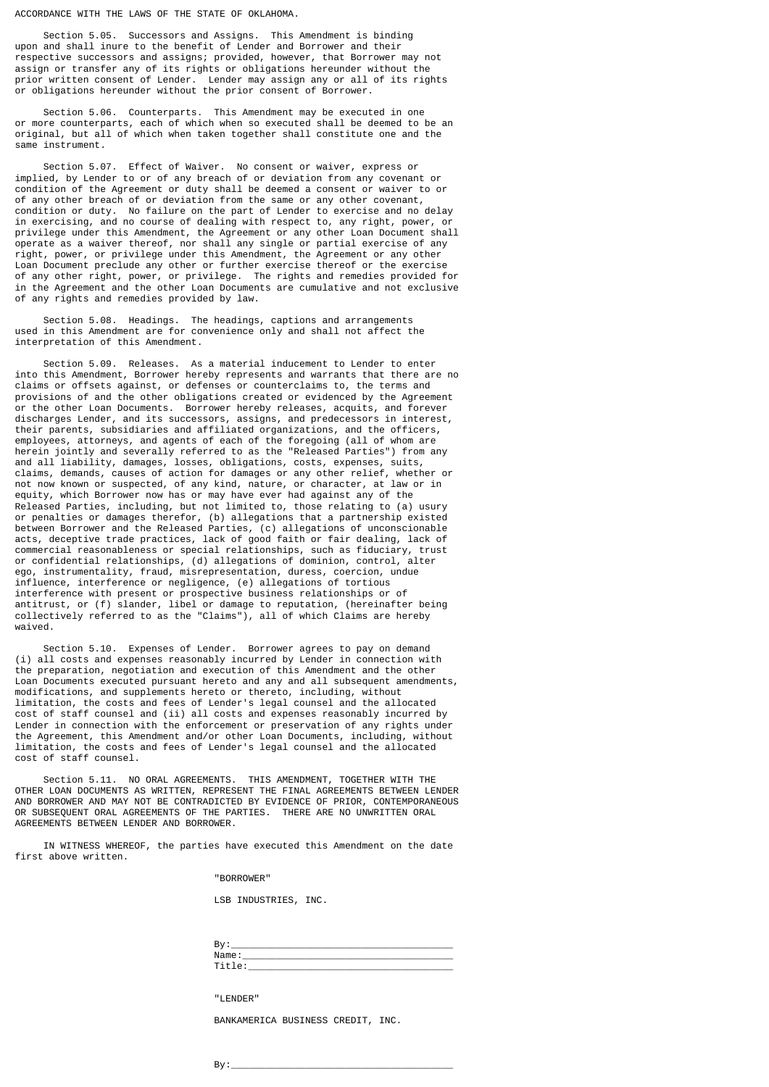## ACCORDANCE WITH THE LAWS OF THE STATE OF OKLAHOMA.

 Section 5.05. Successors and Assigns. This Amendment is binding upon and shall inure to the benefit of Lender and Borrower and their respective successors and assigns; provided, however, that Borrower may not assign or transfer any of its rights or obligations hereunder without the prior written consent of Lender. Lender may assign any or all of its rights or obligations hereunder without the prior consent of Borrower.

 Section 5.06. Counterparts. This Amendment may be executed in one or more counterparts, each of which when so executed shall be deemed to be an original, but all of which when taken together shall constitute one and the same instrument.

 Section 5.07. Effect of Waiver. No consent or waiver, express or implied, by Lender to or of any breach of or deviation from any covenant or condition of the Agreement or duty shall be deemed a consent or waiver to or of any other breach of or deviation from the same or any other covenant, condition or duty. No failure on the part of Lender to exercise and no delay in exercising, and no course of dealing with respect to, any right, power, or privilege under this Amendment, the Agreement or any other Loan Document shall operate as a waiver thereof, nor shall any single or partial exercise of any right, power, or privilege under this Amendment, the Agreement or any other Loan Document preclude any other or further exercise thereof or the exercise of any other right, power, or privilege. The rights and remedies provided for in the Agreement and the other Loan Documents are cumulative and not exclusive of any rights and remedies provided by law.

 Section 5.08. Headings. The headings, captions and arrangements used in this Amendment are for convenience only and shall not affect the interpretation of this Amendment.

 Section 5.09. Releases. As a material inducement to Lender to enter into this Amendment, Borrower hereby represents and warrants that there are no claims or offsets against, or defenses or counterclaims to, the terms and provisions of and the other obligations created or evidenced by the Agreement or the other Loan Documents. Borrower hereby releases, acquits, and forever discharges Lender, and its successors, assigns, and predecessors in interest, their parents, subsidiaries and affiliated organizations, and the officers, employees, attorneys, and agents of each of the foregoing (all of whom are herein jointly and severally referred to as the "Released Parties") from any and all liability, damages, losses, obligations, costs, expenses, suits, claims, demands, causes of action for damages or any other relief, whether or not now known or suspected, of any kind, nature, or character, at law or in equity, which Borrower now has or may have ever had against any of the Released Parties, including, but not limited to, those relating to (a) usury or penalties or damages therefor, (b) allegations that a partnership existed between Borrower and the Released Parties, (c) allegations of unconscionable acts, deceptive trade practices, lack of good faith or fair dealing, lack of commercial reasonableness or special relationships, such as fiduciary, trust or confidential relationships, (d) allegations of dominion, control, alter ego, instrumentality, fraud, misrepresentation, duress, coercion, undue influence, interference or negligence, (e) allegations of tortious interference with present or prospective business relationships or of antitrust, or (f) slander, libel or damage to reputation, (hereinafter being collectively referred to as the "Claims"), all of which Claims are hereby waived.

 Section 5.10. Expenses of Lender. Borrower agrees to pay on demand (i) all costs and expenses reasonably incurred by Lender in connection with the preparation, negotiation and execution of this Amendment and the other Loan Documents executed pursuant hereto and any and all subsequent amendments, modifications, and supplements hereto or thereto, including, without limitation, the costs and fees of Lender's legal counsel and the allocated cost of staff counsel and (ii) all costs and expenses reasonably incurred by Lender in connection with the enforcement or preservation of any rights under the Agreement, this Amendment and/or other Loan Documents, including, without limitation, the costs and fees of Lender's legal counsel and the allocated cost of staff counsel.

 Section 5.11. NO ORAL AGREEMENTS. THIS AMENDMENT, TOGETHER WITH THE OTHER LOAN DOCUMENTS AS WRITTEN, REPRESENT THE FINAL AGREEMENTS BETWEEN LENDER AND BORROWER AND MAY NOT BE CONTRADICTED BY EVIDENCE OF PRIOR, CONTEMPORANEOUS OR SUBSEQUENT ORAL AGREEMENTS OF THE PARTIES. THERE ARE NO UNWRITTEN ORAL AGREEMENTS BETWEEN LENDER AND BORROWER.

 IN WITNESS WHEREOF, the parties have executed this Amendment on the date first above written.

"BORROWER"

LSB INDUSTRIES, INC.

| - |  |
|---|--|
|   |  |
|   |  |

"LENDER"

BANKAMERICA BUSINESS CREDIT, INC.

By:\_\_\_\_\_\_\_\_\_\_\_\_\_\_\_\_\_\_\_\_\_\_\_\_\_\_\_\_\_\_\_\_\_\_\_\_\_\_\_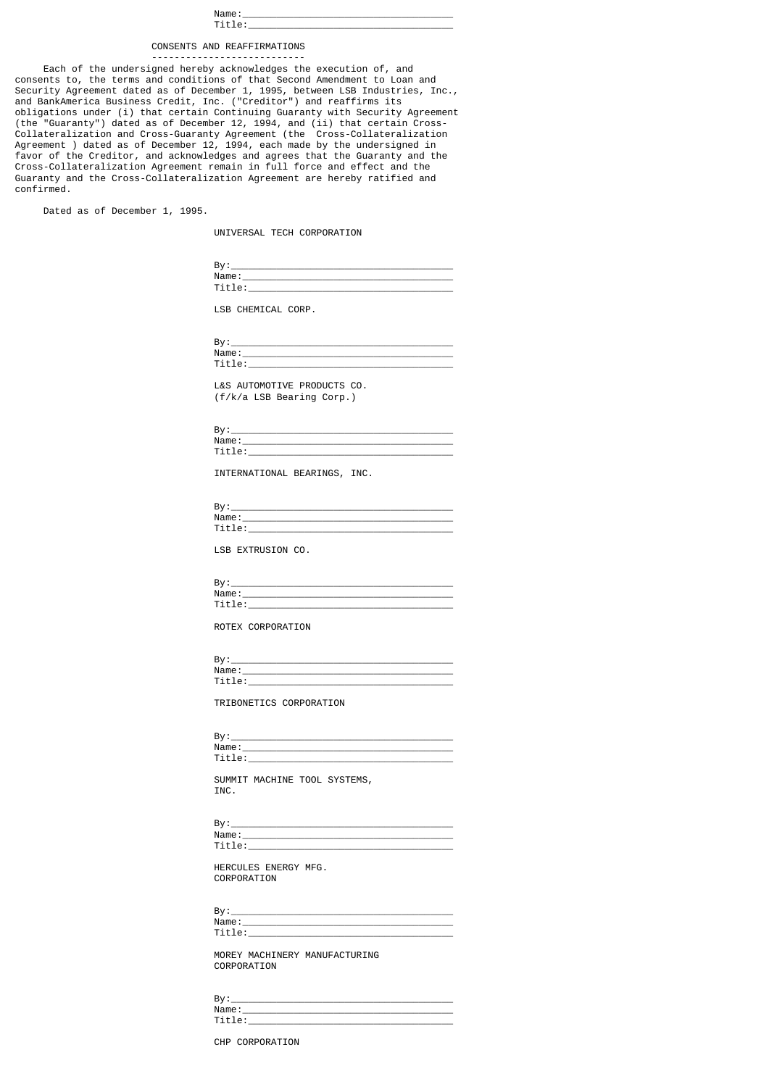| Name<br>-----  |
|----------------|
| . .<br>$- - -$ |

# CONSENTS AND REAFFIRMATIONS

 --------------------------- Each of the undersigned hereby acknowledges the execution of, and consents to, the terms and conditions of that Second Amendment to Loan and Security Agreement dated as of December 1, 1995, between LSB Industries, Inc., and BankAmerica Business Credit, Inc. ("Creditor") and reaffirms its obligations under (i) that certain Continuing Guaranty with Security Agreement (the "Guaranty") dated as of December 12, 1994, and (ii) that certain Cross-Collateralization and Cross-Guaranty Agreement (the Cross-Collateralization Agreement ) dated as of December 12, 1994, each made by the undersigned in favor of the Creditor, and acknowledges and agrees that the Guaranty and the Cross-Collateralization Agreement remain in full force and effect and the Guaranty and the Cross-Collateralization Agreement are hereby ratified and confirmed.

Dated as of December 1, 1995.

UNIVERSAL TECH CORPORATION

| -  |  |
|----|--|
| ше |  |
| __ |  |

LSB CHEMICAL CORP.

| $\mathbf{a}$<br>o۱ |       |
|--------------------|-------|
|                    | "ame. |
|                    |       |

 L&S AUTOMOTIVE PRODUCTS CO. (f/k/a LSB Bearing Corp.)

| D.,<br>D۷ |      |
|-----------|------|
|           | Name |
| . .       |      |

INTERNATIONAL BEARINGS, INC.

| $N$ ame |
|---------|
|         |

LSB EXTRUSION CO.

| n.<br>״ם  |
|-----------|
| Name      |
| . .<br>-- |

ROTEX CORPORATION

| Bv  |                 |
|-----|-----------------|
|     | Name            |
| . . | $\tilde{}$<br>. |

TRIBONETICS CORPORATION

 By:\_\_\_\_\_\_\_\_\_\_\_\_\_\_\_\_\_\_\_\_\_\_\_\_\_\_\_\_\_\_\_\_\_\_\_\_\_\_\_ Name:\_\_\_\_\_\_\_\_\_\_\_\_\_\_\_\_\_\_\_\_\_\_\_\_\_\_\_\_\_\_\_\_\_\_\_\_\_ Title:\_\_\_\_\_\_\_\_\_\_\_\_\_\_\_\_\_\_\_\_\_\_\_\_\_\_\_\_\_\_\_\_\_\_\_\_

SUMMIT MACHINE TOOL SYSTEMS,<br>INC. **INC.** 

 By:\_\_\_\_\_\_\_\_\_\_\_\_\_\_\_\_\_\_\_\_\_\_\_\_\_\_\_\_\_\_\_\_\_\_\_\_\_\_\_ Name:\_\_\_\_\_\_\_\_\_\_\_\_\_\_\_\_\_\_\_\_\_\_\_\_\_\_\_\_\_\_\_\_\_\_\_\_\_ Title:\_\_\_\_\_\_\_\_\_\_\_\_\_\_\_\_\_\_\_\_\_\_\_\_\_\_\_\_\_\_\_\_\_\_\_\_

> HERCULES ENERGY MFG. CORPORATION

 By:\_\_\_\_\_\_\_\_\_\_\_\_\_\_\_\_\_\_\_\_\_\_\_\_\_\_\_\_\_\_\_\_\_\_\_\_\_\_\_ Name:\_\_\_\_\_\_\_\_\_\_\_\_\_\_\_\_\_\_\_\_\_\_\_\_\_\_\_\_\_\_\_\_\_\_\_\_\_ Title:\_\_\_\_\_\_\_\_\_\_\_\_\_\_\_\_\_\_\_\_\_\_\_\_\_\_\_\_\_\_\_\_\_\_\_\_

> MOREY MACHINERY MANUFACTURING CORPORATION

 By:\_\_\_\_\_\_\_\_\_\_\_\_\_\_\_\_\_\_\_\_\_\_\_\_\_\_\_\_\_\_\_\_\_\_\_\_\_\_\_ Name:\_\_\_\_\_\_\_\_\_\_\_\_\_\_\_\_\_\_\_\_\_\_\_\_\_\_\_\_\_\_\_\_\_\_\_\_\_ Title:\_\_\_\_\_\_\_\_\_\_\_\_\_\_\_\_\_\_\_\_\_\_\_\_\_\_\_\_\_\_\_\_\_\_\_\_

CHP CORPORATION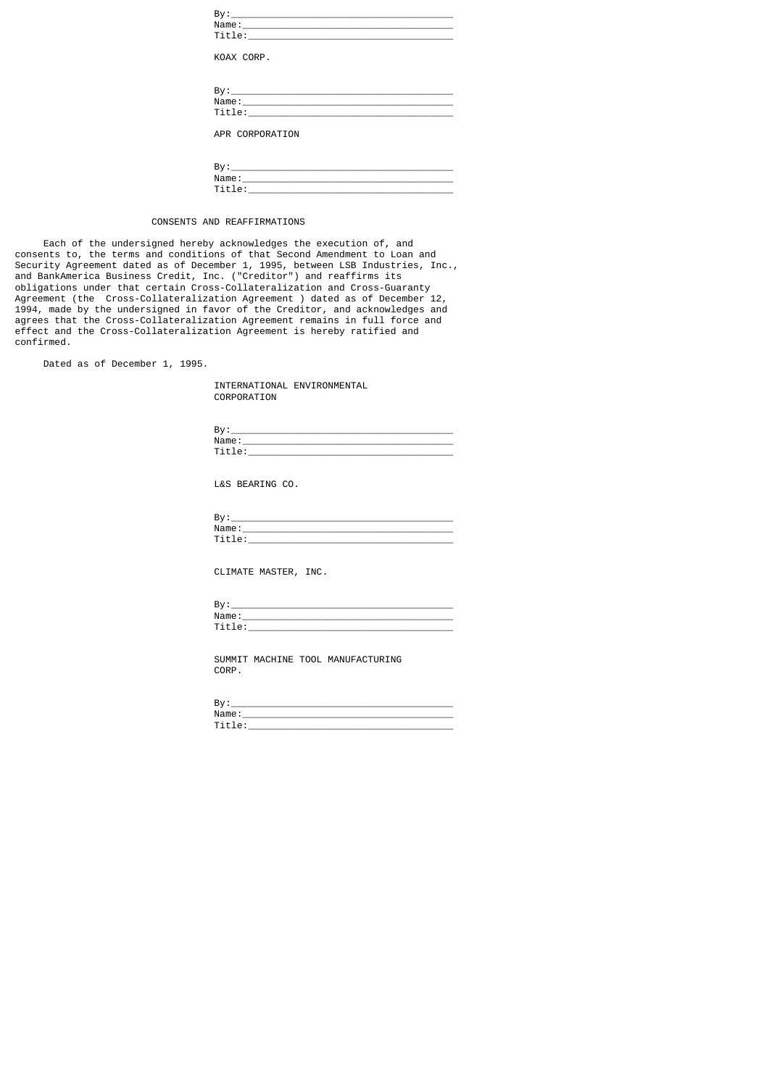| KOAX CORP.                                                                                                                                                                                                                                        |
|---------------------------------------------------------------------------------------------------------------------------------------------------------------------------------------------------------------------------------------------------|
| Title: the contract of the contract of the contract of the contract of the contract of the contract of the contract of the contract of the contract of the contract of the contract of the contract of the contract of the con<br>APR CORPORATION |
|                                                                                                                                                                                                                                                   |

| <u>_</u>          |  |
|-------------------|--|
| $"$ amo<br>$\sim$ |  |
| -<br>_____        |  |

# CONSENTS AND REAFFIRMATIONS

 Each of the undersigned hereby acknowledges the execution of, and consents to, the terms and conditions of that Second Amendment to Loan and Security Agreement dated as of December 1, 1995, between LSB Industries, Inc., and BankAmerica Business Credit, Inc. ("Creditor") and reaffirms its obligations under that certain Cross-Collateralization and Cross-Guaranty Agreement (the Cross-Collateralization Agreement ) dated as of December 12, 1994, made by the undersigned in favor of the Creditor, and acknowledges and agrees that the Cross-Collateralization Agreement remains in full force and effect and the Cross-Collateralization Agreement is hereby ratified and confirmed.

Dated as of December 1, 1995.

 INTERNATIONAL ENVIRONMENTAL CORPORATION

| o۰<br>D۷ |       |
|----------|-------|
|          | Name: |
| -        |       |

L&S BEARING CO.

| $\mathbf{a}$<br>D۷    |  |
|-----------------------|--|
| Name                  |  |
| $\cdot$ $\sim$ $\sim$ |  |

CLIMATE MASTER, INC.

| Bv   |  |
|------|--|
| Name |  |
| . .  |  |

 SUMMIT MACHINE TOOL MANUFACTURING CORP.

| $\mathbf{a}$<br>o۱ |       |
|--------------------|-------|
|                    | "ame. |
|                    |       |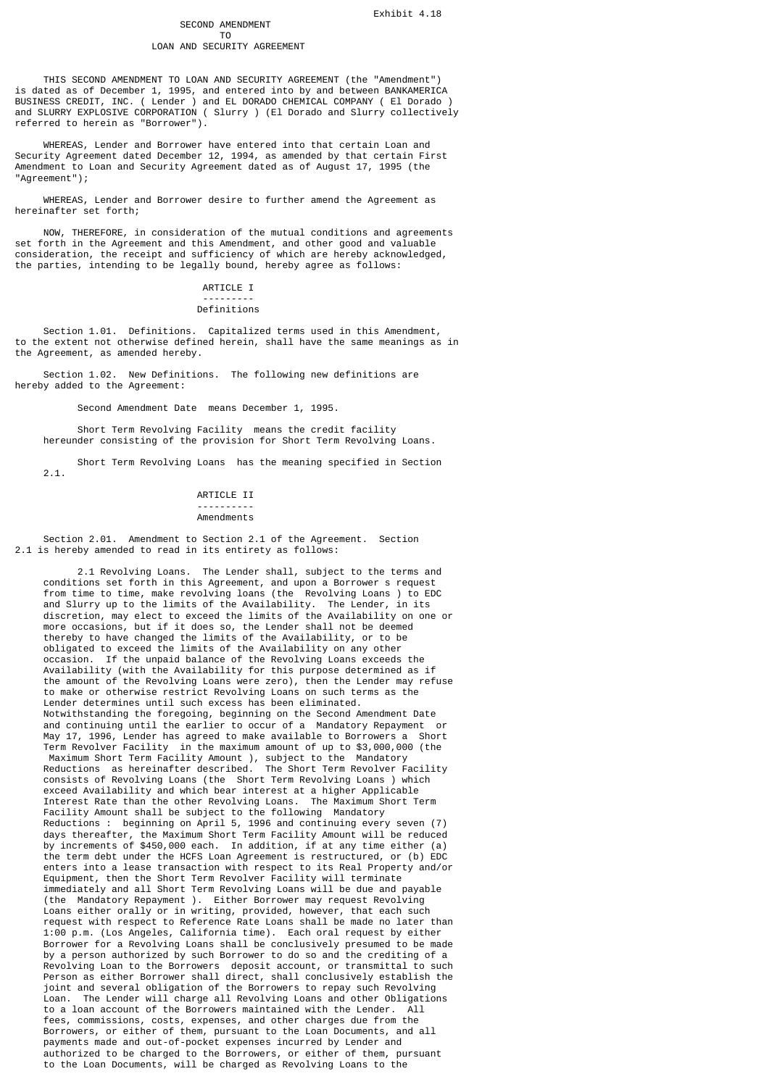# SECOND AMENDMENT

#### T<sub>o</sub> and the state of the state of the state of the state of the state of the state of the state of the state of the state of the state of the state of the state of the state of the state of the state of the state of the s LOAN AND SECURITY AGREEMENT

 THIS SECOND AMENDMENT TO LOAN AND SECURITY AGREEMENT (the "Amendment") is dated as of December 1, 1995, and entered into by and between BANKAMERICA BUSINESS CREDIT, INC. ( Lender ) and EL DORADO CHEMICAL COMPANY ( El Dorado ) and SLURRY EXPLOSIVE CORPORATION ( Slurry ) (El Dorado and Slurry collectively referred to herein as "Borrower").

 WHEREAS, Lender and Borrower have entered into that certain Loan and Security Agreement dated December 12, 1994, as amended by that certain First Amendment to Loan and Security Agreement dated as of August 17, 1995 (the "Agreement");

 WHEREAS, Lender and Borrower desire to further amend the Agreement as hereinafter set forth;

 NOW, THEREFORE, in consideration of the mutual conditions and agreements set forth in the Agreement and this Amendment, and other good and valuable consideration, the receipt and sufficiency of which are hereby acknowledged, the parties, intending to be legally bound, hereby agree as follows:

## ARTICLE I

#### --------- Definitions

 Section 1.01. Definitions. Capitalized terms used in this Amendment, to the extent not otherwise defined herein, shall have the same meanings as in the Agreement, as amended hereby.

 Section 1.02. New Definitions. The following new definitions are hereby added to the Agreement:

Second Amendment Date means December 1, 1995.

 Short Term Revolving Facility means the credit facility hereunder consisting of the provision for Short Term Revolving Loans.

 Short Term Revolving Loans has the meaning specified in Section 2.1.

## ARTICLE II

#### ---------- Amendments

 Section 2.01. Amendment to Section 2.1 of the Agreement. Section 2.1 is hereby amended to read in its entirety as follows:

 2.1 Revolving Loans. The Lender shall, subject to the terms and conditions set forth in this Agreement, and upon a Borrower s request from time to time, make revolving loans (the Revolving Loans ) to EDC and Slurry up to the limits of the Availability. The Lender, in its discretion, may elect to exceed the limits of the Availability on one or more occasions, but if it does so, the Lender shall not be deemed thereby to have changed the limits of the Availability, or to be obligated to exceed the limits of the Availability on any other occasion. If the unpaid balance of the Revolving Loans exceeds the Availability (with the Availability for this purpose determined as if the amount of the Revolving Loans were zero), then the Lender may refuse to make or otherwise restrict Revolving Loans on such terms as the Lender determines until such excess has been eliminated. Notwithstanding the foregoing, beginning on the Second Amendment Date and continuing until the earlier to occur of a Mandatory Repayment or May 17, 1996, Lender has agreed to make available to Borrowers a Short Term Revolver Facility in the maximum amount of up to \$3,000,000 (the Maximum Short Term Facility Amount ), subject to the Mandatory Reductions as hereinafter described. The Short Term Revolver Facility consists of Revolving Loans (the Short Term Revolving Loans ) which exceed Availability and which bear interest at a higher Applicable Interest Rate than the other Revolving Loans. The Maximum Short Term Facility Amount shall be subject to the following Mandatory Reductions : beginning on April 5, 1996 and continuing every seven (7) days thereafter, the Maximum Short Term Facility Amount will be reduced by increments of \$450,000 each. In addition, if at any time either (a) the term debt under the HCFS Loan Agreement is restructured, or (b) EDC enters into a lease transaction with respect to its Real Property and/or Equipment, then the Short Term Revolver Facility will terminate immediately and all Short Term Revolving Loans will be due and payable (the Mandatory Repayment ). Either Borrower may request Revolving Loans either orally or in writing, provided, however, that each such request with respect to Reference Rate Loans shall be made no later than 1:00 p.m. (Los Angeles, California time). Each oral request by either Borrower for a Revolving Loans shall be conclusively presumed to be made by a person authorized by such Borrower to do so and the crediting of a Revolving Loan to the Borrowers deposit account, or transmittal to such Person as either Borrower shall direct, shall conclusively establish the joint and several obligation of the Borrowers to repay such Revolving Loan. The Lender will charge all Revolving Loans and other Obligations to a loan account of the Borrowers maintained with the Lender. All fees, commissions, costs, expenses, and other charges due from the Borrowers, or either of them, pursuant to the Loan Documents, and all payments made and out-of-pocket expenses incurred by Lender and authorized to be charged to the Borrowers, or either of them, pursuant to the Loan Documents, will be charged as Revolving Loans to the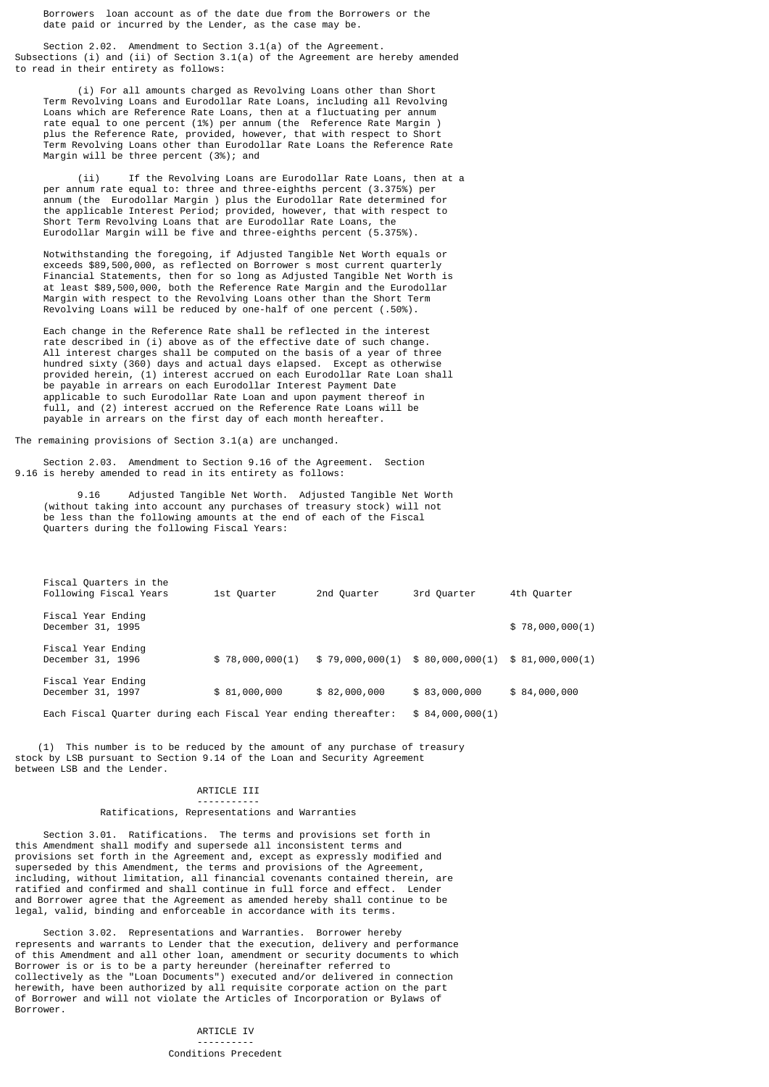Borrowers loan account as of the date due from the Borrowers or the date paid or incurred by the Lender, as the case may be.

 Section 2.02. Amendment to Section 3.1(a) of the Agreement. Subsections (i) and (ii) of Section 3.1(a) of the Agreement are hereby amended to read in their entirety as follows:

 (i) For all amounts charged as Revolving Loans other than Short Term Revolving Loans and Eurodollar Rate Loans, including all Revolving Loans which are Reference Rate Loans, then at a fluctuating per annum rate equal to one percent (1%) per annum (the Reference Rate Margin ) plus the Reference Rate, provided, however, that with respect to Short Term Revolving Loans other than Eurodollar Rate Loans the Reference Rate Margin will be three percent (3%); and

 (ii) If the Revolving Loans are Eurodollar Rate Loans, then at a per annum rate equal to: three and three-eighths percent (3.375%) per annum (the Eurodollar Margin ) plus the Eurodollar Rate determined for the applicable Interest Period; provided, however, that with respect to Short Term Revolving Loans that are Eurodollar Rate Loans, the Eurodollar Margin will be five and three-eighths percent (5.375%).

 Notwithstanding the foregoing, if Adjusted Tangible Net Worth equals or exceeds \$89,500,000, as reflected on Borrower s most current quarterly Financial Statements, then for so long as Adjusted Tangible Net Worth is at least \$89,500,000, both the Reference Rate Margin and the Eurodollar Margin with respect to the Revolving Loans other than the Short Term Revolving Loans will be reduced by one-half of one percent (.50%).

 Each change in the Reference Rate shall be reflected in the interest rate described in (i) above as of the effective date of such change. All interest charges shall be computed on the basis of a year of three hundred sixty (360) days and actual days elapsed. Except as otherwise provided herein, (1) interest accrued on each Eurodollar Rate Loan shall be payable in arrears on each Eurodollar Interest Payment Date applicable to such Eurodollar Rate Loan and upon payment thereof in full, and (2) interest accrued on the Reference Rate Loans will be payable in arrears on the first day of each month hereafter.

The remaining provisions of Section 3.1(a) are unchanged.

 Section 2.03. Amendment to Section 9.16 of the Agreement. Section 9.16 is hereby amended to read in its entirety as follows:

 9.16 Adjusted Tangible Net Worth. Adjusted Tangible Net Worth (without taking into account any purchases of treasury stock) will not be less than the following amounts at the end of each of the Fiscal Quarters during the following Fiscal Years:

| Fiscal Quarters in the<br>Following Fiscal Years               | 1st Quarter     | 2nd Quarter  | 3rd Quarter                     | 4th Quarter     |
|----------------------------------------------------------------|-----------------|--------------|---------------------------------|-----------------|
| Fiscal Year Ending<br>December 31, 1995                        |                 |              |                                 | \$78,000,000(1) |
| Fiscal Year Ending<br>December 31, 1996                        | \$78,000,000(1) |              | \$79,000,000(1) \$80,000,000(1) | \$81,000,000(1) |
| Fiscal Year Ending<br>December 31, 1997                        | \$81,000,000    | \$82,000,000 | \$83,000,000                    | \$84,000,000    |
| Each Fiscal Quarter during each Fiscal Year ending thereafter: |                 |              | \$84,000,000(1)                 |                 |

 (1) This number is to be reduced by the amount of any purchase of treasury stock by LSB pursuant to Section 9.14 of the Loan and Security Agreement between LSB and the Lender.

### ARTICLE III -----------

# Ratifications, Representations and Warranties

 Section 3.01. Ratifications. The terms and provisions set forth in this Amendment shall modify and supersede all inconsistent terms and provisions set forth in the Agreement and, except as expressly modified and superseded by this Amendment, the terms and provisions of the Agreement, including, without limitation, all financial covenants contained therein, are ratified and confirmed and shall continue in full force and effect. Lender and Borrower agree that the Agreement as amended hereby shall continue to be legal, valid, binding and enforceable in accordance with its terms.

 Section 3.02. Representations and Warranties. Borrower hereby represents and warrants to Lender that the execution, delivery and performance of this Amendment and all other loan, amendment or security documents to which Borrower is or is to be a party hereunder (hereinafter referred to collectively as the "Loan Documents") executed and/or delivered in connection herewith, have been authorized by all requisite corporate action on the part of Borrower and will not violate the Articles of Incorporation or Bylaws of Borrower.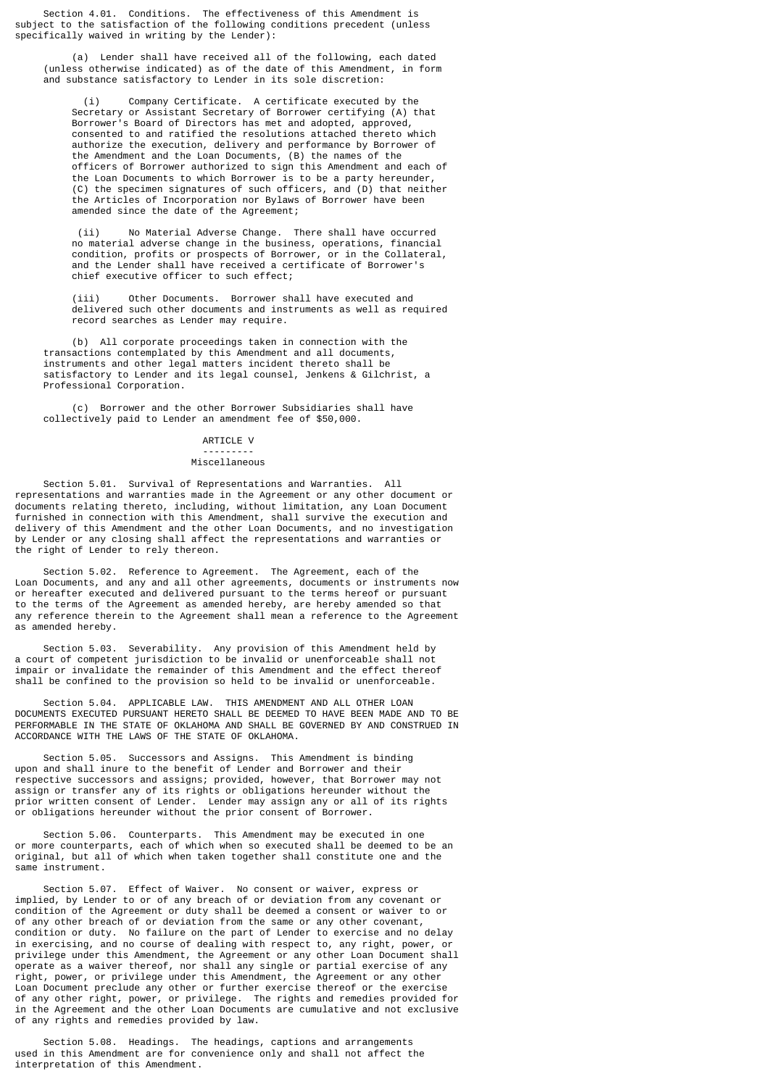Section 4.01. Conditions. The effectiveness of this Amendment is subject to the satisfaction of the following conditions precedent (unless specifically waived in writing by the Lender):

 (a) Lender shall have received all of the following, each dated (unless otherwise indicated) as of the date of this Amendment, in form and substance satisfactory to Lender in its sole discretion:

 (i) Company Certificate. A certificate executed by the Secretary or Assistant Secretary of Borrower certifying (A) that Borrower's Board of Directors has met and adopted, approved, consented to and ratified the resolutions attached thereto which authorize the execution, delivery and performance by Borrower of the Amendment and the Loan Documents, (B) the names of the officers of Borrower authorized to sign this Amendment and each of the Loan Documents to which Borrower is to be a party hereunder, (C) the specimen signatures of such officers, and (D) that neither the Articles of Incorporation nor Bylaws of Borrower have been amended since the date of the Agreement;

 (ii) No Material Adverse Change. There shall have occurred no material adverse change in the business, operations, financial condition, profits or prospects of Borrower, or in the Collateral, and the Lender shall have received a certificate of Borrower's chief executive officer to such effect;

 (iii) Other Documents. Borrower shall have executed and delivered such other documents and instruments as well as required record searches as Lender may require.

 (b) All corporate proceedings taken in connection with the transactions contemplated by this Amendment and all documents, instruments and other legal matters incident thereto shall be satisfactory to Lender and its legal counsel, Jenkens & Gilchrist, a Professional Corporation.

 (c) Borrower and the other Borrower Subsidiaries shall have collectively paid to Lender an amendment fee of \$50,000.

## ARTICLE V

## Miscellaneous

---------

 Section 5.01. Survival of Representations and Warranties. All representations and warranties made in the Agreement or any other document or documents relating thereto, including, without limitation, any Loan Document furnished in connection with this Amendment, shall survive the execution and delivery of this Amendment and the other Loan Documents, and no investigation by Lender or any closing shall affect the representations and warranties or the right of Lender to rely thereon.

 Section 5.02. Reference to Agreement. The Agreement, each of the Loan Documents, and any and all other agreements, documents or instruments now or hereafter executed and delivered pursuant to the terms hereof or pursuant to the terms of the Agreement as amended hereby, are hereby amended so that any reference therein to the Agreement shall mean a reference to the Agreement as amended hereby.

 Section 5.03. Severability. Any provision of this Amendment held by a court of competent jurisdiction to be invalid or unenforceable shall not impair or invalidate the remainder of this Amendment and the effect thereof shall be confined to the provision so held to be invalid or unenforceable.

 Section 5.04. APPLICABLE LAW. THIS AMENDMENT AND ALL OTHER LOAN DOCUMENTS EXECUTED PURSUANT HERETO SHALL BE DEEMED TO HAVE BEEN MADE AND TO BE PERFORMABLE IN THE STATE OF OKLAHOMA AND SHALL BE GOVERNED BY AND CONSTRUED IN ACCORDANCE WITH THE LAWS OF THE STATE OF OKLAHOMA.

 Section 5.05. Successors and Assigns. This Amendment is binding upon and shall inure to the benefit of Lender and Borrower and their respective successors and assigns; provided, however, that Borrower may not assign or transfer any of its rights or obligations hereunder without the prior written consent of Lender. Lender may assign any or all of its rights or obligations hereunder without the prior consent of Borrower.

 Section 5.06. Counterparts. This Amendment may be executed in one or more counterparts, each of which when so executed shall be deemed to be an original, but all of which when taken together shall constitute one and the same instrument.

 Section 5.07. Effect of Waiver. No consent or waiver, express or implied, by Lender to or of any breach of or deviation from any covenant or condition of the Agreement or duty shall be deemed a consent or waiver to or of any other breach of or deviation from the same or any other covenant, condition or duty. No failure on the part of Lender to exercise and no delay in exercising, and no course of dealing with respect to, any right, power, or privilege under this Amendment, the Agreement or any other Loan Document shall operate as a waiver thereof, nor shall any single or partial exercise of any right, power, or privilege under this Amendment, the Agreement or any other Loan Document preclude any other or further exercise thereof or the exercise of any other right, power, or privilege. The rights and remedies provided for in the Agreement and the other Loan Documents are cumulative and not exclusive of any rights and remedies provided by law.

 Section 5.08. Headings. The headings, captions and arrangements used in this Amendment are for convenience only and shall not affect the interpretation of this Amendment.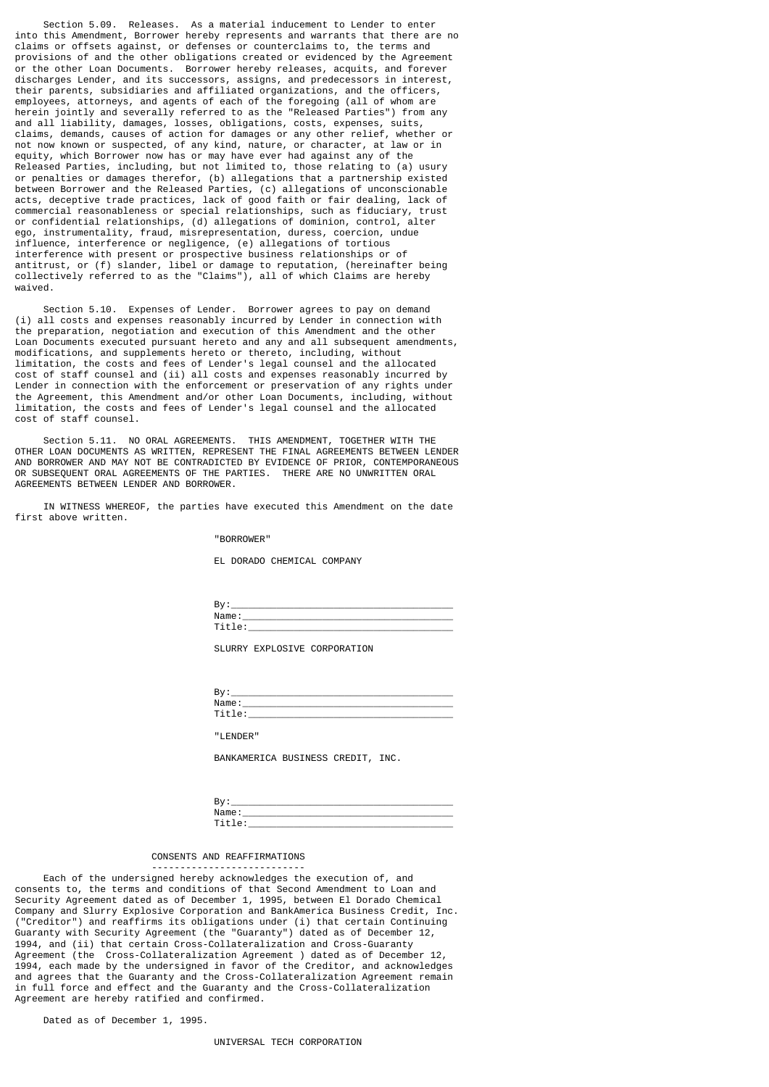Section 5.09. Releases. As a material inducement to Lender to enter into this Amendment, Borrower hereby represents and warrants that there are no claims or offsets against, or defenses or counterclaims to, the terms and provisions of and the other obligations created or evidenced by the Agreement or the other Loan Documents. Borrower hereby releases, acquits, and forever discharges Lender, and its successors, assigns, and predecessors in interest, their parents, subsidiaries and affiliated organizations, and the officers, employees, attorneys, and agents of each of the foregoing (all of whom are herein jointly and severally referred to as the "Released Parties") from any and all liability, damages, losses, obligations, costs, expenses, suits, claims, demands, causes of action for damages or any other relief, whether or not now known or suspected, of any kind, nature, or character, at law or in equity, which Borrower now has or may have ever had against any of the Released Parties, including, but not limited to, those relating to (a) usury or penalties or damages therefor, (b) allegations that a partnership existed between Borrower and the Released Parties, (c) allegations of unconscionable acts, deceptive trade practices, lack of good faith or fair dealing, lack of commercial reasonableness or special relationships, such as fiduciary, trust or confidential relationships, (d) allegations of dominion, control, alter ego, instrumentality, fraud, misrepresentation, duress, coercion, undue influence, interference or negligence, (e) allegations of tortious interference with present or prospective business relationships or of antitrust, or (f) slander, libel or damage to reputation, (hereinafter being collectively referred to as the "Claims"), all of which Claims are hereby waived.

 Section 5.10. Expenses of Lender. Borrower agrees to pay on demand (i) all costs and expenses reasonably incurred by Lender in connection with the preparation, negotiation and execution of this Amendment and the other Loan Documents executed pursuant hereto and any and all subsequent amendments, modifications, and supplements hereto or thereto, including, without limitation, the costs and fees of Lender's legal counsel and the allocated cost of staff counsel and (ii) all costs and expenses reasonably incurred by Lender in connection with the enforcement or preservation of any rights under the Agreement, this Amendment and/or other Loan Documents, including, without limitation, the costs and fees of Lender's legal counsel and the allocated cost of staff counsel.

 Section 5.11. NO ORAL AGREEMENTS. THIS AMENDMENT, TOGETHER WITH THE OTHER LOAN DOCUMENTS AS WRITTEN, REPRESENT THE FINAL AGREEMENTS BETWEEN LENDER AND BORROWER AND MAY NOT BE CONTRADICTED BY EVIDENCE OF PRIOR, CONTEMPORANEOUS OR SUBSEQUENT ORAL AGREEMENTS OF THE PARTIES. THERE ARE NO UNWRITTEN ORAL AGREEMENTS BETWEEN LENDER AND BORROWER.

 IN WITNESS WHEREOF, the parties have executed this Amendment on the date first above written.

#### "BORROWER"

EL DORADO CHEMICAL COMPANY

| . .<br>D۷ |  |
|-----------|--|
| Name      |  |
| _____     |  |

SLURRY EXPLOSIVE CORPORATION

| D۷ | D.,   |
|----|-------|
|    | Name  |
|    | _____ |

"LENDER"

BANKAMERICA BUSINESS CREDIT, INC.

| ◡     |  |
|-------|--|
| Mame. |  |
| __    |  |

# CONSENTS AND REAFFIRMATIONS

---------------------------

 Each of the undersigned hereby acknowledges the execution of, and consents to, the terms and conditions of that Second Amendment to Loan and Security Agreement dated as of December 1, 1995, between El Dorado Chemical Company and Slurry Explosive Corporation and BankAmerica Business Credit, Inc. ("Creditor") and reaffirms its obligations under (i) that certain Continuing Guaranty with Security Agreement (the "Guaranty") dated as of December 12, 1994, and (ii) that certain Cross-Collateralization and Cross-Guaranty Agreement (the Cross-Collateralization Agreement ) dated as of December 12, 1994, each made by the undersigned in favor of the Creditor, and acknowledges and agrees that the Guaranty and the Cross-Collateralization Agreement remain in full force and effect and the Guaranty and the Cross-Collateralization Agreement are hereby ratified and confirmed.

Dated as of December 1, 1995.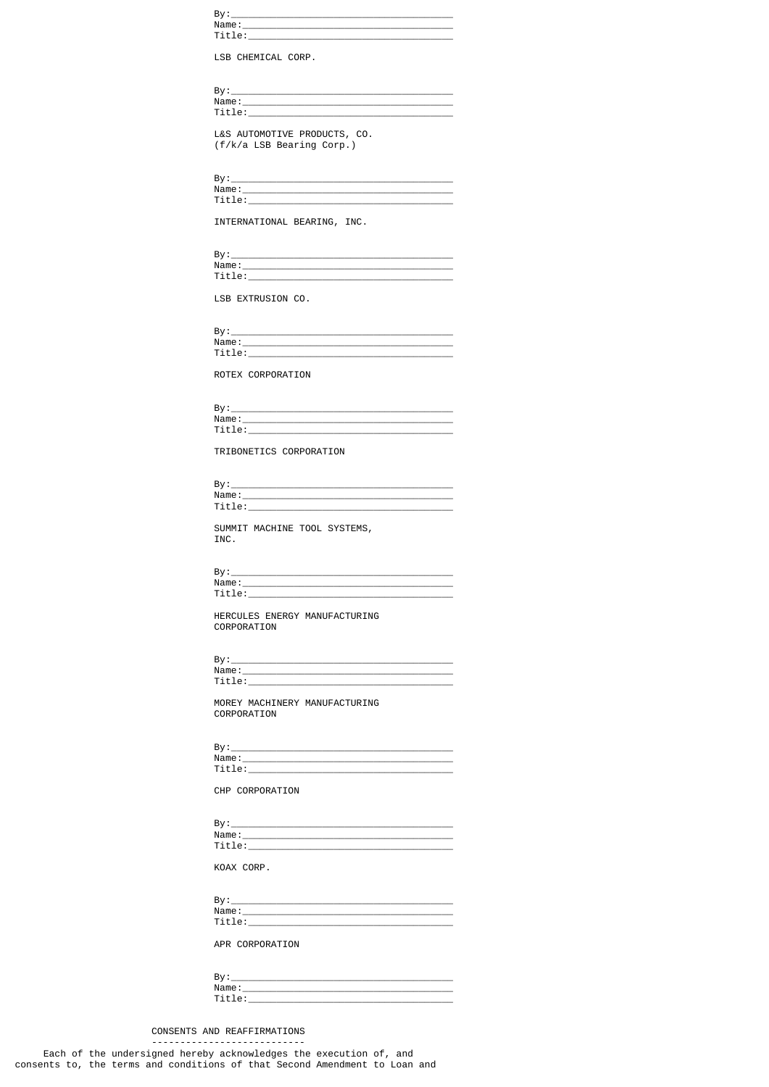| Title: when the contract of the contract of the contract of the contract of the contract of the contract of the<br>LSB CHEMICAL CORP.<br><u>Title:_________________________________</u><br>L&S AUTOMOTIVE PRODUCTS, CO.<br>(f/k/a LSB Bearing Corp.)<br>Title: the contract of the contract of the contract of the contract of the contract of the contract of the contract of the contract of the contract of the contract of the contract of the contract of the contract of the con<br>INTERNATIONAL BEARING, INC. |
|-----------------------------------------------------------------------------------------------------------------------------------------------------------------------------------------------------------------------------------------------------------------------------------------------------------------------------------------------------------------------------------------------------------------------------------------------------------------------------------------------------------------------|
|                                                                                                                                                                                                                                                                                                                                                                                                                                                                                                                       |
|                                                                                                                                                                                                                                                                                                                                                                                                                                                                                                                       |
|                                                                                                                                                                                                                                                                                                                                                                                                                                                                                                                       |
|                                                                                                                                                                                                                                                                                                                                                                                                                                                                                                                       |
|                                                                                                                                                                                                                                                                                                                                                                                                                                                                                                                       |
|                                                                                                                                                                                                                                                                                                                                                                                                                                                                                                                       |
|                                                                                                                                                                                                                                                                                                                                                                                                                                                                                                                       |
|                                                                                                                                                                                                                                                                                                                                                                                                                                                                                                                       |
|                                                                                                                                                                                                                                                                                                                                                                                                                                                                                                                       |
|                                                                                                                                                                                                                                                                                                                                                                                                                                                                                                                       |
|                                                                                                                                                                                                                                                                                                                                                                                                                                                                                                                       |
|                                                                                                                                                                                                                                                                                                                                                                                                                                                                                                                       |
|                                                                                                                                                                                                                                                                                                                                                                                                                                                                                                                       |
|                                                                                                                                                                                                                                                                                                                                                                                                                                                                                                                       |
| Name:                                                                                                                                                                                                                                                                                                                                                                                                                                                                                                                 |
|                                                                                                                                                                                                                                                                                                                                                                                                                                                                                                                       |
| LSB EXTRUSION CO.                                                                                                                                                                                                                                                                                                                                                                                                                                                                                                     |
|                                                                                                                                                                                                                                                                                                                                                                                                                                                                                                                       |
| $\mathsf{By:}\n \overline{\phantom{In}\n \quad \quad }$                                                                                                                                                                                                                                                                                                                                                                                                                                                               |
| Name:                                                                                                                                                                                                                                                                                                                                                                                                                                                                                                                 |
|                                                                                                                                                                                                                                                                                                                                                                                                                                                                                                                       |
| ROTEX CORPORATION                                                                                                                                                                                                                                                                                                                                                                                                                                                                                                     |
|                                                                                                                                                                                                                                                                                                                                                                                                                                                                                                                       |
|                                                                                                                                                                                                                                                                                                                                                                                                                                                                                                                       |
|                                                                                                                                                                                                                                                                                                                                                                                                                                                                                                                       |
|                                                                                                                                                                                                                                                                                                                                                                                                                                                                                                                       |
| TRIBONETICS CORPORATION                                                                                                                                                                                                                                                                                                                                                                                                                                                                                               |
|                                                                                                                                                                                                                                                                                                                                                                                                                                                                                                                       |
|                                                                                                                                                                                                                                                                                                                                                                                                                                                                                                                       |
|                                                                                                                                                                                                                                                                                                                                                                                                                                                                                                                       |
| SUMMIT MACHINE TOOL SYSTEMS,                                                                                                                                                                                                                                                                                                                                                                                                                                                                                          |
| INC.                                                                                                                                                                                                                                                                                                                                                                                                                                                                                                                  |
|                                                                                                                                                                                                                                                                                                                                                                                                                                                                                                                       |
| By:                                                                                                                                                                                                                                                                                                                                                                                                                                                                                                                   |
| Title: when the contract of the contract of the contract of the contract of the contract of the contract of the                                                                                                                                                                                                                                                                                                                                                                                                       |
|                                                                                                                                                                                                                                                                                                                                                                                                                                                                                                                       |
| HERCULES ENERGY MANUFACTURING<br>CORPORATION                                                                                                                                                                                                                                                                                                                                                                                                                                                                          |
|                                                                                                                                                                                                                                                                                                                                                                                                                                                                                                                       |
|                                                                                                                                                                                                                                                                                                                                                                                                                                                                                                                       |
|                                                                                                                                                                                                                                                                                                                                                                                                                                                                                                                       |
|                                                                                                                                                                                                                                                                                                                                                                                                                                                                                                                       |
| MOREY MACHINERY MANUFACTURING                                                                                                                                                                                                                                                                                                                                                                                                                                                                                         |
| CORPORATION                                                                                                                                                                                                                                                                                                                                                                                                                                                                                                           |
|                                                                                                                                                                                                                                                                                                                                                                                                                                                                                                                       |
|                                                                                                                                                                                                                                                                                                                                                                                                                                                                                                                       |
|                                                                                                                                                                                                                                                                                                                                                                                                                                                                                                                       |
| CHP CORPORATION                                                                                                                                                                                                                                                                                                                                                                                                                                                                                                       |
|                                                                                                                                                                                                                                                                                                                                                                                                                                                                                                                       |
|                                                                                                                                                                                                                                                                                                                                                                                                                                                                                                                       |
|                                                                                                                                                                                                                                                                                                                                                                                                                                                                                                                       |
|                                                                                                                                                                                                                                                                                                                                                                                                                                                                                                                       |
| KOAX CORP.                                                                                                                                                                                                                                                                                                                                                                                                                                                                                                            |
|                                                                                                                                                                                                                                                                                                                                                                                                                                                                                                                       |
|                                                                                                                                                                                                                                                                                                                                                                                                                                                                                                                       |
|                                                                                                                                                                                                                                                                                                                                                                                                                                                                                                                       |
|                                                                                                                                                                                                                                                                                                                                                                                                                                                                                                                       |
| $\texttt{Title:}\_\_\_\_\_\_\_\$<br>APR CORPORATION                                                                                                                                                                                                                                                                                                                                                                                                                                                                   |

By:\_\_\_\_\_<br>Name:\_\_<br>Title:\_

CONSENTS AND REAFFIRMATIONS ------------------------------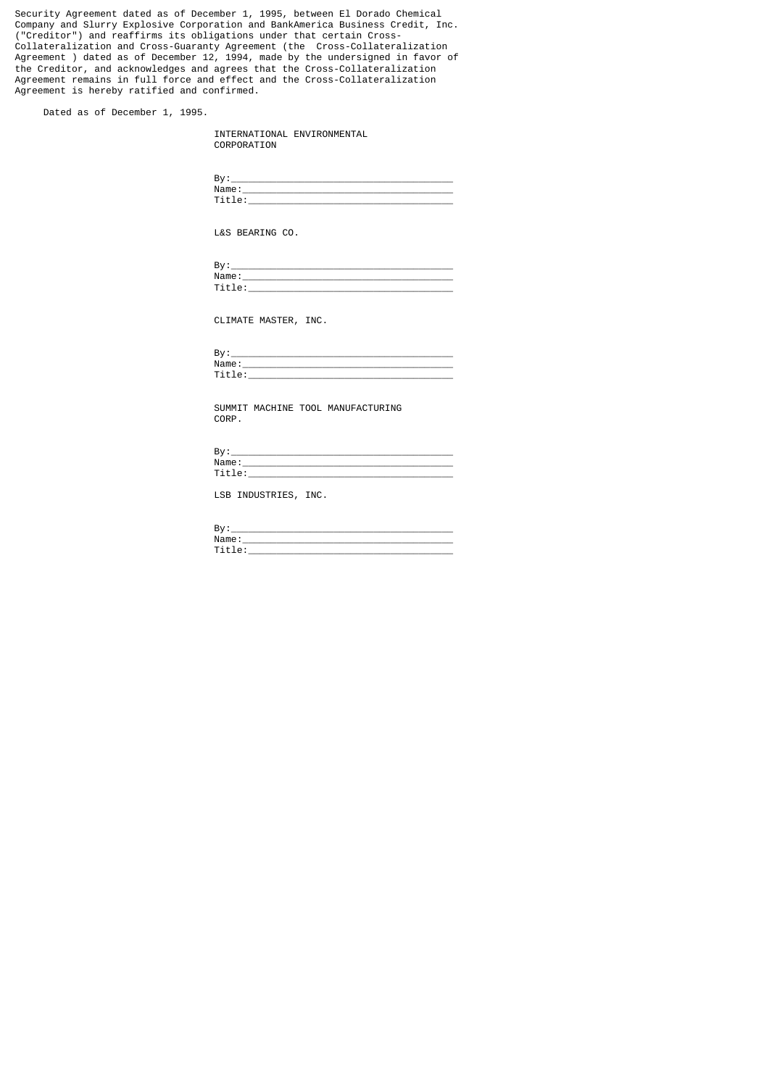Security Agreement dated as of December 1, 1995, between El Dorado Chemical Company and Slurry Explosive Corporation and BankAmerica Business Credit, Inc. ("Creditor") and reaffirms its obligations under that certain Cross-Collateralization and Cross-Guaranty Agreement (the Cross-Collateralization Agreement ) dated as of December 12, 1994, made by the undersigned in favor of the Creditor, and acknowledges and agrees that the Cross-Collateralization Agreement remains in full force and effect and the Cross-Collateralization Agreement is hereby ratified and confirmed.

Dated as of December 1, 1995.

|             | INTERNATIONAL ENVIRONMENTAL |
|-------------|-----------------------------|
| CORPORATION |                             |

| n v<br>- |                       |
|----------|-----------------------|
|          | Name                  |
|          | $\cdot$ $\sim$ $\sim$ |

L&S BEARING CO.

| n.,<br>– ov               |  |
|---------------------------|--|
| Name                      |  |
| .<br>$\cdot$ $ \cdot$ $-$ |  |

CLIMATE MASTER, INC.

| י פ<br>ъv |  |
|-----------|--|
| Name      |  |
| --        |  |

 SUMMIT MACHINE TOOL MANUFACTURING CORP.

| o۳<br>-            |
|--------------------|
| ัุีา m<br>$\cdots$ |
|                    |

LSB INDUSTRIES, INC.

| ◡ |  |
|---|--|
|   |  |
|   |  |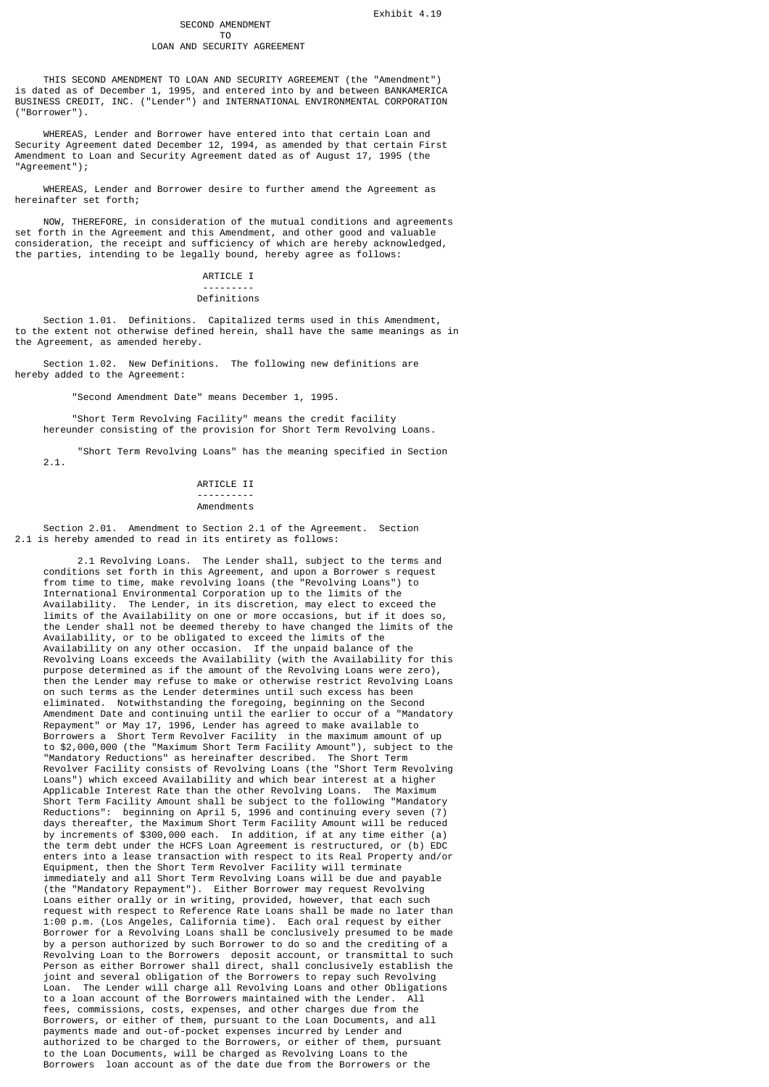# SECOND AMENDMENT<br>TO

#### T<sub>o</sub> and the state of the state of the state of the state of the state of the state of the state of the state of the state of the state of the state of the state of the state of the state of the state of the state of the s LOAN AND SECURITY AGREEMENT

 THIS SECOND AMENDMENT TO LOAN AND SECURITY AGREEMENT (the "Amendment") is dated as of December 1, 1995, and entered into by and between BANKAMERICA BUSINESS CREDIT, INC. ("Lender") and INTERNATIONAL ENVIRONMENTAL CORPORATION ("Borrower").

 WHEREAS, Lender and Borrower have entered into that certain Loan and Security Agreement dated December 12, 1994, as amended by that certain First Amendment to Loan and Security Agreement dated as of August 17, 1995 (the "Agreement");

 WHEREAS, Lender and Borrower desire to further amend the Agreement as hereinafter set forth;

 NOW, THEREFORE, in consideration of the mutual conditions and agreements set forth in the Agreement and this Amendment, and other good and valuable consideration, the receipt and sufficiency of which are hereby acknowledged, the parties, intending to be legally bound, hereby agree as follows:

#### ARTICLE I --------- Definitions

 Section 1.01. Definitions. Capitalized terms used in this Amendment, to the extent not otherwise defined herein, shall have the same meanings as in the Agreement, as amended hereby.

 Section 1.02. New Definitions. The following new definitions are hereby added to the Agreement:

"Second Amendment Date" means December 1, 1995.

 "Short Term Revolving Facility" means the credit facility hereunder consisting of the provision for Short Term Revolving Loans.

"Short Term Revolving Loans" has the meaning specified in Section

2.1.

## ARTICLE II ----------

#### Amendments

 Section 2.01. Amendment to Section 2.1 of the Agreement. Section 2.1 is hereby amended to read in its entirety as follows:

 2.1 Revolving Loans. The Lender shall, subject to the terms and conditions set forth in this Agreement, and upon a Borrower s request from time to time, make revolving loans (the "Revolving Loans") to International Environmental Corporation up to the limits of the Availability. The Lender, in its discretion, may elect to exceed the limits of the Availability on one or more occasions, but if it does so, the Lender shall not be deemed thereby to have changed the limits of the Availability, or to be obligated to exceed the limits of the Availability on any other occasion. If the unpaid balance of the Revolving Loans exceeds the Availability (with the Availability for this purpose determined as if the amount of the Revolving Loans were zero), then the Lender may refuse to make or otherwise restrict Revolving Loans on such terms as the Lender determines until such excess has been eliminated. Notwithstanding the foregoing, beginning on the Second Amendment Date and continuing until the earlier to occur of a "Mandatory Repayment" or May 17, 1996, Lender has agreed to make available to Borrowers a Short Term Revolver Facility in the maximum amount of up to \$2,000,000 (the "Maximum Short Term Facility Amount"), subject to the "Mandatory Reductions" as hereinafter described. The Short Term Revolver Facility consists of Revolving Loans (the "Short Term Revolving Loans") which exceed Availability and which bear interest at a higher Applicable Interest Rate than the other Revolving Loans. The Maximum Short Term Facility Amount shall be subject to the following "Mandatory Reductions": beginning on April 5, 1996 and continuing every seven (7) days thereafter, the Maximum Short Term Facility Amount will be reduced by increments of \$300,000 each. In addition, if at any time either (a) the term debt under the HCFS Loan Agreement is restructured, or (b) EDC enters into a lease transaction with respect to its Real Property and/or Equipment, then the Short Term Revolver Facility will terminate immediately and all Short Term Revolving Loans will be due and payable (the "Mandatory Repayment"). Either Borrower may request Revolving Loans either orally or in writing, provided, however, that each such request with respect to Reference Rate Loans shall be made no later than 1:00 p.m. (Los Angeles, California time). Each oral request by either Borrower for a Revolving Loans shall be conclusively presumed to be made by a person authorized by such Borrower to do so and the crediting of a Revolving Loan to the Borrowers deposit account, or transmittal to such Person as either Borrower shall direct, shall conclusively establish the joint and several obligation of the Borrowers to repay such Revolving Loan. The Lender will charge all Revolving Loans and other Obligations to a loan account of the Borrowers maintained with the Lender. All fees, commissions, costs, expenses, and other charges due from the Borrowers, or either of them, pursuant to the Loan Documents, and all payments made and out-of-pocket expenses incurred by Lender and authorized to be charged to the Borrowers, or either of them, pursuant to the Loan Documents, will be charged as Revolving Loans to the Borrowers loan account as of the date due from the Borrowers or the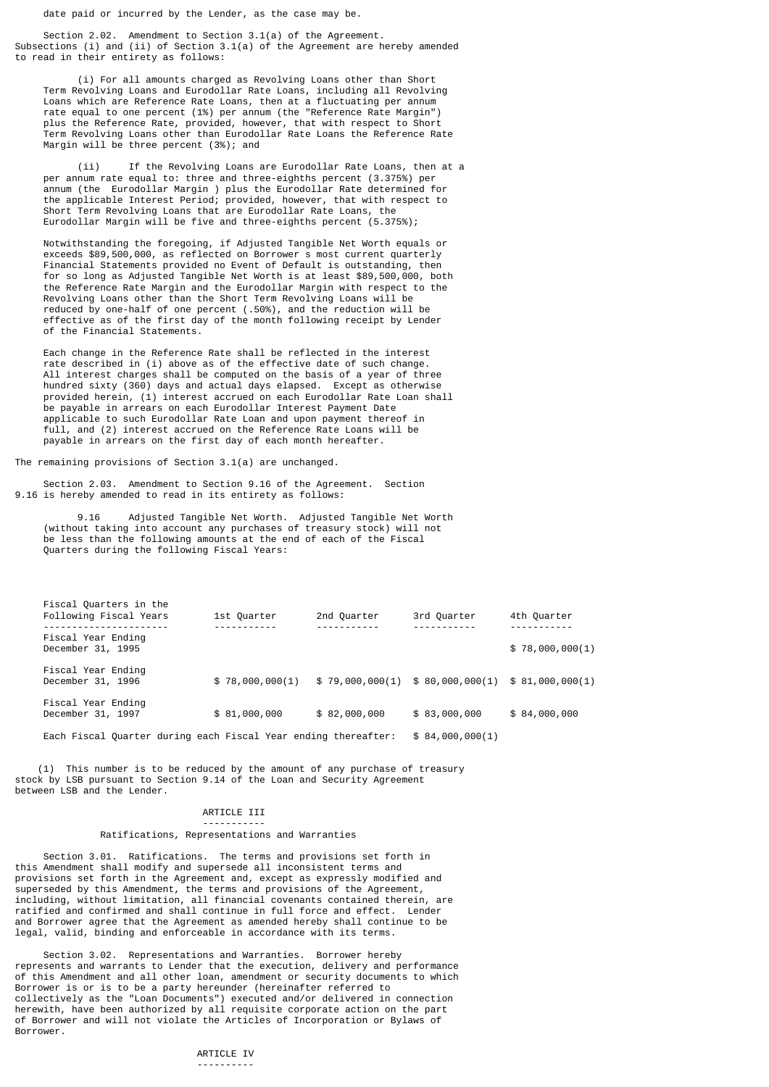date paid or incurred by the Lender, as the case may be.

 Section 2.02. Amendment to Section 3.1(a) of the Agreement. Subsections (i) and (ii) of Section 3.1(a) of the Agreement are hereby amended to read in their entirety as follows:

 (i) For all amounts charged as Revolving Loans other than Short Term Revolving Loans and Eurodollar Rate Loans, including all Revolving Loans which are Reference Rate Loans, then at a fluctuating per annum rate equal to one percent (1%) per annum (the "Reference Rate Margin") plus the Reference Rate, provided, however, that with respect to Short Term Revolving Loans other than Eurodollar Rate Loans the Reference Rate Margin will be three percent (3%); and

 (ii) If the Revolving Loans are Eurodollar Rate Loans, then at a per annum rate equal to: three and three-eighths percent (3.375%) per annum (the Eurodollar Margin ) plus the Eurodollar Rate determined for the applicable Interest Period; provided, however, that with respect to Short Term Revolving Loans that are Eurodollar Rate Loans, the Eurodollar Margin will be five and three-eighths percent (5.375%);

 Notwithstanding the foregoing, if Adjusted Tangible Net Worth equals or exceeds \$89,500,000, as reflected on Borrower s most current quarterly Financial Statements provided no Event of Default is outstanding, then for so long as Adjusted Tangible Net Worth is at least \$89,500,000, both the Reference Rate Margin and the Eurodollar Margin with respect to the Revolving Loans other than the Short Term Revolving Loans will be reduced by one-half of one percent (.50%), and the reduction will be effective as of the first day of the month following receipt by Lender of the Financial Statements.

 Each change in the Reference Rate shall be reflected in the interest rate described in (i) above as of the effective date of such change. All interest charges shall be computed on the basis of a year of three hundred sixty (360) days and actual days elapsed. Except as otherwise provided herein, (1) interest accrued on each Eurodollar Rate Loan shall be payable in arrears on each Eurodollar Interest Payment Date applicable to such Eurodollar Rate Loan and upon payment thereof in full, and (2) interest accrued on the Reference Rate Loans will be payable in arrears on the first day of each month hereafter.

The remaining provisions of Section 3.1(a) are unchanged.

 Section 2.03. Amendment to Section 9.16 of the Agreement. Section 9.16 is hereby amended to read in its entirety as follows:

 9.16 Adjusted Tangible Net Worth. Adjusted Tangible Net Worth (without taking into account any purchases of treasury stock) will not be less than the following amounts at the end of each of the Fiscal Quarters during the following Fiscal Years:

| Fiscal Quarters in the<br>Following Fiscal Years               | 1st Quarter     | 2nd Quarter  | 3rd Quarter                     | 4th Quarter     |
|----------------------------------------------------------------|-----------------|--------------|---------------------------------|-----------------|
| Fiscal Year Ending<br>December 31, 1995                        |                 |              |                                 | \$78,000,000(1) |
| Fiscal Year Ending<br>December 31, 1996                        | \$78,000,000(1) |              | \$79,000,000(1) \$80,000,000(1) | \$81,000,000(1) |
| Fiscal Year Ending<br>December 31, 1997                        | \$81,000,000    | \$82,000,000 | \$83,000,000                    | \$84,000,000    |
| Each Fiscal Quarter during each Fiscal Year ending thereafter: |                 |              | \$84,000,000(1)                 |                 |

 (1) This number is to be reduced by the amount of any purchase of treasury stock by LSB pursuant to Section 9.14 of the Loan and Security Agreement between LSB and the Lender.

## ARTICLE III

#### ----------- Ratifications, Representations and Warranties

 Section 3.01. Ratifications. The terms and provisions set forth in this Amendment shall modify and supersede all inconsistent terms and provisions set forth in the Agreement and, except as expressly modified and superseded by this Amendment, the terms and provisions of the Agreement, including, without limitation, all financial covenants contained therein, are ratified and confirmed and shall continue in full force and effect. Lender and Borrower agree that the Agreement as amended hereby shall continue to be legal, valid, binding and enforceable in accordance with its terms.

 Section 3.02. Representations and Warranties. Borrower hereby represents and warrants to Lender that the execution, delivery and performance of this Amendment and all other loan, amendment or security documents to which Borrower is or is to be a party hereunder (hereinafter referred to collectively as the "Loan Documents") executed and/or delivered in connection herewith, have been authorized by all requisite corporate action on the part of Borrower and will not violate the Articles of Incorporation or Bylaws of Borrower.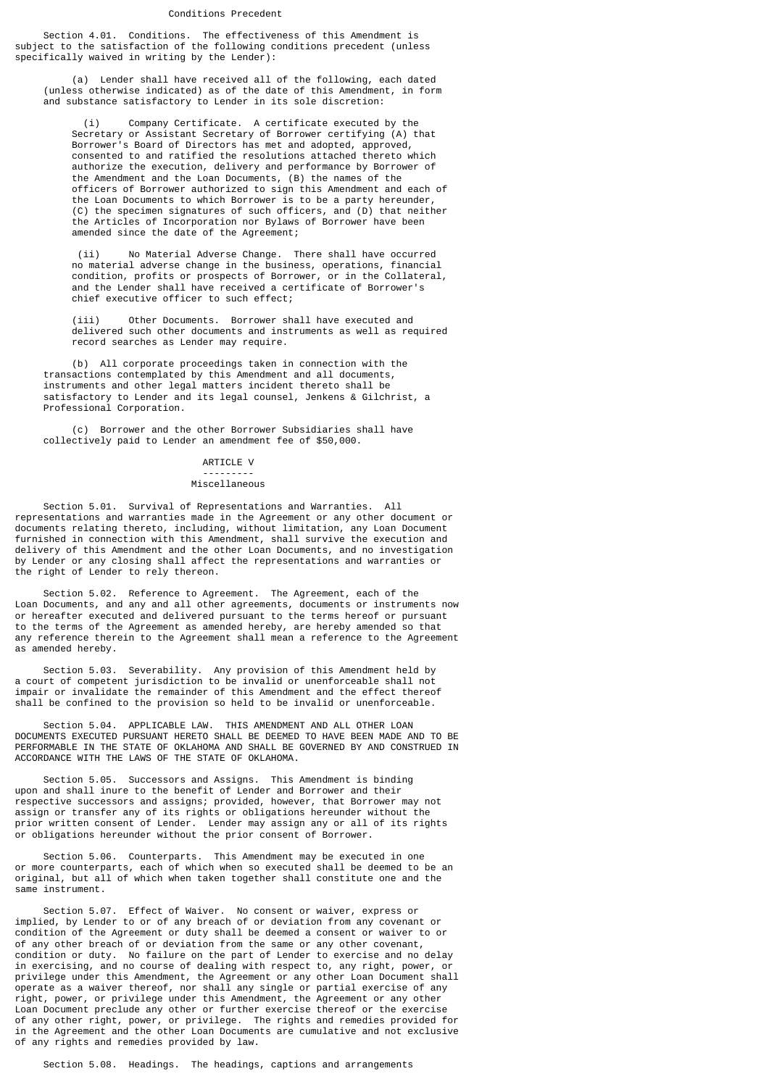## Conditions Precedent

 Section 4.01. Conditions. The effectiveness of this Amendment is subject to the satisfaction of the following conditions precedent (unless specifically waived in writing by the Lender):

 (a) Lender shall have received all of the following, each dated (unless otherwise indicated) as of the date of this Amendment, in form and substance satisfactory to Lender in its sole discretion:

 (i) Company Certificate. A certificate executed by the Secretary or Assistant Secretary of Borrower certifying (A) that Borrower's Board of Directors has met and adopted, approved, consented to and ratified the resolutions attached thereto which authorize the execution, delivery and performance by Borrower of the Amendment and the Loan Documents, (B) the names of the officers of Borrower authorized to sign this Amendment and each of the Loan Documents to which Borrower is to be a party hereunder, (C) the specimen signatures of such officers, and (D) that neither the Articles of Incorporation nor Bylaws of Borrower have been amended since the date of the Agreement;

 (ii) No Material Adverse Change. There shall have occurred no material adverse change in the business, operations, financial condition, profits or prospects of Borrower, or in the Collateral, and the Lender shall have received a certificate of Borrower's chief executive officer to such effect;

> (iii) Other Documents. Borrower shall have executed and delivered such other documents and instruments as well as required record searches as Lender may require.

 (b) All corporate proceedings taken in connection with the transactions contemplated by this Amendment and all documents, instruments and other legal matters incident thereto shall be satisfactory to Lender and its legal counsel, Jenkens & Gilchrist, a Professional Corporation.

 (c) Borrower and the other Borrower Subsidiaries shall have collectively paid to Lender an amendment fee of \$50,000.

#### ARTICLE V

#### --------- Miscellaneous

 Section 5.01. Survival of Representations and Warranties. All representations and warranties made in the Agreement or any other document or documents relating thereto, including, without limitation, any Loan Document furnished in connection with this Amendment, shall survive the execution and delivery of this Amendment and the other Loan Documents, and no investigation by Lender or any closing shall affect the representations and warranties or the right of Lender to rely thereon.

 Section 5.02. Reference to Agreement. The Agreement, each of the Loan Documents, and any and all other agreements, documents or instruments now or hereafter executed and delivered pursuant to the terms hereof or pursuant to the terms of the Agreement as amended hereby, are hereby amended so that any reference therein to the Agreement shall mean a reference to the Agreement as amended hereby.

 Section 5.03. Severability. Any provision of this Amendment held by a court of competent jurisdiction to be invalid or unenforceable shall not impair or invalidate the remainder of this Amendment and the effect thereof shall be confined to the provision so held to be invalid or unenforceable.

 Section 5.04. APPLICABLE LAW. THIS AMENDMENT AND ALL OTHER LOAN DOCUMENTS EXECUTED PURSUANT HERETO SHALL BE DEEMED TO HAVE BEEN MADE AND TO BE PERFORMABLE IN THE STATE OF OKLAHOMA AND SHALL BE GOVERNED BY AND CONSTRUED IN ACCORDANCE WITH THE LAWS OF THE STATE OF OKLAHOMA.

 Section 5.05. Successors and Assigns. This Amendment is binding upon and shall inure to the benefit of Lender and Borrower and their respective successors and assigns; provided, however, that Borrower may not assign or transfer any of its rights or obligations hereunder without the prior written consent of Lender. Lender may assign any or all of its rights or obligations hereunder without the prior consent of Borrower.

 Section 5.06. Counterparts. This Amendment may be executed in one or more counterparts, each of which when so executed shall be deemed to be an original, but all of which when taken together shall constitute one and the same instrument.

 Section 5.07. Effect of Waiver. No consent or waiver, express or implied, by Lender to or of any breach of or deviation from any covenant or condition of the Agreement or duty shall be deemed a consent or waiver to or of any other breach of or deviation from the same or any other covenant, condition or duty. No failure on the part of Lender to exercise and no delay in exercising, and no course of dealing with respect to, any right, power, or privilege under this Amendment, the Agreement or any other Loan Document shall operate as a waiver thereof, nor shall any single or partial exercise of any right, power, or privilege under this Amendment, the Agreement or any other Loan Document preclude any other or further exercise thereof or the exercise of any other right, power, or privilege. The rights and remedies provided for in the Agreement and the other Loan Documents are cumulative and not exclusive of any rights and remedies provided by law.

Section 5.08. Headings. The headings, captions and arrangements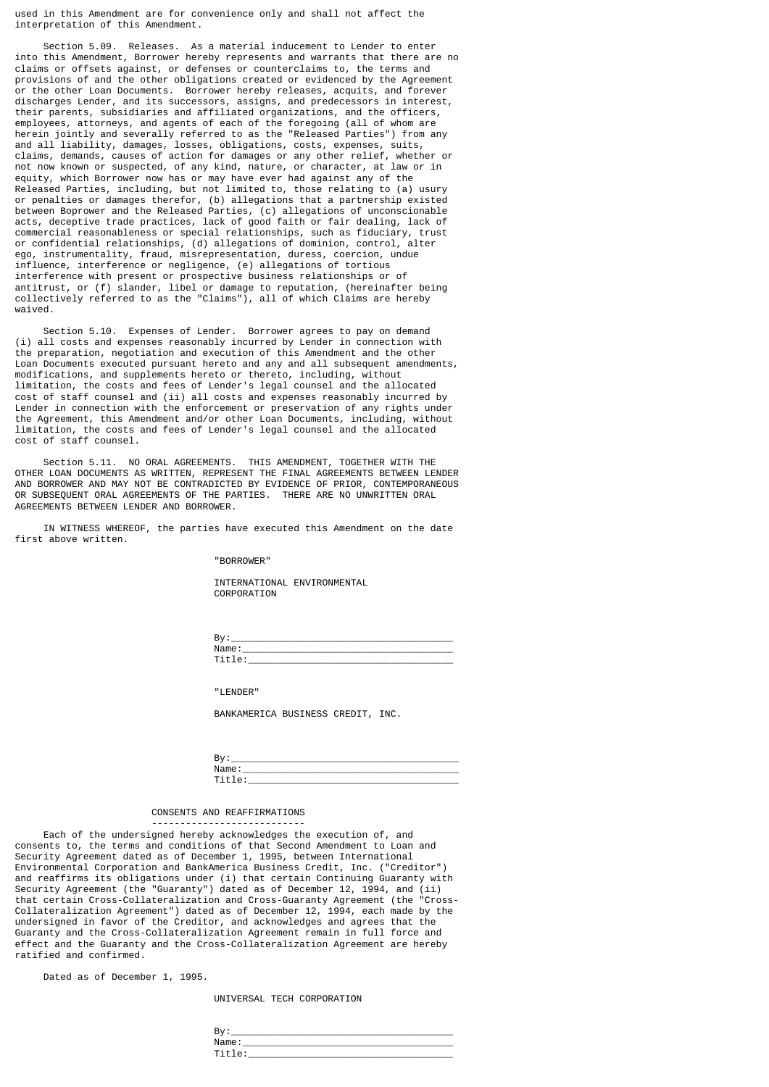used in this Amendment are for convenience only and shall not affect the interpretation of this Amendment.

 Section 5.09. Releases. As a material inducement to Lender to enter into this Amendment, Borrower hereby represents and warrants that there are no claims or offsets against, or defenses or counterclaims to, the terms and provisions of and the other obligations created or evidenced by the Agreement or the other Loan Documents. Borrower hereby releases, acquits, and forever discharges Lender, and its successors, assigns, and predecessors in interest, their parents, subsidiaries and affiliated organizations, and the officers, employees, attorneys, and agents of each of the foregoing (all of whom are herein jointly and severally referred to as the "Released Parties") from any and all liability, damages, losses, obligations, costs, expenses, suits, claims, demands, causes of action for damages or any other relief, whether or not now known or suspected, of any kind, nature, or character, at law or in equity, which Borrower now has or may have ever had against any of the Released Parties, including, but not limited to, those relating to (a) usury or penalties or damages therefor, (b) allegations that a partnership existed between Boprower and the Released Parties, (c) allegations of unconscionable acts, deceptive trade practices, lack of good faith or fair dealing, lack of commercial reasonableness or special relationships, such as fiduciary, trust or confidential relationships, (d) allegations of dominion, control, alter ego, instrumentality, fraud, misrepresentation, duress, coercion, undue influence, interference or negligence, (e) allegations of tortious interference with present or prospective business relationships or of antitrust, or (f) slander, libel or damage to reputation, (hereinafter being collectively referred to as the "Claims"), all of which Claims are hereby waived.

 Section 5.10. Expenses of Lender. Borrower agrees to pay on demand (i) all costs and expenses reasonably incurred by Lender in connection with the preparation, negotiation and execution of this Amendment and the other Loan Documents executed pursuant hereto and any and all subsequent amendments. modifications, and supplements hereto or thereto, including, without limitation, the costs and fees of Lender's legal counsel and the allocated cost of staff counsel and (ii) all costs and expenses reasonably incurred by Lender in connection with the enforcement or preservation of any rights under the Agreement, this Amendment and/or other Loan Documents, including, without limitation, the costs and fees of Lender's legal counsel and the allocated cost of staff counsel.

 Section 5.11. NO ORAL AGREEMENTS. THIS AMENDMENT, TOGETHER WITH THE OTHER LOAN DOCUMENTS AS WRITTEN, REPRESENT THE FINAL AGREEMENTS BETWEEN LENDER AND BORROWER AND MAY NOT BE CONTRADICTED BY EVIDENCE OF PRIOR, CONTEMPORANEOUS OR SUBSEQUENT ORAL AGREEMENTS OF THE PARTIES. THERE ARE NO UNWRITTEN ORAL AGREEMENTS BETWEEN LENDER AND BORROWER.

 IN WITNESS WHEREOF, the parties have executed this Amendment on the date first above written.

"BORROWER"

 INTERNATIONAL ENVIRONMENTAL CORPORATION

 By:\_\_\_\_\_\_\_\_\_\_\_\_\_\_\_\_\_\_\_\_\_\_\_\_\_\_\_\_\_\_\_\_\_\_\_\_\_\_\_ Name:\_\_\_\_\_\_\_\_\_\_\_\_\_\_\_\_\_\_\_\_\_\_\_\_\_\_\_\_\_\_\_\_\_\_\_\_\_ Title:\_\_\_\_\_\_\_\_\_\_\_\_\_\_\_\_\_\_\_\_\_\_\_\_\_\_\_\_\_\_\_\_\_\_\_\_

"I FNDFR"

BANKAMERICA BUSINESS CREDIT, INC.

| ັ     |  |
|-------|--|
| - 654 |  |
| --    |  |

#### CONSENTS AND REAFFIRMATIONS ---------------------------

Each of the undersigned hereby acknowledges the execution of, and consents to, the terms and conditions of that Second Amendment to Loan and Security Agreement dated as of December 1, 1995, between International Environmental Corporation and BankAmerica Business Credit, Inc. ("Creditor") and reaffirms its obligations under (i) that certain Continuing Guaranty with Security Agreement (the "Guaranty") dated as of December 12, 1994, and (ii) that certain Cross-Collateralization and Cross-Guaranty Agreement (the "Cross-Collateralization Agreement") dated as of December 12, 1994, each made by the undersigned in favor of the Creditor, and acknowledges and agrees that the Guaranty and the Cross-Collateralization Agreement remain in full force and effect and the Guaranty and the Cross-Collateralization Agreement are hereby ratified and confirmed.

Dated as of December 1, 1995.

UNIVERSAL TECH CORPORATION

| Dv.<br>. ت |  |
|------------|--|
| Name.      |  |
|            |  |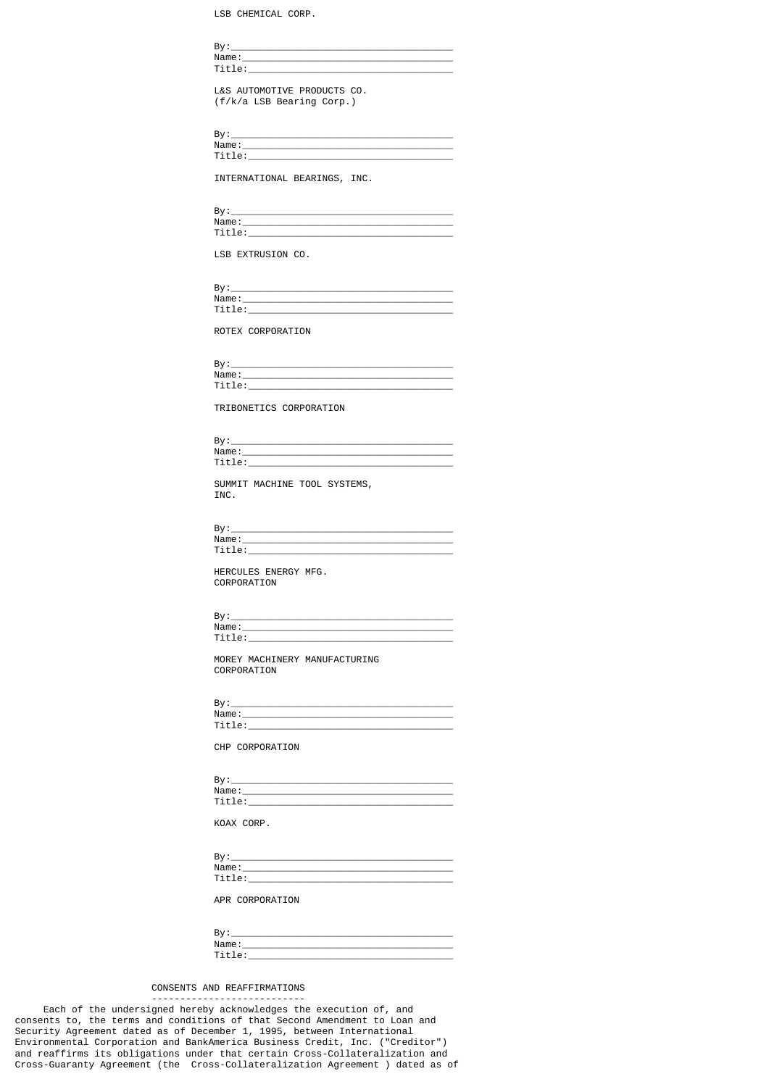LSB CHEMICAL CORP.

| Title: which is a series of the series of the series of the series of the series of the series of the series of the series of the series of the series of the series of the series of the series of the series of the series o |
|--------------------------------------------------------------------------------------------------------------------------------------------------------------------------------------------------------------------------------|
|                                                                                                                                                                                                                                |
| L&S AUTOMOTIVE PRODUCTS CO.                                                                                                                                                                                                    |
| (f/k/a LSB Bearing Corp.)                                                                                                                                                                                                      |
|                                                                                                                                                                                                                                |
|                                                                                                                                                                                                                                |
|                                                                                                                                                                                                                                |
|                                                                                                                                                                                                                                |
|                                                                                                                                                                                                                                |
|                                                                                                                                                                                                                                |
|                                                                                                                                                                                                                                |
| INTERNATIONAL BEARINGS, INC.                                                                                                                                                                                                   |
|                                                                                                                                                                                                                                |
|                                                                                                                                                                                                                                |
|                                                                                                                                                                                                                                |
|                                                                                                                                                                                                                                |
|                                                                                                                                                                                                                                |
|                                                                                                                                                                                                                                |
| LSB EXTRUSION CO.                                                                                                                                                                                                              |
|                                                                                                                                                                                                                                |
|                                                                                                                                                                                                                                |
|                                                                                                                                                                                                                                |
|                                                                                                                                                                                                                                |
| $\mathsf{Title:}\_\_\_\_\_\_\_\_\_\$                                                                                                                                                                                           |
|                                                                                                                                                                                                                                |
| ROTEX CORPORATION                                                                                                                                                                                                              |
|                                                                                                                                                                                                                                |
|                                                                                                                                                                                                                                |
|                                                                                                                                                                                                                                |
|                                                                                                                                                                                                                                |
| Name: Name and the second contract of the second contract of the second contract of the second contract of the second contract of the second contract of the second contract of the second contract of the second contract of  |
| Title: the contract of the contract of the contract of the contract of the contract of the contract of the contract of the contract of the contract of the contract of the contract of the contract of the contract of the con |
|                                                                                                                                                                                                                                |
| TRIBONETICS CORPORATION                                                                                                                                                                                                        |
|                                                                                                                                                                                                                                |
|                                                                                                                                                                                                                                |
|                                                                                                                                                                                                                                |
|                                                                                                                                                                                                                                |
|                                                                                                                                                                                                                                |
|                                                                                                                                                                                                                                |
| SUMMIT MACHINE TOOL SYSTEMS,                                                                                                                                                                                                   |
| INC.                                                                                                                                                                                                                           |
|                                                                                                                                                                                                                                |
|                                                                                                                                                                                                                                |
|                                                                                                                                                                                                                                |
|                                                                                                                                                                                                                                |
|                                                                                                                                                                                                                                |
|                                                                                                                                                                                                                                |
|                                                                                                                                                                                                                                |
| HERCULES ENERGY MFG.                                                                                                                                                                                                           |
| CORPORATION                                                                                                                                                                                                                    |
|                                                                                                                                                                                                                                |
|                                                                                                                                                                                                                                |
| By:                                                                                                                                                                                                                            |
|                                                                                                                                                                                                                                |
| Title: the contract of the contract of the contract of the contract of the contract of the contract of the contract of the contract of the contract of the contract of the contract of the contract of the contract of the con |
|                                                                                                                                                                                                                                |
| MOREY MACHINERY MANUFACTURING                                                                                                                                                                                                  |
| CORPORATION                                                                                                                                                                                                                    |
|                                                                                                                                                                                                                                |
|                                                                                                                                                                                                                                |
|                                                                                                                                                                                                                                |
|                                                                                                                                                                                                                                |
|                                                                                                                                                                                                                                |
|                                                                                                                                                                                                                                |
|                                                                                                                                                                                                                                |
| CHP CORPORATION                                                                                                                                                                                                                |
|                                                                                                                                                                                                                                |
|                                                                                                                                                                                                                                |
|                                                                                                                                                                                                                                |
|                                                                                                                                                                                                                                |
|                                                                                                                                                                                                                                |
|                                                                                                                                                                                                                                |
| KOAX CORP.                                                                                                                                                                                                                     |
|                                                                                                                                                                                                                                |
|                                                                                                                                                                                                                                |
|                                                                                                                                                                                                                                |
|                                                                                                                                                                                                                                |
|                                                                                                                                                                                                                                |
|                                                                                                                                                                                                                                |
| APR CORPORATION                                                                                                                                                                                                                |
|                                                                                                                                                                                                                                |
|                                                                                                                                                                                                                                |

| - |  |
|---|--|
|   |  |
|   |  |

## CONSENTS AND REAFFIRMATIONS

---------------------------

 Each of the undersigned hereby acknowledges the execution of, and consents to, the terms and conditions of that Second Amendment to Loan and Security Agreement dated as of December 1, 1995, between International Environmental Corporation and BankAmerica Business Credit, Inc. ("Creditor") and reaffirms its obligations under that certain Cross-Collateralization and Cross-Guaranty Agreement (the Cross-Collateralization Agreement ) dated as of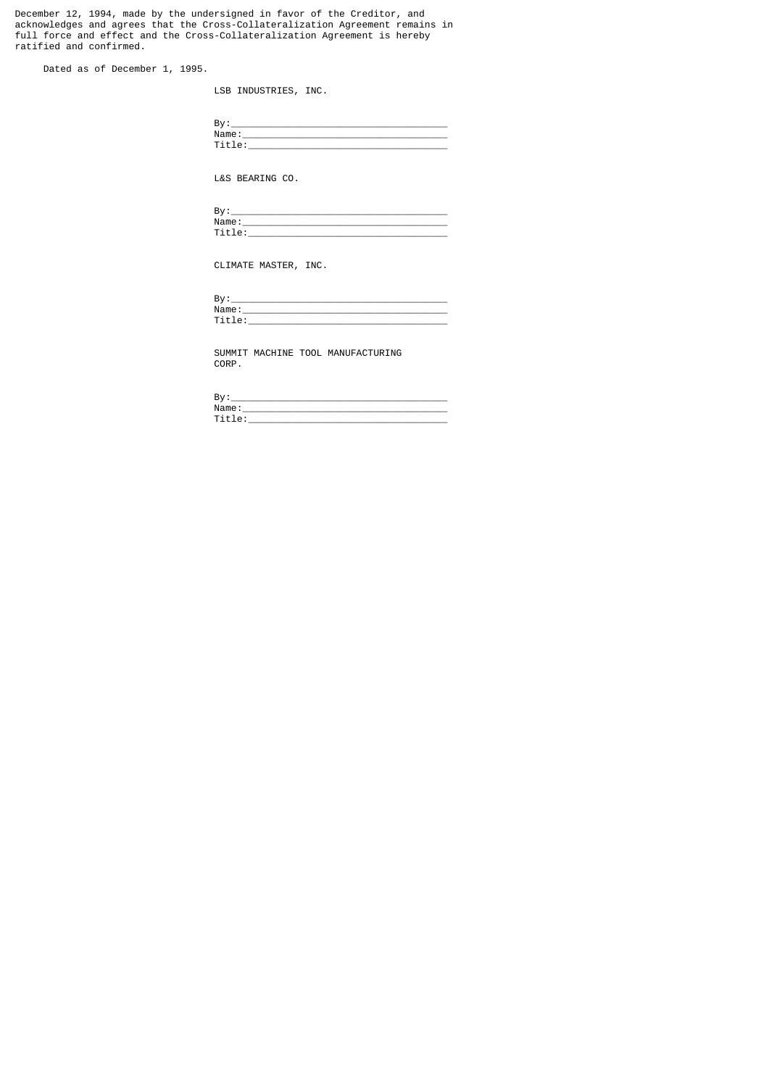December 12, 1994, made by the undersigned in favor of the Creditor, and acknowledges and agrees that the Cross-Collateralization Agreement remains in full force and effect and the Cross-Collateralization Agreement is hereby ratified and confirmed.

Dated as of December 1, 1995.

LSB INDUSTRIES, INC.

| D.,<br>Þ۱ |  |
|-----------|--|
| Name      |  |
|           |  |

L&S BEARING CO.

| D.<br>ь. |          |
|----------|----------|
|          | Name     |
| _        | ֊<br>. . |

CLIMATE MASTER, INC.

| n.<br>D                |  |
|------------------------|--|
| Name                   |  |
| --<br>$\cdot$ $ \cdot$ |  |

 SUMMIT MACHINE TOOL MANUFACTURING CORP.

| D.<br>ъ,  |
|-----------|
| Name      |
| . .<br>-- |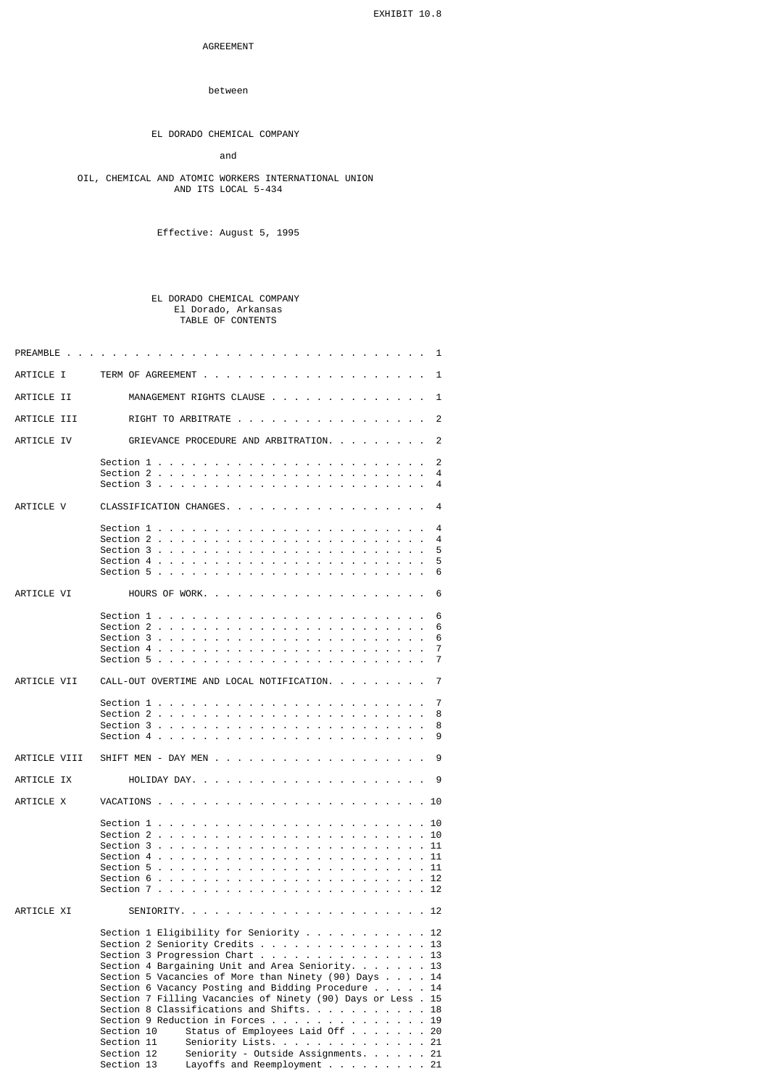## AGREEMENT

## between

## EL DORADO CHEMICAL COMPANY

## and

#### OIL, CHEMICAL AND ATOMIC WORKERS INTERNATIONAL UNION AND ITS LOCAL 5-434

Effective: August 5, 1995

#### EL DORADO CHEMICAL COMPANY El Dorado, Arkansas TABLE OF CONTENTS

| PREAMBLE     | the contract of the contract of the<br><b><i>Charles Committee States</i></b>                                                                                                                                                                                                                                                                                                                                                                                                                                                                                                                                                                             | 1                                      |
|--------------|-----------------------------------------------------------------------------------------------------------------------------------------------------------------------------------------------------------------------------------------------------------------------------------------------------------------------------------------------------------------------------------------------------------------------------------------------------------------------------------------------------------------------------------------------------------------------------------------------------------------------------------------------------------|----------------------------------------|
| ARTICLE I    |                                                                                                                                                                                                                                                                                                                                                                                                                                                                                                                                                                                                                                                           | 1                                      |
| ARTICLE II   | MANAGEMENT RIGHTS CLAUSE 1                                                                                                                                                                                                                                                                                                                                                                                                                                                                                                                                                                                                                                |                                        |
| ARTICLE III  | RIGHT TO ARBITRATE                                                                                                                                                                                                                                                                                                                                                                                                                                                                                                                                                                                                                                        | 2                                      |
| ARTICLE IV   | GRIEVANCE PROCEDURE AND ARBITRATION.                                                                                                                                                                                                                                                                                                                                                                                                                                                                                                                                                                                                                      | 2                                      |
|              | Section $2 \cdot \cdot \cdot \cdot \cdot$<br>the company of the company<br>$\sim$<br>$\sim$<br>$\sim$<br>$\sim$<br>$\mathbf{r}$<br>Section 3                                                                                                                                                                                                                                                                                                                                                                                                                                                                                                              | 2<br>4<br>4                            |
| ARTICLE V    | CLASSIFICATION CHANGES.                                                                                                                                                                                                                                                                                                                                                                                                                                                                                                                                                                                                                                   | 4                                      |
|              | Section $2 \cdot \cdot \cdot \cdot \cdot \cdot$ .<br><b>Contract Contract</b><br>Section 3<br>$\sim$<br>$\sim$<br>$\sim$<br>Section $5 \cdot \cdot \cdot \cdot$ .<br>$\sim$<br>$\sim$<br>$\sim$                                                                                                                                                                                                                                                                                                                                                                                                                                                           | 4<br>4<br>5<br>5<br>6                  |
| ARTICLE VI   |                                                                                                                                                                                                                                                                                                                                                                                                                                                                                                                                                                                                                                                           | 6                                      |
|              | Section 1 $\ldots$ $\ldots$ $\ldots$ $\ldots$ $\ldots$ $\ldots$ $\ldots$ $\ldots$ $\ldots$ $\ldots$<br>Section $3 \cdot \cdot \cdot \cdot \cdot \cdot$<br>$\sim$<br>$\sim$<br>$\sim$<br>Section 5 .<br>$\mathbf{r}$ and $\mathbf{r}$ and $\mathbf{r}$<br>$\sim$<br>$\sim$ $\sim$<br>$\sim$<br>$\mathbf{r}$<br>$\sim$<br>the company of the company of the company                                                                                                                                                                                                                                                                                         | 6<br>6<br>6<br>7<br>7                  |
| ARTICLE VII  | CALL-OUT OVERTIME AND LOCAL NOTIFICATION.                                                                                                                                                                                                                                                                                                                                                                                                                                                                                                                                                                                                                 | 7                                      |
|              | Section 1 $\ldots$ $\ldots$<br>$\sim$<br>the contract of the contract of the contract of<br>Section 2 $\ldots$<br>$\sim$<br>$\sim$<br>$\sim$<br>the contract of the contract of the con-<br>Section 4 $\ldots$<br>$\sim$<br>the contract of the contract of the<br>$\sim$                                                                                                                                                                                                                                                                                                                                                                                 | 7<br>8<br>8<br>9                       |
| ARTICLE VIII | SHIFT MEN - DAY MEN                                                                                                                                                                                                                                                                                                                                                                                                                                                                                                                                                                                                                                       | 9                                      |
| ARTICLE IX   |                                                                                                                                                                                                                                                                                                                                                                                                                                                                                                                                                                                                                                                           | 9                                      |
| ARTICLE X    |                                                                                                                                                                                                                                                                                                                                                                                                                                                                                                                                                                                                                                                           | . . 10                                 |
|              | Section $1 \ldots \ldots$<br>Section $2 \cdot \cdot \cdot \cdot \cdot \cdot$ .<br>the contract of the contract of the contract of the<br>$\sim$<br>Section $3 \ldots$<br>Section 4.<br>Section $5 \ldots$<br>÷.<br>k,<br>$\mathbf{r}$<br>÷.<br>$\mathbf{r}$<br>÷.<br>$\mathbf{r}$<br>$\mathbf{r}$<br>×.<br>$\mathbf{r}$<br>$\mathbf{r}$<br>Section 6<br>$\mathbf{r}$<br>Section $7 \cdot \cdot \cdot$                                                                                                                                                                                                                                                     | 10<br>10<br>11<br>11<br>11<br>12<br>12 |
| ARTICLE XI   |                                                                                                                                                                                                                                                                                                                                                                                                                                                                                                                                                                                                                                                           |                                        |
|              | Section 1 Eligibility for Seniority 12<br>Section 2 Seniority Credits 13<br>Section 3 Progression Chart<br>Section 4 Bargaining Unit and Area Seniority. $\ldots$ 13<br>Section 5 Vacancies of More than Ninety $(90)$ Days $\ldots$ . 14<br>Section 6 Vacancy Posting and Bidding Procedure $\ldots$<br>Section 7 Filling Vacancies of Ninety (90) Days or Less . 15<br>Section 8 Classifications and Shifts. $\ldots$<br>Section 9 Reduction in Forces<br>Status of Employees Laid Off 20<br>Section 10<br>Section 11<br>Seniority Lists. 21<br>Seniority - Outside Assignments. 21<br>Section 12<br>Section 13<br>Layoffs and Reemployment $\ldots$ 21 | 13<br>14<br>18<br>19                   |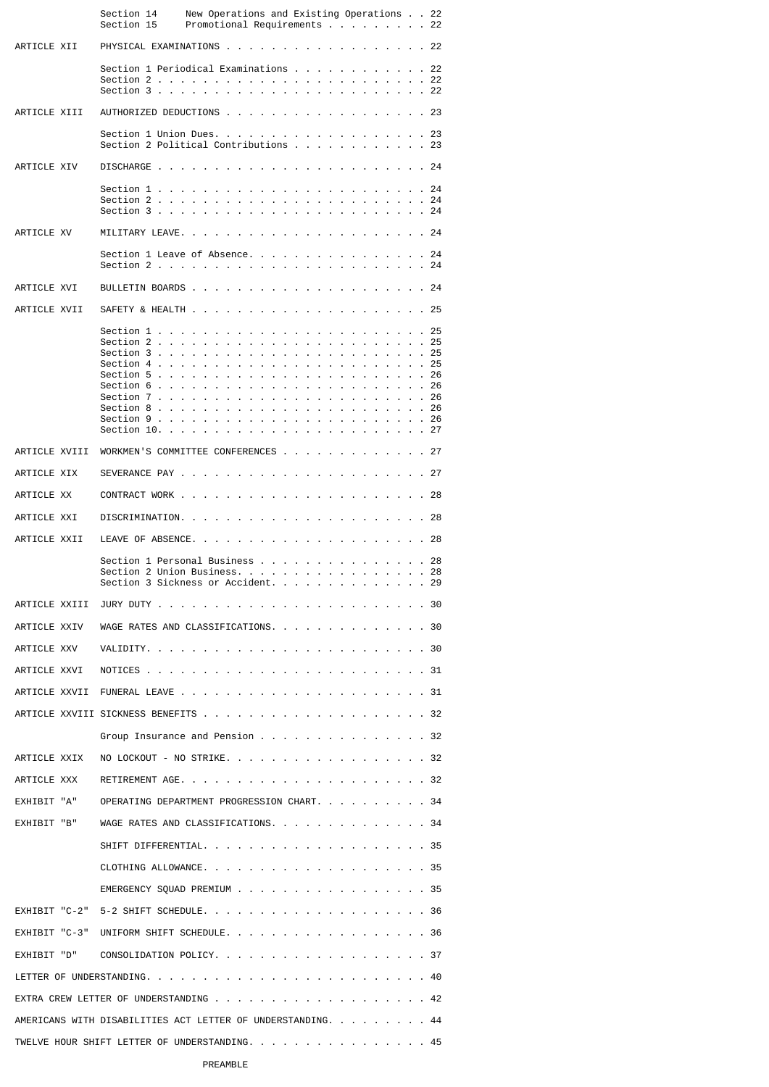|                             | Section 14<br>Section 15                                                                             | New Operations and Existing Operations 22<br>Promotional Requirements 22 |                                                                     |               |                                                          |  |  |              |              |
|-----------------------------|------------------------------------------------------------------------------------------------------|--------------------------------------------------------------------------|---------------------------------------------------------------------|---------------|----------------------------------------------------------|--|--|--------------|--------------|
| ARTICLE XII                 | PHYSICAL EXAMINATIONS 22                                                                             |                                                                          |                                                                     |               |                                                          |  |  |              |              |
|                             | Section 1 Periodical Examinations 22                                                                 |                                                                          |                                                                     |               |                                                          |  |  |              |              |
|                             |                                                                                                      |                                                                          |                                                                     |               |                                                          |  |  |              |              |
| ARTICLE XIII                | AUTHORIZED DEDUCTIONS 23                                                                             |                                                                          |                                                                     |               |                                                          |  |  |              |              |
|                             | Section 1 Union Dues. 23<br>Section 2 Political Contributions $\ldots$ 23                            |                                                                          |                                                                     |               |                                                          |  |  |              |              |
| ARTICLE XIV                 |                                                                                                      |                                                                          |                                                                     |               |                                                          |  |  |              |              |
|                             | Section 2.<br>Section $3 \cdot \cdot$                                                                |                                                                          |                                                                     |               | the contract of the contract of the contract of          |  |  | $\mathbf{r}$ | 24           |
| ARTICLE XV                  |                                                                                                      |                                                                          |                                                                     |               |                                                          |  |  |              |              |
|                             | Section 1 Leave of Absence. 24                                                                       |                                                                          |                                                                     |               |                                                          |  |  |              |              |
|                             |                                                                                                      |                                                                          |                                                                     |               |                                                          |  |  |              | $\ldots$ 24  |
| ARTICLE XVI                 |                                                                                                      |                                                                          |                                                                     |               |                                                          |  |  |              |              |
| ARTICLE XVII                |                                                                                                      |                                                                          |                                                                     |               |                                                          |  |  |              |              |
|                             |                                                                                                      |                                                                          |                                                                     |               |                                                          |  |  |              | 25           |
|                             | Section $3 \cdot \cdot \cdot$ .<br>Section 4 $\ldots$ $\ldots$ .                                     | $\sim$                                                                   | and the contract of the contract of the contract of the contract of |               | the contract of the contract of the contract of the con- |  |  |              | 25<br>25     |
|                             | Section $5$<br>Section 6.                                                                            |                                                                          |                                                                     | $\sim$ $\sim$ |                                                          |  |  |              | 26           |
|                             | Section 7                                                                                            | the company of the company of                                            | $\sim$                                                              |               | . <b>26</b>                                              |  |  |              |              |
|                             | Section 8                                                                                            | $\sim$<br>$\sim$<br>$\sim$                                               | the contract of the contract of the contract of the contract of     |               |                                                          |  |  |              | . . 26<br>26 |
|                             |                                                                                                      |                                                                          |                                                                     |               |                                                          |  |  |              |              |
| ARTICLE XVIII               | WORKMEN'S COMMITTEE CONFERENCES 27                                                                   |                                                                          |                                                                     |               |                                                          |  |  |              |              |
| ARTICLE XIX                 |                                                                                                      |                                                                          |                                                                     |               |                                                          |  |  |              |              |
| ARTICLE XX                  |                                                                                                      |                                                                          |                                                                     |               |                                                          |  |  |              |              |
| ARTICLE XXI                 |                                                                                                      |                                                                          |                                                                     |               |                                                          |  |  |              |              |
| ARTICLE XXII                |                                                                                                      |                                                                          |                                                                     |               |                                                          |  |  |              |              |
|                             | Section 1 Personal Business 28<br>Section 2 Union Business. 28<br>Section 3 Sickness or Accident. 29 |                                                                          |                                                                     |               |                                                          |  |  |              |              |
|                             |                                                                                                      |                                                                          |                                                                     |               |                                                          |  |  |              |              |
|                             | ARTICLE XXIV WAGE RATES AND CLASSIFICATIONS. 30                                                      |                                                                          |                                                                     |               |                                                          |  |  |              |              |
| ARTICLE XXV                 |                                                                                                      |                                                                          |                                                                     |               |                                                          |  |  |              |              |
| ARTICLE XXVI                |                                                                                                      |                                                                          |                                                                     |               |                                                          |  |  |              |              |
| ARTICLE XXVII               |                                                                                                      |                                                                          |                                                                     |               |                                                          |  |  |              |              |
|                             |                                                                                                      |                                                                          |                                                                     |               |                                                          |  |  |              |              |
|                             | Group Insurance and Pension $\cdots$ 32                                                              |                                                                          |                                                                     |               |                                                          |  |  |              |              |
| ARTICLE XXIX<br>ARTICLE XXX | NO LOCKOUT - NO STRIKE. 32                                                                           |                                                                          |                                                                     |               |                                                          |  |  |              |              |
| EXHIBIT "A"                 | OPERATING DEPARTMENT PROGRESSION CHART. 34                                                           |                                                                          |                                                                     |               |                                                          |  |  |              |              |
| EXHIBIT "B"                 | WAGE RATES AND CLASSIFICATIONS. 34                                                                   |                                                                          |                                                                     |               |                                                          |  |  |              |              |
|                             | SHIFT DIFFERENTIAL. 35                                                                               |                                                                          |                                                                     |               |                                                          |  |  |              |              |
|                             | CLOTHING ALLOWANCE. 35                                                                               |                                                                          |                                                                     |               |                                                          |  |  |              |              |
|                             | EMERGENCY SOUAD PREMIUM 35                                                                           |                                                                          |                                                                     |               |                                                          |  |  |              |              |
| EXHIBIT "C-2"               | 5-2 SHIFT SCHEDULE. 36                                                                               |                                                                          |                                                                     |               |                                                          |  |  |              |              |
| EXHIBIT "C-3"               | UNIFORM SHIFT SCHEDULE. 36                                                                           |                                                                          |                                                                     |               |                                                          |  |  |              |              |
| EXHIBIT "D"                 | CONSOLIDATION POLICY. 37                                                                             |                                                                          |                                                                     |               |                                                          |  |  |              |              |
|                             |                                                                                                      |                                                                          |                                                                     |               |                                                          |  |  |              |              |
|                             |                                                                                                      |                                                                          |                                                                     |               |                                                          |  |  |              |              |
|                             | AMERICANS WITH DISABILITIES ACT LETTER OF UNDERSTANDING. 44                                          |                                                                          |                                                                     |               |                                                          |  |  |              |              |
|                             | TWELVE HOUR SHIFT LETTER OF UNDERSTANDING. 45                                                        |                                                                          |                                                                     |               |                                                          |  |  |              |              |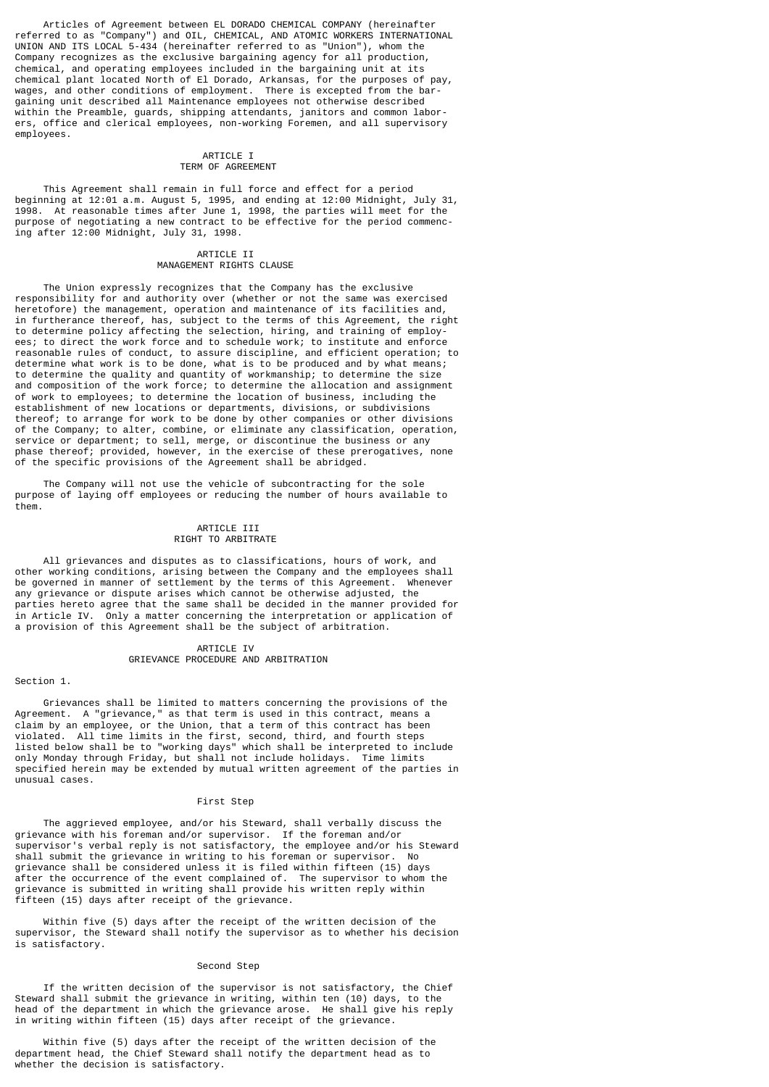Articles of Agreement between EL DORADO CHEMICAL COMPANY (hereinafter referred to as "Company") and OIL, CHEMICAL, AND ATOMIC WORKERS INTERNATIONAL UNION AND ITS LOCAL 5-434 (hereinafter referred to as "Union"), whom the Company recognizes as the exclusive bargaining agency for all production, chemical, and operating employees included in the bargaining unit at its chemical plant located North of El Dorado, Arkansas, for the purposes of pay, wages, and other conditions of employment. There is excepted from the bargaining unit described all Maintenance employees not otherwise described within the Preamble, guards, shipping attendants, janitors and common laborers, office and clerical employees, non-working Foremen, and all supervisory employees.

## ARTICLE I TERM OF AGREEMENT

 This Agreement shall remain in full force and effect for a period beginning at 12:01 a.m. August 5, 1995, and ending at 12:00 Midnight, July 31, 1998. At reasonable times after June 1, 1998, the parties will meet for the purpose of negotiating a new contract to be effective for the period commencing after 12:00 Midnight, July 31, 1998.

## ARTICLE II MANAGEMENT RIGHTS CLAUSE

 The Union expressly recognizes that the Company has the exclusive responsibility for and authority over (whether or not the same was exercised heretofore) the management, operation and maintenance of its facilities and, in furtherance thereof, has, subject to the terms of this Agreement, the right to determine policy affecting the selection, hiring, and training of employees; to direct the work force and to schedule work; to institute and enforce reasonable rules of conduct, to assure discipline, and efficient operation; to determine what work is to be done, what is to be produced and by what means; to determine the quality and quantity of workmanship; to determine the size and composition of the work force; to determine the allocation and assignment of work to employees; to determine the location of business, including the establishment of new locations or departments, divisions, or subdivisions thereof; to arrange for work to be done by other companies or other divisions of the Company; to alter, combine, or eliminate any classification, operation, service or department; to sell, merge, or discontinue the business or any phase thereof; provided, however, in the exercise of these prerogatives, none of the specific provisions of the Agreement shall be abridged.

 The Company will not use the vehicle of subcontracting for the sole purpose of laying off employees or reducing the number of hours available to them.

## ARTICLE III RIGHT TO ARBITRATE

 All grievances and disputes as to classifications, hours of work, and other working conditions, arising between the Company and the employees shall be governed in manner of settlement by the terms of this Agreement. Whenever any grievance or dispute arises which cannot be otherwise adjusted, the parties hereto agree that the same shall be decided in the manner provided for in Article IV. Only a matter concerning the interpretation or application of a provision of this Agreement shall be the subject of arbitration.

## ARTICLE IV GRIEVANCE PROCEDURE AND ARBITRATION

#### Section 1.

 Grievances shall be limited to matters concerning the provisions of the Agreement. A "grievance," as that term is used in this contract, means a claim by an employee, or the Union, that a term of this contract has been violated. All time limits in the first, second, third, and fourth steps listed below shall be to "working days" which shall be interpreted to include only Monday through Friday, but shall not include holidays. Time limits specified herein may be extended by mutual written agreement of the parties in unusual cases.

#### First Step

 The aggrieved employee, and/or his Steward, shall verbally discuss the grievance with his foreman and/or supervisor. If the foreman and/or supervisor's verbal reply is not satisfactory, the employee and/or his Steward shall submit the grievance in writing to his foreman or supervisor. No grievance shall be considered unless it is filed within fifteen (15) days after the occurrence of the event complained of. The supervisor to whom the grievance is submitted in writing shall provide his written reply within fifteen (15) days after receipt of the grievance.

 Within five (5) days after the receipt of the written decision of the supervisor, the Steward shall notify the supervisor as to whether his decision is satisfactory.

## Second Step

 If the written decision of the supervisor is not satisfactory, the Chief Steward shall submit the grievance in writing, within ten (10) days, to the head of the department in which the grievance arose. He shall give his reply in writing within fifteen (15) days after receipt of the grievance.

 Within five (5) days after the receipt of the written decision of the department head, the Chief Steward shall notify the department head as to whether the decision is satisfactory.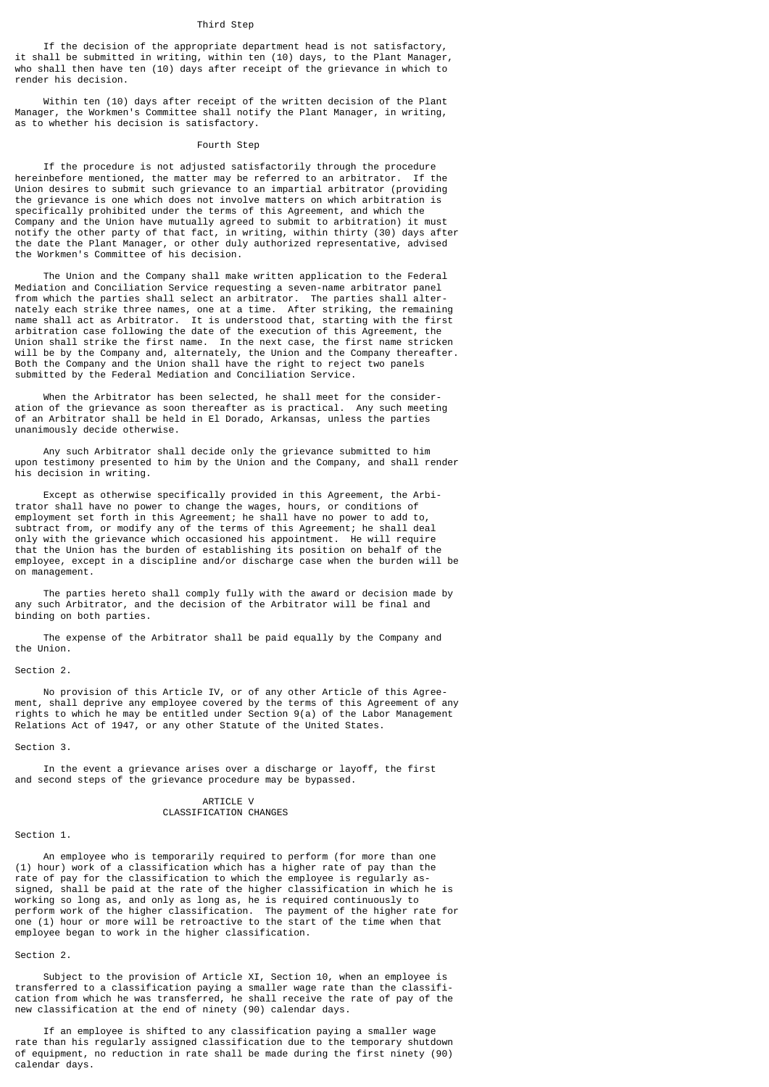## Third Step

 If the decision of the appropriate department head is not satisfactory, it shall be submitted in writing, within ten (10) days, to the Plant Manager, who shall then have ten (10) days after receipt of the grievance in which to render his decision.

 Within ten (10) days after receipt of the written decision of the Plant Manager, the Workmen's Committee shall notify the Plant Manager, in writing, as to whether his decision is satisfactory.

#### Fourth Step

 If the procedure is not adjusted satisfactorily through the procedure hereinbefore mentioned, the matter may be referred to an arbitrator. If the Union desires to submit such grievance to an impartial arbitrator (providing the grievance is one which does not involve matters on which arbitration is specifically prohibited under the terms of this Agreement, and which the Company and the Union have mutually agreed to submit to arbitration) it must notify the other party of that fact, in writing, within thirty (30) days after the date the Plant Manager, or other duly authorized representative, advised the Workmen's Committee of his decision.

 The Union and the Company shall make written application to the Federal Mediation and Conciliation Service requesting a seven-name arbitrator panel from which the parties shall select an arbitrator. The parties shall alternately each strike three names, one at a time. After striking, the remaining name shall act as Arbitrator. It is understood that, starting with the first arbitration case following the date of the execution of this Agreement, the Union shall strike the first name. In the next case, the first name stricken will be by the Company and, alternately, the Union and the Company thereafter. Both the Company and the Union shall have the right to reject two panels submitted by the Federal Mediation and Conciliation Service.

 When the Arbitrator has been selected, he shall meet for the consideration of the grievance as soon thereafter as is practical. Any such meeting of an Arbitrator shall be held in El Dorado, Arkansas, unless the parties unanimously decide otherwise.

 Any such Arbitrator shall decide only the grievance submitted to him upon testimony presented to him by the Union and the Company, and shall render his decision in writing.

 Except as otherwise specifically provided in this Agreement, the Arbitrator shall have no power to change the wages, hours, or conditions of employment set forth in this Agreement; he shall have no power to add to, subtract from, or modify any of the terms of this Agreement; he shall deal only with the grievance which occasioned his appointment. He will require that the Union has the burden of establishing its position on behalf of the employee, except in a discipline and/or discharge case when the burden will be on management.

 The parties hereto shall comply fully with the award or decision made by any such Arbitrator, and the decision of the Arbitrator will be final and binding on both parties.

 The expense of the Arbitrator shall be paid equally by the Company and the Union.

### Section 2.

 No provision of this Article IV, or of any other Article of this Agreement, shall deprive any employee covered by the terms of this Agreement of any rights to which he may be entitled under Section 9(a) of the Labor Management Relations Act of 1947, or any other Statute of the United States.

Section 3.

 In the event a grievance arises over a discharge or layoff, the first and second steps of the grievance procedure may be bypassed.

#### ARTICLE V CLASSIFICATION CHANGES

#### Section 1.

 An employee who is temporarily required to perform (for more than one (1) hour) work of a classification which has a higher rate of pay than the rate of pay for the classification to which the employee is regularly assigned, shall be paid at the rate of the higher classification in which he is working so long as, and only as long as, he is required continuously to perform work of the higher classification. The payment of the higher rate for one (1) hour or more will be retroactive to the start of the time when that employee began to work in the higher classification.

#### Section 2.

 Subject to the provision of Article XI, Section 10, when an employee is transferred to a classification paying a smaller wage rate than the classification from which he was transferred, he shall receive the rate of pay of the new classification at the end of ninety (90) calendar days.

 If an employee is shifted to any classification paying a smaller wage rate than his regularly assigned classification due to the temporary shutdown of equipment, no reduction in rate shall be made during the first ninety (90) calendar days.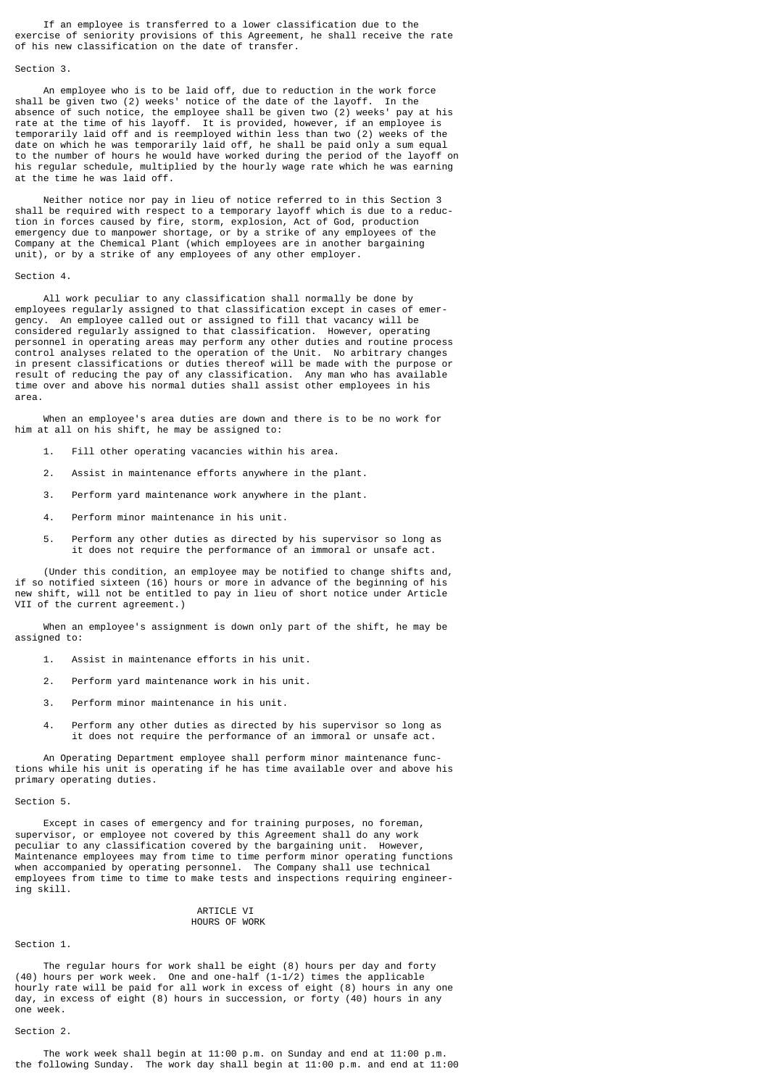If an employee is transferred to a lower classification due to the exercise of seniority provisions of this Agreement, he shall receive the rate of his new classification on the date of transfer.

#### Section 3.

 An employee who is to be laid off, due to reduction in the work force shall be given two (2) weeks' notice of the date of the layoff. In the absence of such notice, the employee shall be given two (2) weeks' pay at his rate at the time of his layoff. It is provided, however, if an employee is temporarily laid off and is reemployed within less than two (2) weeks of the date on which he was temporarily laid off, he shall be paid only a sum equal to the number of hours he would have worked during the period of the layoff on his regular schedule, multiplied by the hourly wage rate which he was earning at the time he was laid off.

 Neither notice nor pay in lieu of notice referred to in this Section 3 shall be required with respect to a temporary layoff which is due to a reduction in forces caused by fire, storm, explosion, Act of God, production emergency due to manpower shortage, or by a strike of any employees of the Company at the Chemical Plant (which employees are in another bargaining unit), or by a strike of any employees of any other employer.

## Section 4.

 All work peculiar to any classification shall normally be done by employees regularly assigned to that classification except in cases of emergency. An employee called out or assigned to fill that vacancy will be considered regularly assigned to that classification. However, operating personnel in operating areas may perform any other duties and routine process control analyses related to the operation of the Unit. No arbitrary changes in present classifications or duties thereof will be made with the purpose or result of reducing the pay of any classification. Any man who has available time over and above his normal duties shall assist other employees in his area.

 When an employee's area duties are down and there is to be no work for him at all on his shift, he may be assigned to:

- 1. Fill other operating vacancies within his area.
- 2. Assist in maintenance efforts anywhere in the plant.
- 3. Perform yard maintenance work anywhere in the plant.
- 4. Perform minor maintenance in his unit.
- 5. Perform any other duties as directed by his supervisor so long as it does not require the performance of an immoral or unsafe act.

 (Under this condition, an employee may be notified to change shifts and, if so notified sixteen (16) hours or more in advance of the beginning of his new shift, will not be entitled to pay in lieu of short notice under Article VII of the current agreement.)

 When an employee's assignment is down only part of the shift, he may be assigned to:

- 1. Assist in maintenance efforts in his unit.
- 2. Perform yard maintenance work in his unit.
- 3. Perform minor maintenance in his unit.
- 4. Perform any other duties as directed by his supervisor so long as it does not require the performance of an immoral or unsafe act.

 An Operating Department employee shall perform minor maintenance functions while his unit is operating if he has time available over and above his primary operating duties.

### Section 5.

 Except in cases of emergency and for training purposes, no foreman, supervisor, or employee not covered by this Agreement shall do any work peculiar to any classification covered by the bargaining unit. However, Maintenance employees may from time to time perform minor operating functions when accompanied by operating personnel. The Company shall use technical employees from time to time to make tests and inspections requiring engineering skill.

#### ARTICLE VI HOURS OF WORK

Section 1.

 The regular hours for work shall be eight (8) hours per day and forty (40) hours per work week. One and one-half (1-1/2) times the applicable hourly rate will be paid for all work in excess of eight (8) hours in any one day, in excess of eight (8) hours in succession, or forty (40) hours in any one week.

## Section 2.

 The work week shall begin at 11:00 p.m. on Sunday and end at 11:00 p.m. the following Sunday. The work day shall begin at 11:00 p.m. and end at 11:00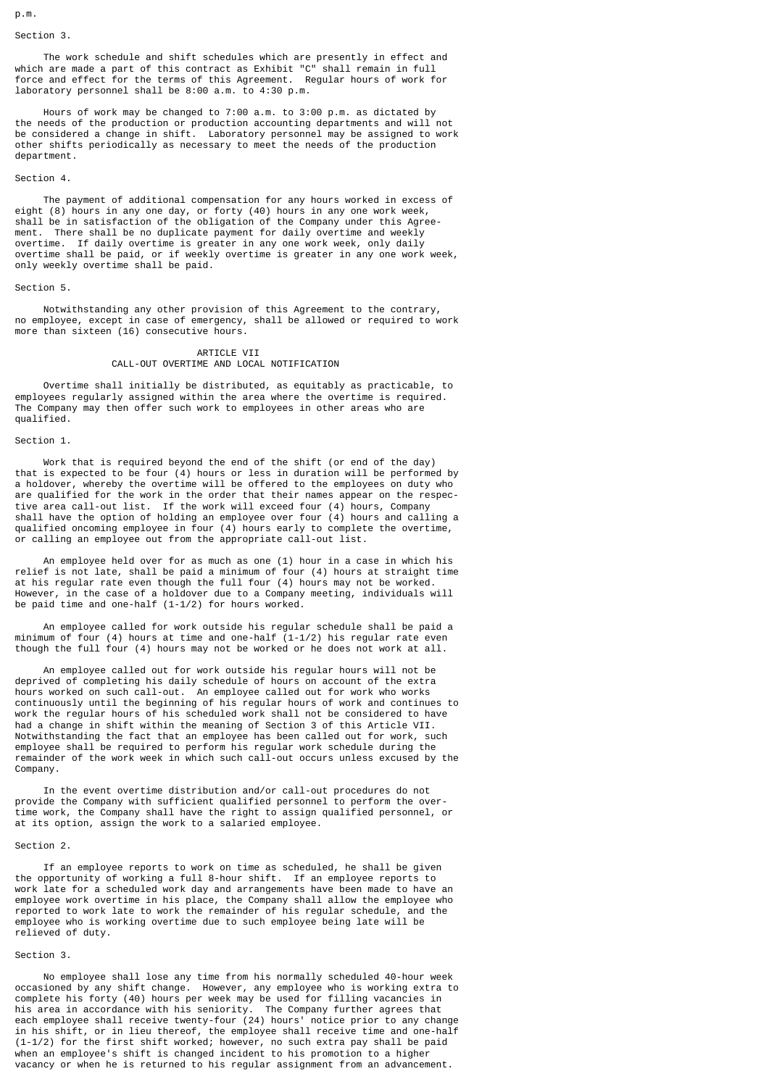p.m.

## Section 3.

 The work schedule and shift schedules which are presently in effect and which are made a part of this contract as Exhibit "C" shall remain in full force and effect for the terms of this Agreement. Regular hours of work for laboratory personnel shall be 8:00 a.m. to 4:30 p.m.

 Hours of work may be changed to 7:00 a.m. to 3:00 p.m. as dictated by the needs of the production or production accounting departments and will not be considered a change in shift. Laboratory personnel may be assigned to work other shifts periodically as necessary to meet the needs of the production department.

## Section 4.

 The payment of additional compensation for any hours worked in excess of eight (8) hours in any one day, or forty (40) hours in any one work week, shall be in satisfaction of the obligation of the Company under this Agreement. There shall be no duplicate payment for daily overtime and weekly overtime. If daily overtime is greater in any one work week, only daily overtime shall be paid, or if weekly overtime is greater in any one work week, only weekly overtime shall be paid.

#### Section 5.

 Notwithstanding any other provision of this Agreement to the contrary, no employee, except in case of emergency, shall be allowed or required to work more than sixteen (16) consecutive hours.

#### ARTICLE VII CALL-OUT OVERTIME AND LOCAL NOTIFICATION

 Overtime shall initially be distributed, as equitably as practicable, to employees regularly assigned within the area where the overtime is required. The Company may then offer such work to employees in other areas who are qualified.

#### Section 1.

 Work that is required beyond the end of the shift (or end of the day) that is expected to be four (4) hours or less in duration will be performed by a holdover, whereby the overtime will be offered to the employees on duty who are qualified for the work in the order that their names appear on the respective area call-out list. If the work will exceed four (4) hours, Company shall have the option of holding an employee over four (4) hours and calling a qualified oncoming employee in four (4) hours early to complete the overtime, or calling an employee out from the appropriate call-out list.

 An employee held over for as much as one (1) hour in a case in which his relief is not late, shall be paid a minimum of four (4) hours at straight time at his regular rate even though the full four (4) hours may not be worked. However, in the case of a holdover due to a Company meeting, individuals will be paid time and one-half (1-1/2) for hours worked.

 An employee called for work outside his regular schedule shall be paid a minimum of four (4) hours at time and one-half (1-1/2) his regular rate even though the full four (4) hours may not be worked or he does not work at all.

 An employee called out for work outside his regular hours will not be deprived of completing his daily schedule of hours on account of the extra hours worked on such call-out. An employee called out for work who works continuously until the beginning of his regular hours of work and continues to work the regular hours of his scheduled work shall not be considered to have had a change in shift within the meaning of Section 3 of this Article VII. Notwithstanding the fact that an employee has been called out for work, such employee shall be required to perform his regular work schedule during the remainder of the work week in which such call-out occurs unless excused by the Company.

 In the event overtime distribution and/or call-out procedures do not provide the Company with sufficient qualified personnel to perform the overtime work, the Company shall have the right to assign qualified personnel, or at its option, assign the work to a salaried employee.

### Section 2.

 If an employee reports to work on time as scheduled, he shall be given the opportunity of working a full 8-hour shift. If an employee reports to work late for a scheduled work day and arrangements have been made to have an employee work overtime in his place, the Company shall allow the employee who reported to work late to work the remainder of his regular schedule, and the employee who is working overtime due to such employee being late will be relieved of duty.

## Section 3.

 No employee shall lose any time from his normally scheduled 40-hour week occasioned by any shift change. However, any employee who is working extra to complete his forty (40) hours per week may be used for filling vacancies in his area in accordance with his seniority. The Company further agrees that each employee shall receive twenty-four (24) hours' notice prior to any change in his shift, or in lieu thereof, the employee shall receive time and one-half (1-1/2) for the first shift worked; however, no such extra pay shall be paid when an employee's shift is changed incident to his promotion to a higher vacancy or when he is returned to his regular assignment from an advancement.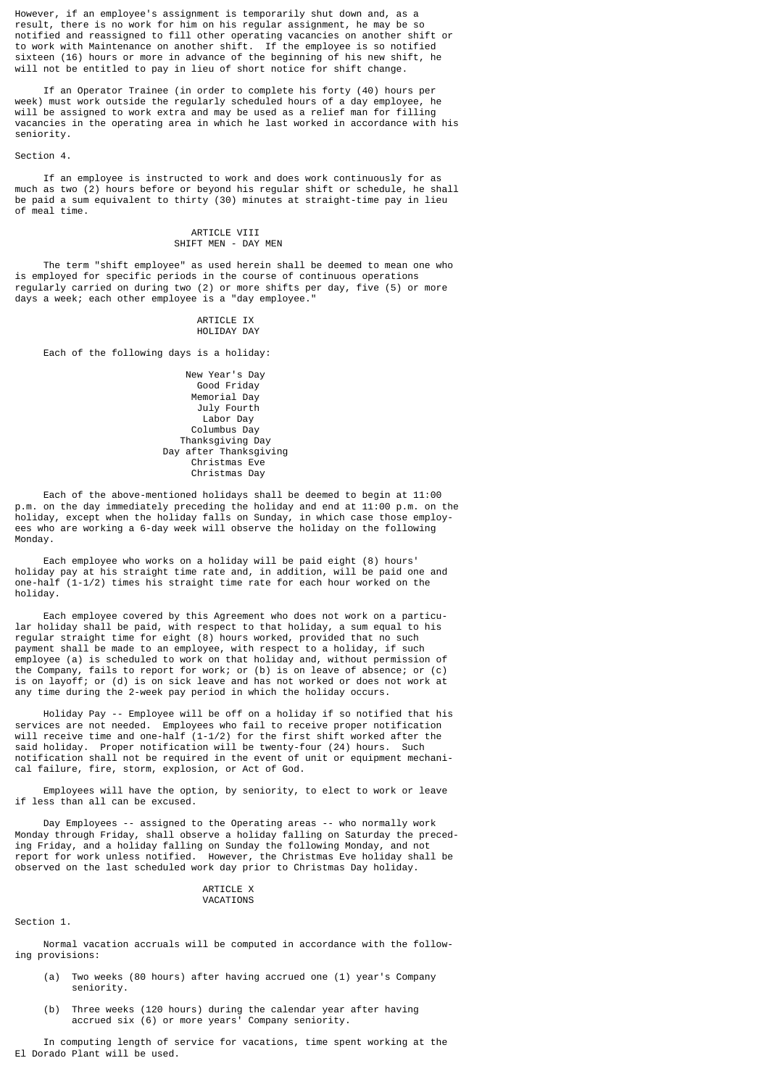However, if an employee's assignment is temporarily shut down and, as a result, there is no work for him on his regular assignment, he may be so notified and reassigned to fill other operating vacancies on another shift or to work with Maintenance on another shift. If the employee is so notified sixteen (16) hours or more in advance of the beginning of his new shift, he will not be entitled to pay in lieu of short notice for shift change.

 If an Operator Trainee (in order to complete his forty (40) hours per week) must work outside the regularly scheduled hours of a day employee, he will be assigned to work extra and may be used as a relief man for filling vacancies in the operating area in which he last worked in accordance with his seniority.

Section 4.

 If an employee is instructed to work and does work continuously for as much as two (2) hours before or beyond his regular shift or schedule, he shall be paid a sum equivalent to thirty (30) minutes at straight-time pay in lieu of meal time.

## ARTICLE VIII SHIFT MEN - DAY MEN

 The term "shift employee" as used herein shall be deemed to mean one who is employed for specific periods in the course of continuous operations regularly carried on during two (2) or more shifts per day, five (5) or more days a week; each other employee is a "day employee."

#### ARTICLE IX HOLIDAY DAY

Each of the following days is a holiday:

 New Year's Day Good Friday Memorial Day July Fourth Labor Day Columbus Day Thanksgiving Day Day after Thanksgiving Christmas Eve Christmas Day

 Each of the above-mentioned holidays shall be deemed to begin at 11:00 p.m. on the day immediately preceding the holiday and end at 11:00 p.m. on the holiday, except when the holiday falls on Sunday, in which case those employees who are working a 6-day week will observe the holiday on the following Monday.

 Each employee who works on a holiday will be paid eight (8) hours' holiday pay at his straight time rate and, in addition, will be paid one and one-half (1-1/2) times his straight time rate for each hour worked on the holiday.

 Each employee covered by this Agreement who does not work on a particular holiday shall be paid, with respect to that holiday, a sum equal to his regular straight time for eight (8) hours worked, provided that no such payment shall be made to an employee, with respect to a holiday, if such employee (a) is scheduled to work on that holiday and, without permission of the Company, fails to report for work; or (b) is on leave of absence; or (c) is on layoff; or (d) is on sick leave and has not worked or does not work at any time during the 2-week pay period in which the holiday occurs.

 Holiday Pay -- Employee will be off on a holiday if so notified that his services are not needed. Employees who fail to receive proper notification will receive time and one-half  $(1-1/2)$  for the first shift worked after the said holiday. Proper potification will be twenty-four (24) hours. Such said holiday. Proper notification will be twenty-four (24) hours. notification shall not be required in the event of unit or equipment mechanical failure, fire, storm, explosion, or Act of God.

 Employees will have the option, by seniority, to elect to work or leave if less than all can be excused.

 Day Employees -- assigned to the Operating areas -- who normally work Monday through Friday, shall observe a holiday falling on Saturday the preceding Friday, and a holiday falling on Sunday the following Monday, and not report for work unless notified. However, the Christmas Eve holiday shall be observed on the last scheduled work day prior to Christmas Day holiday.

#### ARTICLE X **VACATTONS**

Section 1.

 Normal vacation accruals will be computed in accordance with the following provisions:

- (a) Two weeks (80 hours) after having accrued one (1) year's Company seniority.
- (b) Three weeks (120 hours) during the calendar year after having accrued six (6) or more years' Company seniority.

 In computing length of service for vacations, time spent working at the El Dorado Plant will be used.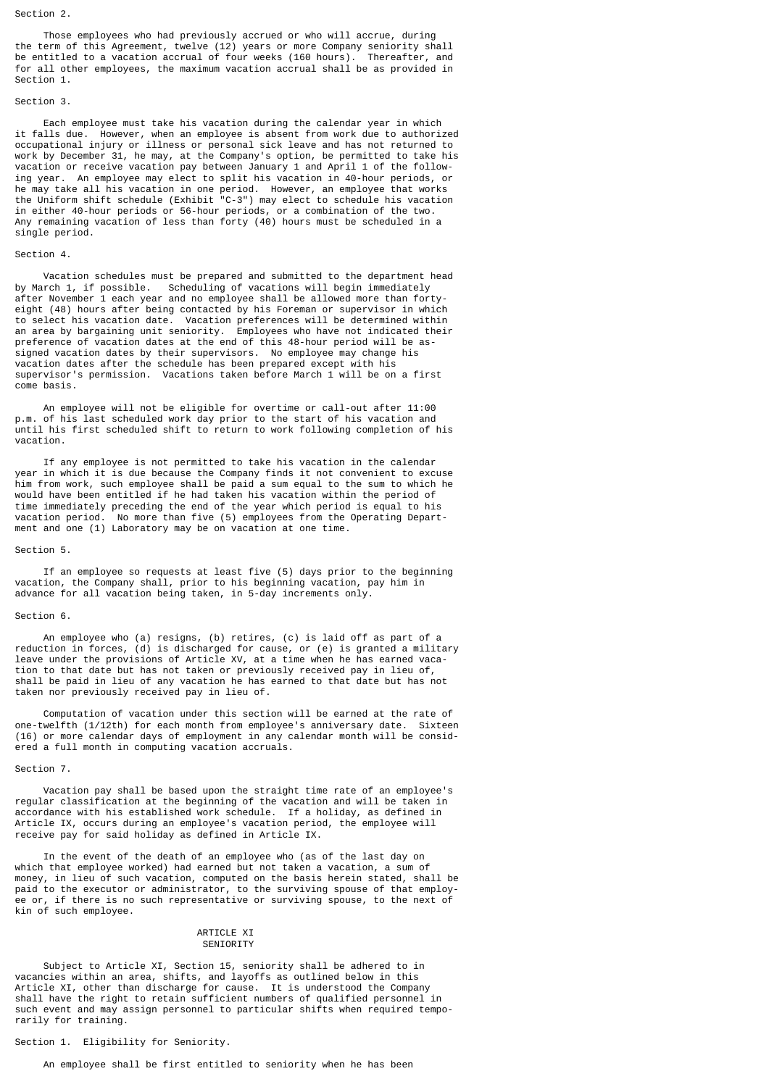#### Section 2.

 Those employees who had previously accrued or who will accrue, during the term of this Agreement, twelve (12) years or more Company seniority shall be entitled to a vacation accrual of four weeks (160 hours). Thereafter, and for all other employees, the maximum vacation accrual shall be as provided in Section 1.

#### Section 3.

 Each employee must take his vacation during the calendar year in which it falls due. However, when an employee is absent from work due to authorized occupational injury or illness or personal sick leave and has not returned to work by December 31, he may, at the Company's option, be permitted to take his vacation or receive vacation pay between January 1 and April 1 of the following year. An employee may elect to split his vacation in 40-hour periods, or he may take all his vacation in one period. However, an employee that works the Uniform shift schedule (Exhibit "C-3") may elect to schedule his vacation in either 40-hour periods or 56-hour periods, or a combination of the two. Any remaining vacation of less than forty (40) hours must be scheduled in a single period.

### Section 4.

 Vacation schedules must be prepared and submitted to the department head by March 1, if possible. Scheduling of vacations will begin immediately after November 1 each year and no employee shall be allowed more than fortyeight (48) hours after being contacted by his Foreman or supervisor in which to select his vacation date. Vacation preferences will be determined within an area by bargaining unit seniority. Employees who have not indicated their preference of vacation dates at the end of this 48-hour period will be assigned vacation dates by their supervisors. No employee may change his vacation dates after the schedule has been prepared except with his supervisor's permission. Vacations taken before March 1 will be on a first come basis.

 An employee will not be eligible for overtime or call-out after 11:00 p.m. of his last scheduled work day prior to the start of his vacation and until his first scheduled shift to return to work following completion of his vacation.

 If any employee is not permitted to take his vacation in the calendar year in which it is due because the Company finds it not convenient to excuse him from work, such employee shall be paid a sum equal to the sum to which he would have been entitled if he had taken his vacation within the period of time immediately preceding the end of the year which period is equal to his vacation period. No more than five (5) employees from the Operating Department and one (1) Laboratory may be on vacation at one time.

#### Section 5.

 If an employee so requests at least five (5) days prior to the beginning vacation, the Company shall, prior to his beginning vacation, pay him in advance for all vacation being taken, in 5-day increments only.

## Section 6.

 An employee who (a) resigns, (b) retires, (c) is laid off as part of a reduction in forces, (d) is discharged for cause, or (e) is granted a military leave under the provisions of Article XV, at a time when he has earned vacation to that date but has not taken or previously received pay in lieu of, shall be paid in lieu of any vacation he has earned to that date but has not taken nor previously received pay in lieu of.

 Computation of vacation under this section will be earned at the rate of one-twelfth (1/12th) for each month from employee's anniversary date. Sixteen (16) or more calendar days of employment in any calendar month will be considered a full month in computing vacation accruals.

#### Section 7.

 Vacation pay shall be based upon the straight time rate of an employee's regular classification at the beginning of the vacation and will be taken in accordance with his established work schedule. If a holiday, as defined in Article IX, occurs during an employee's vacation period, the employee will receive pay for said holiday as defined in Article IX.

 In the event of the death of an employee who (as of the last day on which that employee worked) had earned but not taken a vacation, a sum of money, in lieu of such vacation, computed on the basis herein stated, shall be paid to the executor or administrator, to the surviving spouse of that employee or, if there is no such representative or surviving spouse, to the next of kin of such employee.

#### ARTICLE XT **SENIORITY**

 Subject to Article XI, Section 15, seniority shall be adhered to in vacancies within an area, shifts, and layoffs as outlined below in this Article XI, other than discharge for cause. It is understood the Company shall have the right to retain sufficient numbers of qualified personnel in such event and may assign personnel to particular shifts when required temporarily for training.

#### Section 1. Eligibility for Seniority.

## An employee shall be first entitled to seniority when he has been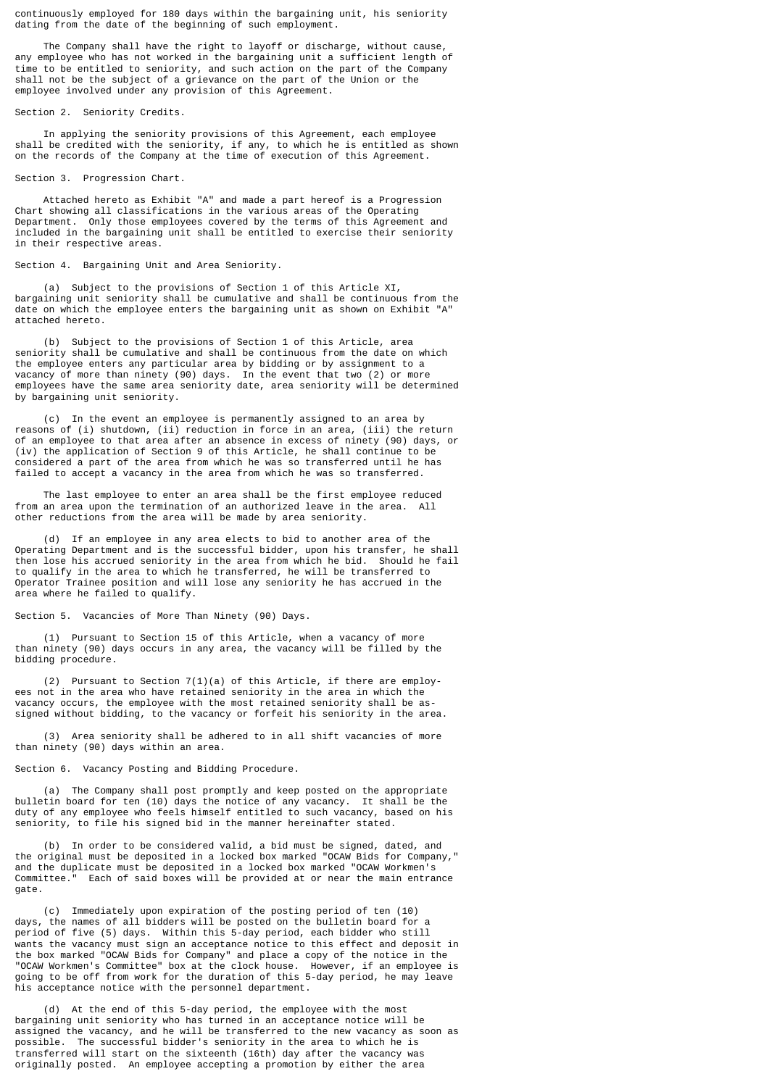continuously employed for 180 days within the bargaining unit, his seniority dating from the date of the beginning of such employment.

 The Company shall have the right to layoff or discharge, without cause, any employee who has not worked in the bargaining unit a sufficient length of time to be entitled to seniority, and such action on the part of the Company shall not be the subject of a grievance on the part of the Union or the employee involved under any provision of this Agreement.

Section 2. Seniority Credits.

 In applying the seniority provisions of this Agreement, each employee shall be credited with the seniority, if any, to which he is entitled as shown on the records of the Company at the time of execution of this Agreement.

Section 3. Progression Chart.

 Attached hereto as Exhibit "A" and made a part hereof is a Progression Chart showing all classifications in the various areas of the Operating Department. Only those employees covered by the terms of this Agreement and included in the bargaining unit shall be entitled to exercise their seniority in their respective areas.

## Section 4. Bargaining Unit and Area Seniority.

 (a) Subject to the provisions of Section 1 of this Article XI, bargaining unit seniority shall be cumulative and shall be continuous from the date on which the employee enters the bargaining unit as shown on Exhibit "A" attached hereto.

 (b) Subject to the provisions of Section 1 of this Article, area seniority shall be cumulative and shall be continuous from the date on which the employee enters any particular area by bidding or by assignment to a vacancy of more than ninety (90) days. In the event that two (2) or more employees have the same area seniority date, area seniority will be determined by bargaining unit seniority.

 (c) In the event an employee is permanently assigned to an area by reasons of (i) shutdown, (ii) reduction in force in an area, (iii) the return of an employee to that area after an absence in excess of ninety (90) days, or (iv) the application of Section 9 of this Article, he shall continue to be considered a part of the area from which he was so transferred until he has failed to accept a vacancy in the area from which he was so transferred.

 The last employee to enter an area shall be the first employee reduced from an area upon the termination of an authorized leave in the area. All other reductions from the area will be made by area seniority.

 (d) If an employee in any area elects to bid to another area of the Operating Department and is the successful bidder, upon his transfer, he shall then lose his accrued seniority in the area from which he bid. Should he fail to qualify in the area to which he transferred, he will be transferred to Operator Trainee position and will lose any seniority he has accrued in the area where he failed to qualify.

Section 5. Vacancies of More Than Ninety (90) Days.

 (1) Pursuant to Section 15 of this Article, when a vacancy of more than ninety (90) days occurs in any area, the vacancy will be filled by the bidding procedure.

 (2) Pursuant to Section 7(1)(a) of this Article, if there are employees not in the area who have retained seniority in the area in which the vacancy occurs, the employee with the most retained seniority shall be assigned without bidding, to the vacancy or forfeit his seniority in the area.

 (3) Area seniority shall be adhered to in all shift vacancies of more than ninety (90) days within an area.

Section 6. Vacancy Posting and Bidding Procedure.

 (a) The Company shall post promptly and keep posted on the appropriate bulletin board for ten (10) days the notice of any vacancy. It shall be the duty of any employee who feels himself entitled to such vacancy, based on his seniority, to file his signed bid in the manner hereinafter stated.

 (b) In order to be considered valid, a bid must be signed, dated, and the original must be deposited in a locked box marked "OCAW Bids for Company," and the duplicate must be deposited in a locked box marked "OCAW Workmen's Committee." Each of said boxes will be provided at or near the main entrance gate.

 (c) Immediately upon expiration of the posting period of ten (10) days, the names of all bidders will be posted on the bulletin board for a period of five (5) days. Within this 5-day period, each bidder who still wants the vacancy must sign an acceptance notice to this effect and deposit in the box marked "OCAW Bids for Company" and place a copy of the notice in the "OCAW Workmen's Committee" box at the clock house. However, if an employee is going to be off from work for the duration of this 5-day period, he may leave his acceptance notice with the personnel department.

 (d) At the end of this 5-day period, the employee with the most bargaining unit seniority who has turned in an acceptance notice will be assigned the vacancy, and he will be transferred to the new vacancy as soon as possible. The successful bidder's seniority in the area to which he is transferred will start on the sixteenth (16th) day after the vacancy was originally posted. An employee accepting a promotion by either the area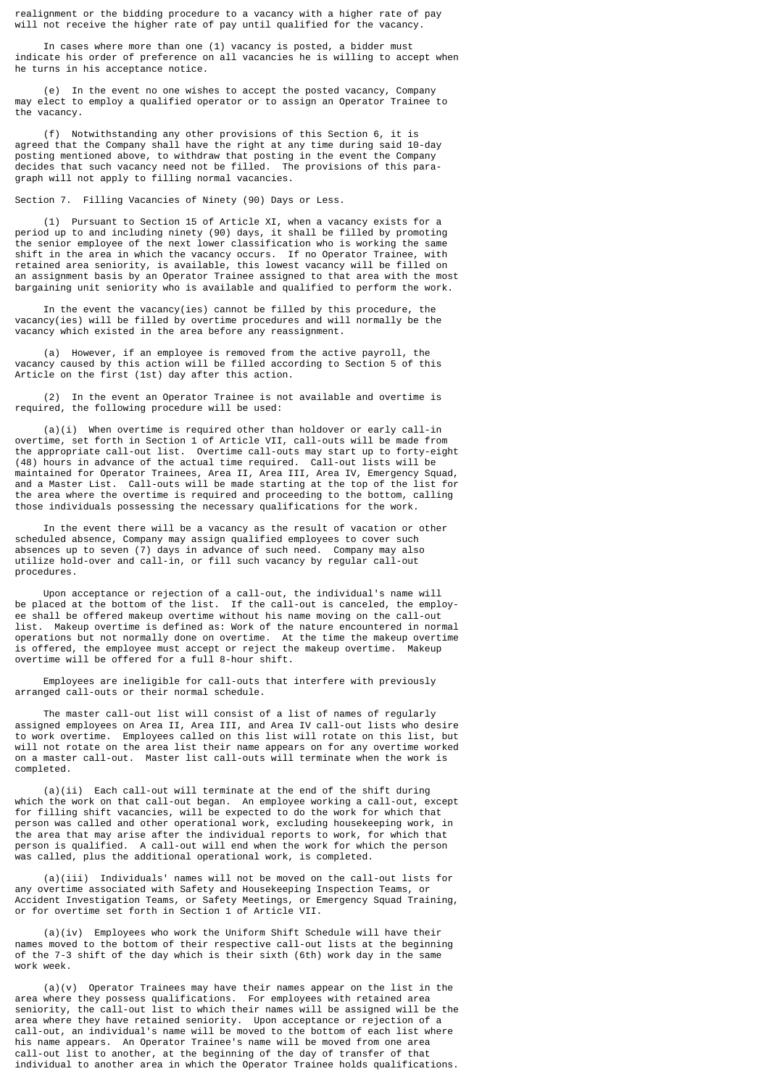realignment or the bidding procedure to a vacancy with a higher rate of pay will not receive the higher rate of pay until qualified for the vacancy.

 In cases where more than one (1) vacancy is posted, a bidder must indicate his order of preference on all vacancies he is willing to accept when he turns in his acceptance notice.

 (e) In the event no one wishes to accept the posted vacancy, Company may elect to employ a qualified operator or to assign an Operator Trainee to the vacancy.

 (f) Notwithstanding any other provisions of this Section 6, it is agreed that the Company shall have the right at any time during said 10-day posting mentioned above, to withdraw that posting in the event the Company decides that such vacancy need not be filled. The provisions of this paragraph will not apply to filling normal vacancies.

Section 7. Filling Vacancies of Ninety (90) Days or Less.

 (1) Pursuant to Section 15 of Article XI, when a vacancy exists for a period up to and including ninety (90) days, it shall be filled by promoting the senior employee of the next lower classification who is working the same shift in the area in which the vacancy occurs. If no Operator Trainee, with retained area seniority, is available, this lowest vacancy will be filled on an assignment basis by an Operator Trainee assigned to that area with the most bargaining unit seniority who is available and qualified to perform the work.

 In the event the vacancy(ies) cannot be filled by this procedure, the vacancy(ies) will be filled by overtime procedures and will normally be the vacancy which existed in the area before any reassignment.

 (a) However, if an employee is removed from the active payroll, the vacancy caused by this action will be filled according to Section 5 of this Article on the first (1st) day after this action.

 (2) In the event an Operator Trainee is not available and overtime is required, the following procedure will be used:

 (a)(i) When overtime is required other than holdover or early call-in overtime, set forth in Section 1 of Article VII, call-outs will be made from the appropriate call-out list. Overtime call-outs may start up to forty-eight (48) hours in advance of the actual time required. Call-out lists will be maintained for Operator Trainees, Area II, Area III, Area IV, Emergency Squad, and a Master List. Call-outs will be made starting at the top of the list for the area where the overtime is required and proceeding to the bottom, calling those individuals possessing the necessary qualifications for the work.

 In the event there will be a vacancy as the result of vacation or other scheduled absence, Company may assign qualified employees to cover such absences up to seven (7) days in advance of such need. Company may also utilize hold-over and call-in, or fill such vacancy by regular call-out procedures.

 Upon acceptance or rejection of a call-out, the individual's name will be placed at the bottom of the list. If the call-out is canceled, the employee shall be offered makeup overtime without his name moving on the call-out list. Makeup overtime is defined as: Work of the nature encountered in normal operations but not normally done on overtime. At the time the makeup overtime is offered, the employee must accept or reject the makeup overtime. Makeup overtime will be offered for a full 8-hour shift.

 Employees are ineligible for call-outs that interfere with previously arranged call-outs or their normal schedule.

 The master call-out list will consist of a list of names of regularly assigned employees on Area II, Area III, and Area IV call-out lists who desire to work overtime. Employees called on this list will rotate on this list, but will not rotate on the area list their name appears on for any overtime worked on a master call-out. Master list call-outs will terminate when the work is completed.

 (a)(ii) Each call-out will terminate at the end of the shift during which the work on that call-out began. An employee working a call-out, except for filling shift vacancies, will be expected to do the work for which that person was called and other operational work, excluding housekeeping work, in the area that may arise after the individual reports to work, for which that person is qualified. A call-out will end when the work for which the person was called, plus the additional operational work, is completed.

 (a)(iii) Individuals' names will not be moved on the call-out lists for any overtime associated with Safety and Housekeeping Inspection Teams, or Accident Investigation Teams, or Safety Meetings, or Emergency Squad Training, or for overtime set forth in Section 1 of Article VII.

 (a)(iv) Employees who work the Uniform Shift Schedule will have their names moved to the bottom of their respective call-out lists at the beginning of the 7-3 shift of the day which is their sixth (6th) work day in the same work week.

 (a)(v) Operator Trainees may have their names appear on the list in the area where they possess qualifications. For employees with retained area seniority, the call-out list to which their names will be assigned will be the area where they have retained seniority. Upon acceptance or rejection of a call-out, an individual's name will be moved to the bottom of each list where his name appears. An Operator Trainee's name will be moved from one area call-out list to another, at the beginning of the day of transfer of that individual to another area in which the Operator Trainee holds qualifications.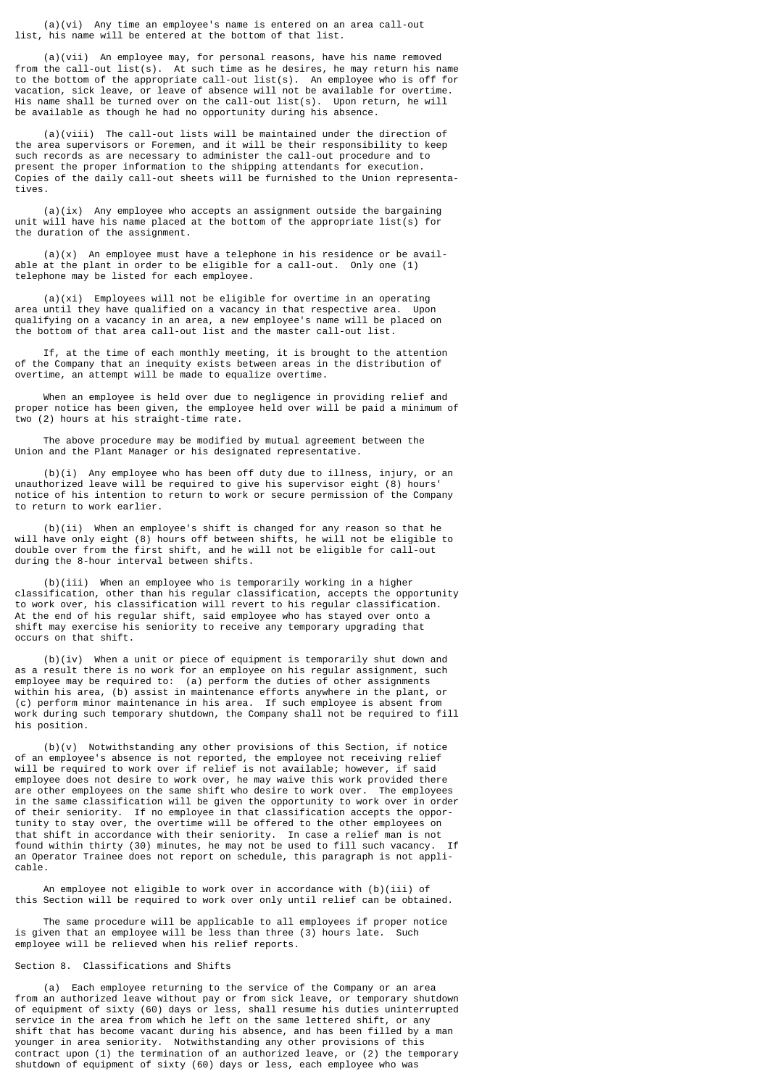(a)(vi) Any time an employee's name is entered on an area call-out list, his name will be entered at the bottom of that list.

 (a)(vii) An employee may, for personal reasons, have his name removed from the call-out list(s). At such time as he desires, he may return his name to the bottom of the appropriate call-out list(s). An employee who is off for vacation, sick leave, or leave of absence will not be available for overtime. His name shall be turned over on the call-out list(s). Upon return, he will be available as though he had no opportunity during his absence.

 (a)(viii) The call-out lists will be maintained under the direction of the area supervisors or Foremen, and it will be their responsibility to keep such records as are necessary to administer the call-out procedure and to present the proper information to the shipping attendants for execution. Copies of the daily call-out sheets will be furnished to the Union representatives.

 $(a)(ix)$  Any employee who accepts an assignment outside the bargaining unit will have his name placed at the bottom of the appropriate list(s) for the duration of the assignment.

 $(a)(x)$  An employee must have a telephone in his residence or be available at the plant in order to be eligible for a call-out. Only one (1) telephone may be listed for each employee.

 (a)(xi) Employees will not be eligible for overtime in an operating area until they have qualified on a vacancy in that respective area. Upon qualifying on a vacancy in an area, a new employee's name will be placed on the bottom of that area call-out list and the master call-out list.

 If, at the time of each monthly meeting, it is brought to the attention of the Company that an inequity exists between areas in the distribution of overtime, an attempt will be made to equalize overtime.

 When an employee is held over due to negligence in providing relief and proper notice has been given, the employee held over will be paid a minimum of two (2) hours at his straight-time rate.

 The above procedure may be modified by mutual agreement between the Union and the Plant Manager or his designated representative.

 (b)(i) Any employee who has been off duty due to illness, injury, or an unauthorized leave will be required to give his supervisor eight (8) hours' notice of his intention to return to work or secure permission of the Company to return to work earlier.

 (b)(ii) When an employee's shift is changed for any reason so that he will have only eight (8) hours off between shifts, he will not be eligible to double over from the first shift, and he will not be eligible for call-out during the 8-hour interval between shifts.

 (b)(iii) When an employee who is temporarily working in a higher classification, other than his regular classification, accepts the opportunity to work over, his classification will revert to his regular classification. At the end of his regular shift, said employee who has stayed over onto a shift may exercise his seniority to receive any temporary upgrading that occurs on that shift.

 (b)(iv) When a unit or piece of equipment is temporarily shut down and as a result there is no work for an employee on his regular assignment, such employee may be required to: (a) perform the duties of other assignments within his area, (b) assist in maintenance efforts anywhere in the plant, or (c) perform minor maintenance in his area. If such employee is absent from work during such temporary shutdown, the Company shall not be required to fill his position.

 (b)(v) Notwithstanding any other provisions of this Section, if notice of an employee's absence is not reported, the employee not receiving relief will be required to work over if relief is not available; however, if said employee does not desire to work over, he may waive this work provided there are other employees on the same shift who desire to work over. The employees in the same classification will be given the opportunity to work over in order of their seniority. If no employee in that classification accepts the opportunity to stay over, the overtime will be offered to the other employees on that shift in accordance with their seniority. In case a relief man is not found within thirty (30) minutes, he may not be used to fill such vacancy. If an Operator Trainee does not report on schedule, this paragraph is not applicable.

 An employee not eligible to work over in accordance with (b)(iii) of this Section will be required to work over only until relief can be obtained.

 The same procedure will be applicable to all employees if proper notice is given that an employee will be less than three (3) hours late. Such employee will be relieved when his relief reports.

## Section 8. Classifications and Shifts

 (a) Each employee returning to the service of the Company or an area from an authorized leave without pay or from sick leave, or temporary shutdown of equipment of sixty (60) days or less, shall resume his duties uninterrupted service in the area from which he left on the same lettered shift, or any shift that has become vacant during his absence, and has been filled by a man younger in area seniority. Notwithstanding any other provisions of this contract upon (1) the termination of an authorized leave, or (2) the temporary shutdown of equipment of sixty (60) days or less, each employee who was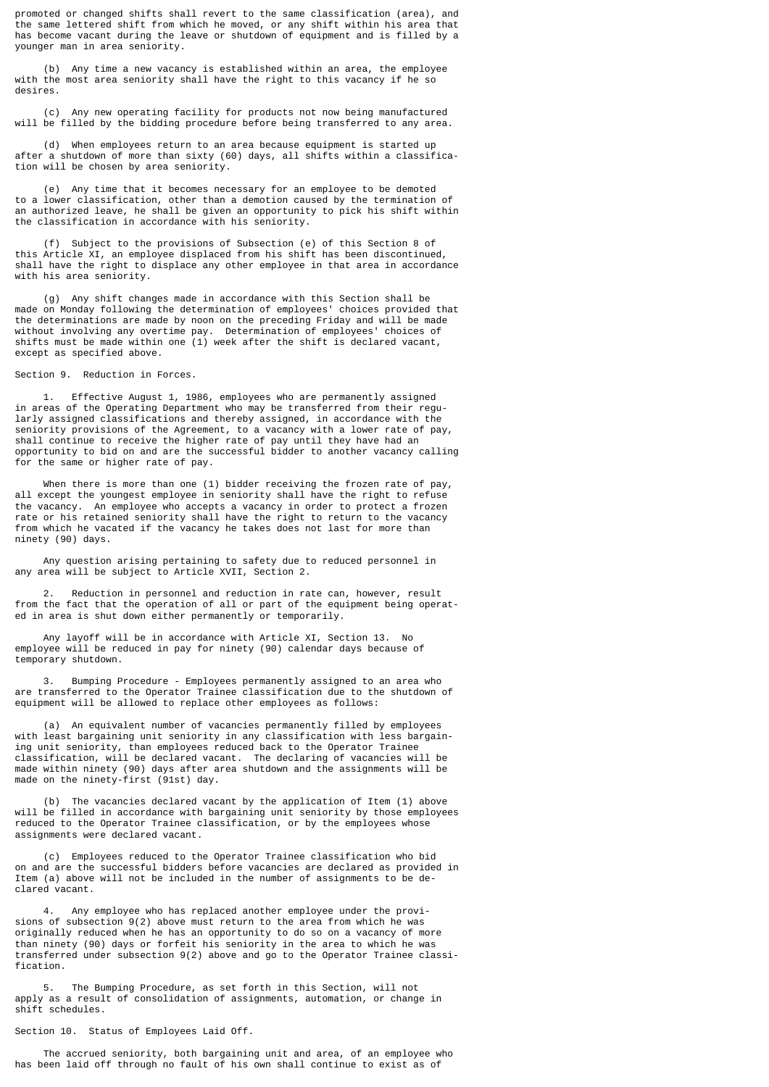promoted or changed shifts shall revert to the same classification (area), and the same lettered shift from which he moved, or any shift within his area that has become vacant during the leave or shutdown of equipment and is filled by a younger man in area seniority.

 (b) Any time a new vacancy is established within an area, the employee with the most area seniority shall have the right to this vacancy if he so desires.

 (c) Any new operating facility for products not now being manufactured will be filled by the bidding procedure before being transferred to any area.

 (d) When employees return to an area because equipment is started up after a shutdown of more than sixty (60) days, all shifts within a classification will be chosen by area seniority.

 (e) Any time that it becomes necessary for an employee to be demoted to a lower classification, other than a demotion caused by the termination of an authorized leave, he shall be given an opportunity to pick his shift within the classification in accordance with his seniority.

 (f) Subject to the provisions of Subsection (e) of this Section 8 of this Article XI, an employee displaced from his shift has been discontinued, shall have the right to displace any other employee in that area in accordance with his area seniority.

 (g) Any shift changes made in accordance with this Section shall be made on Monday following the determination of employees' choices provided that the determinations are made by noon on the preceding Friday and will be made without involving any overtime pay. Determination of employees' choices of shifts must be made within one (1) week after the shift is declared vacant, except as specified above.

Section 9. Reduction in Forces.

 1. Effective August 1, 1986, employees who are permanently assigned in areas of the Operating Department who may be transferred from their regularly assigned classifications and thereby assigned, in accordance with the seniority provisions of the Agreement, to a vacancy with a lower rate of pay, shall continue to receive the higher rate of pay until they have had an opportunity to bid on and are the successful bidder to another vacancy calling for the same or higher rate of pay.

 When there is more than one (1) bidder receiving the frozen rate of pay, all except the youngest employee in seniority shall have the right to refuse the vacancy. An employee who accepts a vacancy in order to protect a frozen rate or his retained seniority shall have the right to return to the vacancy from which he vacated if the vacancy he takes does not last for more than ninety (90) days.

 Any question arising pertaining to safety due to reduced personnel in any area will be subject to Article XVII, Section 2.

Reduction in personnel and reduction in rate can, however, result from the fact that the operation of all or part of the equipment being operated in area is shut down either permanently or temporarily.

 Any layoff will be in accordance with Article XI, Section 13. No employee will be reduced in pay for ninety (90) calendar days because of temporary shutdown.

 3. Bumping Procedure - Employees permanently assigned to an area who are transferred to the Operator Trainee classification due to the shutdown of equipment will be allowed to replace other employees as follows:

 (a) An equivalent number of vacancies permanently filled by employees with least bargaining unit seniority in any classification with less bargaining unit seniority, than employees reduced back to the Operator Trainee classification, will be declared vacant. The declaring of vacancies will be made within ninety (90) days after area shutdown and the assignments will be made on the ninety-first (91st) day.

 (b) The vacancies declared vacant by the application of Item (1) above will be filled in accordance with bargaining unit seniority by those employees reduced to the Operator Trainee classification, or by the employees whose assignments were declared vacant.

 (c) Employees reduced to the Operator Trainee classification who bid on and are the successful bidders before vacancies are declared as provided in Item (a) above will not be included in the number of assignments to be declared vacant.

 4. Any employee who has replaced another employee under the provisions of subsection 9(2) above must return to the area from which he was originally reduced when he has an opportunity to do so on a vacancy of more than ninety (90) days or forfeit his seniority in the area to which he was transferred under subsection 9(2) above and go to the Operator Trainee classification.

 5. The Bumping Procedure, as set forth in this Section, will not apply as a result of consolidation of assignments, automation, or change in shift schedules.

Section 10. Status of Employees Laid Off.

 The accrued seniority, both bargaining unit and area, of an employee who has been laid off through no fault of his own shall continue to exist as of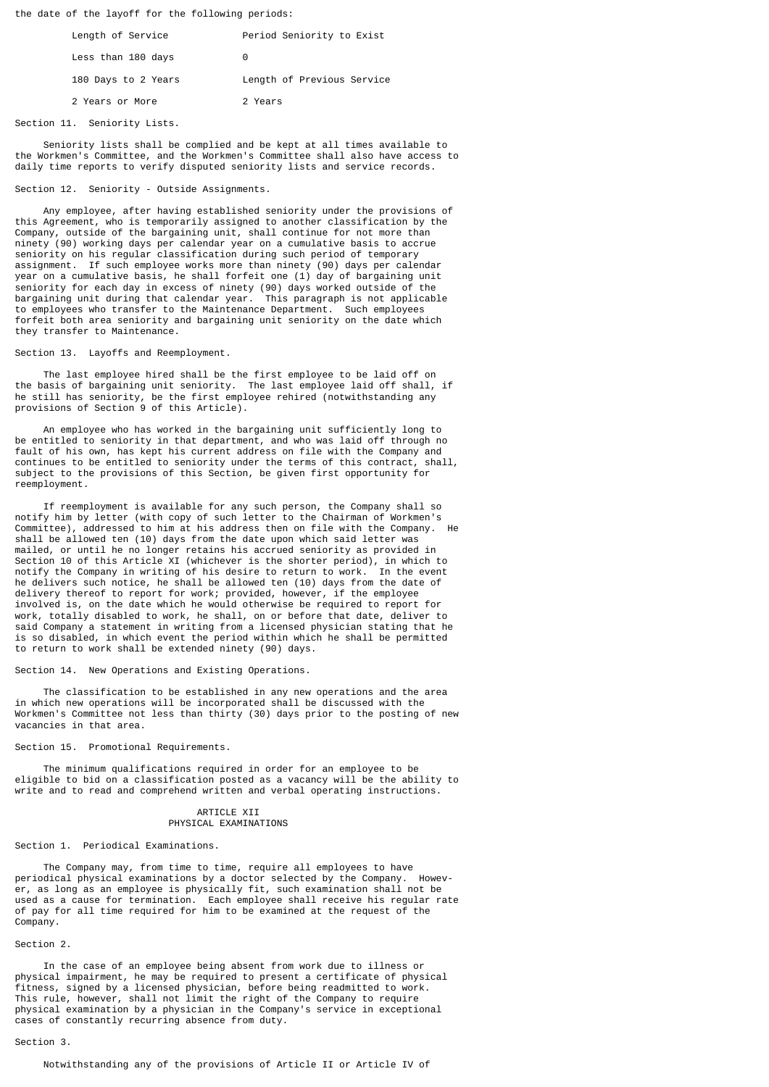the date of the layoff for the following periods:

| Length of Service   | Period Seniority to Exist  |
|---------------------|----------------------------|
| Less than 180 days  | Θ                          |
| 180 Days to 2 Years | Length of Previous Service |
| 2 Years or More     | 2 Years                    |

Section 11. Seniority Lists.

 Seniority lists shall be complied and be kept at all times available to the Workmen's Committee, and the Workmen's Committee shall also have access to daily time reports to verify disputed seniority lists and service records.

## Section 12. Seniority - Outside Assignments.

 Any employee, after having established seniority under the provisions of this Agreement, who is temporarily assigned to another classification by the Company, outside of the bargaining unit, shall continue for not more than ninety (90) working days per calendar year on a cumulative basis to accrue seniority on his regular classification during such period of temporary assignment. If such employee works more than ninety (90) days per calendar year on a cumulative basis, he shall forfeit one (1) day of bargaining unit seniority for each day in excess of ninety (90) days worked outside of the bargaining unit during that calendar year. This paragraph is not applicable to employees who transfer to the Maintenance Department. Such employees forfeit both area seniority and bargaining unit seniority on the date which they transfer to Maintenance.

#### Section 13. Layoffs and Reemployment.

 The last employee hired shall be the first employee to be laid off on the basis of bargaining unit seniority. The last employee laid off shall, if he still has seniority, be the first employee rehired (notwithstanding any provisions of Section 9 of this Article).

 An employee who has worked in the bargaining unit sufficiently long to be entitled to seniority in that department, and who was laid off through no fault of his own, has kept his current address on file with the Company and<br>continues to be entitled to seniority under the terms of this contract, shall, continues to be entitled to seniority under the terms of this contract, subject to the provisions of this Section, be given first opportunity for reemployment.

 If reemployment is available for any such person, the Company shall so notify him by letter (with copy of such letter to the Chairman of Workmen's Committee), addressed to him at his address then on file with the Company. He shall be allowed ten (10) days from the date upon which said letter was mailed, or until he no longer retains his accrued seniority as provided in Section 10 of this Article XI (whichever is the shorter period), in which to notify the Company in writing of his desire to return to work. In the event notify the Company in writing of his desire to return to work. he delivers such notice, he shall be allowed ten (10) days from the date of delivery thereof to report for work; provided, however, if the employee involved is, on the date which he would otherwise be required to report for work, totally disabled to work, he shall, on or before that date, deliver to said Company a statement in writing from a licensed physician stating that he is so disabled, in which event the period within which he shall be permitted to return to work shall be extended ninety (90) days.

## Section 14. New Operations and Existing Operations.

 The classification to be established in any new operations and the area in which new operations will be incorporated shall be discussed with the Workmen's Committee not less than thirty (30) days prior to the posting of new vacancies in that area.

## Section 15. Promotional Requirements.

 The minimum qualifications required in order for an employee to be eligible to bid on a classification posted as a vacancy will be the ability to write and to read and comprehend written and verbal operating instructions.

### ARTICLE XII PHYSICAL EXAMINATIONS

### Section 1. Periodical Examinations.

 The Company may, from time to time, require all employees to have periodical physical examinations by a doctor selected by the Company. However, as long as an employee is physically fit, such examination shall not be used as a cause for termination. Each employee shall receive his regular rate of pay for all time required for him to be examined at the request of the Company.

#### Section 2.

 In the case of an employee being absent from work due to illness or physical impairment, he may be required to present a certificate of physical fitness, signed by a licensed physician, before being readmitted to work. This rule, however, shall not limit the right of the Company to require physical examination by a physician in the Company's service in exceptional cases of constantly recurring absence from duty.

#### Section 3.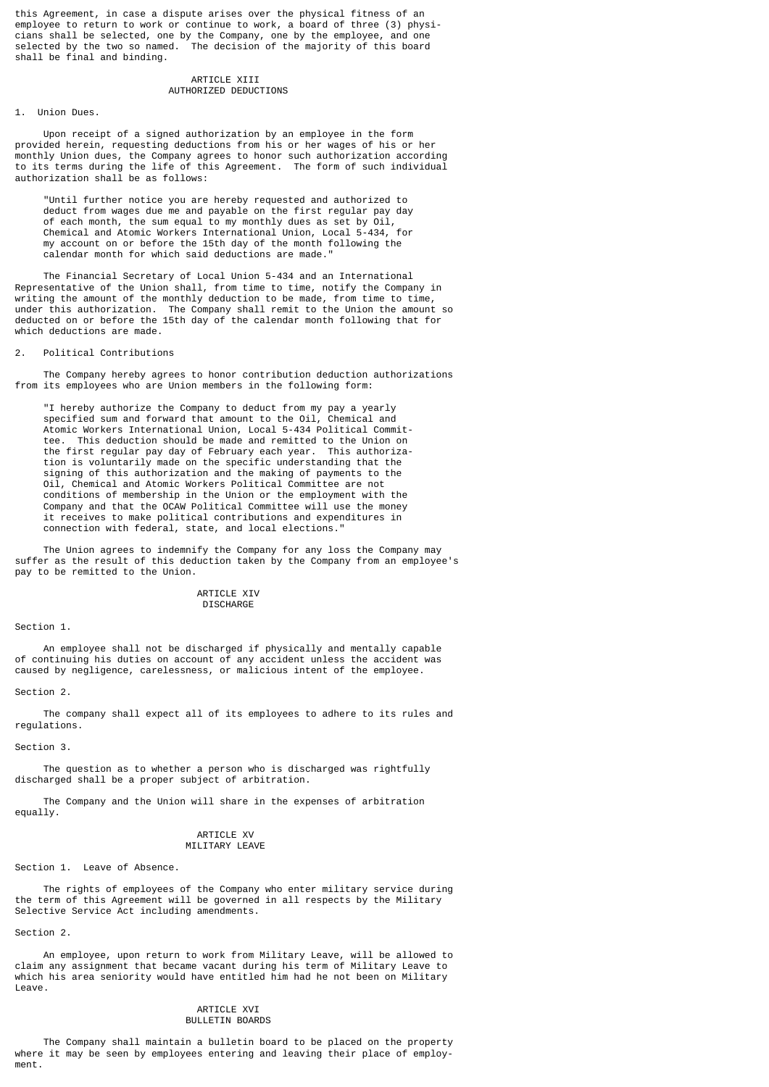this Agreement, in case a dispute arises over the physical fitness of an employee to return to work or continue to work, a board of three (3) physicians shall be selected, one by the Company, one by the employee, and one selected by the two so named. The decision of the majority of this board shall be final and binding.

## ARTICLE XIII AUTHORIZED DEDUCTIONS

#### 1. Union Dues.

 Upon receipt of a signed authorization by an employee in the form provided herein, requesting deductions from his or her wages of his or her monthly Union dues, the Company agrees to honor such authorization according to its terms during the life of this Agreement. The form of such individual authorization shall be as follows:

 "Until further notice you are hereby requested and authorized to deduct from wages due me and payable on the first regular pay day of each month, the sum equal to my monthly dues as set by Oil, Chemical and Atomic Workers International Union, Local 5-434, for my account on or before the 15th day of the month following the calendar month for which said deductions are made."

 The Financial Secretary of Local Union 5-434 and an International Representative of the Union shall, from time to time, notify the Company in writing the amount of the monthly deduction to be made, from time to time, under this authorization. The Company shall remit to the Union the amount so deducted on or before the 15th day of the calendar month following that for which deductions are made.

## 2. Political Contributions

 The Company hereby agrees to honor contribution deduction authorizations from its employees who are Union members in the following form:

 "I hereby authorize the Company to deduct from my pay a yearly specified sum and forward that amount to the Oil, Chemical and Atomic Workers International Union, Local 5-434 Political Commit tee. This deduction should be made and remitted to the Union on the first regular pay day of February each year. This authoriza tion is voluntarily made on the specific understanding that the signing of this authorization and the making of payments to the Oil, Chemical and Atomic Workers Political Committee are not conditions of membership in the Union or the employment with the Company and that the OCAW Political Committee will use the money it receives to make political contributions and expenditures in connection with federal, state, and local elections."

 The Union agrees to indemnify the Company for any loss the Company may suffer as the result of this deduction taken by the Company from an employee's pay to be remitted to the Union.

#### ARTICLE XIV **DISCHARGE**

Section 1.

 An employee shall not be discharged if physically and mentally capable of continuing his duties on account of any accident unless the accident was caused by negligence, carelessness, or malicious intent of the employee.

Section 2.

 The company shall expect all of its employees to adhere to its rules and regulations.

Section 3.

The question as to whether a person who is discharged was rightfully discharged shall be a proper subject of arbitration.

 The Company and the Union will share in the expenses of arbitration equally.

### ARTICLE XV MILITARY LEAVE

Section 1. Leave of Absence.

 The rights of employees of the Company who enter military service during the term of this Agreement will be governed in all respects by the Military Selective Service Act including amendments.

Section 2.

 An employee, upon return to work from Military Leave, will be allowed to claim any assignment that became vacant during his term of Military Leave to which his area seniority would have entitled him had he not been on Military Leave.

#### ARTICLE XVI BULLETIN BOARDS

 The Company shall maintain a bulletin board to be placed on the property where it may be seen by employees entering and leaving their place of employment.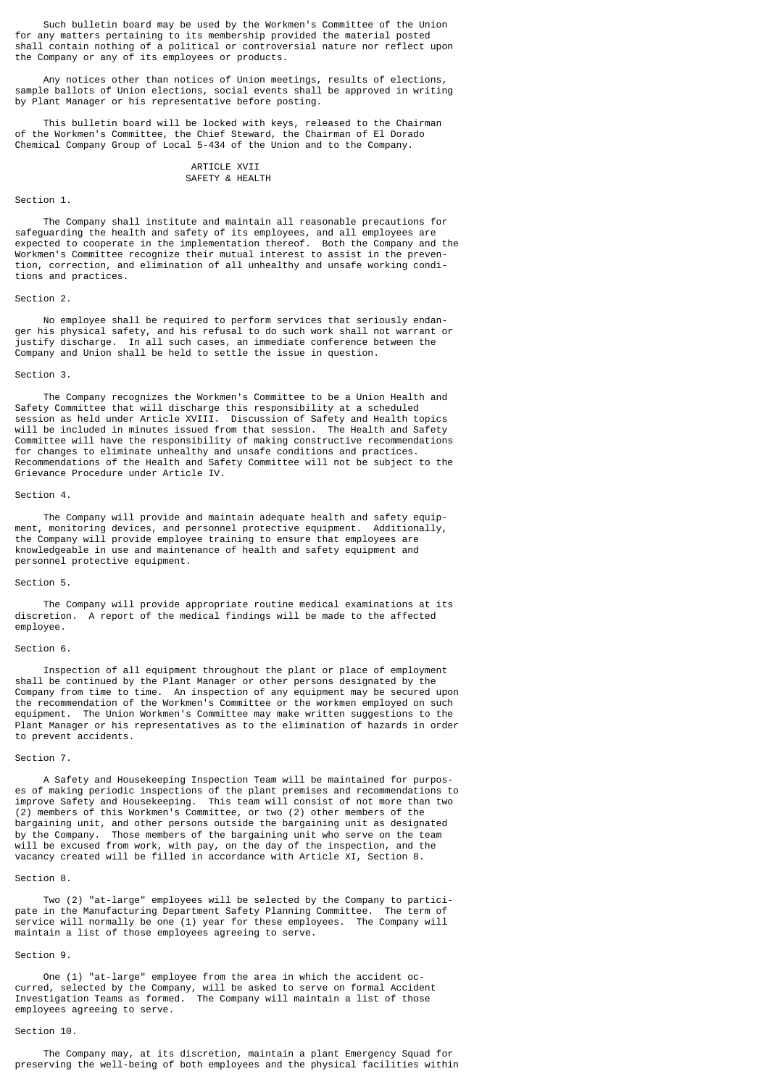Such bulletin board may be used by the Workmen's Committee of the Union for any matters pertaining to its membership provided the material posted shall contain nothing of a political or controversial nature nor reflect upon the Company or any of its employees or products.

 Any notices other than notices of Union meetings, results of elections, sample ballots of Union elections, social events shall be approved in writing by Plant Manager or his representative before posting.

 This bulletin board will be locked with keys, released to the Chairman of the Workmen's Committee, the Chief Steward, the Chairman of El Dorado Chemical Company Group of Local 5-434 of the Union and to the Company.

## ARTICLE XVII SAFETY & HEALTH

## Section 1.

 The Company shall institute and maintain all reasonable precautions for safeguarding the health and safety of its employees, and all employees are expected to cooperate in the implementation thereof. Both the Company and the Workmen's Committee recognize their mutual interest to assist in the prevention, correction, and elimination of all unhealthy and unsafe working conditions and practices.

#### Section 2.

 No employee shall be required to perform services that seriously endanger his physical safety, and his refusal to do such work shall not warrant or justify discharge. In all such cases, an immediate conference between the Company and Union shall be held to settle the issue in question.

#### Section 3.

 The Company recognizes the Workmen's Committee to be a Union Health and Safety Committee that will discharge this responsibility at a scheduled session as held under Article XVIII. Discussion of Safety and Health topics will be included in minutes issued from that session. The Health and Safety Committee will have the responsibility of making constructive recommendations for changes to eliminate unhealthy and unsafe conditions and practices. Recommendations of the Health and Safety Committee will not be subject to the Grievance Procedure under Article IV.

#### Section 4.

 The Company will provide and maintain adequate health and safety equipment, monitoring devices, and personnel protective equipment. Additionally, the Company will provide employee training to ensure that employees are knowledgeable in use and maintenance of health and safety equipment and personnel protective equipment.

#### Section 5.

 The Company will provide appropriate routine medical examinations at its discretion. A report of the medical findings will be made to the affected employee.

#### Section 6.

 Inspection of all equipment throughout the plant or place of employment shall be continued by the Plant Manager or other persons designated by the Company from time to time. An inspection of any equipment may be secured upon the recommendation of the Workmen's Committee or the workmen employed on such equipment. The Union Workmen's Committee may make written suggestions to the Plant Manager or his representatives as to the elimination of hazards in order to prevent accidents.

### Section 7.

 A Safety and Housekeeping Inspection Team will be maintained for purposes of making periodic inspections of the plant premises and recommendations to improve Safety and Housekeeping. This team will consist of not more than two (2) members of this Workmen's Committee, or two (2) other members of the bargaining unit, and other persons outside the bargaining unit as designated by the Company. Those members of the bargaining unit who serve on the team will be excused from work, with pay, on the day of the inspection, and the vacancy created will be filled in accordance with Article XI, Section 8.

#### Section 8.

 Two (2) "at-large" employees will be selected by the Company to participate in the Manufacturing Department Safety Planning Committee. The term of service will normally be one (1) year for these employees. The Company will maintain a list of those employees agreeing to serve.

## Section 9.

 One (1) "at-large" employee from the area in which the accident occurred, selected by the Company, will be asked to serve on formal Accident Investigation Teams as formed. The Company will maintain a list of those employees agreeing to serve.

### Section 10.

 The Company may, at its discretion, maintain a plant Emergency Squad for preserving the well-being of both employees and the physical facilities within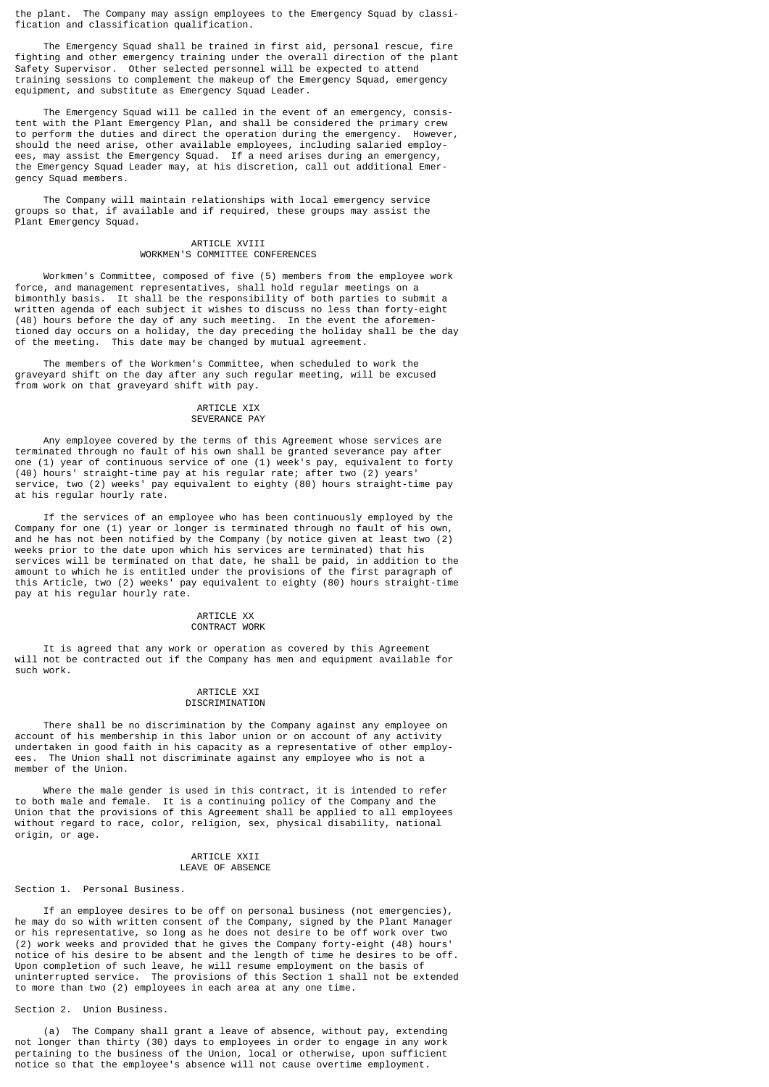the plant. The Company may assign employees to the Emergency Squad by classification and classification qualification.

 The Emergency Squad shall be trained in first aid, personal rescue, fire fighting and other emergency training under the overall direction of the plant Safety Supervisor. Other selected personnel will be expected to attend training sessions to complement the makeup of the Emergency Squad, emergency equipment, and substitute as Emergency Squad Leader.

 The Emergency Squad will be called in the event of an emergency, consistent with the Plant Emergency Plan, and shall be considered the primary crew to perform the duties and direct the operation during the emergency. However, should the need arise, other available employees, including salaried employees, may assist the Emergency Squad. If a need arises during an emergency, the Emergency Squad Leader may, at his discretion, call out additional Emergency Squad members.

 The Company will maintain relationships with local emergency service groups so that, if available and if required, these groups may assist the Plant Emergency Squad.

## ARTICLE XVIII WORKMEN'S COMMITTEE CONFERENCES

 Workmen's Committee, composed of five (5) members from the employee work force, and management representatives, shall hold regular meetings on a bimonthly basis. It shall be the responsibility of both parties to submit a written agenda of each subject it wishes to discuss no less than forty-eight (48) hours before the day of any such meeting. In the event the aforementioned day occurs on a holiday, the day preceding the holiday shall be the day of the meeting. This date may be changed by mutual agreement.

 The members of the Workmen's Committee, when scheduled to work the graveyard shift on the day after any such regular meeting, will be excused from work on that graveyard shift with pay.

#### ARTICLE XIX SEVERANCE PAY

 Any employee covered by the terms of this Agreement whose services are terminated through no fault of his own shall be granted severance pay after one (1) year of continuous service of one (1) week's pay, equivalent to forty (40) hours' straight-time pay at his regular rate; after two (2) years' service, two (2) weeks' pay equivalent to eighty (80) hours straight-time pay at his regular hourly rate.

 If the services of an employee who has been continuously employed by the Company for one (1) year or longer is terminated through no fault of his own, and he has not been notified by the Company (by notice given at least two (2) weeks prior to the date upon which his services are terminated) that his services will be terminated on that date, he shall be paid, in addition to the amount to which he is entitled under the provisions of the first paragraph of this Article, two (2) weeks' pay equivalent to eighty (80) hours straight-time pay at his regular hourly rate.

## ARTICLE XX CONTRACT WORK

 It is agreed that any work or operation as covered by this Agreement will not be contracted out if the Company has men and equipment available for such work.

### ARTICLE XXI DISCRIMINATION

 There shall be no discrimination by the Company against any employee on account of his membership in this labor union or on account of any activity undertaken in good faith in his capacity as a representative of other employees. The Union shall not discriminate against any employee who is not a member of the Union.

 Where the male gender is used in this contract, it is intended to refer to both male and female. It is a continuing policy of the Company and the Union that the provisions of this Agreement shall be applied to all employees without regard to race, color, religion, sex, physical disability, national origin, or age.

## ARTICLE XXII LEAVE OF ABSENCE

## Section 1. Personal Business.

 If an employee desires to be off on personal business (not emergencies), he may do so with written consent of the Company, signed by the Plant Manager or his representative, so long as he does not desire to be off work over two (2) work weeks and provided that he gives the Company forty-eight (48) hours' notice of his desire to be absent and the length of time he desires to be off. Upon completion of such leave, he will resume employment on the basis of uninterrupted service. The provisions of this Section 1 shall not be extended to more than two (2) employees in each area at any one time.

## Section 2. Union Business.

 (a) The Company shall grant a leave of absence, without pay, extending not longer than thirty (30) days to employees in order to engage in any work pertaining to the business of the Union, local or otherwise, upon sufficient notice so that the employee's absence will not cause overtime employment.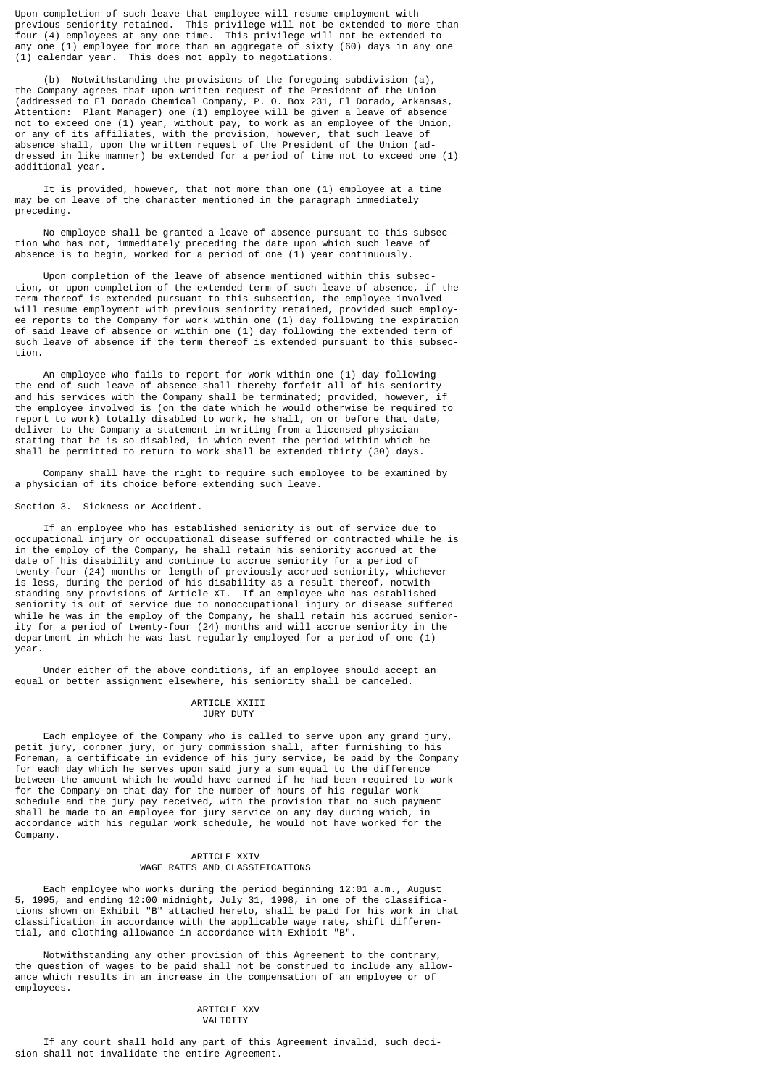Upon completion of such leave that employee will resume employment with previous seniority retained. This privilege will not be extended to more than four (4) employees at any one time. This privilege will not be extended to any one (1) employee for more than an aggregate of sixty (60) days in any one (1) calendar year. This does not apply to negotiations.

 (b) Notwithstanding the provisions of the foregoing subdivision (a), the Company agrees that upon written request of the President of the Union (addressed to El Dorado Chemical Company, P. O. Box 231, El Dorado, Arkansas, Attention: Plant Manager) one (1) employee will be given a leave of absence not to exceed one (1) year, without pay, to work as an employee of the Union, or any of its affiliates, with the provision, however, that such leave of absence shall, upon the written request of the President of the Union (addressed in like manner) be extended for a period of time not to exceed one (1) additional year.

 It is provided, however, that not more than one (1) employee at a time may be on leave of the character mentioned in the paragraph immediately preceding.

 No employee shall be granted a leave of absence pursuant to this subsection who has not, immediately preceding the date upon which such leave of absence is to begin, worked for a period of one (1) year continuously.

 Upon completion of the leave of absence mentioned within this subsection, or upon completion of the extended term of such leave of absence, if the term thereof is extended pursuant to this subsection, the employee involved will resume employment with previous seniority retained, provided such employee reports to the Company for work within one (1) day following the expiration of said leave of absence or within one (1) day following the extended term of such leave of absence if the term thereof is extended pursuant to this subsection.

 An employee who fails to report for work within one (1) day following the end of such leave of absence shall thereby forfeit all of his seniority and his services with the Company shall be terminated; provided, however, if the employee involved is (on the date which he would otherwise be required to report to work) totally disabled to work, he shall, on or before that date, deliver to the Company a statement in writing from a licensed physician stating that he is so disabled, in which event the period within which he shall be permitted to return to work shall be extended thirty (30) days.

 Company shall have the right to require such employee to be examined by a physician of its choice before extending such leave.

#### Section 3. Sickness or Accident.

 If an employee who has established seniority is out of service due to occupational injury or occupational disease suffered or contracted while he is in the employ of the Company, he shall retain his seniority accrued at the date of his disability and continue to accrue seniority for a period of twenty-four (24) months or length of previously accrued seniority, whichever is less, during the period of his disability as a result thereof, notwithstanding any provisions of Article XI. If an employee who has established seniority is out of service due to nonoccupational injury or disease suffered while he was in the employ of the Company, he shall retain his accrued seniority for a period of twenty-four (24) months and will accrue seniority in the department in which he was last regularly employed for a period of one (1) year.

 Under either of the above conditions, if an employee should accept an equal or better assignment elsewhere, his seniority shall be canceled.

#### ARTICLE XXIII JURY DUTY

 Each employee of the Company who is called to serve upon any grand jury, petit jury, coroner jury, or jury commission shall, after furnishing to his Foreman, a certificate in evidence of his jury service, be paid by the Company for each day which he serves upon said jury a sum equal to the difference between the amount which he would have earned if he had been required to work for the Company on that day for the number of hours of his regular work schedule and the jury pay received, with the provision that no such payment shall be made to an employee for jury service on any day during which, in accordance with his regular work schedule, he would not have worked for the Company.

## ARTICLE XXIV WAGE RATES AND CLASSIFICATIONS

 Each employee who works during the period beginning 12:01 a.m., August 5, 1995, and ending 12:00 midnight, July 31, 1998, in one of the classifications shown on Exhibit "B" attached hereto, shall be paid for his work in that classification in accordance with the applicable wage rate, shift differential, and clothing allowance in accordance with Exhibit "B".

 Notwithstanding any other provision of this Agreement to the contrary, the question of wages to be paid shall not be construed to include any allowance which results in an increase in the compensation of an employee or of employees.

#### ARTICLE XXV VALIDITY

 If any court shall hold any part of this Agreement invalid, such decision shall not invalidate the entire Agreement.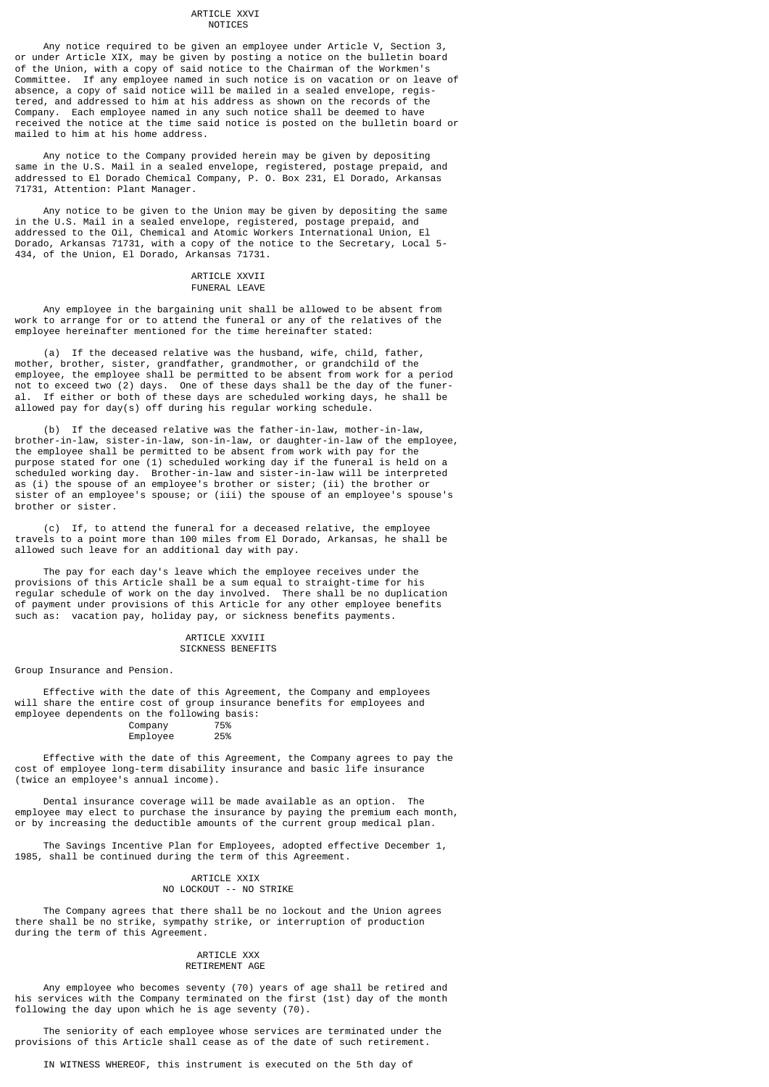#### ARTICLE XXVI NOTICES

 Any notice required to be given an employee under Article V, Section 3, or under Article XIX, may be given by posting a notice on the bulletin board of the Union, with a copy of said notice to the Chairman of the Workmen's Committee. If any employee named in such notice is on vacation or on leave of absence, a copy of said notice will be mailed in a sealed envelope, registered, and addressed to him at his address as shown on the records of the Company. Each employee named in any such notice shall be deemed to have received the notice at the time said notice is posted on the bulletin board or mailed to him at his home address.

 Any notice to the Company provided herein may be given by depositing same in the U.S. Mail in a sealed envelope, registered, postage prepaid, and addressed to El Dorado Chemical Company, P. O. Box 231, El Dorado, Arkansas 71731, Attention: Plant Manager.

 Any notice to be given to the Union may be given by depositing the same in the U.S. Mail in a sealed envelope, registered, postage prepaid, and addressed to the Oil, Chemical and Atomic Workers International Union, El Dorado, Arkansas 71731, with a copy of the notice to the Secretary, Local 5- 434, of the Union, El Dorado, Arkansas 71731.

#### ARTICLE XXVII FUNERAL LEAVE

 Any employee in the bargaining unit shall be allowed to be absent from work to arrange for or to attend the funeral or any of the relatives of the employee hereinafter mentioned for the time hereinafter stated:

 (a) If the deceased relative was the husband, wife, child, father, mother, brother, sister, grandfather, grandmother, or grandchild of the employee, the employee shall be permitted to be absent from work for a period not to exceed two (2) days. One of these days shall be the day of the funeral. If either or both of these days are scheduled working days, he shall be allowed pay for day(s) off during his regular working schedule.

 (b) If the deceased relative was the father-in-law, mother-in-law, brother-in-law, sister-in-law, son-in-law, or daughter-in-law of the employee, the employee shall be permitted to be absent from work with pay for the purpose stated for one (1) scheduled working day if the funeral is held on a scheduled working day. Brother-in-law and sister-in-law will be interpreted as (i) the spouse of an employee's brother or sister; (ii) the brother or sister of an employee's spouse; or (iii) the spouse of an employee's spouse's brother or sister.

 (c) If, to attend the funeral for a deceased relative, the employee travels to a point more than 100 miles from El Dorado, Arkansas, he shall be allowed such leave for an additional day with pay.

 The pay for each day's leave which the employee receives under the provisions of this Article shall be a sum equal to straight-time for his regular schedule of work on the day involved. There shall be no duplication of payment under provisions of this Article for any other employee benefits such as: vacation pay, holiday pay, or sickness benefits payments.

#### ARTICLE XXVIII SICKNESS BENEFITS

Group Insurance and Pension.

 Effective with the date of this Agreement, the Company and employees will share the entire cost of group insurance benefits for employees and employee dependents on the following basis:<br>Company 75% Company 75%<br>Emplovee 25%

Employee

 Effective with the date of this Agreement, the Company agrees to pay the cost of employee long-term disability insurance and basic life insurance (twice an employee's annual income).

 Dental insurance coverage will be made available as an option. The employee may elect to purchase the insurance by paying the premium each month, or by increasing the deductible amounts of the current group medical plan.

 The Savings Incentive Plan for Employees, adopted effective December 1, 1985, shall be continued during the term of this Agreement.

## ARTICLE XXIX NO LOCKOUT -- NO STRIKE

 The Company agrees that there shall be no lockout and the Union agrees there shall be no strike, sympathy strike, or interruption of production during the term of this Agreement.

#### ARTICLE XXX RETIREMENT AGE

 Any employee who becomes seventy (70) years of age shall be retired and his services with the Company terminated on the first (1st) day of the month following the day upon which he is age seventy (70).

 The seniority of each employee whose services are terminated under the provisions of this Article shall cease as of the date of such retirement.

IN WITNESS WHEREOF, this instrument is executed on the 5th day of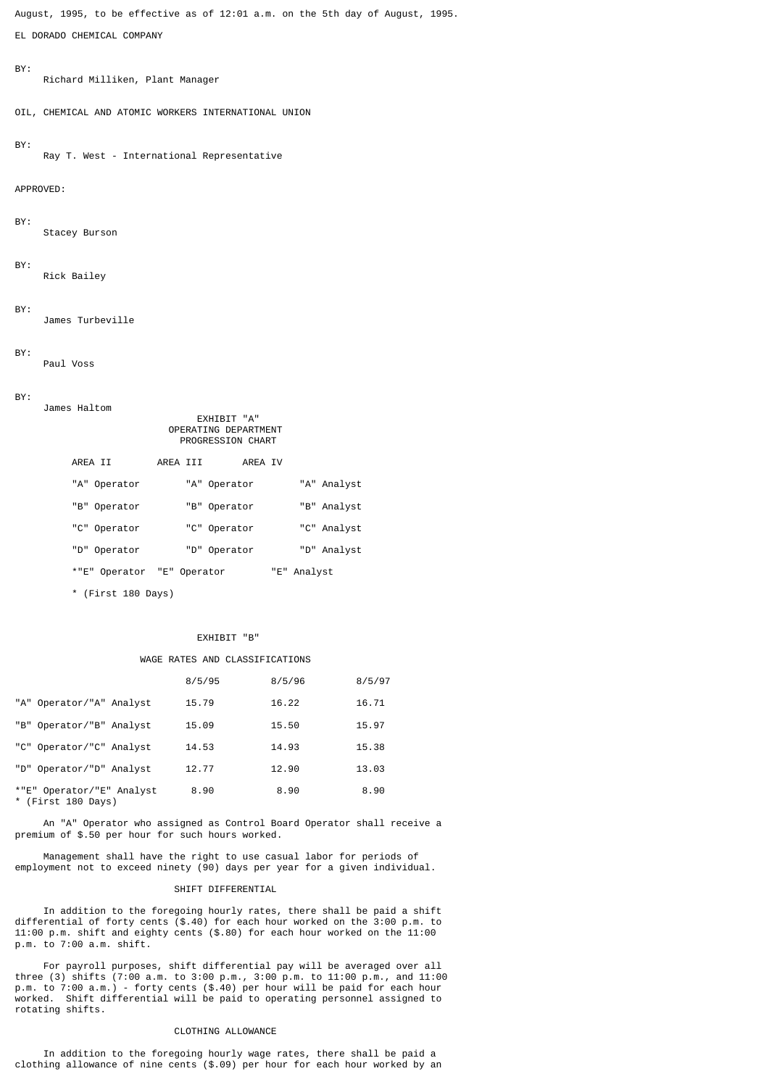August, 1995, to be effective as of 12:01 a.m. on the 5th day of August, 1995.

EL DORADO CHEMICAL COMPANY

#### BY:

Richard Milliken, Plant Manager

OIL, CHEMICAL AND ATOMIC WORKERS INTERNATIONAL UNION

## BY:

Ray T. West - International Representative

## APPROVED:

BY:

Stacey Burson

## BY:

Rick Bailey

## BY:

James Turbeville

#### BY:

Paul Voss

#### BY:

| DI. | James Haltom               | <b>EXHIBIT "A"</b><br>OPERATING DEPARTMENT<br>PROGRESSION CHART |             |
|-----|----------------------------|-----------------------------------------------------------------|-------------|
|     | AREA II                    | AREA III<br>AREA IV                                             |             |
|     | "A" Operator               | "A" Operator                                                    | "A" Analyst |
|     | "B" Operator               | "B" Operator                                                    | "B" Analyst |
|     | "C" Operator               | "C" Operator                                                    | "C" Analyst |
|     | "D" Operator               | "D" Operator                                                    | "D" Analyst |
|     | *"E" Operator "E" Operator |                                                                 | "E" Analyst |

\* (First 180 Days)

## EXHIBIT "B"

## WAGE RATES AND CLASSIFICATIONS

|                                                 | 8/5/95 | 8/5/96 | 8/5/97 |
|-------------------------------------------------|--------|--------|--------|
| "A" Operator/"A" Analyst                        | 15.79  | 16.22  | 16.71  |
| "B" Operator/"B" Analyst                        | 15.09  | 15.50  | 15.97  |
| "C" Operator/"C" Analyst                        | 14.53  | 14.93  | 15.38  |
| "D" Operator/"D" Analyst                        | 12.77  | 12.90  | 13.03  |
| *"E" Operator/"E" Analyst<br>* (First 180 Days) | 8.90   | 8.90   | 8.90   |

 An "A" Operator who assigned as Control Board Operator shall receive a premium of \$.50 per hour for such hours worked.

 Management shall have the right to use casual labor for periods of employment not to exceed ninety (90) days per year for a given individual.

## SHIFT DIFFERENTIAL

 In addition to the foregoing hourly rates, there shall be paid a shift differential of forty cents (\$.40) for each hour worked on the 3:00 p.m. to 11:00 p.m. shift and eighty cents (\$.80) for each hour worked on the 11:00 p.m. to 7:00 a.m. shift.

 For payroll purposes, shift differential pay will be averaged over all three (3) shifts (7:00 a.m. to 3:00 p.m., 3:00 p.m. to 11:00 p.m., and 11:00 p.m. to 7:00 a.m.) - forty cents (\$.40) per hour will be paid for each hour worked. Shift differential will be paid to operating personnel assigned to rotating shifts.

## CLOTHING ALLOWANCE

 In addition to the foregoing hourly wage rates, there shall be paid a clothing allowance of nine cents (\$.09) per hour for each hour worked by an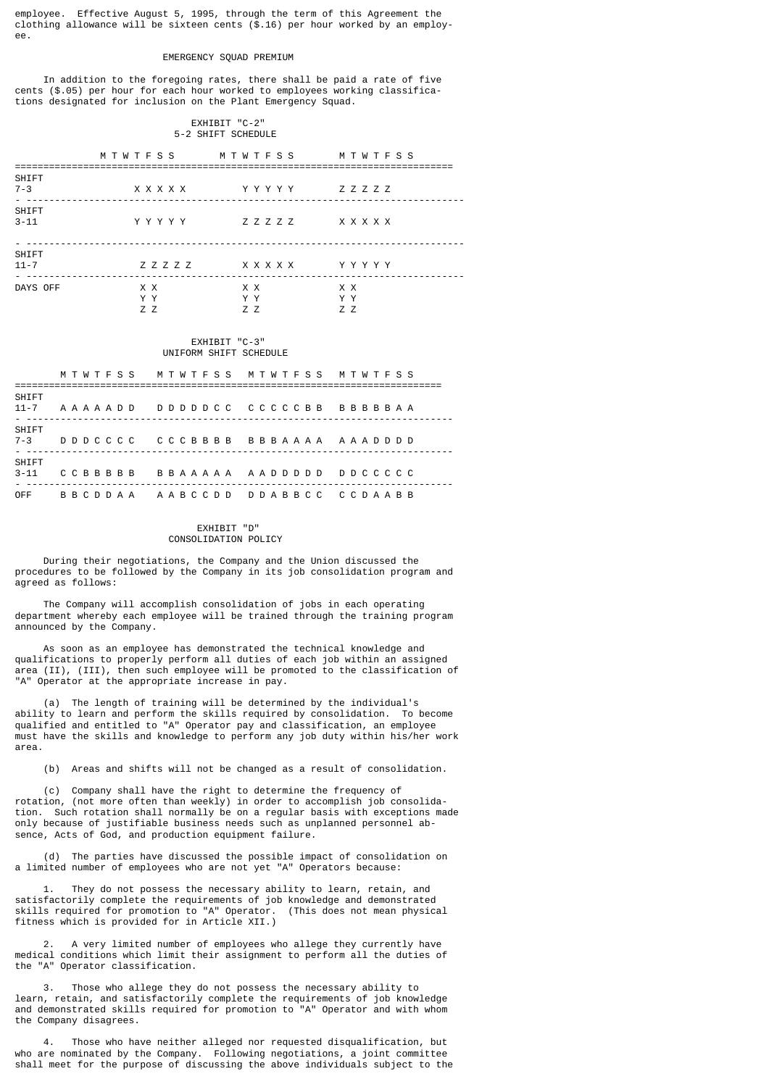employee. Effective August 5, 1995, through the term of this Agreement the clothing allowance will be sixteen cents  $(\hat{\mathcal{S}}.16)$  per hour worked by an employee.

#### EMERGENCY SQUAD PREMIUM

 In addition to the foregoing rates, there shall be paid a rate of five cents (\$.05) per hour for each hour worked to employees working classifications designated for inclusion on the Plant Emergency Squad.

## EXHIBIT "C-2" 5-2 SHIFT SCHEDULE

|                          | M T W T F S S     |           | M T W T F S S    | MTWTFSS           |
|--------------------------|-------------------|-----------|------------------|-------------------|
| SHIFT<br>$7 - 3$<br>$ -$ |                   | x x x x x | YYYYY            | Z Z Z Z Z         |
| SHIFT<br>$3 - 11$        |                   | Y Y Y Y Y | Z Z Z Z Z        | x x x x x         |
| <b>SHIFT</b><br>$11 - 7$ |                   | Z Z Z Z Z | x x x x x        | YYYYY             |
| DAYS OFF                 | X X<br>Y Y<br>Z Z |           | X X<br>Y Y<br>77 | X X<br>Y Y<br>Z Z |

#### EXHIBIT "C-3" UNIFORM SHIFT SCHEDULE

|                   | MTWTFSS MTWTFSS MTWTFSS MTWTFSS                           |  |  |  |  |  |  |  |  |  |  |  |  |  |  |
|-------------------|-----------------------------------------------------------|--|--|--|--|--|--|--|--|--|--|--|--|--|--|
| SHIFT<br>$11 - 7$ |                                                           |  |  |  |  |  |  |  |  |  |  |  |  |  |  |
| SHIFT<br>$7 - 3$  | DDDCCCC CCCBBBB BBBAAAA AAADDDD                           |  |  |  |  |  |  |  |  |  |  |  |  |  |  |
| SHIFT<br>$3 - 11$ | CCBBBBB BBAAAAA AADDDDD DDCCCCC                           |  |  |  |  |  |  |  |  |  |  |  |  |  |  |
| 0FF               | B B C D D A A A A A B C C D D D D A B B C C C C D A A B B |  |  |  |  |  |  |  |  |  |  |  |  |  |  |

## EXHIBIT "D" CONSOLIDATION POLICY

 During their negotiations, the Company and the Union discussed the procedures to be followed by the Company in its job consolidation program and agreed as follows:

 The Company will accomplish consolidation of jobs in each operating department whereby each employee will be trained through the training program announced by the Company.

 As soon as an employee has demonstrated the technical knowledge and qualifications to properly perform all duties of each job within an assigned area (II), (III), then such employee will be promoted to the classification of "A" Operator at the appropriate increase in pay.

 (a) The length of training will be determined by the individual's ability to learn and perform the skills required by consolidation. To become qualified and entitled to "A" Operator pay and classification, an employee must have the skills and knowledge to perform any job duty within his/her work area.

(b) Areas and shifts will not be changed as a result of consolidation.

 (c) Company shall have the right to determine the frequency of rotation, (not more often than weekly) in order to accomplish job consolidation. Such rotation shall normally be on a regular basis with exceptions made only because of justifiable business needs such as unplanned personnel absence, Acts of God, and production equipment failure.

 (d) The parties have discussed the possible impact of consolidation on a limited number of employees who are not yet "A" Operators because:

 1. They do not possess the necessary ability to learn, retain, and satisfactorily complete the requirements of job knowledge and demonstrated skills required for promotion to "A" Operator. (This does not mean physical fitness which is provided for in Article XII.)

 2. A very limited number of employees who allege they currently have medical conditions which limit their assignment to perform all the duties of the "A" Operator classification.

 3. Those who allege they do not possess the necessary ability to learn, retain, and satisfactorily complete the requirements of job knowledge and demonstrated skills required for promotion to "A" Operator and with whom the Company disagrees.

Those who have neither alleged nor requested disqualification, but who are nominated by the Company. Following negotiations, a joint committee shall meet for the purpose of discussing the above individuals subject to the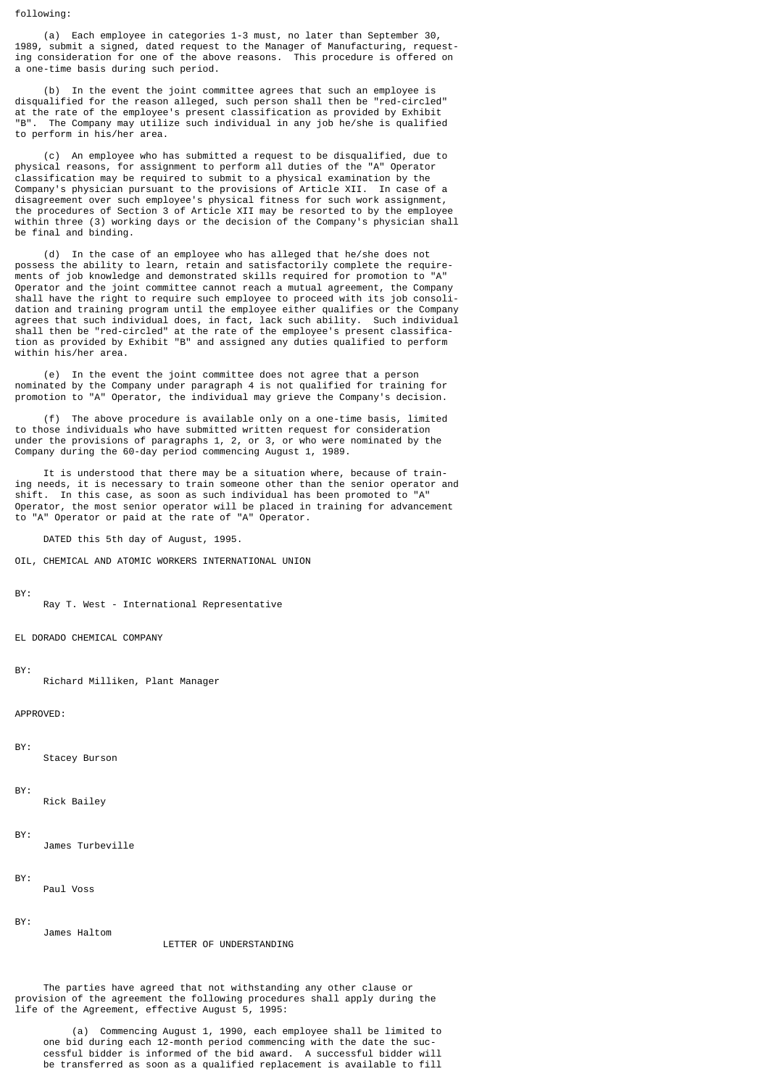#### following:

 (a) Each employee in categories 1-3 must, no later than September 30, 1989, submit a signed, dated request to the Manager of Manufacturing, requesting consideration for one of the above reasons. This procedure is offered on a one-time basis during such period.

 (b) In the event the joint committee agrees that such an employee is disqualified for the reason alleged, such person shall then be "red-circled" at the rate of the employee's present classification as provided by Exhibit "B". The Company may utilize such individual in any job he/she is qualified to perform in his/her area.

 (c) An employee who has submitted a request to be disqualified, due to physical reasons, for assignment to perform all duties of the "A" Operator classification may be required to submit to a physical examination by the Company's physician pursuant to the provisions of Article XII. In case of a disagreement over such employee's physical fitness for such work assignment, the procedures of Section 3 of Article XII may be resorted to by the employee within three (3) working days or the decision of the Company's physician shall be final and binding.

 (d) In the case of an employee who has alleged that he/she does not possess the ability to learn, retain and satisfactorily complete the requirements of job knowledge and demonstrated skills required for promotion to "A" Operator and the joint committee cannot reach a mutual agreement, the Company shall have the right to require such employee to proceed with its job consolidation and training program until the employee either qualifies or the Company agrees that such individual does, in fact, lack such ability. Such individual shall then be "red-circled" at the rate of the employee's present classification as provided by Exhibit "B" and assigned any duties qualified to perform within his/her area.

 (e) In the event the joint committee does not agree that a person nominated by the Company under paragraph 4 is not qualified for training for promotion to "A" Operator, the individual may grieve the Company's decision.

 (f) The above procedure is available only on a one-time basis, limited to those individuals who have submitted written request for consideration under the provisions of paragraphs 1, 2, or 3, or who were nominated by the Company during the 60-day period commencing August 1, 1989.

 It is understood that there may be a situation where, because of training needs, it is necessary to train someone other than the senior operator and shift. In this case, as soon as such individual has been promoted to "A" Operator, the most senior operator will be placed in training for advancement to "A" Operator or paid at the rate of "A" Operator.

DATED this 5th day of August, 1995.

OIL, CHEMICAL AND ATOMIC WORKERS INTERNATIONAL UNION

BY:

Ray T. West - International Representative

EL DORADO CHEMICAL COMPANY

#### BY:

Richard Milliken, Plant Manager

APPROVED:

BY:

Stacey Burson

#### BY:

Rick Bailey

#### BY:

James Turbeville

#### BY:

Paul Voss

James Haltom

#### BY:

#### LETTER OF UNDERSTANDING

 The parties have agreed that not withstanding any other clause or provision of the agreement the following procedures shall apply during the life of the Agreement, effective August 5, 1995:

 (a) Commencing August 1, 1990, each employee shall be limited to one bid during each 12-month period commencing with the date the suc cessful bidder is informed of the bid award. A successful bidder will be transferred as soon as a qualified replacement is available to fill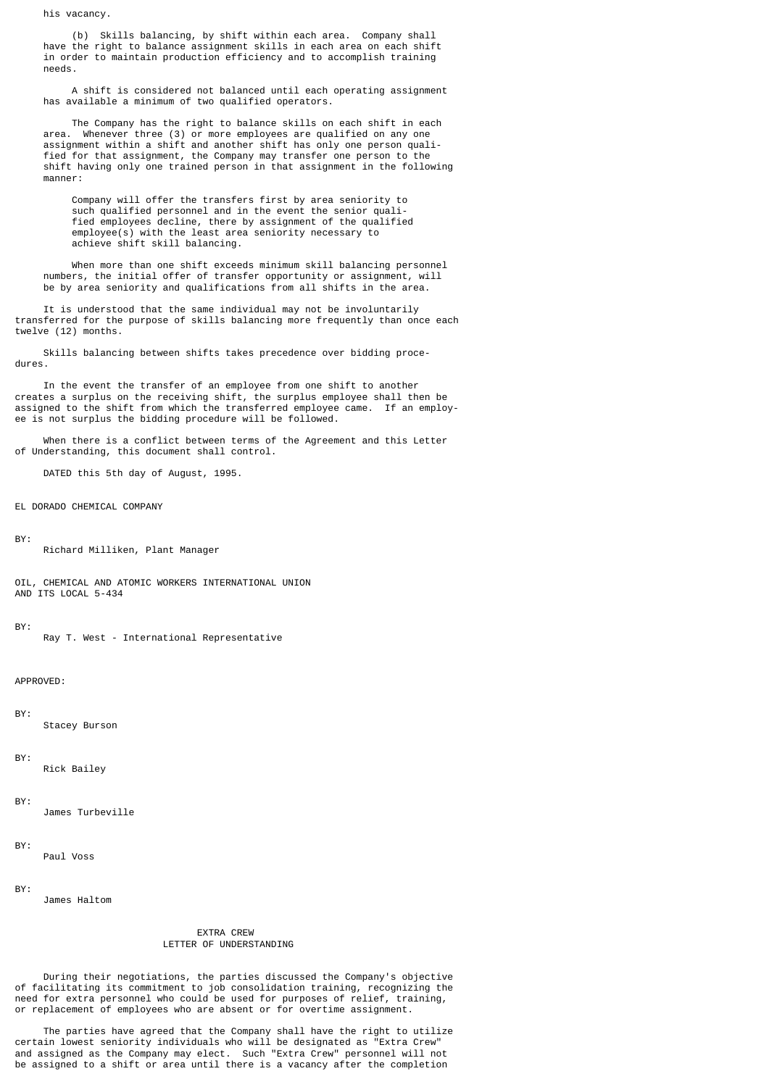his vacancy.

 (b) Skills balancing, by shift within each area. Company shall have the right to balance assignment skills in each area on each shift in order to maintain production efficiency and to accomplish training needs.

 A shift is considered not balanced until each operating assignment has available a minimum of two qualified operators.

 The Company has the right to balance skills on each shift in each area. Whenever three (3) or more employees are qualified on any one assignment within a shift and another shift has only one person quali fied for that assignment, the Company may transfer one person to the shift having only one trained person in that assignment in the following manner:

 Company will offer the transfers first by area seniority to such qualified personnel and in the event the senior quali fied employees decline, there by assignment of the qualified employee(s) with the least area seniority necessary to achieve shift skill balancing.

 When more than one shift exceeds minimum skill balancing personnel numbers, the initial offer of transfer opportunity or assignment, will be by area seniority and qualifications from all shifts in the area.

 It is understood that the same individual may not be involuntarily transferred for the purpose of skills balancing more frequently than once each twelve (12) months.

 Skills balancing between shifts takes precedence over bidding procedures.

 In the event the transfer of an employee from one shift to another creates a surplus on the receiving shift, the surplus employee shall then be assigned to the shift from which the transferred employee came. If an employee is not surplus the bidding procedure will be followed.

 When there is a conflict between terms of the Agreement and this Letter of Understanding, this document shall control.

DATED this 5th day of August, 1995.

EL DORADO CHEMICAL COMPANY

BY:

Richard Milliken, Plant Manager

OIL, CHEMICAL AND ATOMIC WORKERS INTERNATIONAL UNION AND ITS LOCAL 5-434

#### BY:

Ray T. West - International Representative

APPROVED:

BY:

Stacey Burson

### BY:

Rick Bailey

BY:

James Turbeville

BY:

Paul Voss

BY:

James Haltom

## EXTRA CREW LETTER OF UNDERSTANDING

 During their negotiations, the parties discussed the Company's objective of facilitating its commitment to job consolidation training, recognizing the need for extra personnel who could be used for purposes of relief, training, or replacement of employees who are absent or for overtime assignment.

 The parties have agreed that the Company shall have the right to utilize certain lowest seniority individuals who will be designated as "Extra Crew" and assigned as the Company may elect. Such "Extra Crew" personnel will not be assigned to a shift or area until there is a vacancy after the completion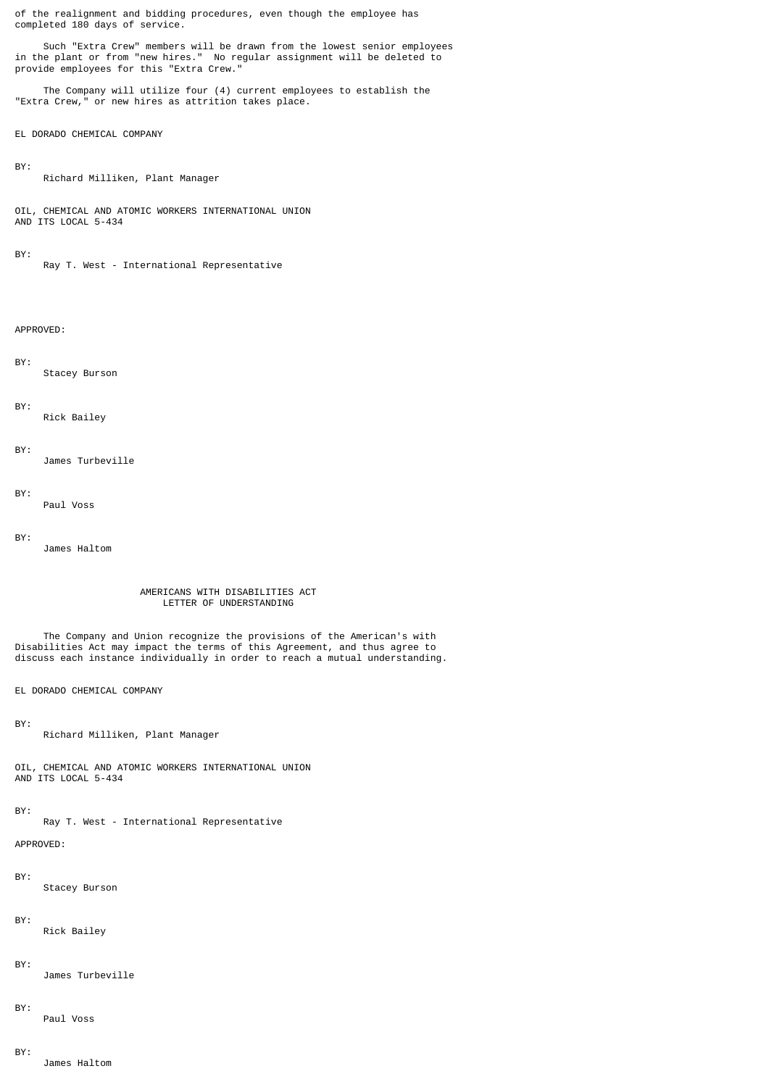of the realignment and bidding procedures, even though the employee has completed 180 days of service.

 Such "Extra Crew" members will be drawn from the lowest senior employees in the plant or from "new hires." No regular assignment will be deleted to provide employees for this "Extra Crew."

 The Company will utilize four (4) current employees to establish the "Extra Crew," or new hires as attrition takes place.

EL DORADO CHEMICAL COMPANY

## BY:

Richard Milliken, Plant Manager

OIL, CHEMICAL AND ATOMIC WORKERS INTERNATIONAL UNION AND ITS LOCAL 5-434

#### BY:

Ray T. West - International Representative

APPROVED:

BY: Stacey Burson

## BY:

Rick Bailey

BY:

James Turbeville

BY:

Paul Voss

BY:

James Haltom

## AMERICANS WITH DISABILITIES ACT LETTER OF UNDERSTANDING

 The Company and Union recognize the provisions of the American's with Disabilities Act may impact the terms of this Agreement, and thus agree to discuss each instance individually in order to reach a mutual understanding.

EL DORADO CHEMICAL COMPANY

BY:

Richard Milliken, Plant Manager

OIL, CHEMICAL AND ATOMIC WORKERS INTERNATIONAL UNION AND ITS LOCAL 5-434

## BY:

Ray T. West - International Representative

APPROVED:

BY:

Stacey Burson

BY:

Rick Bailey

BY:

James Turbeville

BY:

Paul Voss

BY:

James Haltom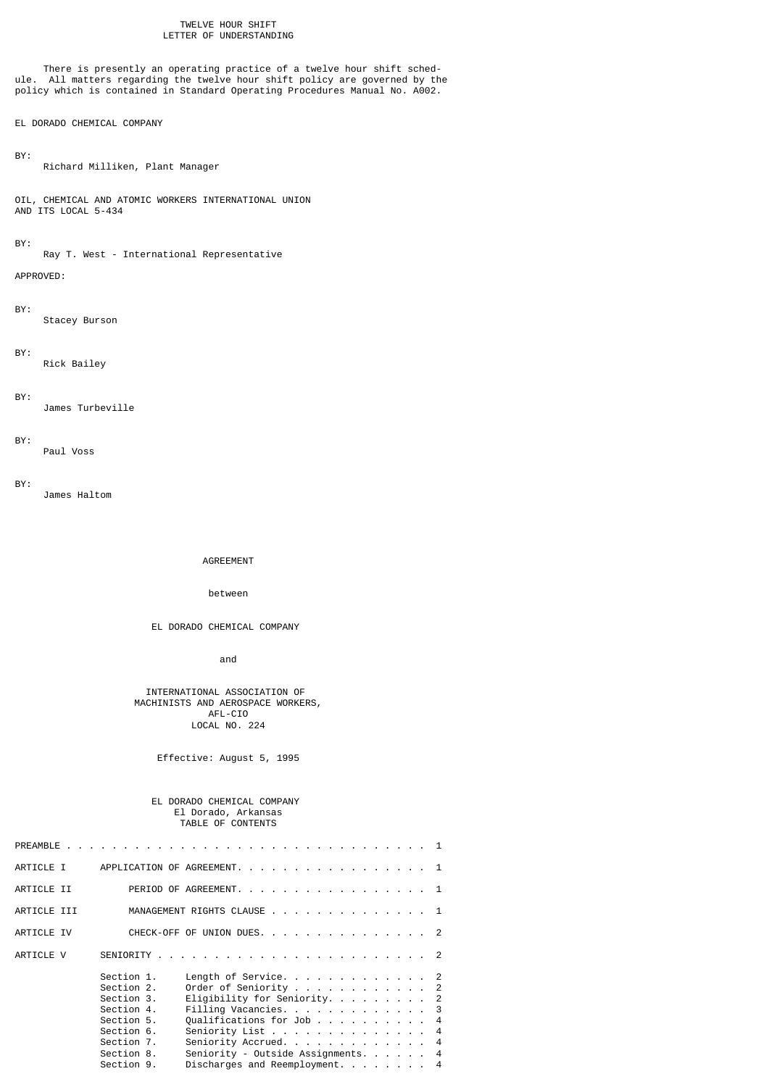## TWELVE HOUR SHIFT LETTER OF UNDERSTANDING

 There is presently an operating practice of a twelve hour shift schedule. All matters regarding the twelve hour shift policy are governed by the policy which is contained in Standard Operating Procedures Manual No. A002.

## EL DORADO CHEMICAL COMPANY

BY:

Richard Milliken, Plant Manager

OIL, CHEMICAL AND ATOMIC WORKERS INTERNATIONAL UNION AND ITS LOCAL 5-434

#### BY:

Ray T. West - International Representative

APPROVED:

BY:

Stacey Burson

#### BY:

Rick Bailey

## BY:

James Turbeville

#### BY:

Paul Voss

## BY:

James Haltom

AGREEMENT

## between

EL DORADO CHEMICAL COMPANY

and the contract of the contract of the contract of the contract of the contract of the contract of the contract of the contract of the contract of the contract of the contract of the contract of the contract of the contra

## INTERNATIONAL ASSOCIATION OF MACHINISTS AND AEROSPACE WORKERS, AFL-CIO LOCAL NO. 224

Effective: August 5, 1995

## EL DORADO CHEMICAL COMPANY El Dorado, Arkansas TABLE OF CONTENTS

| ARTICLE I   |                          | APPLICATION OF AGREEMENT. 1                           |  |  |  |  |
|-------------|--------------------------|-------------------------------------------------------|--|--|--|--|
| ARTICLE II  |                          | PERIOD OF AGREEMENT. 1                                |  |  |  |  |
| ARTICLE III |                          | MANAGEMENT RIGHTS CLAUSE 1                            |  |  |  |  |
| ARTICLE IV  |                          | CHECK-OFF OF UNION DUES. 2                            |  |  |  |  |
| ARTICLE V   |                          |                                                       |  |  |  |  |
|             | Section 1.<br>Section 2. | Length of Service. $\ldots$ 2<br>Order of Seniority 2 |  |  |  |  |
|             | Section 3.               | Eligibility for Seniority. 2                          |  |  |  |  |
|             | Section 4.               | Filling Vacancies. 3                                  |  |  |  |  |
|             | Section 5.<br>Section 6. | Qualifications for Job 4<br>Seniority List 4          |  |  |  |  |
|             | Section 7.               | Seniority Accrued. 4                                  |  |  |  |  |
|             | Section 8.               | Seniority - Outside Assignments. 4                    |  |  |  |  |
|             | Section 9.               | Discharges and Reemployment. 4                        |  |  |  |  |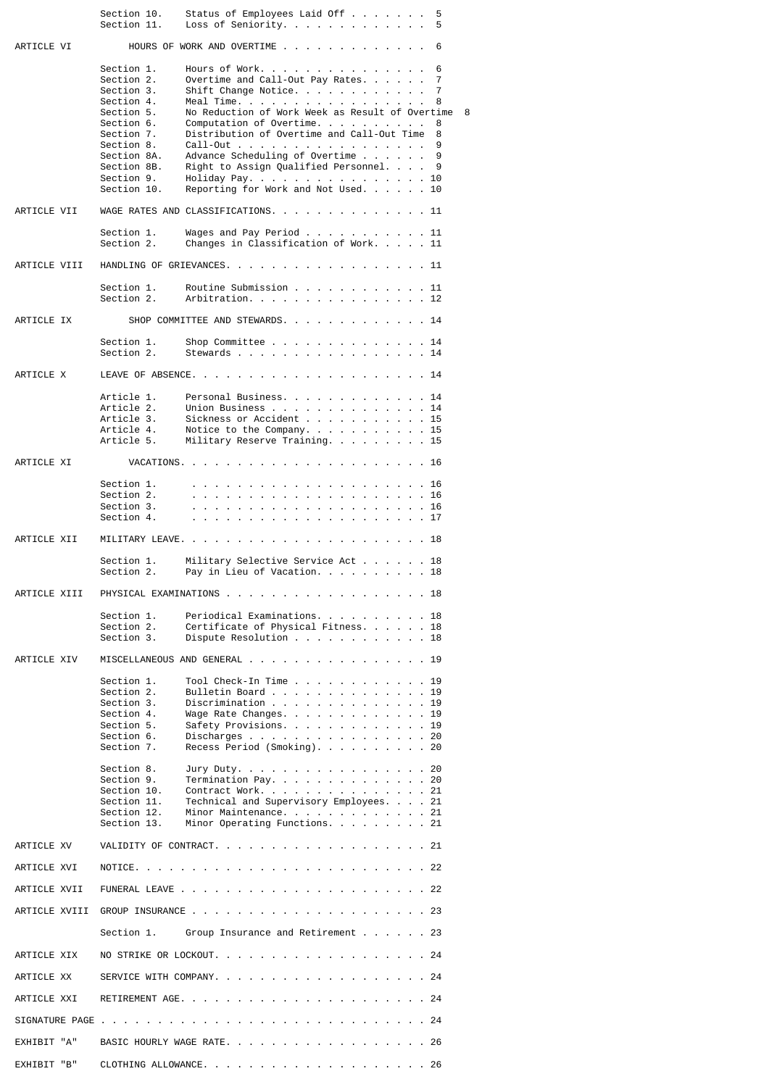|               | Section 10.<br>Section 11.                                                                                                                                                             | Status of Employees Laid Off<br>Loss of Seniority.                                                                                                                                                                                                                                                                                                                                                                                   | 5<br>5                                                 |
|---------------|----------------------------------------------------------------------------------------------------------------------------------------------------------------------------------------|--------------------------------------------------------------------------------------------------------------------------------------------------------------------------------------------------------------------------------------------------------------------------------------------------------------------------------------------------------------------------------------------------------------------------------------|--------------------------------------------------------|
| ARTICLE VI    |                                                                                                                                                                                        | HOURS OF WORK AND OVERTIME                                                                                                                                                                                                                                                                                                                                                                                                           | 6                                                      |
|               | Section 1.<br>Section 2.<br>Section 3.<br>Section 4.<br>Section 5.<br>Section 6.<br>Section 7.<br>Section 8.<br>Section 8A.<br>Section 8B.<br>Section 9.<br>Section 10.                | Hours of Work.<br>Overtime and Call-Out Pay Rates. $\ldots$ .<br>Shift Change Notice.<br>Meal Time.<br>No Reduction of Work Week as Result of Overtime<br>Computation of Overtime. $\ldots$<br>Distribution of Overtime and Call-Out Time<br>$Call-Out \ldots \ldots \ldots \ldots \ldots$<br>Advance Scheduling of Overtime $\ldots$<br>Right to Assign Qualified Personnel.<br>Holiday Pay.<br>Reporting for Work and Not Used. 10 | 6<br>7<br>7<br>8<br>- 8<br>8<br>8<br>9<br>9<br>9<br>10 |
| ARTICLE VII   |                                                                                                                                                                                        | WAGE RATES AND CLASSIFICATIONS. 11                                                                                                                                                                                                                                                                                                                                                                                                   |                                                        |
|               | Section 1.<br>Section 2.                                                                                                                                                               | Wages and Pay Period $\ldots$ 11<br>Changes in Classification of Work. 11                                                                                                                                                                                                                                                                                                                                                            |                                                        |
| ARTICLE VIII  |                                                                                                                                                                                        | HANDLING OF GRIEVANCES. 11                                                                                                                                                                                                                                                                                                                                                                                                           |                                                        |
|               | Section 1.<br>Section 2.                                                                                                                                                               | Routine Submission 11<br>Arbitration. 12                                                                                                                                                                                                                                                                                                                                                                                             |                                                        |
| ARTICLE IX    |                                                                                                                                                                                        | SHOP COMMITTEE AND STEWARDS. 14                                                                                                                                                                                                                                                                                                                                                                                                      |                                                        |
|               | Section 1.<br>Section 2.                                                                                                                                                               | Shop Committee $\ldots$ , $\ldots$ , $\ldots$ , $\ldots$ , 14<br>Stewards 14                                                                                                                                                                                                                                                                                                                                                         |                                                        |
| ARTICLE X     |                                                                                                                                                                                        |                                                                                                                                                                                                                                                                                                                                                                                                                                      |                                                        |
|               | Article 1.<br>Article 2.<br>Article 3.<br>Article 4.<br>Article 5.                                                                                                                     | Personal Business14<br>Union Business<br>Sickness or Accident 15<br>Notice to the Company. $\ldots$ 15<br>Military Reserve Training. 15                                                                                                                                                                                                                                                                                              | 14                                                     |
| ARTICLE XI    |                                                                                                                                                                                        |                                                                                                                                                                                                                                                                                                                                                                                                                                      |                                                        |
|               | Section 1.<br>Section 2.<br>Section 3.<br>Section 4.                                                                                                                                   |                                                                                                                                                                                                                                                                                                                                                                                                                                      | 16                                                     |
| ARTICLE XII   |                                                                                                                                                                                        |                                                                                                                                                                                                                                                                                                                                                                                                                                      |                                                        |
|               | Section 1.<br>Section 2.                                                                                                                                                               | Military Selective Service Act 18<br>Pay in Lieu of Vacation. 18                                                                                                                                                                                                                                                                                                                                                                     |                                                        |
| ARTICLE XIII  |                                                                                                                                                                                        | PHYSICAL EXAMINATIONS 18                                                                                                                                                                                                                                                                                                                                                                                                             |                                                        |
|               | Section 1.<br>Section 2.<br>Section 3.                                                                                                                                                 | Periodical Examinations. 18<br>Certificate of Physical Fitness 18<br>Dispute Resolution 18                                                                                                                                                                                                                                                                                                                                           |                                                        |
| ARTICLE XIV   |                                                                                                                                                                                        | MISCELLANEOUS AND GENERAL 19                                                                                                                                                                                                                                                                                                                                                                                                         |                                                        |
|               | Section 1.<br>Section 2.<br>Section 3.<br>Section 4.<br>Section 5.<br>Section 6.<br>Section 7.<br>Section 8.<br>Section 9.<br>Section 10.<br>Section 11.<br>Section 12.<br>Section 13. | Tool Check-In Time 19<br>Bulletin Board 19<br>Discrimination $\cdots$ , $\cdots$ , $\cdots$ , $\cdots$ , $\cdots$<br>Wage Rate Changes. 19<br>Safety Provisions. 19<br>Discharges 20<br>Recess Period (Smoking). 20<br>Jury Duty. 20<br>Termination Pay. $\ldots$ 20<br>Contract Work. 21<br>Technical and Supervisory Employees 21<br>Minor Maintenance. 21<br>Minor Operating Functions. 21                                        |                                                        |
| ARTICLE XV    |                                                                                                                                                                                        | VALIDITY OF CONTRACT. 21                                                                                                                                                                                                                                                                                                                                                                                                             |                                                        |
| ARTICLE XVI   |                                                                                                                                                                                        |                                                                                                                                                                                                                                                                                                                                                                                                                                      |                                                        |
| ARTICLE XVII  |                                                                                                                                                                                        |                                                                                                                                                                                                                                                                                                                                                                                                                                      |                                                        |
| ARTICLE XVIII |                                                                                                                                                                                        |                                                                                                                                                                                                                                                                                                                                                                                                                                      |                                                        |
|               | Section 1.                                                                                                                                                                             | Group Insurance and Retirement 23                                                                                                                                                                                                                                                                                                                                                                                                    |                                                        |
| ARTICLE XIX   |                                                                                                                                                                                        | NO STRIKE OR LOCKOUT. 24                                                                                                                                                                                                                                                                                                                                                                                                             |                                                        |
| ARTICLE XX    |                                                                                                                                                                                        | SERVICE WITH COMPANY. 24                                                                                                                                                                                                                                                                                                                                                                                                             |                                                        |
| ARTICLE XXI   |                                                                                                                                                                                        |                                                                                                                                                                                                                                                                                                                                                                                                                                      |                                                        |
|               |                                                                                                                                                                                        |                                                                                                                                                                                                                                                                                                                                                                                                                                      |                                                        |
| EXHIBIT "A"   |                                                                                                                                                                                        | BASIC HOURLY WAGE RATE. 26                                                                                                                                                                                                                                                                                                                                                                                                           |                                                        |
| EXHIBIT "B"   |                                                                                                                                                                                        |                                                                                                                                                                                                                                                                                                                                                                                                                                      |                                                        |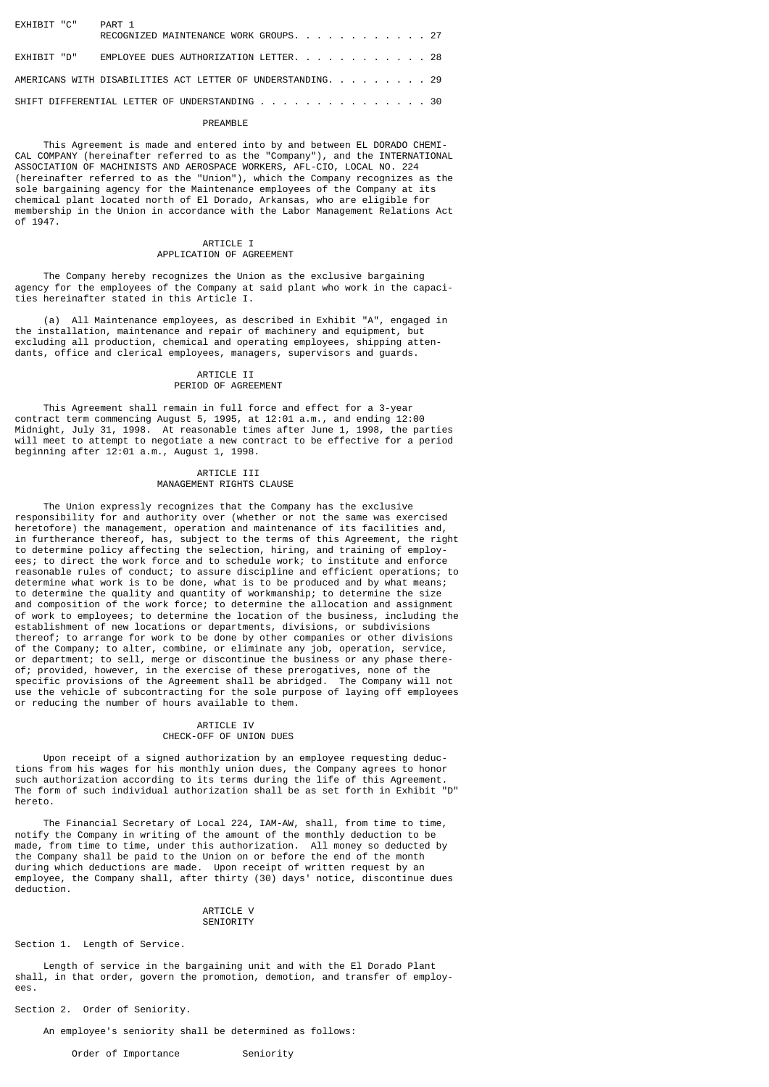| EXHIBIT "C"                                                 | PART 1<br>RECOGNIZED MAINTENANCE WORK GROUPS. 27 |  |  |  |  |  |  |
|-------------------------------------------------------------|--------------------------------------------------|--|--|--|--|--|--|
| EXHIBIT "D"                                                 | EMPLOYEE DUES AUTHORIZATION LETTER. 28           |  |  |  |  |  |  |
| AMERICANS WITH DISABILITIES ACT LETTER OF UNDERSTANDING. 29 |                                                  |  |  |  |  |  |  |
| SHIFT DIFFERENTIAL LETTER OF UNDERSTANDING 30               |                                                  |  |  |  |  |  |  |

## PREAMBLE

 This Agreement is made and entered into by and between EL DORADO CHEMI-CAL COMPANY (hereinafter referred to as the "Company"), and the INTERNATIONAL ASSOCIATION OF MACHINISTS AND AEROSPACE WORKERS, AFL-CIO, LOCAL NO. 224 (hereinafter referred to as the "Union"), which the Company recognizes as the sole bargaining agency for the Maintenance employees of the Company at its chemical plant located north of El Dorado, Arkansas, who are eligible for membership in the Union in accordance with the Labor Management Relations Act of 1947.

## ARTICLE I APPLICATION OF AGREEMENT

 The Company hereby recognizes the Union as the exclusive bargaining agency for the employees of the Company at said plant who work in the capacities hereinafter stated in this Article I.

 (a) All Maintenance employees, as described in Exhibit "A", engaged in the installation, maintenance and repair of machinery and equipment, but excluding all production, chemical and operating employees, shipping attendants, office and clerical employees, managers, supervisors and guards.

## ARTICLE II PERIOD OF AGREEMENT

 This Agreement shall remain in full force and effect for a 3-year contract term commencing August 5, 1995, at 12:01 a.m., and ending 12:00 Midnight, July 31, 1998. At reasonable times after June 1, 1998, the parties will meet to attempt to negotiate a new contract to be effective for a period beginning after 12:01 a.m., August 1, 1998.

## ARTICLE III MANAGEMENT RIGHTS CLAUSE

 The Union expressly recognizes that the Company has the exclusive responsibility for and authority over (whether or not the same was exercised heretofore) the management, operation and maintenance of its facilities and, in furtherance thereof, has, subject to the terms of this Agreement, the right to determine policy affecting the selection, hiring, and training of employees; to direct the work force and to schedule work; to institute and enforce reasonable rules of conduct; to assure discipline and efficient operations; to determine what work is to be done, what is to be produced and by what means; to determine the quality and quantity of workmanship; to determine the size and composition of the work force; to determine the allocation and assignment of work to employees; to determine the location of the business, including the establishment of new locations or departments, divisions, or subdivisions thereof; to arrange for work to be done by other companies or other divisions of the Company; to alter, combine, or eliminate any job, operation, service, or department; to sell, merge or discontinue the business or any phase thereof; provided, however, in the exercise of these prerogatives, none of the specific provisions of the Agreement shall be abridged. The Company will not use the vehicle of subcontracting for the sole purpose of laying off employees or reducing the number of hours available to them.

## ARTICLE IV CHECK-OFF OF UNION DUES

 Upon receipt of a signed authorization by an employee requesting deductions from his wages for his monthly union dues, the Company agrees to honor such authorization according to its terms during the life of this Agreement. The form of such individual authorization shall be as set forth in Exhibit "D" hereto.

 The Financial Secretary of Local 224, IAM-AW, shall, from time to time, notify the Company in writing of the amount of the monthly deduction to be made, from time to time, under this authorization. All money so deducted by the Company shall be paid to the Union on or before the end of the month during which deductions are made. Upon receipt of written request by an employee, the Company shall, after thirty (30) days' notice, discontinue dues deduction.

#### ARTICLE V **SENIORITY**

Section 1. Length of Service.

 Length of service in the bargaining unit and with the El Dorado Plant shall, in that order, govern the promotion, demotion, and transfer of employees.

Section 2. Order of Seniority.

An employee's seniority shall be determined as follows:

Order of Importance Seniority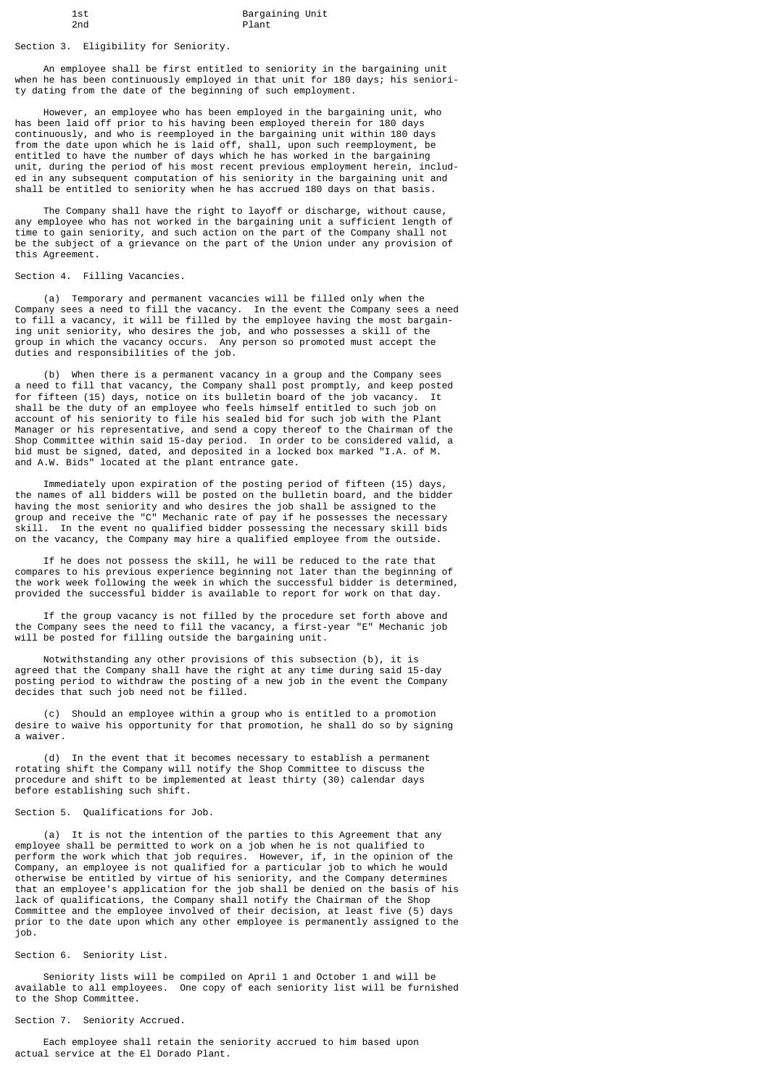Section 3. Eligibility for Seniority.

 An employee shall be first entitled to seniority in the bargaining unit when he has been continuously employed in that unit for 180 days; his seniority dating from the date of the beginning of such employment.

 However, an employee who has been employed in the bargaining unit, who has been laid off prior to his having been employed therein for 180 days continuously, and who is reemployed in the bargaining unit within 180 days from the date upon which he is laid off, shall, upon such reemployment, be entitled to have the number of days which he has worked in the bargaining unit, during the period of his most recent previous employment herein, included in any subsequent computation of his seniority in the bargaining unit and shall be entitled to seniority when he has accrued 180 days on that basis.

 The Company shall have the right to layoff or discharge, without cause, any employee who has not worked in the bargaining unit a sufficient length of time to gain seniority, and such action on the part of the Company shall not be the subject of a grievance on the part of the Union under any provision of this Agreement.

## Section 4. Filling Vacancies.

 (a) Temporary and permanent vacancies will be filled only when the Company sees a need to fill the vacancy. In the event the Company sees a need to fill a vacancy, it will be filled by the employee having the most bargaining unit seniority, who desires the job, and who possesses a skill of the group in which the vacancy occurs. Any person so promoted must accept the duties and responsibilities of the job.

 (b) When there is a permanent vacancy in a group and the Company sees a need to fill that vacancy, the Company shall post promptly, and keep posted for fifteen (15) days, notice on its bulletin board of the job vacancy. It shall be the duty of an employee who feels himself entitled to such job on account of his seniority to file his sealed bid for such job with the Plant Manager or his representative, and send a copy thereof to the Chairman of the Shop Committee within said 15-day period. In order to be considered valid, a bid must be signed, dated, and deposited in a locked box marked "I.A. of M. and A.W. Bids" located at the plant entrance gate.

 Immediately upon expiration of the posting period of fifteen (15) days, the names of all bidders will be posted on the bulletin board, and the bidder having the most seniority and who desires the job shall be assigned to the group and receive the "C" Mechanic rate of pay if he possesses the necessary skill. In the event no qualified bidder possessing the necessary skill bids on the vacancy, the Company may hire a qualified employee from the outside.

 If he does not possess the skill, he will be reduced to the rate that compares to his previous experience beginning not later than the beginning of the work week following the week in which the successful bidder is determined, provided the successful bidder is available to report for work on that day.

 If the group vacancy is not filled by the procedure set forth above and the Company sees the need to fill the vacancy, a first-year "E" Mechanic job will be posted for filling outside the bargaining unit.

 Notwithstanding any other provisions of this subsection (b), it is agreed that the Company shall have the right at any time during said 15-day posting period to withdraw the posting of a new job in the event the Company decides that such job need not be filled.

 (c) Should an employee within a group who is entitled to a promotion desire to waive his opportunity for that promotion, he shall do so by signing a waiver.

 (d) In the event that it becomes necessary to establish a permanent rotating shift the Company will notify the Shop Committee to discuss the procedure and shift to be implemented at least thirty (30) calendar days .<br>before establishing such shift.

## Section 5. Qualifications for Job.

 (a) It is not the intention of the parties to this Agreement that any employee shall be permitted to work on a job when he is not qualified to perform the work which that job requires. However, if, in the opinion of the Company, an employee is not qualified for a particular job to which he would otherwise be entitled by virtue of his seniority, and the Company determines that an employee's application for the job shall be denied on the basis of his lack of qualifications, the Company shall notify the Chairman of the Shop Committee and the employee involved of their decision, at least five (5) days prior to the date upon which any other employee is permanently assigned to the job.

## Section 6. Seniority List.

 Seniority lists will be compiled on April 1 and October 1 and will be available to all employees. One copy of each seniority list will be furnished to the Shop Committee.

## Section 7. Seniority Accrued.

 Each employee shall retain the seniority accrued to him based upon actual service at the El Dorado Plant.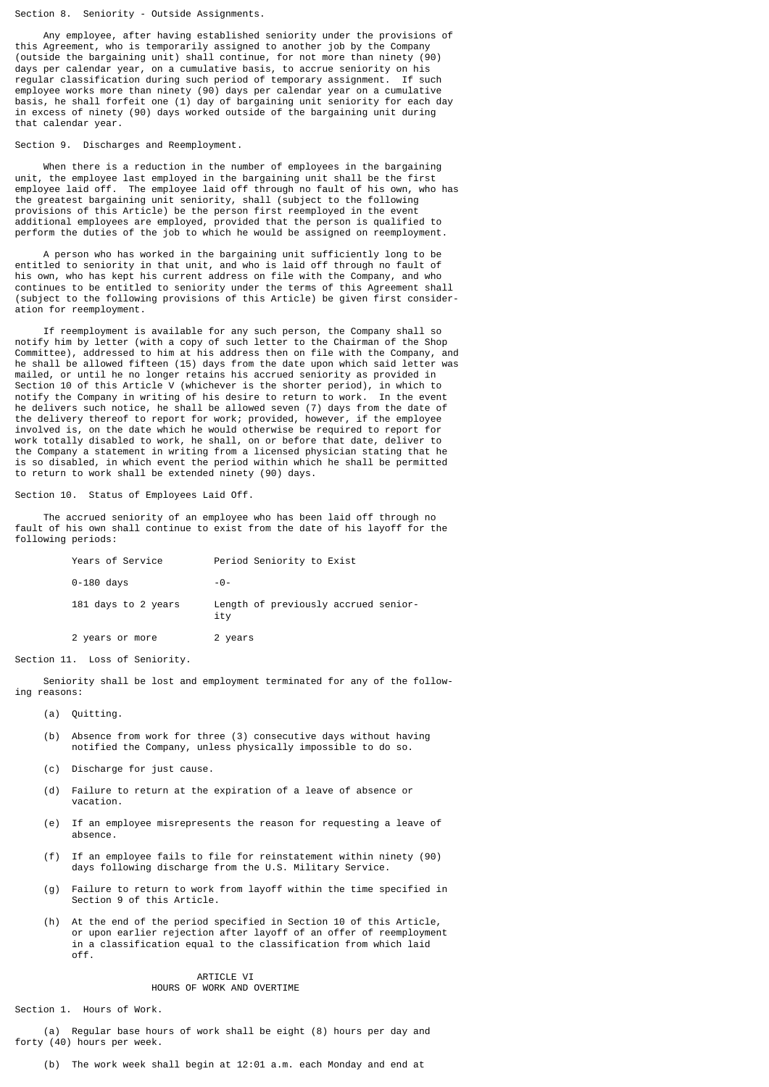#### Section 8. Seniority - Outside Assignments.

 Any employee, after having established seniority under the provisions of this Agreement, who is temporarily assigned to another job by the Company (outside the bargaining unit) shall continue, for not more than ninety (90) days per calendar year, on a cumulative basis, to accrue seniority on his regular classification during such period of temporary assignment. If such employee works more than ninety (90) days per calendar year on a cumulative basis, he shall forfeit one (1) day of bargaining unit seniority for each day in excess of ninety (90) days worked outside of the bargaining unit during that calendar year.

#### Section 9. Discharges and Reemployment.

 When there is a reduction in the number of employees in the bargaining unit, the employee last employed in the bargaining unit shall be the first employee laid off. The employee laid off through no fault of his own, who has the greatest bargaining unit seniority, shall (subject to the following provisions of this Article) be the person first reemployed in the event additional employees are employed, provided that the person is qualified to perform the duties of the job to which he would be assigned on reemployment.

 A person who has worked in the bargaining unit sufficiently long to be entitled to seniority in that unit, and who is laid off through no fault of his own, who has kept his current address on file with the Company, and who continues to be entitled to seniority under the terms of this Agreement shall (subject to the following provisions of this Article) be given first consideration for reemployment.

 If reemployment is available for any such person, the Company shall so notify him by letter (with a copy of such letter to the Chairman of the Shop Committee), addressed to him at his address then on file with the Company, and he shall be allowed fifteen (15) days from the date upon which said letter was mailed, or until he no longer retains his accrued seniority as provided in Section 10 of this Article V (whichever is the shorter period), in which to notify the Company in writing of his desire to return to work. In the event he delivers such notice, he shall be allowed seven (7) days from the date of the delivery thereof to report for work; provided, however, if the employee involved is, on the date which he would otherwise be required to report for work totally disabled to work, he shall, on or before that date, deliver to the Company a statement in writing from a licensed physician stating that he is so disabled, in which event the period within which he shall be permitted to return to work shall be extended ninety (90) days.

#### Section 10. Status of Employees Laid Off.

 The accrued seniority of an employee who has been laid off through no fault of his own shall continue to exist from the date of his layoff for the following periods:

| Years of Service    | Period Seniority to Exist                   |
|---------------------|---------------------------------------------|
| 0-180 days          | -0-                                         |
| 181 days to 2 years | Length of previously accrued senior-<br>ity |
| 2 years or more     | 2 years                                     |

Section 11. Loss of Seniority.

 Seniority shall be lost and employment terminated for any of the following reasons:

- (a) Quitting.
- (b) Absence from work for three (3) consecutive days without having notified the Company, unless physically impossible to do so.
- (c) Discharge for just cause.
- (d) Failure to return at the expiration of a leave of absence or vacation.
- (e) If an employee misrepresents the reason for requesting a leave of absence.
- (f) If an employee fails to file for reinstatement within ninety (90) days following discharge from the U.S. Military Service.
- (g) Failure to return to work from layoff within the time specified in Section 9 of this Article.
- (h) At the end of the period specified in Section 10 of this Article, or upon earlier rejection after layoff of an offer of reemployment in a classification equal to the classification from which laid off.

## ARTICLE VI HOURS OF WORK AND OVERTIME

Section 1. Hours of Work.

 (a) Regular base hours of work shall be eight (8) hours per day and forty (40) hours per week.

(b) The work week shall begin at 12:01 a.m. each Monday and end at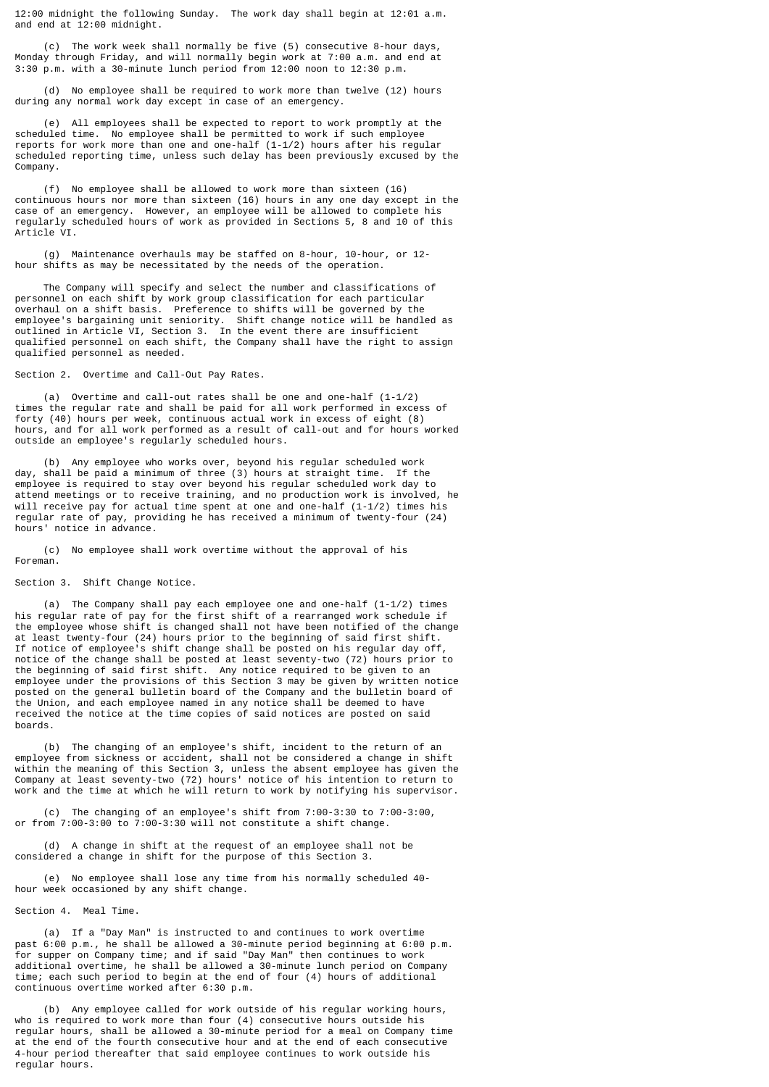12:00 midnight the following Sunday. The work day shall begin at 12:01 a.m. and end at 12:00 midnight.

 (c) The work week shall normally be five (5) consecutive 8-hour days, Monday through Friday, and will normally begin work at 7:00 a.m. and end at 3:30 p.m. with a 30-minute lunch period from 12:00 noon to 12:30 p.m.

 (d) No employee shall be required to work more than twelve (12) hours during any normal work day except in case of an emergency.

 (e) All employees shall be expected to report to work promptly at the scheduled time. No employee shall be permitted to work if such employee reports for work more than one and one-half (1-1/2) hours after his regular scheduled reporting time, unless such delay has been previously excused by the Company.

 (f) No employee shall be allowed to work more than sixteen (16) continuous hours nor more than sixteen (16) hours in any one day except in the case of an emergency. However, an employee will be allowed to complete his regularly scheduled hours of work as provided in Sections 5, 8 and 10 of this Article VI.

 (g) Maintenance overhauls may be staffed on 8-hour, 10-hour, or 12 hour shifts as may be necessitated by the needs of the operation.

 The Company will specify and select the number and classifications of personnel on each shift by work group classification for each particular overhaul on a shift basis. Preference to shifts will be governed by the employee's bargaining unit seniority. Shift change notice will be handled as outlined in Article VI, Section 3. In the event there are insufficient qualified personnel on each shift, the Company shall have the right to assign qualified personnel as needed.

Section 2. Overtime and Call-Out Pay Rates.

 (a) Overtime and call-out rates shall be one and one-half (1-1/2) times the regular rate and shall be paid for all work performed in excess of forty (40) hours per week, continuous actual work in excess of eight (8) hours, and for all work performed as a result of call-out and for hours worked outside an employee's regularly scheduled hours.

 (b) Any employee who works over, beyond his regular scheduled work day, shall be paid a minimum of three (3) hours at straight time. If the employee is required to stay over beyond his regular scheduled work day to attend meetings or to receive training, and no production work is involved, he will receive pay for actual time spent at one and one-half (1-1/2) times his regular rate of pay, providing he has received a minimum of twenty-four (24) hours' notice in advance.

 (c) No employee shall work overtime without the approval of his Foreman.

Section 3. Shift Change Notice.

 (a) The Company shall pay each employee one and one-half (1-1/2) times his regular rate of pay for the first shift of a rearranged work schedule if the employee whose shift is changed shall not have been notified of the change at least twenty-four (24) hours prior to the beginning of said first shift. If notice of employee's shift change shall be posted on his regular day off, notice of the change shall be posted at least seventy-two (72) hours prior to the beginning of said first shift. Any notice required to be given to an employee under the provisions of this Section 3 may be given by written notice posted on the general bulletin board of the Company and the bulletin board of the Union, and each employee named in any notice shall be deemed to have received the notice at the time copies of said notices are posted on said boards.

 (b) The changing of an employee's shift, incident to the return of an employee from sickness or accident, shall not be considered a change in shift within the meaning of this Section 3, unless the absent employee has given the Company at least seventy-two (72) hours' notice of his intention to return to work and the time at which he will return to work by notifying his supervisor.

 (c) The changing of an employee's shift from 7:00-3:30 to 7:00-3:00, or from 7:00-3:00 to 7:00-3:30 will not constitute a shift change.

 (d) A change in shift at the request of an employee shall not be considered a change in shift for the purpose of this Section 3.

 (e) No employee shall lose any time from his normally scheduled 40 hour week occasioned by any shift change.

Section 4. Meal Time.

 (a) If a "Day Man" is instructed to and continues to work overtime past 6:00 p.m., he shall be allowed a 30-minute period beginning at 6:00 p.m. for supper on Company time; and if said "Day Man" then continues to work additional overtime, he shall be allowed a 30-minute lunch period on Company time; each such period to begin at the end of four (4) hours of additional continuous overtime worked after 6:30 p.m.

 (b) Any employee called for work outside of his regular working hours, who is required to work more than four (4) consecutive hours outside his regular hours, shall be allowed a 30-minute period for a meal on Company time at the end of the fourth consecutive hour and at the end of each consecutive 4-hour period thereafter that said employee continues to work outside his regular hours.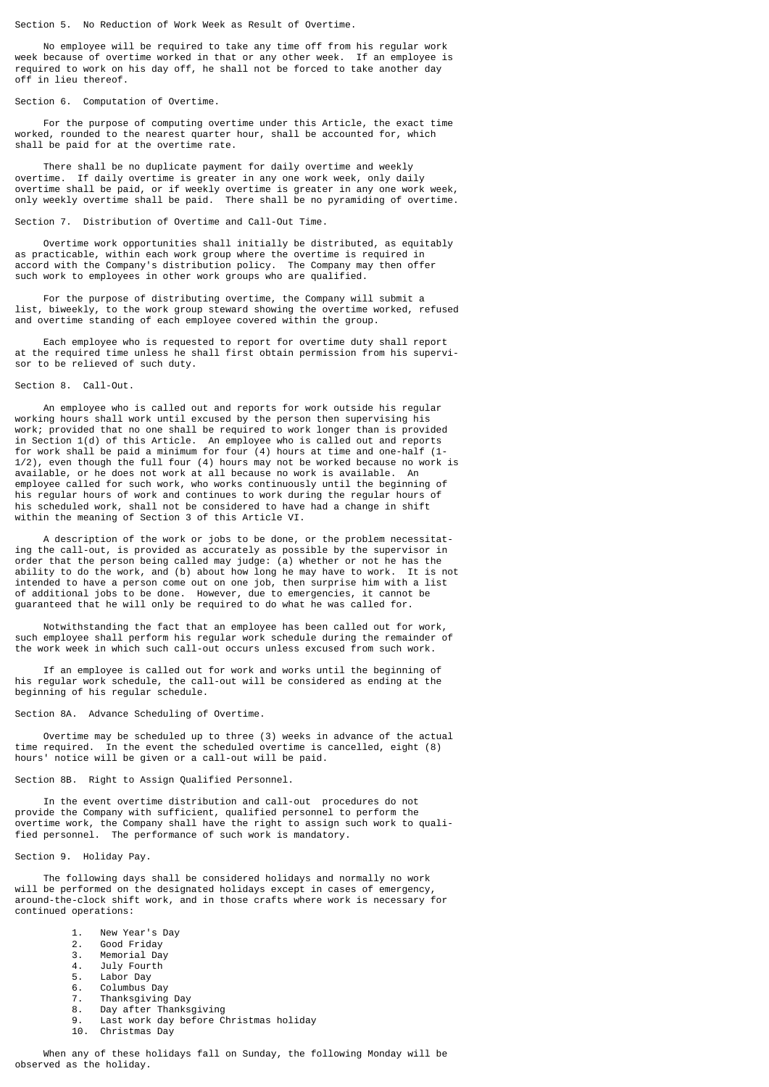Section 5. No Reduction of Work Week as Result of Overtime.

 No employee will be required to take any time off from his regular work week because of overtime worked in that or any other week. If an employee is required to work on his day off, he shall not be forced to take another day off in lieu thereof.

Section 6. Computation of Overtime.

 For the purpose of computing overtime under this Article, the exact time worked, rounded to the nearest quarter hour, shall be accounted for, which shall be paid for at the overtime rate.

 There shall be no duplicate payment for daily overtime and weekly overtime. If daily overtime is greater in any one work week, only daily overtime shall be paid, or if weekly overtime is greater in any one work week, only weekly overtime shall be paid. There shall be no pyramiding of overtime.

Section 7. Distribution of Overtime and Call-Out Time.

 Overtime work opportunities shall initially be distributed, as equitably as practicable, within each work group where the overtime is required in accord with the Company's distribution policy. The Company may then offer such work to employees in other work groups who are qualified.

 For the purpose of distributing overtime, the Company will submit a list, biweekly, to the work group steward showing the overtime worked, refused and overtime standing of each employee covered within the group.

 Each employee who is requested to report for overtime duty shall report at the required time unless he shall first obtain permission from his supervisor to be relieved of such duty.

## Section 8. Call-Out.

 An employee who is called out and reports for work outside his regular working hours shall work until excused by the person then supervising his work; provided that no one shall be required to work longer than is provided in Section 1(d) of this Article. An employee who is called out and reports for work shall be paid a minimum for four (4) hours at time and one-half (1- 1/2), even though the full four (4) hours may not be worked because no work is available, or he does not work at all because no work is available. An employee called for such work, who works continuously until the beginning of his regular hours of work and continues to work during the regular hours of his scheduled work, shall not be considered to have had a change in shift within the meaning of Section 3 of this Article VI.

 A description of the work or jobs to be done, or the problem necessitating the call-out, is provided as accurately as possible by the supervisor in order that the person being called may judge: (a) whether or not he has the ability to do the work, and (b) about how long he may have to work. It is not intended to have a person come out on one job, then surprise him with a list of additional jobs to be done. However, due to emergencies, it cannot be guaranteed that he will only be required to do what he was called for.

 Notwithstanding the fact that an employee has been called out for work, such employee shall perform his regular work schedule during the remainder of the work week in which such call-out occurs unless excused from such work.

 If an employee is called out for work and works until the beginning of his regular work schedule, the call-out will be considered as ending at the beginning of his regular schedule.

## Section 8A. Advance Scheduling of Overtime.

 Overtime may be scheduled up to three (3) weeks in advance of the actual time required. In the event the scheduled overtime is cancelled, eight (8) hours' notice will be given or a call-out will be paid.

Section 8B. Right to Assign Qualified Personnel.

 In the event overtime distribution and call-out procedures do not provide the Company with sufficient, qualified personnel to perform the overtime work, the Company shall have the right to assign such work to qualified personnel. The performance of such work is mandatory.

Section 9. Holiday Pay.

 The following days shall be considered holidays and normally no work will be performed on the designated holidays except in cases of emergency around-the-clock shift work, and in those crafts where work is necessary for continued operations:

- 1. New Year's Day
- 2. Good Friday<br>3. Memorial Day
- 3. Memorial Day<br>4. July Fourth
- July Fourth
- 
- 5. Labor Day<br>6. Columbus
- 6. Columbus Day 7. Thanksgiving Day<br>8. Day after Thanks
- Day after Thanksgiving
- 9. Last work day before Christmas holiday
- Christmas Dav

 When any of these holidays fall on Sunday, the following Monday will be observed as the holiday.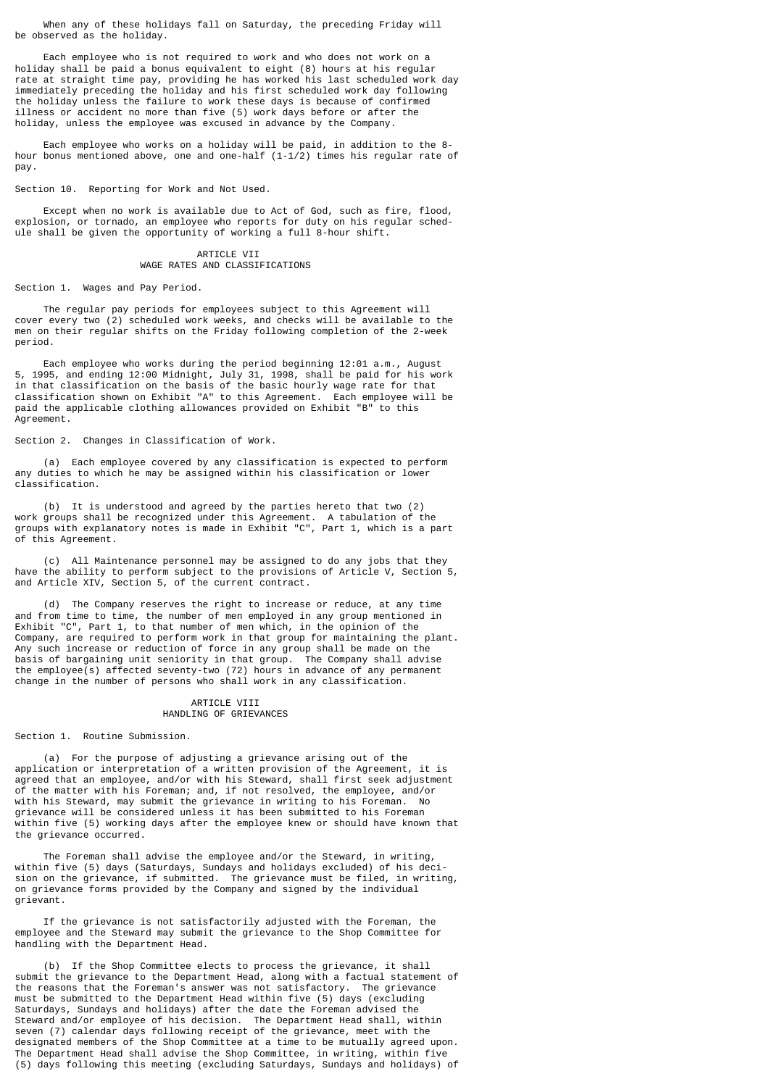When any of these holidays fall on Saturday, the preceding Friday will be observed as the holiday.

 Each employee who is not required to work and who does not work on a holiday shall be paid a bonus equivalent to eight (8) hours at his regular rate at straight time pay, providing he has worked his last scheduled work day immediately preceding the holiday and his first scheduled work day following the holiday unless the failure to work these days is because of confirmed illness or accident no more than five (5) work days before or after the holiday, unless the employee was excused in advance by the Company.

 Each employee who works on a holiday will be paid, in addition to the 8 hour bonus mentioned above, one and one-half (1-1/2) times his regular rate of pay.

Section 10. Reporting for Work and Not Used.

 Except when no work is available due to Act of God, such as fire, flood, explosion, or tornado, an employee who reports for duty on his regular schedule shall be given the opportunity of working a full 8-hour shift.

# ARTICLE VII WAGE RATES AND CLASSIFICATIONS

Section 1. Wages and Pay Period.

 The regular pay periods for employees subject to this Agreement will cover every two (2) scheduled work weeks, and checks will be available to the men on their regular shifts on the Friday following completion of the 2-week period.

 Each employee who works during the period beginning 12:01 a.m., August 5, 1995, and ending 12:00 Midnight, July 31, 1998, shall be paid for his work in that classification on the basis of the basic hourly wage rate for that classification shown on Exhibit "A" to this Agreement. Each employee will be paid the applicable clothing allowances provided on Exhibit "B" to this Agreement.

Section 2. Changes in Classification of Work.

 (a) Each employee covered by any classification is expected to perform any duties to which he may be assigned within his classification or lower classification.

 (b) It is understood and agreed by the parties hereto that two (2) work groups shall be recognized under this Agreement. A tabulation of the groups with explanatory notes is made in Exhibit "C", Part 1, which is a part of this Agreement.

 (c) All Maintenance personnel may be assigned to do any jobs that they have the ability to perform subject to the provisions of Article V, Section 5, and Article XIV, Section 5, of the current contract.

 (d) The Company reserves the right to increase or reduce, at any time and from time to time, the number of men employed in any group mentioned in Exhibit "C", Part 1, to that number of men which, in the opinion of the Company, are required to perform work in that group for maintaining the plant. Any such increase or reduction of force in any group shall be made on the basis of bargaining unit seniority in that group. The Company shall advise the employee(s) affected seventy-two (72) hours in advance of any permanent change in the number of persons who shall work in any classification.

## ARTICLE VIII HANDLING OF GRIEVANCES

Section 1. Routine Submission.

 (a) For the purpose of adjusting a grievance arising out of the application or interpretation of a written provision of the Agreement, it is agreed that an employee, and/or with his Steward, shall first seek adjustment of the matter with his Foreman; and, if not resolved, the employee, and/or with his Steward, may submit the grievance in writing to his Foreman. No grievance will be considered unless it has been submitted to his Foreman within five (5) working days after the employee knew or should have known that the grievance occurred.

 The Foreman shall advise the employee and/or the Steward, in writing, within five (5) days (Saturdays, Sundays and holidays excluded) of his decision on the grievance, if submitted. The grievance must be filed, in writing, on grievance forms provided by the Company and signed by the individual grievant.

 If the grievance is not satisfactorily adjusted with the Foreman, the employee and the Steward may submit the grievance to the Shop Committee for handling with the Department Head.

 (b) If the Shop Committee elects to process the grievance, it shall submit the grievance to the Department Head, along with a factual statement of the reasons that the Foreman's answer was not satisfactory. The grievance must be submitted to the Department Head within five (5) days (excluding Saturdays, Sundays and holidays) after the date the Foreman advised the Steward and/or employee of his decision. The Department Head shall, within seven (7) calendar days following receipt of the grievance, meet with the designated members of the Shop Committee at a time to be mutually agreed upon. The Department Head shall advise the Shop Committee, in writing, within five (5) days following this meeting (excluding Saturdays, Sundays and holidays) of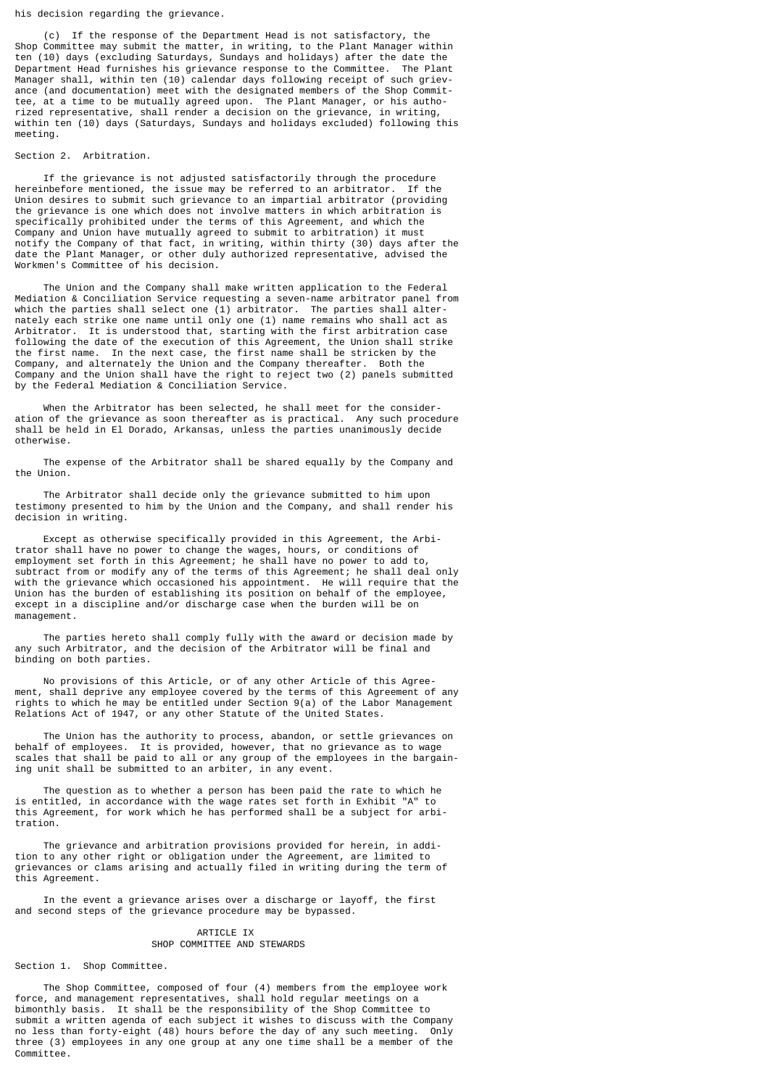his decision regarding the grievance.

 (c) If the response of the Department Head is not satisfactory, the Shop Committee may submit the matter, in writing, to the Plant Manager within ten (10) days (excluding Saturdays, Sundays and holidays) after the date the Department Head furnishes his grievance response to the Committee. The Plant Manager shall, within ten (10) calendar days following receipt of such grievance (and documentation) meet with the designated members of the Shop Committee, at a time to be mutually agreed upon. The Plant Manager, or his authorized representative, shall render a decision on the grievance, in writing, within ten (10) days (Saturdays, Sundays and holidays excluded) following this meeting.

## Section 2. Arbitration.

 If the grievance is not adjusted satisfactorily through the procedure hereinbefore mentioned, the issue may be referred to an arbitrator. If the Union desires to submit such grievance to an impartial arbitrator (providing the grievance is one which does not involve matters in which arbitration is specifically prohibited under the terms of this Agreement, and which the Company and Union have mutually agreed to submit to arbitration) it must notify the Company of that fact, in writing, within thirty (30) days after the date the Plant Manager, or other duly authorized representative, advised the Workmen's Committee of his decision.

 The Union and the Company shall make written application to the Federal Mediation & Conciliation Service requesting a seven-name arbitrator panel from which the parties shall select one (1) arbitrator. The parties shall alternately each strike one name until only one (1) name remains who shall act as Arbitrator. It is understood that, starting with the first arbitration case following the date of the execution of this Agreement, the Union shall strike the first name. In the next case, the first name shall be stricken by the Company, and alternately the Union and the Company thereafter. Both the Company and the Union shall have the right to reject two (2) panels submitted by the Federal Mediation & Conciliation Service.

 When the Arbitrator has been selected, he shall meet for the consideration of the grievance as soon thereafter as is practical. Any such procedure shall be held in El Dorado, Arkansas, unless the parties unanimously decide otherwise.

 The expense of the Arbitrator shall be shared equally by the Company and the Union.

 The Arbitrator shall decide only the grievance submitted to him upon testimony presented to him by the Union and the Company, and shall render his decision in writing.

 Except as otherwise specifically provided in this Agreement, the Arbitrator shall have no power to change the wages, hours, or conditions of employment set forth in this Agreement; he shall have no power to add to, subtract from or modify any of the terms of this Agreement; he shall deal only with the grievance which occasioned his appointment. He will require that the Union has the burden of establishing its position on behalf of the employee, except in a discipline and/or discharge case when the burden will be on management.

 The parties hereto shall comply fully with the award or decision made by any such Arbitrator, and the decision of the Arbitrator will be final and binding on both parties.

 No provisions of this Article, or of any other Article of this Agreement, shall deprive any employee covered by the terms of this Agreement of any rights to which he may be entitled under Section 9(a) of the Labor Management Relations Act of 1947, or any other Statute of the United States.

 The Union has the authority to process, abandon, or settle grievances on behalf of employees. It is provided, however, that no grievance as to wage scales that shall be paid to all or any group of the employees in the bargaining unit shall be submitted to an arbiter, in any event.

 The question as to whether a person has been paid the rate to which he is entitled, in accordance with the wage rates set forth in Exhibit "A" to this Agreement, for work which he has performed shall be a subject for arbitration.

 The grievance and arbitration provisions provided for herein, in addition to any other right or obligation under the Agreement, are limited to grievances or clams arising and actually filed in writing during the term of this Agreement.

 In the event a grievance arises over a discharge or layoff, the first and second steps of the grievance procedure may be bypassed.

## ARTICLE IX SHOP COMMITTEE AND STEWARDS

Section 1. Shop Committee.

 The Shop Committee, composed of four (4) members from the employee work force, and management representatives, shall hold regular meetings on a bimonthly basis. It shall be the responsibility of the Shop Committee to submit a written agenda of each subject it wishes to discuss with the Company no less than forty-eight (48) hours before the day of any such meeting. Only three (3) employees in any one group at any one time shall be a member of the Committee.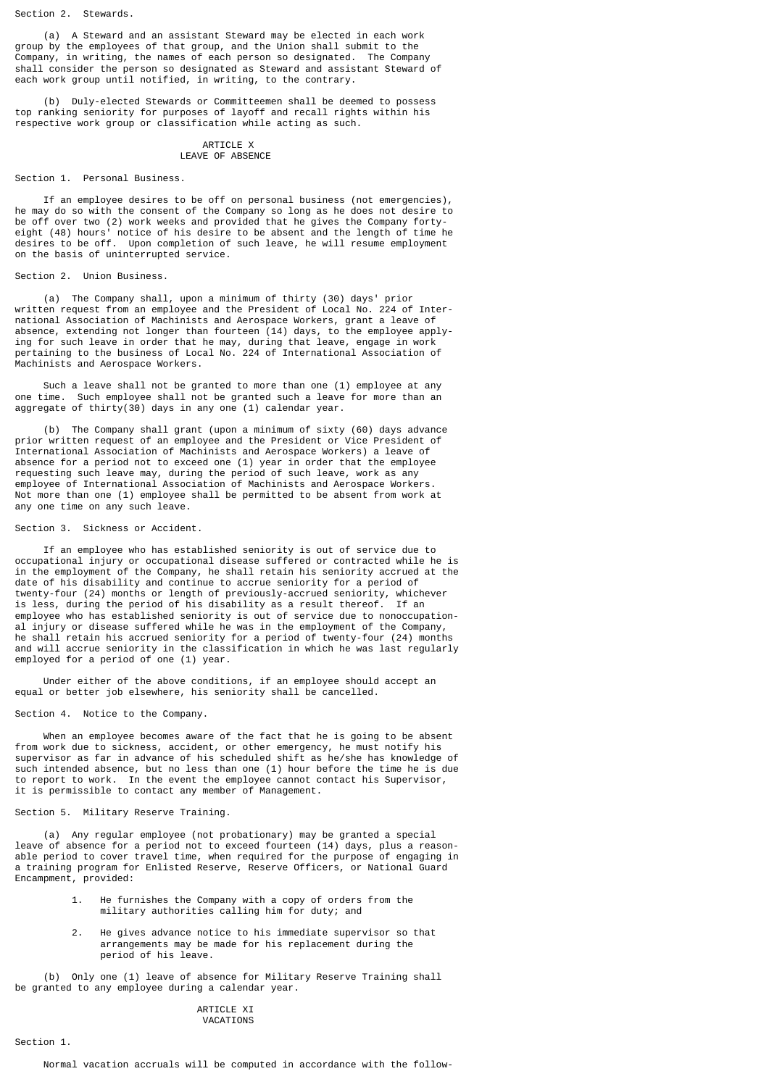Section 2. Stewards.

 (a) A Steward and an assistant Steward may be elected in each work group by the employees of that group, and the Union shall submit to the Company, in writing, the names of each person so designated. The Company shall consider the person so designated as Steward and assistant Steward of each work group until notified, in writing, to the contrary.

 (b) Duly-elected Stewards or Committeemen shall be deemed to possess top ranking seniority for purposes of layoff and recall rights within his respective work group or classification while acting as such.

### ARTICLE X LEAVE OF ABSENCE

#### Section 1. Personal Business.

 If an employee desires to be off on personal business (not emergencies), he may do so with the consent of the Company so long as he does not desire to be off over two (2) work weeks and provided that he gives the Company fortyeight (48) hours' notice of his desire to be absent and the length of time he desires to be off. Upon completion of such leave, he will resume employment on the basis of uninterrupted service.

## Section 2. Union Business.

 (a) The Company shall, upon a minimum of thirty (30) days' prior written request from an employee and the President of Local No. 224 of International Association of Machinists and Aerospace Workers, grant a leave of absence, extending not longer than fourteen (14) days, to the employee applying for such leave in order that he may, during that leave, engage in work pertaining to the business of Local No. 224 of International Association of Machinists and Aerospace Workers.

 Such a leave shall not be granted to more than one (1) employee at any one time. Such employee shall not be granted such a leave for more than an aggregate of thirty(30) days in any one (1) calendar year.

 (b) The Company shall grant (upon a minimum of sixty (60) days advance prior written request of an employee and the President or Vice President of International Association of Machinists and Aerospace Workers) a leave of absence for a period not to exceed one (1) year in order that the employee requesting such leave may, during the period of such leave, work as any employee of International Association of Machinists and Aerospace Workers. Not more than one (1) employee shall be permitted to be absent from work at any one time on any such leave.

## Section 3. Sickness or Accident.

 If an employee who has established seniority is out of service due to occupational injury or occupational disease suffered or contracted while he is in the employment of the Company, he shall retain his seniority accrued at the date of his disability and continue to accrue seniority for a period of twenty-four (24) months or length of previously-accrued seniority, whichever is less, during the period of his disability as a result thereof. employee who has established seniority is out of service due to nonoccupational injury or disease suffered while he was in the employment of the Company, he shall retain his accrued seniority for a period of twenty-four (24) months and will accrue seniority in the classification in which he was last regularly employed for a period of one (1) year.

 Under either of the above conditions, if an employee should accept an equal or better job elsewhere, his seniority shall be cancelled.

Section 4. Notice to the Company.

 When an employee becomes aware of the fact that he is going to be absent from work due to sickness, accident, or other emergency, he must notify his supervisor as far in advance of his scheduled shift as he/she has knowledge of such intended absence, but no less than one (1) hour before the time he is due to report to work. In the event the employee cannot contact his Supervisor, it is permissible to contact any member of Management.

## Section 5. Military Reserve Training.

 (a) Any regular employee (not probationary) may be granted a special leave of absence for a period not to exceed fourteen (14) days, plus a reasonable period to cover travel time, when required for the purpose of engaging in a training program for Enlisted Reserve, Reserve Officers, or National Guard Encampment, provided:

- 1. He furnishes the Company with a copy of orders from the military authorities calling him for duty; and
- 2. He gives advance notice to his immediate supervisor so that arrangements may be made for his replacement during the period of his leave.

 (b) Only one (1) leave of absence for Military Reserve Training shall be granted to any employee during a calendar year.

## ARTICLE XT VACATIONS

Section 1.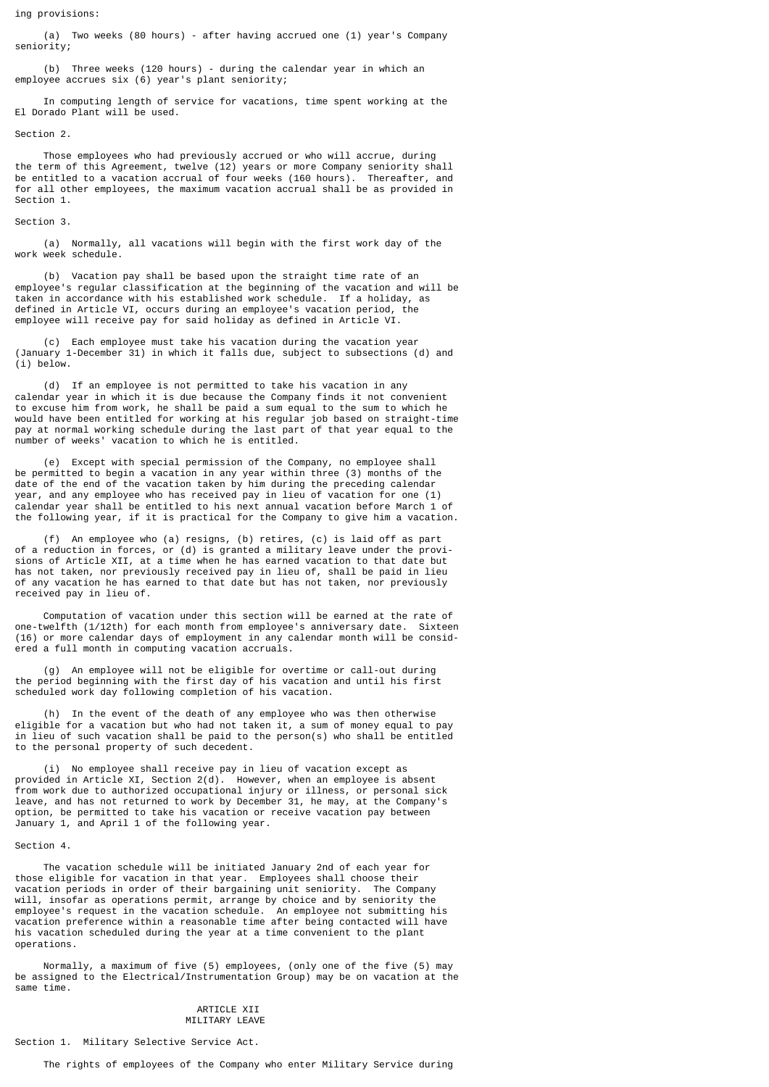ing provisions:

 (a) Two weeks (80 hours) - after having accrued one (1) year's Company seniority;

 (b) Three weeks (120 hours) - during the calendar year in which an employee accrues six (6) year's plant seniority;

 In computing length of service for vacations, time spent working at the El Dorado Plant will be used.

Section 2.

 Those employees who had previously accrued or who will accrue, during the term of this Agreement, twelve (12) years or more Company seniority shall be entitled to a vacation accrual of four weeks (160 hours). Thereafter, and for all other employees, the maximum vacation accrual shall be as provided in Section 1.

### Section 3.

 (a) Normally, all vacations will begin with the first work day of the work week schedule.

 (b) Vacation pay shall be based upon the straight time rate of an employee's regular classification at the beginning of the vacation and will be taken in accordance with his established work schedule. If a holiday, as defined in Article VI, occurs during an employee's vacation period, the employee will receive pay for said holiday as defined in Article VI.

 (c) Each employee must take his vacation during the vacation year (January 1-December 31) in which it falls due, subject to subsections (d) and (i) below.

 (d) If an employee is not permitted to take his vacation in any calendar year in which it is due because the Company finds it not convenient to excuse him from work, he shall be paid a sum equal to the sum to which he would have been entitled for working at his regular job based on straight-time pay at normal working schedule during the last part of that year equal to the number of weeks' vacation to which he is entitled.

Except with special permission of the Company, no employee shall be permitted to begin a vacation in any year within three (3) months of the date of the end of the vacation taken by him during the preceding calendar year, and any employee who has received pay in lieu of vacation for one (1) calendar year shall be entitled to his next annual vacation before March 1 of the following year, if it is practical for the Company to give him a vacation.

 (f) An employee who (a) resigns, (b) retires, (c) is laid off as part of a reduction in forces, or (d) is granted a military leave under the provisions of Article XII, at a time when he has earned vacation to that date but has not taken, nor previously received pay in lieu of, shall be paid in lieu of any vacation he has earned to that date but has not taken, nor previously received pay in lieu of.

 Computation of vacation under this section will be earned at the rate of one-twelfth (1/12th) for each month from employee's anniversary date. Sixteen (16) or more calendar days of employment in any calendar month will be considered a full month in computing vacation accruals.

 (g) An employee will not be eligible for overtime or call-out during the period beginning with the first day of his vacation and until his first scheduled work day following completion of his vacation.

 (h) In the event of the death of any employee who was then otherwise eligible for a vacation but who had not taken it, a sum of money equal to pay in lieu of such vacation shall be paid to the person(s) who shall be entitled to the personal property of such decedent.

 (i) No employee shall receive pay in lieu of vacation except as provided in Article XI, Section 2(d). However, when an employee is absent from work due to authorized occupational injury or illness, or personal sick leave, and has not returned to work by December 31, he may, at the Company's option, be permitted to take his vacation or receive vacation pay between January 1, and April 1 of the following year.

### Section 4.

 The vacation schedule will be initiated January 2nd of each year for those eligible for vacation in that year. Employees shall choose their vacation periods in order of their bargaining unit seniority. The Company will, insofar as operations permit, arrange by choice and by seniority the employee's request in the vacation schedule. An employee not submitting his vacation preference within a reasonable time after being contacted will have his vacation scheduled during the year at a time convenient to the plant operations.

 Normally, a maximum of five (5) employees, (only one of the five (5) may be assigned to the Electrical/Instrumentation Group) may be on vacation at the same time.

## ARTICLE XII MILITARY LEAVE

Section 1. Military Selective Service Act.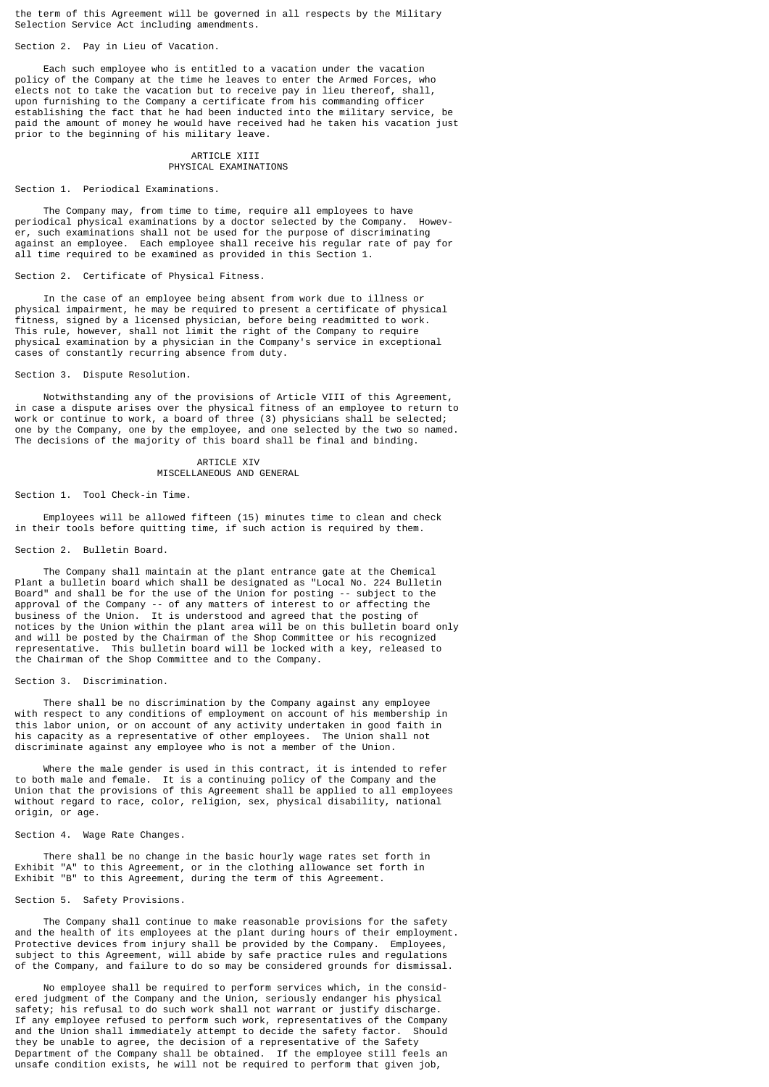the term of this Agreement will be governed in all respects by the Military Selection Service Act including amendments.

Section 2. Pay in Lieu of Vacation.

 Each such employee who is entitled to a vacation under the vacation policy of the Company at the time he leaves to enter the Armed Forces, who elects not to take the vacation but to receive pay in lieu thereof, shall, upon furnishing to the Company a certificate from his commanding officer establishing the fact that he had been inducted into the military service, be paid the amount of money he would have received had he taken his vacation just prior to the beginning of his military leave.

### ARTICLE XIII PHYSICAL EXAMINATIONS

## Section 1. Periodical Examinations.

 The Company may, from time to time, require all employees to have periodical physical examinations by a doctor selected by the Company. However, such examinations shall not be used for the purpose of discriminating against an employee. Each employee shall receive his regular rate of pay for all time required to be examined as provided in this Section 1.

# Section 2. Certificate of Physical Fitness.

 In the case of an employee being absent from work due to illness or physical impairment, he may be required to present a certificate of physical fitness, signed by a licensed physician, before being readmitted to work. This rule, however, shall not limit the right of the Company to require physical examination by a physician in the Company's service in exceptional cases of constantly recurring absence from duty.

Section 3. Dispute Resolution.

 Notwithstanding any of the provisions of Article VIII of this Agreement, in case a dispute arises over the physical fitness of an employee to return to work or continue to work, a board of three (3) physicians shall be selected; one by the Company, one by the employee, and one selected by the two so named. The decisions of the majority of this board shall be final and binding.

> ARTICLE XIV MISCELLANEOUS AND GENERAL

#### Section 1. Tool Check-in Time.

 Employees will be allowed fifteen (15) minutes time to clean and check in their tools before quitting time, if such action is required by them.

### Section 2. Bulletin Board.

 The Company shall maintain at the plant entrance gate at the Chemical Plant a bulletin board which shall be designated as "Local No. 224 Bulletin Board" and shall be for the use of the Union for posting -- subject to the approval of the Company -- of any matters of interest to or affecting the business of the Union. It is understood and agreed that the posting of notices by the Union within the plant area will be on this bulletin board only and will be posted by the Chairman of the Shop Committee or his recognized representative. This bulletin board will be locked with a key, released to the Chairman of the Shop Committee and to the Company.

### Section 3. Discrimination.

 There shall be no discrimination by the Company against any employee with respect to any conditions of employment on account of his membership in this labor union, or on account of any activity undertaken in good faith in his capacity as a representative of other employees. The Union shall not discriminate against any employee who is not a member of the Union.

 Where the male gender is used in this contract, it is intended to refer to both male and female. It is a continuing policy of the Company and the Union that the provisions of this Agreement shall be applied to all employees without regard to race, color, religion, sex, physical disability, national origin, or age.

Section 4. Wage Rate Changes.

 There shall be no change in the basic hourly wage rates set forth in Exhibit "A" to this Agreement, or in the clothing allowance set forth in Exhibit "B" to this Agreement, during the term of this Agreement.

### Section 5. Safety Provisions.

 The Company shall continue to make reasonable provisions for the safety and the health of its employees at the plant during hours of their employment. Protective devices from injury shall be provided by the Company. Employees, subject to this Agreement, will abide by safe practice rules and regulations of the Company, and failure to do so may be considered grounds for dismissal.

 No employee shall be required to perform services which, in the considered judgment of the Company and the Union, seriously endanger his physical safety; his refusal to do such work shall not warrant or justify discharge. If any employee refused to perform such work, representatives of the Company and the Union shall immediately attempt to decide the safety factor. Should they be unable to agree, the decision of a representative of the Safety Department of the Company shall be obtained. If the employee still feels an unsafe condition exists, he will not be required to perform that given job,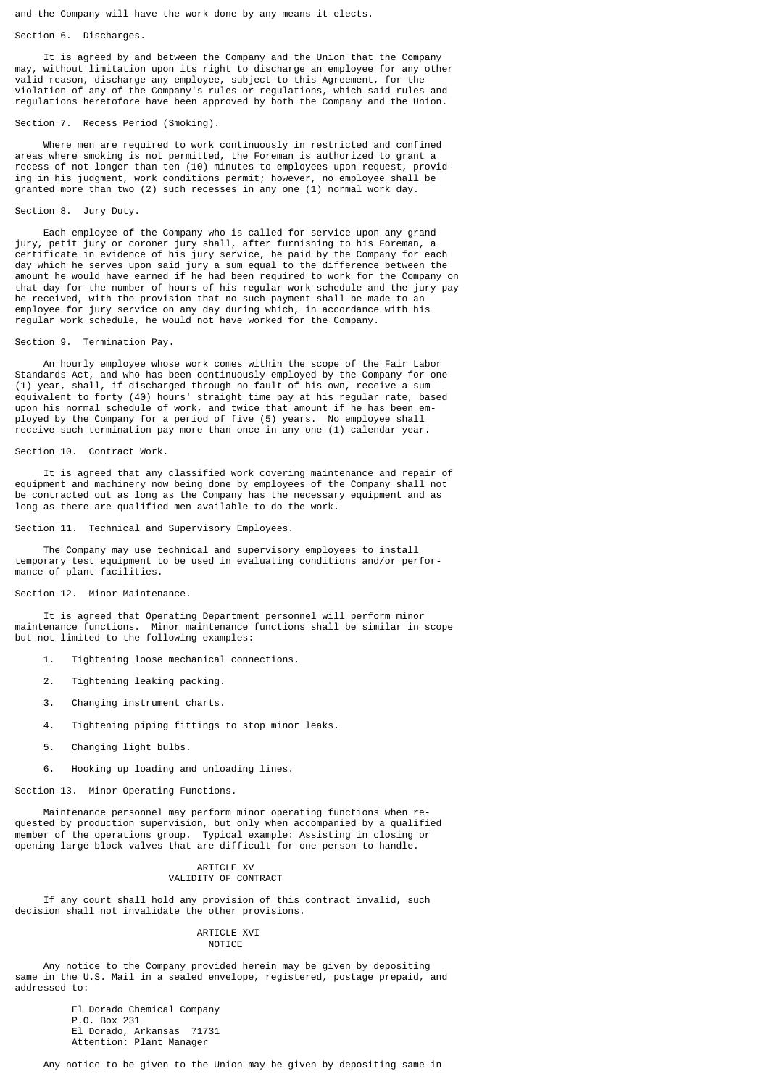and the Company will have the work done by any means it elects.

## Section 6. Discharges.

 It is agreed by and between the Company and the Union that the Company may, without limitation upon its right to discharge an employee for any other valid reason, discharge any employee, subject to this Agreement, for the violation of any of the Company's rules or regulations, which said rules and regulations heretofore have been approved by both the Company and the Union.

## Section 7. Recess Period (Smoking).

 Where men are required to work continuously in restricted and confined areas where smoking is not permitted, the Foreman is authorized to grant a recess of not longer than ten (10) minutes to employees upon request, providing in his judgment, work conditions permit; however, no employee shall be granted more than two (2) such recesses in any one (1) normal work day.

## Section 8. Jury Duty.

 Each employee of the Company who is called for service upon any grand jury, petit jury or coroner jury shall, after furnishing to his Foreman, a certificate in evidence of his jury service, be paid by the Company for each day which he serves upon said jury a sum equal to the difference between the amount he would have earned if he had been required to work for the Company on that day for the number of hours of his regular work schedule and the jury pay he received, with the provision that no such payment shall be made to an employee for jury service on any day during which, in accordance with his regular work schedule, he would not have worked for the Company.

#### Section 9. Termination Pay.

 An hourly employee whose work comes within the scope of the Fair Labor Standards Act, and who has been continuously employed by the Company for one (1) year, shall, if discharged through no fault of his own, receive a sum equivalent to forty (40) hours' straight time pay at his regular rate, based upon his normal schedule of work, and twice that amount if he has been employed by the Company for a period of five (5) years. No employee shall receive such termination pay more than once in any one (1) calendar year.

### Section 10. Contract Work.

 It is agreed that any classified work covering maintenance and repair of equipment and machinery now being done by employees of the Company shall not be contracted out as long as the Company has the necessary equipment and as long as there are qualified men available to do the work.

## Section 11. Technical and Supervisory Employees.

 The Company may use technical and supervisory employees to install temporary test equipment to be used in evaluating conditions and/or performance of plant facilities.

### Section 12. Minor Maintenance.

 It is agreed that Operating Department personnel will perform minor maintenance functions. Minor maintenance functions shall be similar in scope but not limited to the following examples:

- 1. Tightening loose mechanical connections.
- 2. Tightening leaking packing.
- 3. Changing instrument charts.
- 4. Tightening piping fittings to stop minor leaks.
- 5. Changing light bulbs.
- 6. Hooking up loading and unloading lines.

# Section 13. Minor Operating Functions.

 Maintenance personnel may perform minor operating functions when requested by production supervision, but only when accompanied by a qualified member of the operations group. Typical example: Assisting in closing or opening large block valves that are difficult for one person to handle.

## ARTICLE XV VALIDITY OF CONTRACT

 If any court shall hold any provision of this contract invalid, such decision shall not invalidate the other provisions.

### **ARTICLE XVI NOTTCF**

 Any notice to the Company provided herein may be given by depositing same in the U.S. Mail in a sealed envelope, registered, postage prepaid, and addressed to:

 El Dorado Chemical Company P.O. Box 231 El Dorado, Arkansas 71731 Attention: Plant Manager

Any notice to be given to the Union may be given by depositing same in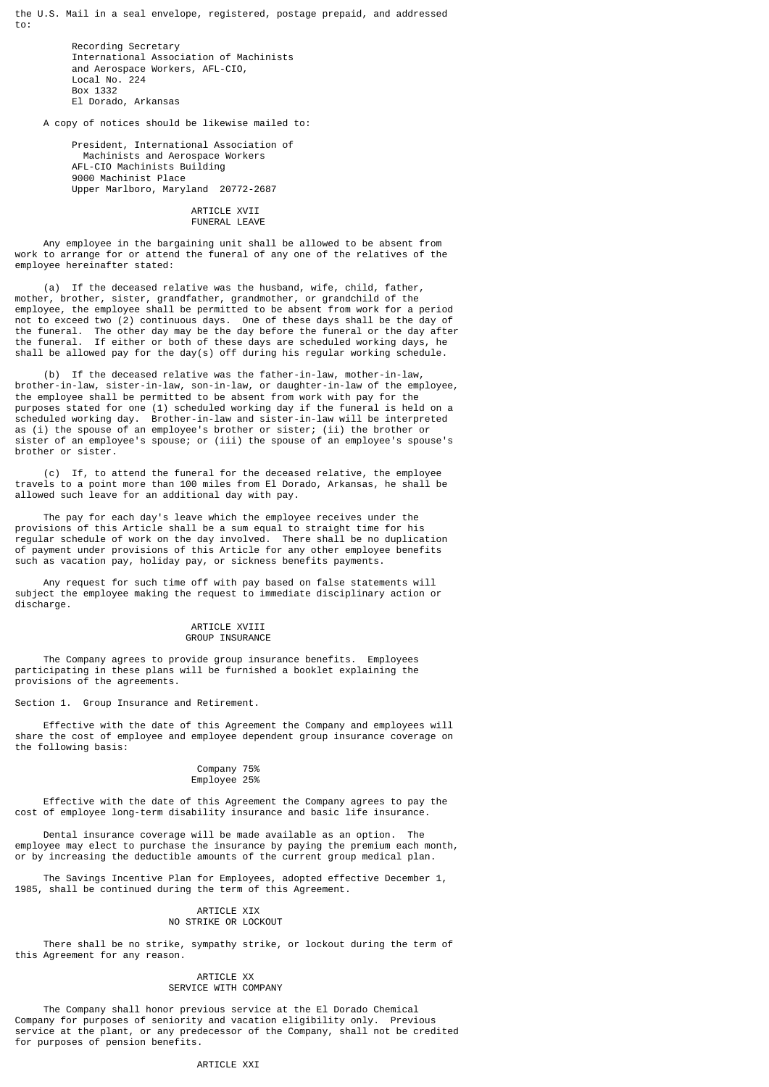the U.S. Mail in a seal envelope, registered, postage prepaid, and addressed to:

> Recording Secretary International Association of Machinists and Aerospace Workers, AFL-CIO, Local No. 224 Box 1332 El Dorado, Arkansas

A copy of notices should be likewise mailed to:

 President, International Association of Machinists and Aerospace Workers AFL-CIO Machinists Building 9000 Machinist Place Upper Marlboro, Maryland 20772-2687

### ARTICLE XVII FUNERAL LEAVE

 Any employee in the bargaining unit shall be allowed to be absent from work to arrange for or attend the funeral of any one of the relatives of the employee hereinafter stated:

 (a) If the deceased relative was the husband, wife, child, father, mother, brother, sister, grandfather, grandmother, or grandchild of the employee, the employee shall be permitted to be absent from work for a period not to exceed two (2) continuous days. One of these days shall be the day of the funeral. The other day may be the day before the funeral or the day after the funeral. If either or both of these days are scheduled working days, he shall be allowed pay for the day(s) off during his regular working schedule.

 (b) If the deceased relative was the father-in-law, mother-in-law, brother-in-law, sister-in-law, son-in-law, or daughter-in-law of the employee, the employee shall be permitted to be absent from work with pay for the purposes stated for one (1) scheduled working day if the funeral is held on a scheduled working day. Brother-in-law and sister-in-law will be interpreted as (i) the spouse of an employee's brother or sister; (ii) the brother or sister of an employee's spouse; or (iii) the spouse of an employee's spouse's brother or sister.

 (c) If, to attend the funeral for the deceased relative, the employee travels to a point more than 100 miles from El Dorado, Arkansas, he shall be allowed such leave for an additional day with pay.

 The pay for each day's leave which the employee receives under the provisions of this Article shall be a sum equal to straight time for his regular schedule of work on the day involved. There shall be no duplication of payment under provisions of this Article for any other employee benefits such as vacation pay, holiday pay, or sickness benefits payments.

 Any request for such time off with pay based on false statements will subject the employee making the request to immediate disciplinary action or discharge.

### ARTICLE XVIII GROUP INSURANCE

 The Company agrees to provide group insurance benefits. Employees participating in these plans will be furnished a booklet explaining the provisions of the agreements.

Section 1. Group Insurance and Retirement.

 Effective with the date of this Agreement the Company and employees will share the cost of employee and employee dependent group insurance coverage on the following basis:

#### Company 75% Employee 25%

 Effective with the date of this Agreement the Company agrees to pay the cost of employee long-term disability insurance and basic life insurance.

 Dental insurance coverage will be made available as an option. The employee may elect to purchase the insurance by paying the premium each month, or by increasing the deductible amounts of the current group medical plan.

 The Savings Incentive Plan for Employees, adopted effective December 1, 1985, shall be continued during the term of this Agreement.

### ARTICLE XIX NO STRIKE OR LOCKOUT

 There shall be no strike, sympathy strike, or lockout during the term of this Agreement for any reason.

## ARTICLE XX SERVICE WITH COMPANY

 The Company shall honor previous service at the El Dorado Chemical Company for purposes of seniority and vacation eligibility only. Previous service at the plant, or any predecessor of the Company, shall not be credited for purposes of pension benefits.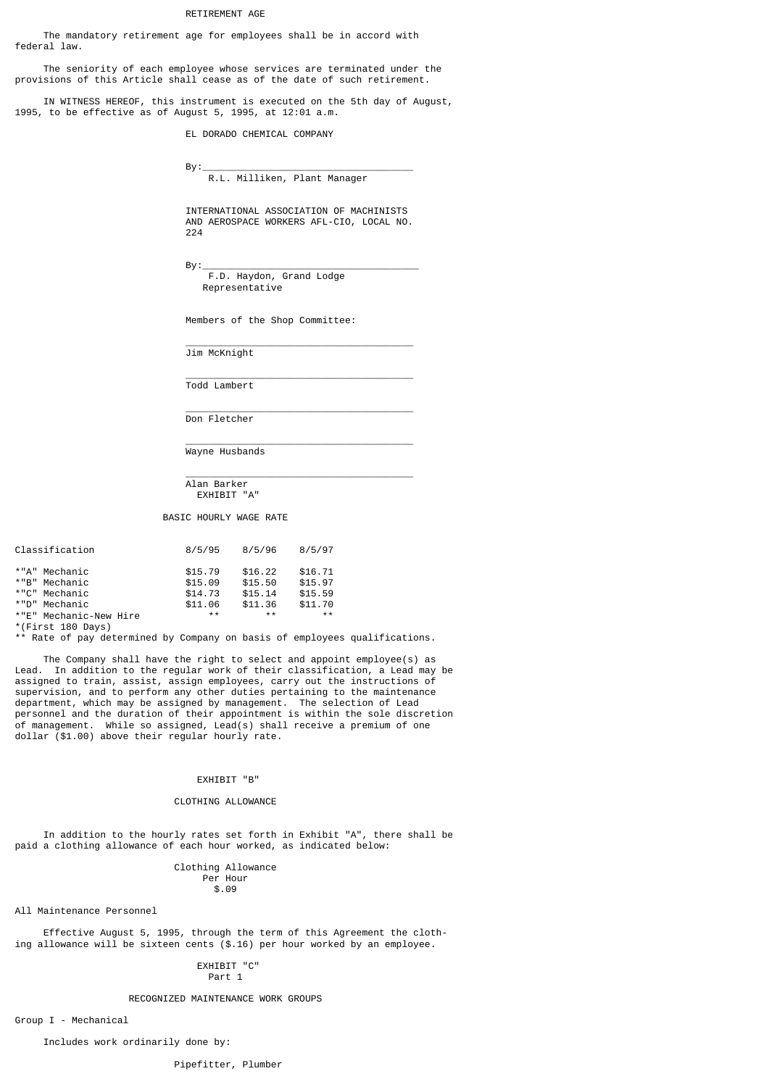## RETIREMENT AGE

 The mandatory retirement age for employees shall be in accord with federal law.

 The seniority of each employee whose services are terminated under the provisions of this Article shall cease as of the date of such retirement.

 IN WITNESS HEREOF, this instrument is executed on the 5th day of August, 1995, to be effective as of August 5, 1995, at 12:01 a.m.

EL DORADO CHEMICAL COMPANY

 By:\_\_\_\_\_\_\_\_\_\_\_\_\_\_\_\_\_\_\_\_\_\_\_\_\_\_\_\_\_\_\_\_\_\_\_\_\_ R.L. Milliken, Plant Manager

 INTERNATIONAL ASSOCIATION OF MACHINISTS AND AEROSPACE WORKERS AFL-CIO, LOCAL NO. 224

By:\_\_\_\_\_\_\_\_\_\_\_\_\_\_\_\_\_\_\_\_\_\_\_\_\_\_\_\_\_\_\_\_\_\_\_\_\_\_

 F.D. Haydon, Grand Lodge Representative

Members of the Shop Committee:

 $\frac{1}{2}$  , and the set of the set of the set of the set of the set of the set of the set of the set of the set of the set of the set of the set of the set of the set of the set of the set of the set of the set of the set Jim McKnight

 $\frac{1}{2}$  , and the set of the set of the set of the set of the set of the set of the set of the set of the set of the set of the set of the set of the set of the set of the set of the set of the set of the set of the set Todd Lambert

 $\frac{1}{2}$  , and the set of the set of the set of the set of the set of the set of the set of the set of the set of the set of the set of the set of the set of the set of the set of the set of the set of the set of the set Don Fletcher

 $\frac{1}{2}$  , and the set of the set of the set of the set of the set of the set of the set of the set of the set of the set of the set of the set of the set of the set of the set of the set of the set of the set of the set Wayne Husbands

 $\frac{1}{2}$  , and the set of the set of the set of the set of the set of the set of the set of the set of the set of the set of the set of the set of the set of the set of the set of the set of the set of the set of the set Alan Barker EXHIBIT "A"

BASIC HOURLY WAGE RATE

| Classification         | 8/5/95  | 8/5/96  | 8/5/97  |
|------------------------|---------|---------|---------|
| *"A" Mechanic          | \$15.79 | \$16.22 | \$16.71 |
| *"B" Mechanic          | \$15.09 | \$15.50 | \$15.97 |
| *"C" Mechanic          | \$14.73 | \$15.14 | \$15.59 |
| ייחיי*<br>Mechanic     | \$11.06 | \$11.36 | \$11.70 |
| *"E" Mechanic-New Hire | **      | **      | * *     |

\*(First 180 Days)

Rate of pay determined by Company on basis of employees qualifications.

 The Company shall have the right to select and appoint employee(s) as Lead. In addition to the regular work of their classification, a Lead may be assigned to train, assist, assign employees, carry out the instructions of supervision, and to perform any other duties pertaining to the maintenance department, which may be assigned by management. The selection of Lead personnel and the duration of their appointment is within the sole discretion of management. While so assigned, Lead(s) shall receive a premium of one dollar (\$1.00) above their regular hourly rate.

# EXHIBIT "B"

## CLOTHING ALLOWANCE

 In addition to the hourly rates set forth in Exhibit "A", there shall be paid a clothing allowance of each hour worked, as indicated below:

 Clothing Allowance Per Hour  $\frac{1}{2}$ .09

All Maintenance Personnel

 Effective August 5, 1995, through the term of this Agreement the clothing allowance will be sixteen cents (\$.16) per hour worked by an employee.

## EXHIBIT "C" Part 1

### RECOGNIZED MAINTENANCE WORK GROUPS

Group I - Mechanical

Includes work ordinarily done by: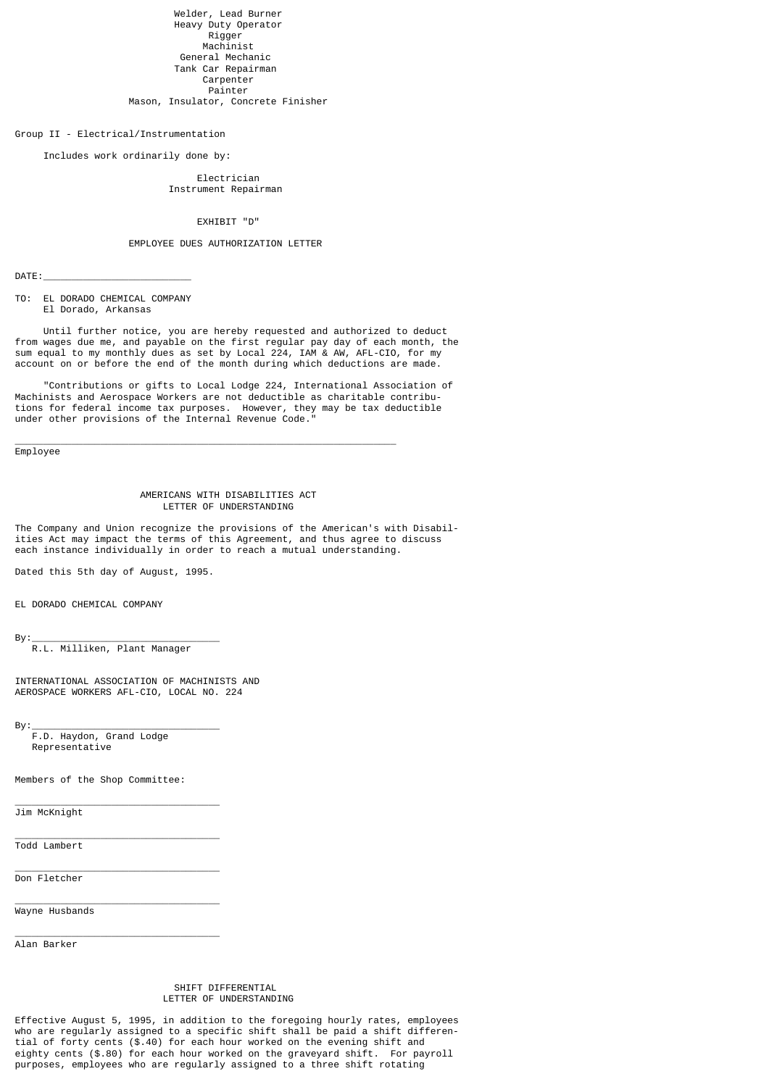Welder, Lead Burner Heavy Duty Operator Rigger Machinist General Mechanic Tank Car Repairman Carpenter Painter Mason, Insulator, Concrete Finisher

Group II - Electrical/Instrumentation

Includes work ordinarily done by:

## Electrician Instrument Repairman

# EXHIBIT "D"

## EMPLOYEE DUES AUTHORIZATION LETTER

 $DATAE:$ 

TO: EL DORADO CHEMICAL COMPANY El Dorado, Arkansas

 Until further notice, you are hereby requested and authorized to deduct from wages due me, and payable on the first regular pay day of each month, the sum equal to my monthly dues as set by Local 224, IAM & AW, AFL-CIO, for my account on or before the end of the month during which deductions are made.

 "Contributions or gifts to Local Lodge 224, International Association of Machinists and Aerospace Workers are not deductible as charitable contributions for federal income tax purposes. However, they may be tax deductible under other provisions of the Internal Revenue Code."

Employee

#### AMERICANS WITH DISABILITIES ACT LETTER OF UNDERSTANDING

\_\_\_\_\_\_\_\_\_\_\_\_\_\_\_\_\_\_\_\_\_\_\_\_\_\_\_\_\_\_\_\_\_\_\_\_\_\_\_\_\_\_\_\_\_\_\_\_\_\_\_\_\_\_\_\_\_\_\_\_\_\_\_\_\_\_\_

The Company and Union recognize the provisions of the American's with Disabilities Act may impact the terms of this Agreement, and thus agree to discuss each instance individually in order to reach a mutual understanding.

Dated this 5th day of August, 1995.

EL DORADO CHEMICAL COMPANY

By:\_\_\_\_\_\_\_\_\_\_\_\_\_\_\_\_\_\_\_\_\_\_\_\_\_\_\_\_\_\_\_\_\_

R.L. Milliken, Plant Manager

INTERNATIONAL ASSOCIATION OF MACHINISTS AND AEROSPACE WORKERS AFL-CIO, LOCAL NO. 224

By:\_\_\_\_\_\_\_\_\_\_\_\_\_\_\_\_\_\_\_\_\_\_\_\_\_\_\_\_\_\_\_\_\_

 F.D. Haydon, Grand Lodge Representative

Members of the Shop Committee:

 $\overline{\phantom{a}}$  , and the contract of the contract of  $\overline{\phantom{a}}$ 

\_\_\_\_\_\_\_\_\_\_\_\_\_\_\_\_\_\_\_\_\_\_\_\_\_\_\_\_\_\_\_\_\_\_\_\_

\_\_\_\_\_\_\_\_\_\_\_\_\_\_\_\_\_\_\_\_\_\_\_\_\_\_\_\_\_\_\_\_\_\_\_\_

 $\overline{\phantom{a}}$  , and the contract of the contract of the contract of the contract of the contract of the contract of the contract of the contract of the contract of the contract of the contract of the contract of the contrac

 $\overline{\phantom{a}}$  , and the contract of the contract of  $\overline{\phantom{a}}$ Jim McKnight

Todd Lambert

Don Fletcher

Wayne Husbands

Alan Barker

### SHIFT DIFFERENTIAL LETTER OF UNDERSTANDING

Effective August 5, 1995, in addition to the foregoing hourly rates, employees who are regularly assigned to a specific shift shall be paid a shift differential of forty cents (\$.40) for each hour worked on the evening shift and eighty cents (\$.80) for each hour worked on the graveyard shift. For payroll purposes, employees who are regularly assigned to a three shift rotating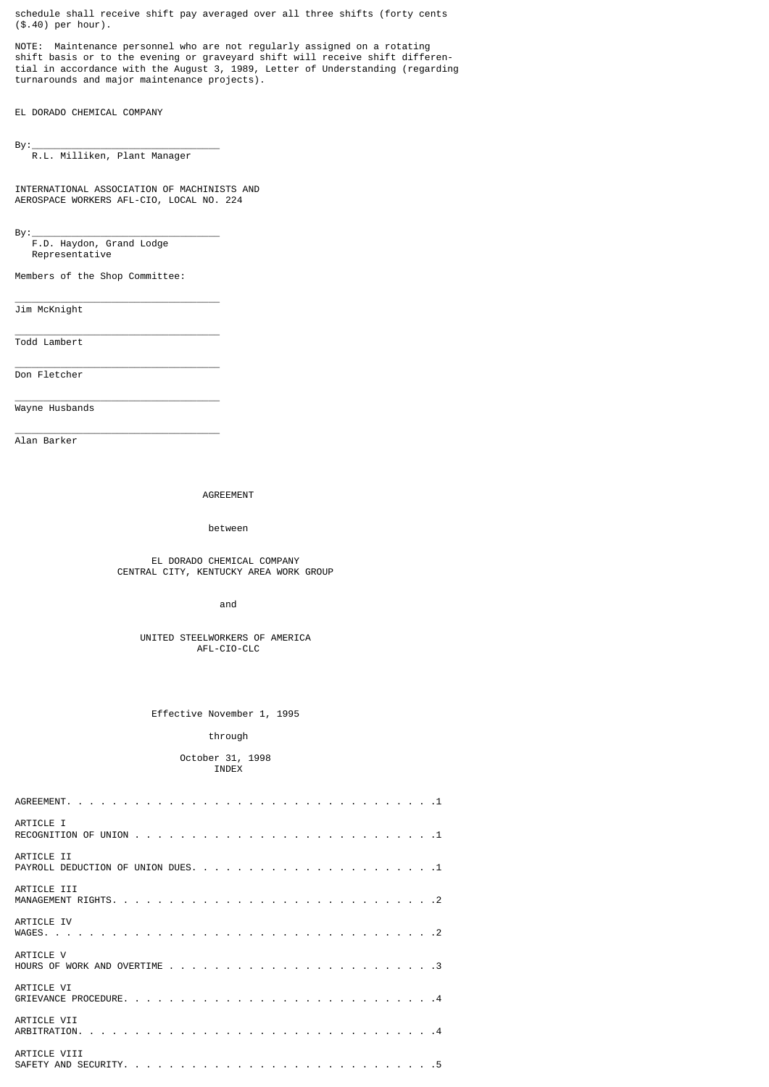schedule shall receive shift pay averaged over all three shifts (forty cents (\$.40) per hour).

NOTE: Maintenance personnel who are not regularly assigned on a rotating shift basis or to the evening or graveyard shift will receive shift differential in accordance with the August 3, 1989, Letter of Understanding (regarding turnarounds and major maintenance projects).

EL DORADO CHEMICAL COMPANY

By:\_\_\_\_\_\_\_\_\_\_\_\_\_\_\_\_\_\_\_\_\_\_\_\_\_\_\_\_\_\_\_\_\_

R.L. Milliken, Plant Manager

INTERNATIONAL ASSOCIATION OF MACHINISTS AND AEROSPACE WORKERS AFL-CIO, LOCAL NO. 224

By:\_\_\_\_\_\_\_\_\_\_\_\_\_\_\_\_\_\_\_\_\_\_\_\_\_\_\_\_\_\_\_\_\_

 F.D. Haydon, Grand Lodge Representative

Members of the Shop Committee:

 $\overline{\phantom{a}}$  , and the contract of the contract of  $\overline{\phantom{a}}$ 

 $\overline{\phantom{a}}$  , and the contract of the contract of  $\overline{\phantom{a}}$ 

\_\_\_\_\_\_\_\_\_\_\_\_\_\_\_\_\_\_\_\_\_\_\_\_\_\_\_\_\_\_\_\_\_\_\_\_

Jim McKnight

 $\overline{\phantom{a}}$  , and the contract of the contract of  $\overline{\phantom{a}}$ Todd Lambert

Don Fletcher

Wayne Husbands

 $\overline{\phantom{a}}$  , and the contract of the contract of the contract of the contract of the contract of the contract of the contract of the contract of the contract of the contract of the contract of the contract of the contrac Alan Barker

AGREEMENT

between

 EL DORADO CHEMICAL COMPANY CENTRAL CITY, KENTUCKY AREA WORK GROUP

and the contract of the contract of the contract of the contract of the contract of the contract of the contract of the contract of the contract of the contract of the contract of the contract of the contract of the contra

 UNITED STEELWORKERS OF AMERICA AFL-CIO-CLC

Effective November 1, 1995

## through

 October 31, 1998 INDEX

| ARTICLE I    |
|--------------|
| ARTICLE II   |
| ARTICLE III  |
| ARTICLE IV   |
| ARTICLE V    |
| ARTICLE VI   |
| ARTICLE VII  |
| ARTICLE VIII |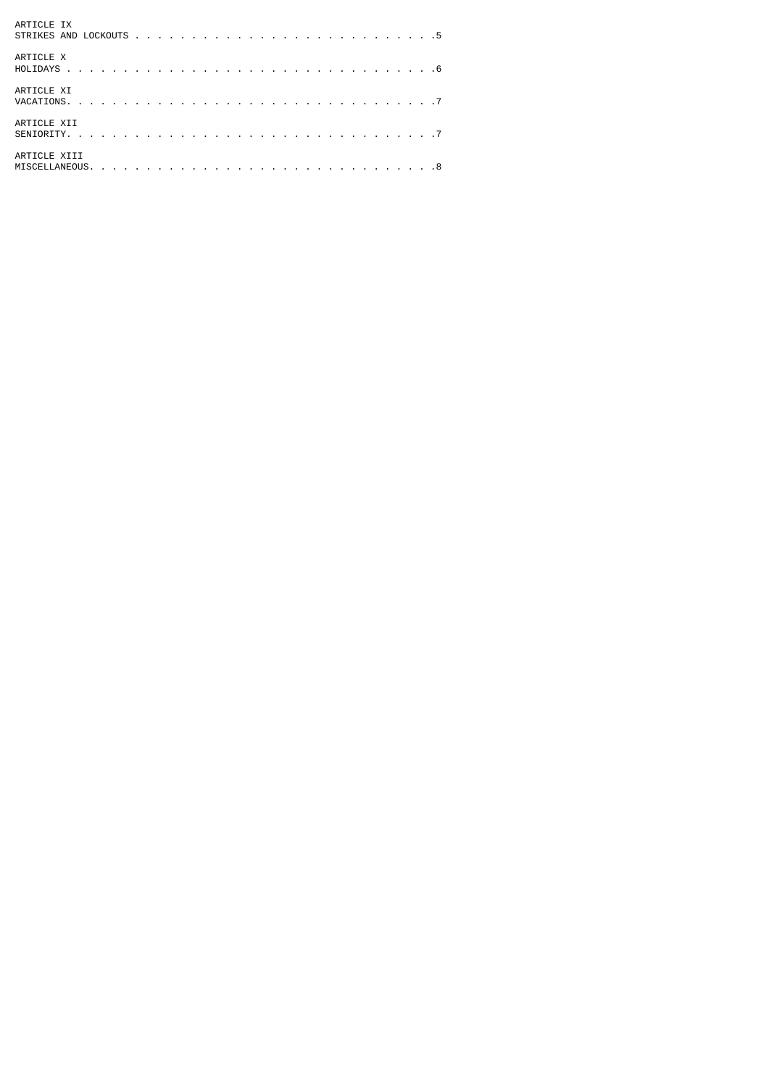| ARTICLE IX   |
|--------------|
| ARTICLE X    |
| ARTICLE XI   |
| ARTICLE XII  |
| ARTICLE XIII |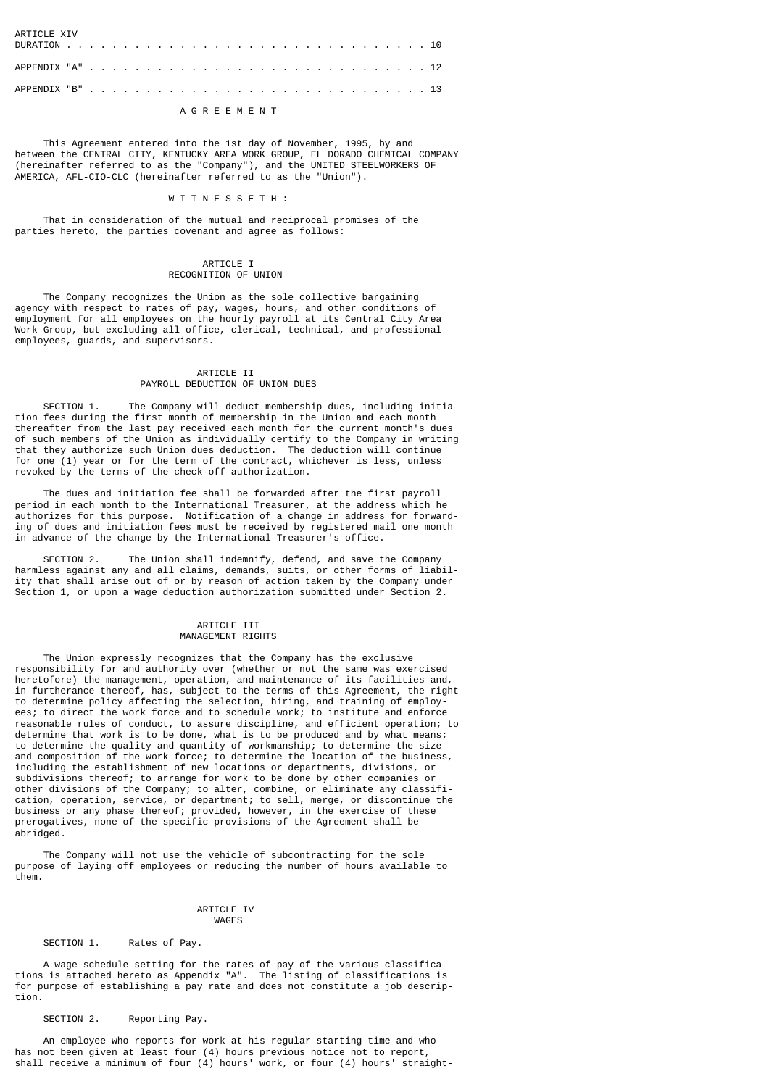**ARTICLE XIV** DURATION . . . . . . . . . . . . . . . . . . . . . . . . . . . . . . . . 10 APPENDIX "A" . . . . . . . . . . . . . . . . . . . . . . . . . . . . . . 12 APPENDIX "B" . . . . . . . . . . . . . . . . . . . . . . . . . . . . . . 13

## A G R E E M E N T

 This Agreement entered into the 1st day of November, 1995, by and between the CENTRAL CITY, KENTUCKY AREA WORK GROUP, EL DORADO CHEMICAL COMPANY (hereinafter referred to as the "Company"), and the UNITED STEELWORKERS OF AMERICA, AFL-CIO-CLC (hereinafter referred to as the "Union").

#### W T T N F S S F T H :

 That in consideration of the mutual and reciprocal promises of the parties hereto, the parties covenant and agree as follows:

## ARTICLE I RECOGNITION OF UNION

 The Company recognizes the Union as the sole collective bargaining agency with respect to rates of pay, wages, hours, and other conditions of employment for all employees on the hourly payroll at its Central City Area Work Group, but excluding all office, clerical, technical, and professional employees, guards, and supervisors.

## ARTICLE II PAYROLL DEDUCTION OF UNION DUES

 SECTION 1. The Company will deduct membership dues, including initiation fees during the first month of membership in the Union and each month thereafter from the last pay received each month for the current month's dues of such members of the Union as individually certify to the Company in writing that they authorize such Union dues deduction. The deduction will continue for one (1) year or for the term of the contract, whichever is less, unless revoked by the terms of the check-off authorization.

 The dues and initiation fee shall be forwarded after the first payroll period in each month to the International Treasurer, at the address which he authorizes for this purpose. Notification of a change in address for forwarding of dues and initiation fees must be received by registered mail one month in advance of the change by the International Treasurer's office.

 SECTION 2. The Union shall indemnify, defend, and save the Company harmless against any and all claims, demands, suits, or other forms of liability that shall arise out of or by reason of action taken by the Company under Section 1, or upon a wage deduction authorization submitted under Section 2.

### ARTICLE III MANAGEMENT RIGHTS

 The Union expressly recognizes that the Company has the exclusive responsibility for and authority over (whether or not the same was exercised heretofore) the management, operation, and maintenance of its facilities and, in furtherance thereof, has, subject to the terms of this Agreement, the right to determine policy affecting the selection, hiring, and training of employees; to direct the work force and to schedule work; to institute and enforce reasonable rules of conduct, to assure discipline, and efficient operation; to determine that work is to be done, what is to be produced and by what means; to determine the quality and quantity of workmanship; to determine the size and composition of the work force; to determine the location of the business, including the establishment of new locations or departments, divisions, or subdivisions thereof; to arrange for work to be done by other companies or other divisions of the Company; to alter, combine, or eliminate any classification, operation, service, or department; to sell, merge, or discontinue the business or any phase thereof; provided, however, in the exercise of these prerogatives, none of the specific provisions of the Agreement shall be abridged.

 The Company will not use the vehicle of subcontracting for the sole purpose of laying off employees or reducing the number of hours available to them.

## ARTICLE IV **Example 2018** MAGES

#### SECTION 1. Rates of Pay.

 A wage schedule setting for the rates of pay of the various classifications is attached hereto as Appendix "A". The listing of classifications is for purpose of establishing a pay rate and does not constitute a job description.

SECTION 2. Reporting Pay.

 An employee who reports for work at his regular starting time and who has not been given at least four (4) hours previous notice not to report, shall receive a minimum of four (4) hours' work, or four (4) hours' straight-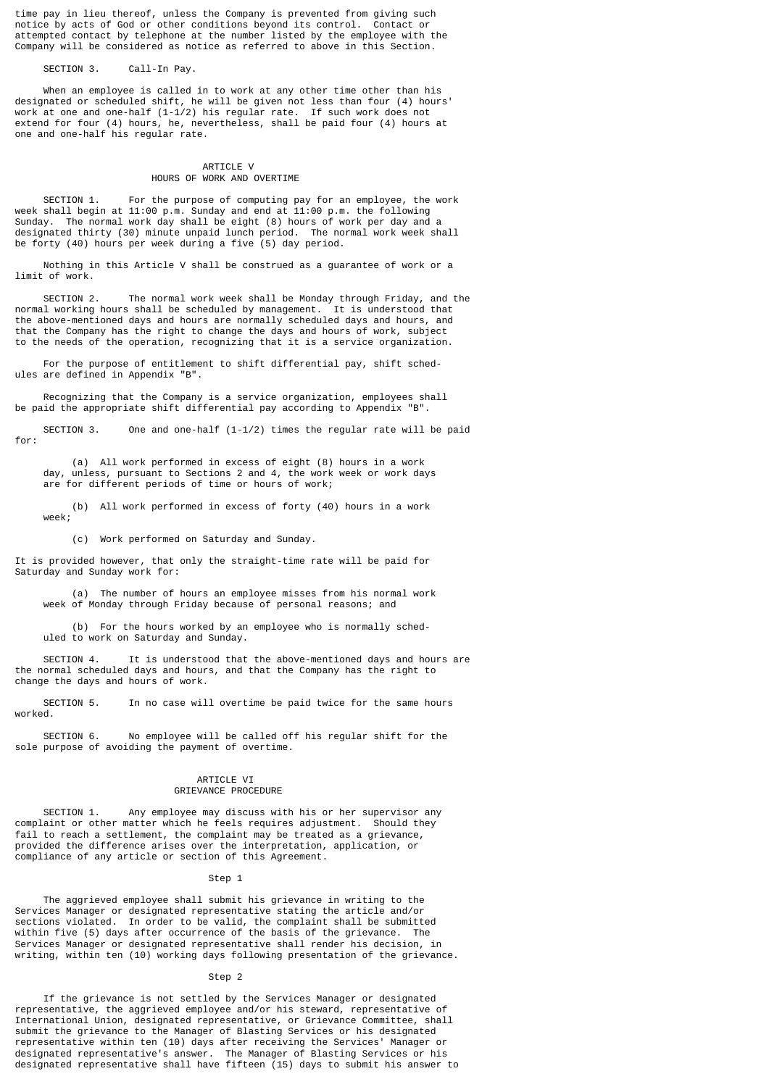time pay in lieu thereof, unless the Company is prevented from giving such notice by acts of God or other conditions beyond its control. Contact or attempted contact by telephone at the number listed by the employee with the Company will be considered as notice as referred to above in this Section.

SECTION 3. Call-In Pay.

 When an employee is called in to work at any other time other than his designated or scheduled shift, he will be given not less than four (4) hours' work at one and one-half (1-1/2) his regular rate. If such work does not extend for four (4) hours, he, nevertheless, shall be paid four (4) hours at one and one-half his regular rate.

### ARTICLE V HOURS OF WORK AND OVERTIME

 SECTION 1. For the purpose of computing pay for an employee, the work week shall begin at 11:00 p.m. Sunday and end at 11:00 p.m. the following Sunday. The normal work day shall be eight (8) hours of work per day and a designated thirty (30) minute unpaid lunch period. The normal work week shall be forty (40) hours per week during a five (5) day period.

 Nothing in this Article V shall be construed as a guarantee of work or a limit of work.

 SECTION 2. The normal work week shall be Monday through Friday, and the normal working hours shall be scheduled by management. It is understood that the above-mentioned days and hours are normally scheduled days and hours, and that the Company has the right to change the days and hours of work, subject to the needs of the operation, recognizing that it is a service organization.

 For the purpose of entitlement to shift differential pay, shift schedules are defined in Appendix "B".

 Recognizing that the Company is a service organization, employees shall be paid the appropriate shift differential pay according to Appendix "B".

 SECTION 3. One and one-half (1-1/2) times the regular rate will be paid for:

 (a) All work performed in excess of eight (8) hours in a work day, unless, pursuant to Sections 2 and 4, the work week or work days are for different periods of time or hours of work;

 (b) All work performed in excess of forty (40) hours in a work week;

(c) Work performed on Saturday and Sunday.

It is provided however, that only the straight-time rate will be paid for Saturday and Sunday work for:

 (a) The number of hours an employee misses from his normal work week of Monday through Friday because of personal reasons; and

 (b) For the hours worked by an employee who is normally sched uled to work on Saturday and Sunday.

 SECTION 4. It is understood that the above-mentioned days and hours are the normal scheduled days and hours, and that the Company has the right to change the days and hours of work.

 SECTION 5. In no case will overtime be paid twice for the same hours worked.

 SECTION 6. No employee will be called off his regular shift for the sole purpose of avoiding the payment of overtime.

### ARTICLE VI GRIEVANCE PROCEDURE

 SECTION 1. Any employee may discuss with his or her supervisor any complaint or other matter which he feels requires adjustment. Should they fail to reach a settlement, the complaint may be treated as a grievance, provided the difference arises over the interpretation, application, or compliance of any article or section of this Agreement.

Step 1

 The aggrieved employee shall submit his grievance in writing to the Services Manager or designated representative stating the article and/or sections violated. In order to be valid, the complaint shall be submitted within five (5) days after occurrence of the basis of the grievance. The Services Manager or designated representative shall render his decision, in writing, within ten (10) working days following presentation of the grievance.

## Step<sub>2</sub>

 If the grievance is not settled by the Services Manager or designated representative, the aggrieved employee and/or his steward, representative of International Union, designated representative, or Grievance Committee, shall submit the grievance to the Manager of Blasting Services or his designated representative within ten (10) days after receiving the Services' Manager or designated representative's answer. The Manager of Blasting Services or his designated representative shall have fifteen (15) days to submit his answer to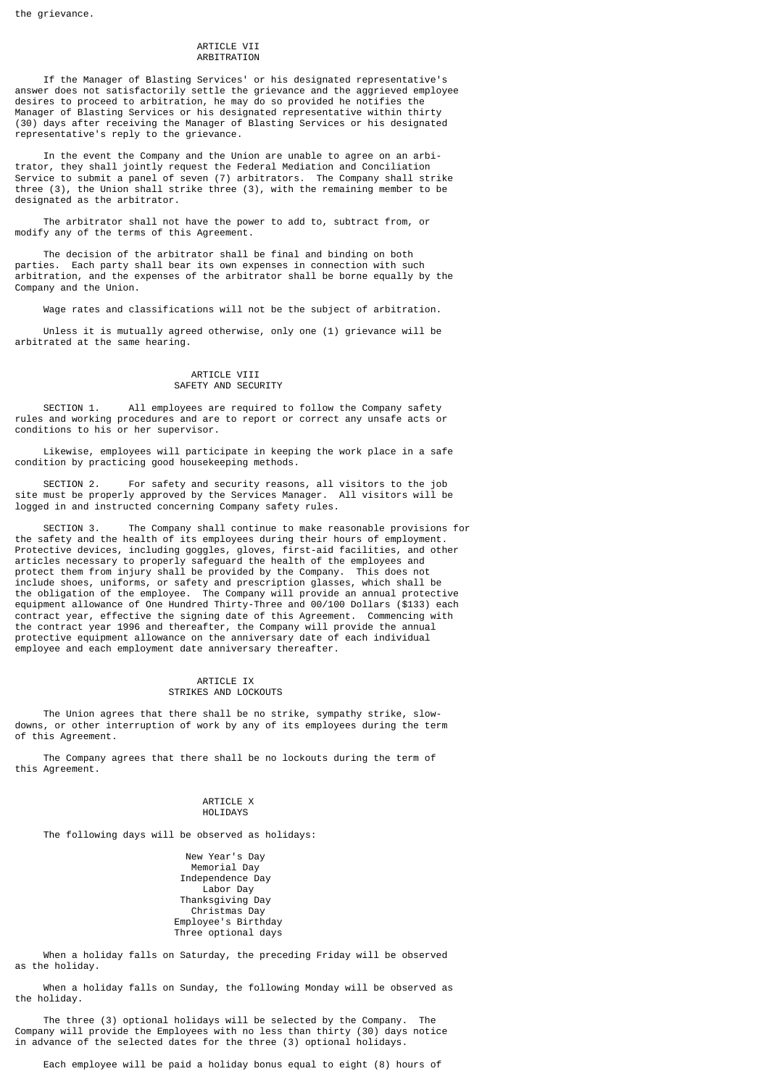## ARTICLE VII ARBITRATION

 If the Manager of Blasting Services' or his designated representative's answer does not satisfactorily settle the grievance and the aggrieved employee desires to proceed to arbitration, he may do so provided he notifies the Manager of Blasting Services or his designated representative within thirty (30) days after receiving the Manager of Blasting Services or his designated representative's reply to the grievance.

 In the event the Company and the Union are unable to agree on an arbitrator, they shall jointly request the Federal Mediation and Conciliation Service to submit a panel of seven (7) arbitrators. The Company shall strike three (3), the Union shall strike three (3), with the remaining member to be designated as the arbitrator.

 The arbitrator shall not have the power to add to, subtract from, or modify any of the terms of this Agreement.

 The decision of the arbitrator shall be final and binding on both parties. Each party shall bear its own expenses in connection with such arbitration, and the expenses of the arbitrator shall be borne equally by the Company and the Union.

Wage rates and classifications will not be the subject of arbitration.

 Unless it is mutually agreed otherwise, only one (1) grievance will be arbitrated at the same hearing.

### ARTICLE VIII SAFETY AND SECURITY

 SECTION 1. All employees are required to follow the Company safety rules and working procedures and are to report or correct any unsafe acts or conditions to his or her supervisor.

 Likewise, employees will participate in keeping the work place in a safe condition by practicing good housekeeping methods.

 SECTION 2. For safety and security reasons, all visitors to the job site must be properly approved by the Services Manager. All visitors will be logged in and instructed concerning Company safety rules.

 SECTION 3. The Company shall continue to make reasonable provisions for the safety and the health of its employees during their hours of employment. Protective devices, including goggles, gloves, first-aid facilities, and other articles necessary to properly safeguard the health of the employees and protect them from injury shall be provided by the Company. This does not include shoes, uniforms, or safety and prescription glasses, which shall be the obligation of the employee. The Company will provide an annual protective equipment allowance of One Hundred Thirty-Three and 00/100 Dollars (\$133) each contract year, effective the signing date of this Agreement. Commencing with the contract year 1996 and thereafter, the Company will provide the annual protective equipment allowance on the anniversary date of each individual employee and each employment date anniversary thereafter.

### ARTICLE IX STRIKES AND LOCKOUTS

 The Union agrees that there shall be no strike, sympathy strike, slowdowns, or other interruption of work by any of its employees during the term of this Agreement.

 The Company agrees that there shall be no lockouts during the term of this Agreement.

#### ARTICLE X HOLIDAYS

The following days will be observed as holidays:

 New Year's Day Memorial Day Independence Day Labor Day Thanksgiving Day Christmas Day Employee's Birthday Three optional days

 When a holiday falls on Saturday, the preceding Friday will be observed as the holiday.

 When a holiday falls on Sunday, the following Monday will be observed as the holiday.

 The three (3) optional holidays will be selected by the Company. The Company will provide the Employees with no less than thirty (30) days notice in advance of the selected dates for the three (3) optional holidays.

Each employee will be paid a holiday bonus equal to eight (8) hours of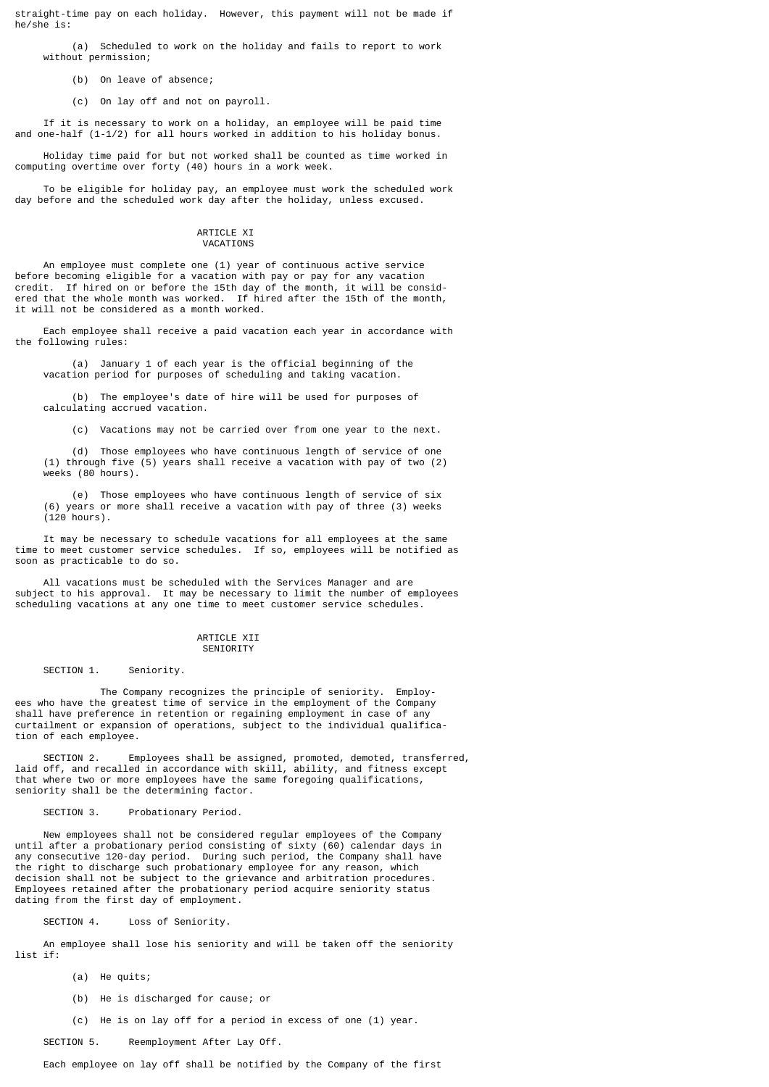straight-time pay on each holiday. However, this payment will not be made if he/she is:

 (a) Scheduled to work on the holiday and fails to report to work without permission;

(b) On leave of absence;

(c) On lay off and not on payroll.

 If it is necessary to work on a holiday, an employee will be paid time and one-half (1-1/2) for all hours worked in addition to his holiday bonus.

 Holiday time paid for but not worked shall be counted as time worked in computing overtime over forty (40) hours in a work week.

 To be eligible for holiday pay, an employee must work the scheduled work day before and the scheduled work day after the holiday, unless excused.

#### ARTICLE XI VACATIONS

 An employee must complete one (1) year of continuous active service before becoming eligible for a vacation with pay or pay for any vacation credit. If hired on or before the 15th day of the month, it will be considered that the whole month was worked. If hired after the 15th of the month, it will not be considered as a month worked.

 Each employee shall receive a paid vacation each year in accordance with the following rules:

 (a) January 1 of each year is the official beginning of the vacation period for purposes of scheduling and taking vacation.

 (b) The employee's date of hire will be used for purposes of calculating accrued vacation.

(c) Vacations may not be carried over from one year to the next.

 (d) Those employees who have continuous length of service of one (1) through five (5) years shall receive a vacation with pay of two (2) weeks (80 hours).

 (e) Those employees who have continuous length of service of six (6) years or more shall receive a vacation with pay of three (3) weeks (120 hours).

 It may be necessary to schedule vacations for all employees at the same time to meet customer service schedules. If so, employees will be notified as soon as practicable to do so.

 All vacations must be scheduled with the Services Manager and are subject to his approval. It may be necessary to limit the number of employees scheduling vacations at any one time to meet customer service schedules.

#### ARTICLE XII **SENTORTTY**

SECTION 1. Seniority.

 The Company recognizes the principle of seniority. Employees who have the greatest time of service in the employment of the Company shall have preference in retention or regaining employment in case of any curtailment or expansion of operations, subject to the individual qualification of each employee.

 SECTION 2. Employees shall be assigned, promoted, demoted, transferred, laid off, and recalled in accordance with skill, ability, and fitness except that where two or more employees have the same foregoing qualifications, seniority shall be the determining factor.

SECTION 3. Probationary Period.

 New employees shall not be considered regular employees of the Company until after a probationary period consisting of sixty (60) calendar days in any consecutive 120-day period. During such period, the Company shall have the right to discharge such probationary employee for any reason, which decision shall not be subject to the grievance and arbitration procedures. Employees retained after the probationary period acquire seniority status dating from the first day of employment.

SECTION 4. Loss of Seniority.

 An employee shall lose his seniority and will be taken off the seniority list if:

- (a) He quits;
- (b) He is discharged for cause; or
- (c) He is on lay off for a period in excess of one (1) year.

SECTION 5. Reemployment After Lay Off.

Each employee on lay off shall be notified by the Company of the first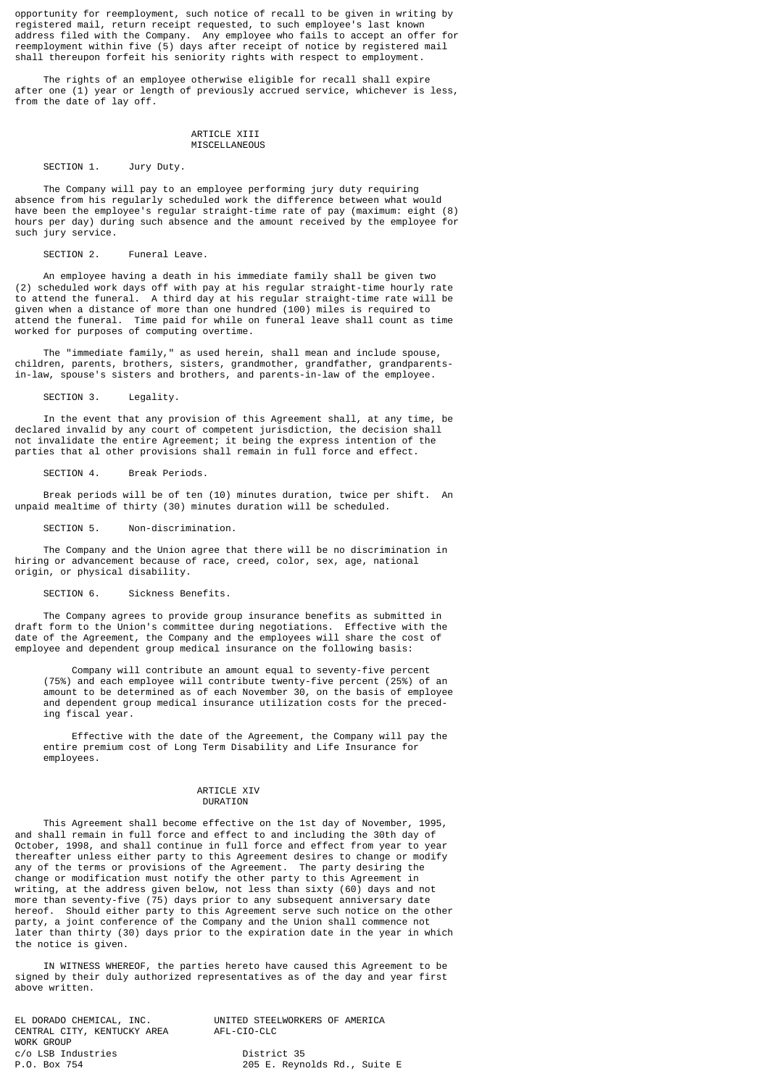opportunity for reemployment, such notice of recall to be given in writing by registered mail, return receipt requested, to such employee's last known address filed with the Company. Any employee who fails to accept an offer for reemployment within five (5) days after receipt of notice by registered mail shall thereupon forfeit his seniority rights with respect to employment.

 The rights of an employee otherwise eligible for recall shall expire after one (1) year or length of previously accrued service, whichever is less, from the date of lay off.

### ARTICLE XIII MISCELLANEOUS

## SECTION 1. Jury Duty.

 The Company will pay to an employee performing jury duty requiring absence from his regularly scheduled work the difference between what would have been the employee's regular straight-time rate of pay (maximum: eight (8) hours per day) during such absence and the amount received by the employee for such jury service.

SECTION 2. Funeral Leave.

 An employee having a death in his immediate family shall be given two (2) scheduled work days off with pay at his regular straight-time hourly rate to attend the funeral. A third day at his regular straight-time rate will be given when a distance of more than one hundred (100) miles is required to attend the funeral. Time paid for while on funeral leave shall count as time worked for purposes of computing overtime.

 The "immediate family," as used herein, shall mean and include spouse, children, parents, brothers, sisters, grandmother, grandfather, grandparentsin-law, spouse's sisters and brothers, and parents-in-law of the employee.

SECTION 3. Legality.

 In the event that any provision of this Agreement shall, at any time, be declared invalid by any court of competent jurisdiction, the decision shall not invalidate the entire Agreement; it being the express intention of the parties that al other provisions shall remain in full force and effect.

SECTION 4 Break Periods

 Break periods will be of ten (10) minutes duration, twice per shift. An unpaid mealtime of thirty (30) minutes duration will be scheduled.

SECTION 5. Non-discrimination.

 The Company and the Union agree that there will be no discrimination in hiring or advancement because of race, creed, color, sex, age, national origin, or physical disability.

## SECTION 6. Sickness Benefits.

 The Company agrees to provide group insurance benefits as submitted in draft form to the Union's committee during negotiations. Effective with the date of the Agreement, the Company and the employees will share the cost of employee and dependent group medical insurance on the following basis:

 Company will contribute an amount equal to seventy-five percent (75%) and each employee will contribute twenty-five percent (25%) of an amount to be determined as of each November 30, on the basis of employee and dependent group medical insurance utilization costs for the preced ing fiscal year.

 Effective with the date of the Agreement, the Company will pay the entire premium cost of Long Term Disability and Life Insurance for employees.

### ARTICLE XIV DURATION

 This Agreement shall become effective on the 1st day of November, 1995, and shall remain in full force and effect to and including the 30th day of October, 1998, and shall continue in full force and effect from year to year thereafter unless either party to this Agreement desires to change or modify any of the terms or provisions of the Agreement. The party desiring the change or modification must notify the other party to this Agreement in writing, at the address given below, not less than sixty (60) days and not more than seventy-five (75) days prior to any subsequent anniversary date hereof. Should either party to this Agreement serve such notice on the other party, a joint conference of the Company and the Union shall commence not later than thirty (30) days prior to the expiration date in the year in which the notice is given.

 IN WITNESS WHEREOF, the parties hereto have caused this Agreement to be signed by their duly authorized representatives as of the day and year first above written.

CENTRAL CITY, KENTUCKY AREA WORK GROUP c/o LSB Industries District 35<br>P.O. Box 754 205 E. Reyno

EL DORADO CHEMICAL, INC. UNITED STEELWORKERS OF AMERICA

205 E. Reynolds Rd., Suite E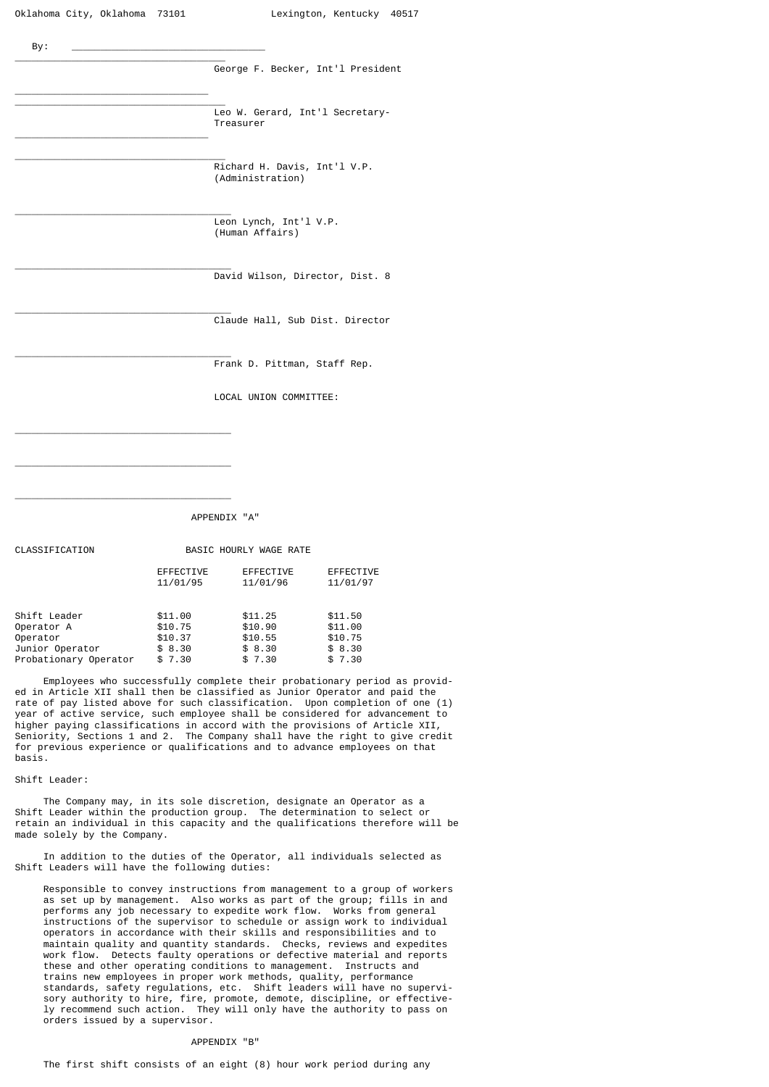| By: |                                                  |
|-----|--------------------------------------------------|
|     | George F. Becker, Int'l President                |
|     | Leo W. Gerard, Int'l Secretary-<br>Treasurer     |
|     | Richard H. Davis, Int'l V.P.<br>(Administration) |
|     | Leon Lynch, Int'l V.P.<br>(Human Affairs)        |
|     | David Wilson, Director, Dist. 8                  |
|     | Claude Hall, Sub Dist. Director                  |
|     | Frank D. Pittman, Staff Rep.                     |
|     | LOCAL UNION COMMITTEE:                           |
|     |                                                  |

APPENDIX "A"

| CLASSIFICATION        | BASIC HOURLY WAGE RATE       |                       |                              |  |  |
|-----------------------|------------------------------|-----------------------|------------------------------|--|--|
|                       | <b>EFFECTIVE</b><br>11/01/95 | EFFECTIVE<br>11/01/96 | <b>EFFECTIVE</b><br>11/01/97 |  |  |
| Shift Leader          | \$11.00                      | \$11.25               | \$11.50                      |  |  |
| Operator A            | \$10.75                      | \$10.90               | \$11.00                      |  |  |
| Operator              | \$10.37                      | \$10.55               | \$10.75                      |  |  |
| Junior Operator       | \$8.30                       | \$8.30                | \$8.30                       |  |  |
| Probationary Operator | \$7.30                       | \$7.30                | \$7.30                       |  |  |

\_\_\_\_\_\_\_\_\_\_\_\_\_\_\_\_\_\_\_\_\_\_\_\_\_\_\_\_\_\_\_\_\_\_\_\_\_\_

\_\_\_\_\_\_\_\_\_\_\_\_\_\_\_\_\_\_\_\_\_\_\_\_\_\_\_\_\_\_\_\_\_\_\_\_\_\_

 Employees who successfully complete their probationary period as provided in Article XII shall then be classified as Junior Operator and paid the rate of pay listed above for such classification. Upon completion of one (1) year of active service, such employee shall be considered for advancement to higher paying classifications in accord with the provisions of Article XII, Seniority, Sections 1 and 2. The Company shall have the right to give credit for previous experience or qualifications and to advance employees on that basis.

#### Shift Leader:

 The Company may, in its sole discretion, designate an Operator as a Shift Leader within the production group. The determination to select or retain an individual in this capacity and the qualifications therefore will be made solely by the Company.

 In addition to the duties of the Operator, all individuals selected as Shift Leaders will have the following duties:

 Responsible to convey instructions from management to a group of workers as set up by management. Also works as part of the group; fills in and performs any job necessary to expedite work flow. Works from general instructions of the supervisor to schedule or assign work to individual operators in accordance with their skills and responsibilities and to maintain quality and quantity standards. Checks, reviews and expedites work flow. Detects faulty operations or defective material and reports these and other operating conditions to management. Instructs and trains new employees in proper work methods, quality, performance standards, safety regulations, etc. Shift leaders will have no supervi sory authority to hire, fire, promote, demote, discipline, or effective ly recommend such action. They will only have the authority to pass on orders issued by a supervisor.

#### APPENDIX "B"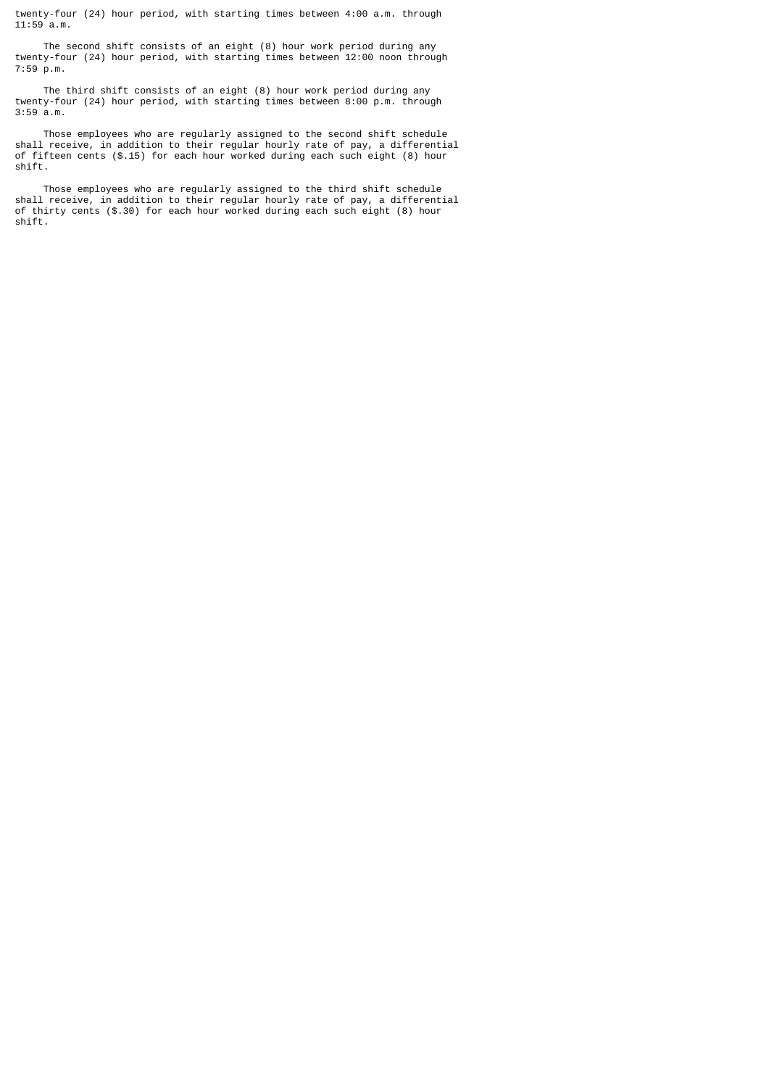twenty-four (24) hour period, with starting times between 4:00 a.m. through 11:59 a.m.

 The second shift consists of an eight (8) hour work period during any twenty-four (24) hour period, with starting times between 12:00 noon through 7:59 p.m.

 The third shift consists of an eight (8) hour work period during any twenty-four (24) hour period, with starting times between 8:00 p.m. through 3:59 a.m.

 Those employees who are regularly assigned to the second shift schedule shall receive, in addition to their regular hourly rate of pay, a differential of fifteen cents (\$.15) for each hour worked during each such eight (8) hour shift.

 Those employees who are regularly assigned to the third shift schedule shall receive, in addition to their regular hourly rate of pay, a differential of thirty cents (\$.30) for each hour worked during each such eight (8) hour shift.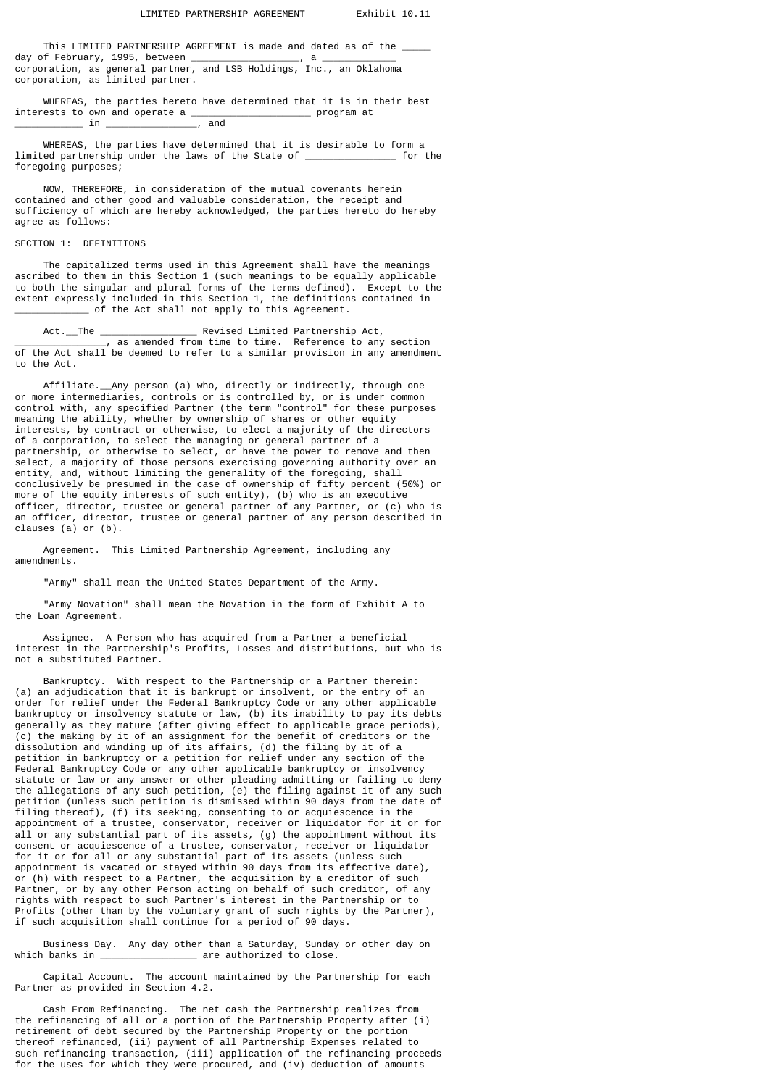This LIMITED PARTNERSHIP AGREEMENT is made and dated as of the  $\_$ day of February, 1995, between \_\_\_\_\_\_\_\_\_\_\_\_\_\_\_\_\_\_\_, a \_\_\_\_\_\_\_\_\_\_\_\_\_ corporation, as general partner, and LSB Holdings, Inc., an Oklahoma corporation, as limited partner.

WHEREAS, the parties hereto have determined that it is in their best ests to own and operate a  $\overline{\phantom{a}}$ interests to own and operate a  $\frac{1}{\sqrt{a}}$  and  $\_$  in  $\_$ 

 WHEREAS, the parties have determined that it is desirable to form a limited partnership under the laws of the State of \_\_\_\_\_\_\_\_\_\_\_\_\_\_\_\_ for the foregoing purposes;

 NOW, THEREFORE, in consideration of the mutual covenants herein contained and other good and valuable consideration, the receipt and sufficiency of which are hereby acknowledged, the parties hereto do hereby agree as follows:

### SECTION 1: DEFINITIONS

 The capitalized terms used in this Agreement shall have the meanings ascribed to them in this Section 1 (such meanings to be equally applicable to both the singular and plural forms of the terms defined). Except to the extent expressly included in this Section 1, the definitions contained in \_\_\_\_\_\_\_\_\_\_\_\_\_ of the Act shall not apply to this Agreement.

 Act.\_\_The \_\_\_\_\_\_\_\_\_\_\_\_\_\_\_\_\_ Revised Limited Partnership Act, \_\_\_\_\_\_\_\_\_\_\_\_\_\_\_\_, as amended from time to time. Reference to any section of the Act shall be deemed to refer to a similar provision in any amendment to the Act.

 Affiliate.\_\_Any person (a) who, directly or indirectly, through one or more intermediaries, controls or is controlled by, or is under common control with, any specified Partner (the term "control" for these purposes meaning the ability, whether by ownership of shares or other equity interests, by contract or otherwise, to elect a majority of the directors of a corporation, to select the managing or general partner of a partnership, or otherwise to select, or have the power to remove and then select, a majority of those persons exercising governing authority over an entity, and, without limiting the generality of the foregoing, shall conclusively be presumed in the case of ownership of fifty percent (50%) or more of the equity interests of such entity), (b) who is an executive officer, director, trustee or general partner of any Partner, or (c) who is an officer, director, trustee or general partner of any person described in clauses (a) or (b).

 Agreement. This Limited Partnership Agreement, including any amendments.

"Army" shall mean the United States Department of the Army.

 "Army Novation" shall mean the Novation in the form of Exhibit A to the Loan Agreement.

 Assignee. A Person who has acquired from a Partner a beneficial interest in the Partnership's Profits, Losses and distributions, but who is not a substituted Partner.

 Bankruptcy. With respect to the Partnership or a Partner therein: (a) an adjudication that it is bankrupt or insolvent, or the entry of an order for relief under the Federal Bankruptcy Code or any other applicable bankruptcy or insolvency statute or law, (b) its inability to pay its debts generally as they mature (after giving effect to applicable grace periods), (c) the making by it of an assignment for the benefit of creditors or the dissolution and winding up of its affairs, (d) the filing by it of a petition in bankruptcy or a petition for relief under any section of the Federal Bankruptcy Code or any other applicable bankruptcy or insolvency statute or law or any answer or other pleading admitting or failing to deny the allegations of any such petition, (e) the filing against it of any such petition (unless such petition is dismissed within 90 days from the date of filing thereof), (f) its seeking, consenting to or acquiescence in the appointment of a trustee, conservator, receiver or liquidator for it or for all or any substantial part of its assets, (g) the appointment without its consent or acquiescence of a trustee, conservator, receiver or liquidator for it or for all or any substantial part of its assets (unless such appointment is vacated or stayed within 90 days from its effective date), or (h) with respect to a Partner, the acquisition by a creditor of such Partner, or by any other Person acting on behalf of such creditor, of any rights with respect to such Partner's interest in the Partnership or to Profits (other than by the voluntary grant of such rights by the Partner), if such acquisition shall continue for a period of 90 days.

Business Day. Any day other than a Saturday, Sunday or other day on which banks in \_\_\_\_\_\_\_\_\_\_\_\_\_\_\_\_ are authorized to close.  $\_$  are authorized to close.

 Capital Account. The account maintained by the Partnership for each Partner as provided in Section 4.2.

 Cash From Refinancing. The net cash the Partnership realizes from the refinancing of all or a portion of the Partnership Property after (i) retirement of debt secured by the Partnership Property or the portion thereof refinanced, (ii) payment of all Partnership Expenses related to such refinancing transaction, (iii) application of the refinancing proceeds for the uses for which they were procured, and (iv) deduction of amounts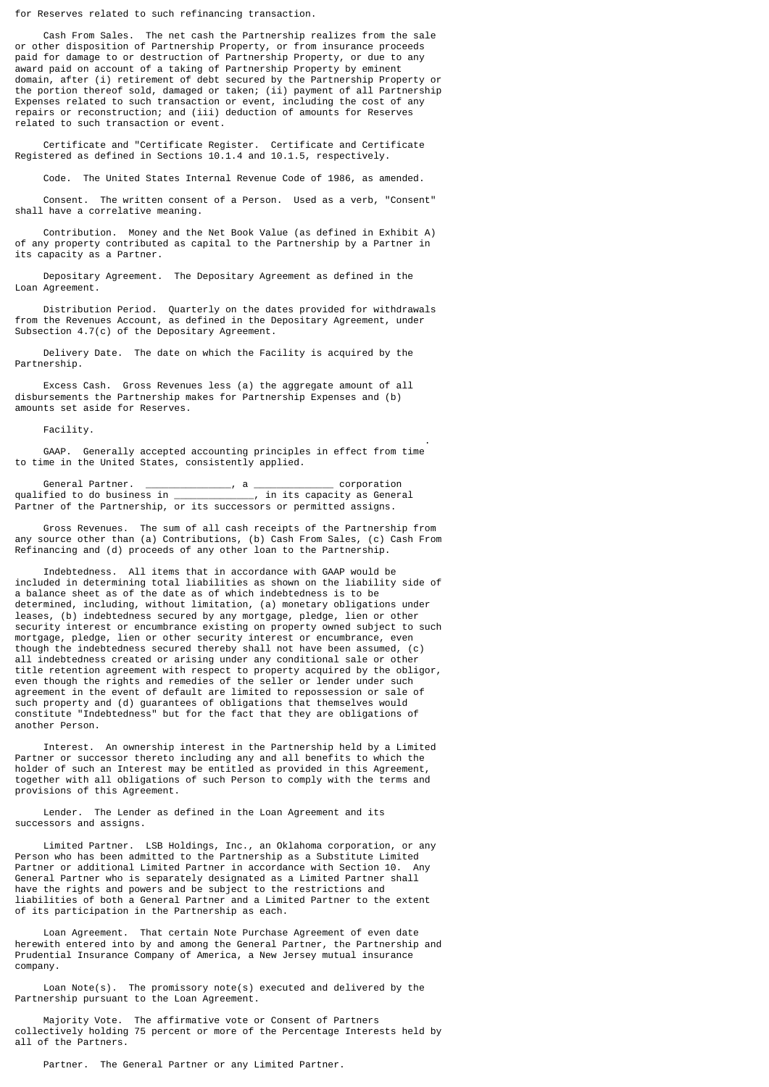for Reserves related to such refinancing transaction.

 Cash From Sales. The net cash the Partnership realizes from the sale or other disposition of Partnership Property, or from insurance proceeds paid for damage to or destruction of Partnership Property, or due to any award paid on account of a taking of Partnership Property by eminent domain, after (i) retirement of debt secured by the Partnership Property or the portion thereof sold, damaged or taken; (ii) payment of all Partnership Expenses related to such transaction or event, including the cost of any repairs or reconstruction; and (iii) deduction of amounts for Reserves related to such transaction or event.

 Certificate and "Certificate Register. Certificate and Certificate Registered as defined in Sections 10.1.4 and 10.1.5, respectively.

Code. The United States Internal Revenue Code of 1986, as amended.

 Consent. The written consent of a Person. Used as a verb, "Consent" shall have a correlative meaning.

 Contribution. Money and the Net Book Value (as defined in Exhibit A) of any property contributed as capital to the Partnership by a Partner in its capacity as a Partner.

 Depositary Agreement. The Depositary Agreement as defined in the Loan Agreement.

 Distribution Period. Quarterly on the dates provided for withdrawals from the Revenues Account, as defined in the Depositary Agreement, under Subsection 4.7(c) of the Depositary Agreement.

 Delivery Date. The date on which the Facility is acquired by the Partnership.

 Excess Cash. Gross Revenues less (a) the aggregate amount of all disbursements the Partnership makes for Partnership Expenses and (b) amounts set aside for Reserves.

Facility.

 . GAAP. Generally accepted accounting principles in effect from time to time in the United States, consistently applied.

General Partner. \_\_\_\_\_\_\_\_\_\_\_\_\_\_, a \_\_\_\_\_\_\_\_\_\_\_\_\_\_ corporation<br>----------------------------------, in its capacity as General qualified to do business in  $\_$ Partner of the Partnership, or its successors or permitted assigns.

 Gross Revenues. The sum of all cash receipts of the Partnership from any source other than (a) Contributions, (b) Cash From Sales, (c) Cash From Refinancing and (d) proceeds of any other loan to the Partnership.

 Indebtedness. All items that in accordance with GAAP would be included in determining total liabilities as shown on the liability side of a balance sheet as of the date as of which indebtedness is to be determined, including, without limitation, (a) monetary obligations under leases, (b) indebtedness secured by any mortgage, pledge, lien or other security interest or encumbrance existing on property owned subject to such mortgage, pledge, lien or other security interest or encumbrance, even though the indebtedness secured thereby shall not have been assumed, (c) all indebtedness created or arising under any conditional sale or other title retention agreement with respect to property acquired by the obligor, even though the rights and remedies of the seller or lender under such agreement in the event of default are limited to repossession or sale of such property and (d) guarantees of obligations that themselves would constitute "Indebtedness" but for the fact that they are obligations of another Person.

 Interest. An ownership interest in the Partnership held by a Limited Partner or successor thereto including any and all benefits to which the holder of such an Interest may be entitled as provided in this Agreement, together with all obligations of such Person to comply with the terms and provisions of this Agreement.

 Lender. The Lender as defined in the Loan Agreement and its successors and assigns.

 Limited Partner. LSB Holdings, Inc., an Oklahoma corporation, or any Person who has been admitted to the Partnership as a Substitute Limited Partner or additional Limited Partner in accordance with Section 10. Any General Partner who is separately designated as a Limited Partner shall have the rights and powers and be subject to the restrictions and liabilities of both a General Partner and a Limited Partner to the extent of its participation in the Partnership as each.

 Loan Agreement. That certain Note Purchase Agreement of even date herewith entered into by and among the General Partner, the Partnership and Prudential Insurance Company of America, a New Jersey mutual insurance company.

 Loan Note(s). The promissory note(s) executed and delivered by the Partnership pursuant to the Loan Agreement.

 Majority Vote. The affirmative vote or Consent of Partners collectively holding 75 percent or more of the Percentage Interests held by all of the Partners.

Partner. The General Partner or any Limited Partner.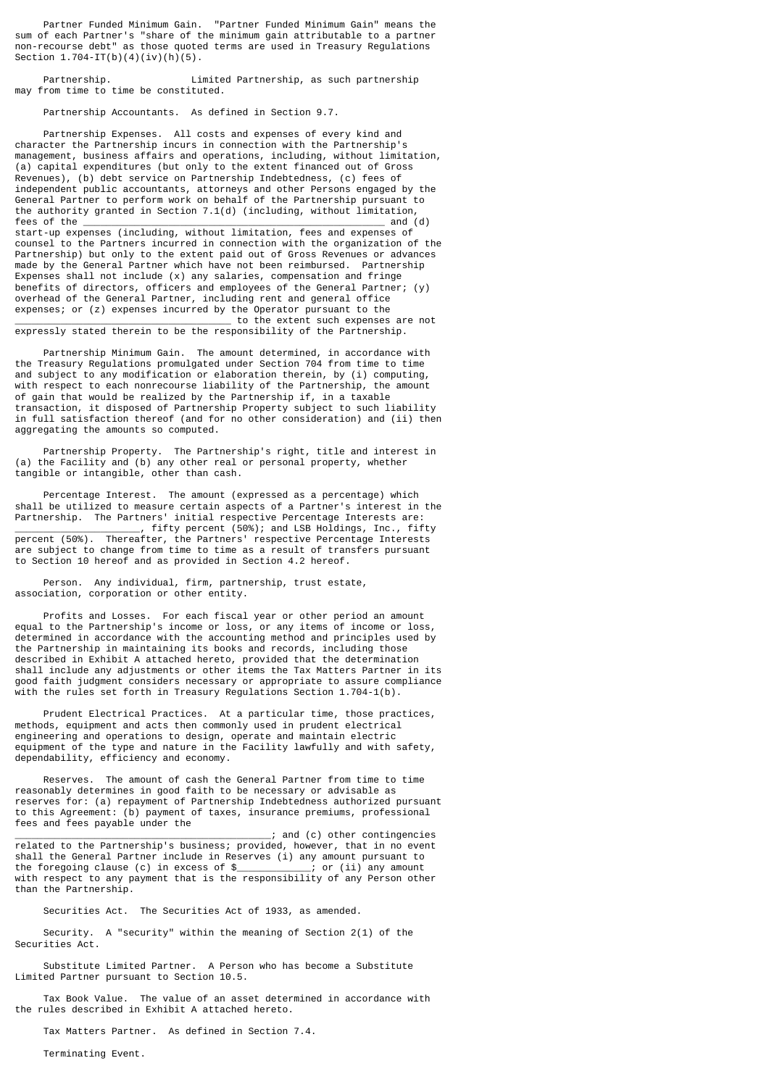Partner Funded Minimum Gain. "Partner Funded Minimum Gain" means the sum of each Partner's "share of the minimum gain attributable to a partner non-recourse debt" as those quoted terms are used in Treasury Regulations Section  $1.704-IT(b)(4)(iv)(h)(5)$ .

 Partnership. Limited Partnership, as such partnership may from time to time be constituted.

Partnership Accountants. As defined in Section 9.7.

 Partnership Expenses. All costs and expenses of every kind and character the Partnership incurs in connection with the Partnership's management, business affairs and operations, including, without limitation, (a) capital expenditures (but only to the extent financed out of Gross Revenues), (b) debt service on Partnership Indebtedness, (c) fees of independent public accountants, attorneys and other Persons engaged by the General Partner to perform work on behalf of the Partnership pursuant to the authority granted in Section 7.1(d) (including, without limitation,<br>fees of the and (d) fees of the \_\_\_\_\_\_\_\_\_\_\_\_\_\_\_\_\_\_\_\_\_\_\_\_\_\_\_\_\_\_\_\_\_\_\_\_\_\_\_\_\_\_\_\_\_\_\_\_\_\_\_\_\_ and (d) start-up expenses (including, without limitation, fees and expenses of counsel to the Partners incurred in connection with the organization of the Partnership) but only to the extent paid out of Gross Revenues or advances made by the General Partner which have not been reimbursed. Partnership Expenses shall not include (x) any salaries, compensation and fringe benefits of directors, officers and employees of the General Partner; (y) overhead of the General Partner, including rent and general office expenses; or (z) expenses incurred by the Operator pursuant to the \_\_\_\_\_\_\_\_\_\_\_\_\_\_\_\_\_\_\_\_\_\_\_\_\_\_\_\_\_\_\_\_\_\_\_\_\_\_ to the extent such expenses are not

expressly stated therein to be the responsibility of the Partnership.

 Partnership Minimum Gain. The amount determined, in accordance with the Treasury Regulations promulgated under Section 704 from time to time and subject to any modification or elaboration therein, by (i) computing, with respect to each nonrecourse liability of the Partnership, the amount of gain that would be realized by the Partnership if, in a taxable transaction, it disposed of Partnership Property subject to such liability in full satisfaction thereof (and for no other consideration) and (ii) then aggregating the amounts so computed.

 Partnership Property. The Partnership's right, title and interest in (a) the Facility and (b) any other real or personal property, whether tangible or intangible, other than cash.

 Percentage Interest. The amount (expressed as a percentage) which shall be utilized to measure certain aspects of a Partner's interest in the Partnership. The Partners' initial respective Percentage Interests are:  $\_$ , fifty percent (50%); and LSB Holdings, Inc., fifty percent (50%). Thereafter, the Partners' respective Percentage Interests are subject to change from time to time as a result of transfers pursuant to Section 10 hereof and as provided in Section 4.2 hereof.

 Person. Any individual, firm, partnership, trust estate, association, corporation or other entity.

 Profits and Losses. For each fiscal year or other period an amount equal to the Partnership's income or loss, or any items of income or loss, determined in accordance with the accounting method and principles used by the Partnership in maintaining its books and records, including those described in Exhibit A attached hereto, provided that the determination shall include any adjustments or other items the Tax Matters Partner in its good faith judgment considers necessary or appropriate to assure compliance with the rules set forth in Treasury Regulations Section 1.704-1(b).

 Prudent Electrical Practices. At a particular time, those practices, methods, equipment and acts then commonly used in prudent electrical engineering and operations to design, operate and maintain electric equipment of the type and nature in the Facility lawfully and with safety, dependability, efficiency and economy.

 Reserves. The amount of cash the General Partner from time to time reasonably determines in good faith to be necessary or advisable as reserves for: (a) repayment of Partnership Indebtedness authorized pursuant to this Agreement: (b) payment of taxes, insurance premiums, professional fees and fees payable under the

\_\_\_\_\_\_\_\_\_\_\_\_\_\_\_\_\_\_\_\_\_\_\_\_\_\_\_\_\_\_\_\_\_\_\_\_\_\_\_\_\_\_\_\_\_; and (c) other contingencies related to the Partnership's business; provided, however, that in no event shall the General Partner include in Reserves (i) any amount pursuant to the foregoing clause (c) in excess of \$\_\_\_\_\_\_\_\_\_\_\_\_\_; or (ii) any amount with respect to any payment that is the responsibility of any Person other than the Partnership.

Securities Act. The Securities Act of 1933, as amended.

 Security. A "security" within the meaning of Section 2(1) of the Securities Act.

 Substitute Limited Partner. A Person who has become a Substitute Limited Partner pursuant to Section 10.5.

 Tax Book Value. The value of an asset determined in accordance with the rules described in Exhibit A attached hereto.

Tax Matters Partner. As defined in Section 7.4.

Terminating Event.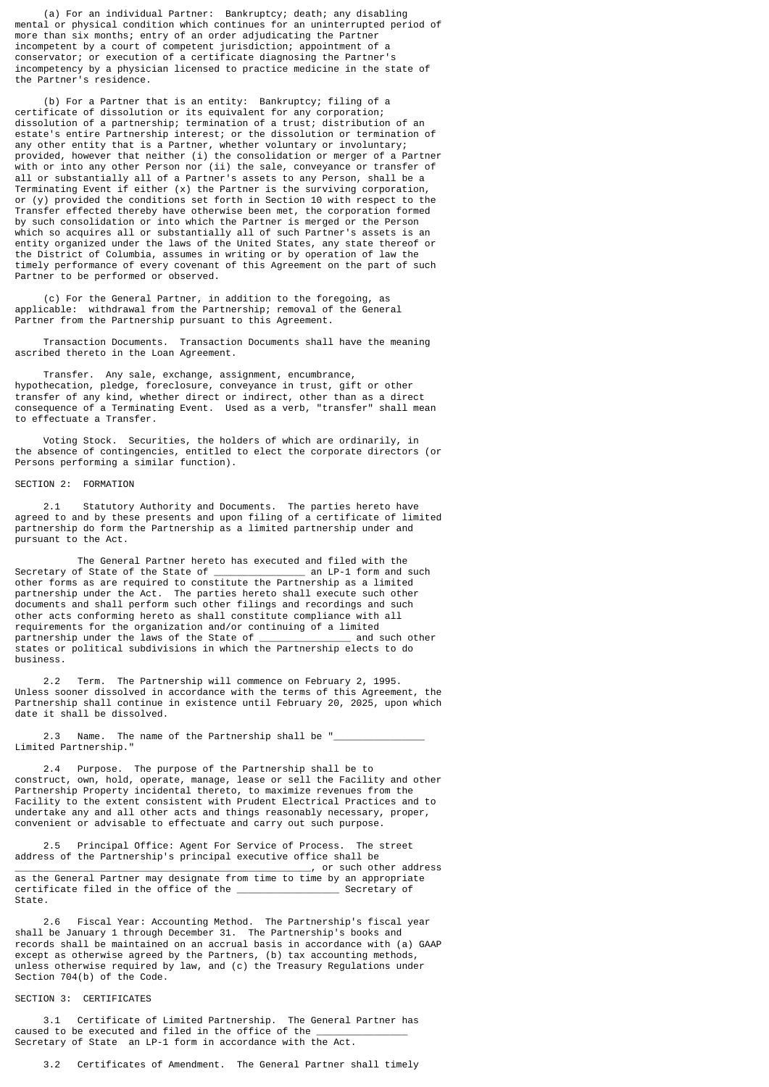(a) For an individual Partner: Bankruptcy; death; any disabling mental or physical condition which continues for an uninterrupted period of more than six months; entry of an order adjudicating the Partner incompetent by a court of competent jurisdiction; appointment of a conservator; or execution of a certificate diagnosing the Partner's incompetency by a physician licensed to practice medicine in the state of the Partner's residence.

 (b) For a Partner that is an entity: Bankruptcy; filing of a certificate of dissolution or its equivalent for any corporation; dissolution of a partnership; termination of a trust; distribution of an estate's entire Partnership interest; or the dissolution or termination of any other entity that is a Partner, whether voluntary or involuntary; provided, however that neither (i) the consolidation or merger of a Partner with or into any other Person nor (ii) the sale, conveyance or transfer of all or substantially all of a Partner's assets to any Person, shall be a Terminating Event if either (x) the Partner is the surviving corporation, or (y) provided the conditions set forth in Section 10 with respect to the Transfer effected thereby have otherwise been met, the corporation formed by such consolidation or into which the Partner is merged or the Person which so acquires all or substantially all of such Partner's assets is an entity organized under the laws of the United States, any state thereof or the District of Columbia, assumes in writing or by operation of law the timely performance of every covenant of this Agreement on the part of such Partner to be performed or observed.

 (c) For the General Partner, in addition to the foregoing, as applicable: withdrawal from the Partnership; removal of the General Partner from the Partnership pursuant to this Agreement.

 Transaction Documents. Transaction Documents shall have the meaning ascribed thereto in the Loan Agreement.

 Transfer. Any sale, exchange, assignment, encumbrance, hypothecation, pledge, foreclosure, conveyance in trust, gift or other transfer of any kind, whether direct or indirect, other than as a direct consequence of a Terminating Event. Used as a verb, "transfer" shall mean to effectuate a Transfer.

 Voting Stock. Securities, the holders of which are ordinarily, in the absence of contingencies, entitled to elect the corporate directors (or Persons performing a similar function).

## SECTION 2: FORMATION

 2.1 Statutory Authority and Documents. The parties hereto have agreed to and by these presents and upon filing of a certificate of limited partnership do form the Partnership as a limited partnership under and pursuant to the Act.

 The General Partner hereto has executed and filed with the Secretary of State of the State of other forms as are required to constitute the Partnership as a limited partnership under the Act. The parties hereto shall execute such other documents and shall perform such other filings and recordings and such other acts conforming hereto as shall constitute compliance with all requirements for the organization and/or continuing of a limited partnership under the laws of the State of states or political subdivisions in which the Partnership elects to do business.

 2.2 Term. The Partnership will commence on February 2, 1995. Unless sooner dissolved in accordance with the terms of this Agreement, the Partnership shall continue in existence until February 20, 2025, upon which date it shall be dissolved.

2.3 Name. The name of the Partnership shall be " Limited Partnership."

 2.4 Purpose. The purpose of the Partnership shall be to construct, own, hold, operate, manage, lease or sell the Facility and other Partnership Property incidental thereto, to maximize revenues from the Facility to the extent consistent with Prudent Electrical Practices and to undertake any and all other acts and things reasonably necessary, proper, convenient or advisable to effectuate and carry out such purpose.

 2.5 Principal Office: Agent For Service of Process. The street address of the Partnership's principal executive office shall be<br>executive office shall be<br>or such other address \_\_\_\_\_\_\_\_\_\_\_\_\_\_\_\_\_\_\_\_\_\_\_\_\_\_\_\_\_\_\_\_\_\_\_\_\_\_\_\_\_\_\_\_\_\_\_\_\_\_\_\_, or such other address as the General Partner may designate from time to time by an appropriate certificate filed in the office of the \_\_\_\_\_\_\_\_\_\_\_\_\_\_\_\_\_\_ Secretary of State.

 2.6 Fiscal Year: Accounting Method. The Partnership's fiscal year shall be January 1 through December 31. The Partnership's books and records shall be maintained on an accrual basis in accordance with (a) GAAP except as otherwise agreed by the Partners, (b) tax accounting methods, unless otherwise required by law, and (c) the Treasury Regulations under Section 704(b) of the Code.

## SECTION 3: CERTIFICATES

 3.1 Certificate of Limited Partnership. The General Partner has caused to be executed and filed in the office of the Secretary of State an LP-1 form in accordance with the Act.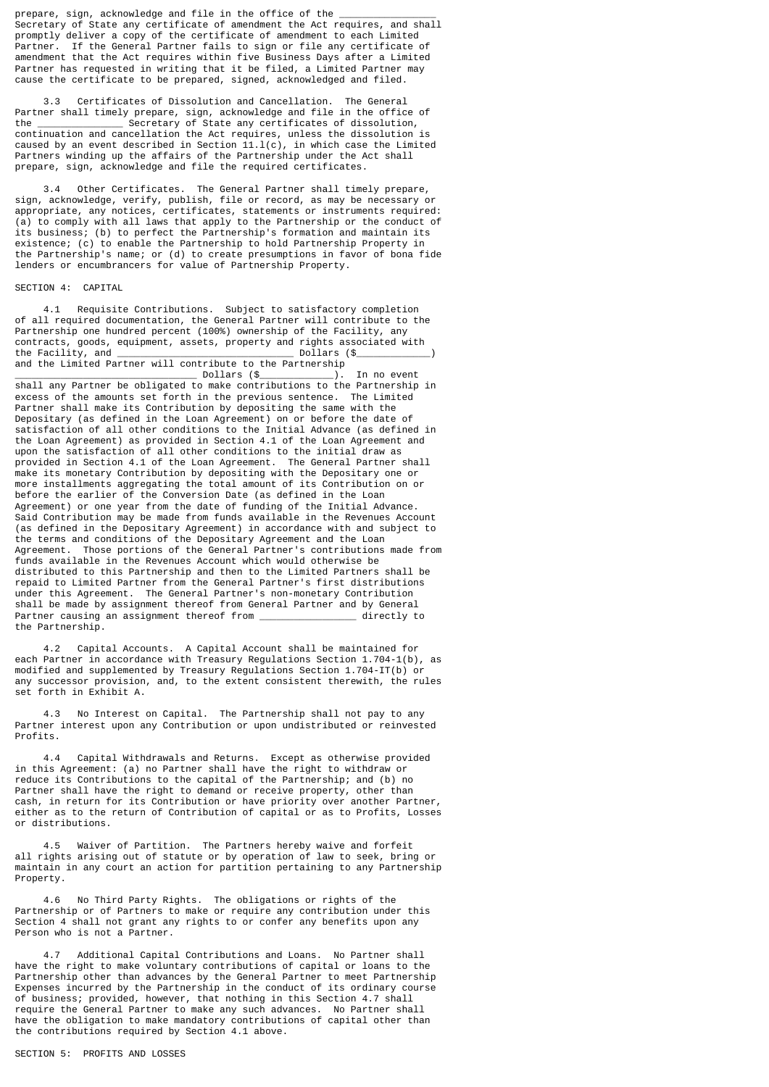prepare, sign, acknowledge and file in the office of the Secretary of State any certificate of amendment the Act requires, and shall promptly deliver a copy of the certificate of amendment to each Limited Partner. If the General Partner fails to sign or file any certificate of amendment that the Act requires within five Business Days after a Limited Partner has requested in writing that it be filed, a Limited Partner may cause the certificate to be prepared, signed, acknowledged and filed.

 3.3 Certificates of Dissolution and Cancellation. The General Partner shall timely prepare, sign, acknowledge and file in the office of the secretary of State any certificates of dissolution, Secretary of State any certificates of dissolution, continuation and cancellation the Act requires, unless the dissolution is caused by an event described in Section  $11.1(c)$ , in which case the Limited Partners winding up the affairs of the Partnership under the Act shall prepare, sign, acknowledge and file the required certificates.

 3.4 Other Certificates. The General Partner shall timely prepare, sign, acknowledge, verify, publish, file or record, as may be necessary or appropriate, any notices, certificates, statements or instruments required: (a) to comply with all laws that apply to the Partnership or the conduct of its business; (b) to perfect the Partnership's formation and maintain its existence; (c) to enable the Partnership to hold Partnership Property in the Partnership's name; or (d) to create presumptions in favor of bona fide lenders or encumbrancers for value of Partnership Property.

#### SECTION 4: CAPITAL

 4.1 Requisite Contributions. Subject to satisfactory completion of all required documentation, the General Partner will contribute to the Partnership one hundred percent (100%) ownership of the Facility, any contracts, goods, equipment, assets, property and rights associated with the Facility, and \_\_\_\_\_\_\_\_\_\_\_\_\_\_\_\_\_\_\_\_\_\_\_\_\_\_\_\_\_\_\_ Dollars (\$\_\_\_\_\_\_\_\_\_\_\_\_\_) and the Limited Partner will contribute to the Partnership<br>Dollars (\$

\_\_\_\_\_\_\_\_\_\_\_\_\_\_\_\_\_\_\_\_\_\_\_\_\_\_\_\_\_\_\_\_ Dollars (\$\_\_\_\_\_\_\_\_\_\_\_\_\_). In no event shall any Partner be obligated to make contributions to the Partnership in excess of the amounts set forth in the previous sentence. The Limited Partner shall make its Contribution by depositing the same with the Depositary (as defined in the Loan Agreement) on or before the date of satisfaction of all other conditions to the Initial Advance (as defined in the Loan Agreement) as provided in Section 4.1 of the Loan Agreement and upon the satisfaction of all other conditions to the initial draw as provided in Section 4.1 of the Loan Agreement. The General Partner shall make its monetary Contribution by depositing with the Depositary one or more installments aggregating the total amount of its Contribution on or before the earlier of the Conversion Date (as defined in the Loan Agreement) or one year from the date of funding of the Initial Advance. Said Contribution may be made from funds available in the Revenues Account (as defined in the Depositary Agreement) in accordance with and subject to the terms and conditions of the Depositary Agreement and the Loan Agreement. Those portions of the General Partner's contributions made from funds available in the Revenues Account which would otherwise be distributed to this Partnership and then to the Limited Partners shall be repaid to Limited Partner from the General Partner's first distributions under this Agreement. The General Partner's non-monetary Contribution shall be made by assignment thereof from General Partner and by General<br>Partner causing an assignment thereof from Partner causing an assignment thereof from  $\_$ the Partnership.

 4.2 Capital Accounts. A Capital Account shall be maintained for each Partner in accordance with Treasury Regulations Section 1.704-1(b), as modified and supplemented by Treasury Regulations Section 1.704-IT(b) or any successor provision, and, to the extent consistent therewith, the rules set forth in Exhibit A.

 4.3 No Interest on Capital. The Partnership shall not pay to any Partner interest upon any Contribution or upon undistributed or reinvested Profits.

 4.4 Capital Withdrawals and Returns. Except as otherwise provided in this Agreement: (a) no Partner shall have the right to withdraw or reduce its Contributions to the capital of the Partnership; and (b) no Partner shall have the right to demand or receive property, other than cash, in return for its Contribution or have priority over another Partner, either as to the return of Contribution of capital or as to Profits, Losses or distributions.

 4.5 Waiver of Partition. The Partners hereby waive and forfeit all rights arising out of statute or by operation of law to seek, bring or maintain in any court an action for partition pertaining to any Partnership Property.

 4.6 No Third Party Rights. The obligations or rights of the Partnership or of Partners to make or require any contribution under this Section 4 shall not grant any rights to or confer any benefits upon any Person who is not a Partner.

 4.7 Additional Capital Contributions and Loans. No Partner shall have the right to make voluntary contributions of capital or loans to the Partnership other than advances by the General Partner to meet Partnership Expenses incurred by the Partnership in the conduct of its ordinary course of business; provided, however, that nothing in this Section 4.7 shall require the General Partner to make any such advances. No Partner shall have the obligation to make mandatory contributions of capital other than the contributions required by Section 4.1 above.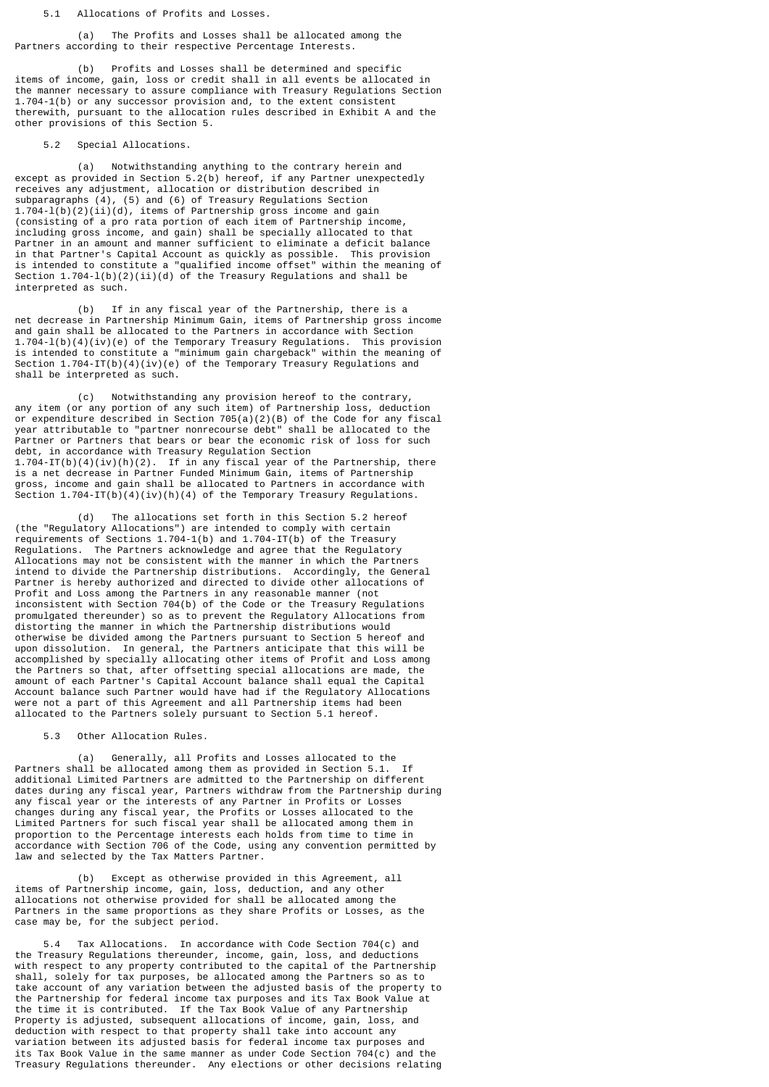5.1 Allocations of Profits and Losses.

 (a) The Profits and Losses shall be allocated among the Partners according to their respective Percentage Interests.

 (b) Profits and Losses shall be determined and specific items of income, gain, loss or credit shall in all events be allocated in the manner necessary to assure compliance with Treasury Regulations Section 1.704-1(b) or any successor provision and, to the extent consistent therewith, pursuant to the allocation rules described in Exhibit A and the other provisions of this Section 5.

5.2 Special Allocations.

 (a) Notwithstanding anything to the contrary herein and except as provided in Section 5.2(b) hereof, if any Partner unexpectedly receives any adjustment, allocation or distribution described in subparagraphs (4), (5) and (6) of Treasury Regulations Section 1.704-l(b)(2)(ii)(d), items of Partnership gross income and gain (consisting of a pro rata portion of each item of Partnership income, including gross income, and gain) shall be specially allocated to that Partner in an amount and manner sufficient to eliminate a deficit balance in that Partner's Capital Account as quickly as possible. This provision is intended to constitute a "qualified income offset" within the meaning of Section 1.704-l(b)(2)(ii)(d) of the Treasury Regulations and shall be interpreted as such.

 (b) If in any fiscal year of the Partnership, there is a net decrease in Partnership Minimum Gain, items of Partnership gross income and gain shall be allocated to the Partners in accordance with Section 1.704-l(b)(4)(iv)(e) of the Temporary Treasury Regulations. This provision is intended to constitute a "minimum gain chargeback" within the meaning of Section 1.704-IT(b)(4)(iv)(e) of the Temporary Treasury Regulations and shall be interpreted as such.

 (c) Notwithstanding any provision hereof to the contrary, any item (or any portion of any such item) of Partnership loss, deduction or expenditure described in Section 705(a)(2)(B) of the Code for any fiscal year attributable to "partner nonrecourse debt" shall be allocated to the Partner or Partners that bears or bear the economic risk of loss for such debt, in accordance with Treasury Regulation Section 1.704-IT(b)(4)(iv)(h)(2). If in any fiscal year of the Partnership, there is a net decrease in Partner Funded Minimum Gain, items of Partnership gross, income and gain shall be allocated to Partners in accordance with Section  $1.704$ -IT(b)(4)(iv)(h)(4) of the Temporary Treasury Regulations.

The allocations set forth in this Section 5.2 hereof (the "Regulatory Allocations") are intended to comply with certain requirements of Sections 1.704-1(b) and 1.704-IT(b) of the Treasury Regulations. The Partners acknowledge and agree that the Regulatory Allocations may not be consistent with the manner in which the Partners intend to divide the Partnership distributions. Accordingly, the General Partner is hereby authorized and directed to divide other allocations of Profit and Loss among the Partners in any reasonable manner (not inconsistent with Section 704(b) of the Code or the Treasury Regulations promulgated thereunder) so as to prevent the Regulatory Allocations from distorting the manner in which the Partnership distributions would otherwise be divided among the Partners pursuant to Section 5 hereof and upon dissolution. In general, the Partners anticipate that this will be accomplished by specially allocating other items of Profit and Loss among the Partners so that, after offsetting special allocations are made, the amount of each Partner's Capital Account balance shall equal the Capital Account balance such Partner would have had if the Regulatory Allocations were not a part of this Agreement and all Partnership items had been allocated to the Partners solely pursuant to Section 5.1 hereof.

5.3 Other Allocation Rules.

(a) Generally, all Profits and Losses allocated to the allocated among them as provided in Section 5.1. If Partners shall be allocated among them as provided in Section 5.1. additional Limited Partners are admitted to the Partnership on different dates during any fiscal year, Partners withdraw from the Partnership during any fiscal year or the interests of any Partner in Profits or Losses changes during any fiscal year, the Profits or Losses allocated to the Limited Partners for such fiscal year shall be allocated among them in proportion to the Percentage interests each holds from time to time in accordance with Section 706 of the Code, using any convention permitted by law and selected by the Tax Matters Partner.

 (b) Except as otherwise provided in this Agreement, all items of Partnership income, gain, loss, deduction, and any other allocations not otherwise provided for shall be allocated among the Partners in the same proportions as they share Profits or Losses, as the case may be, for the subject period.

 5.4 Tax Allocations. In accordance with Code Section 704(c) and the Treasury Regulations thereunder, income, gain, loss, and deductions with respect to any property contributed to the capital of the Partnership shall, solely for tax purposes, be allocated among the Partners so as to take account of any variation between the adjusted basis of the property to the Partnership for federal income tax purposes and its Tax Book Value at the time it is contributed. If the Tax Book Value of any Partnership Property is adjusted, subsequent allocations of income, gain, loss, and deduction with respect to that property shall take into account any variation between its adjusted basis for federal income tax purposes and its Tax Book Value in the same manner as under Code Section 704(c) and the Treasury Regulations thereunder. Any elections or other decisions relating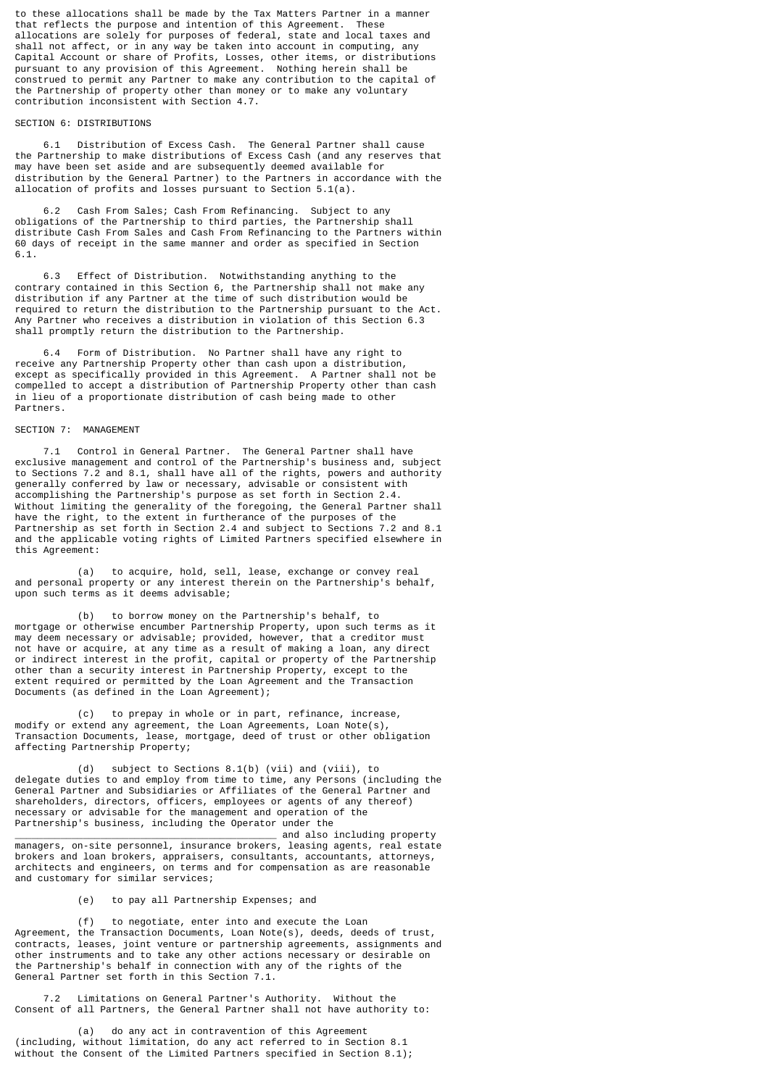to these allocations shall be made by the Tax Matters Partner in a manner that reflects the purpose and intention of this Agreement. These allocations are solely for purposes of federal, state and local taxes and shall not affect, or in any way be taken into account in computing, any Capital Account or share of Profits, Losses, other items, or distributions pursuant to any provision of this Agreement. Nothing herein shall be construed to permit any Partner to make any contribution to the capital of the Partnership of property other than money or to make any voluntary contribution inconsistent with Section 4.7.

# SECTION 6: DISTRIBUTIONS

 6.1 Distribution of Excess Cash. The General Partner shall cause the Partnership to make distributions of Excess Cash (and any reserves that may have been set aside and are subsequently deemed available for distribution by the General Partner) to the Partners in accordance with the allocation of profits and losses pursuant to Section 5.1(a).

 6.2 Cash From Sales; Cash From Refinancing. Subject to any obligations of the Partnership to third parties, the Partnership shall distribute Cash From Sales and Cash From Refinancing to the Partners within 60 days of receipt in the same manner and order as specified in Section 6.1.

 6.3 Effect of Distribution. Notwithstanding anything to the contrary contained in this Section 6, the Partnership shall not make any distribution if any Partner at the time of such distribution would be required to return the distribution to the Partnership pursuant to the Act. Any Partner who receives a distribution in violation of this Section 6.3 shall promptly return the distribution to the Partnership.

 6.4 Form of Distribution. No Partner shall have any right to receive any Partnership Property other than cash upon a distribution, except as specifically provided in this Agreement. A Partner shall not be compelled to accept a distribution of Partnership Property other than cash in lieu of a proportionate distribution of cash being made to other Partners.

## SECTION 7: MANAGEMENT

 7.1 Control in General Partner. The General Partner shall have exclusive management and control of the Partnership's business and, subject to Sections 7.2 and 8.1, shall have all of the rights, powers and authority generally conferred by law or necessary, advisable or consistent with accomplishing the Partnership's purpose as set forth in Section 2.4. Without limiting the generality of the foregoing, the General Partner shall have the right, to the extent in furtherance of the purposes of the Partnership as set forth in Section 2.4 and subject to Sections 7.2 and 8.1 and the applicable voting rights of Limited Partners specified elsewhere in this Agreement:

 (a) to acquire, hold, sell, lease, exchange or convey real and personal property or any interest therein on the Partnership's behalf, upon such terms as it deems advisable;

 (b) to borrow money on the Partnership's behalf, to mortgage or otherwise encumber Partnership Property, upon such terms as it may deem necessary or advisable; provided, however, that a creditor must not have or acquire, at any time as a result of making a loan, any direct or indirect interest in the profit, capital or property of the Partnership other than a security interest in Partnership Property, except to the extent required or permitted by the Loan Agreement and the Transaction Documents (as defined in the Loan Agreement);

 (c) to prepay in whole or in part, refinance, increase, modify or extend any agreement, the Loan Agreements, Loan Note(s), Transaction Documents, lease, mortgage, deed of trust or other obligation affecting Partnership Property;

 (d) subject to Sections 8.1(b) (vii) and (viii), to delegate duties to and employ from time to time, any Persons (including the General Partner and Subsidiaries or Affiliates of the General Partner and shareholders, directors, officers, employees or agents of any thereof) necessary or advisable for the management and operation of the Partnership's business, including the Operator under the

\_\_\_\_\_\_\_\_\_\_\_\_\_\_\_\_\_\_\_\_\_\_\_\_\_\_\_\_\_\_\_\_\_\_\_\_\_\_\_\_\_\_\_\_\_\_ and also including property managers, on-site personnel, insurance brokers, leasing agents, real estate brokers and loan brokers, appraisers, consultants, accountants, attorneys, architects and engineers, on terms and for compensation as are reasonable and customary for similar services;

(e) to pay all Partnership Expenses; and

 (f) to negotiate, enter into and execute the Loan Agreement, the Transaction Documents, Loan Note(s), deeds, deeds of trust, contracts, leases, joint venture or partnership agreements, assignments and other instruments and to take any other actions necessary or desirable on the Partnership's behalf in connection with any of the rights of the General Partner set forth in this Section 7.1.

 7.2 Limitations on General Partner's Authority. Without the Consent of all Partners, the General Partner shall not have authority to:

 (a) do any act in contravention of this Agreement (including, without limitation, do any act referred to in Section 8.1 without the Consent of the Limited Partners specified in Section 8.1);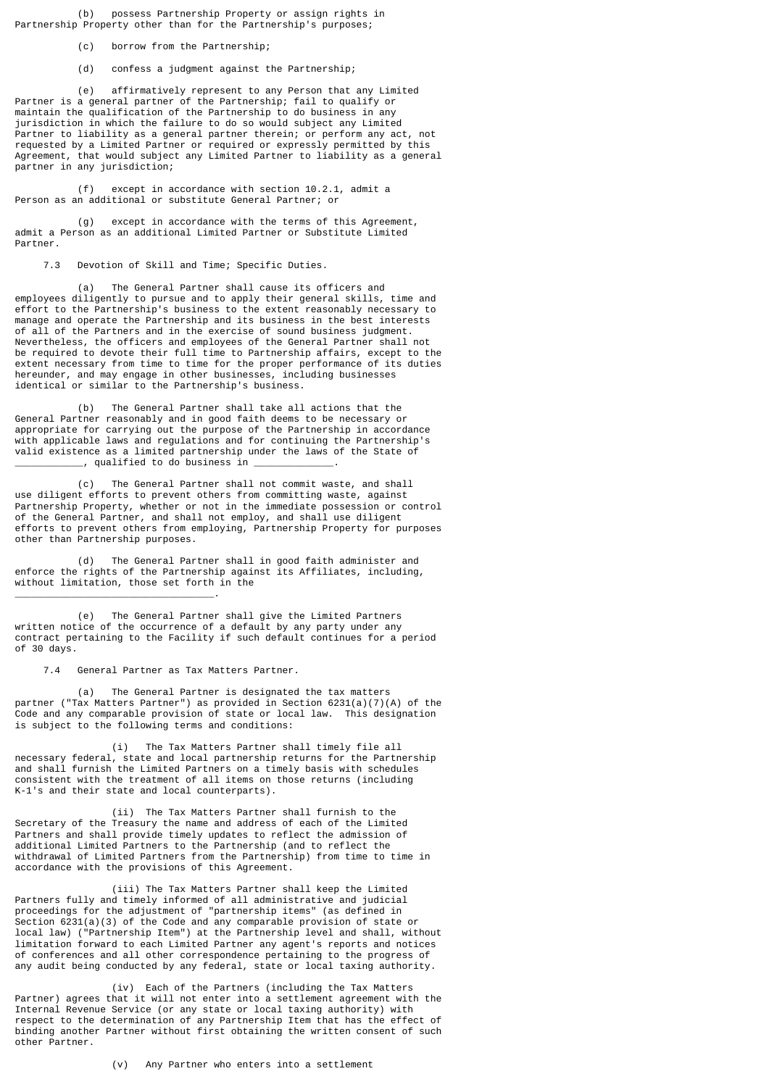(b) possess Partnership Property or assign rights in Partnership Property other than for the Partnership's purposes;

(c) borrow from the Partnership;

(d) confess a judgment against the Partnership;

 (e) affirmatively represent to any Person that any Limited Partner is a general partner of the Partnership; fail to qualify or maintain the qualification of the Partnership to do business in any jurisdiction in which the failure to do so would subject any Limited Partner to liability as a general partner therein; or perform any act, not requested by a Limited Partner or required or expressly permitted by this Agreement, that would subject any Limited Partner to liability as a general partner in any jurisdiction;

 (f) except in accordance with section 10.2.1, admit a Person as an additional or substitute General Partner; or

 (g) except in accordance with the terms of this Agreement, admit a Person as an additional Limited Partner or Substitute Limited Partner.

7.3 Devotion of Skill and Time; Specific Duties.

 (a) The General Partner shall cause its officers and employees diligently to pursue and to apply their general skills, time and effort to the Partnership's business to the extent reasonably necessary to manage and operate the Partnership and its business in the best interests of all of the Partners and in the exercise of sound business judgment. Nevertheless, the officers and employees of the General Partner shall not be required to devote their full time to Partnership affairs, except to the extent necessary from time to time for the proper performance of its duties hereunder, and may engage in other businesses, including businesses identical or similar to the Partnership's business.

 (b) The General Partner shall take all actions that the General Partner reasonably and in good faith deems to be necessary or appropriate for carrying out the purpose of the Partnership in accordance with applicable laws and regulations and for continuing the Partnership's valid existence as a limited partnership under the laws of the State of \_\_\_\_\_\_\_\_\_\_\_\_, qualified to do business in \_\_\_\_\_\_\_\_\_\_\_\_\_\_.

 (c) The General Partner shall not commit waste, and shall use diligent efforts to prevent others from committing waste, against Partnership Property, whether or not in the immediate possession or control of the General Partner, and shall not employ, and shall use diligent efforts to prevent others from employing, Partnership Property for purposes other than Partnership purposes.

 (d) The General Partner shall in good faith administer and enforce the rights of the Partnership against its Affiliates, including, without limitation, those set forth in the

 (e) The General Partner shall give the Limited Partners written notice of the occurrence of a default by any party under any contract pertaining to the Facility if such default continues for a period of 30 days.

7.4 General Partner as Tax Matters Partner.

\_\_\_\_\_\_\_\_\_\_\_\_\_\_\_\_\_\_\_\_\_\_\_\_\_\_\_\_\_\_\_\_\_\_\_.

 (a) The General Partner is designated the tax matters partner ("Tax Matters Partner") as provided in Section  $6231(a)(7)(A)$  of the Code and any comparable provision of state or local law. This designation is subject to the following terms and conditions:

 (i) The Tax Matters Partner shall timely file all necessary federal, state and local partnership returns for the Partnership and shall furnish the Limited Partners on a timely basis with schedules consistent with the treatment of all items on those returns (including K-1's and their state and local counterparts).

 (ii) The Tax Matters Partner shall furnish to the Secretary of the Treasury the name and address of each of the Limited Partners and shall provide timely updates to reflect the admission of additional Limited Partners to the Partnership (and to reflect the withdrawal of Limited Partners from the Partnership) from time to time in accordance with the provisions of this Agreement.

 (iii) The Tax Matters Partner shall keep the Limited Partners fully and timely informed of all administrative and judicial proceedings for the adjustment of "partnership items" (as defined in Section 6231(a)(3) of the Code and any comparable provision of state or local law) ("Partnership Item") at the Partnership level and shall, without limitation forward to each Limited Partner any agent's reports and notices of conferences and all other correspondence pertaining to the progress of any audit being conducted by any federal, state or local taxing authority.

 (iv) Each of the Partners (including the Tax Matters Partner) agrees that it will not enter into a settlement agreement with the Internal Revenue Service (or any state or local taxing authority) with respect to the determination of any Partnership Item that has the effect of binding another Partner without first obtaining the written consent of such other Partner.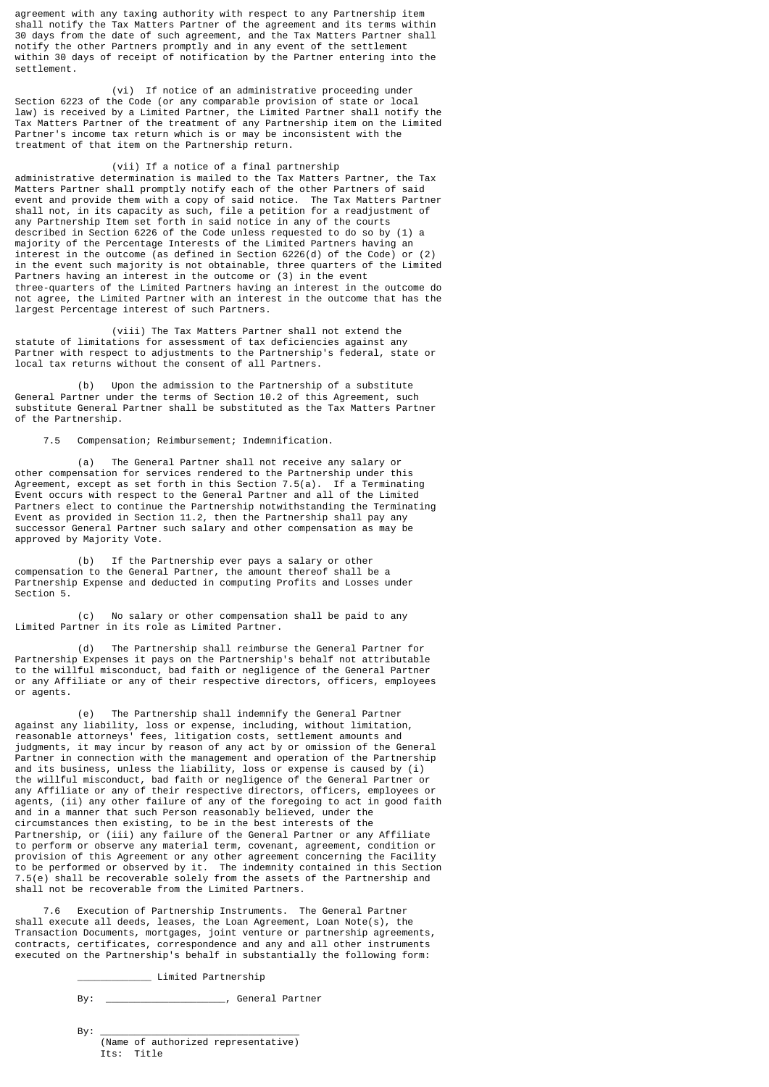agreement with any taxing authority with respect to any Partnership item shall notify the Tax Matters Partner of the agreement and its terms within 30 days from the date of such agreement, and the Tax Matters Partner shall notify the other Partners promptly and in any event of the settlement within 30 days of receipt of notification by the Partner entering into the settlement.

 (vi) If notice of an administrative proceeding under Section 6223 of the Code (or any comparable provision of state or local law) is received by a Limited Partner, the Limited Partner shall notify the Tax Matters Partner of the treatment of any Partnership item on the Limited Partner's income tax return which is or may be inconsistent with the treatment of that item on the Partnership return.

 (vii) If a notice of a final partnership administrative determination is mailed to the Tax Matters Partner, the Tax Matters Partner shall promptly notify each of the other Partners of said event and provide them with a copy of said notice. The Tax Matters Partner shall not, in its capacity as such, file a petition for a readjustment of any Partnership Item set forth in said notice in any of the courts described in Section 6226 of the Code unless requested to do so by (1) a majority of the Percentage Interests of the Limited Partners having an interest in the outcome (as defined in Section 6226(d) of the Code) or (2) in the event such majority is not obtainable, three quarters of the Limited Partners having an interest in the outcome or (3) in the event three-quarters of the Limited Partners having an interest in the outcome do not agree, the Limited Partner with an interest in the outcome that has the largest Percentage interest of such Partners.

 (viii) The Tax Matters Partner shall not extend the statute of limitations for assessment of tax deficiencies against any Partner with respect to adjustments to the Partnership's federal, state or local tax returns without the consent of all Partners.

 (b) Upon the admission to the Partnership of a substitute General Partner under the terms of Section 10.2 of this Agreement, such substitute General Partner shall be substituted as the Tax Matters Partner of the Partnership.

7.5 Compensation; Reimbursement; Indemnification.

 (a) The General Partner shall not receive any salary or other compensation for services rendered to the Partnership under this Agreement, except as set forth in this Section 7.5(a). If a Terminating Event occurs with respect to the General Partner and all of the Limited Partners elect to continue the Partnership notwithstanding the Terminating Event as provided in Section 11.2, then the Partnership shall pay any successor General Partner such salary and other compensation as may be approved by Majority Vote.

 (b) If the Partnership ever pays a salary or other compensation to the General Partner, the amount thereof shall be a Partnership Expense and deducted in computing Profits and Losses under Section 5.

 (c) No salary or other compensation shall be paid to any Limited Partner in its role as Limited Partner.

 (d) The Partnership shall reimburse the General Partner for Partnership Expenses it pays on the Partnership's behalf not attributable to the willful misconduct, bad faith or negligence of the General Partner or any Affiliate or any of their respective directors, officers, employees or agents.

 (e) The Partnership shall indemnify the General Partner against any liability, loss or expense, including, without limitation, reasonable attorneys' fees, litigation costs, settlement amounts and judgments, it may incur by reason of any act by or omission of the General Partner in connection with the management and operation of the Partnership and its business, unless the liability, loss or expense is caused by (i) the willful misconduct, bad faith or negligence of the General Partner or any Affiliate or any of their respective directors, officers, employees or agents, (ii) any other failure of any of the foregoing to act in good faith and in a manner that such Person reasonably believed, under the circumstances then existing, to be in the best interests of the Partnership, or (iii) any failure of the General Partner or any Affiliate to perform or observe any material term, covenant, agreement, condition or provision of this Agreement or any other agreement concerning the Facility to be performed or observed by it. The indemnity contained in this Section 7.5(e) shall be recoverable solely from the assets of the Partnership and shall not be recoverable from the Limited Partners.

 7.6 Execution of Partnership Instruments. The General Partner shall execute all deeds, leases, the Loan Agreement, Loan Note(s), the Transaction Documents, mortgages, joint venture or partnership agreements, contracts, certificates, correspondence and any and all other instruments executed on the Partnership's behalf in substantially the following form:

\_\_\_\_\_\_\_\_\_\_\_\_\_ Limited Partnership

By: \_\_\_\_\_\_\_\_\_\_\_\_\_\_\_\_\_\_\_\_\_, General Partner

 By: \_\_\_\_\_\_\_\_\_\_\_\_\_\_\_\_\_\_\_\_\_\_\_\_\_\_\_\_\_\_\_\_\_\_\_ (Name of authorized representative) Its: Title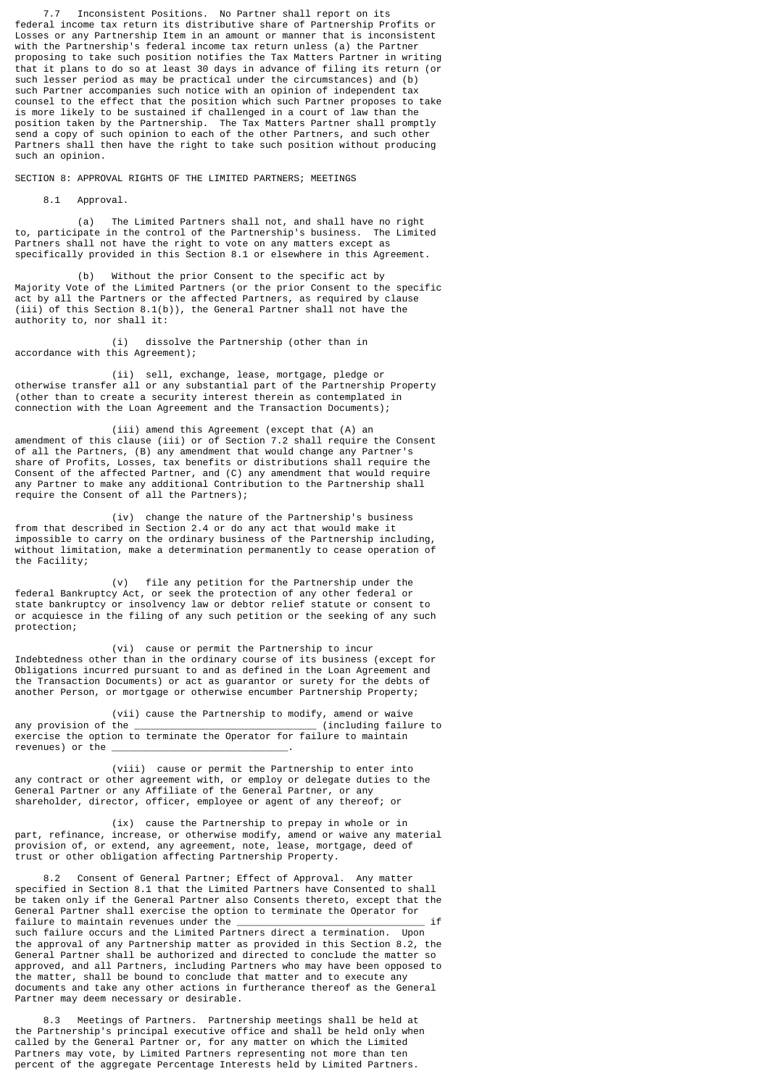7.7 Inconsistent Positions. No Partner shall report on its federal income tax return its distributive share of Partnership Profits or Losses or any Partnership Item in an amount or manner that is inconsistent with the Partnership's federal income tax return unless (a) the Partner proposing to take such position notifies the Tax Matters Partner in writing that it plans to do so at least 30 days in advance of filing its return (or such lesser period as may be practical under the circumstances) and (b) such Partner accompanies such notice with an opinion of independent tax counsel to the effect that the position which such Partner proposes to take is more likely to be sustained if challenged in a court of law than the position taken by the Partnership. The Tax Matters Partner shall promptly send a copy of such opinion to each of the other Partners, and such other Partners shall then have the right to take such position without producing such an opinion.

SECTION 8: APPROVAL RIGHTS OF THE LIMITED PARTNERS; MEETINGS

8.1 Approval.

 (a) The Limited Partners shall not, and shall have no right to, participate in the control of the Partnership's business. The Limited Partners shall not have the right to vote on any matters except as specifically provided in this Section 8.1 or elsewhere in this Agreement.

 (b) Without the prior Consent to the specific act by Majority Vote of the Limited Partners (or the prior Consent to the specific act by all the Partners or the affected Partners, as required by clause (iii) of this Section 8.1(b)), the General Partner shall not have the authority to, nor shall it:

 (i) dissolve the Partnership (other than in accordance with this Agreement);

 (ii) sell, exchange, lease, mortgage, pledge or otherwise transfer all or any substantial part of the Partnership Property (other than to create a security interest therein as contemplated in connection with the Loan Agreement and the Transaction Documents);

 (iii) amend this Agreement (except that (A) an amendment of this clause (iii) or of Section 7.2 shall require the Consent of all the Partners, (B) any amendment that would change any Partner's share of Profits, Losses, tax benefits or distributions shall require the Consent of the affected Partner, and (C) any amendment that would require any Partner to make any additional Contribution to the Partnership shall require the Consent of all the Partners);

 (iv) change the nature of the Partnership's business from that described in Section 2.4 or do any act that would make it impossible to carry on the ordinary business of the Partnership including, without limitation, make a determination permanently to cease operation of the Facility;

 (v) file any petition for the Partnership under the federal Bankruptcy Act, or seek the protection of any other federal or state bankruptcy or insolvency law or debtor relief statute or consent to or acquiesce in the filing of any such petition or the seeking of any such protection;

 (vi) cause or permit the Partnership to incur Indebtedness other than in the ordinary course of its business (except for Obligations incurred pursuant to and as defined in the Loan Agreement and the Transaction Documents) or act as guarantor or surety for the debts of another Person, or mortgage or otherwise encumber Partnership Property;

 (vii) cause the Partnership to modify, amend or waive  $(including failure to$ exercise the option to terminate the Operator for failure to maintain revenues) or the

 (viii) cause or permit the Partnership to enter into any contract or other agreement with, or employ or delegate duties to the General Partner or any Affiliate of the General Partner, or any shareholder, director, officer, employee or agent of any thereof; or

 (ix) cause the Partnership to prepay in whole or in part, refinance, increase, or otherwise modify, amend or waive any material provision of, or extend, any agreement, note, lease, mortgage, deed of trust or other obligation affecting Partnership Property.

 8.2 Consent of General Partner; Effect of Approval. Any matter specified in Section 8.1 that the Limited Partners have Consented to shall be taken only if the General Partner also Consents thereto, except that the General Partner shall exercise the option to terminate the Operator for failure to maintain revenues under the \_\_\_\_\_\_\_\_\_\_\_\_\_\_\_\_\_\_\_\_\_\_\_\_\_\_\_\_\_\_\_\_\_ if such failure occurs and the Limited Partners direct a termination. Upon the approval of any Partnership matter as provided in this Section 8.2, the General Partner shall be authorized and directed to conclude the matter so approved, and all Partners, including Partners who may have been opposed to the matter, shall be bound to conclude that matter and to execute any documents and take any other actions in furtherance thereof as the General Partner may deem necessary or desirable.

 8.3 Meetings of Partners. Partnership meetings shall be held at the Partnership's principal executive office and shall be held only when called by the General Partner or, for any matter on which the Limited Partners may vote, by Limited Partners representing not more than ten percent of the aggregate Percentage Interests held by Limited Partners.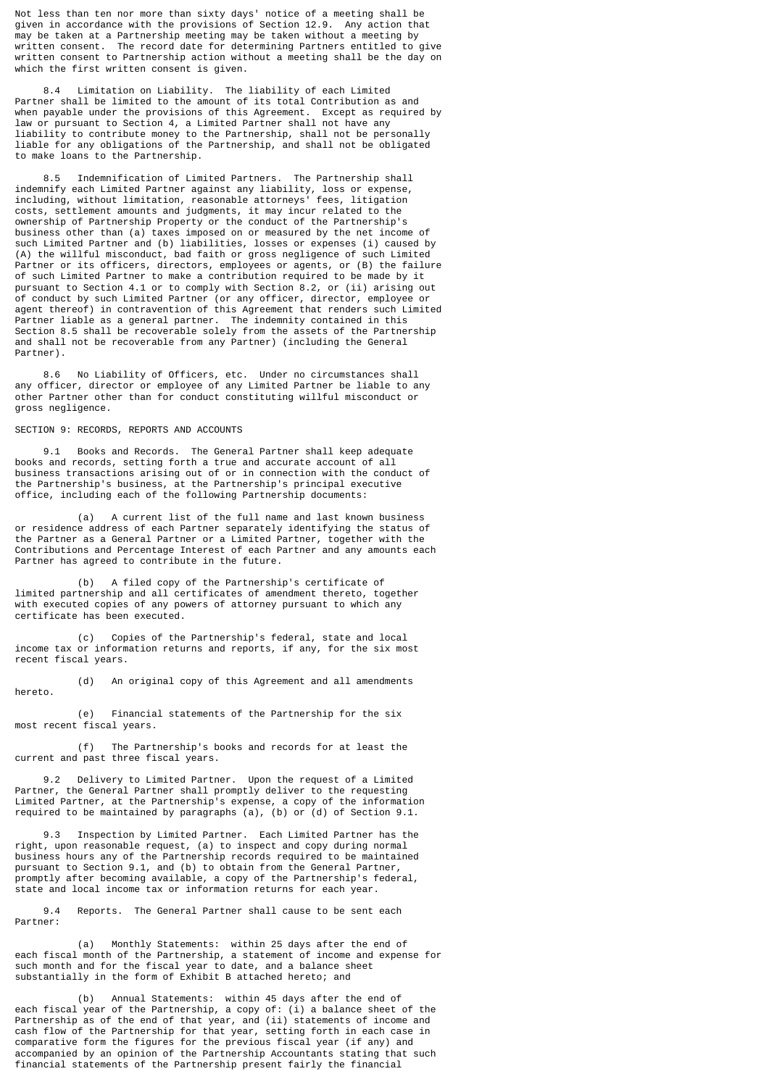Not less than ten nor more than sixty days' notice of a meeting shall be given in accordance with the provisions of Section 12.9. Any action that may be taken at a Partnership meeting may be taken without a meeting by written consent. The record date for determining Partners entitled to give written consent to Partnership action without a meeting shall be the day on which the first written consent is given.

Limitation on Liability. The liability of each Limited Partner shall be limited to the amount of its total Contribution as and when payable under the provisions of this Agreement. Except as required by law or pursuant to Section 4, a Limited Partner shall not have any liability to contribute money to the Partnership, shall not be personally liable for any obligations of the Partnership, and shall not be obligated to make loans to the Partnership.

 8.5 Indemnification of Limited Partners. The Partnership shall indemnify each Limited Partner against any liability, loss or expense, including, without limitation, reasonable attorneys' fees, litigation costs, settlement amounts and judgments, it may incur related to the ownership of Partnership Property or the conduct of the Partnership's business other than (a) taxes imposed on or measured by the net income of such Limited Partner and (b) liabilities, losses or expenses (i) caused by (A) the willful misconduct, bad faith or gross negligence of such Limited Partner or its officers, directors, employees or agents, or (B) the failure of such Limited Partner to make a contribution required to be made by it pursuant to Section 4.1 or to comply with Section 8.2, or (ii) arising out of conduct by such Limited Partner (or any officer, director, employee or agent thereof) in contravention of this Agreement that renders such Limited Partner liable as a general partner. The indemnity contained in this Section 8.5 shall be recoverable solely from the assets of the Partnership and shall not be recoverable from any Partner) (including the General Partner).

 8.6 No Liability of Officers, etc. Under no circumstances shall any officer, director or employee of any Limited Partner be liable to any other Partner other than for conduct constituting willful misconduct or gross negligence.

## SECTION 9: RECORDS, REPORTS AND ACCOUNTS

 9.1 Books and Records. The General Partner shall keep adequate books and records, setting forth a true and accurate account of all business transactions arising out of or in connection with the conduct of the Partnership's business, at the Partnership's principal executive office, including each of the following Partnership documents:

 (a) A current list of the full name and last known business or residence address of each Partner separately identifying the status of the Partner as a General Partner or a Limited Partner, together with the Contributions and Percentage Interest of each Partner and any amounts each Partner has agreed to contribute in the future.

 (b) A filed copy of the Partnership's certificate of limited partnership and all certificates of amendment thereto, together with executed copies of any powers of attorney pursuant to which any certificate has been executed.

 (c) Copies of the Partnership's federal, state and local income tax or information returns and reports, if any, for the six most recent fiscal years.

 (d) An original copy of this Agreement and all amendments hereto.

 (e) Financial statements of the Partnership for the six most recent fiscal years.

 (f) The Partnership's books and records for at least the current and past three fiscal years.

 9.2 Delivery to Limited Partner. Upon the request of a Limited Partner, the General Partner shall promptly deliver to the requesting Limited Partner, at the Partnership's expense, a copy of the information required to be maintained by paragraphs (a), (b) or (d) of Section 9.1.

 9.3 Inspection by Limited Partner. Each Limited Partner has the right, upon reasonable request, (a) to inspect and copy during normal business hours any of the Partnership records required to be maintained pursuant to Section 9.1, and (b) to obtain from the General Partner, promptly after becoming available, a copy of the Partnership's federal, state and local income tax or information returns for each year.

 9.4 Reports. The General Partner shall cause to be sent each Partner:

 (a) Monthly Statements: within 25 days after the end of each fiscal month of the Partnership, a statement of income and expense for such month and for the fiscal year to date, and a balance sheet substantially in the form of Exhibit B attached hereto; and

 (b) Annual Statements: within 45 days after the end of each fiscal year of the Partnership, a copy of: (i) a balance sheet of the Partnership as of the end of that year, and (ii) statements of income and cash flow of the Partnership for that year, setting forth in each case in comparative form the figures for the previous fiscal year (if any) and accompanied by an opinion of the Partnership Accountants stating that such financial statements of the Partnership present fairly the financial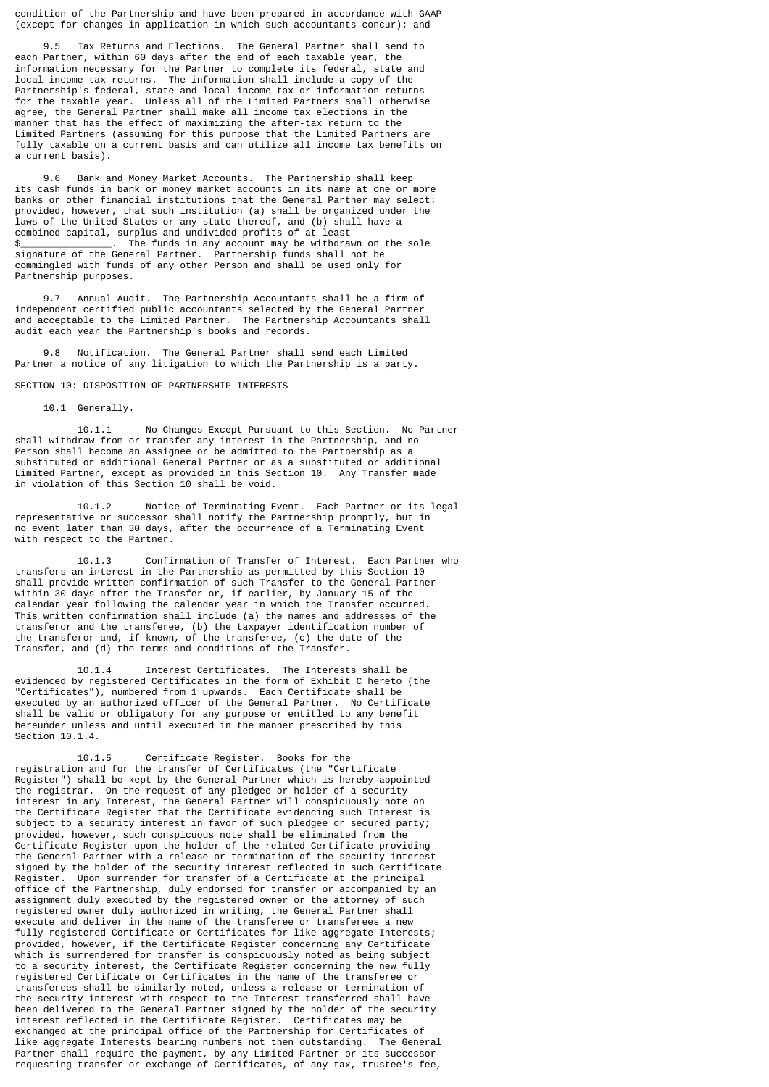condition of the Partnership and have been prepared in accordance with GAAP (except for changes in application in which such accountants concur); and

Tax Returns and Elections. The General Partner shall send to each Partner, within 60 days after the end of each taxable year, the information necessary for the Partner to complete its federal, state and local income tax returns. The information shall include a copy of the Partnership's federal, state and local income tax or information returns for the taxable year. Unless all of the Limited Partners shall otherwise agree, the General Partner shall make all income tax elections in the manner that has the effect of maximizing the after-tax return to the Limited Partners (assuming for this purpose that the Limited Partners are fully taxable on a current basis and can utilize all income tax benefits on a current basis).

 9.6 Bank and Money Market Accounts. The Partnership shall keep its cash funds in bank or money market accounts in its name at one or more banks or other financial institutions that the General Partner may select: provided, however, that such institution (a) shall be organized under the laws of the United States or any state thereof, and (b) shall have a combined capital, surplus and undivided profits of at least \$\_\_\_\_\_\_\_\_\_\_\_\_\_\_\_\_. The funds in any account may be withdrawn on the sole signature of the General Partner. Partnership funds shall not be commingled with funds of any other Person and shall be used only for Partnership purposes.

 9.7 Annual Audit. The Partnership Accountants shall be a firm of independent certified public accountants selected by the General Partner and acceptable to the Limited Partner. The Partnership Accountants shall audit each year the Partnership's books and records.

 9.8 Notification. The General Partner shall send each Limited Partner a notice of any litigation to which the Partnership is a party.

SECTION 10: DISPOSITION OF PARTNERSHIP INTERESTS

10.1 Generally.

 10.1.1 No Changes Except Pursuant to this Section. No Partner shall withdraw from or transfer any interest in the Partnership, and no Person shall become an Assignee or be admitted to the Partnership as a substituted or additional General Partner or as a substituted or additional Limited Partner, except as provided in this Section 10. Any Transfer made in violation of this Section 10 shall be void.

 10.1.2 Notice of Terminating Event. Each Partner or its legal representative or successor shall notify the Partnership promptly, but in no event later than 30 days, after the occurrence of a Terminating Event with respect to the Partner.

 10.1.3 Confirmation of Transfer of Interest. Each Partner who transfers an interest in the Partnership as permitted by this Section 10 shall provide written confirmation of such Transfer to the General Partner within 30 days after the Transfer or, if earlier, by January 15 of the calendar year following the calendar year in which the Transfer occurred. This written confirmation shall include (a) the names and addresses of the transferor and the transferee, (b) the taxpayer identification number of the transferor and, if known, of the transferee, (c) the date of the Transfer, and (d) the terms and conditions of the Transfer.

 10.1.4 Interest Certificates. The Interests shall be evidenced by registered Certificates in the form of Exhibit C hereto (the "Certificates"), numbered from 1 upwards. Each Certificate shall be executed by an authorized officer of the General Partner. No Certificate shall be valid or obligatory for any purpose or entitled to any benefit hereunder unless and until executed in the manner prescribed by this Section 10.1.4.

 10.1.5 Certificate Register. Books for the registration and for the transfer of Certificates (the "Certificate Register") shall be kept by the General Partner which is hereby appointed the registrar. On the request of any pledgee or holder of a security interest in any Interest, the General Partner will conspicuously note on the Certificate Register that the Certificate evidencing such Interest is subject to a security interest in favor of such pledgee or secured party; provided, however, such conspicuous note shall be eliminated from the Certificate Register upon the holder of the related Certificate providing the General Partner with a release or termination of the security interest signed by the holder of the security interest reflected in such Certificate Register. Upon surrender for transfer of a Certificate at the principal office of the Partnership, duly endorsed for transfer or accompanied by an assignment duly executed by the registered owner or the attorney of such registered owner duly authorized in writing, the General Partner shall execute and deliver in the name of the transferee or transferees a new fully registered Certificate or Certificates for like aggregate Interests; provided, however, if the Certificate Register concerning any Certificate which is surrendered for transfer is conspicuously noted as being subject to a security interest, the Certificate Register concerning the new fully registered Certificate or Certificates in the name of the transferee or transferees shall be similarly noted, unless a release or termination of the security interest with respect to the Interest transferred shall have been delivered to the General Partner signed by the holder of the security interest reflected in the Certificate Register. Certificates may be exchanged at the principal office of the Partnership for Certificates of like aggregate Interests bearing numbers not then outstanding. The General Partner shall require the payment, by any Limited Partner or its successor requesting transfer or exchange of Certificates, of any tax, trustee's fee,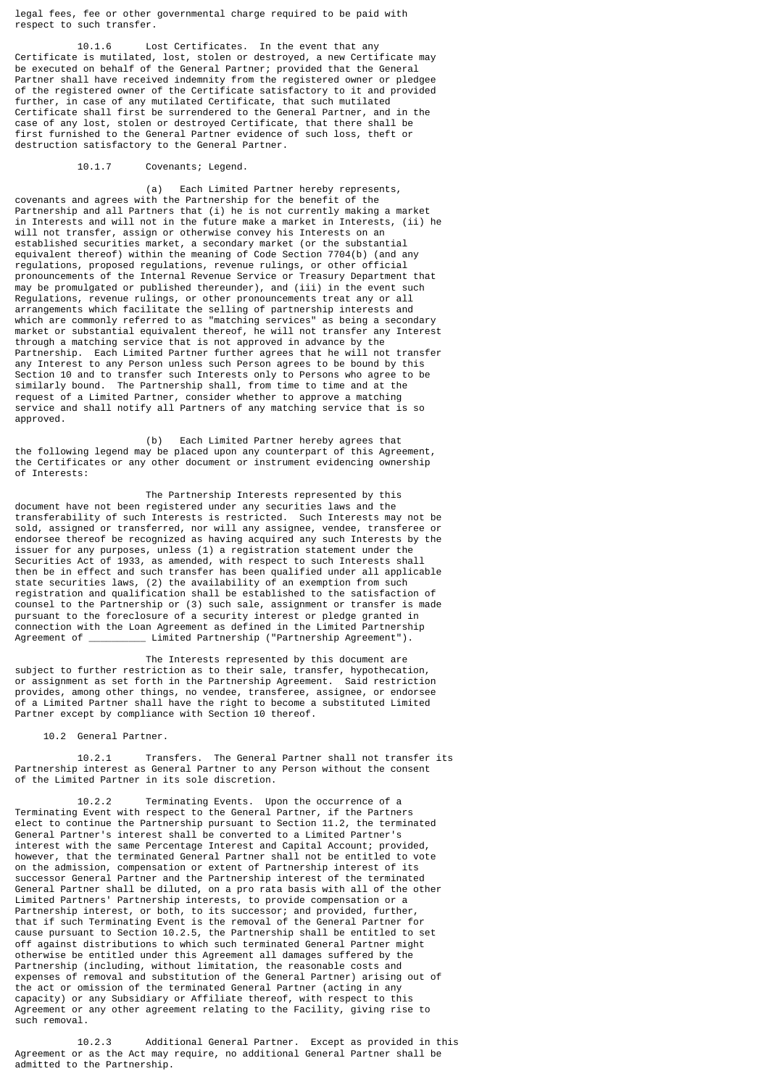legal fees, fee or other governmental charge required to be paid with respect to such transfer.

 10.1.6 Lost Certificates. In the event that any Certificate is mutilated, lost, stolen or destroyed, a new Certificate may be executed on behalf of the General Partner; provided that the General Partner shall have received indemnity from the registered owner or pledgee of the registered owner of the Certificate satisfactory to it and provided further, in case of any mutilated Certificate, that such mutilated Certificate shall first be surrendered to the General Partner, and in the case of any lost, stolen or destroyed Certificate, that there shall be first furnished to the General Partner evidence of such loss, theft or destruction satisfactory to the General Partner.

## 10.1.7 Covenants; Legend.

 (a) Each Limited Partner hereby represents, covenants and agrees with the Partnership for the benefit of the Partnership and all Partners that (i) he is not currently making a market in Interests and will not in the future make a market in Interests, (ii) he will not transfer, assign or otherwise convey his Interests on an established securities market, a secondary market (or the substantial equivalent thereof) within the meaning of Code Section 7704(b) (and any regulations, proposed regulations, revenue rulings, or other official pronouncements of the Internal Revenue Service or Treasury Department that may be promulgated or published thereunder), and (iii) in the event such Regulations, revenue rulings, or other pronouncements treat any or all arrangements which facilitate the selling of partnership interests and which are commonly referred to as "matching services" as being a secondary market or substantial equivalent thereof, he will not transfer any Interest through a matching service that is not approved in advance by the Partnership. Each Limited Partner further agrees that he will not transfer any Interest to any Person unless such Person agrees to be bound by this Section 10 and to transfer such Interests only to Persons who agree to be similarly bound. The Partnership shall, from time to time and at the request of a Limited Partner, consider whether to approve a matching service and shall notify all Partners of any matching service that is so approved.

 (b) Each Limited Partner hereby agrees that the following legend may be placed upon any counterpart of this Agreement, the Certificates or any other document or instrument evidencing ownership of Interests:

 The Partnership Interests represented by this document have not been registered under any securities laws and the transferability of such Interests is restricted. Such Interests may not be sold, assigned or transferred, nor will any assignee, vendee, transferee or endorsee thereof be recognized as having acquired any such Interests by the issuer for any purposes, unless (1) a registration statement under the Securities Act of 1933, as amended, with respect to such Interests shall then be in effect and such transfer has been qualified under all applicable state securities laws, (2) the availability of an exemption from such registration and qualification shall be established to the satisfaction of counsel to the Partnership or (3) such sale, assignment or transfer is made pursuant to the foreclosure of a security interest or pledge granted in connection with the Loan Agreement as defined in the Limited Partnership  $\_$  Limited Partnership ("Partnership Agreement").

 The Interests represented by this document are subject to further restriction as to their sale, transfer, hypothecation, or assignment as set forth in the Partnership Agreement. Said restriction provides, among other things, no vendee, transferee, assignee, or endorsee of a Limited Partner shall have the right to become a substituted Limited Partner except by compliance with Section 10 thereof.

10.2 General Partner.

 10.2.1 Transfers. The General Partner shall not transfer its Partnership interest as General Partner to any Person without the consent of the Limited Partner in its sole discretion.

 10.2.2 Terminating Events. Upon the occurrence of a Terminating Event with respect to the General Partner, if the Partners elect to continue the Partnership pursuant to Section 11.2, the terminated General Partner's interest shall be converted to a Limited Partner's interest with the same Percentage Interest and Capital Account; provided, however, that the terminated General Partner shall not be entitled to vote on the admission, compensation or extent of Partnership interest of its successor General Partner and the Partnership interest of the terminated General Partner shall be diluted, on a pro rata basis with all of the other Limited Partners' Partnership interests, to provide compensation or a Partnership interest, or both, to its successor; and provided, further, that if such Terminating Event is the removal of the General Partner for cause pursuant to Section 10.2.5, the Partnership shall be entitled to set off against distributions to which such terminated General Partner might otherwise be entitled under this Agreement all damages suffered by the Partnership (including, without limitation, the reasonable costs and expenses of removal and substitution of the General Partner) arising out of the act or omission of the terminated General Partner (acting in any capacity) or any Subsidiary or Affiliate thereof, with respect to this Agreement or any other agreement relating to the Facility, giving rise to such removal.

 10.2.3 Additional General Partner. Except as provided in this Agreement or as the Act may require, no additional General Partner shall be admitted to the Partnership.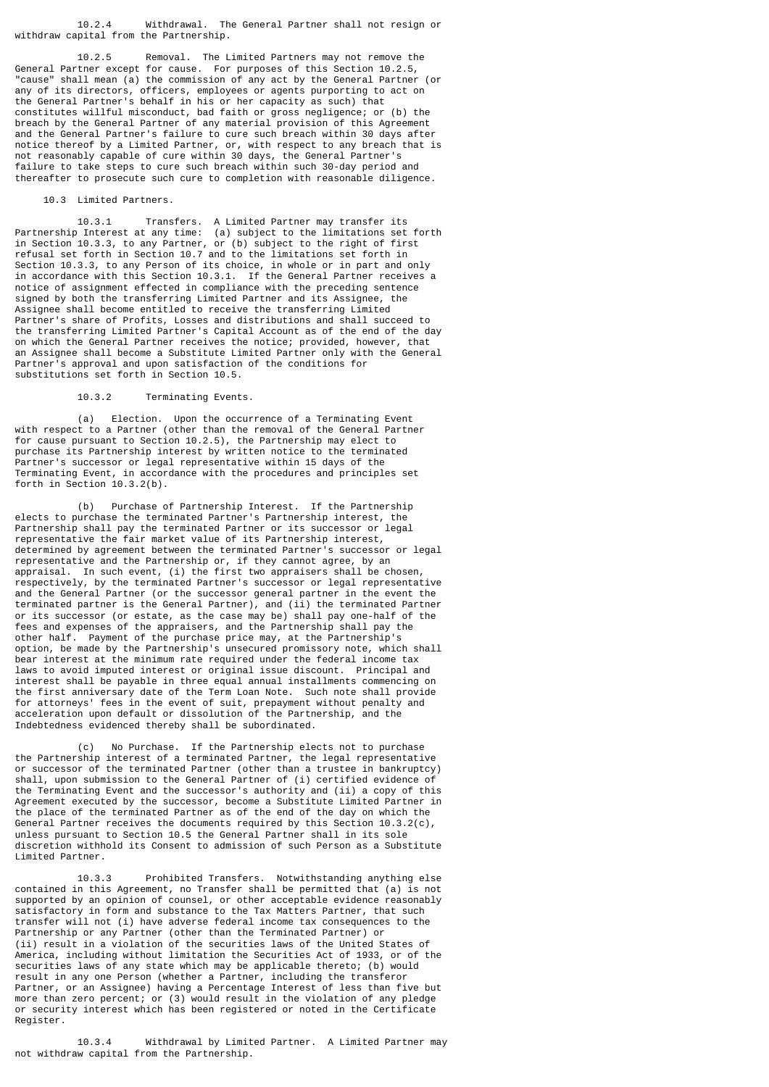10.2.4 Withdrawal. The General Partner shall not resign or withdraw capital from the Partnership.

 10.2.5 Removal. The Limited Partners may not remove the General Partner except for cause. For purposes of this Section 10.2.5, "cause" shall mean (a) the commission of any act by the General Partner (or any of its directors, officers, employees or agents purporting to act on the General Partner's behalf in his or her capacity as such) that constitutes willful misconduct, bad faith or gross negligence; or (b) the breach by the General Partner of any material provision of this Agreement and the General Partner's failure to cure such breach within 30 days after notice thereof by a Limited Partner, or, with respect to any breach that is not reasonably capable of cure within 30 days, the General Partner's failure to take steps to cure such breach within such 30-day period and thereafter to prosecute such cure to completion with reasonable diligence.

10.3 Limited Partners.

 10.3.1 Transfers. A Limited Partner may transfer its Partnership Interest at any time: (a) subject to the limitations set forth in Section 10.3.3, to any Partner, or (b) subject to the right of first refusal set forth in Section 10.7 and to the limitations set forth in Section 10.3.3, to any Person of its choice, in whole or in part and only in accordance with this Section 10.3.1. If the General Partner receives a notice of assignment effected in compliance with the preceding sentence signed by both the transferring Limited Partner and its Assignee, the Assignee shall become entitled to receive the transferring Limited Partner's share of Profits, Losses and distributions and shall succeed to the transferring Limited Partner's Capital Account as of the end of the day on which the General Partner receives the notice; provided, however, that an Assignee shall become a Substitute Limited Partner only with the General Partner's approval and upon satisfaction of the conditions for substitutions set forth in Section 10.5.

10.3.2 Terminating Events.

 (a) Election. Upon the occurrence of a Terminating Event with respect to a Partner (other than the removal of the General Partner for cause pursuant to Section 10.2.5), the Partnership may elect to purchase its Partnership interest by written notice to the terminated Partner's successor or legal representative within 15 days of the Terminating Event, in accordance with the procedures and principles set forth in Section 10.3.2(b).

 (b) Purchase of Partnership Interest. If the Partnership elects to purchase the terminated Partner's Partnership interest, the Partnership shall pay the terminated Partner or its successor or legal representative the fair market value of its Partnership interest, determined by agreement between the terminated Partner's successor or legal representative and the Partnership or, if they cannot agree, by an appraisal. In such event, (i) the first two appraisers shall be chosen, respectively, by the terminated Partner's successor or legal representative and the General Partner (or the successor general partner in the event the terminated partner is the General Partner), and (ii) the terminated Partner or its successor (or estate, as the case may be) shall pay one-half of the fees and expenses of the appraisers, and the Partnership shall pay the other half. Payment of the purchase price may, at the Partnership's option, be made by the Partnership's unsecured promissory note, which shall bear interest at the minimum rate required under the federal income tax laws to avoid imputed interest or original issue discount. Principal and interest shall be payable in three equal annual installments commencing on the first anniversary date of the Term Loan Note. Such note shall provide for attorneys' fees in the event of suit, prepayment without penalty and acceleration upon default or dissolution of the Partnership, and the Indebtedness evidenced thereby shall be subordinated.

 (c) No Purchase. If the Partnership elects not to purchase the Partnership interest of a terminated Partner, the legal representative or successor of the terminated Partner (other than a trustee in bankruptcy) shall, upon submission to the General Partner of (i) certified evidence of the Terminating Event and the successor's authority and (ii) a copy of this Agreement executed by the successor, become a Substitute Limited Partner in the place of the terminated Partner as of the end of the day on which the General Partner receives the documents required by this Section 10.3.2(c), unless pursuant to Section 10.5 the General Partner shall in its sole discretion withhold its Consent to admission of such Person as a Substitute Limited Partner.

 10.3.3 Prohibited Transfers. Notwithstanding anything else contained in this Agreement, no Transfer shall be permitted that (a) is not supported by an opinion of counsel, or other acceptable evidence reasonably satisfactory in form and substance to the Tax Matters Partner, that such transfer will not (i) have adverse federal income tax consequences to the Partnership or any Partner (other than the Terminated Partner) or (ii) result in a violation of the securities laws of the United States of America, including without limitation the Securities Act of 1933, or of the securities laws of any state which may be applicable thereto; (b) would result in any one Person (whether a Partner, including the transferor Partner, or an Assignee) having a Percentage Interest of less than five but more than zero percent; or (3) would result in the violation of any pledge or security interest which has been registered or noted in the Certificate Register.

 10.3.4 Withdrawal by Limited Partner. A Limited Partner may not withdraw capital from the Partnership.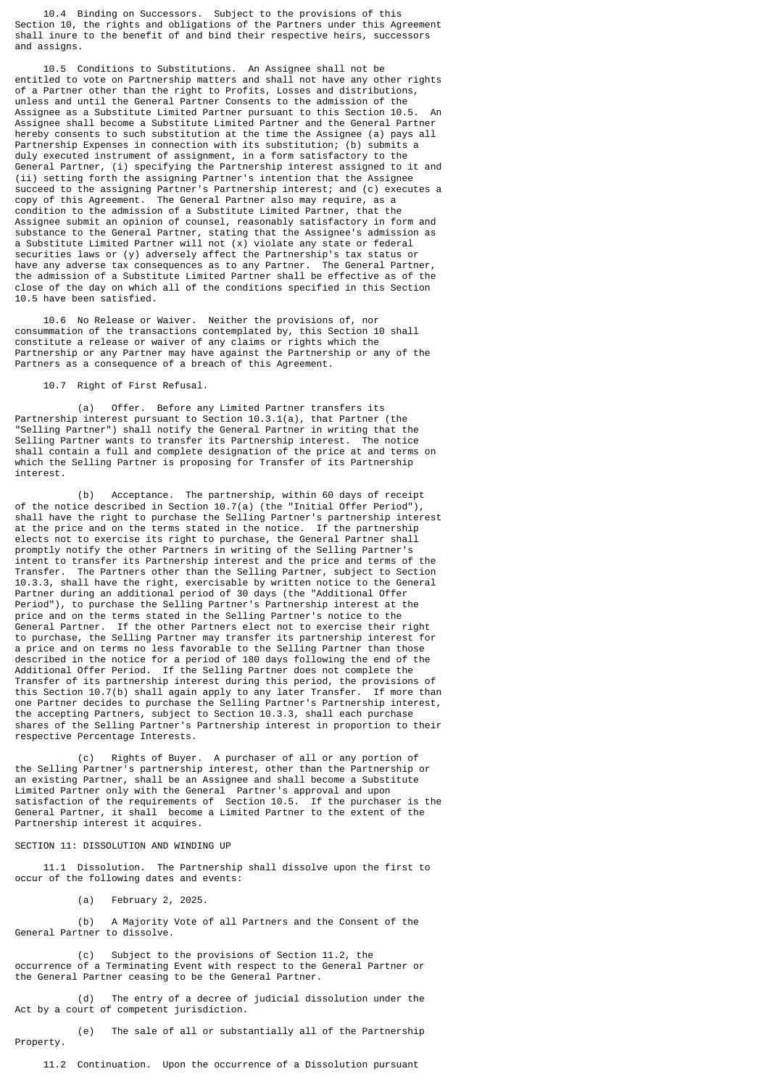10.4 Binding on Successors. Subject to the provisions of this Section 10, the rights and obligations of the Partners under this Agreement shall inure to the benefit of and bind their respective heirs, successors and assigns.

 10.5 Conditions to Substitutions. An Assignee shall not be entitled to vote on Partnership matters and shall not have any other rights of a Partner other than the right to Profits, Losses and distributions, unless and until the General Partner Consents to the admission of the Assignee as a Substitute Limited Partner pursuant to this Section 10.5. Assignee shall become a Substitute Limited Partner and the General Partner hereby consents to such substitution at the time the Assignee (a) pays all Partnership Expenses in connection with its substitution; (b) submits a duly executed instrument of assignment, in a form satisfactory to the General Partner, (i) specifying the Partnership interest assigned to it and (ii) setting forth the assigning Partner's intention that the Assignee succeed to the assigning Partner's Partnership interest; and (c) executes a copy of this Agreement. The General Partner also may require, as a condition to the admission of a Substitute Limited Partner, that the Assignee submit an opinion of counsel, reasonably satisfactory in form and substance to the General Partner, stating that the Assignee's admission as a Substitute Limited Partner will not (x) violate any state or federal securities laws or (y) adversely affect the Partnership's tax status or have any adverse tax consequences as to any Partner. The General Partner, the admission of a Substitute Limited Partner shall be effective as of the close of the day on which all of the conditions specified in this Section 10.5 have been satisfied.

 10.6 No Release or Waiver. Neither the provisions of, nor consummation of the transactions contemplated by, this Section 10 shall constitute a release or waiver of any claims or rights which the Partnership or any Partner may have against the Partnership or any of the Partners as a consequence of a breach of this Agreement.

10.7 Right of First Refusal.

 (a) Offer. Before any Limited Partner transfers its Partnership interest pursuant to Section 10.3.1(a), that Partner (the "Selling Partner") shall notify the General Partner in writing that the Selling Partner wants to transfer its Partnership interest. The notice shall contain a full and complete designation of the price at and terms on which the Selling Partner is proposing for Transfer of its Partnership interest.

 (b) Acceptance. The partnership, within 60 days of receipt of the notice described in Section 10.7(a) (the "Initial Offer Period"), shall have the right to purchase the Selling Partner's partnership interest at the price and on the terms stated in the notice. If the partnership elects not to exercise its right to purchase, the General Partner shall promptly notify the other Partners in writing of the Selling Partner's intent to transfer its Partnership interest and the price and terms of the Transfer. The Partners other than the Selling Partner, subject to Section 10.3.3, shall have the right, exercisable by written notice to the General Partner during an additional period of 30 days (the "Additional Offer Period"), to purchase the Selling Partner's Partnership interest at the price and on the terms stated in the Selling Partner's notice to the General Partner. If the other Partners elect not to exercise their right to purchase, the Selling Partner may transfer its partnership interest for a price and on terms no less favorable to the Selling Partner than those described in the notice for a period of 180 days following the end of the Additional Offer Period. If the Selling Partner does not complete the Transfer of its partnership interest during this period, the provisions of this Section 10.7(b) shall again apply to any later Transfer. If more than one Partner decides to purchase the Selling Partner's Partnership interest, the accepting Partners, subject to Section 10.3.3, shall each purchase shares of the Selling Partner's Partnership interest in proportion to their respective Percentage Interests.

 (c) Rights of Buyer. A purchaser of all or any portion of the Selling Partner's partnership interest, other than the Partnership or an existing Partner, shall be an Assignee and shall become a Substitute Limited Partner only with the General Partner's approval and upon satisfaction of the requirements of Section 10.5. If the purchaser is the General Partner, it shall become a Limited Partner to the extent of the Partnership interest it acquires.

## SECTION 11: DISSOLUTION AND WINDING UP

 11.1 Dissolution. The Partnership shall dissolve upon the first to occur of the following dates and events:

(a) February 2, 2025.

 (b) A Majority Vote of all Partners and the Consent of the General Partner to dissolve.

 (c) Subject to the provisions of Section 11.2, the occurrence of a Terminating Event with respect to the General Partner or the General Partner ceasing to be the General Partner.

 (d) The entry of a decree of judicial dissolution under the Act by a court of competent jurisdiction.

 (e) The sale of all or substantially all of the Partnership Property.

11.2 Continuation. Upon the occurrence of a Dissolution pursuant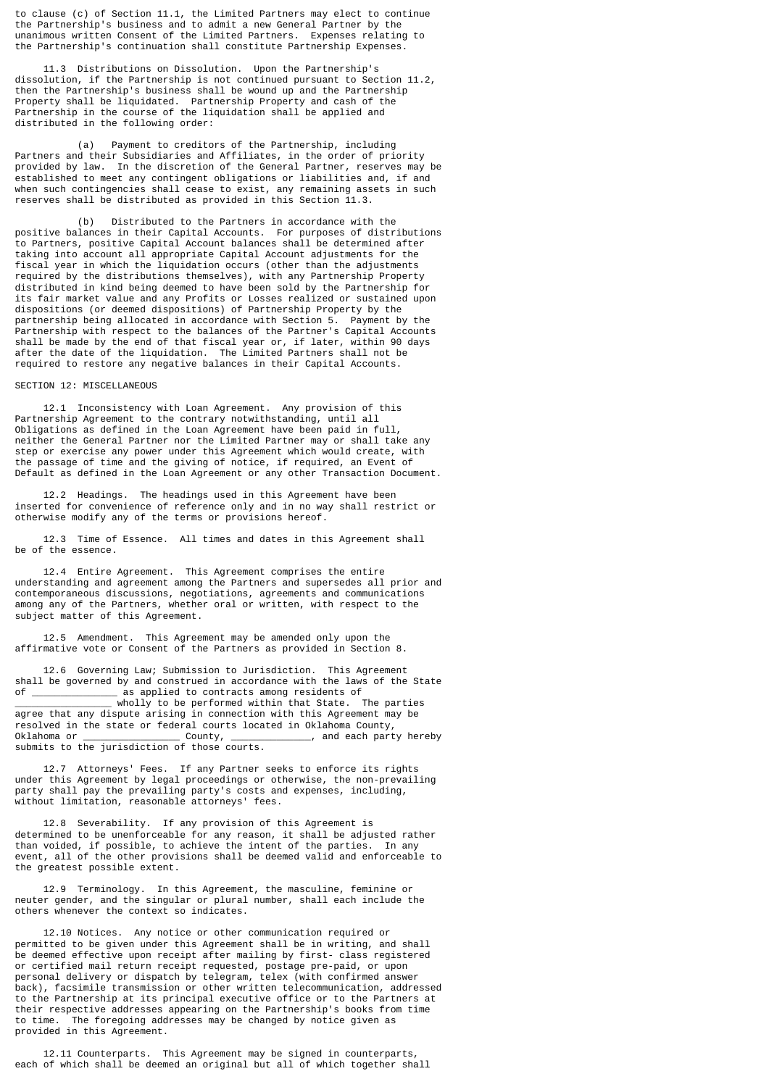to clause (c) of Section 11.1, the Limited Partners may elect to continue the Partnership's business and to admit a new General Partner by the unanimous written Consent of the Limited Partners. Expenses relating to the Partnership's continuation shall constitute Partnership Expenses.

 11.3 Distributions on Dissolution. Upon the Partnership's dissolution, if the Partnership is not continued pursuant to Section 11.2, then the Partnership's business shall be wound up and the Partnership Property shall be liquidated. Partnership Property and cash of the Partnership in the course of the liquidation shall be applied and distributed in the following order:

 (a) Payment to creditors of the Partnership, including Partners and their Subsidiaries and Affiliates, in the order of priority provided by law. In the discretion of the General Partner, reserves may be established to meet any contingent obligations or liabilities and, if and when such contingencies shall cease to exist, any remaining assets in such reserves shall be distributed as provided in this Section 11.3.

 (b) Distributed to the Partners in accordance with the positive balances in their Capital Accounts. For purposes of distributions to Partners, positive Capital Account balances shall be determined after taking into account all appropriate Capital Account adjustments for the fiscal year in which the liquidation occurs (other than the adjustments required by the distributions themselves), with any Partnership Property distributed in kind being deemed to have been sold by the Partnership for its fair market value and any Profits or Losses realized or sustained upon dispositions (or deemed dispositions) of Partnership Property by the partnership being allocated in accordance with Section 5. Payment by the Partnership with respect to the balances of the Partner's Capital Accounts shall be made by the end of that fiscal year or, if later, within 90 days after the date of the liquidation. The Limited Partners shall not be required to restore any negative balances in their Capital Accounts.

## SECTION 12: MISCELLANEOUS

 12.1 Inconsistency with Loan Agreement. Any provision of this Partnership Agreement to the contrary notwithstanding, until all Obligations as defined in the Loan Agreement have been paid in full, neither the General Partner nor the Limited Partner may or shall take any step or exercise any power under this Agreement which would create, with the passage of time and the giving of notice, if required, an Event of Default as defined in the Loan Agreement or any other Transaction Document.

 12.2 Headings. The headings used in this Agreement have been inserted for convenience of reference only and in no way shall restrict or otherwise modify any of the terms or provisions hereof.

 12.3 Time of Essence. All times and dates in this Agreement shall be of the essence.

 12.4 Entire Agreement. This Agreement comprises the entire understanding and agreement among the Partners and supersedes all prior and contemporaneous discussions, negotiations, agreements and communications among any of the Partners, whether oral or written, with respect to the subject matter of this Agreement.

 12.5 Amendment. This Agreement may be amended only upon the affirmative vote or Consent of the Partners as provided in Section 8.

 12.6 Governing Law; Submission to Jurisdiction. This Agreement shall be governed by and construed in accordance with the laws of the State of \_\_\_\_\_\_\_\_\_\_\_\_\_\_\_ as applied to contracts among residents of

\_\_\_\_\_\_\_\_\_\_\_\_\_\_\_\_\_ wholly to be performed within that State. The parties agree that any dispute arising in connection with this Agreement may be resolved in the state or federal courts located in Oklahoma County, Oklahoma or \_\_\_\_\_\_\_\_\_\_\_\_\_\_\_\_\_ County, \_\_\_\_\_\_\_\_\_\_\_\_\_\_, and each party hereby submits to the jurisdiction of those courts.

 12.7 Attorneys' Fees. If any Partner seeks to enforce its rights under this Agreement by legal proceedings or otherwise, the non-prevailing party shall pay the prevailing party's costs and expenses, including, without limitation, reasonable attorneys' fees.

 12.8 Severability. If any provision of this Agreement is determined to be unenforceable for any reason, it shall be adjusted rather than voided, if possible, to achieve the intent of the parties. In any event, all of the other provisions shall be deemed valid and enforceable to the greatest possible extent.

 12.9 Terminology. In this Agreement, the masculine, feminine or neuter gender, and the singular or plural number, shall each include the others whenever the context so indicates.

 12.10 Notices. Any notice or other communication required or permitted to be given under this Agreement shall be in writing, and shall be deemed effective upon receipt after mailing by first- class registered or certified mail return receipt requested, postage pre-paid, or upon personal delivery or dispatch by telegram, telex (with confirmed answer back), facsimile transmission or other written telecommunication, addressed to the Partnership at its principal executive office or to the Partners at their respective addresses appearing on the Partnership's books from time to time. The foregoing addresses may be changed by notice given as provided in this Agreement.

 12.11 Counterparts. This Agreement may be signed in counterparts, each of which shall be deemed an original but all of which together shall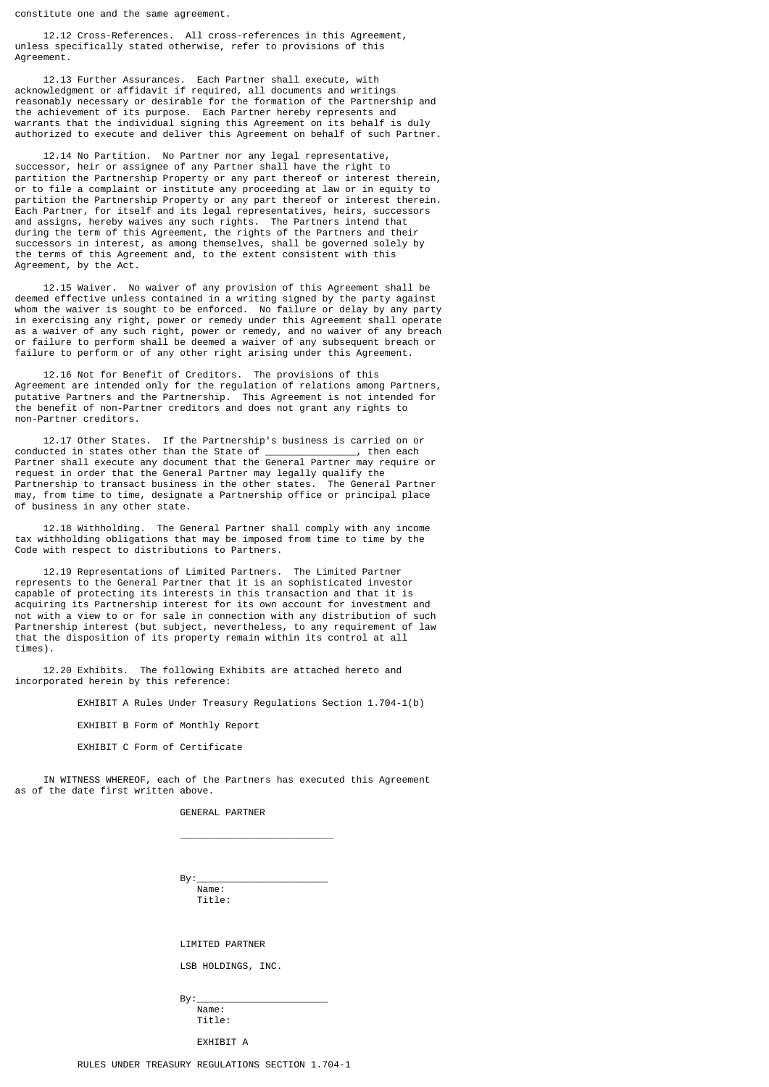constitute one and the same agreement.

 12.12 Cross-References. All cross-references in this Agreement, unless specifically stated otherwise, refer to provisions of this Agreement.

 12.13 Further Assurances. Each Partner shall execute, with acknowledgment or affidavit if required, all documents and writings reasonably necessary or desirable for the formation of the Partnership and the achievement of its purpose. Each Partner hereby represents and warrants that the individual signing this Agreement on its behalf is duly authorized to execute and deliver this Agreement on behalf of such Partner.

 12.14 No Partition. No Partner nor any legal representative, successor, heir or assignee of any Partner shall have the right to partition the Partnership Property or any part thereof or interest therein, or to file a complaint or institute any proceeding at law or in equity to partition the Partnership Property or any part thereof or interest therein. Each Partner, for itself and its legal representatives, heirs, successors and assigns, hereby waives any such rights. The Partners intend that during the term of this Agreement, the rights of the Partners and their successors in interest, as among themselves, shall be governed solely by the terms of this Agreement and, to the extent consistent with this Agreement, by the Act.

 12.15 Waiver. No waiver of any provision of this Agreement shall be deemed effective unless contained in a writing signed by the party against whom the waiver is sought to be enforced. No failure or delay by any party in exercising any right, power or remedy under this Agreement shall operate as a waiver of any such right, power or remedy, and no waiver of any breach or failure to perform shall be deemed a waiver of any subsequent breach or failure to perform or of any other right arising under this Agreement.

 12.16 Not for Benefit of Creditors. The provisions of this Agreement are intended only for the regulation of relations among Partners, putative Partners and the Partnership. This Agreement is not intended for the benefit of non-Partner creditors and does not grant any rights to non-Partner creditors.

 12.17 Other States. If the Partnership's business is carried on or conducted in states other than the State of \_\_\_\_\_\_\_\_\_\_\_\_\_\_\_\_, then each Partner shall execute any document that the General Partner may require or request in order that the General Partner may legally qualify the Partnership to transact business in the other states. The General Partner may, from time to time, designate a Partnership office or principal place of business in any other state.

 12.18 Withholding. The General Partner shall comply with any income tax withholding obligations that may be imposed from time to time by the Code with respect to distributions to Partners.

 12.19 Representations of Limited Partners. The Limited Partner represents to the General Partner that it is an sophisticated investor capable of protecting its interests in this transaction and that it is acquiring its Partnership interest for its own account for investment and not with a view to or for sale in connection with any distribution of such Partnership interest (but subject, nevertheless, to any requirement of law that the disposition of its property remain within its control at all times).

 12.20 Exhibits. The following Exhibits are attached hereto and incorporated herein by this reference:

EXHIBIT A Rules Under Treasury Regulations Section 1.704-1(b)

EXHIBIT B Form of Monthly Report

 $\overline{\phantom{a}}$  , and the contract of the contract of the contract of the contract of the contract of the contract of the contract of the contract of the contract of the contract of the contract of the contract of the contrac

EXHIBIT C Form of Certificate

 IN WITNESS WHEREOF, each of the Partners has executed this Agreement as of the date first written above.

GENERAL PARTNER

 By:\_\_\_\_\_\_\_\_\_\_\_\_\_\_\_\_\_\_\_\_\_\_\_ Name: Title:

LIMITED PARTNER

LSB HOLDINGS, INC.

 By:\_\_\_\_\_\_\_\_\_\_\_\_\_\_\_\_\_\_\_\_\_\_\_ Name: Title:

EXHTRTT A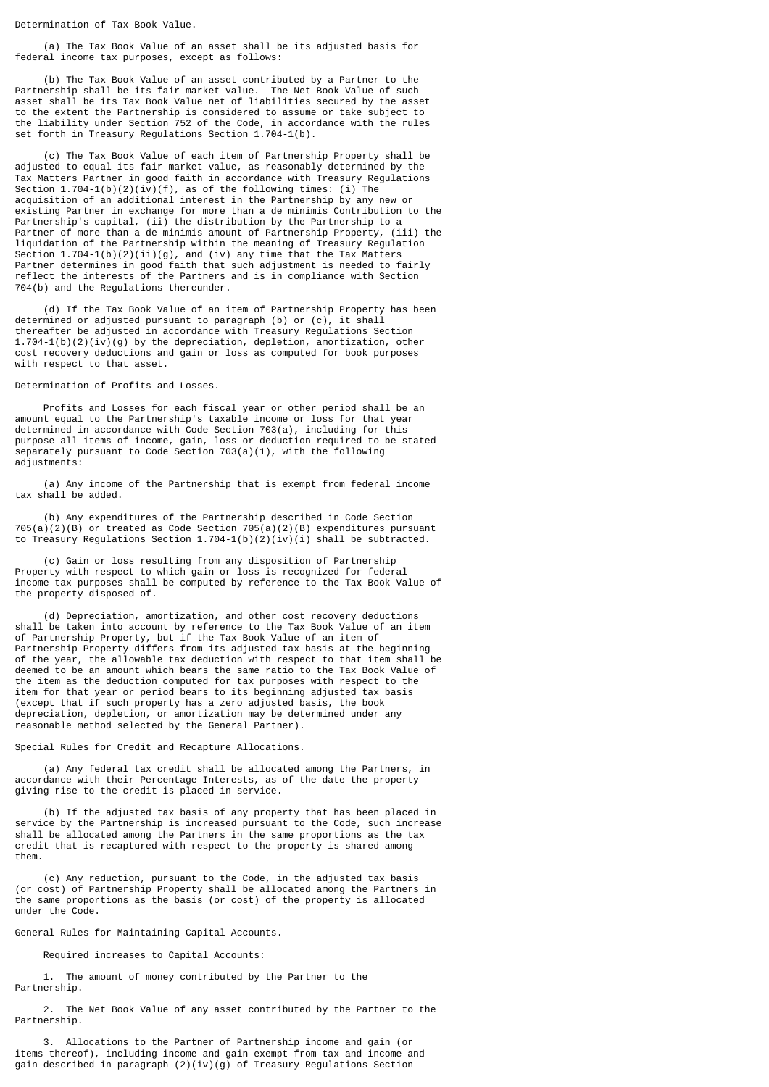Determination of Tax Book Value.

 (a) The Tax Book Value of an asset shall be its adjusted basis for federal income tax purposes, except as follows:

 (b) The Tax Book Value of an asset contributed by a Partner to the Partnership shall be its fair market value. The Net Book Value of such asset shall be its Tax Book Value net of liabilities secured by the asset to the extent the Partnership is considered to assume or take subject to the liability under Section 752 of the Code, in accordance with the rules set forth in Treasury Regulations Section 1.704-1(b).

 (c) The Tax Book Value of each item of Partnership Property shall be adjusted to equal its fair market value, as reasonably determined by the Tax Matters Partner in good faith in accordance with Treasury Regulations Section 1.704-1(b)(2)(iv)(f), as of the following times: (i) The acquisition of an additional interest in the Partnership by any new or existing Partner in exchange for more than a de minimis Contribution to the Partnership's capital, (ii) the distribution by the Partnership to a Partner of more than a de minimis amount of Partnership Property, (iii) the liquidation of the Partnership within the meaning of Treasury Regulation Section 1.704-1(b)(2)(ii)(g), and (iv) any time that the Tax Matters Partner determines in good faith that such adjustment is needed to fairly reflect the interests of the Partners and is in compliance with Section 704(b) and the Regulations thereunder.

 (d) If the Tax Book Value of an item of Partnership Property has been determined or adjusted pursuant to paragraph (b) or (c), it shall thereafter be adjusted in accordance with Treasury Regulations Section 1.704-1(b)(2)(iv)(g) by the depreciation, depletion, amortization, other cost recovery deductions and gain or loss as computed for book purposes with respect to that asset.

Determination of Profits and Losses.

 Profits and Losses for each fiscal year or other period shall be an amount equal to the Partnership's taxable income or loss for that year determined in accordance with Code Section 703(a), including for this purpose all items of income, gain, loss or deduction required to be stated separately pursuant to Code Section 703(a)(1), with the following adjustments:

 (a) Any income of the Partnership that is exempt from federal income tax shall be added.

 (b) Any expenditures of the Partnership described in Code Section  $705(a)(2)(B)$  or treated as Code Section  $705(a)(2)(B)$  expenditures pursuant to Treasury Regulations Section  $1.704-1(b)(2)(iv)(i)$  shall be subtracted.

 (c) Gain or loss resulting from any disposition of Partnership Property with respect to which gain or loss is recognized for federal income tax purposes shall be computed by reference to the Tax Book Value of the property disposed of.

 (d) Depreciation, amortization, and other cost recovery deductions shall be taken into account by reference to the Tax Book Value of an item of Partnership Property, but if the Tax Book Value of an item of Partnership Property differs from its adjusted tax basis at the beginning of the year, the allowable tax deduction with respect to that item shall be deemed to be an amount which bears the same ratio to the Tax Book Value of the item as the deduction computed for tax purposes with respect to the item for that year or period bears to its beginning adjusted tax basis (except that if such property has a zero adjusted basis, the book depreciation, depletion, or amortization may be determined under any reasonable method selected by the General Partner).

Special Rules for Credit and Recapture Allocations.

 (a) Any federal tax credit shall be allocated among the Partners, in accordance with their Percentage Interests, as of the date the property giving rise to the credit is placed in service.

 (b) If the adjusted tax basis of any property that has been placed in service by the Partnership is increased pursuant to the Code, such increase service by the ractive single accretion of the same proportions as the tax credit that is recaptured with respect to the property is shared among them.

 (c) Any reduction, pursuant to the Code, in the adjusted tax basis (or cost) of Partnership Property shall be allocated among the Partners in the same proportions as the basis (or cost) of the property is allocated under the Code.

General Rules for Maintaining Capital Accounts.

Required increases to Capital Accounts:

 1. The amount of money contributed by the Partner to the Partnership.

 2. The Net Book Value of any asset contributed by the Partner to the Partnership.

 3. Allocations to the Partner of Partnership income and gain (or items thereof), including income and gain exempt from tax and income and gain described in paragraph (2)(iv)(g) of Treasury Regulations Section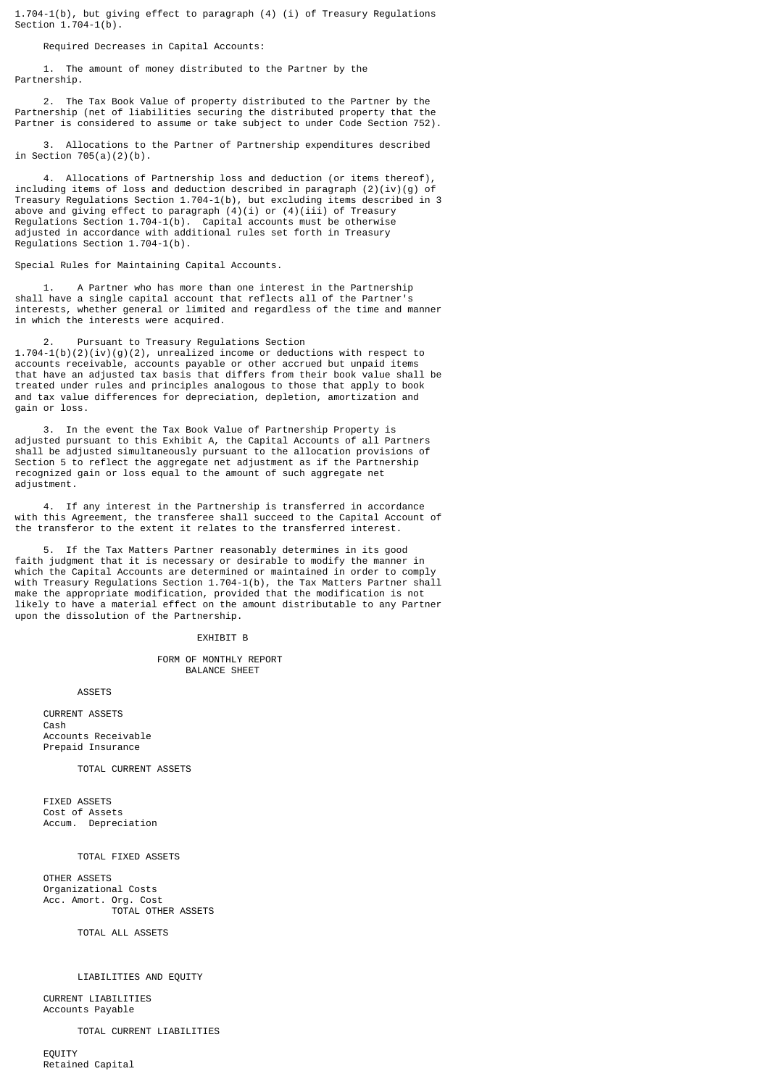1.704-1(b), but giving effect to paragraph (4) (i) of Treasury Regulations Section  $1.704 - 1(b)$ .

Required Decreases in Capital Accounts:

 1. The amount of money distributed to the Partner by the Partnership.

 2. The Tax Book Value of property distributed to the Partner by the Partnership (net of liabilities securing the distributed property that the Partner is considered to assume or take subject to under Code Section 752).

 3. Allocations to the Partner of Partnership expenditures described in Section  $705(a)(2)(b)$ .

Allocations of Partnership loss and deduction (or items thereof), including items of loss and deduction described in paragraph  $(2)(iv)(g)$  of Treasury Regulations Section 1.704-1(b), but excluding items described in 3 above and giving effect to paragraph (4)(i) or (4)(iii) of Treasury Regulations Section 1.704-1(b). Capital accounts must be otherwise adjusted in accordance with additional rules set forth in Treasury Regulations Section 1.704-1(b).

Special Rules for Maintaining Capital Accounts.

 1. A Partner who has more than one interest in the Partnership shall have a single capital account that reflects all of the Partner's interests, whether general or limited and regardless of the time and manner in which the interests were acquired.

Pursuant to Treasury Regulations Section

1.704-1(b)(2)(iv)(g)(2), unrealized income or deductions with respect to accounts receivable, accounts payable or other accrued but unpaid items that have an adjusted tax basis that differs from their book value shall be treated under rules and principles analogous to those that apply to book and tax value differences for depreciation, depletion, amortization and gain or loss.

 3. In the event the Tax Book Value of Partnership Property is adjusted pursuant to this Exhibit A, the Capital Accounts of all Partners shall be adjusted simultaneously pursuant to the allocation provisions of Section 5 to reflect the aggregate net adjustment as if the Partnership recognized gain or loss equal to the amount of such aggregate net adjustment.

 4. If any interest in the Partnership is transferred in accordance with this Agreement, the transferee shall succeed to the Capital Account of the transferor to the extent it relates to the transferred interest.

If the Tax Matters Partner reasonably determines in its good faith judgment that it is necessary or desirable to modify the manner in which the Capital Accounts are determined or maintained in order to comply with Treasury Regulations Section 1.704-1(b), the Tax Matters Partner shall make the appropriate modification, provided that the modification is not likely to have a material effect on the amount distributable to any Partner upon the dissolution of the Partnership.

#### EXHIBIT B

 FORM OF MONTHLY REPORT BALANCE SHEET

ASSETS

 CURRENT ASSETS Cash Accounts Receivable Prepaid Insurance

TOTAL CURRENT ASSETS

 FIXED ASSETS Cost of Assets Accum. Depreciation

TOTAL FIXED ASSETS

 OTHER ASSETS Organizational Costs Acc. Amort. Org. Cost TOTAL OTHER ASSETS

TOTAL ALL ASSETS

#### LIABILITIES AND EQUITY

 CURRENT LIABILITIES Accounts Payable

TOTAL CURRENT LIABILITIES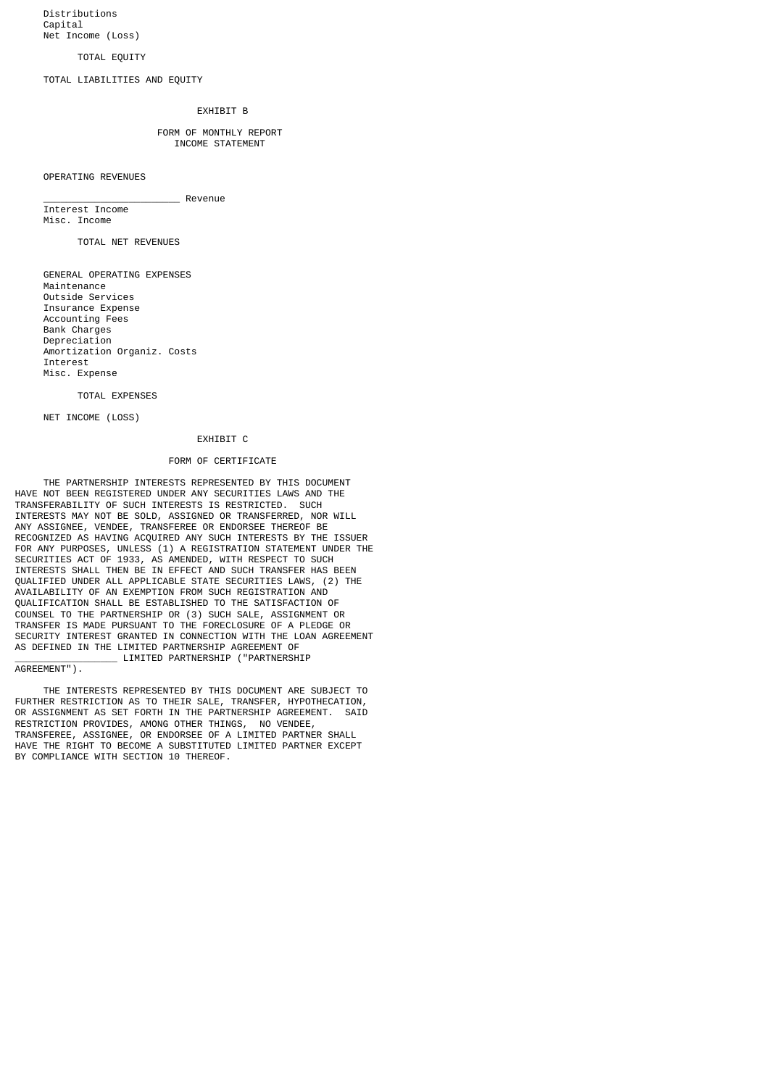Distributions Capital Net Income (Loss)

#### TOTAL EQUITY

TOTAL LIABILITIES AND EQUITY

# EXHIBIT B

#### FORM OF MONTHLY REPORT INCOME STATEMENT

OPERATING REVENUES

# \_\_\_\_\_\_\_\_\_\_\_\_\_\_\_\_\_\_\_\_\_\_\_\_ Revenue

 Interest Income Misc. Income

TOTAL NET REVENUES

 GENERAL OPERATING EXPENSES Maintenance Outside Services Insurance Expense Accounting Fees Bank Charges Depreciation Amortization Organiz. Costs Interest Misc. Expense

## TOTAL EXPENSES

NET INCOME (LOSS)

## EXHIBIT C

## FORM OF CERTIFICATE

 THE PARTNERSHIP INTERESTS REPRESENTED BY THIS DOCUMENT HAVE NOT BEEN REGISTERED UNDER ANY SECURITIES LAWS AND THE TRANSFERABILITY OF SUCH INTERESTS IS RESTRICTED. SUCH INTERESTS MAY NOT BE SOLD, ASSIGNED OR TRANSFERRED, NOR WILL ANY ASSIGNEE, VENDEE, TRANSFEREE OR ENDORSEE THEREOF BE RECOGNIZED AS HAVING ACOUIRED ANY SUCH INTERESTS BY THE ISSUER FOR ANY PURPOSES, UNLESS (1) A REGISTRATION STATEMENT UNDER THE SECURITIES ACT OF 1933, AS AMENDED, WITH RESPECT TO SUCH INTERESTS SHALL THEN BE IN EFFECT AND SUCH TRANSFER HAS BEEN QUALIFIED UNDER ALL APPLICABLE STATE SECURITIES LAWS, (2) THE AVAILABILITY OF AN EXEMPTION FROM SUCH REGISTRATION AND QUALIFICATION SHALL BE ESTABLISHED TO THE SATISFACTION OF COUNSEL TO THE PARTNERSHIP OR (3) SUCH SALE, ASSIGNMENT OR TRANSFER IS MADE PURSUANT TO THE FORECLOSURE OF A PLEDGE OR SECURITY INTEREST GRANTED IN CONNECTION WITH THE LOAN AGREEMENT AS DEFINED IN THE LIMITED PARTNERSHIP AGREEMENT OF \_\_\_\_\_\_\_\_\_\_\_\_\_\_\_\_\_\_ LIMITED PARTNERSHIP ("PARTNERSHIP

AGREEMENT").

 THE INTERESTS REPRESENTED BY THIS DOCUMENT ARE SUBJECT TO FURTHER RESTRICTION AS TO THEIR SALE, TRANSFER, HYPOTHECATION, OR ASSIGNMENT AS SET FORTH IN THE PARTNERSHIP AGREEMENT. SAID RESTRICTION PROVIDES, AMONG OTHER THINGS, NO VENDEE, TRANSFEREE, ASSIGNEE, OR ENDORSEE OF A LIMITED PARTNER SHALL HAVE THE RIGHT TO BECOME A SUBSTITUTED LIMITED PARTNER EXCEPT BY COMPLIANCE WITH SECTION 10 THEREOF.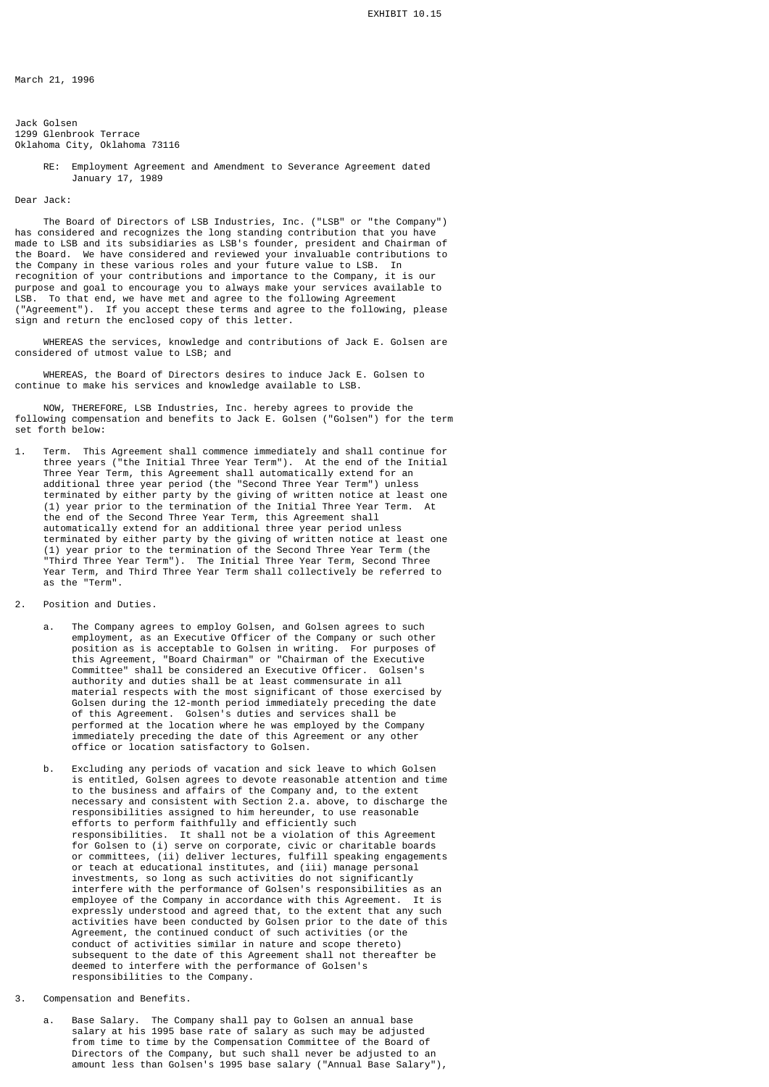March 21, 1996

Jack Golsen 1299 Glenbrook Terrace Oklahoma City, Oklahoma 73116

> RE: Employment Agreement and Amendment to Severance Agreement dated January 17, 1989

## Dear Jack:

 The Board of Directors of LSB Industries, Inc. ("LSB" or "the Company") has considered and recognizes the long standing contribution that you have made to LSB and its subsidiaries as LSB's founder, president and Chairman of the Board. We have considered and reviewed your invaluable contributions to the Company in these various roles and your future value to LSB. In recognition of your contributions and importance to the Company, it is our purpose and goal to encourage you to always make your services available to LSB. To that end, we have met and agree to the following Agreement ("Agreement"). If you accept these terms and agree to the following, please sign and return the enclosed copy of this letter.

 WHEREAS the services, knowledge and contributions of Jack E. Golsen are considered of utmost value to LSB; and

 WHEREAS, the Board of Directors desires to induce Jack E. Golsen to continue to make his services and knowledge available to LSB.

 NOW, THEREFORE, LSB Industries, Inc. hereby agrees to provide the following compensation and benefits to Jack E. Golsen ("Golsen") for the term set forth below:

- 1. Term. This Agreement shall commence immediately and shall continue for three years ("the Initial Three Year Term"). At the end of the Initial Three Year Term, this Agreement shall automatically extend for an additional three year period (the "Second Three Year Term") unless terminated by either party by the giving of written notice at least one (1) year prior to the termination of the Initial Three Year Term. At the end of the Second Three Year Term, this Agreement shall automatically extend for an additional three year period unless terminated by either party by the giving of written notice at least one (1) year prior to the termination of the Second Three Year Term (the "Third Three Year Term"). The Initial Three Year Term, Second Three Year Term, and Third Three Year Term shall collectively be referred to as the "Term".
- 2. Position and Duties.
- a. The Company agrees to employ Golsen, and Golsen agrees to such employment, as an Executive Officer of the Company or such other position as is acceptable to Golsen in writing. For purposes of this Agreement, "Board Chairman" or "Chairman of the Executive Committee" shall be considered an Executive Officer. Golsen's authority and duties shall be at least commensurate in all material respects with the most significant of those exercised by Golsen during the 12-month period immediately preceding the date of this Agreement. Golsen's duties and services shall be performed at the location where he was employed by the Company immediately preceding the date of this Agreement or any other office or location satisfactory to Golsen.
- b. Excluding any periods of vacation and sick leave to which Golsen is entitled, Golsen agrees to devote reasonable attention and time to the business and affairs of the Company and, to the extent necessary and consistent with Section 2.a. above, to discharge the responsibilities assigned to him hereunder, to use reasonable efforts to perform faithfully and efficiently such responsibilities. It shall not be a violation of this Agreement for Golsen to (i) serve on corporate, civic or charitable boards or committees, (ii) deliver lectures, fulfill speaking engagements or teach at educational institutes, and (iii) manage personal investments, so long as such activities do not significantly interfere with the performance of Golsen's responsibilities as an employee of the Company in accordance with this Agreement. It is expressly understood and agreed that, to the extent that any such activities have been conducted by Golsen prior to the date of this Agreement, the continued conduct of such activities (or the conduct of activities similar in nature and scope thereto) subsequent to the date of this Agreement shall not thereafter be deemed to interfere with the performance of Golsen's responsibilities to the Company.
- 3. Compensation and Benefits.
- a. Base Salary. The Company shall pay to Golsen an annual base salary at his 1995 base rate of salary as such may be adjusted from time to time by the Compensation Committee of the Board of Directors of the Company, but such shall never be adjusted to an amount less than Golsen's 1995 base salary ("Annual Base Salary"),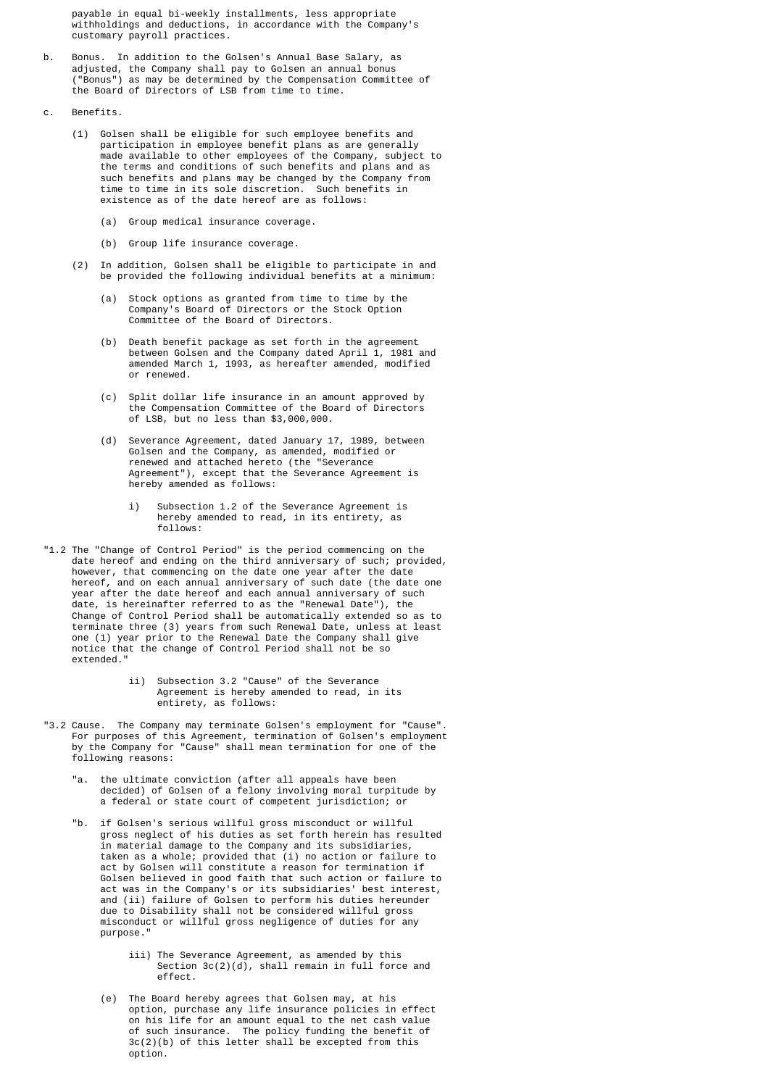payable in equal bi-weekly installments, less appropriate withholdings and deductions, in accordance with the Company's customary payroll practices.

- b. Bonus. In addition to the Golsen's Annual Base Salary, as adjusted, the Company shall pay to Golsen an annual bonus ("Bonus") as may be determined by the Compensation Committee of the Board of Directors of LSB from time to time.
	- c. Benefits.
		- (1) Golsen shall be eligible for such employee benefits and participation in employee benefit plans as are generally made available to other employees of the Company, subject to the terms and conditions of such benefits and plans and as such benefits and plans may be changed by the Company from time to time in its sole discretion. Such benefits in existence as of the date hereof are as follows:
			- (a) Group medical insurance coverage.
			- (b) Group life insurance coverage.
		- (2) In addition, Golsen shall be eligible to participate in and be provided the following individual benefits at a minimum:
- (a) Stock options as granted from time to time by the Company's Board of Directors or the Stock Option Committee of the Board of Directors.
- (b) Death benefit package as set forth in the agreement between Golsen and the Company dated April 1, 1981 and amended March 1, 1993, as hereafter amended, modified or renewed.
	- (c) Split dollar life insurance in an amount approved by the Compensation Committee of the Board of Directors of LSB, but no less than \$3,000,000.
- (d) Severance Agreement, dated January 17, 1989, between Golsen and the Company, as amended, modified or renewed and attached hereto (the "Severance Agreement"), except that the Severance Agreement is hereby amended as follows:
	- i) Subsection 1.2 of the Severance Agreement is hereby amended to read, in its entirety, as follows:
	- "1.2 The "Change of Control Period" is the period commencing on the date hereof and ending on the third anniversary of such; provided, however, that commencing on the date one year after the date hereof, and on each annual anniversary of such date (the date one year after the date hereof and each annual anniversary of such date, is hereinafter referred to as the "Renewal Date"), the Change of Control Period shall be automatically extended so as to terminate three (3) years from such Renewal Date, unless at least one (1) year prior to the Renewal Date the Company shall give notice that the change of Control Period shall not be so extended."
		- ii) Subsection 3.2 "Cause" of the Severance Agreement is hereby amended to read, in its entirety, as follows:
- "3.2 Cause. The Company may terminate Golsen's employment for "Cause". For purposes of this Agreement, termination of Golsen's employment by the Company for "Cause" shall mean termination for one of the following reasons:
	- the ultimate conviction (after all appeals have been decided) of Golsen of a felony involving moral turpitude by a federal or state court of competent jurisdiction; or
- "b. if Golsen's serious willful gross misconduct or willful gross neglect of his duties as set forth herein has resulted in material damage to the Company and its subsidiaries, taken as a whole; provided that (i) no action or failure to act by Golsen will constitute a reason for termination if Golsen believed in good faith that such action or failure to act was in the Company's or its subsidiaries' best interest, and (ii) failure of Golsen to perform his duties hereunder<br>due to Disability shall not be considered willful gross due to Disability shall not be considered willful gross misconduct or willful gross negligence of duties for any purpose."
- iii) The Severance Agreement, as amended by this Section 3c(2)(d), shall remain in full force and effect.
- (e) The Board hereby agrees that Golsen may, at his option, purchase any life insurance policies in effect on his life for an amount equal to the net cash value of such insurance. The policy funding the benefit of 3c(2)(b) of this letter shall be excepted from this option.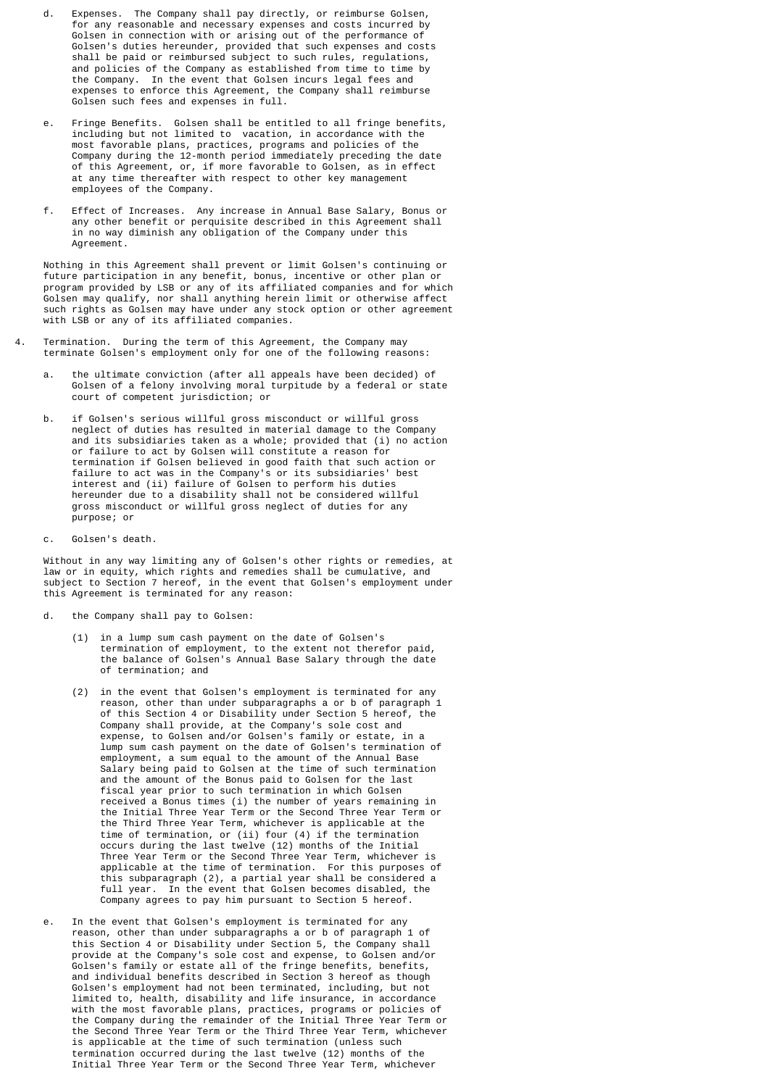- d. Expenses. The Company shall pay directly, or reimburse Golsen, for any reasonable and necessary expenses and costs incurred by Golsen in connection with or arising out of the performance of Golsen's duties hereunder, provided that such expenses and costs shall be paid or reimbursed subject to such rules, regulations, and policies of the Company as established from time to time by the Company. In the event that Golsen incurs legal fees and expenses to enforce this Agreement, the Company shall reimburse Golsen such fees and expenses in full.
- e. Fringe Benefits. Golsen shall be entitled to all fringe benefits, including but not limited to vacation, in accordance with the most favorable plans, practices, programs and policies of the Company during the 12-month period immediately preceding the date of this Agreement, or, if more favorable to Golsen, as in effect at any time thereafter with respect to other key management employees of the Company.
- f. Effect of Increases. Any increase in Annual Base Salary, Bonus or any other benefit or perquisite described in this Agreement shall in no way diminish any obligation of the Company under this Agreement.

 Nothing in this Agreement shall prevent or limit Golsen's continuing or future participation in any benefit, bonus, incentive or other plan or program provided by LSB or any of its affiliated companies and for which Golsen may qualify, nor shall anything herein limit or otherwise affect such rights as Golsen may have under any stock option or other agreement with LSB or any of its affiliated companies.

- 4. Termination. During the term of this Agreement, the Company may terminate Golsen's employment only for one of the following reasons:
- a. the ultimate conviction (after all appeals have been decided) of Golsen of a felony involving moral turpitude by a federal or state court of competent jurisdiction; or
	- b. if Golsen's serious willful gross misconduct or willful gross neglect of duties has resulted in material damage to the Company and its subsidiaries taken as a whole; provided that (i) no action or failure to act by Golsen will constitute a reason for termination if Golsen believed in good faith that such action or failure to act was in the Company's or its subsidiaries' best interest and (ii) failure of Golsen to perform his duties hereunder due to a disability shall not be considered willful gross misconduct or willful gross neglect of duties for any purpose; or
	- c. Golsen's death.

 Without in any way limiting any of Golsen's other rights or remedies, at law or in equity, which rights and remedies shall be cumulative, and subject to Section 7 hereof, in the event that Golsen's employment under this Agreement is terminated for any reason:

- d. the Company shall pay to Golsen:
	- (1) in a lump sum cash payment on the date of Golsen's termination of employment, to the extent not therefor paid, the balance of Golsen's Annual Base Salary through the date of termination; and
- (2) in the event that Golsen's employment is terminated for any reason, other than under subparagraphs a or b of paragraph 1 of this Section 4 or Disability under Section 5 hereof, the Company shall provide, at the Company's sole cost and expense, to Golsen and/or Golsen's family or estate, in a lump sum cash payment on the date of Golsen's termination of employment, a sum equal to the amount of the Annual Base Salary being paid to Golsen at the time of such termination and the amount of the Bonus paid to Golsen for the last fiscal year prior to such termination in which Golsen received a Bonus times (i) the number of years remaining in the Initial Three Year Term or the Second Three Year Term or the Third Three Year Term, whichever is applicable at the time of termination, or (ii) four (4) if the termination occurs during the last twelve (12) months of the Initial Three Year Term or the Second Three Year Term, whichever is applicable at the time of termination. For this purposes of this subparagraph (2), a partial year shall be considered a full year. In the event that Golsen becomes disabled, the Company agrees to pay him pursuant to Section 5 hereof.
- e. In the event that Golsen's employment is terminated for any reason, other than under subparagraphs a or b of paragraph 1 of this Section 4 or Disability under Section 5, the Company shall provide at the Company's sole cost and expense, to Golsen and/or Golsen's family or estate all of the fringe benefits, benefits, and individual benefits described in Section 3 hereof as though Golsen's employment had not been terminated, including, but not limited to, health, disability and life insurance, in accordance with the most favorable plans, practices, programs or policies of the Company during the remainder of the Initial Three Year Term or the Second Three Year Term or the Third Three Year Term, whichever is applicable at the time of such termination (unless such termination occurred during the last twelve (12) months of the Initial Three Year Term or the Second Three Year Term, whichever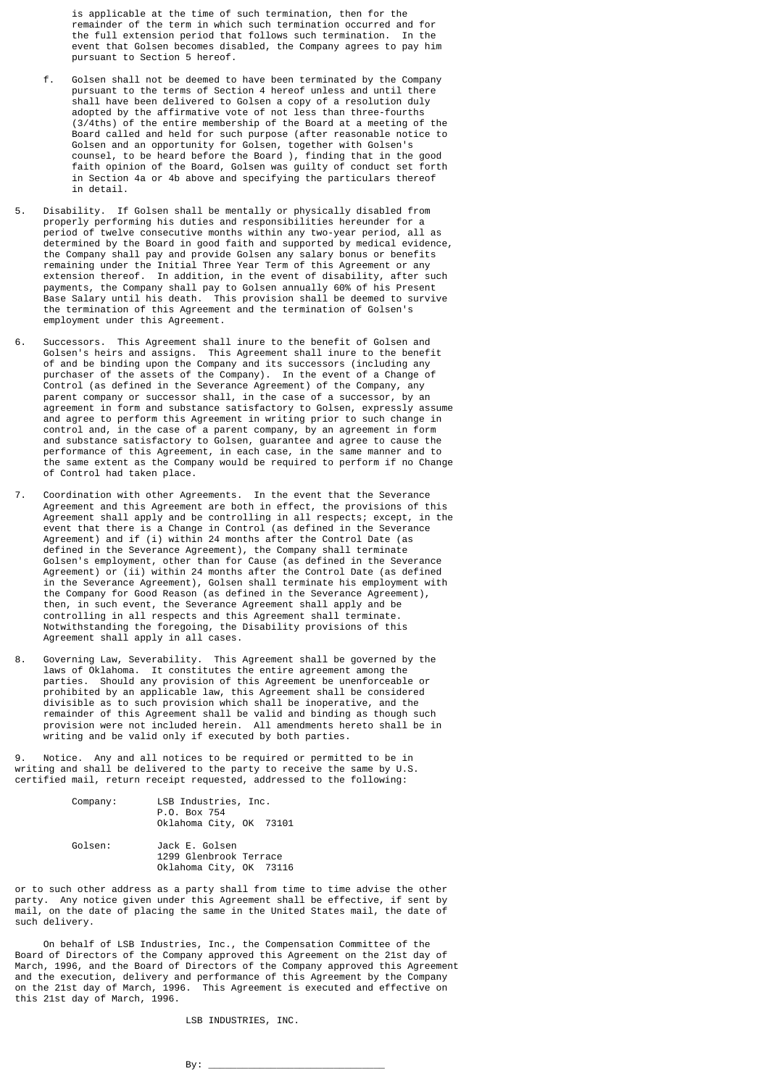is applicable at the time of such termination, then for the remainder of the term in which such termination occurred and for the full extension period that follows such termination. In the event that Golsen becomes disabled, the Company agrees to pay him pursuant to Section 5 hereof.

- f. Golsen shall not be deemed to have been terminated by the Company pursuant to the terms of Section 4 hereof unless and until there shall have been delivered to Golsen a copy of a resolution duly adopted by the affirmative vote of not less than three-fourths (3/4ths) of the entire membership of the Board at a meeting of the Board called and held for such purpose (after reasonable notice to Golsen and an opportunity for Golsen, together with Golsen's counsel, to be heard before the Board ), finding that in the good faith opinion of the Board, Golsen was guilty of conduct set forth in Section 4a or 4b above and specifying the particulars thereof in detail.
- 5. Disability. If Golsen shall be mentally or physically disabled from properly performing his duties and responsibilities hereunder for a period of twelve consecutive months within any two-year period, all as determined by the Board in good faith and supported by medical evidence, the Company shall pay and provide Golsen any salary bonus or benefits remaining under the Initial Three Year Term of this Agreement or any extension thereof. In addition, in the event of disability, after such payments, the Company shall pay to Golsen annually 60% of his Present Base Salary until his death. This provision shall be deemed to survive the termination of this Agreement and the termination of Golsen's employment under this Agreement.
- 6. Successors. This Agreement shall inure to the benefit of Golsen and Golsen's heirs and assigns. This Agreement shall inure to the benefit of and be binding upon the Company and its successors (including any purchaser of the assets of the Company). In the event of a Change of Control (as defined in the Severance Agreement) of the Company, any parent company or successor shall, in the case of a successor, by an agreement in form and substance satisfactory to Golsen, expressly assume and agree to perform this Agreement in writing prior to such change in control and, in the case of a parent company, by an agreement in form and substance satisfactory to Golsen, guarantee and agree to cause the performance of this Agreement, in each case, in the same manner and to the same extent as the Company would be required to perform if no Change of Control had taken place.
- 7. Coordination with other Agreements. In the event that the Severance Agreement and this Agreement are both in effect, the provisions of this Agreement shall apply and be controlling in all respects; except, in the event that there is a Change in Control (as defined in the Severance Agreement) and if (i) within 24 months after the Control Date (as defined in the Severance Agreement), the Company shall terminate Golsen's employment, other than for Cause (as defined in the Severance Agreement) or (ii) within 24 months after the Control Date (as defined in the Severance Agreement), Golsen shall terminate his employment with the Company for Good Reason (as defined in the Severance Agreement), then, in such event, the Severance Agreement shall apply and be controlling in all respects and this Agreement shall terminate. Notwithstanding the foregoing, the Disability provisions of this Agreement shall apply in all cases.
- 8. Governing Law, Severability. This Agreement shall be governed by the laws of Oklahoma. It constitutes the entire agreement among the parties. Should any provision of this Agreement be unenforceable or prohibited by an applicable law, this Agreement shall be considered divisible as to such provision which shall be inoperative, and the remainder of this Agreement shall be valid and binding as though such provision were not included herein. All amendments hereto shall be in writing and be valid only if executed by both parties.

Notice. Any and all notices to be required or permitted to be in writing and shall be delivered to the party to receive the same by U.S. certified mail, return receipt requested, addressed to the following:

| Company: | LSB Industries, Inc.<br>P.O. Box 754<br>Oklahoma City, OK 73101     |
|----------|---------------------------------------------------------------------|
| Golsen:  | Jack E. Golsen<br>1299 Glenbrook Terrace<br>Oklahoma City, OK 73116 |

or to such other address as a party shall from time to time advise the other party. Any notice given under this Agreement shall be effective, if sent by mail, on the date of placing the same in the United States mail, the date of such delivery.

 On behalf of LSB Industries, Inc., the Compensation Committee of the Board of Directors of the Company approved this Agreement on the 21st day of March, 1996, and the Board of Directors of the Company approved this Agreement and the execution, delivery and performance of this Agreement by the Company on the 21st day of March, 1996. This Agreement is executed and effective on this 21st day of March, 1996.

LSB INDUSTRIES, INC.

 $\mathsf{By:}$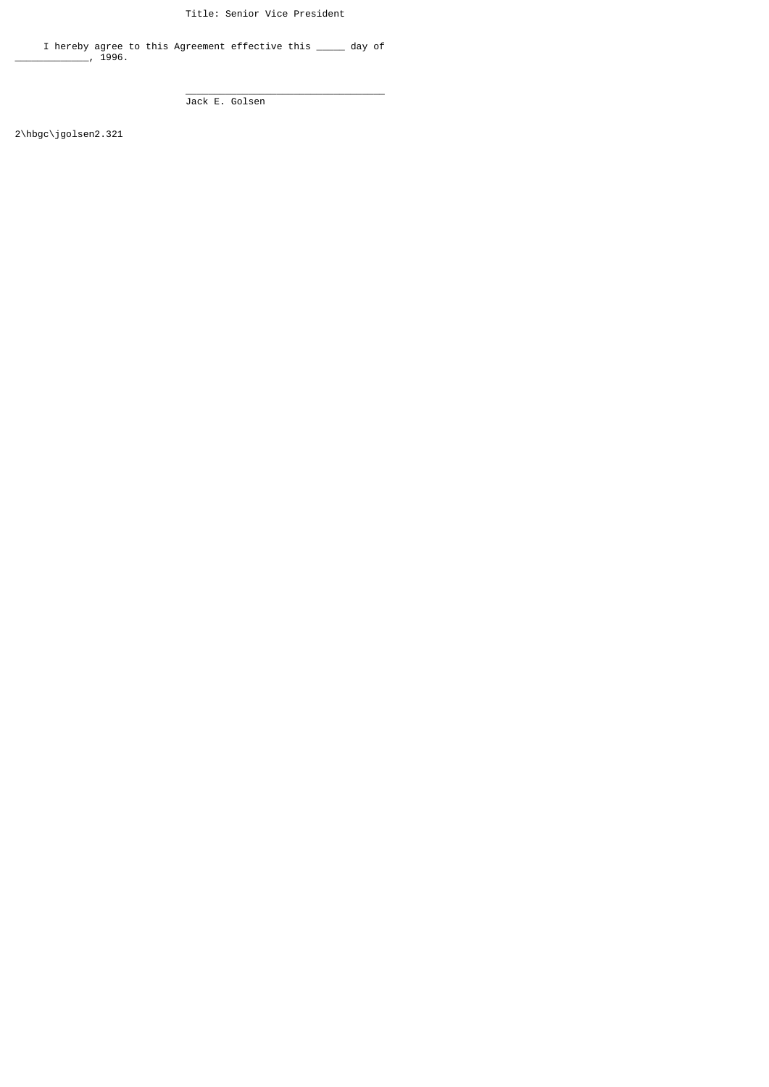Title: Senior Vice President

 I hereby agree to this Agreement effective this \_\_\_\_\_ day of \_\_\_\_\_\_\_\_\_\_\_\_\_, 1996.

 $\frac{1}{\sqrt{2}}$  ,  $\frac{1}{\sqrt{2}}$  ,  $\frac{1}{\sqrt{2}}$  ,  $\frac{1}{\sqrt{2}}$  ,  $\frac{1}{\sqrt{2}}$  ,  $\frac{1}{\sqrt{2}}$  ,  $\frac{1}{\sqrt{2}}$  ,  $\frac{1}{\sqrt{2}}$  ,  $\frac{1}{\sqrt{2}}$  ,  $\frac{1}{\sqrt{2}}$  ,  $\frac{1}{\sqrt{2}}$  ,  $\frac{1}{\sqrt{2}}$  ,  $\frac{1}{\sqrt{2}}$  ,  $\frac{1}{\sqrt{2}}$  ,  $\frac{1}{\sqrt{2}}$ Jack E. Golsen

2\hbgc\jgolsen2.321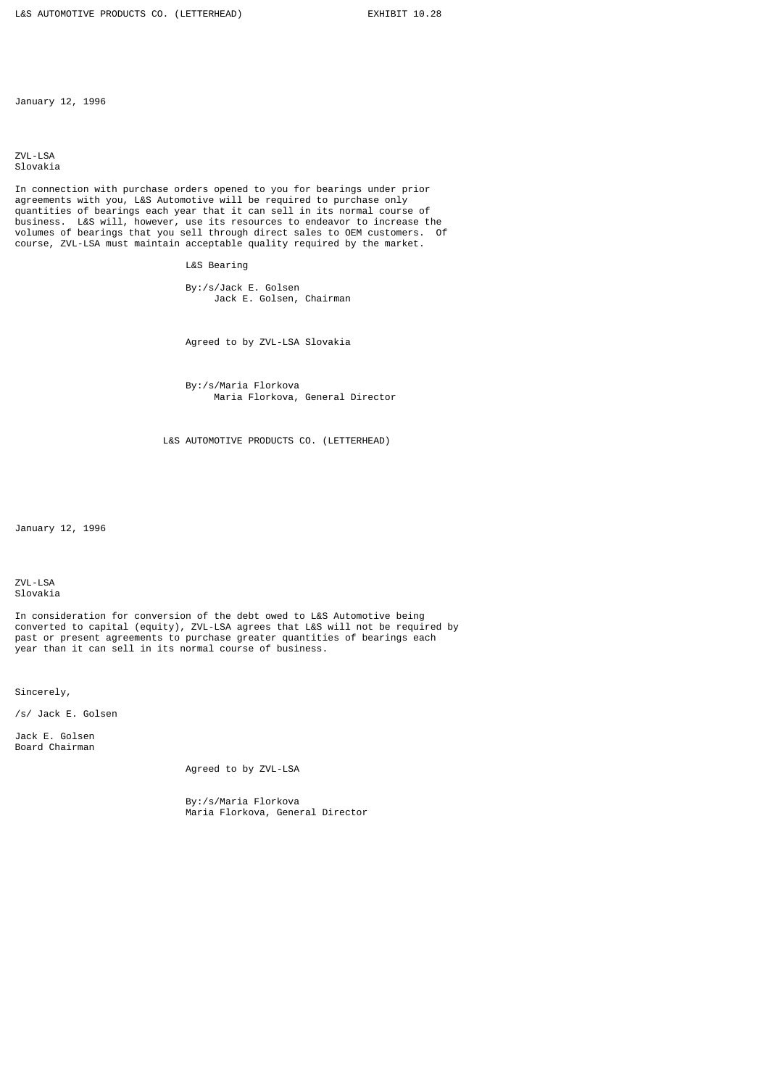January 12, 1996

ZVL-LSA Slovakia

In connection with purchase orders opened to you for bearings under prior agreements with you, L&S Automotive will be required to purchase only quantities of bearings each year that it can sell in its normal course of business. L&S will, however, use its resources to endeavor to increase the volumes of bearings that you sell through direct sales to OEM customers. Of course, ZVL-LSA must maintain acceptable quality required by the market.

L&S Bearing

 By:/s/Jack E. Golsen Jack E. Golsen, Chairman

Agreed to by ZVL-LSA Slovakia

 By:/s/Maria Florkova Maria Florkova, General Director

L&S AUTOMOTIVE PRODUCTS CO. (LETTERHEAD)

January 12, 1996

ZVL-LSA Slovakia

In consideration for conversion of the debt owed to L&S Automotive being converted to capital (equity), ZVL-LSA agrees that L&S will not be required by past or present agreements to purchase greater quantities of bearings each year than it can sell in its normal course of business.

Sincerely,

/s/ Jack E. Golsen

Jack E. Golsen Board Chairman

Agreed to by ZVL-LSA

 By:/s/Maria Florkova Maria Florkova, General Director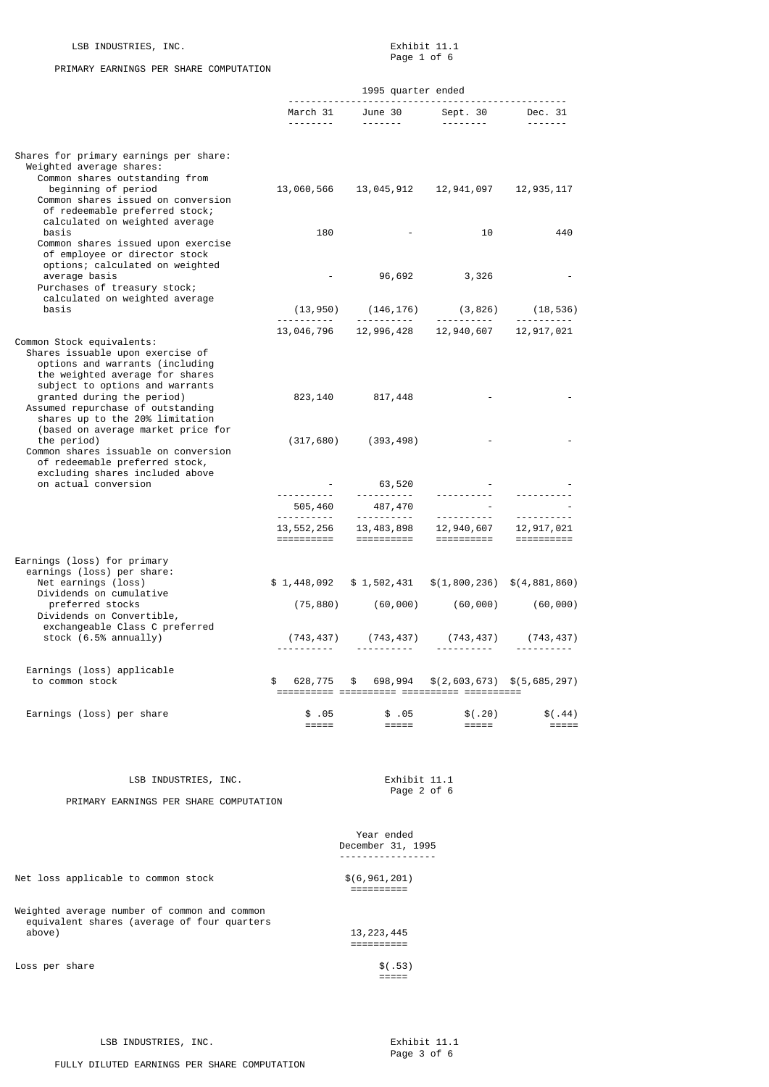## LSB INDUSTRIES, INC. Some services and the services of the services of the services of the services of the services of the services of the services of the services of the services of the services of the services of the ser

# PRIMARY EARNINGS PER SHARE COMPUTATION

Page 1 of 6

|                                                                                                                                                                                                                                       | 1995 quarter ended              |                                                                                                                   |                                            |                                |
|---------------------------------------------------------------------------------------------------------------------------------------------------------------------------------------------------------------------------------------|---------------------------------|-------------------------------------------------------------------------------------------------------------------|--------------------------------------------|--------------------------------|
|                                                                                                                                                                                                                                       |                                 | March 31 June 30 Sept. 30 Dec. 31<br>------- ------- --------- --------                                           |                                            |                                |
| Shares for primary earnings per share:<br>Weighted average shares:<br>Common shares outstanding from<br>beginning of period<br>Common shares issued on conversion<br>of redeemable preferred stock;<br>calculated on weighted average | 13,060,566                      |                                                                                                                   | 13,045,912    12,941,097                   | 12,935,117                     |
| basis<br>Common shares issued upon exercise<br>of employee or director stock<br>options; calculated on weighted                                                                                                                       | 180                             |                                                                                                                   | 10                                         | 440                            |
| average basis<br>Purchases of treasury stock;<br>calculated on weighted average                                                                                                                                                       | $\sim 100$                      |                                                                                                                   | 96,692 3,326                               |                                |
| basis                                                                                                                                                                                                                                 |                                 |                                                                                                                   |                                            |                                |
| Common Stock equivalents:<br>Shares issuable upon exercise of<br>options and warrants (including                                                                                                                                      |                                 | 13, 046, 796   12, 996, 428   12, 940, 607   12, 917, 021                                                         |                                            |                                |
| the weighted average for shares<br>subject to options and warrants<br>granted during the period)<br>Assumed repurchase of outstanding<br>shares up to the 20% limitation                                                              |                                 | 823, 140 817, 448                                                                                                 |                                            |                                |
| (based on average market price for<br>the period)<br>Common shares issuable on conversion<br>of redeemable preferred stock,<br>excluding shares included above                                                                        |                                 | $(317, 680)$ $(393, 498)$                                                                                         |                                            |                                |
| on actual conversion                                                                                                                                                                                                                  |                                 |                                                                                                                   | 63,520                                     |                                |
|                                                                                                                                                                                                                                       | <u> - - - - - - - - - - - -</u> |                                                                                                                   |                                            |                                |
|                                                                                                                                                                                                                                       |                                 | $13,552,256$ $13,483,898$<br>$12,940,607$<br>$12,917,021$<br>$12,235$<br>$12,248$<br>$12,240,607$<br>$12,251,021$ |                                            |                                |
| Earnings (loss) for primary<br>earnings (loss) per share:                                                                                                                                                                             |                                 |                                                                                                                   |                                            |                                |
| Net earnings (loss)<br>Dividends on cumulative                                                                                                                                                                                        | \$1,448,092                     |                                                                                                                   | $$1,502,431$ $$(1,800,236)$ $$(4,881,860)$ |                                |
| preferred stocks<br>Dividends on Convertible,<br>exchangeable Class C preferred                                                                                                                                                       |                                 | $(75,880)$ $(60,000)$ $(60,000)$                                                                                  |                                            | (60, 000)                      |
| stock $(6.5%$ annually)                                                                                                                                                                                                               |                                 | $(743, 437)$ $(743, 437)$ $(743, 437)$ $(743, 437)$                                                               | . <sub>.</sub>                             |                                |
| Earnings (loss) applicable<br>to common stock                                                                                                                                                                                         |                                 | $628, 775$ \$ 698,994 \$(2,603,673) \$(5,685,297)                                                                 |                                            |                                |
| Earnings (loss) per share                                                                                                                                                                                                             | \$.05<br>$=$ $=$ $=$ $=$        | \$ .05<br>=====                                                                                                   | \$(.20)<br><b>EEEEE</b>                    | \$(.44)<br>$=$ $=$ $=$ $=$ $=$ |

LSB INDUSTRIES, INC.

Exhibit 11.1<br>Page 2 of 6

PRIMARY EARNINGS PER SHARE COMPUTATION

==========

=====

| Year ended        |  |
|-------------------|--|
| December 31, 1995 |  |
| ----------------- |  |

==========

Net loss applicable to common stock  $\$(6,961,201)$ 

Weighted average number of common and common equivalent shares (average of four quarters above) 13,223,445

 $Loss per share$   $$(.53)$ 

LSB INDUSTRIES, INC. Exhibit 11.1

Page 3 of 6

FULLY DILUTED EARNINGS PER SHARE COMPUTATION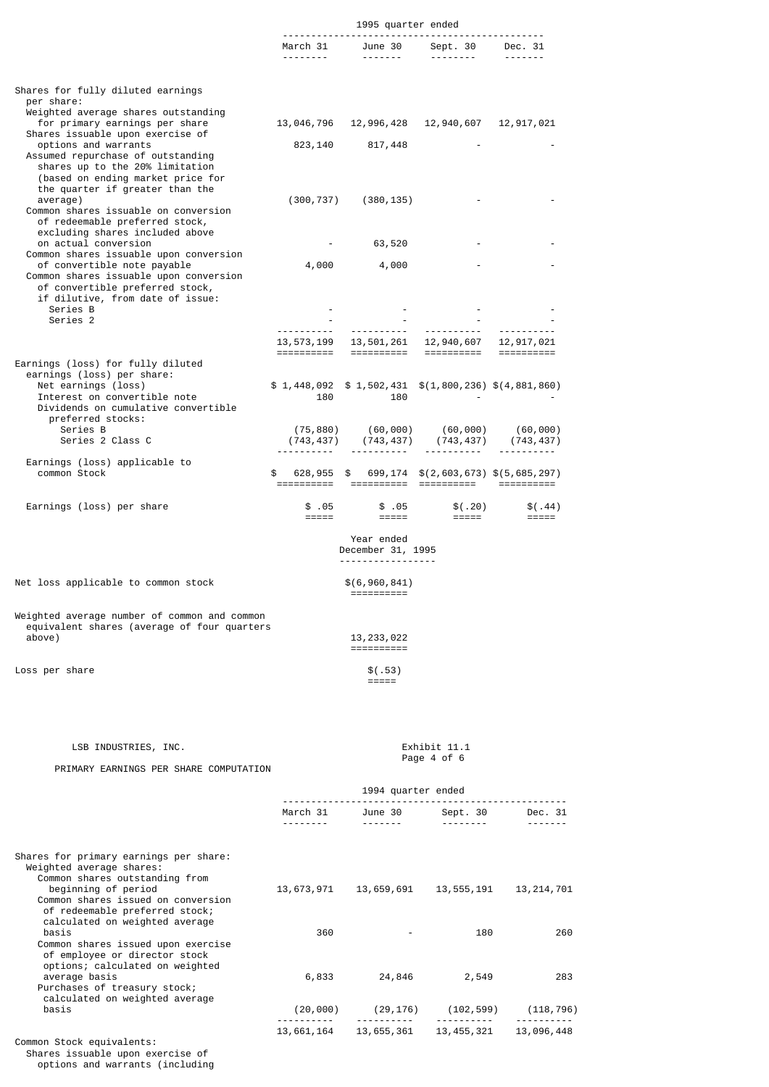|                                                                                                                                                                                        | 1995 quarter ended       |                                 |                                                                          |                                |
|----------------------------------------------------------------------------------------------------------------------------------------------------------------------------------------|--------------------------|---------------------------------|--------------------------------------------------------------------------|--------------------------------|
|                                                                                                                                                                                        |                          | .                               | March 31 June 30 Sept. 30 Dec. 31<br><b><i><u><u></u></u></i></b>        | $- - - - - - -$                |
| Shares for fully diluted earnings<br>per share:                                                                                                                                        |                          |                                 |                                                                          |                                |
| Weighted average shares outstanding<br>for primary earnings per share<br>Shares issuable upon exercise of                                                                              | 13,046,796               | 12,996,428                      | 12,940,607                                                               | 12,917,021                     |
| options and warrants<br>Assumed repurchase of outstanding<br>shares up to the 20% limitation<br>(based on ending market price for<br>the quarter if greater than the                   |                          | 823, 140 817, 448               |                                                                          |                                |
| average)<br>Common shares issuable on conversion<br>of redeemable preferred stock,<br>excluding shares included above                                                                  |                          | $(300, 737)$ $(380, 135)$       |                                                                          |                                |
| on actual conversion                                                                                                                                                                   | <b>Contract Contract</b> | 63,520                          |                                                                          |                                |
| Common shares issuable upon conversion<br>of convertible note payable<br>Common shares issuable upon conversion<br>of convertible preferred stock,<br>if dilutive, from date of issue: | 4,000                    | 4,000                           |                                                                          |                                |
| Series B                                                                                                                                                                               |                          |                                 |                                                                          |                                |
| Series <sub>2</sub>                                                                                                                                                                    |                          |                                 |                                                                          |                                |
|                                                                                                                                                                                        | 13,573,199<br>========== | ==========                      | 13,501,261 12,940,607<br>==========                                      | 12,917,021                     |
| Earnings (loss) for fully diluted<br>earnings (loss) per share:<br>Net earnings (loss)<br>Interest on convertible note<br>Dividends on cumulative convertible<br>preferred stocks:     | 180                      | 180                             | $$1,448,092$ $$1,502,431$ $$(1,800,236)$ $$(4,881,860)$                  |                                |
| Series B<br>Series 2 Class C                                                                                                                                                           | (743, 437)               |                                 | $(75,880)$ $(60,000)$ $(60,000)$ $(60,000)$<br>$(743, 437)$ $(743, 437)$ | (743, 437)                     |
| Earnings (loss) applicable to<br>common Stock                                                                                                                                          |                          |                                 | 628,955 \$ 699,174 \$(2,603,673) \$(5,685,297)                           |                                |
| Earnings (loss) per share                                                                                                                                                              | \$.05                    | \$.05                           | \$(.20)<br><b>EBBER 1980</b>                                             | \$(.44)<br>$=$ $=$ $=$ $=$ $=$ |
|                                                                                                                                                                                        |                          | Year ended<br>December 31, 1995 |                                                                          |                                |

-----------------

. . .<br>==========

13,233,022 ==========

Net loss applicable to common stock  $\$(6,960,841)$ 

Weighted average number of common and common equivalent shares (average of four quarters

Loss per share  $\frac{1}{2}$   $\frac{1}{2}$   $\frac{1}{2}$   $\frac{1}{2}$   $\frac{1}{2}$   $\frac{1}{2}$   $\frac{1}{2}$   $\frac{1}{2}$   $\frac{1}{2}$   $\frac{1}{2}$   $\frac{1}{2}$   $\frac{1}{2}$   $\frac{1}{2}$   $\frac{1}{2}$   $\frac{1}{2}$   $\frac{1}{2}$   $\frac{1}{2}$   $\frac{1}{2}$   $\frac{1}{2}$   $\frac{1}{2}$   $\frac{1}{$ 

PRIMARY EARNINGS PER SHARE COMPUTATION

=====

## 1994 quarter ended -------------------------------------------------- March 31 June 30 Sept. 30 Dec. 31 -------- ------- -------- ------- Shares for primary earnings per share: Weighted average shares: Common shares outstanding from beginning of period 13,673,971 13,659,691 13,555,191 13,214,701 Common shares issued on conversion of redeemable preferred stock; calculated on weighted average basis 360 - 180 260 Common shares issued upon exercise of employee or director stock options; calculated on weighted average basis 6,833 24,846 2,549 283 Purchases of treasury stock; calculated on weighted average<br>basis  $(20,000)$   $(29,176)$   $(102,599)$   $(118,796)$  ---------- ---------- ---------- ---------- 13,661,164 13,655,361 13,455,321 13,096,448 Common Stock equivalents: Shares issuable upon exercise of options and warrants (including

LSB INDUSTRIES, INC.<br>
Page 4 of 6 Page 4 of 6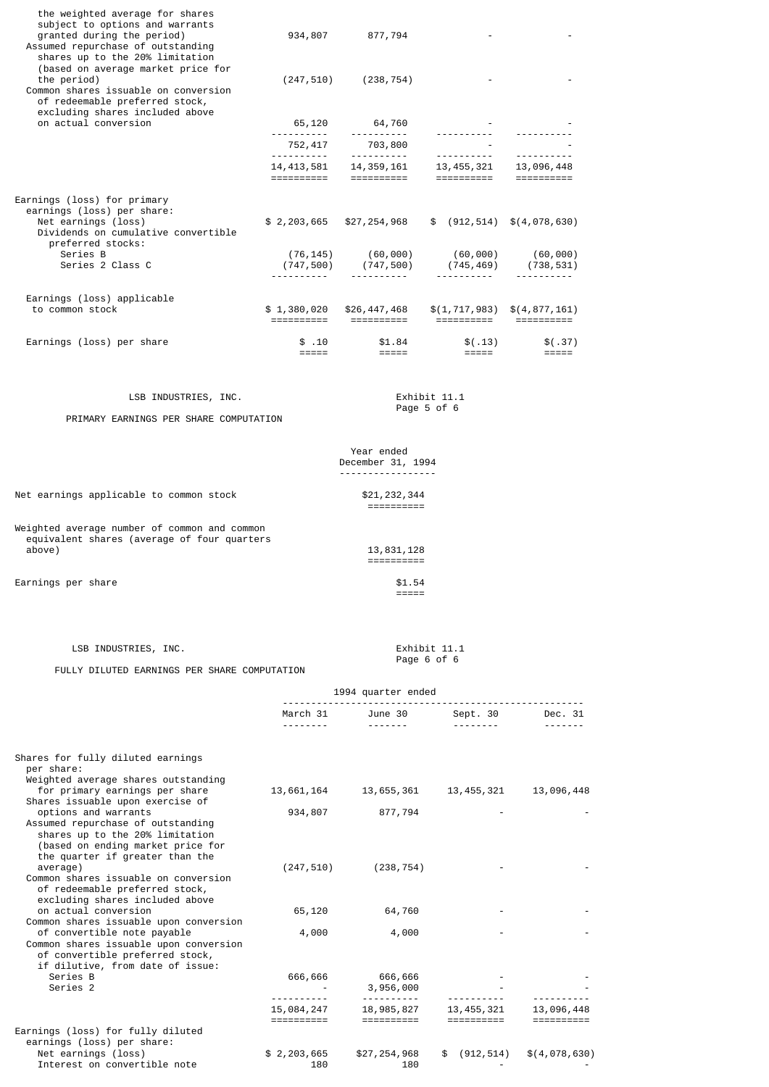| the weighted average for shares<br>subject to options and warrants<br>granted during the period)<br>Assumed repurchase of outstanding<br>shares up to the 20% limitation<br>(based on average market price for |                          | 934,807 877,794                                                                                                                                                                                                             |                             |                                                                      |
|----------------------------------------------------------------------------------------------------------------------------------------------------------------------------------------------------------------|--------------------------|-----------------------------------------------------------------------------------------------------------------------------------------------------------------------------------------------------------------------------|-----------------------------|----------------------------------------------------------------------|
| the period)<br>Common shares issuable on conversion<br>of redeemable preferred stock,                                                                                                                          | (247, 510)               | (238, 754)                                                                                                                                                                                                                  |                             |                                                                      |
| excluding shares included above<br>on actual conversion                                                                                                                                                        |                          | 65,120 64,760<br>. <u>.</u> .                                                                                                                                                                                               | -----------                 | <u> - - - - - - - - - -</u>                                          |
|                                                                                                                                                                                                                | 752, 417<br>----------   | 703,800<br>. <u>.</u>                                                                                                                                                                                                       | .                           | . <u>.</u>                                                           |
|                                                                                                                                                                                                                |                          | $14,413,581$ $14,359,161$ $13,455,321$ $13,996,448$ $141,413,581$ $141,413,581$ $141,413,581$ $141,413,581$ $141,413,581$ $141,413,581$ $141,413,581$ $141,413,581$ $141,413,581$ $141,413,581$ $141,413,581$ $141,413,581$ |                             |                                                                      |
| Earnings (loss) for primary<br>earnings (loss) per share:<br>Net earnings (loss)<br>Dividends on cumulative convertible<br>preferred stocks:                                                                   | \$2,203,665              | \$27,254,968                                                                                                                                                                                                                |                             | \$ (912, 514) \$ (4, 078, 630)                                       |
| Series B<br>Series 2 Class C                                                                                                                                                                                   | (76, 145)                | (60,000)<br>$(747, 500)$ $(747, 500)$                                                                                                                                                                                       | (60,000)                    | (60,000)<br>$(745, 469)$ $(738, 531)$<br><u> - - - - - - - - - -</u> |
| Earnings (loss) applicable<br>to common stock                                                                                                                                                                  | \$1,380,020              | \$26,447,468                                                                                                                                                                                                                | =====================       | $$(1, 717, 983)$ $$(4, 877, 161)$                                    |
| Earnings (loss) per share                                                                                                                                                                                      | \$.10<br>$=$ $=$ $=$ $=$ |                                                                                                                                                                                                                             |                             | \$(.37)<br>=====                                                     |
| LSB INDUSTRIES, INC.                                                                                                                                                                                           |                          |                                                                                                                                                                                                                             | Exhibit 11.1                |                                                                      |
| PRIMARY EARNINGS PER SHARE COMPUTATION                                                                                                                                                                         |                          |                                                                                                                                                                                                                             | Page 5 of 6                 |                                                                      |
|                                                                                                                                                                                                                |                          | Year ended<br>December 31, 1994<br><u>.</u>                                                                                                                                                                                 |                             |                                                                      |
| Net earnings applicable to common stock                                                                                                                                                                        |                          | \$21,232,344<br>==========                                                                                                                                                                                                  |                             |                                                                      |
| Weighted average number of common and common<br>equivalent shares (average of four quarters<br>above)                                                                                                          |                          | 13,831,128<br>==========                                                                                                                                                                                                    |                             |                                                                      |
| Earnings per share                                                                                                                                                                                             |                          | \$1.54<br>$=$ $=$ $=$ $=$ $=$                                                                                                                                                                                               |                             |                                                                      |
| LSB INDUSTRIES, INC.                                                                                                                                                                                           |                          |                                                                                                                                                                                                                             | Exhibit 11.1<br>Page 6 of 6 |                                                                      |

#### Page 6 of 6 FULLY DILUTED EARNINGS PER SHARE COMPUTATION

|                                                                                                                                                                      | 1994 quarter ended       |                          |                          |               |
|----------------------------------------------------------------------------------------------------------------------------------------------------------------------|--------------------------|--------------------------|--------------------------|---------------|
|                                                                                                                                                                      | March 31 June 30         |                          | Sept. 30                 | Dec. 31       |
|                                                                                                                                                                      |                          | <u>.</u>                 | ---------                |               |
| Shares for fully diluted earnings<br>per share:<br>Weighted average shares outstanding                                                                               |                          |                          |                          |               |
| for primary earnings per share<br>Shares issuable upon exercise of                                                                                                   | 13,661,164               | 13,655,361               | 13,455,321               | 13,096,448    |
| options and warrants<br>Assumed repurchase of outstanding<br>shares up to the 20% limitation<br>(based on ending market price for<br>the quarter if greater than the | 934,807                  | 877,794                  |                          |               |
| average)<br>Common shares issuable on conversion<br>of redeemable preferred stock,<br>excluding shares included above                                                | (247, 510)               | (238, 754)               |                          |               |
| on actual conversion<br>Common shares issuable upon conversion                                                                                                       | 65,120                   | 64,760                   |                          |               |
| of convertible note payable<br>Common shares issuable upon conversion<br>of convertible preferred stock,<br>if dilutive, from date of issue:                         | 4,000                    | 4,000                    |                          |               |
| Series B<br>Series <sub>2</sub>                                                                                                                                      | 666,666                  | 666,666<br>3,956,000     |                          |               |
|                                                                                                                                                                      | 15,084,247<br>========== | 18,985,827<br>========== | 13,455,321<br>========== | 13,096,448    |
| Earnings (loss) for fully diluted<br>earnings (loss) per share:                                                                                                      |                          |                          |                          |               |
| Net earnings (loss)<br>Interest on convertible note                                                                                                                  | \$2,203,665<br>180       | \$27,254,968<br>180      | \$ (912, 514)            | \$(4,078,630) |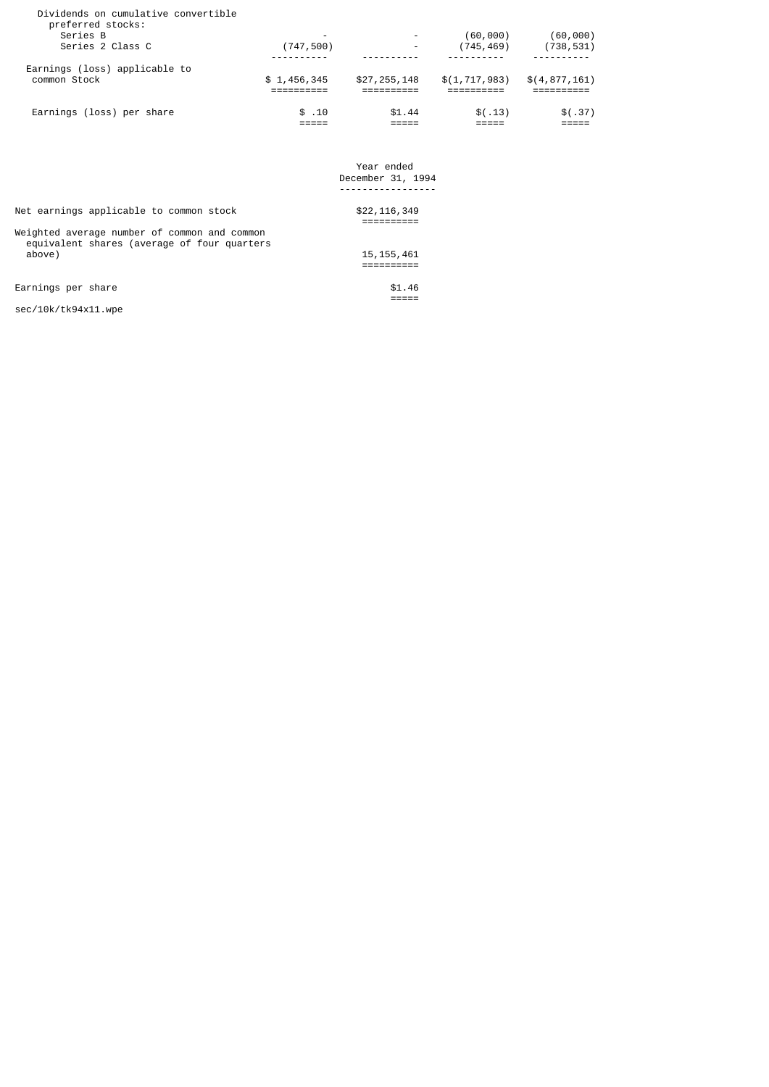| Earnings (loss) per share                                                                | \$.10           | \$1.44                   | \$(.13)                | \$(.37)                |
|------------------------------------------------------------------------------------------|-----------------|--------------------------|------------------------|------------------------|
| Earnings (loss) applicable to<br>common Stock                                            | \$1,456,345     | \$27,255,148             | \$(1, 717, 983)        | \$(4, 877, 161)        |
| Dividends on cumulative convertible<br>preferred stocks:<br>Series B<br>Series 2 Class C | -<br>(747, 500) | $\overline{\phantom{0}}$ | (60,000)<br>(745, 469) | (60,000)<br>(738, 531) |

 Year ended December 31, 1994 -----------------

#### Net earnings applicable to common stock  $$22,116,349$

==========

==========

Weighted average number of common and common equivalent shares (average of four quarters above) 15,155,461

Earnings per share  $$1.46$ 

sec/10k/tk94x11.wpe

=====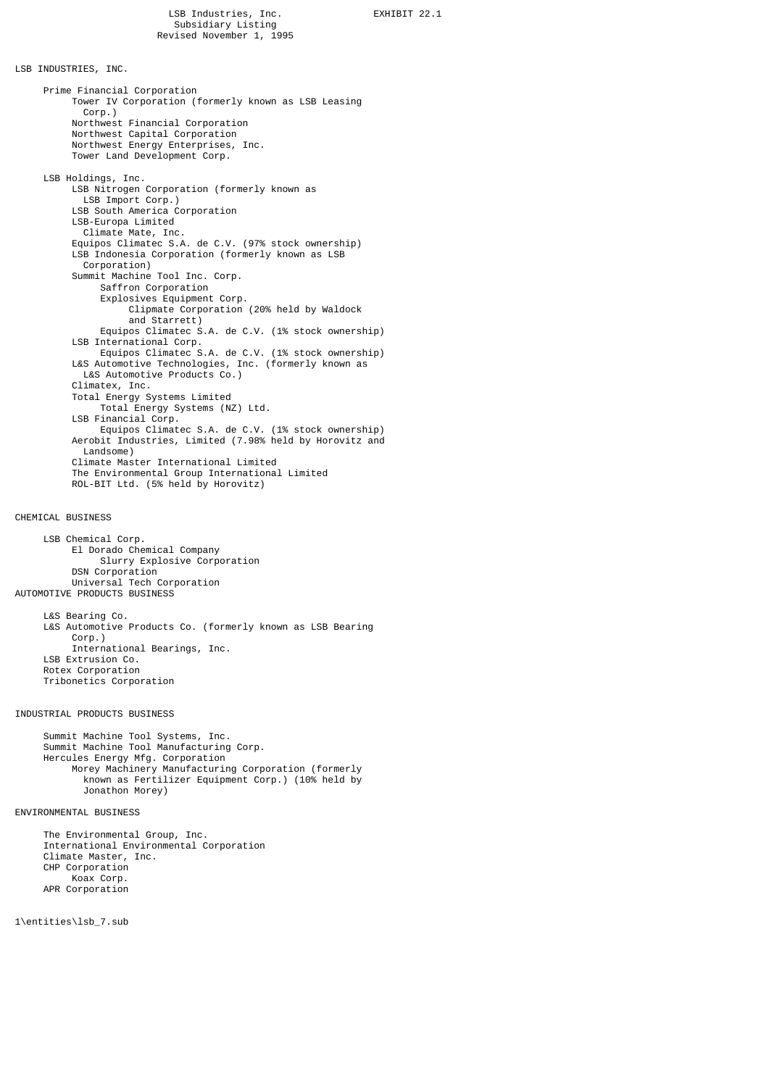LSB INDUSTRIES, INC.

 Prime Financial Corporation Tower IV Corporation (formerly known as LSB Leasing Corp.) Northwest Financial Corporation Northwest Capital Corporation Northwest Energy Enterprises, Inc. Tower Land Development Corp. LSB Holdings, Inc. LSB Nitrogen Corporation (formerly known as LSB Import Corp.) LSB South America Corporation LSB-Europa Limited Climate Mate, Inc. Equipos Climatec S.A. de C.V. (97% stock ownership) LSB Indonesia Corporation (formerly known as LSB Corporation) Summit Machine Tool Inc. Corp. Saffron Corporation Explosives Equipment Corp. Clipmate Corporation (20% held by Waldock and Starrett) Equipos Climatec S.A. de C.V. (1% stock ownership) LSB International Corp. Equipos Climatec S.A. de C.V. (1% stock ownership) L&S Automotive Technologies, Inc. (formerly known as L&S Automotive Products Co.) Climatex, Inc. Total Energy Systems Limited Total Energy Systems (NZ) Ltd. LSB Financial Corp. Equipos Climatec S.A. de C.V. (1% stock ownership) Aerobit Industries, Limited (7.98% held by Horovitz and Landsome) Climate Master International Limited The Environmental Group International Limited ROL-BIT Ltd. (5% held by Horovitz)

### CHEMICAL BUSINESS

 LSB Chemical Corp. El Dorado Chemical Company Slurry Explosive Corporation DSN Corporation Universal Tech Corporation AUTOMOTIVE PRODUCTS BUSINESS

 L&S Bearing Co. L&S Automotive Products Co. (formerly known as LSB Bearing Corp.) International Bearings, Inc. LSB Extrusion Co. Rotex Corporation Tribonetics Corporation

# INDUSTRIAL PRODUCTS BUSINESS

 Summit Machine Tool Systems, Inc. Summit Machine Tool Manufacturing Corp. Hercules Energy Mfg. Corporation Morey Machinery Manufacturing Corporation (formerly known as Fertilizer Equipment Corp.) (10% held by Jonathon Morey)

# ENVIRONMENTAL BUSINESS

 The Environmental Group, Inc. International Environmental Corporation Climate Master, Inc. CHP Corporation Koax Corp. APR Corporation

1\entities\lsb\_7.sub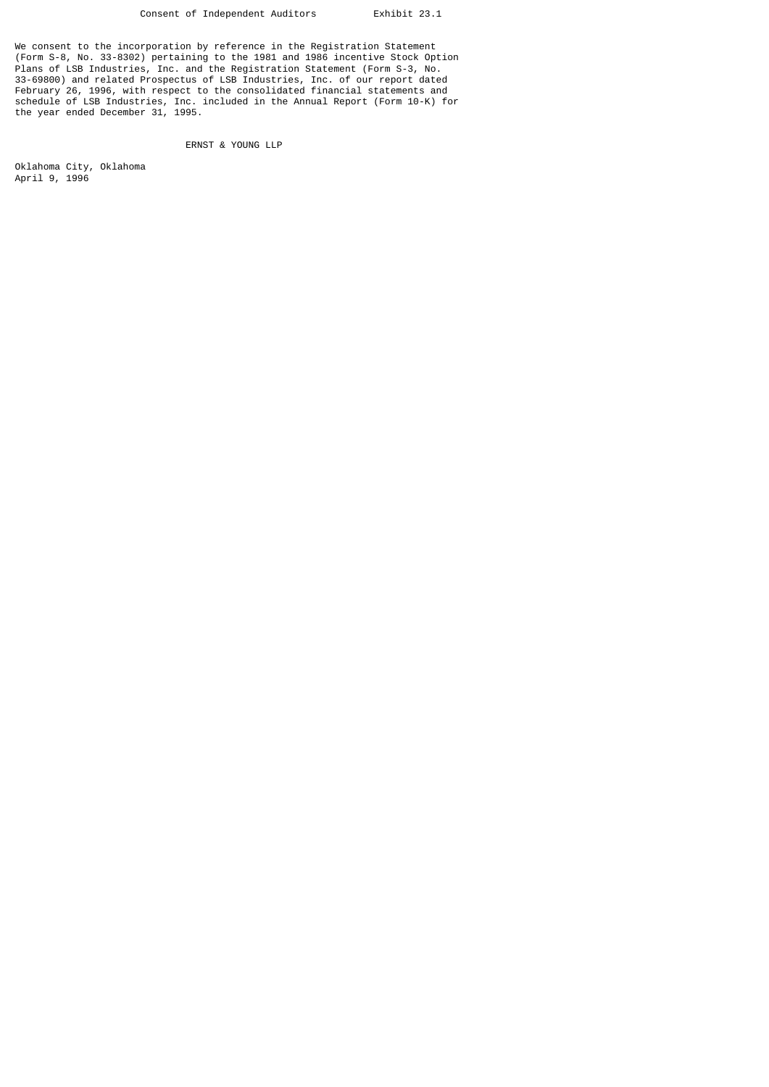We consent to the incorporation by reference in the Registration Statement (Form S-8, No. 33-8302) pertaining to the 1981 and 1986 incentive Stock Option Plans of LSB Industries, Inc. and the Registration Statement (Form S-3, No. 33-69800) and related Prospectus of LSB Industries, Inc. of our report dated February 26, 1996, with respect to the consolidated financial statements and schedule of LSB Industries, Inc. included in the Annual Report (Form 10-K) for the year ended December 31, 1995.

# ERNST & YOUNG LLP

Oklahoma City, Oklahoma April 9, 1996